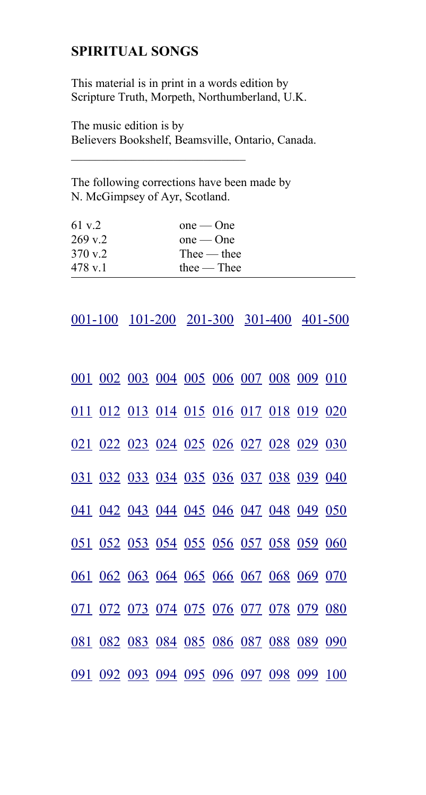# **SPIRITUAL SONGS**

This material is in print in a words edition by Scripture Truth, Morpeth, Northumberland, U.K.

The music edition is by Believers Bookshelf, Beamsville, Ontario, Canada.

The following corrections have been made by N. McGimpsey of Ayr, Scotland.

| 61 v.2            | $one$ — One                    |
|-------------------|--------------------------------|
| $269 \text{ v.2}$ | $one$ — One                    |
| 370 v 2           | $\text{The}\varepsilon$ — thee |
| 478 v.1           | $the$ $-$ Thee                 |

 $\mathcal{L}_\text{max}$  , where  $\mathcal{L}_\text{max}$  , we have the set of  $\mathcal{L}_\text{max}$ 

<span id="page-0-1"></span>[001-100](#page-0-0) [101-200](#page-1-1) [201-300](#page-1-0) [301-400](#page-2-1) [401-500](#page-2-0)

<span id="page-0-0"></span>

|  | 001 002 003 004 005 006 007 008 009 010 |  |  |  |  |
|--|-----------------------------------------|--|--|--|--|
|  | 011 012 013 014 015 016 017 018 019 020 |  |  |  |  |
|  | 021 022 023 024 025 026 027 028 029 030 |  |  |  |  |
|  | 031 032 033 034 035 036 037 038 039 040 |  |  |  |  |
|  | 041 042 043 044 045 046 047 048 049 050 |  |  |  |  |
|  | 051 052 053 054 055 056 057 058 059 060 |  |  |  |  |
|  | 061 062 063 064 065 066 067 068 069 070 |  |  |  |  |
|  | 071 072 073 074 075 076 077 078 079 080 |  |  |  |  |
|  | 081 082 083 084 085 086 087 088 089 090 |  |  |  |  |
|  | 091 092 093 094 095 096 097 098 099 100 |  |  |  |  |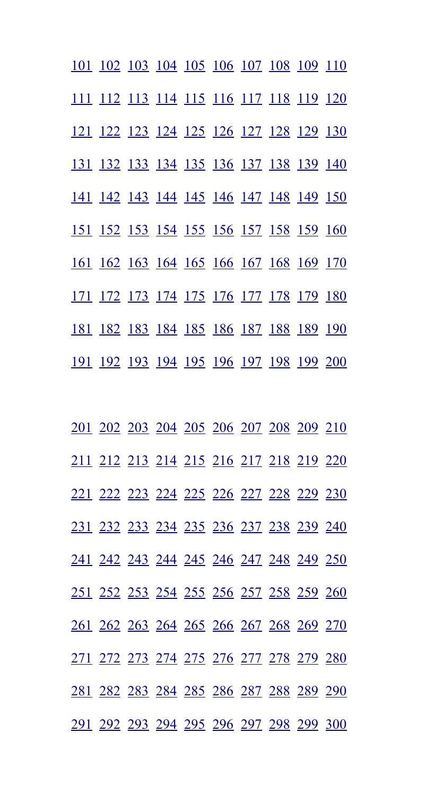<span id="page-1-1"></span>

|  | 101 102 103 104 105 106 107 108 109 110 |  |  |  |  |
|--|-----------------------------------------|--|--|--|--|
|  | 111 112 113 114 115 116 117 118 119 120 |  |  |  |  |
|  | 121 122 123 124 125 126 127 128 129 130 |  |  |  |  |
|  | 131 132 133 134 135 136 137 138 139 140 |  |  |  |  |
|  | 141 142 143 144 145 146 147 148 149 150 |  |  |  |  |
|  | 151 152 153 154 155 156 157 158 159 160 |  |  |  |  |
|  | 161 162 163 164 165 166 167 168 169 170 |  |  |  |  |
|  | 171 172 173 174 175 176 177 178 179 180 |  |  |  |  |
|  | 181 182 183 184 185 186 187 188 189 190 |  |  |  |  |
|  | 191 192 193 194 195 196 197 198 199 200 |  |  |  |  |

<span id="page-1-0"></span>

|  | 201 202 203 204 205 206 207 208 209 210 |  |  |  |  |
|--|-----------------------------------------|--|--|--|--|
|  | 211 212 213 214 215 216 217 218 219 220 |  |  |  |  |
|  | 221 222 223 224 225 226 227 228 229 230 |  |  |  |  |
|  | 231 232 233 234 235 236 237 238 239 240 |  |  |  |  |
|  | 241 242 243 244 245 246 247 248 249 250 |  |  |  |  |
|  | 251 252 253 254 255 256 257 258 259 260 |  |  |  |  |
|  | 261 262 263 264 265 266 267 268 269 270 |  |  |  |  |
|  | 271 272 273 274 275 276 277 278 279 280 |  |  |  |  |
|  | 281 282 283 284 285 286 287 288 289 290 |  |  |  |  |
|  | 291 292 293 294 295 296 297 298 299 300 |  |  |  |  |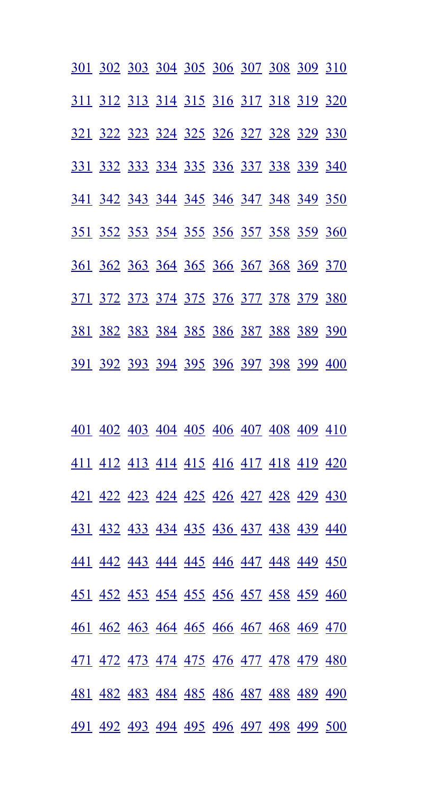<span id="page-2-1"></span>

| 301 302 303 304 305 306 307 308 309 310 |  |  |  |  |
|-----------------------------------------|--|--|--|--|
| 311 312 313 314 315 316 317 318 319 320 |  |  |  |  |
| 321 322 323 324 325 326 327 328 329 330 |  |  |  |  |
| 331 332 333 334 335 336 337 338 339 340 |  |  |  |  |
| 341 342 343 344 345 346 347 348 349 350 |  |  |  |  |
| 351 352 353 354 355 356 357 358 359 360 |  |  |  |  |
| 361 362 363 364 365 366 367 368 369 370 |  |  |  |  |
| 371 372 373 374 375 376 377 378 379 380 |  |  |  |  |
| 381 382 383 384 385 386 387 388 389 390 |  |  |  |  |
| 391 392 393 394 395 396 397 398 399 400 |  |  |  |  |

<span id="page-2-0"></span>

|  |  |  |  | 401 402 403 404 405 406 407 408 409 410 |  |
|--|--|--|--|-----------------------------------------|--|
|  |  |  |  | 411 412 413 414 415 416 417 418 419 420 |  |
|  |  |  |  | 421 422 423 424 425 426 427 428 429 430 |  |
|  |  |  |  | 431 432 433 434 435 436 437 438 439 440 |  |
|  |  |  |  | 441 442 443 444 445 446 447 448 449 450 |  |
|  |  |  |  | 451 452 453 454 455 456 457 458 459 460 |  |
|  |  |  |  | 461 462 463 464 465 466 467 468 469 470 |  |
|  |  |  |  | 471 472 473 474 475 476 477 478 479 480 |  |
|  |  |  |  | 481 482 483 484 485 486 487 488 489 490 |  |
|  |  |  |  | 491 492 493 494 495 496 497 498 499 500 |  |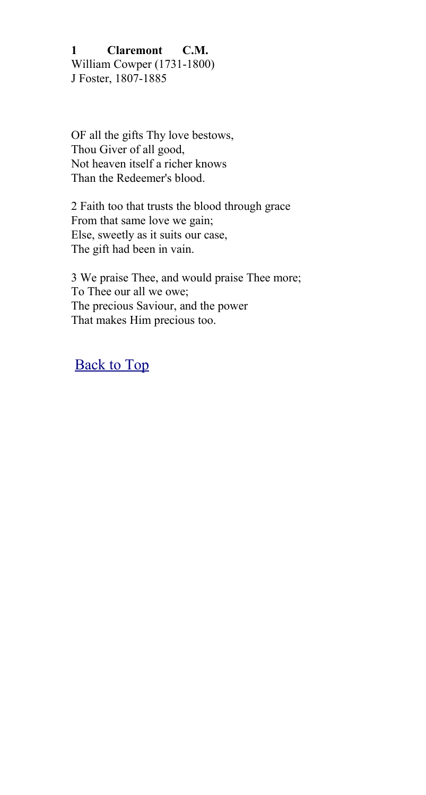<span id="page-3-0"></span>**1 Claremont C.M.** William Cowper (1731-1800) J Foster, 1807-1885

OF all the gifts Thy love bestows, Thou Giver of all good, Not heaven itself a richer knows Than the Redeemer's blood.

2 Faith too that trusts the blood through grace From that same love we gain; Else, sweetly as it suits our case, The gift had been in vain.

3 We praise Thee, and would praise Thee more; To Thee our all we owe; The precious Saviour, and the power That makes Him precious too.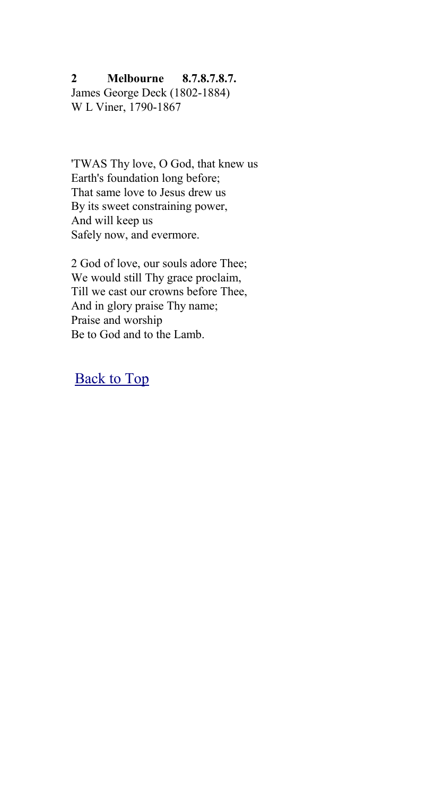### <span id="page-4-0"></span>**2 Melbourne 8.7.8.7.8.7.**

James George Deck (1802-1884) W L Viner, 1790-1867

'TWAS Thy love, O God, that knew us Earth's foundation long before; That same love to Jesus drew us By its sweet constraining power, And will keep us Safely now, and evermore.

2 God of love, our souls adore Thee; We would still Thy grace proclaim, Till we cast our crowns before Thee, And in glory praise Thy name; Praise and worship Be to God and to the Lamb.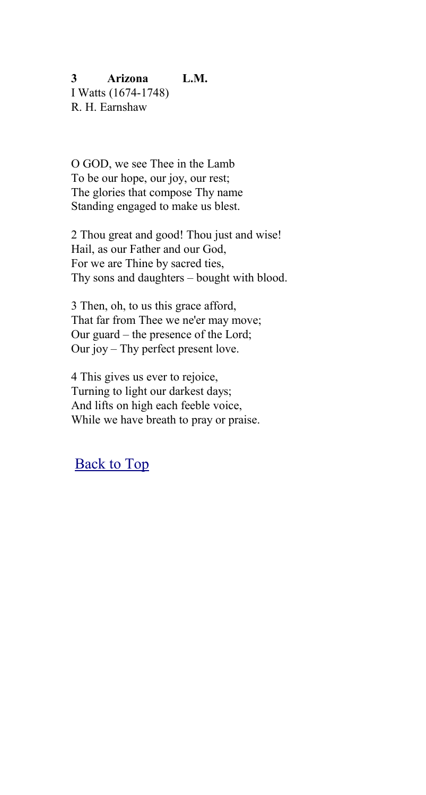# <span id="page-5-0"></span>**3 Arizona L.M.**

I Watts (1674-1748) R. H. Earnshaw

O GOD, we see Thee in the Lamb To be our hope, our joy, our rest; The glories that compose Thy name Standing engaged to make us blest.

2 Thou great and good! Thou just and wise! Hail, as our Father and our God, For we are Thine by sacred ties, Thy sons and daughters – bought with blood.

3 Then, oh, to us this grace afford, That far from Thee we ne'er may move; Our guard – the presence of the Lord; Our joy – Thy perfect present love.

4 This gives us ever to rejoice, Turning to light our darkest days; And lifts on high each feeble voice, While we have breath to pray or praise.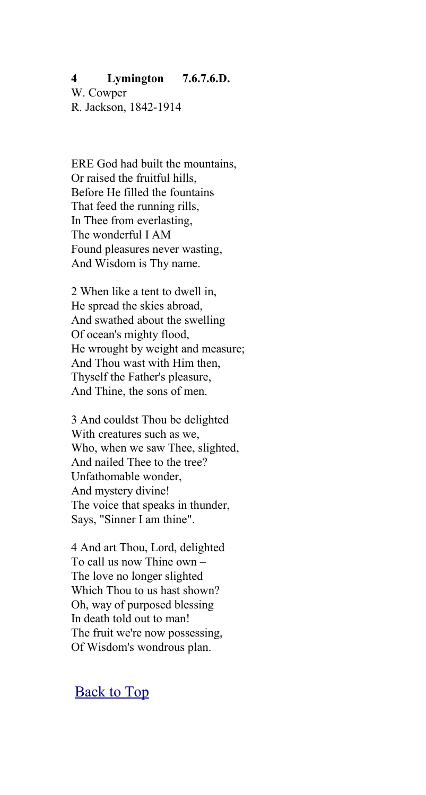#### <span id="page-6-0"></span>**4 Lymington 7.6.7.6.D.**

W. Cowper R. Jackson, 1842-1914

ERE God had built the mountains, Or raised the fruitful hills, Before He filled the fountains That feed the running rills, In Thee from everlasting, The wonderful I AM Found pleasures never wasting, And Wisdom is Thy name.

2 When like a tent to dwell in, He spread the skies abroad, And swathed about the swelling Of ocean's mighty flood, He wrought by weight and measure; And Thou wast with Him then, Thyself the Father's pleasure, And Thine, the sons of men.

3 And couldst Thou be delighted With creatures such as we, Who, when we saw Thee, slighted, And nailed Thee to the tree? Unfathomable wonder, And mystery divine! The voice that speaks in thunder, Says, "Sinner I am thine".

4 And art Thou, Lord, delighted To call us now Thine own – The love no longer slighted Which Thou to us hast shown? Oh, way of purposed blessing In death told out to man! The fruit we're now possessing, Of Wisdom's wondrous plan.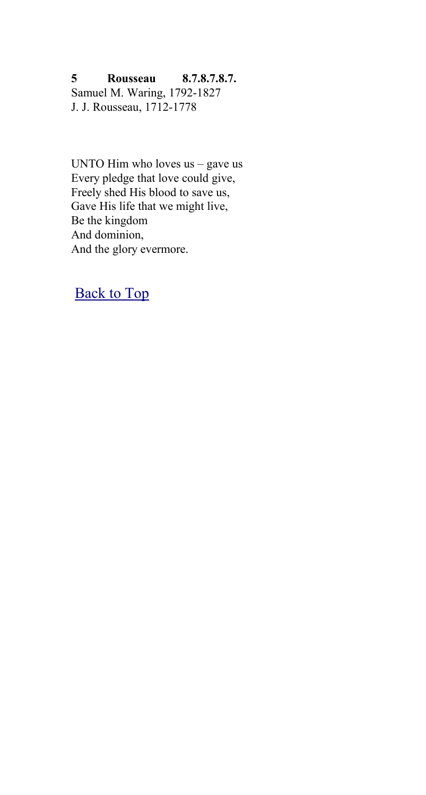<span id="page-7-0"></span>**5 Rousseau 8.7.8.7.8.7.** Samuel M. Waring, 1792-1827 J. J. Rousseau, 1712-1778

UNTO Him who loves us – gave us Every pledge that love could give, Freely shed His blood to save us, Gave His life that we might live, Be the kingdom And dominion, And the glory evermore.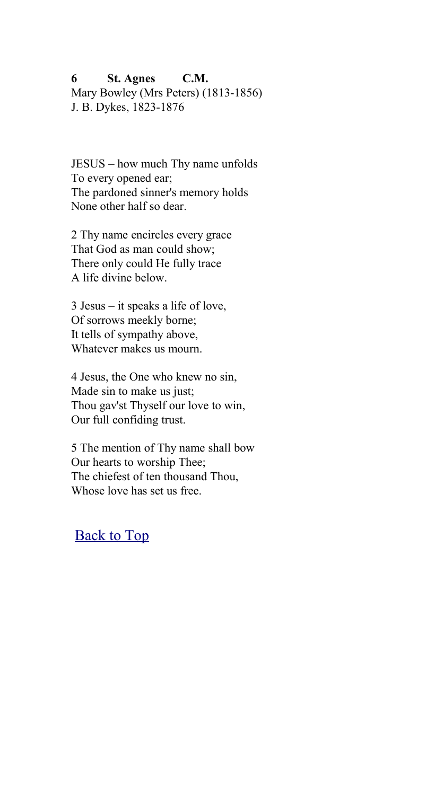<span id="page-8-0"></span>**6 St. Agnes C.M.** Mary Bowley (Mrs Peters) (1813-1856) J. B. Dykes, 1823-1876

JESUS – how much Thy name unfolds To every opened ear; The pardoned sinner's memory holds None other half so dear.

2 Thy name encircles every grace That God as man could show; There only could He fully trace A life divine below.

3 Jesus – it speaks a life of love, Of sorrows meekly borne; It tells of sympathy above, Whatever makes us mourn.

4 Jesus, the One who knew no sin, Made sin to make us just; Thou gav'st Thyself our love to win, Our full confiding trust.

5 The mention of Thy name shall bow Our hearts to worship Thee; The chiefest of ten thousand Thou, Whose love has set us free.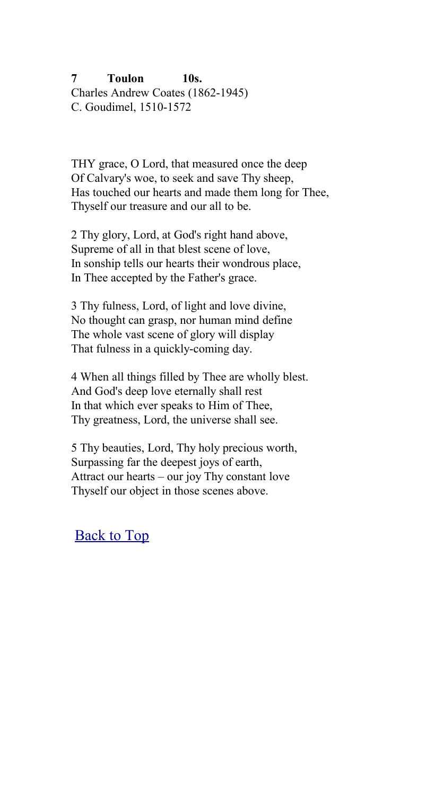<span id="page-9-0"></span>**7 Toulon 10s.** Charles Andrew Coates (1862-1945) C. Goudimel, 1510-1572

THY grace, O Lord, that measured once the deep Of Calvary's woe, to seek and save Thy sheep, Has touched our hearts and made them long for Thee, Thyself our treasure and our all to be.

2 Thy glory, Lord, at God's right hand above, Supreme of all in that blest scene of love, In sonship tells our hearts their wondrous place, In Thee accepted by the Father's grace.

3 Thy fulness, Lord, of light and love divine, No thought can grasp, nor human mind define The whole vast scene of glory will display That fulness in a quickly-coming day.

4 When all things filled by Thee are wholly blest. And God's deep love eternally shall rest In that which ever speaks to Him of Thee, Thy greatness, Lord, the universe shall see.

5 Thy beauties, Lord, Thy holy precious worth, Surpassing far the deepest joys of earth, Attract our hearts – our joy Thy constant love Thyself our object in those scenes above.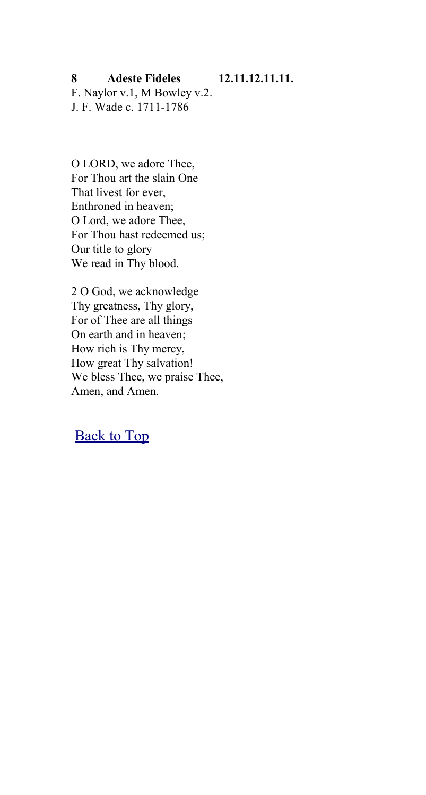<span id="page-10-0"></span>**8 Adeste Fideles 12.11.12.11.11.**

F. Naylor v.1, M Bowley v.2. J. F. Wade c. 1711-1786

O LORD, we adore Thee, For Thou art the slain One That livest for ever, Enthroned in heaven; O Lord, we adore Thee, For Thou hast redeemed us; Our title to glory We read in Thy blood.

2 O God, we acknowledge Thy greatness, Thy glory, For of Thee are all things On earth and in heaven; How rich is Thy mercy, How great Thy salvation! We bless Thee, we praise Thee, Amen, and Amen.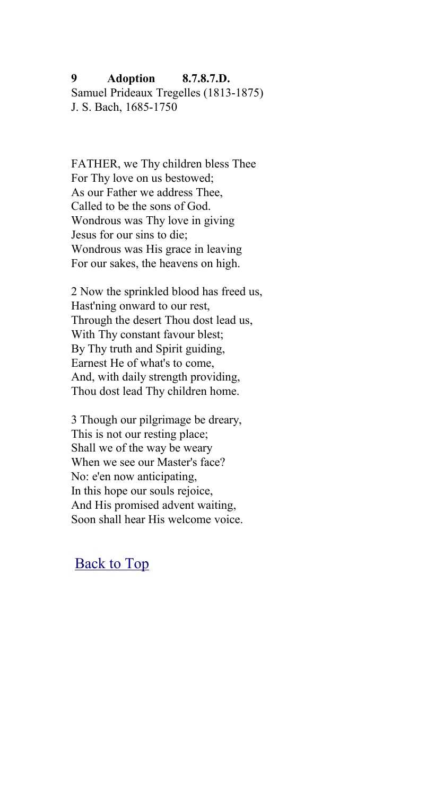## <span id="page-11-0"></span>**9 Adoption 8.7.8.7.D.** Samuel Prideaux Tregelles (1813-1875) J. S. Bach, 1685-1750

FATHER, we Thy children bless Thee For Thy love on us bestowed; As our Father we address Thee, Called to be the sons of God. Wondrous was Thy love in giving Jesus for our sins to die; Wondrous was His grace in leaving For our sakes, the heavens on high.

2 Now the sprinkled blood has freed us, Hast'ning onward to our rest, Through the desert Thou dost lead us, With Thy constant favour blest; By Thy truth and Spirit guiding, Earnest He of what's to come, And, with daily strength providing, Thou dost lead Thy children home.

3 Though our pilgrimage be dreary, This is not our resting place; Shall we of the way be weary When we see our Master's face? No: e'en now anticipating, In this hope our souls rejoice, And His promised advent waiting, Soon shall hear His welcome voice.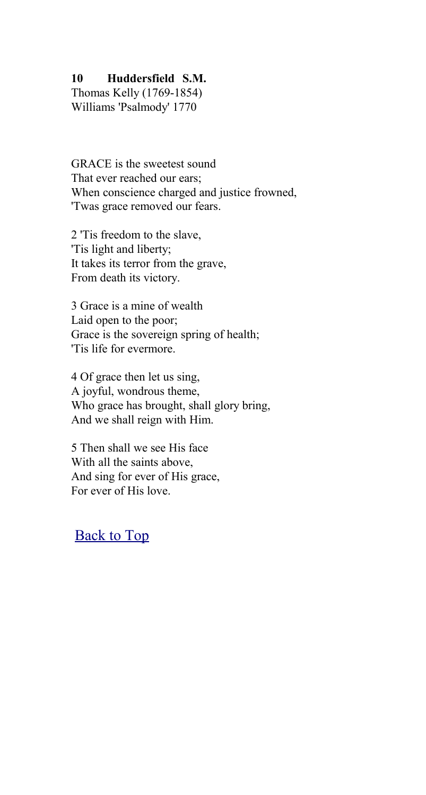## <span id="page-12-0"></span>**10 Huddersfield S.M.**

Thomas Kelly (1769-1854) Williams 'Psalmody' 1770

GRACE is the sweetest sound That ever reached our ears: When conscience charged and justice frowned, 'Twas grace removed our fears.

2 'Tis freedom to the slave, 'Tis light and liberty; It takes its terror from the grave, From death its victory.

3 Grace is a mine of wealth Laid open to the poor; Grace is the sovereign spring of health; 'Tis life for evermore.

4 Of grace then let us sing, A joyful, wondrous theme, Who grace has brought, shall glory bring, And we shall reign with Him.

5 Then shall we see His face With all the saints above, And sing for ever of His grace, For ever of His love.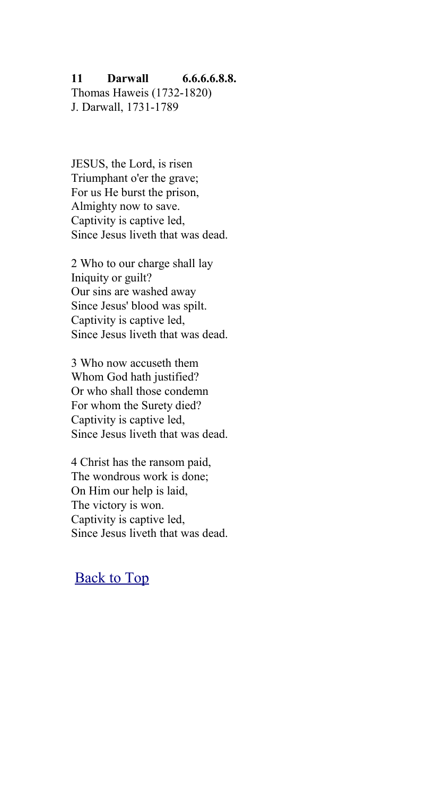### <span id="page-13-0"></span>**11 Darwall 6.6.6.6.8.8.**

Thomas Haweis (1732-1820) J. Darwall, 1731-1789

JESUS, the Lord, is risen Triumphant o'er the grave; For us He burst the prison, Almighty now to save. Captivity is captive led, Since Jesus liveth that was dead.

2 Who to our charge shall lay Iniquity or guilt? Our sins are washed away Since Jesus' blood was spilt. Captivity is captive led, Since Jesus liveth that was dead.

3 Who now accuseth them Whom God hath justified? Or who shall those condemn For whom the Surety died? Captivity is captive led, Since Jesus liveth that was dead.

4 Christ has the ransom paid, The wondrous work is done; On Him our help is laid, The victory is won. Captivity is captive led, Since Jesus liveth that was dead.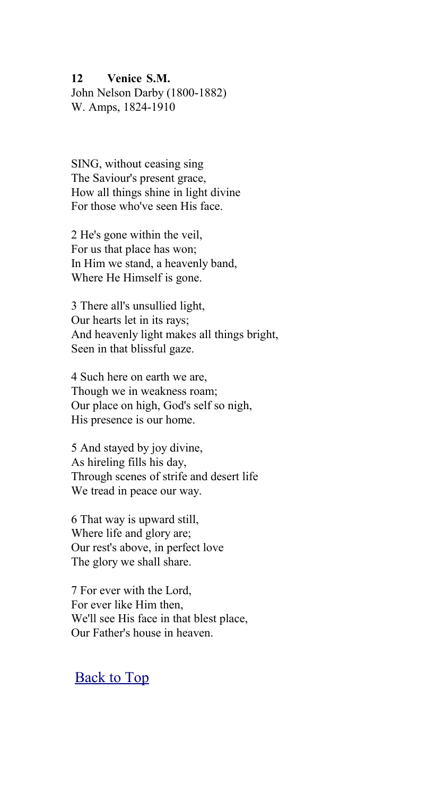#### <span id="page-14-0"></span>**12 Venice S.M.**

John Nelson Darby (1800-1882) W. Amps, 1824-1910

SING, without ceasing sing The Saviour's present grace, How all things shine in light divine For those who've seen His face.

2 He's gone within the veil, For us that place has won; In Him we stand, a heavenly band, Where He Himself is gone.

3 There all's unsullied light, Our hearts let in its rays; And heavenly light makes all things bright, Seen in that blissful gaze.

4 Such here on earth we are, Though we in weakness roam; Our place on high, God's self so nigh, His presence is our home.

5 And stayed by joy divine, As hireling fills his day, Through scenes of strife and desert life We tread in peace our way.

6 That way is upward still, Where life and glory are; Our rest's above, in perfect love The glory we shall share.

7 For ever with the Lord, For ever like Him then, We'll see His face in that blest place, Our Father's house in heaven.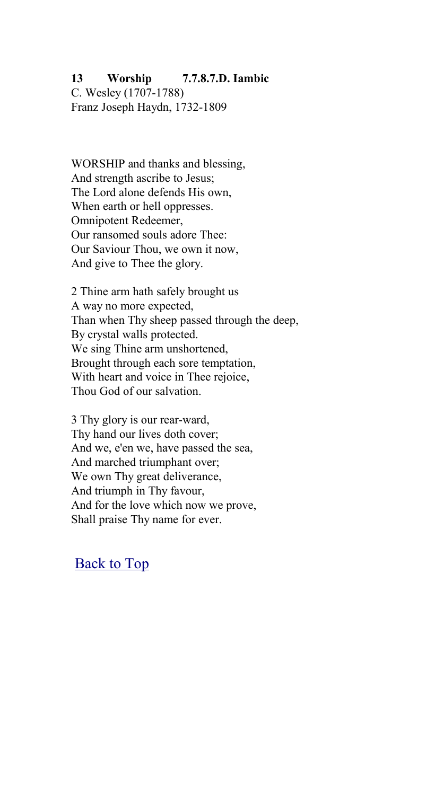## <span id="page-15-0"></span>**13 Worship 7.7.8.7.D. Iambic**

C. Wesley (1707-1788) Franz Joseph Haydn, 1732-1809

WORSHIP and thanks and blessing, And strength ascribe to Jesus; The Lord alone defends His own, When earth or hell oppresses. Omnipotent Redeemer, Our ransomed souls adore Thee: Our Saviour Thou, we own it now, And give to Thee the glory.

2 Thine arm hath safely brought us A way no more expected, Than when Thy sheep passed through the deep, By crystal walls protected. We sing Thine arm unshortened, Brought through each sore temptation, With heart and voice in Thee rejoice. Thou God of our salvation.

3 Thy glory is our rear-ward, Thy hand our lives doth cover; And we, e'en we, have passed the sea, And marched triumphant over; We own Thy great deliverance, And triumph in Thy favour, And for the love which now we prove, Shall praise Thy name for ever.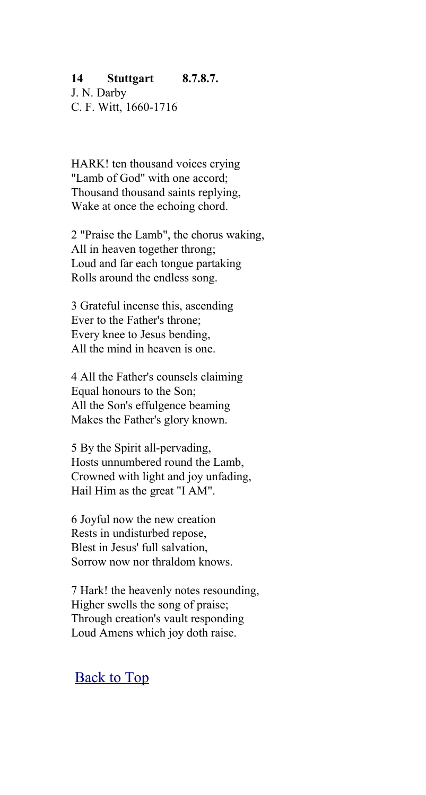## <span id="page-16-0"></span>**14 Stuttgart 8.7.8.7.**

J. N. Darby C. F. Witt, 1660-1716

HARK! ten thousand voices crying "Lamb of God" with one accord; Thousand thousand saints replying, Wake at once the echoing chord.

2 "Praise the Lamb", the chorus waking, All in heaven together throng; Loud and far each tongue partaking Rolls around the endless song.

3 Grateful incense this, ascending Ever to the Father's throne; Every knee to Jesus bending, All the mind in heaven is one.

4 All the Father's counsels claiming Equal honours to the Son; All the Son's effulgence beaming Makes the Father's glory known.

5 By the Spirit all-pervading, Hosts unnumbered round the Lamb, Crowned with light and joy unfading, Hail Him as the great "I AM".

6 Joyful now the new creation Rests in undisturbed repose, Blest in Jesus' full salvation, Sorrow now nor thraldom knows.

7 Hark! the heavenly notes resounding, Higher swells the song of praise; Through creation's vault responding Loud Amens which joy doth raise.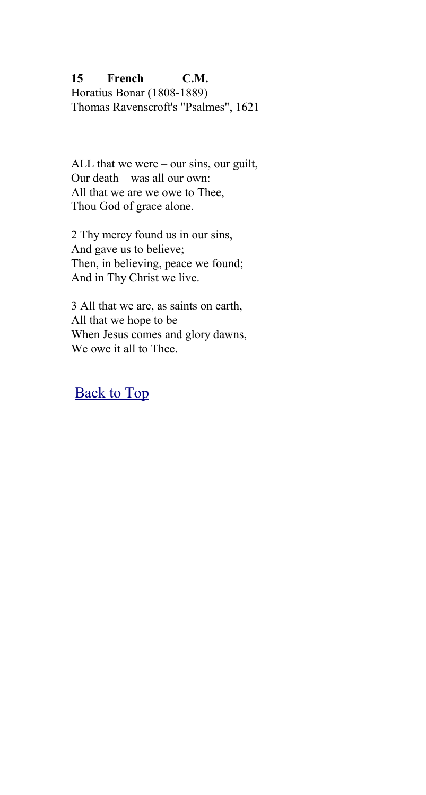<span id="page-17-0"></span>**15 French C.M.** Horatius Bonar (1808-1889) Thomas Ravenscroft's "Psalmes", 1621

ALL that we were – our sins, our guilt, Our death – was all our own: All that we are we owe to Thee, Thou God of grace alone.

2 Thy mercy found us in our sins, And gave us to believe; Then, in believing, peace we found; And in Thy Christ we live.

3 All that we are, as saints on earth, All that we hope to be When Jesus comes and glory dawns, We owe it all to Thee.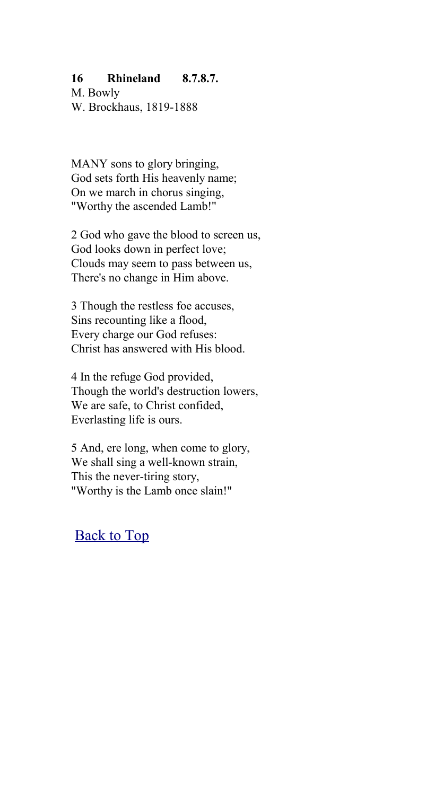## <span id="page-18-0"></span>**16 Rhineland 8.7.8.7.**

M. Bowly W. Brockhaus, 1819-1888

MANY sons to glory bringing, God sets forth His heavenly name; On we march in chorus singing, "Worthy the ascended Lamb!"

2 God who gave the blood to screen us, God looks down in perfect love; Clouds may seem to pass between us, There's no change in Him above.

3 Though the restless foe accuses, Sins recounting like a flood, Every charge our God refuses: Christ has answered with His blood.

4 In the refuge God provided, Though the world's destruction lowers, We are safe, to Christ confided, Everlasting life is ours.

5 And, ere long, when come to glory, We shall sing a well-known strain, This the never-tiring story, "Worthy is the Lamb once slain!"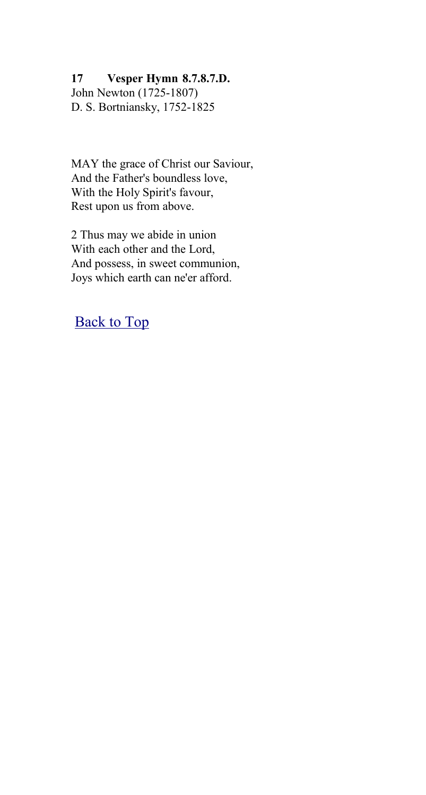## <span id="page-19-0"></span>**17 Vesper Hymn 8.7.8.7.D.**

John Newton (1725-1807) D. S. Bortniansky, 1752-1825

MAY the grace of Christ our Saviour, And the Father's boundless love, With the Holy Spirit's favour, Rest upon us from above.

2 Thus may we abide in union With each other and the Lord, And possess, in sweet communion, Joys which earth can ne'er afford.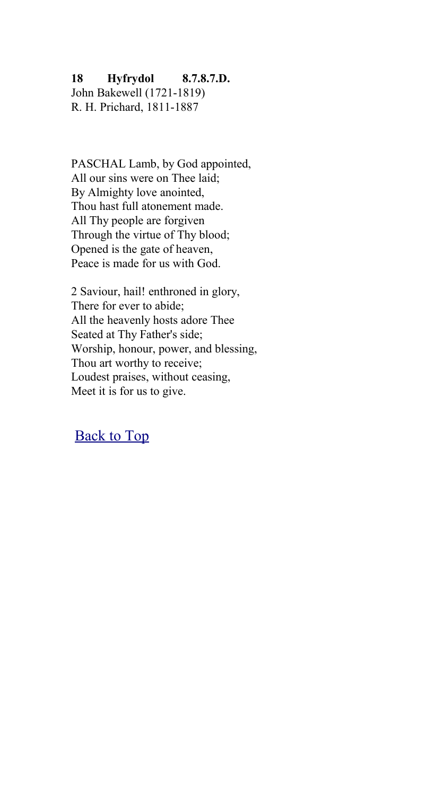## <span id="page-20-0"></span>**18 Hyfrydol 8.7.8.7.D.**

John Bakewell (1721-1819) R. H. Prichard, 1811-1887

PASCHAL Lamb, by God appointed, All our sins were on Thee laid; By Almighty love anointed, Thou hast full atonement made. All Thy people are forgiven Through the virtue of Thy blood; Opened is the gate of heaven, Peace is made for us with God.

2 Saviour, hail! enthroned in glory, There for ever to abide; All the heavenly hosts adore Thee Seated at Thy Father's side; Worship, honour, power, and blessing, Thou art worthy to receive; Loudest praises, without ceasing, Meet it is for us to give.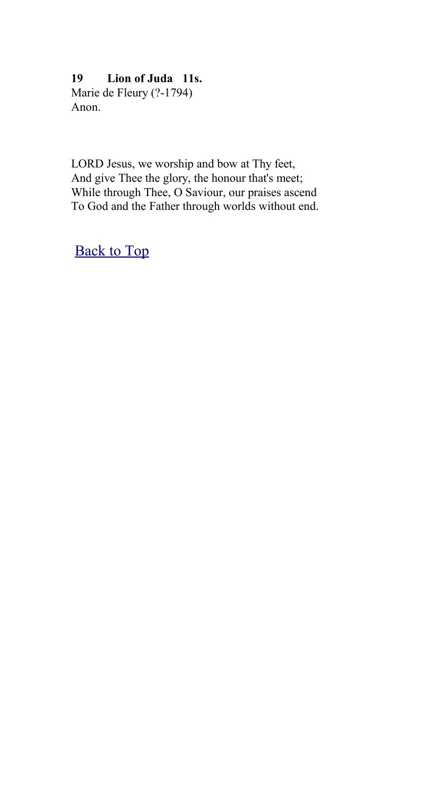# <span id="page-21-0"></span>**19 Lion of Juda 11s.**

Marie de Fleury (?-1794) Anon.

LORD Jesus, we worship and bow at Thy feet, And give Thee the glory, the honour that's meet; While through Thee, O Saviour, our praises ascend To God and the Father through worlds without end.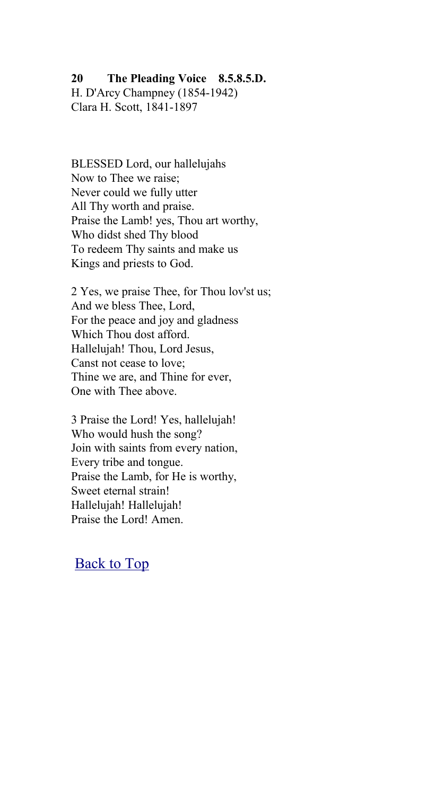#### <span id="page-22-0"></span>**20 The Pleading Voice 8.5.8.5.D.**

H. D'Arcy Champney (1854-1942) Clara H. Scott, 1841-1897

BLESSED Lord, our hallelujahs Now to Thee we raise; Never could we fully utter All Thy worth and praise. Praise the Lamb! yes, Thou art worthy, Who didst shed Thy blood To redeem Thy saints and make us Kings and priests to God.

2 Yes, we praise Thee, for Thou lov'st us; And we bless Thee, Lord, For the peace and joy and gladness Which Thou dost afford. Hallelujah! Thou, Lord Jesus, Canst not cease to love; Thine we are, and Thine for ever, One with Thee above.

3 Praise the Lord! Yes, hallelujah! Who would hush the song? Join with saints from every nation, Every tribe and tongue. Praise the Lamb, for He is worthy, Sweet eternal strain! Hallelujah! Hallelujah! Praise the Lord! Amen.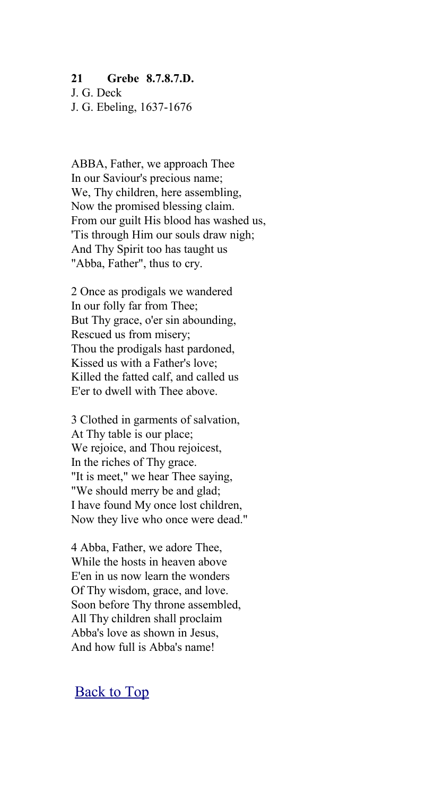#### <span id="page-23-0"></span>**21 Grebe 8.7.8.7.D.**

J. G. Deck J. G. Ebeling, 1637-1676

ABBA, Father, we approach Thee In our Saviour's precious name; We, Thy children, here assembling. Now the promised blessing claim. From our guilt His blood has washed us, 'Tis through Him our souls draw nigh; And Thy Spirit too has taught us "Abba, Father", thus to cry.

2 Once as prodigals we wandered In our folly far from Thee; But Thy grace, o'er sin abounding, Rescued us from misery; Thou the prodigals hast pardoned, Kissed us with a Father's love; Killed the fatted calf, and called us E'er to dwell with Thee above.

3 Clothed in garments of salvation, At Thy table is our place; We rejoice, and Thou rejoicest, In the riches of Thy grace. "It is meet," we hear Thee saying, "We should merry be and glad; I have found My once lost children, Now they live who once were dead."

4 Abba, Father, we adore Thee, While the hosts in heaven above E'en in us now learn the wonders Of Thy wisdom, grace, and love. Soon before Thy throne assembled, All Thy children shall proclaim Abba's love as shown in Jesus, And how full is Abba's name!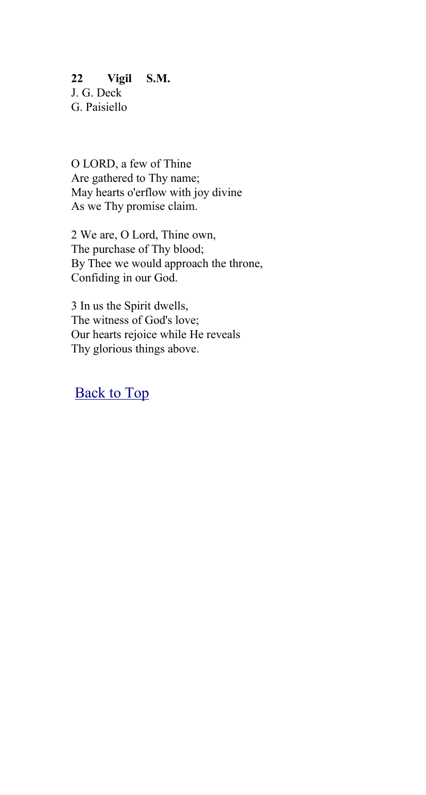## <span id="page-24-0"></span>**22 Vigil S.M.** J. G. Deck G. Paisiello

O LORD, a few of Thine Are gathered to Thy name; May hearts o'erflow with joy divine As we Thy promise claim.

2 We are, O Lord, Thine own, The purchase of Thy blood; By Thee we would approach the throne, Confiding in our God.

3 In us the Spirit dwells, The witness of God's love; Our hearts rejoice while He reveals Thy glorious things above.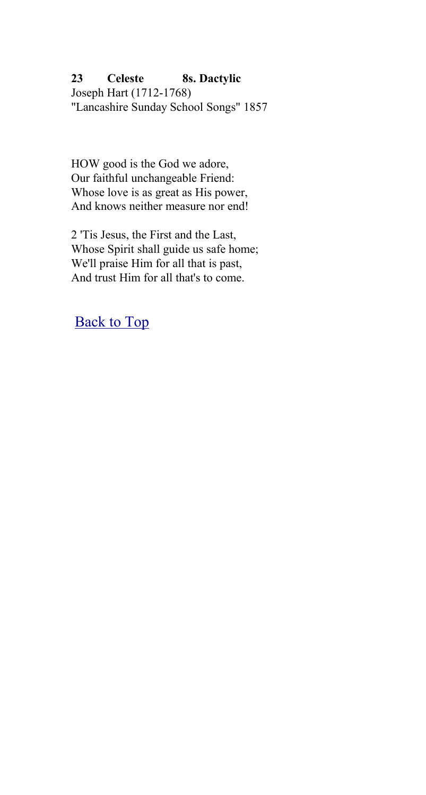## <span id="page-25-0"></span>**23 Celeste 8s. Dactylic**

Joseph Hart (1712-1768) "Lancashire Sunday School Songs" 1857

HOW good is the God we adore, Our faithful unchangeable Friend: Whose love is as great as His power, And knows neither measure nor end!

2 'Tis Jesus, the First and the Last, Whose Spirit shall guide us safe home; We'll praise Him for all that is past, And trust Him for all that's to come.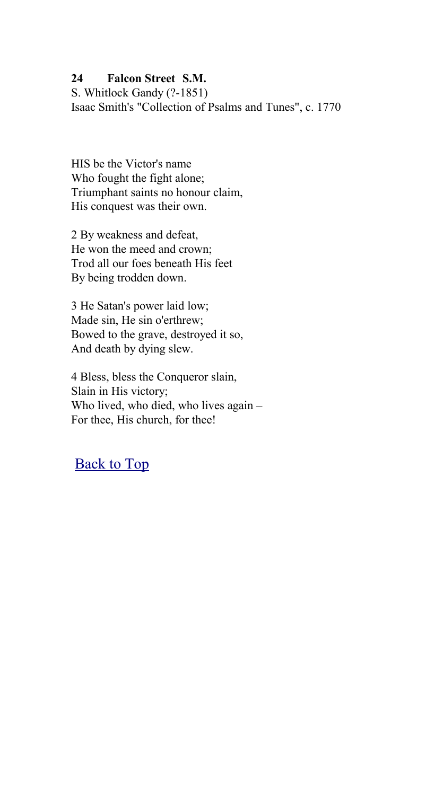## <span id="page-26-0"></span>**24 Falcon Street S.M.**

S. Whitlock Gandy (?-1851) Isaac Smith's "Collection of Psalms and Tunes", c. 1770

HIS be the Victor's name Who fought the fight alone; Triumphant saints no honour claim, His conquest was their own.

2 By weakness and defeat, He won the meed and crown; Trod all our foes beneath His feet By being trodden down.

3 He Satan's power laid low; Made sin, He sin o'erthrew; Bowed to the grave, destroyed it so, And death by dying slew.

4 Bless, bless the Conqueror slain, Slain in His victory; Who lived, who died, who lives again – For thee, His church, for thee!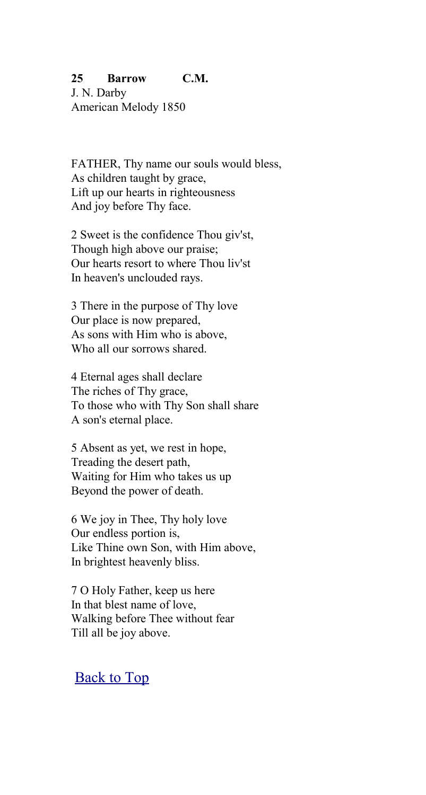## <span id="page-27-0"></span>**25 Barrow C.M.**

J. N. Darby American Melody 1850

FATHER, Thy name our souls would bless, As children taught by grace, Lift up our hearts in righteousness And joy before Thy face.

2 Sweet is the confidence Thou giv'st, Though high above our praise; Our hearts resort to where Thou liv'st In heaven's unclouded rays.

3 There in the purpose of Thy love Our place is now prepared, As sons with Him who is above, Who all our sorrows shared.

4 Eternal ages shall declare The riches of Thy grace, To those who with Thy Son shall share A son's eternal place.

5 Absent as yet, we rest in hope, Treading the desert path, Waiting for Him who takes us up Beyond the power of death.

6 We joy in Thee, Thy holy love Our endless portion is, Like Thine own Son, with Him above, In brightest heavenly bliss.

7 O Holy Father, keep us here In that blest name of love, Walking before Thee without fear Till all be joy above.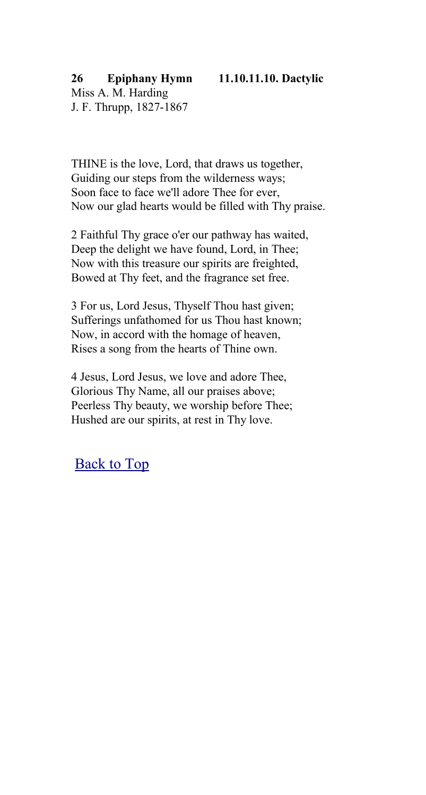<span id="page-28-0"></span>THINE is the love, Lord, that draws us together, Guiding our steps from the wilderness ways; Soon face to face we'll adore Thee for ever, Now our glad hearts would be filled with Thy praise.

2 Faithful Thy grace o'er our pathway has waited, Deep the delight we have found, Lord, in Thee; Now with this treasure our spirits are freighted, Bowed at Thy feet, and the fragrance set free.

3 For us, Lord Jesus, Thyself Thou hast given; Sufferings unfathomed for us Thou hast known; Now, in accord with the homage of heaven, Rises a song from the hearts of Thine own.

4 Jesus, Lord Jesus, we love and adore Thee, Glorious Thy Name, all our praises above; Peerless Thy beauty, we worship before Thee; Hushed are our spirits, at rest in Thy love.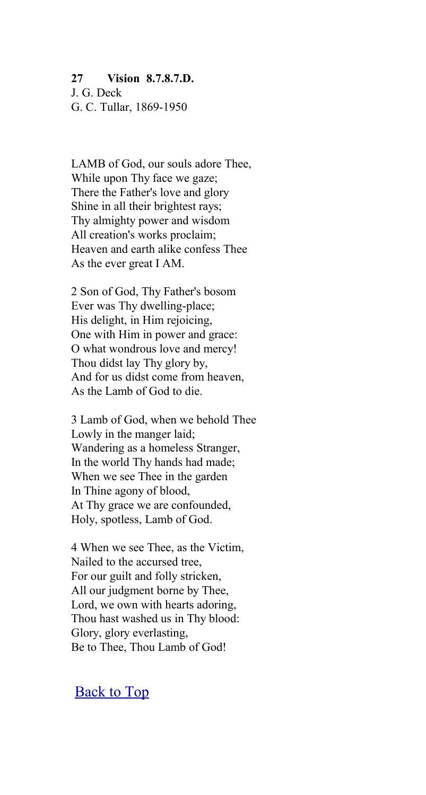## <span id="page-29-0"></span>**27 Vision 8.7.8.7.D.**

J. G. Deck G. C. Tullar, 1869-1950

LAMB of God, our souls adore Thee, While upon Thy face we gaze; There the Father's love and glory Shine in all their brightest rays; Thy almighty power and wisdom All creation's works proclaim; Heaven and earth alike confess Thee As the ever great I AM.

2 Son of God, Thy Father's bosom Ever was Thy dwelling-place; His delight, in Him rejoicing, One with Him in power and grace: O what wondrous love and mercy! Thou didst lay Thy glory by, And for us didst come from heaven, As the Lamb of God to die.

3 Lamb of God, when we behold Thee Lowly in the manger laid; Wandering as a homeless Stranger, In the world Thy hands had made; When we see Thee in the garden In Thine agony of blood, At Thy grace we are confounded, Holy, spotless, Lamb of God.

4 When we see Thee, as the Victim, Nailed to the accursed tree, For our guilt and folly stricken, All our judgment borne by Thee, Lord, we own with hearts adoring, Thou hast washed us in Thy blood: Glory, glory everlasting, Be to Thee, Thou Lamb of God!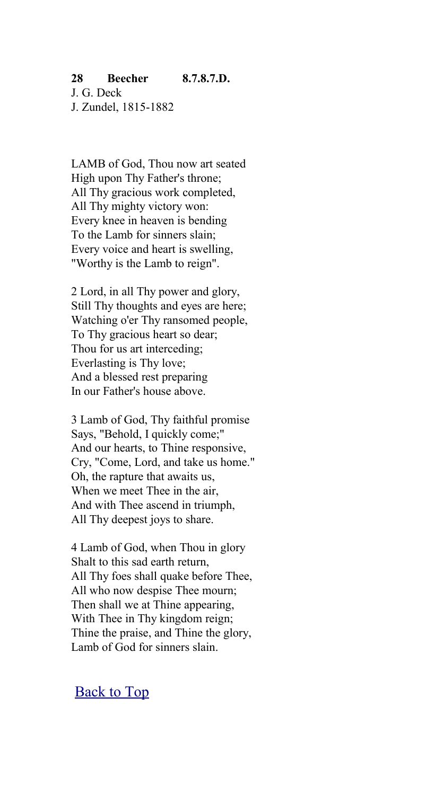### <span id="page-30-0"></span>**28 Beecher 8.7.8.7.D.** J. G. Deck J. Zundel, 1815-1882

LAMB of God, Thou now art seated High upon Thy Father's throne; All Thy gracious work completed, All Thy mighty victory won: Every knee in heaven is bending To the Lamb for sinners slain; Every voice and heart is swelling, "Worthy is the Lamb to reign".

2 Lord, in all Thy power and glory, Still Thy thoughts and eyes are here; Watching o'er Thy ransomed people, To Thy gracious heart so dear; Thou for us art interceding; Everlasting is Thy love; And a blessed rest preparing In our Father's house above.

3 Lamb of God, Thy faithful promise Says, "Behold, I quickly come;" And our hearts, to Thine responsive, Cry, "Come, Lord, and take us home." Oh, the rapture that awaits us, When we meet Thee in the air, And with Thee ascend in triumph, All Thy deepest joys to share.

4 Lamb of God, when Thou in glory Shalt to this sad earth return, All Thy foes shall quake before Thee, All who now despise Thee mourn; Then shall we at Thine appearing, With Thee in Thy kingdom reign; Thine the praise, and Thine the glory, Lamb of God for sinners slain.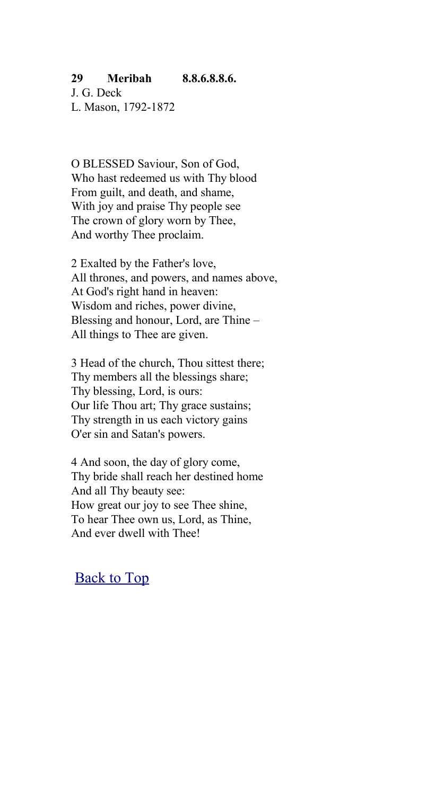## <span id="page-31-0"></span>**29 Meribah 8.8.6.8.8.6.**

J. G. Deck L. Mason, 1792-1872

O BLESSED Saviour, Son of God, Who hast redeemed us with Thy blood From guilt, and death, and shame, With joy and praise Thy people see The crown of glory worn by Thee, And worthy Thee proclaim.

2 Exalted by the Father's love, All thrones, and powers, and names above, At God's right hand in heaven: Wisdom and riches, power divine, Blessing and honour, Lord, are Thine – All things to Thee are given.

3 Head of the church, Thou sittest there; Thy members all the blessings share; Thy blessing, Lord, is ours: Our life Thou art; Thy grace sustains; Thy strength in us each victory gains O'er sin and Satan's powers.

4 And soon, the day of glory come, Thy bride shall reach her destined home And all Thy beauty see: How great our joy to see Thee shine, To hear Thee own us, Lord, as Thine, And ever dwell with Thee!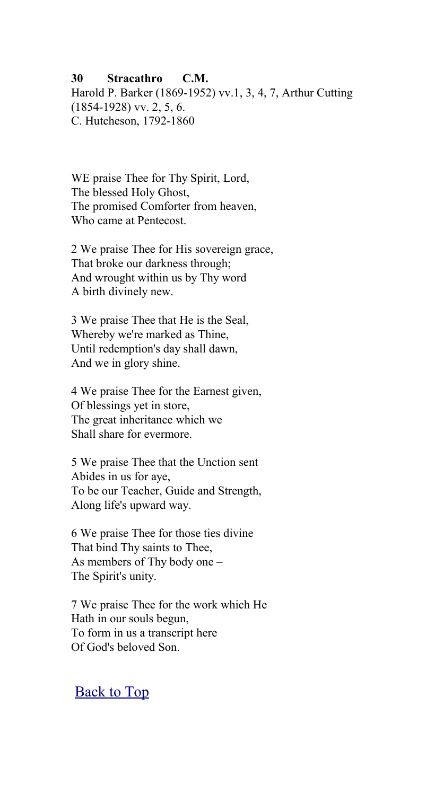### <span id="page-32-0"></span>**30 Stracathro C.M.**

Harold P. Barker (1869-1952) vv.1, 3, 4, 7, Arthur Cutting  $(1854-1928)$  vv. 2, 5, 6. C. Hutcheson, 1792-1860

WE praise Thee for Thy Spirit, Lord, The blessed Holy Ghost, The promised Comforter from heaven, Who came at Pentecost.

2 We praise Thee for His sovereign grace, That broke our darkness through; And wrought within us by Thy word A birth divinely new.

3 We praise Thee that He is the Seal, Whereby we're marked as Thine, Until redemption's day shall dawn, And we in glory shine.

4 We praise Thee for the Earnest given, Of blessings yet in store, The great inheritance which we Shall share for evermore.

5 We praise Thee that the Unction sent Abides in us for aye, To be our Teacher, Guide and Strength, Along life's upward way.

6 We praise Thee for those ties divine That bind Thy saints to Thee, As members of Thy body one – The Spirit's unity.

7 We praise Thee for the work which He Hath in our souls begun, To form in us a transcript here Of God's beloved Son.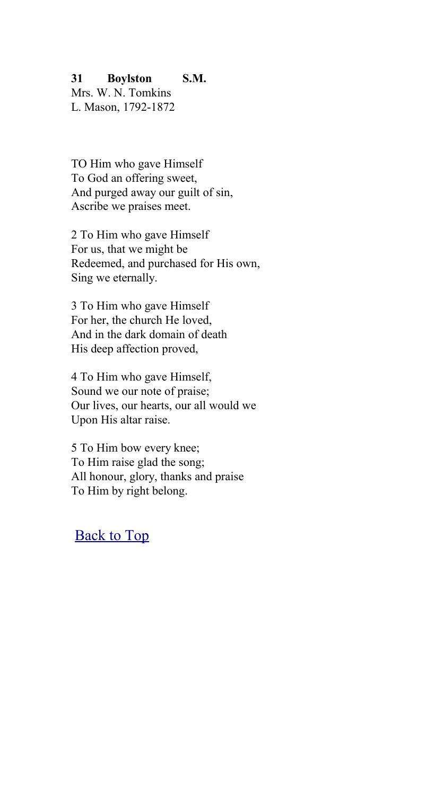## <span id="page-33-0"></span>**31 Boylston S.M.**

Mrs. W. N. Tomkins L. Mason, 1792-1872

TO Him who gave Himself To God an offering sweet, And purged away our guilt of sin, Ascribe we praises meet.

2 To Him who gave Himself For us, that we might be Redeemed, and purchased for His own, Sing we eternally.

3 To Him who gave Himself For her, the church He loved, And in the dark domain of death His deep affection proved,

4 To Him who gave Himself, Sound we our note of praise; Our lives, our hearts, our all would we Upon His altar raise.

5 To Him bow every knee; To Him raise glad the song; All honour, glory, thanks and praise To Him by right belong.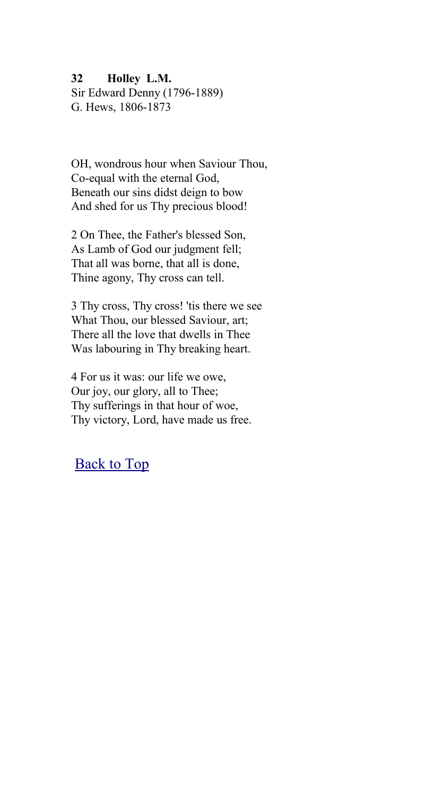<span id="page-34-0"></span>**32 Holley L.M.**

Sir Edward Denny (1796-1889) G. Hews, 1806-1873

OH, wondrous hour when Saviour Thou, Co-equal with the eternal God, Beneath our sins didst deign to bow And shed for us Thy precious blood!

2 On Thee, the Father's blessed Son, As Lamb of God our judgment fell; That all was borne, that all is done, Thine agony, Thy cross can tell.

3 Thy cross, Thy cross! 'tis there we see What Thou, our blessed Saviour, art; There all the love that dwells in Thee Was labouring in Thy breaking heart.

4 For us it was: our life we owe, Our joy, our glory, all to Thee; Thy sufferings in that hour of woe, Thy victory, Lord, have made us free.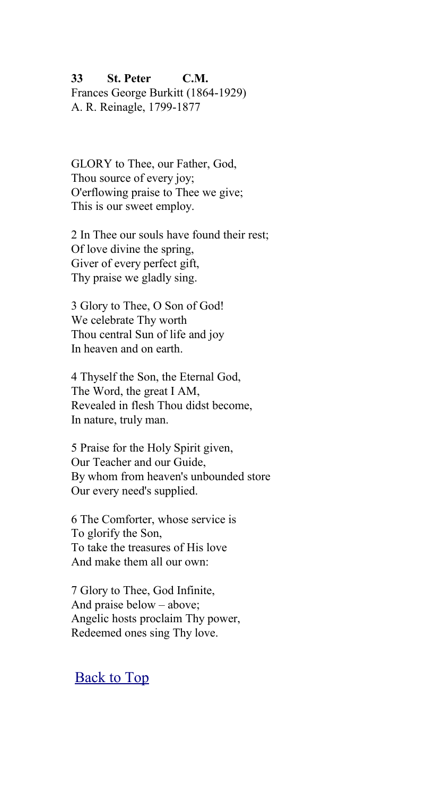## <span id="page-35-0"></span>**33 St. Peter C.M.** Frances George Burkitt (1864-1929) A. R. Reinagle, 1799-1877

GLORY to Thee, our Father, God, Thou source of every joy; O'erflowing praise to Thee we give; This is our sweet employ.

2 In Thee our souls have found their rest; Of love divine the spring, Giver of every perfect gift, Thy praise we gladly sing.

3 Glory to Thee, O Son of God! We celebrate Thy worth Thou central Sun of life and joy In heaven and on earth.

4 Thyself the Son, the Eternal God, The Word, the great I AM, Revealed in flesh Thou didst become, In nature, truly man.

5 Praise for the Holy Spirit given, Our Teacher and our Guide, By whom from heaven's unbounded store Our every need's supplied.

6 The Comforter, whose service is To glorify the Son, To take the treasures of His love And make them all our own:

7 Glory to Thee, God Infinite, And praise below – above; Angelic hosts proclaim Thy power, Redeemed ones sing Thy love.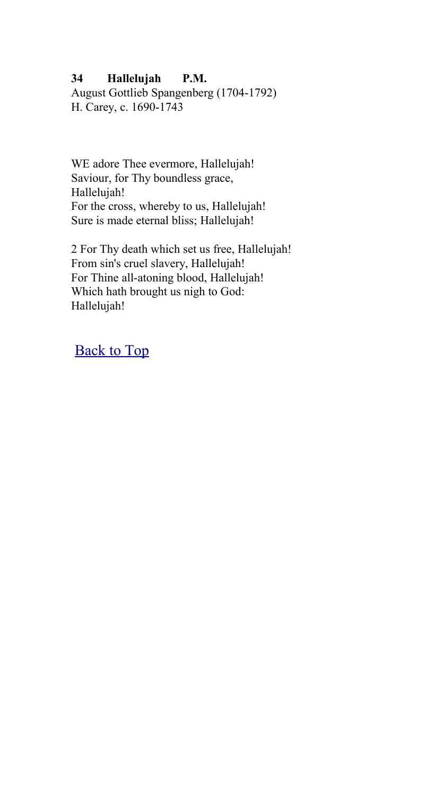### **34 Hallelujah P.M.**

August Gottlieb Spangenberg (1704-1792) H. Carey, c. 1690-1743

WE adore Thee evermore, Hallelujah! Saviour, for Thy boundless grace, Hallelujah! For the cross, whereby to us, Hallelujah! Sure is made eternal bliss; Hallelujah!

2 For Thy death which set us free, Hallelujah! From sin's cruel slavery, Hallelujah! For Thine all-atoning blood, Hallelujah! Which hath brought us nigh to God: Hallelujah!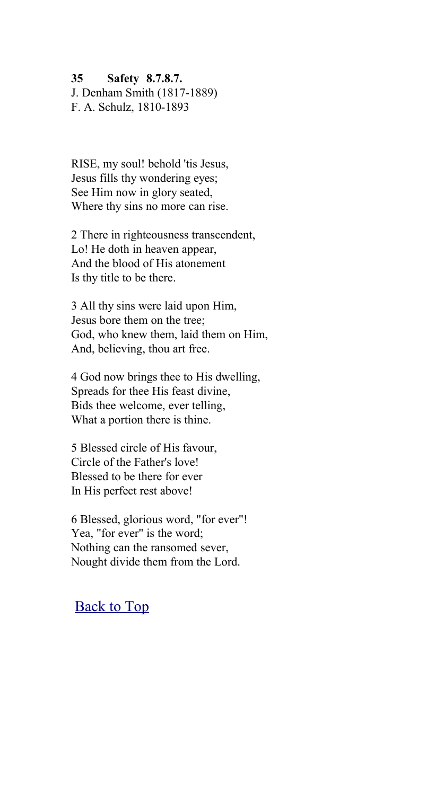#### **35 Safety 8.7.8.7.**

J. Denham Smith (1817-1889) F. A. Schulz, 1810-1893

RISE, my soul! behold 'tis Jesus, Jesus fills thy wondering eyes; See Him now in glory seated, Where thy sins no more can rise.

2 There in righteousness transcendent, Lo! He doth in heaven appear, And the blood of His atonement Is thy title to be there.

3 All thy sins were laid upon Him, Jesus bore them on the tree; God, who knew them, laid them on Him, And, believing, thou art free.

4 God now brings thee to His dwelling, Spreads for thee His feast divine, Bids thee welcome, ever telling, What a portion there is thine.

5 Blessed circle of His favour, Circle of the Father's love! Blessed to be there for ever In His perfect rest above!

6 Blessed, glorious word, "for ever"! Yea, "for ever" is the word; Nothing can the ransomed sever, Nought divide them from the Lord.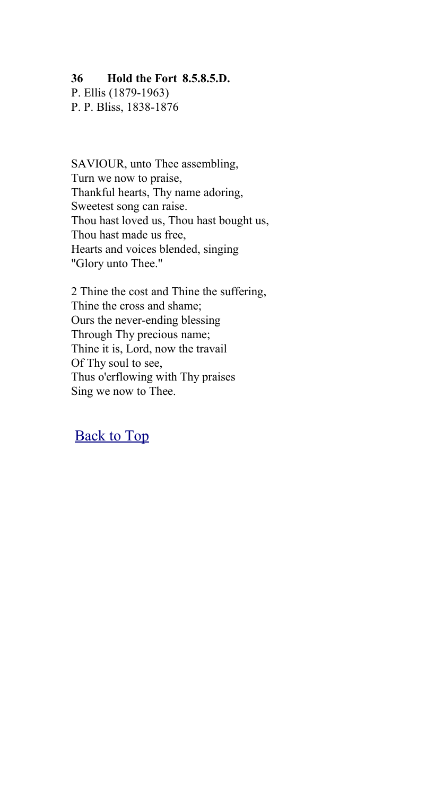#### **36 Hold the Fort 8.5.8.5.D.**

P. Ellis (1879-1963) P. P. Bliss, 1838-1876

SAVIOUR, unto Thee assembling, Turn we now to praise, Thankful hearts, Thy name adoring, Sweetest song can raise. Thou hast loved us, Thou hast bought us, Thou hast made us free, Hearts and voices blended, singing "Glory unto Thee."

2 Thine the cost and Thine the suffering, Thine the cross and shame; Ours the never-ending blessing Through Thy precious name; Thine it is, Lord, now the travail Of Thy soul to see, Thus o'erflowing with Thy praises Sing we now to Thee.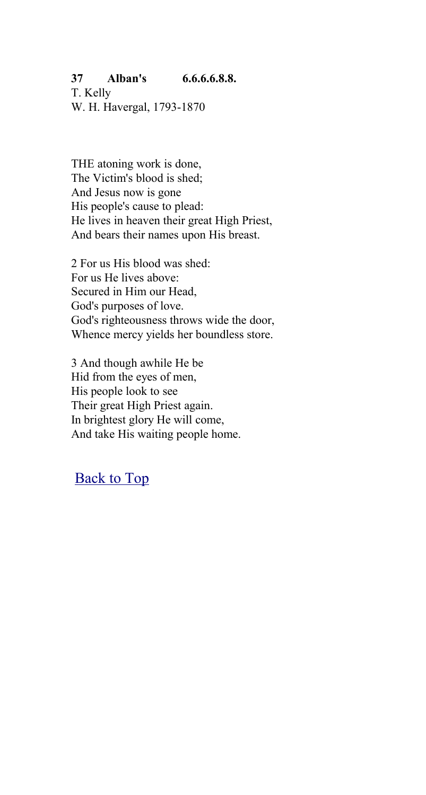## **37 Alban's 6.6.6.6.8.8.**

T. Kelly W. H. Havergal, 1793-1870

THE atoning work is done, The Victim's blood is shed; And Jesus now is gone His people's cause to plead: He lives in heaven their great High Priest, And bears their names upon His breast.

2 For us His blood was shed: For us He lives above: Secured in Him our Head, God's purposes of love. God's righteousness throws wide the door, Whence mercy yields her boundless store.

3 And though awhile He be Hid from the eyes of men, His people look to see Their great High Priest again. In brightest glory He will come, And take His waiting people home.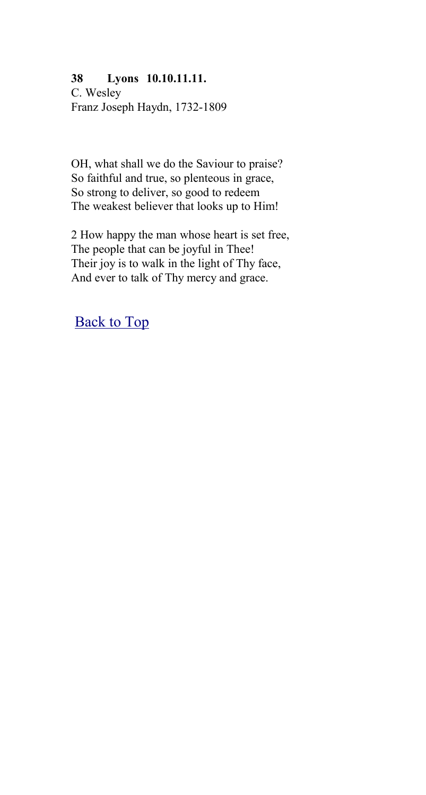#### **38 Lyons 10.10.11.11.**

C. Wesley Franz Joseph Haydn, 1732-1809

OH, what shall we do the Saviour to praise? So faithful and true, so plenteous in grace, So strong to deliver, so good to redeem The weakest believer that looks up to Him!

2 How happy the man whose heart is set free, The people that can be joyful in Thee! Their joy is to walk in the light of Thy face, And ever to talk of Thy mercy and grace.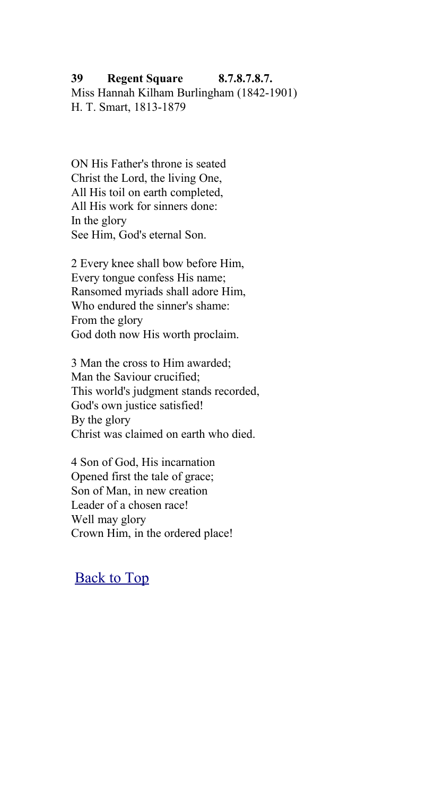#### **39 Regent Square 8.7.8.7.8.7.** Miss Hannah Kilham Burlingham (1842-1901) H. T. Smart, 1813-1879

ON His Father's throne is seated Christ the Lord, the living One, All His toil on earth completed, All His work for sinners done: In the glory See Him, God's eternal Son.

2 Every knee shall bow before Him, Every tongue confess His name; Ransomed myriads shall adore Him, Who endured the sinner's shame: From the glory God doth now His worth proclaim.

3 Man the cross to Him awarded; Man the Saviour crucified; This world's judgment stands recorded, God's own justice satisfied! By the glory Christ was claimed on earth who died.

4 Son of God, His incarnation Opened first the tale of grace; Son of Man, in new creation Leader of a chosen race! Well may glory Crown Him, in the ordered place!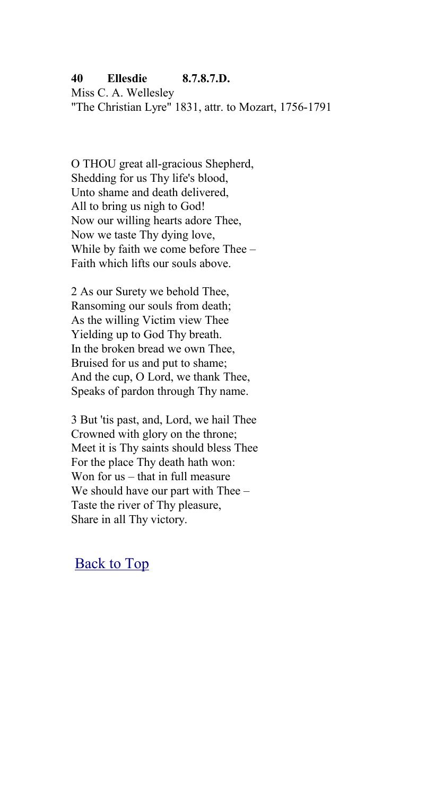### **40 Ellesdie 8.7.8.7.D.**

Miss C. A. Wellesley "The Christian Lyre" 1831, attr. to Mozart, 1756-1791

O THOU great all-gracious Shepherd, Shedding for us Thy life's blood, Unto shame and death delivered, All to bring us nigh to God! Now our willing hearts adore Thee, Now we taste Thy dying love, While by faith we come before Thee – Faith which lifts our souls above.

2 As our Surety we behold Thee, Ransoming our souls from death; As the willing Victim view Thee Yielding up to God Thy breath. In the broken bread we own Thee, Bruised for us and put to shame; And the cup, O Lord, we thank Thee, Speaks of pardon through Thy name.

3 But 'tis past, and, Lord, we hail Thee Crowned with glory on the throne; Meet it is Thy saints should bless Thee For the place Thy death hath won: Won for us – that in full measure We should have our part with Thee – Taste the river of Thy pleasure, Share in all Thy victory.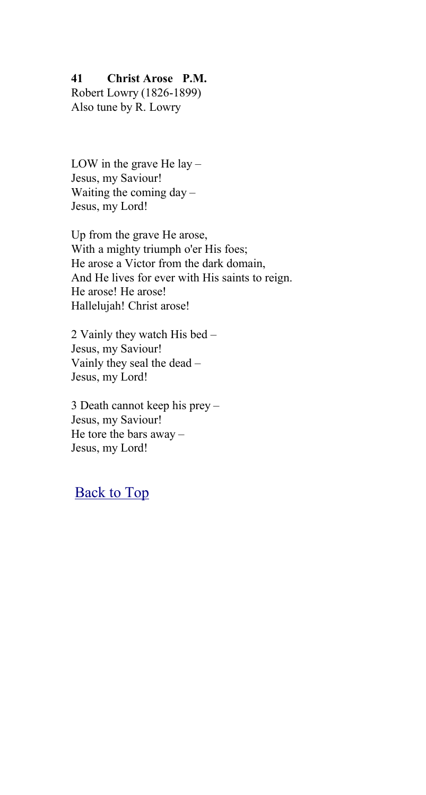#### **41 Christ Arose P.M.**

Robert Lowry (1826-1899) Also tune by R. Lowry

LOW in the grave He lay  $-$ Jesus, my Saviour! Waiting the coming  $day -$ Jesus, my Lord!

Up from the grave He arose, With a mighty triumph o'er His foes; He arose a Victor from the dark domain, And He lives for ever with His saints to reign. He arose! He arose! Hallelujah! Christ arose!

2 Vainly they watch His bed – Jesus, my Saviour! Vainly they seal the dead – Jesus, my Lord!

3 Death cannot keep his prey – Jesus, my Saviour! He tore the bars away – Jesus, my Lord!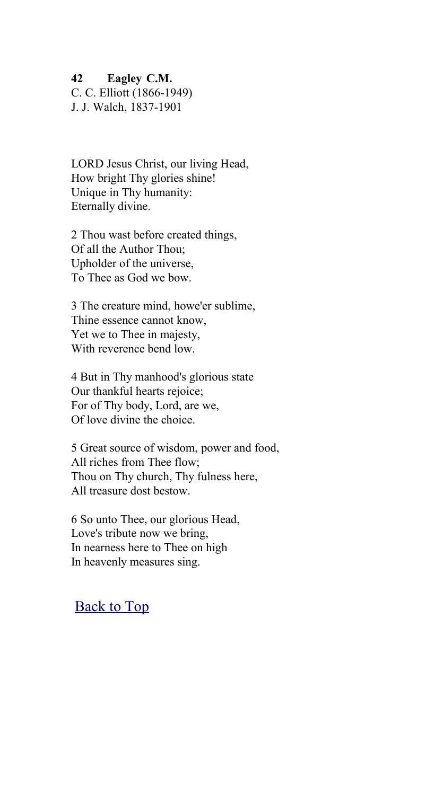**42 Eagley C.M.**

C. C. Elliott (1866-1949)

J. J. Walch, 1837-1901

LORD Jesus Christ, our living Head, How bright Thy glories shine! Unique in Thy humanity: Eternally divine.

2 Thou wast before created things, Of all the Author Thou; Upholder of the universe, To Thee as God we bow.

3 The creature mind, howe'er sublime, Thine essence cannot know, Yet we to Thee in majesty, With reverence bend low.

4 But in Thy manhood's glorious state Our thankful hearts rejoice; For of Thy body, Lord, are we, Of love divine the choice.

5 Great source of wisdom, power and food, All riches from Thee flow; Thou on Thy church, Thy fulness here, All treasure dost bestow.

6 So unto Thee, our glorious Head, Love's tribute now we bring, In nearness here to Thee on high In heavenly measures sing.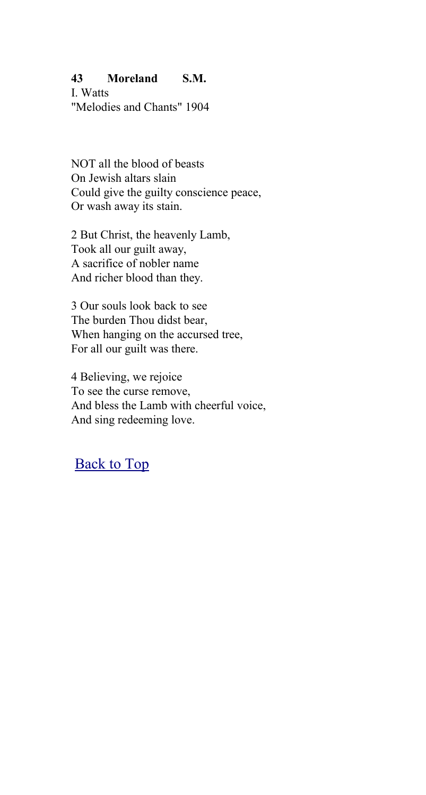### **43 Moreland S.M.**

I. Watts "Melodies and Chants" 1904

NOT all the blood of beasts On Jewish altars slain Could give the guilty conscience peace, Or wash away its stain.

2 But Christ, the heavenly Lamb, Took all our guilt away, A sacrifice of nobler name And richer blood than they.

3 Our souls look back to see The burden Thou didst bear, When hanging on the accursed tree, For all our guilt was there.

4 Believing, we rejoice To see the curse remove, And bless the Lamb with cheerful voice, And sing redeeming love.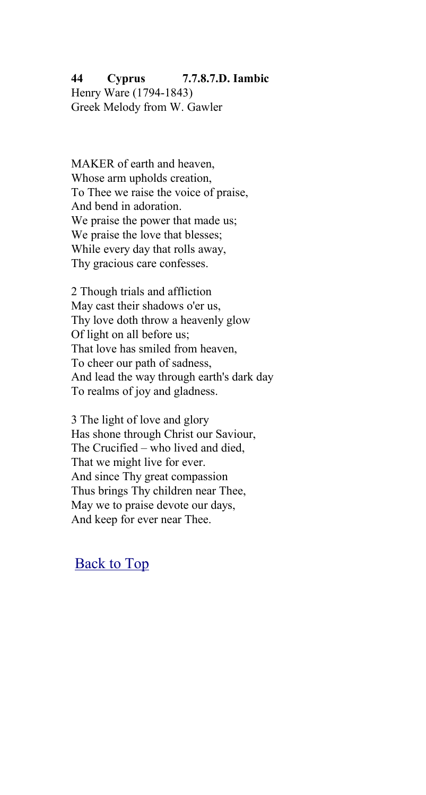#### **44 Cyprus 7.7.8.7.D. Iambic** Henry Ware (1794-1843) Greek Melody from W. Gawler

MAKER of earth and heaven, Whose arm upholds creation, To Thee we raise the voice of praise, And bend in adoration. We praise the power that made us; We praise the love that blesses; While every day that rolls away, Thy gracious care confesses.

2 Though trials and affliction May cast their shadows o'er us, Thy love doth throw a heavenly glow Of light on all before us; That love has smiled from heaven, To cheer our path of sadness, And lead the way through earth's dark day To realms of joy and gladness.

3 The light of love and glory Has shone through Christ our Saviour, The Crucified – who lived and died, That we might live for ever. And since Thy great compassion Thus brings Thy children near Thee, May we to praise devote our days, And keep for ever near Thee.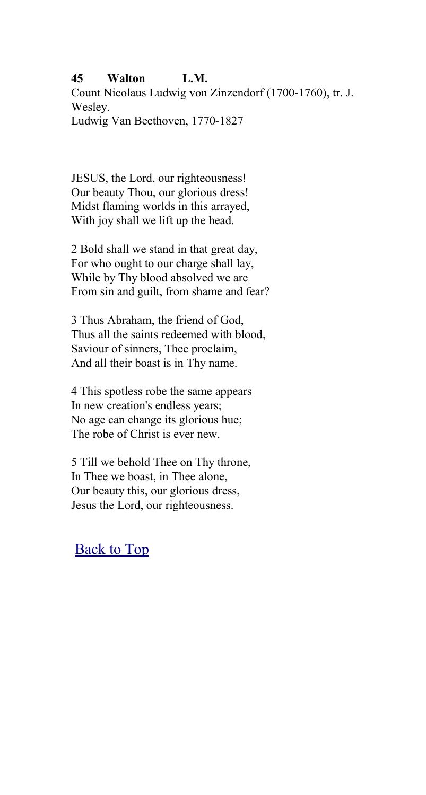#### **45 Walton L.M.**

Count Nicolaus Ludwig von Zinzendorf (1700-1760), tr. J. Wesley.

Ludwig Van Beethoven, 1770-1827

JESUS, the Lord, our righteousness! Our beauty Thou, our glorious dress! Midst flaming worlds in this arrayed, With joy shall we lift up the head.

2 Bold shall we stand in that great day, For who ought to our charge shall lay, While by Thy blood absolved we are From sin and guilt, from shame and fear?

3 Thus Abraham, the friend of God, Thus all the saints redeemed with blood, Saviour of sinners, Thee proclaim, And all their boast is in Thy name.

4 This spotless robe the same appears In new creation's endless years; No age can change its glorious hue; The robe of Christ is ever new.

5 Till we behold Thee on Thy throne, In Thee we boast, in Thee alone, Our beauty this, our glorious dress, Jesus the Lord, our righteousness.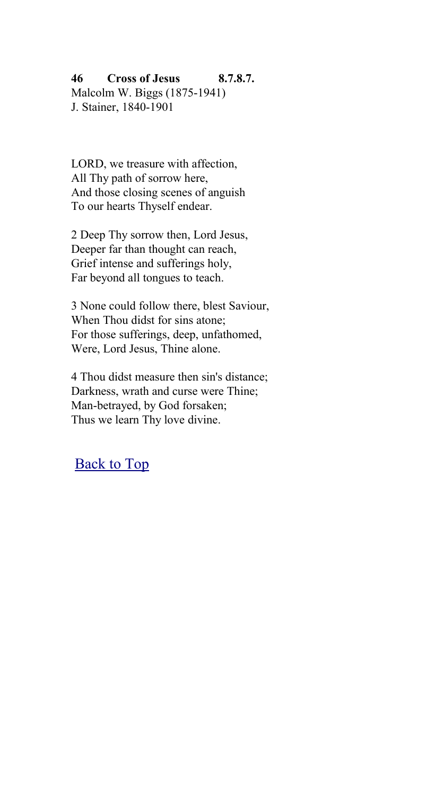**46 Cross of Jesus 8.7.8.7.** Malcolm W. Biggs (1875-1941) J. Stainer, 1840-1901

LORD, we treasure with affection, All Thy path of sorrow here, And those closing scenes of anguish To our hearts Thyself endear.

2 Deep Thy sorrow then, Lord Jesus, Deeper far than thought can reach, Grief intense and sufferings holy, Far beyond all tongues to teach.

3 None could follow there, blest Saviour, When Thou didst for sins atone; For those sufferings, deep, unfathomed, Were, Lord Jesus, Thine alone.

4 Thou didst measure then sin's distance; Darkness, wrath and curse were Thine; Man-betrayed, by God forsaken; Thus we learn Thy love divine.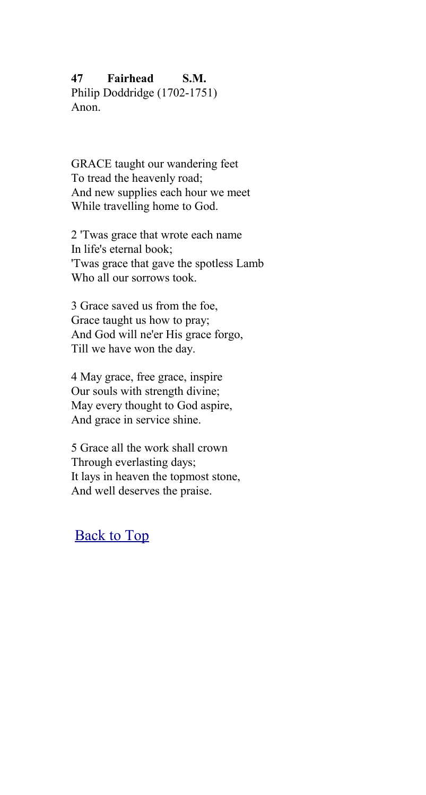### **47 Fairhead S.M.**

Philip Doddridge (1702-1751) Anon.

GRACE taught our wandering feet To tread the heavenly road; And new supplies each hour we meet While travelling home to God.

2 'Twas grace that wrote each name In life's eternal book; 'Twas grace that gave the spotless Lamb Who all our sorrows took.

3 Grace saved us from the foe, Grace taught us how to pray; And God will ne'er His grace forgo, Till we have won the day.

4 May grace, free grace, inspire Our souls with strength divine; May every thought to God aspire, And grace in service shine.

5 Grace all the work shall crown Through everlasting days; It lays in heaven the topmost stone, And well deserves the praise.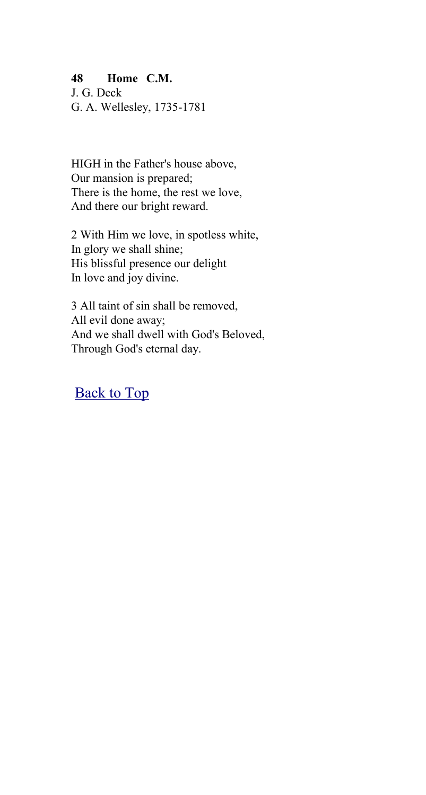### **48 Home C.M.**

J. G. Deck G. A. Wellesley, 1735-1781

HIGH in the Father's house above, Our mansion is prepared; There is the home, the rest we love, And there our bright reward.

2 With Him we love, in spotless white, In glory we shall shine; His blissful presence our delight In love and joy divine.

3 All taint of sin shall be removed, All evil done away; And we shall dwell with God's Beloved, Through God's eternal day.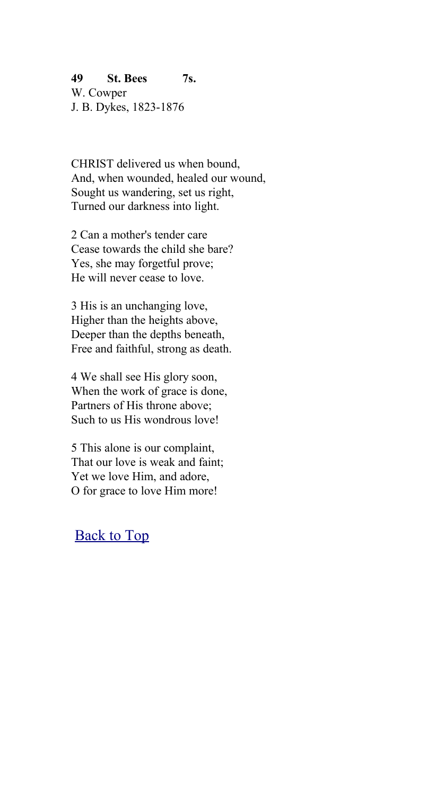**49 St. Bees 7s.** W. Cowper J. B. Dykes, 1823-1876

CHRIST delivered us when bound, And, when wounded, healed our wound, Sought us wandering, set us right, Turned our darkness into light.

2 Can a mother's tender care Cease towards the child she bare? Yes, she may forgetful prove; He will never cease to love.

3 His is an unchanging love, Higher than the heights above, Deeper than the depths beneath, Free and faithful, strong as death.

4 We shall see His glory soon, When the work of grace is done, Partners of His throne above; Such to us His wondrous love!

5 This alone is our complaint, That our love is weak and faint; Yet we love Him, and adore, O for grace to love Him more!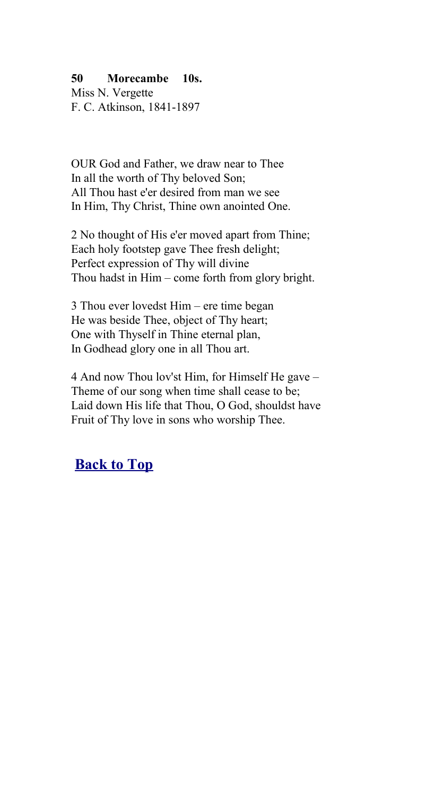### **50 Morecambe 10s.**

Miss N. Vergette F. C. Atkinson, 1841-1897

OUR God and Father, we draw near to Thee In all the worth of Thy beloved Son; All Thou hast e'er desired from man we see In Him, Thy Christ, Thine own anointed One.

2 No thought of His e'er moved apart from Thine; Each holy footstep gave Thee fresh delight; Perfect expression of Thy will divine Thou hadst in Him – come forth from glory bright.

3 Thou ever lovedst Him – ere time began He was beside Thee, object of Thy heart; One with Thyself in Thine eternal plan, In Godhead glory one in all Thou art.

4 And now Thou lov'st Him, for Himself He gave – Theme of our song when time shall cease to be; Laid down His life that Thou, O God, shouldst have Fruit of Thy love in sons who worship Thee.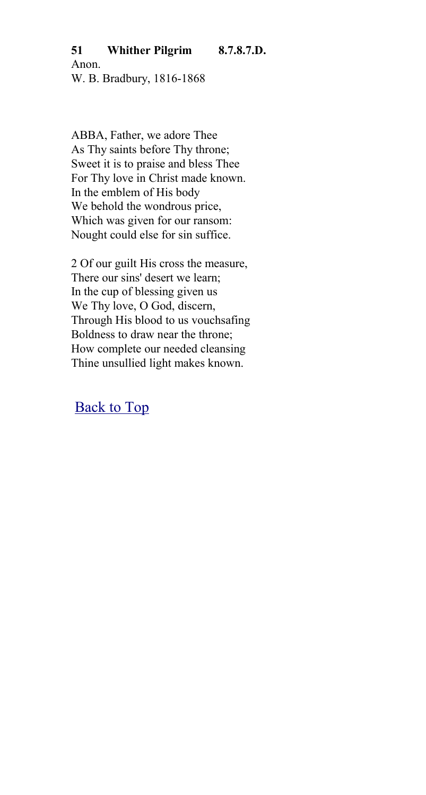### **51 Whither Pilgrim 8.7.8.7.D.**

Anon. W. B. Bradbury, 1816-1868

ABBA, Father, we adore Thee As Thy saints before Thy throne; Sweet it is to praise and bless Thee For Thy love in Christ made known. In the emblem of His body We behold the wondrous price, Which was given for our ransom: Nought could else for sin suffice.

2 Of our guilt His cross the measure, There our sins' desert we learn; In the cup of blessing given us We Thy love, O God, discern, Through His blood to us vouchsafing Boldness to draw near the throne; How complete our needed cleansing Thine unsullied light makes known.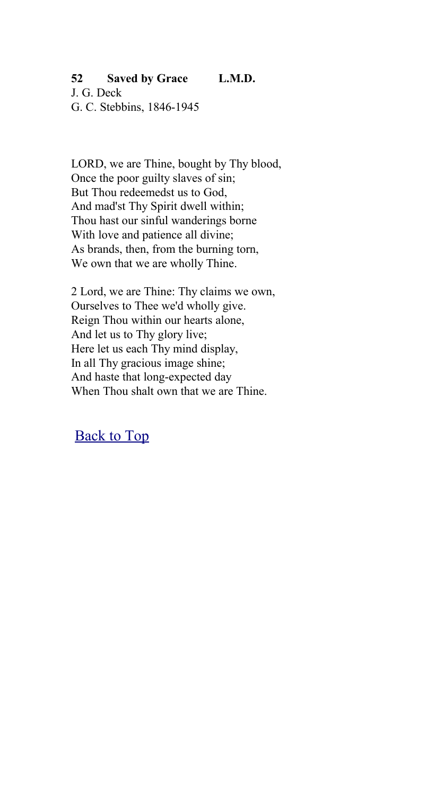### **52 Saved by Grace L.M.D.**

J. G. Deck G. C. Stebbins, 1846-1945

LORD, we are Thine, bought by Thy blood, Once the poor guilty slaves of sin; But Thou redeemedst us to God, And mad'st Thy Spirit dwell within; Thou hast our sinful wanderings borne With love and patience all divine; As brands, then, from the burning torn, We own that we are wholly Thine.

2 Lord, we are Thine: Thy claims we own, Ourselves to Thee we'd wholly give. Reign Thou within our hearts alone, And let us to Thy glory live; Here let us each Thy mind display, In all Thy gracious image shine; And haste that long-expected day When Thou shalt own that we are Thine.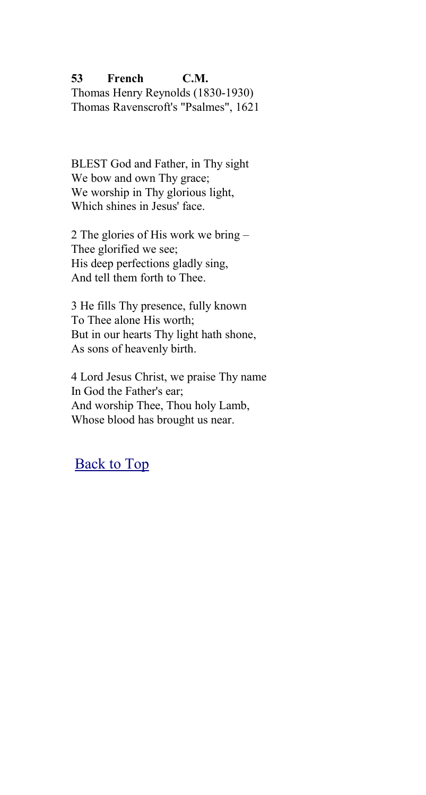**53 French C.M.** Thomas Henry Reynolds (1830-1930) Thomas Ravenscroft's "Psalmes", 1621

BLEST God and Father, in Thy sight We bow and own Thy grace; We worship in Thy glorious light, Which shines in Jesus' face.

2 The glories of His work we bring – Thee glorified we see; His deep perfections gladly sing, And tell them forth to Thee.

3 He fills Thy presence, fully known To Thee alone His worth; But in our hearts Thy light hath shone, As sons of heavenly birth.

4 Lord Jesus Christ, we praise Thy name In God the Father's ear; And worship Thee, Thou holy Lamb, Whose blood has brought us near.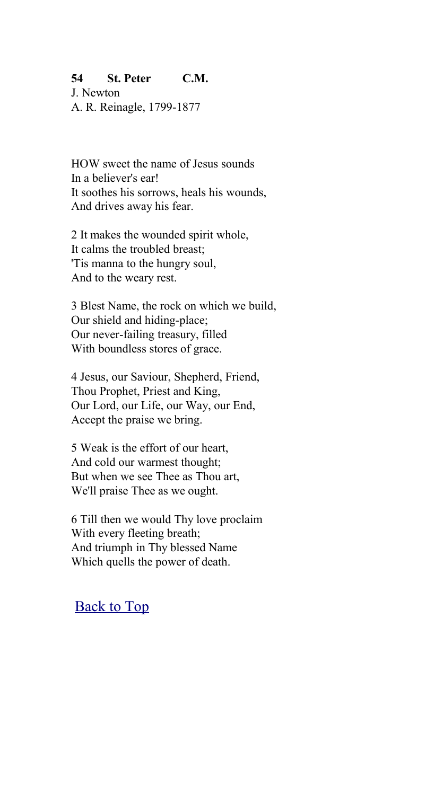### **54 St. Peter C.M.**

J. Newton A. R. Reinagle, 1799-1877

HOW sweet the name of Jesus sounds In a believer's ear! It soothes his sorrows, heals his wounds, And drives away his fear.

2 It makes the wounded spirit whole, It calms the troubled breast; 'Tis manna to the hungry soul, And to the weary rest.

3 Blest Name, the rock on which we build, Our shield and hiding-place; Our never-failing treasury, filled With boundless stores of grace.

4 Jesus, our Saviour, Shepherd, Friend, Thou Prophet, Priest and King, Our Lord, our Life, our Way, our End, Accept the praise we bring.

5 Weak is the effort of our heart, And cold our warmest thought; But when we see Thee as Thou art, We'll praise Thee as we ought.

6 Till then we would Thy love proclaim With every fleeting breath; And triumph in Thy blessed Name Which quells the power of death.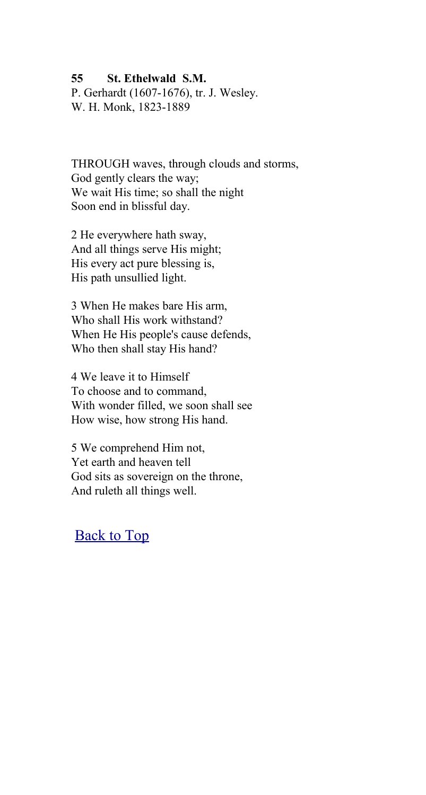#### **55 St. Ethelwald S.M.**

P. Gerhardt (1607-1676), tr. J. Wesley. W. H. Monk, 1823-1889

THROUGH waves, through clouds and storms, God gently clears the way; We wait His time; so shall the night Soon end in blissful day.

2 He everywhere hath sway, And all things serve His might; His every act pure blessing is, His path unsullied light.

3 When He makes bare His arm, Who shall His work withstand? When He His people's cause defends, Who then shall stay His hand?

4 We leave it to Himself To choose and to command, With wonder filled, we soon shall see How wise, how strong His hand.

5 We comprehend Him not, Yet earth and heaven tell God sits as sovereign on the throne, And ruleth all things well.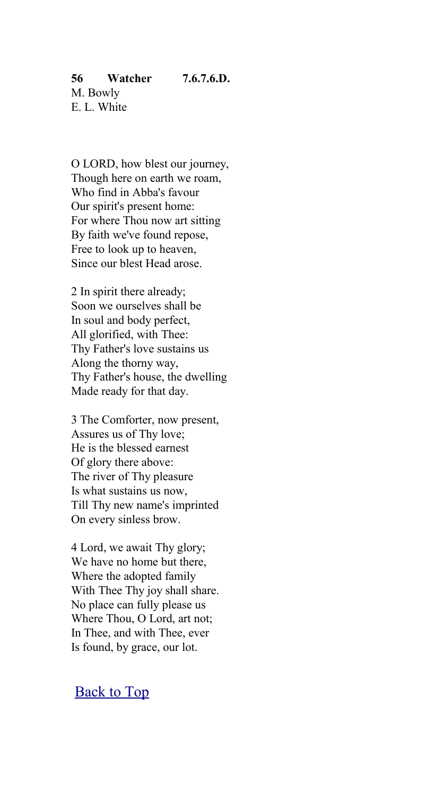O LORD, how blest our journey, Though here on earth we roam, Who find in Abba's favour Our spirit's present home: For where Thou now art sitting By faith we've found repose, Free to look up to heaven, Since our blest Head arose.

2 In spirit there already; Soon we ourselves shall be In soul and body perfect, All glorified, with Thee: Thy Father's love sustains us Along the thorny way, Thy Father's house, the dwelling Made ready for that day.

3 The Comforter, now present, Assures us of Thy love; He is the blessed earnest Of glory there above: The river of Thy pleasure Is what sustains us now, Till Thy new name's imprinted On every sinless brow.

4 Lord, we await Thy glory; We have no home but there, Where the adopted family With Thee Thy joy shall share. No place can fully please us Where Thou, O Lord, art not; In Thee, and with Thee, ever Is found, by grace, our lot.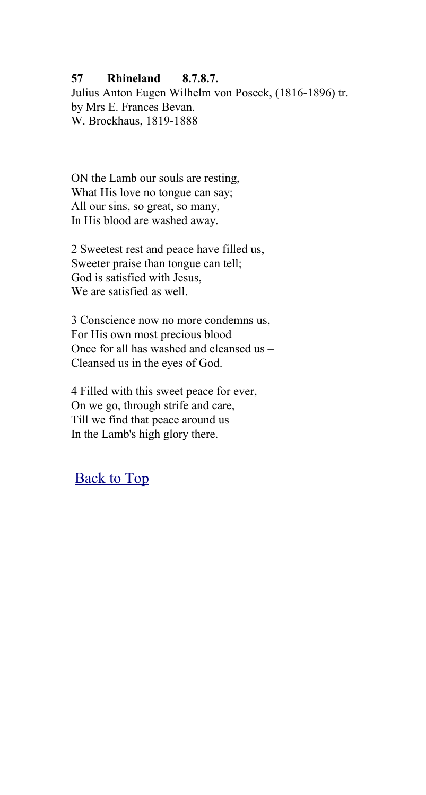### **57 Rhineland 8.7.8.7.**

Julius Anton Eugen Wilhelm von Poseck, (1816-1896) tr. by Mrs E. Frances Bevan. W. Brockhaus, 1819-1888

ON the Lamb our souls are resting, What His love no tongue can say; All our sins, so great, so many, In His blood are washed away.

2 Sweetest rest and peace have filled us, Sweeter praise than tongue can tell; God is satisfied with Jesus, We are satisfied as well.

3 Conscience now no more condemns us, For His own most precious blood Once for all has washed and cleansed us – Cleansed us in the eyes of God.

4 Filled with this sweet peace for ever, On we go, through strife and care, Till we find that peace around us In the Lamb's high glory there.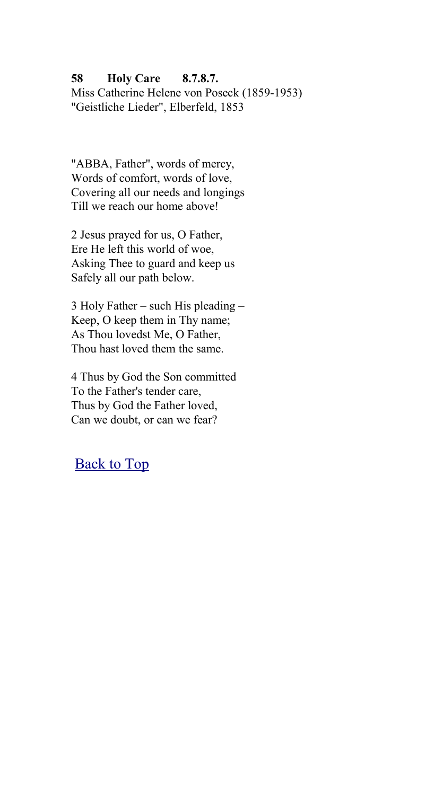### **58 Holy Care 8.7.8.7.**

Miss Catherine Helene von Poseck (1859-1953) "Geistliche Lieder", Elberfeld, 1853

"ABBA, Father", words of mercy, Words of comfort, words of love, Covering all our needs and longings Till we reach our home above!

2 Jesus prayed for us, O Father, Ere He left this world of woe, Asking Thee to guard and keep us Safely all our path below.

3 Holy Father – such His pleading – Keep, O keep them in Thy name; As Thou lovedst Me, O Father, Thou hast loved them the same.

4 Thus by God the Son committed To the Father's tender care, Thus by God the Father loved, Can we doubt, or can we fear?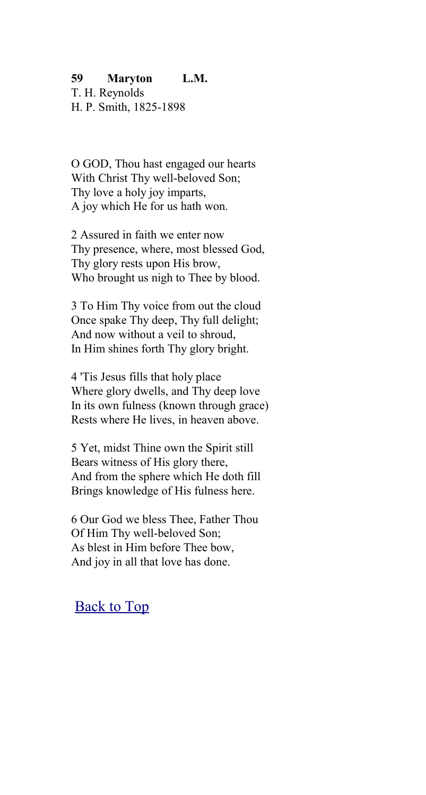#### **59 Maryton L.M.**

T. H. Reynolds H. P. Smith, 1825-1898

O GOD, Thou hast engaged our hearts With Christ Thy well-beloved Son; Thy love a holy joy imparts. A joy which He for us hath won.

2 Assured in faith we enter now Thy presence, where, most blessed God, Thy glory rests upon His brow, Who brought us nigh to Thee by blood.

3 To Him Thy voice from out the cloud Once spake Thy deep, Thy full delight; And now without a veil to shroud, In Him shines forth Thy glory bright.

4 'Tis Jesus fills that holy place Where glory dwells, and Thy deep love In its own fulness (known through grace) Rests where He lives, in heaven above.

5 Yet, midst Thine own the Spirit still Bears witness of His glory there, And from the sphere which He doth fill Brings knowledge of His fulness here.

6 Our God we bless Thee, Father Thou Of Him Thy well-beloved Son; As blest in Him before Thee bow, And joy in all that love has done.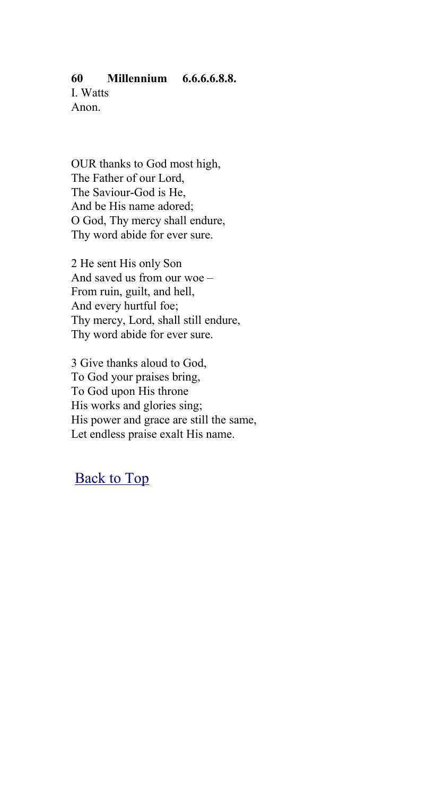### **60 Millennium 6.6.6.6.8.8.**

I. Watts Anon.

OUR thanks to God most high, The Father of our Lord, The Saviour-God is He, And be His name adored; O God, Thy mercy shall endure, Thy word abide for ever sure.

2 He sent His only Son And saved us from our woe – From ruin, guilt, and hell, And every hurtful foe; Thy mercy, Lord, shall still endure, Thy word abide for ever sure.

3 Give thanks aloud to God, To God your praises bring, To God upon His throne His works and glories sing; His power and grace are still the same, Let endless praise exalt His name.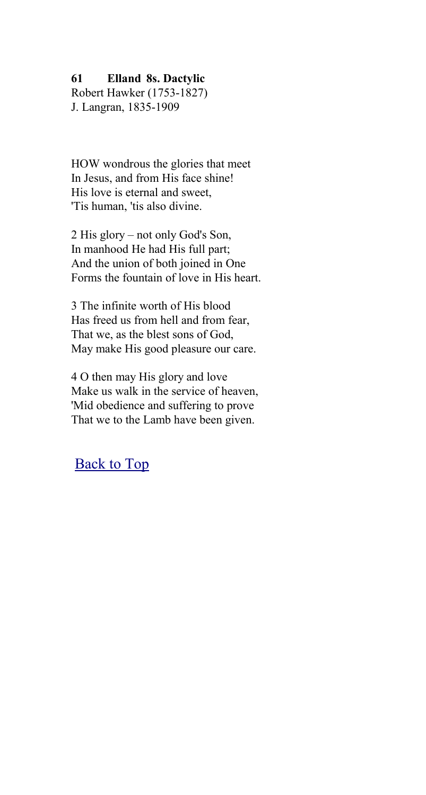#### **61 Elland 8s. Dactylic**

Robert Hawker (1753-1827) J. Langran, 1835-1909

HOW wondrous the glories that meet In Jesus, and from His face shine! His love is eternal and sweet, 'Tis human, 'tis also divine.

2 His glory – not only God's Son, In manhood He had His full part; And the union of both joined in One Forms the fountain of love in His heart.

3 The infinite worth of His blood Has freed us from hell and from fear, That we, as the blest sons of God, May make His good pleasure our care.

4 O then may His glory and love Make us walk in the service of heaven, 'Mid obedience and suffering to prove That we to the Lamb have been given.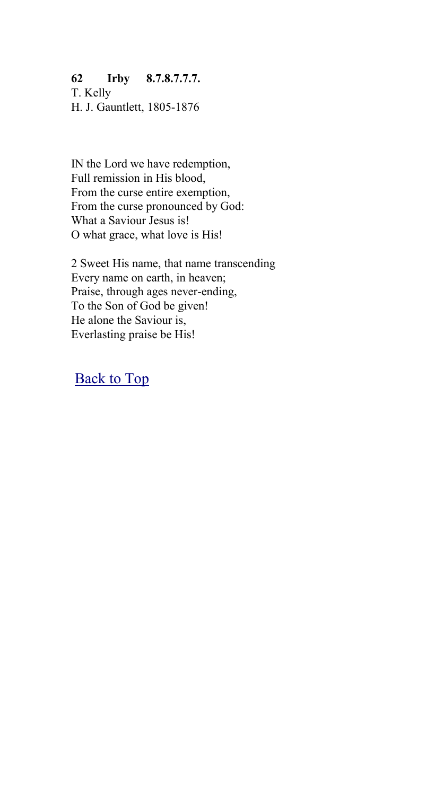#### **62 Irby 8.7.8.7.7.7.**

T. Kelly H. J. Gauntlett, 1805-1876

IN the Lord we have redemption, Full remission in His blood, From the curse entire exemption, From the curse pronounced by God: What a Saviour Jesus is! O what grace, what love is His!

2 Sweet His name, that name transcending Every name on earth, in heaven; Praise, through ages never-ending, To the Son of God be given! He alone the Saviour is, Everlasting praise be His!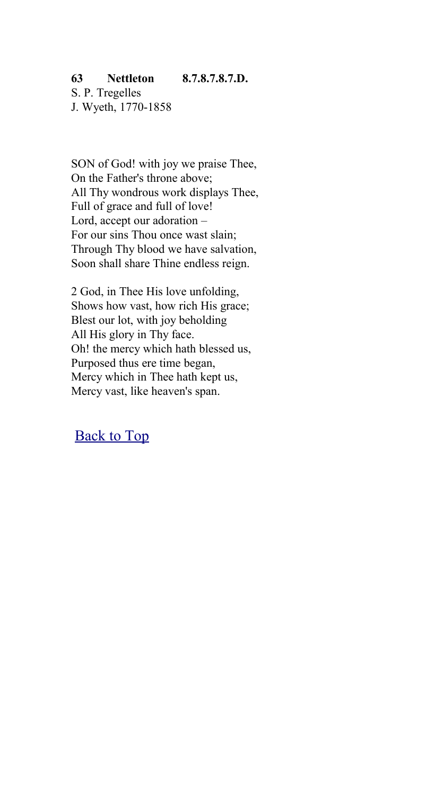# **63 Nettleton 8.7.8.7.8.7.D.**

S. P. Tregelles J. Wyeth, 1770-1858

SON of God! with joy we praise Thee, On the Father's throne above; All Thy wondrous work displays Thee, Full of grace and full of love! Lord, accept our adoration – For our sins Thou once wast slain; Through Thy blood we have salvation, Soon shall share Thine endless reign.

2 God, in Thee His love unfolding, Shows how vast, how rich His grace; Blest our lot, with joy beholding All His glory in Thy face. Oh! the mercy which hath blessed us, Purposed thus ere time began, Mercy which in Thee hath kept us, Mercy vast, like heaven's span.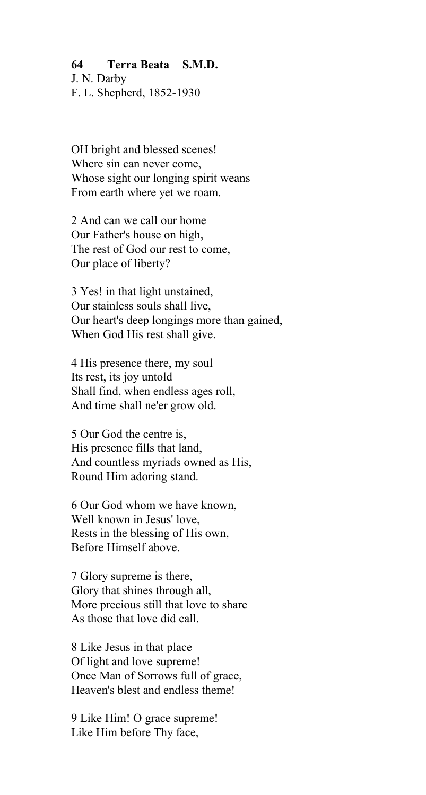#### **64 Terra Beata S.M.D.**

J. N. Darby

F. L. Shepherd, 1852-1930

OH bright and blessed scenes! Where sin can never come, Whose sight our longing spirit weans From earth where yet we roam.

2 And can we call our home Our Father's house on high, The rest of God our rest to come, Our place of liberty?

3 Yes! in that light unstained, Our stainless souls shall live, Our heart's deep longings more than gained, When God His rest shall give.

4 His presence there, my soul Its rest, its joy untold Shall find, when endless ages roll, And time shall ne'er grow old.

5 Our God the centre is, His presence fills that land, And countless myriads owned as His, Round Him adoring stand.

6 Our God whom we have known, Well known in Jesus' love, Rests in the blessing of His own, Before Himself above.

7 Glory supreme is there, Glory that shines through all, More precious still that love to share As those that love did call.

8 Like Jesus in that place Of light and love supreme! Once Man of Sorrows full of grace, Heaven's blest and endless theme!

9 Like Him! O grace supreme! Like Him before Thy face,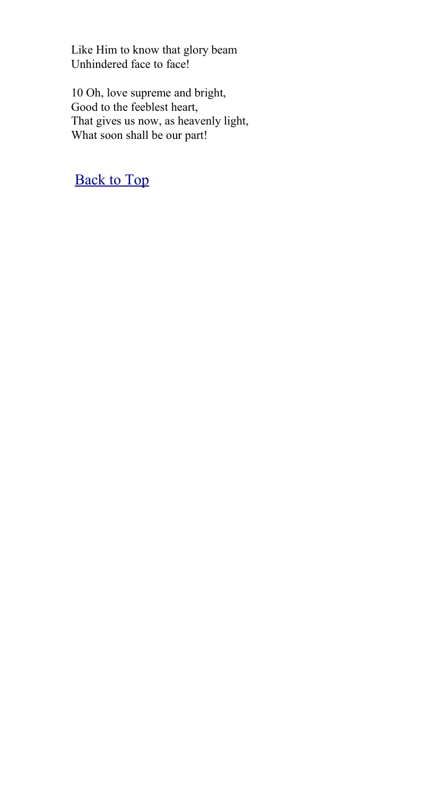Like Him to know that glory beam Unhindered face to face!

10 Oh, love supreme and bright, Good to the feeblest heart, That gives us now, as heavenly light, What soon shall be our part!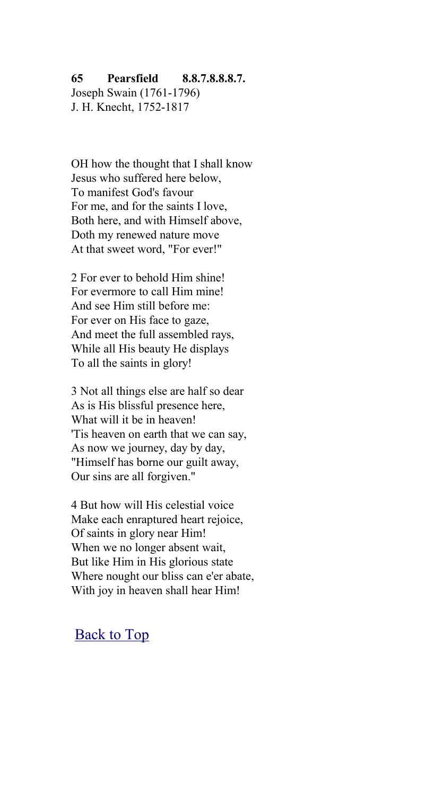#### **65 Pearsfield 8.8.7.8.8.8.7.**

Joseph Swain (1761-1796) J. H. Knecht, 1752-1817

OH how the thought that I shall know Jesus who suffered here below, To manifest God's favour For me, and for the saints I love, Both here, and with Himself above, Doth my renewed nature move At that sweet word, "For ever!"

2 For ever to behold Him shine! For evermore to call Him mine! And see Him still before me: For ever on His face to gaze, And meet the full assembled rays, While all His beauty He displays To all the saints in glory!

3 Not all things else are half so dear As is His blissful presence here, What will it be in heaven! 'Tis heaven on earth that we can say, As now we journey, day by day, "Himself has borne our guilt away, Our sins are all forgiven."

4 But how will His celestial voice Make each enraptured heart rejoice, Of saints in glory near Him! When we no longer absent wait, But like Him in His glorious state Where nought our bliss can e'er abate, With joy in heaven shall hear Him!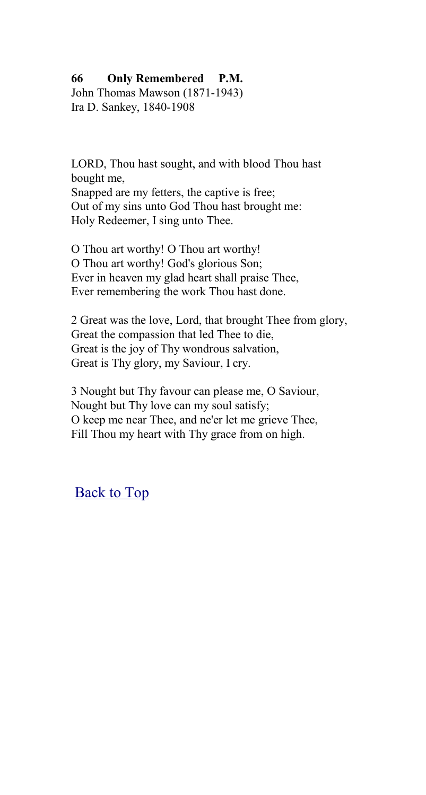### **66 Only Remembered P.M.**

John Thomas Mawson (1871-1943) Ira D. Sankey, 1840-1908

LORD, Thou hast sought, and with blood Thou hast bought me, Snapped are my fetters, the captive is free; Out of my sins unto God Thou hast brought me: Holy Redeemer, I sing unto Thee.

O Thou art worthy! O Thou art worthy! O Thou art worthy! God's glorious Son; Ever in heaven my glad heart shall praise Thee, Ever remembering the work Thou hast done.

2 Great was the love, Lord, that brought Thee from glory, Great the compassion that led Thee to die, Great is the joy of Thy wondrous salvation, Great is Thy glory, my Saviour, I cry.

3 Nought but Thy favour can please me, O Saviour, Nought but Thy love can my soul satisfy; O keep me near Thee, and ne'er let me grieve Thee, Fill Thou my heart with Thy grace from on high.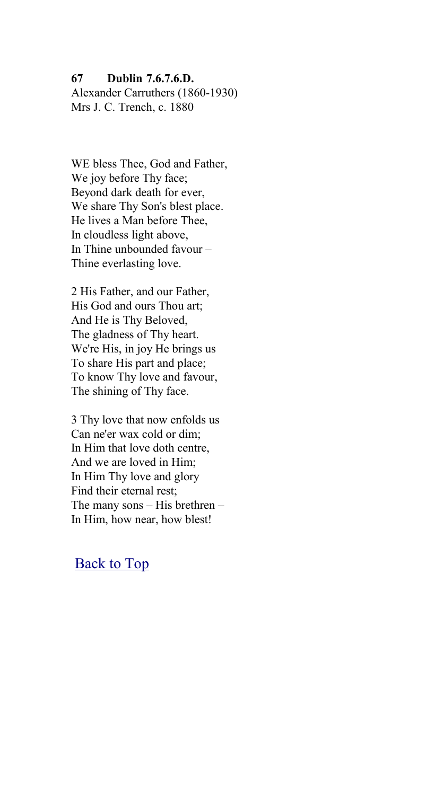#### **67 Dublin 7.6.7.6.D.**

Alexander Carruthers (1860-1930) Mrs J. C. Trench, c. 1880

WE bless Thee, God and Father, We joy before Thy face; Beyond dark death for ever, We share Thy Son's blest place. He lives a Man before Thee, In cloudless light above, In Thine unbounded favour – Thine everlasting love.

2 His Father, and our Father, His God and ours Thou art; And He is Thy Beloved, The gladness of Thy heart. We're His, in joy He brings us To share His part and place; To know Thy love and favour, The shining of Thy face.

3 Thy love that now enfolds us Can ne'er wax cold or dim; In Him that love doth centre, And we are loved in Him; In Him Thy love and glory Find their eternal rest; The many sons – His brethren – In Him, how near, how blest!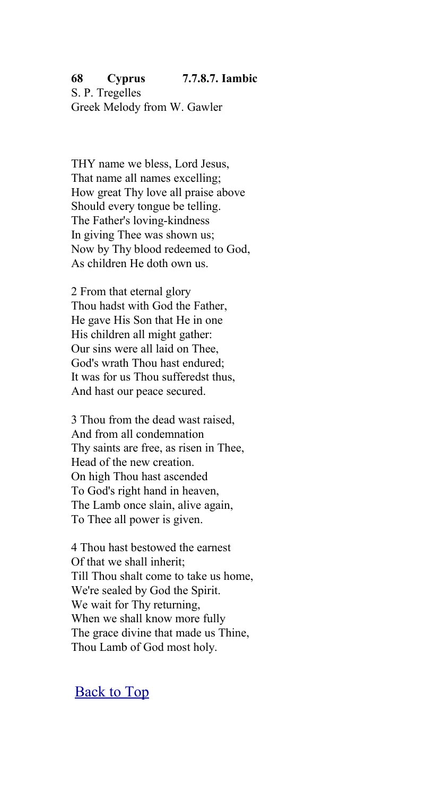#### **68 Cyprus 7.7.8.7. Iambic** S. P. Tregelles

Greek Melody from W. Gawler

THY name we bless, Lord Jesus, That name all names excelling; How great Thy love all praise above Should every tongue be telling. The Father's loving-kindness In giving Thee was shown us; Now by Thy blood redeemed to God, As children He doth own us.

2 From that eternal glory Thou hadst with God the Father, He gave His Son that He in one His children all might gather: Our sins were all laid on Thee, God's wrath Thou hast endured; It was for us Thou sufferedst thus, And hast our peace secured.

3 Thou from the dead wast raised, And from all condemnation Thy saints are free, as risen in Thee, Head of the new creation. On high Thou hast ascended To God's right hand in heaven, The Lamb once slain, alive again, To Thee all power is given.

4 Thou hast bestowed the earnest Of that we shall inherit; Till Thou shalt come to take us home, We're sealed by God the Spirit. We wait for Thy returning, When we shall know more fully The grace divine that made us Thine, Thou Lamb of God most holy.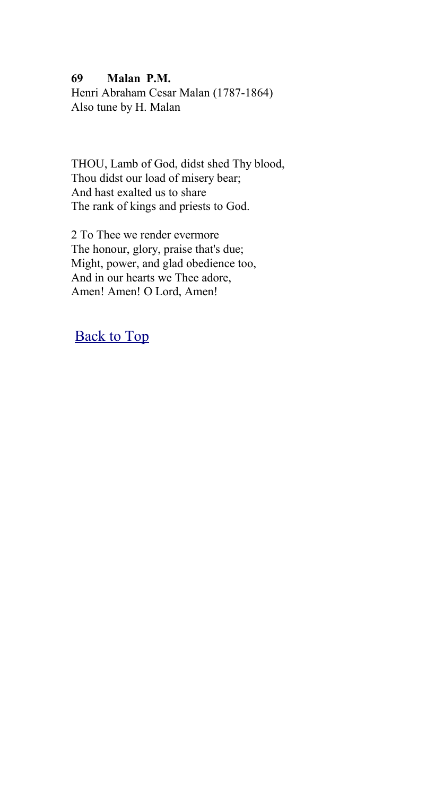#### **69 Malan P.M.**

Henri Abraham Cesar Malan (1787-1864) Also tune by H. Malan

THOU, Lamb of God, didst shed Thy blood, Thou didst our load of misery bear; And hast exalted us to share The rank of kings and priests to God.

2 To Thee we render evermore The honour, glory, praise that's due; Might, power, and glad obedience too, And in our hearts we Thee adore, Amen! Amen! O Lord, Amen!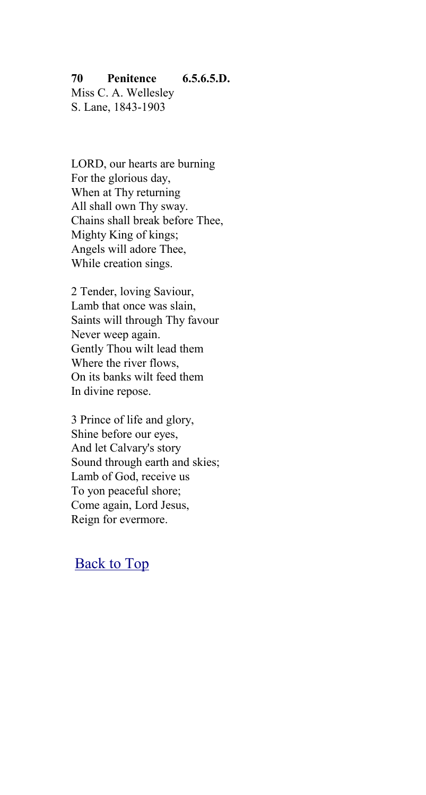#### **70 Penitence 6.5.6.5.D.**

Miss C. A. Wellesley S. Lane, 1843-1903

LORD, our hearts are burning For the glorious day, When at Thy returning All shall own Thy sway. Chains shall break before Thee, Mighty King of kings; Angels will adore Thee, While creation sings.

2 Tender, loving Saviour, Lamb that once was slain, Saints will through Thy favour Never weep again. Gently Thou wilt lead them Where the river flows, On its banks wilt feed them In divine repose.

3 Prince of life and glory, Shine before our eyes, And let Calvary's story Sound through earth and skies; Lamb of God, receive us To yon peaceful shore; Come again, Lord Jesus, Reign for evermore.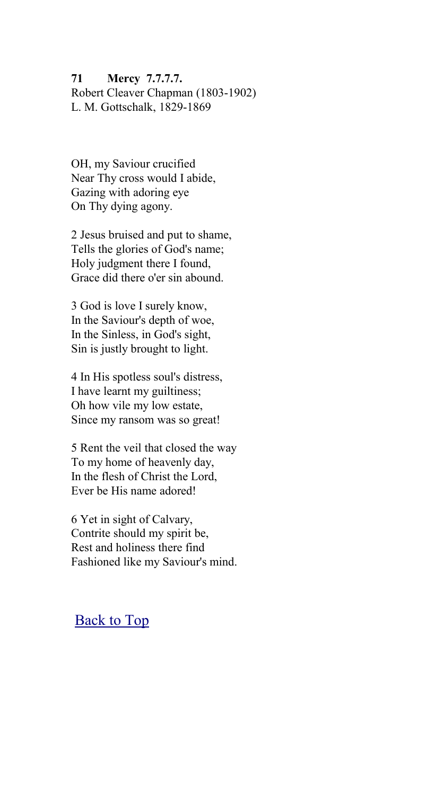**71 Mercy 7.7.7.7.** Robert Cleaver Chapman (1803-1902) L. M. Gottschalk, 1829-1869

OH, my Saviour crucified Near Thy cross would I abide, Gazing with adoring eye On Thy dying agony.

2 Jesus bruised and put to shame, Tells the glories of God's name; Holy judgment there I found, Grace did there o'er sin abound.

3 God is love I surely know, In the Saviour's depth of woe, In the Sinless, in God's sight, Sin is justly brought to light.

4 In His spotless soul's distress, I have learnt my guiltiness; Oh how vile my low estate, Since my ransom was so great!

5 Rent the veil that closed the way To my home of heavenly day, In the flesh of Christ the Lord, Ever be His name adored!

6 Yet in sight of Calvary, Contrite should my spirit be, Rest and holiness there find Fashioned like my Saviour's mind.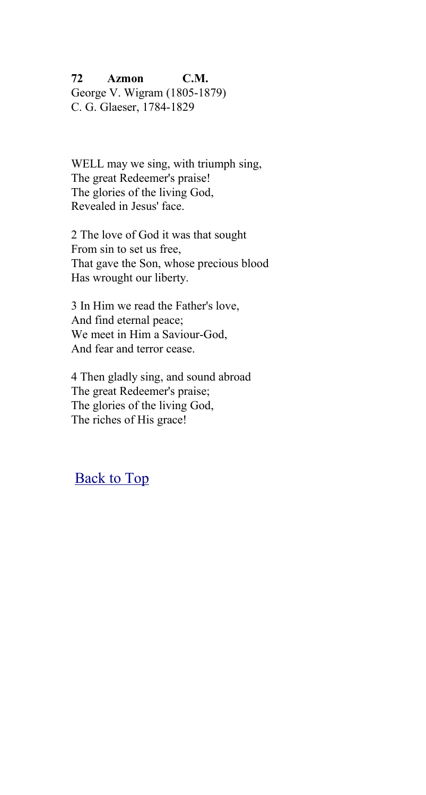**72 Azmon C.M.** George V. Wigram (1805-1879) C. G. Glaeser, 1784-1829

WELL may we sing, with triumph sing, The great Redeemer's praise! The glories of the living God, Revealed in Jesus' face.

2 The love of God it was that sought From sin to set us free, That gave the Son, whose precious blood Has wrought our liberty.

3 In Him we read the Father's love, And find eternal peace; We meet in Him a Saviour-God, And fear and terror cease.

4 Then gladly sing, and sound abroad The great Redeemer's praise; The glories of the living God, The riches of His grace!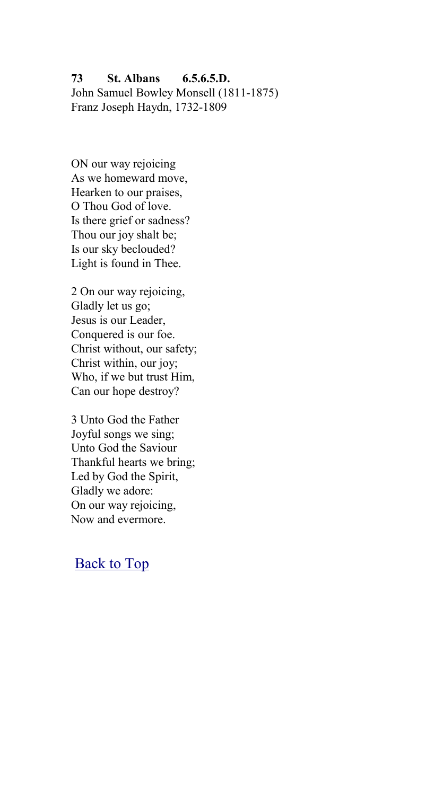**73 St. Albans 6.5.6.5.D.** John Samuel Bowley Monsell (1811-1875) Franz Joseph Haydn, 1732-1809

ON our way rejoicing As we homeward move, Hearken to our praises, O Thou God of love. Is there grief or sadness? Thou our joy shalt be; Is our sky beclouded? Light is found in Thee.

2 On our way rejoicing, Gladly let us go; Jesus is our Leader, Conquered is our foe. Christ without, our safety; Christ within, our joy; Who, if we but trust Him, Can our hope destroy?

3 Unto God the Father Joyful songs we sing; Unto God the Saviour Thankful hearts we bring; Led by God the Spirit, Gladly we adore: On our way rejoicing, Now and evermore.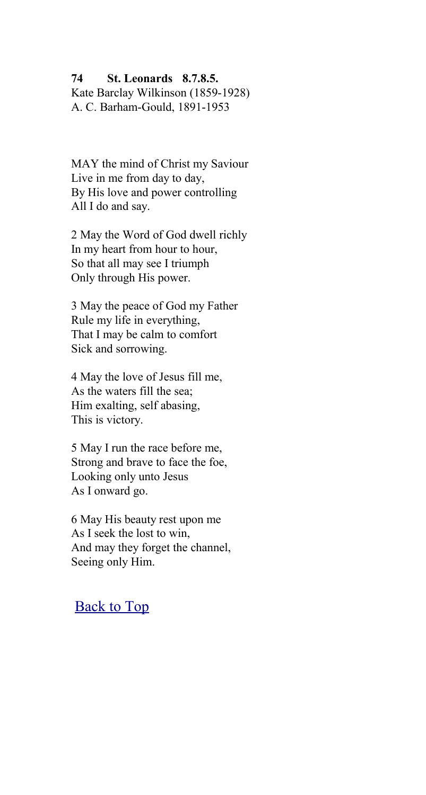#### **74 St. Leonards 8.7.8.5.**

Kate Barclay Wilkinson (1859-1928) A. C. Barham-Gould, 1891-1953

MAY the mind of Christ my Saviour Live in me from day to day, By His love and power controlling All I do and say.

2 May the Word of God dwell richly In my heart from hour to hour, So that all may see I triumph Only through His power.

3 May the peace of God my Father Rule my life in everything, That I may be calm to comfort Sick and sorrowing.

4 May the love of Jesus fill me, As the waters fill the sea; Him exalting, self abasing, This is victory.

5 May I run the race before me, Strong and brave to face the foe, Looking only unto Jesus As I onward go.

6 May His beauty rest upon me As I seek the lost to win, And may they forget the channel, Seeing only Him.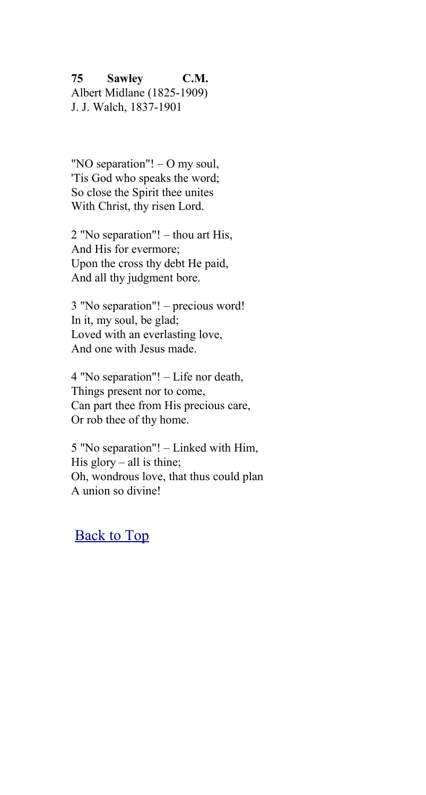**75 Sawley C.M.** Albert Midlane (1825-1909)

J. J. Walch, 1837-1901

"NO separation"! – O my soul, 'Tis God who speaks the word; So close the Spirit thee unites With Christ, thy risen Lord.

2 "No separation"! – thou art His, And His for evermore; Upon the cross thy debt He paid, And all thy judgment bore.

3 "No separation"! – precious word! In it, my soul, be glad; Loved with an everlasting love, And one with Jesus made.

4 "No separation"! – Life nor death, Things present nor to come, Can part thee from His precious care, Or rob thee of thy home.

5 "No separation"! – Linked with Him, His glory – all is thine; Oh, wondrous love, that thus could plan A union so divine!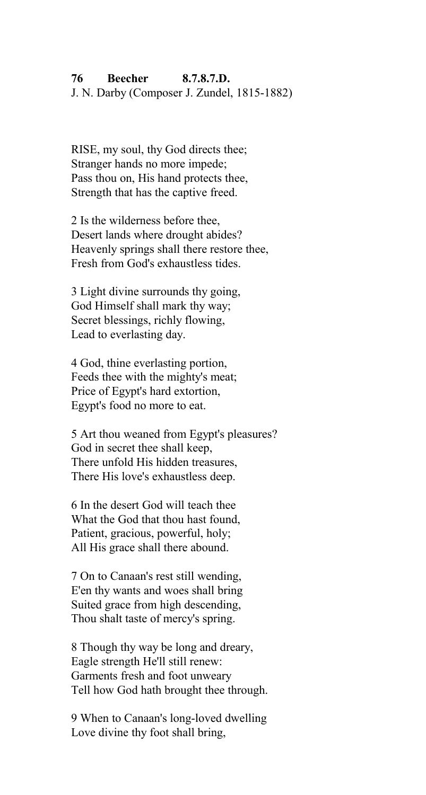#### **76 Beecher 8.7.8.7.D.**

J. N. Darby (Composer J. Zundel, 1815-1882)

RISE, my soul, thy God directs thee; Stranger hands no more impede; Pass thou on. His hand protects thee. Strength that has the captive freed.

2 Is the wilderness before thee, Desert lands where drought abides? Heavenly springs shall there restore thee, Fresh from God's exhaustless tides.

3 Light divine surrounds thy going, God Himself shall mark thy way; Secret blessings, richly flowing, Lead to everlasting day.

4 God, thine everlasting portion, Feeds thee with the mighty's meat; Price of Egypt's hard extortion, Egypt's food no more to eat.

5 Art thou weaned from Egypt's pleasures? God in secret thee shall keep, There unfold His hidden treasures, There His love's exhaustless deep.

6 In the desert God will teach thee What the God that thou hast found, Patient, gracious, powerful, holy; All His grace shall there abound.

7 On to Canaan's rest still wending, E'en thy wants and woes shall bring Suited grace from high descending, Thou shalt taste of mercy's spring.

8 Though thy way be long and dreary, Eagle strength He'll still renew: Garments fresh and foot unweary Tell how God hath brought thee through.

9 When to Canaan's long-loved dwelling Love divine thy foot shall bring,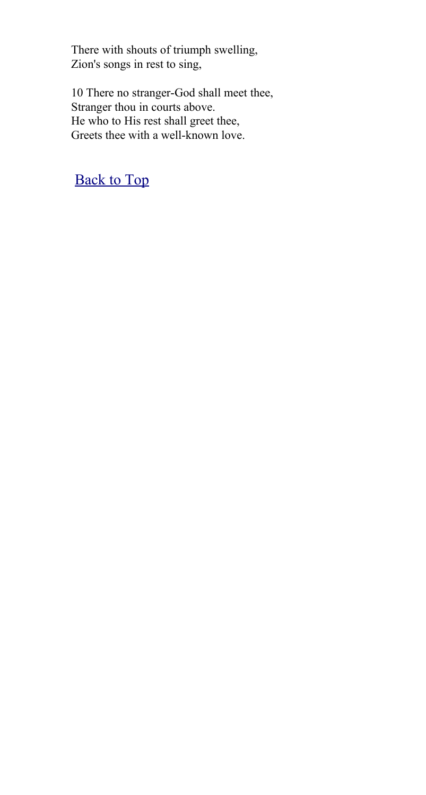There with shouts of triumph swelling, Zion's songs in rest to sing,

10 There no stranger-God shall meet thee, Stranger thou in courts above. He who to His rest shall greet thee, Greets thee with a well-known love.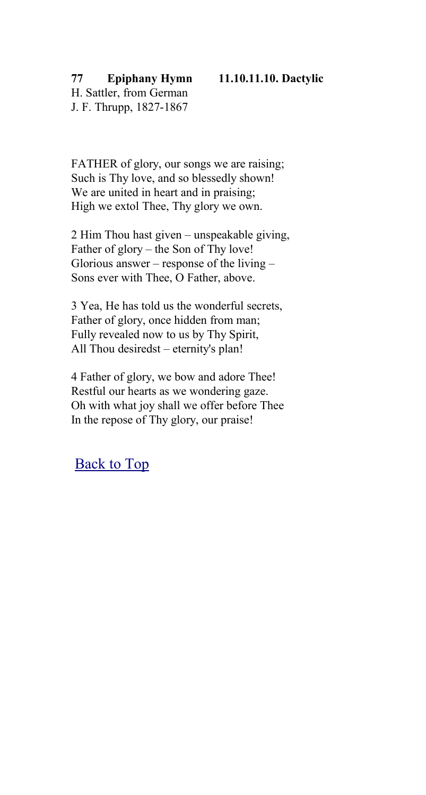#### **77 Epiphany Hymn 11.10.11.10. Dactylic** H. Sattler, from German

J. F. Thrupp, 1827-1867

FATHER of glory, our songs we are raising; Such is Thy love, and so blessedly shown! We are united in heart and in praising: High we extol Thee, Thy glory we own.

2 Him Thou hast given – unspeakable giving, Father of glory – the Son of Thy love! Glorious answer – response of the living – Sons ever with Thee, O Father, above.

3 Yea, He has told us the wonderful secrets, Father of glory, once hidden from man; Fully revealed now to us by Thy Spirit, All Thou desiredst – eternity's plan!

4 Father of glory, we bow and adore Thee! Restful our hearts as we wondering gaze. Oh with what joy shall we offer before Thee In the repose of Thy glory, our praise!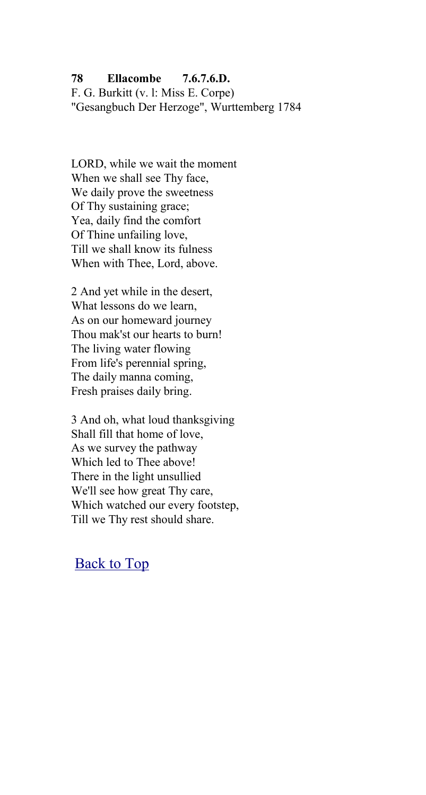## **78 Ellacombe 7.6.7.6.D.**

F. G. Burkitt (v. l: Miss E. Corpe) "Gesangbuch Der Herzoge", Wurttemberg 1784

LORD, while we wait the moment When we shall see Thy face, We daily prove the sweetness Of Thy sustaining grace; Yea, daily find the comfort Of Thine unfailing love, Till we shall know its fulness When with Thee, Lord, above.

2 And yet while in the desert, What lessons do we learn, As on our homeward journey Thou mak'st our hearts to burn! The living water flowing From life's perennial spring, The daily manna coming, Fresh praises daily bring.

3 And oh, what loud thanksgiving Shall fill that home of love, As we survey the pathway Which led to Thee above! There in the light unsullied We'll see how great Thy care, Which watched our every footstep, Till we Thy rest should share.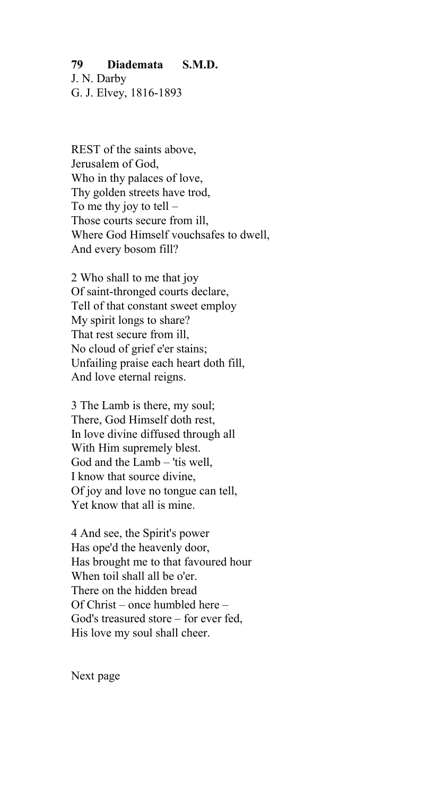## **79 Diademata S.M.D.**

J. N. Darby G. J. Elvey, 1816-1893

REST of the saints above, Jerusalem of God, Who in thy palaces of love, Thy golden streets have trod, To me thy joy to tell  $-$ Those courts secure from ill, Where God Himself vouchsafes to dwell, And every bosom fill?

2 Who shall to me that joy Of saint-thronged courts declare, Tell of that constant sweet employ My spirit longs to share? That rest secure from ill, No cloud of grief e'er stains; Unfailing praise each heart doth fill, And love eternal reigns.

3 The Lamb is there, my soul; There, God Himself doth rest, In love divine diffused through all With Him supremely blest. God and the Lamb – 'tis well, I know that source divine, Of joy and love no tongue can tell, Yet know that all is mine.

4 And see, the Spirit's power Has ope'd the heavenly door, Has brought me to that favoured hour When toil shall all be o'er. There on the hidden bread Of Christ – once humbled here – God's treasured store – for ever fed, His love my soul shall cheer.

Next page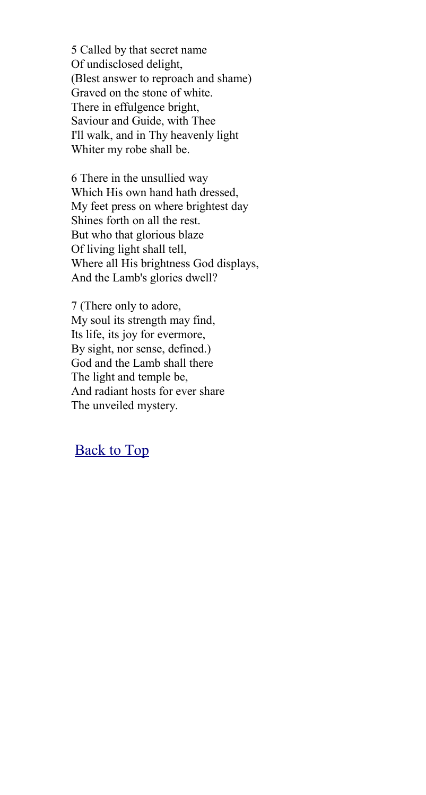5 Called by that secret name Of undisclosed delight, (Blest answer to reproach and shame) Graved on the stone of white. There in effulgence bright, Saviour and Guide, with Thee I'll walk, and in Thy heavenly light Whiter my robe shall be.

6 There in the unsullied way Which His own hand hath dressed, My feet press on where brightest day Shines forth on all the rest. But who that glorious blaze Of living light shall tell, Where all His brightness God displays, And the Lamb's glories dwell?

7 (There only to adore, My soul its strength may find, Its life, its joy for evermore, By sight, nor sense, defined.) God and the Lamb shall there The light and temple be, And radiant hosts for ever share The unveiled mystery.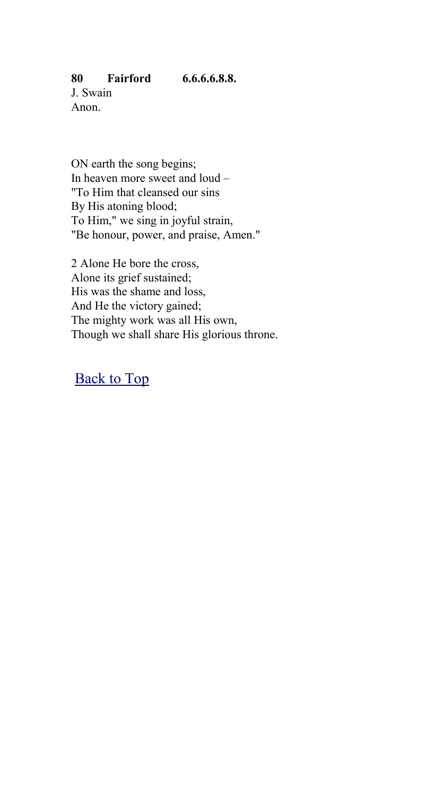ON earth the song begins; In heaven more sweet and loud – "To Him that cleansed our sins By His atoning blood; To Him," we sing in joyful strain, "Be honour, power, and praise, Amen."

2 Alone He bore the cross, Alone its grief sustained; His was the shame and loss, And He the victory gained; The mighty work was all His own, Though we shall share His glorious throne.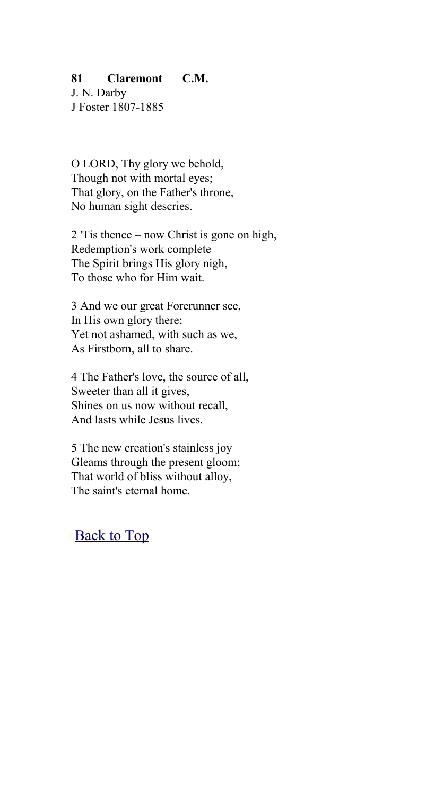### **81 Claremont C.M.**

J. N. Darby J Foster 1807-1885

O LORD, Thy glory we behold, Though not with mortal eyes; That glory, on the Father's throne, No human sight descries.

2 'Tis thence – now Christ is gone on high, Redemption's work complete – The Spirit brings His glory nigh, To those who for Him wait.

3 And we our great Forerunner see, In His own glory there; Yet not ashamed, with such as we, As Firstborn, all to share.

4 The Father's love, the source of all, Sweeter than all it gives, Shines on us now without recall, And lasts while Jesus lives.

5 The new creation's stainless joy Gleams through the present gloom; That world of bliss without alloy, The saint's eternal home.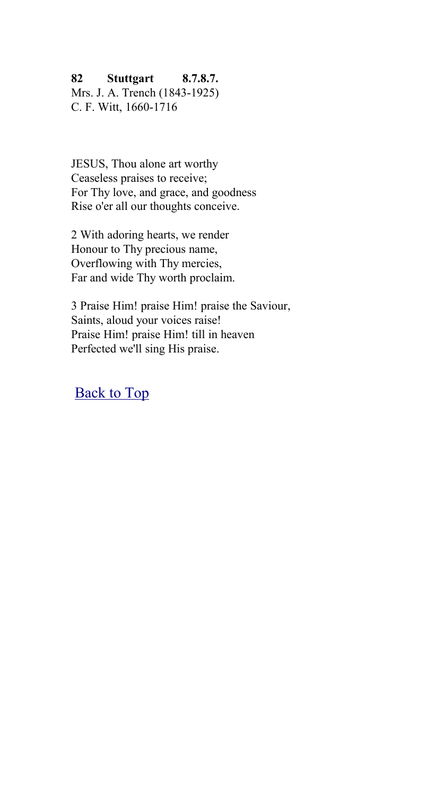## **82 Stuttgart 8.7.8.7.**

Mrs. J. A. Trench (1843-1925) C. F. Witt, 1660-1716

JESUS, Thou alone art worthy Ceaseless praises to receive; For Thy love, and grace, and goodness Rise o'er all our thoughts conceive.

2 With adoring hearts, we render Honour to Thy precious name, Overflowing with Thy mercies, Far and wide Thy worth proclaim.

3 Praise Him! praise Him! praise the Saviour, Saints, aloud your voices raise! Praise Him! praise Him! till in heaven Perfected we'll sing His praise.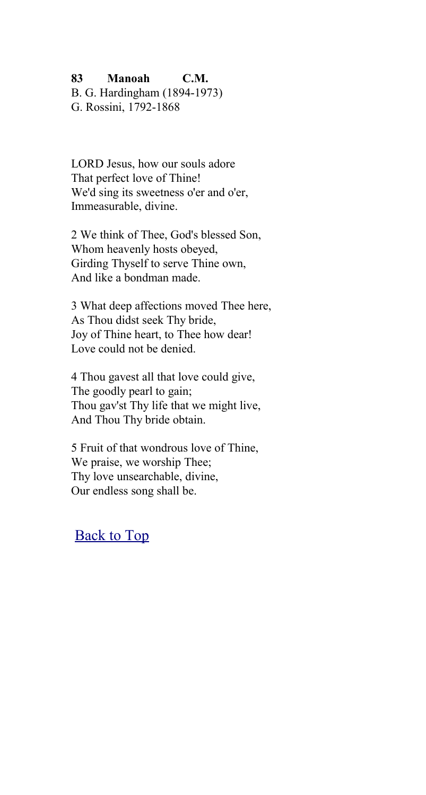## **83 Manoah C.M.**

B. G. Hardingham (1894-1973) G. Rossini, 1792-1868

LORD Jesus, how our souls adore That perfect love of Thine! We'd sing its sweetness o'er and o'er, Immeasurable, divine.

2 We think of Thee, God's blessed Son, Whom heavenly hosts obeyed, Girding Thyself to serve Thine own, And like a bondman made.

3 What deep affections moved Thee here, As Thou didst seek Thy bride, Joy of Thine heart, to Thee how dear! Love could not be denied.

4 Thou gavest all that love could give, The goodly pearl to gain; Thou gav'st Thy life that we might live, And Thou Thy bride obtain.

5 Fruit of that wondrous love of Thine, We praise, we worship Thee; Thy love unsearchable, divine, Our endless song shall be.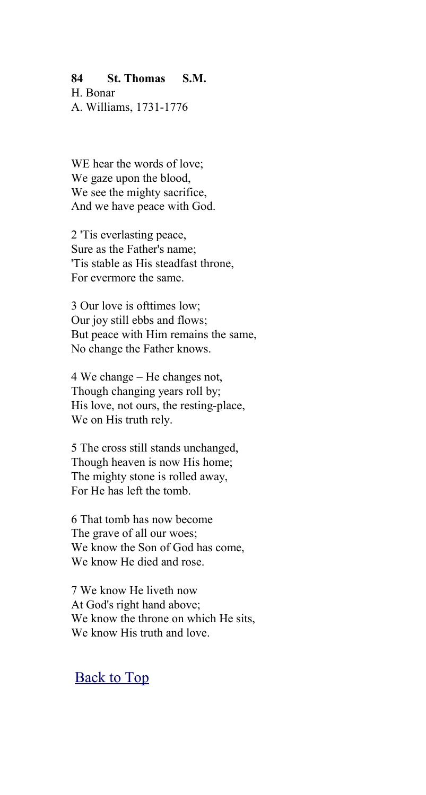#### **84 St. Thomas S.M.**

H. Bonar A. Williams, 1731-1776

WE hear the words of love; We gaze upon the blood, We see the mighty sacrifice. And we have peace with God.

2 'Tis everlasting peace, Sure as the Father's name; 'Tis stable as His steadfast throne, For evermore the same.

3 Our love is ofttimes low; Our joy still ebbs and flows; But peace with Him remains the same, No change the Father knows.

4 We change – He changes not, Though changing years roll by; His love, not ours, the resting-place, We on His truth rely.

5 The cross still stands unchanged, Though heaven is now His home; The mighty stone is rolled away, For He has left the tomb.

6 That tomb has now become The grave of all our woes; We know the Son of God has come, We know He died and rose.

7 We know He liveth now At God's right hand above; We know the throne on which He sits. We know His truth and love.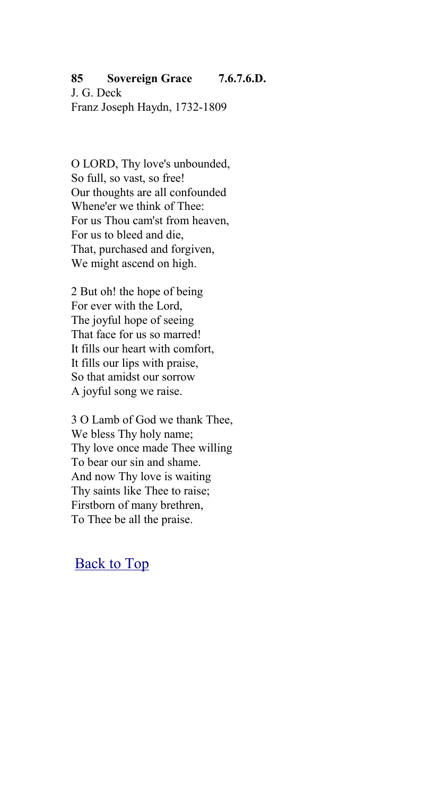# **85 Sovereign Grace 7.6.7.6.D.**

J. G. Deck Franz Joseph Haydn, 1732-1809

O LORD, Thy love's unbounded, So full, so vast, so free! Our thoughts are all confounded Whene'er we think of Thee: For us Thou cam'st from heaven, For us to bleed and die, That, purchased and forgiven, We might ascend on high.

2 But oh! the hope of being For ever with the Lord, The joyful hope of seeing That face for us so marred! It fills our heart with comfort, It fills our lips with praise, So that amidst our sorrow A joyful song we raise.

3 O Lamb of God we thank Thee, We bless Thy holy name; Thy love once made Thee willing To bear our sin and shame. And now Thy love is waiting Thy saints like Thee to raise; Firstborn of many brethren, To Thee be all the praise.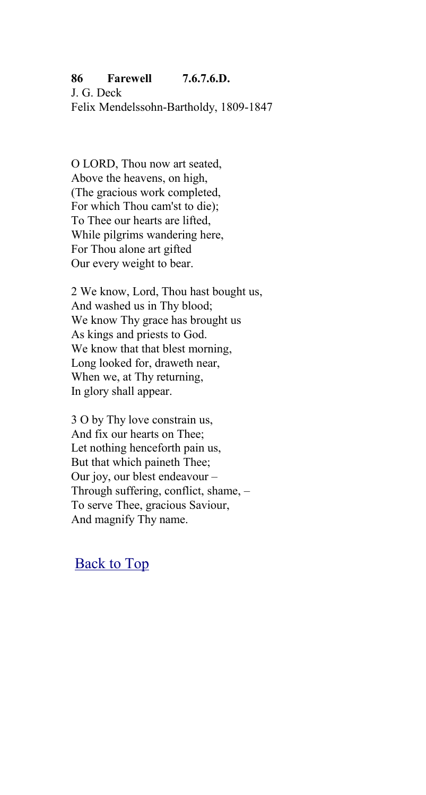## **86 Farewell 7.6.7.6.D.**

J. G. Deck Felix Mendelssohn-Bartholdy, 1809-1847

O LORD, Thou now art seated, Above the heavens, on high, (The gracious work completed, For which Thou cam'st to die); To Thee our hearts are lifted, While pilgrims wandering here, For Thou alone art gifted Our every weight to bear.

2 We know, Lord, Thou hast bought us, And washed us in Thy blood; We know Thy grace has brought us As kings and priests to God. We know that that blest morning, Long looked for, draweth near, When we, at Thy returning, In glory shall appear.

3 O by Thy love constrain us, And fix our hearts on Thee; Let nothing henceforth pain us, But that which paineth Thee; Our joy, our blest endeavour – Through suffering, conflict, shame, – To serve Thee, gracious Saviour, And magnify Thy name.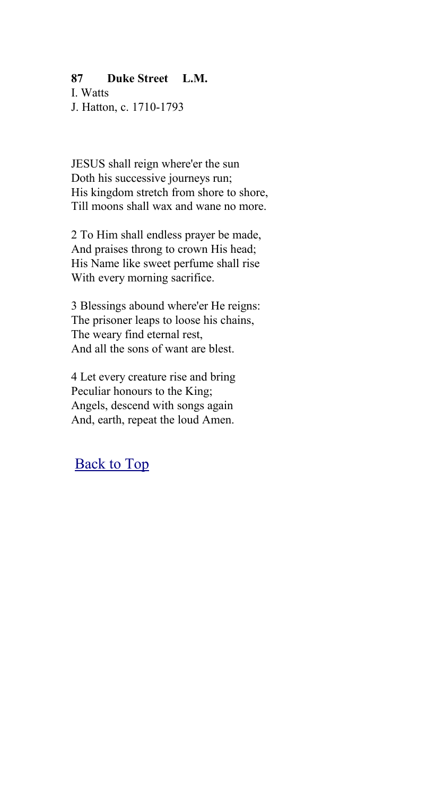### **87 Duke Street L.M.**

I. Watts J. Hatton, c. 1710-1793

JESUS shall reign where'er the sun Doth his successive journeys run; His kingdom stretch from shore to shore. Till moons shall wax and wane no more.

2 To Him shall endless prayer be made, And praises throng to crown His head; His Name like sweet perfume shall rise With every morning sacrifice.

3 Blessings abound where'er He reigns: The prisoner leaps to loose his chains, The weary find eternal rest, And all the sons of want are blest.

4 Let every creature rise and bring Peculiar honours to the King; Angels, descend with songs again And, earth, repeat the loud Amen.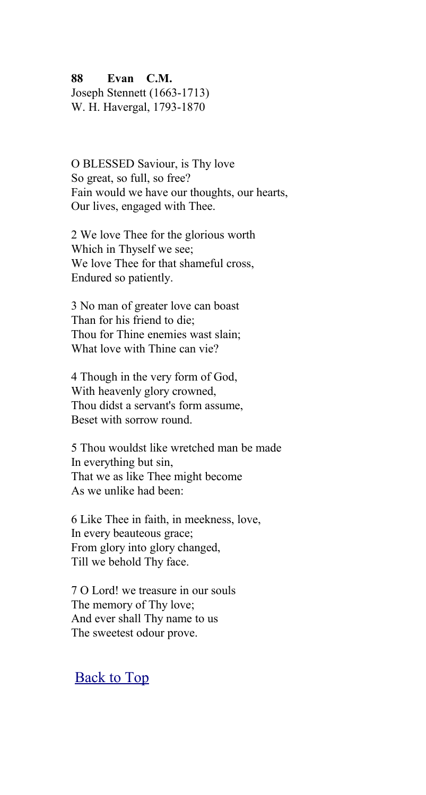**88 Evan C.M.**

Joseph Stennett (1663-1713) W. H. Havergal, 1793-1870

O BLESSED Saviour, is Thy love So great, so full, so free? Fain would we have our thoughts, our hearts, Our lives, engaged with Thee.

2 We love Thee for the glorious worth Which in Thyself we see; We love Thee for that shameful cross, Endured so patiently.

3 No man of greater love can boast Than for his friend to die; Thou for Thine enemies wast slain; What love with Thine can vie?

4 Though in the very form of God, With heavenly glory crowned, Thou didst a servant's form assume, Beset with sorrow round.

5 Thou wouldst like wretched man be made In everything but sin, That we as like Thee might become As we unlike had been:

6 Like Thee in faith, in meekness, love, In every beauteous grace; From glory into glory changed, Till we behold Thy face.

7 O Lord! we treasure in our souls The memory of Thy love; And ever shall Thy name to us The sweetest odour prove.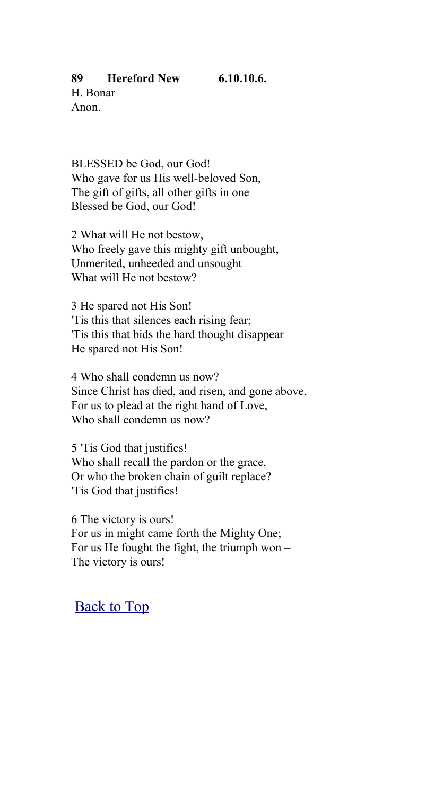## **89 Hereford New 6.10.10.6.**

H. Bonar Anon.

BLESSED be God, our God! Who gave for us His well-beloved Son, The gift of gifts, all other gifts in one  $-$ Blessed be God, our God!

2 What will He not bestow, Who freely gave this mighty gift unbought, Unmerited, unheeded and unsought – What will He not bestow?

3 He spared not His Son! 'Tis this that silences each rising fear; 'Tis this that bids the hard thought disappear – He spared not His Son!

4 Who shall condemn us now? Since Christ has died, and risen, and gone above, For us to plead at the right hand of Love, Who shall condemn us now?

5 'Tis God that justifies! Who shall recall the pardon or the grace, Or who the broken chain of guilt replace? 'Tis God that justifies!

6 The victory is ours! For us in might came forth the Mighty One; For us He fought the fight, the triumph won – The victory is ours!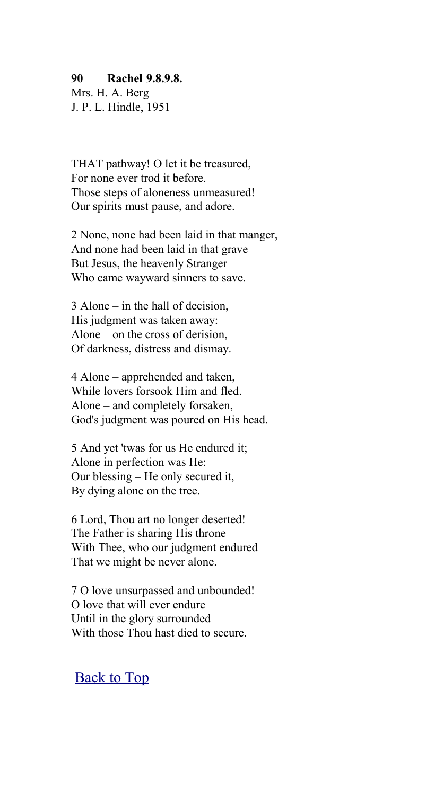#### **90 Rachel 9.8.9.8.**

Mrs. H. A. Berg J. P. L. Hindle, 1951

THAT pathway! O let it be treasured, For none ever trod it before. Those steps of aloneness unmeasured! Our spirits must pause, and adore.

2 None, none had been laid in that manger, And none had been laid in that grave But Jesus, the heavenly Stranger Who came wayward sinners to save.

3 Alone – in the hall of decision, His judgment was taken away: Alone – on the cross of derision, Of darkness, distress and dismay.

4 Alone – apprehended and taken, While lovers forsook Him and fled. Alone – and completely forsaken, God's judgment was poured on His head.

5 And yet 'twas for us He endured it; Alone in perfection was He: Our blessing – He only secured it, By dying alone on the tree.

6 Lord, Thou art no longer deserted! The Father is sharing His throne With Thee, who our judgment endured That we might be never alone.

7 O love unsurpassed and unbounded! O love that will ever endure Until in the glory surrounded With those Thou hast died to secure.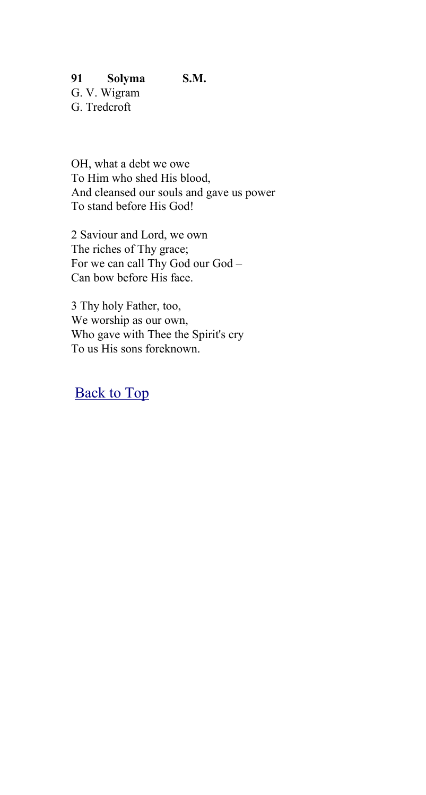## **91 Solyma S.M.**

G. V. Wigram G. Tredcroft

OH, what a debt we owe To Him who shed His blood, And cleansed our souls and gave us power To stand before His God!

2 Saviour and Lord, we own The riches of Thy grace; For we can call Thy God our God – Can bow before His face.

3 Thy holy Father, too, We worship as our own, Who gave with Thee the Spirit's cry To us His sons foreknown.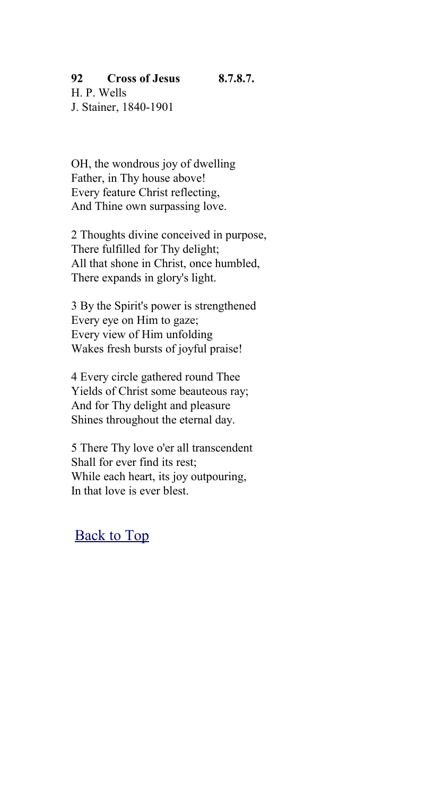#### **92 Cross of Jesus 8.7.8.7.**

H. P. Wells J. Stainer, 1840-1901

OH, the wondrous joy of dwelling Father, in Thy house above! Every feature Christ reflecting, And Thine own surpassing love.

2 Thoughts divine conceived in purpose, There fulfilled for Thy delight; All that shone in Christ, once humbled, There expands in glory's light.

3 By the Spirit's power is strengthened Every eye on Him to gaze; Every view of Him unfolding Wakes fresh bursts of joyful praise!

4 Every circle gathered round Thee Yields of Christ some beauteous ray; And for Thy delight and pleasure Shines throughout the eternal day.

5 There Thy love o'er all transcendent Shall for ever find its rest; While each heart, its joy outpouring, In that love is ever blest.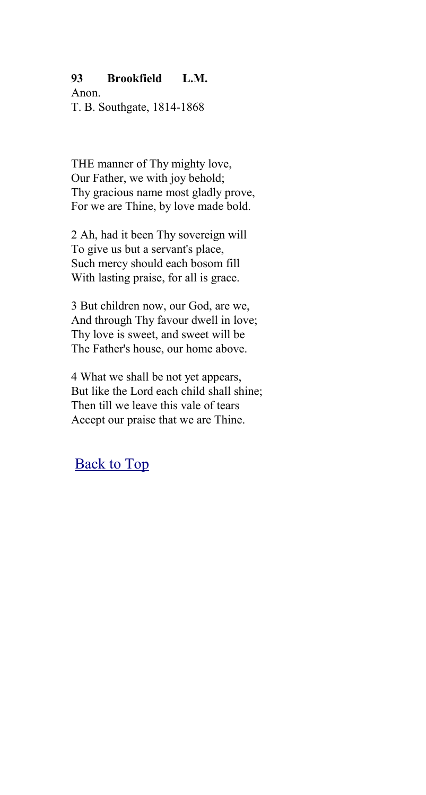## **93 Brookfield L.M.**

Anon. T. B. Southgate, 1814-1868

THE manner of Thy mighty love, Our Father, we with joy behold; Thy gracious name most gladly prove, For we are Thine, by love made bold.

2 Ah, had it been Thy sovereign will To give us but a servant's place, Such mercy should each bosom fill With lasting praise, for all is grace.

3 But children now, our God, are we, And through Thy favour dwell in love; Thy love is sweet, and sweet will be The Father's house, our home above.

4 What we shall be not yet appears, But like the Lord each child shall shine; Then till we leave this vale of tears Accept our praise that we are Thine.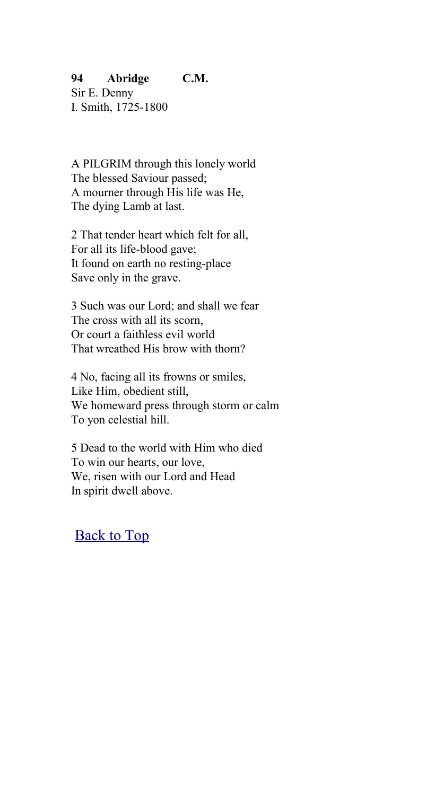## **94 Abridge C.M.**

Sir E. Denny I. Smith, 1725-1800

A PILGRIM through this lonely world The blessed Saviour passed; A mourner through His life was He, The dying Lamb at last.

2 That tender heart which felt for all, For all its life-blood gave; It found on earth no resting-place Save only in the grave.

3 Such was our Lord; and shall we fear The cross with all its scorn, Or court a faithless evil world That wreathed His brow with thorn?

4 No, facing all its frowns or smiles, Like Him, obedient still, We homeward press through storm or calm To yon celestial hill.

5 Dead to the world with Him who died To win our hearts, our love, We, risen with our Lord and Head In spirit dwell above.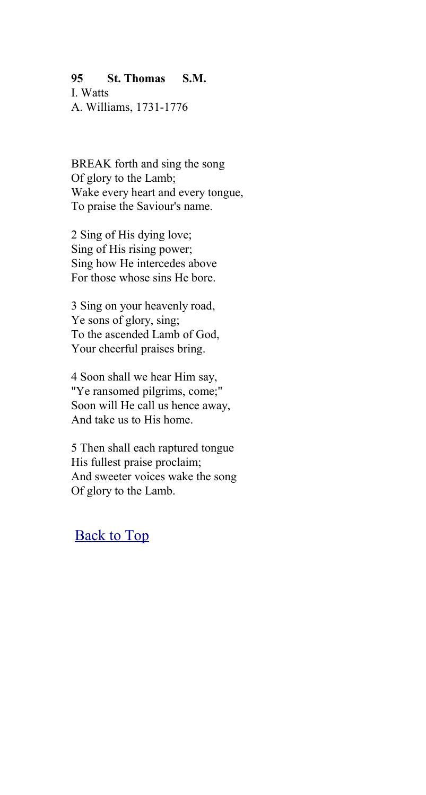## **95 St. Thomas S.M.**

I. Watts A. Williams, 1731-1776

BREAK forth and sing the song Of glory to the Lamb; Wake every heart and every tongue, To praise the Saviour's name.

2 Sing of His dying love; Sing of His rising power; Sing how He intercedes above For those whose sins He bore.

3 Sing on your heavenly road, Ye sons of glory, sing; To the ascended Lamb of God, Your cheerful praises bring.

4 Soon shall we hear Him say, "Ye ransomed pilgrims, come;" Soon will He call us hence away, And take us to His home.

5 Then shall each raptured tongue His fullest praise proclaim; And sweeter voices wake the song Of glory to the Lamb.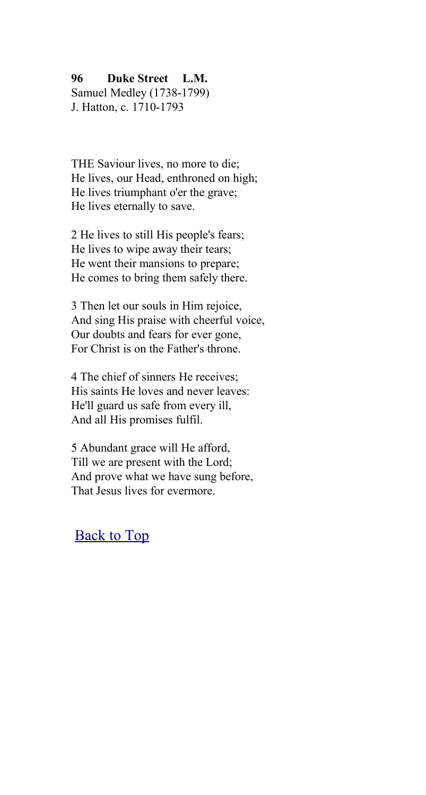#### **96 Duke Street L.M.**

Samuel Medley (1738-1799) J. Hatton, c. 1710-1793

THE Saviour lives, no more to die; He lives, our Head, enthroned on high; He lives triumphant o'er the grave; He lives eternally to save.

2 He lives to still His people's fears; He lives to wipe away their tears; He went their mansions to prepare; He comes to bring them safely there.

3 Then let our souls in Him rejoice, And sing His praise with cheerful voice, Our doubts and fears for ever gone, For Christ is on the Father's throne.

4 The chief of sinners He receives: His saints He loves and never leaves: He'll guard us safe from every ill, And all His promises fulfil.

5 Abundant grace will He afford, Till we are present with the Lord; And prove what we have sung before, That Jesus lives for evermore.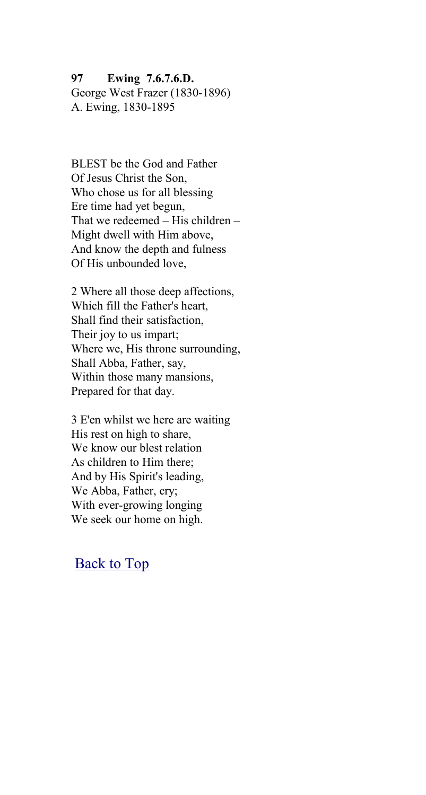**97 Ewing 7.6.7.6.D.** George West Frazer (1830-1896) A. Ewing, 1830-1895

BLEST be the God and Father Of Jesus Christ the Son, Who chose us for all blessing Ere time had yet begun, That we redeemed – His children – Might dwell with Him above, And know the depth and fulness Of His unbounded love,

2 Where all those deep affections, Which fill the Father's heart, Shall find their satisfaction, Their joy to us impart; Where we, His throne surrounding, Shall Abba, Father, say, Within those many mansions, Prepared for that day.

3 E'en whilst we here are waiting His rest on high to share, We know our blest relation As children to Him there; And by His Spirit's leading, We Abba, Father, cry; With ever-growing longing We seek our home on high.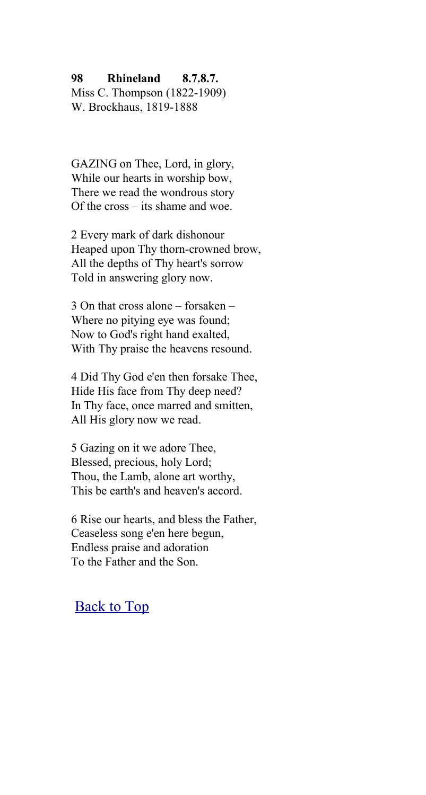#### **98 Rhineland 8.7.8.7.**

Miss C. Thompson (1822-1909) W. Brockhaus, 1819-1888

GAZING on Thee, Lord, in glory, While our hearts in worship bow, There we read the wondrous story Of the cross – its shame and woe.

2 Every mark of dark dishonour Heaped upon Thy thorn-crowned brow, All the depths of Thy heart's sorrow Told in answering glory now.

3 On that cross alone – forsaken – Where no pitying eye was found; Now to God's right hand exalted, With Thy praise the heavens resound.

4 Did Thy God e'en then forsake Thee, Hide His face from Thy deep need? In Thy face, once marred and smitten, All His glory now we read.

5 Gazing on it we adore Thee, Blessed, precious, holy Lord; Thou, the Lamb, alone art worthy, This be earth's and heaven's accord.

6 Rise our hearts, and bless the Father, Ceaseless song e'en here begun, Endless praise and adoration To the Father and the Son.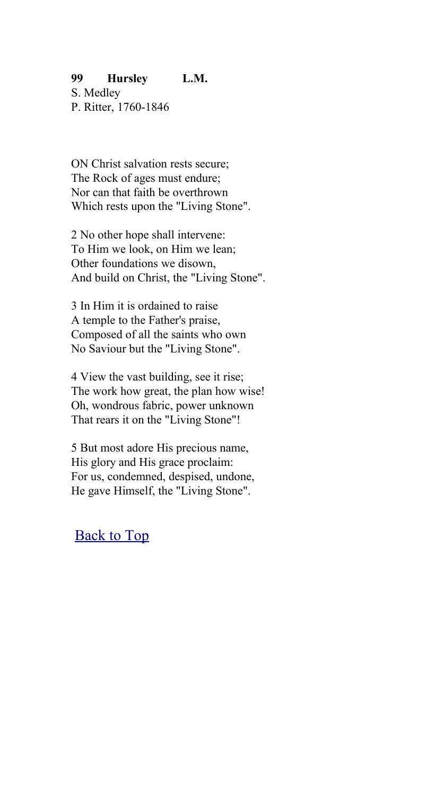#### **99 Hursley L.M.**

S. Medley P. Ritter, 1760-1846

ON Christ salvation rests secure; The Rock of ages must endure; Nor can that faith be overthrown Which rests upon the "Living Stone".

2 No other hope shall intervene: To Him we look, on Him we lean; Other foundations we disown, And build on Christ, the "Living Stone".

3 In Him it is ordained to raise A temple to the Father's praise, Composed of all the saints who own No Saviour but the "Living Stone".

4 View the vast building, see it rise; The work how great, the plan how wise! Oh, wondrous fabric, power unknown That rears it on the "Living Stone"!

5 But most adore His precious name, His glory and His grace proclaim: For us, condemned, despised, undone, He gave Himself, the "Living Stone".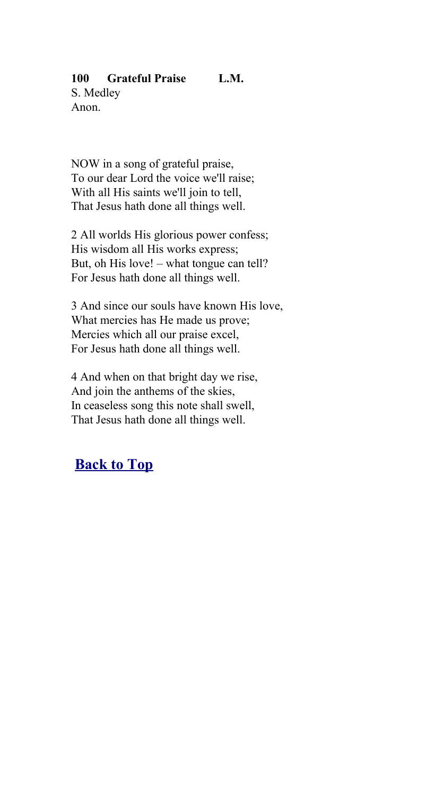# **100 Grateful Praise L.M.**

S. Medley Anon.

NOW in a song of grateful praise, To our dear Lord the voice we'll raise; With all His saints we'll join to tell. That Jesus hath done all things well.

2 All worlds His glorious power confess; His wisdom all His works express; But, oh His love! – what tongue can tell? For Jesus hath done all things well.

3 And since our souls have known His love, What mercies has He made us prove; Mercies which all our praise excel, For Jesus hath done all things well.

4 And when on that bright day we rise, And join the anthems of the skies, In ceaseless song this note shall swell, That Jesus hath done all things well.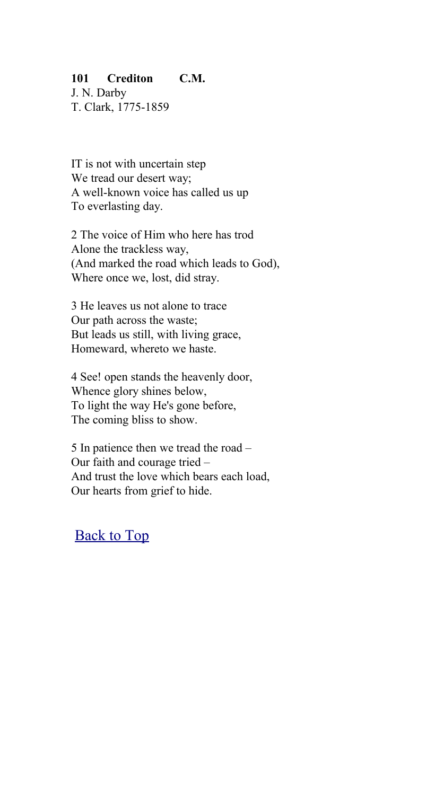### **101 Crediton C.M.**

J. N. Darby T. Clark, 1775-1859

IT is not with uncertain step We tread our desert way; A well-known voice has called us up To everlasting day.

2 The voice of Him who here has trod Alone the trackless way, (And marked the road which leads to God), Where once we, lost, did stray.

3 He leaves us not alone to trace Our path across the waste; But leads us still, with living grace, Homeward, whereto we haste.

4 See! open stands the heavenly door, Whence glory shines below, To light the way He's gone before, The coming bliss to show.

5 In patience then we tread the road – Our faith and courage tried – And trust the love which bears each load, Our hearts from grief to hide.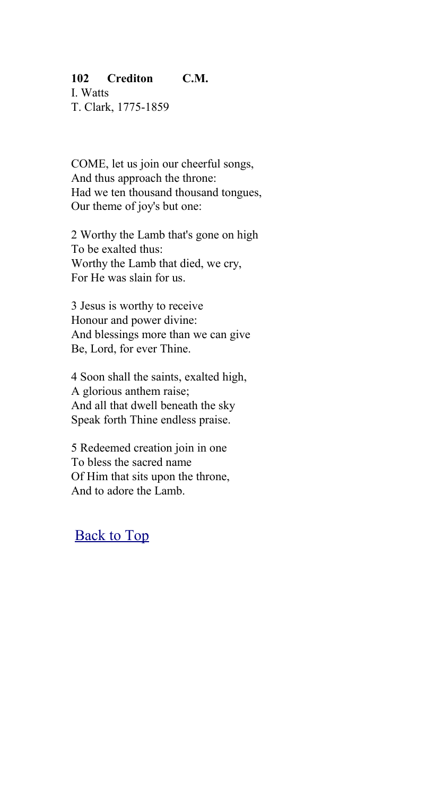## **102 Crediton C.M.**

I. Watts T. Clark, 1775-1859

COME, let us join our cheerful songs, And thus approach the throne: Had we ten thousand thousand tongues, Our theme of joy's but one:

2 Worthy the Lamb that's gone on high To be exalted thus: Worthy the Lamb that died, we cry, For He was slain for us.

3 Jesus is worthy to receive Honour and power divine: And blessings more than we can give Be, Lord, for ever Thine.

4 Soon shall the saints, exalted high, A glorious anthem raise; And all that dwell beneath the sky Speak forth Thine endless praise.

5 Redeemed creation join in one To bless the sacred name Of Him that sits upon the throne, And to adore the Lamb.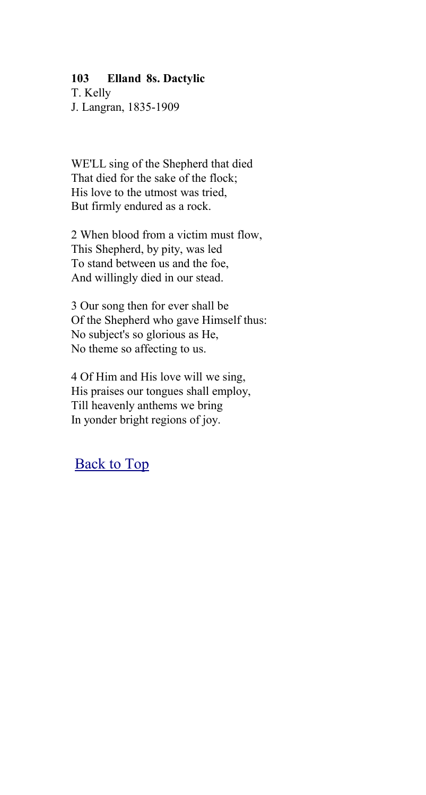### **103 Elland 8s. Dactylic**

T. Kelly J. Langran, 1835-1909

WE'LL sing of the Shepherd that died That died for the sake of the flock; His love to the utmost was tried, But firmly endured as a rock.

2 When blood from a victim must flow, This Shepherd, by pity, was led To stand between us and the foe, And willingly died in our stead.

3 Our song then for ever shall be Of the Shepherd who gave Himself thus: No subject's so glorious as He, No theme so affecting to us.

4 Of Him and His love will we sing, His praises our tongues shall employ, Till heavenly anthems we bring In yonder bright regions of joy.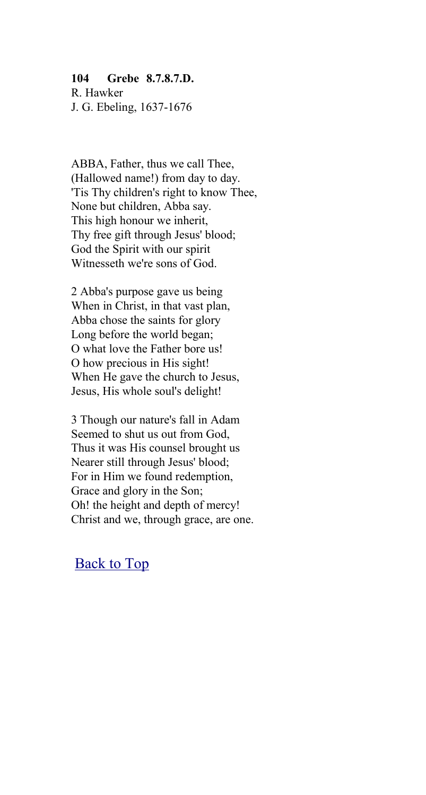#### **104 Grebe 8.7.8.7.D.**

R. Hawker J. G. Ebeling, 1637-1676

ABBA, Father, thus we call Thee, (Hallowed name!) from day to day. 'Tis Thy children's right to know Thee, None but children, Abba say. This high honour we inherit, Thy free gift through Jesus' blood; God the Spirit with our spirit Witnesseth we're sons of God.

2 Abba's purpose gave us being When in Christ, in that vast plan, Abba chose the saints for glory Long before the world began; O what love the Father bore us! O how precious in His sight! When He gave the church to Jesus, Jesus, His whole soul's delight!

3 Though our nature's fall in Adam Seemed to shut us out from God, Thus it was His counsel brought us Nearer still through Jesus' blood; For in Him we found redemption, Grace and glory in the Son; Oh! the height and depth of mercy! Christ and we, through grace, are one.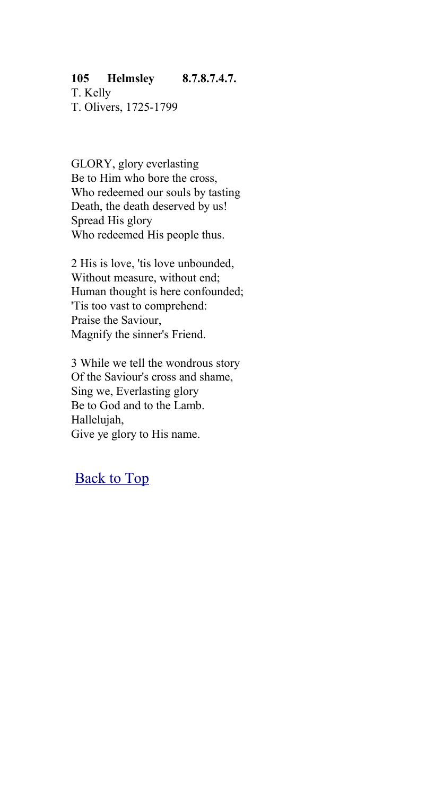# **105 Helmsley 8.7.8.7.4.7.**

T. Kelly T. Olivers, 1725-1799

GLORY, glory everlasting Be to Him who bore the cross, Who redeemed our souls by tasting Death, the death deserved by us! Spread His glory Who redeemed His people thus.

2 His is love, 'tis love unbounded, Without measure, without end; Human thought is here confounded; 'Tis too vast to comprehend: Praise the Saviour, Magnify the sinner's Friend.

3 While we tell the wondrous story Of the Saviour's cross and shame, Sing we, Everlasting glory Be to God and to the Lamb. Hallelujah, Give ye glory to His name.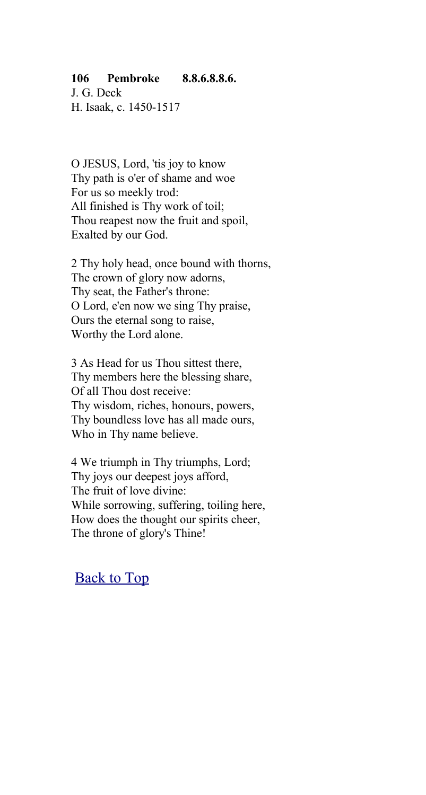## **106 Pembroke 8.8.6.8.8.6.**

J. G. Deck H. Isaak, c. 1450-1517

O JESUS, Lord, 'tis joy to know Thy path is o'er of shame and woe For us so meekly trod: All finished is Thy work of toil; Thou reapest now the fruit and spoil, Exalted by our God.

2 Thy holy head, once bound with thorns, The crown of glory now adorns, Thy seat, the Father's throne: O Lord, e'en now we sing Thy praise, Ours the eternal song to raise, Worthy the Lord alone.

3 As Head for us Thou sittest there, Thy members here the blessing share, Of all Thou dost receive: Thy wisdom, riches, honours, powers, Thy boundless love has all made ours, Who in Thy name believe.

4 We triumph in Thy triumphs, Lord; Thy joys our deepest joys afford, The fruit of love divine: While sorrowing, suffering, toiling here, How does the thought our spirits cheer, The throne of glory's Thine!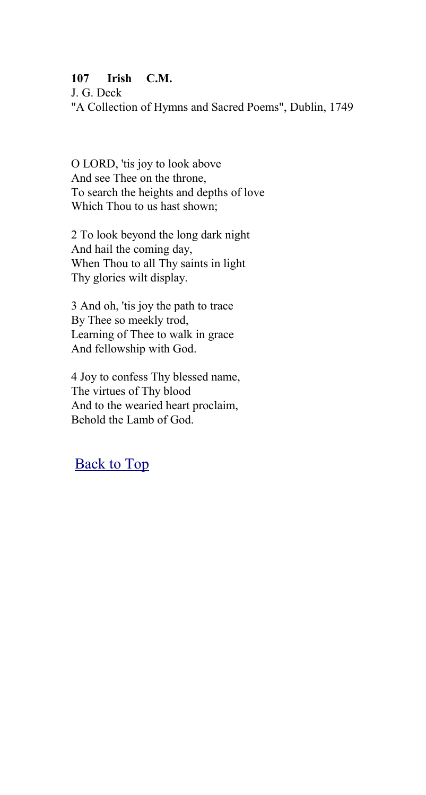## **107 Irish C.M.**

J. G. Deck "A Collection of Hymns and Sacred Poems", Dublin, 1749

O LORD, 'tis joy to look above And see Thee on the throne, To search the heights and depths of love Which Thou to us hast shown;

2 To look beyond the long dark night And hail the coming day, When Thou to all Thy saints in light Thy glories wilt display.

3 And oh, 'tis joy the path to trace By Thee so meekly trod, Learning of Thee to walk in grace And fellowship with God.

4 Joy to confess Thy blessed name, The virtues of Thy blood And to the wearied heart proclaim, Behold the Lamb of God.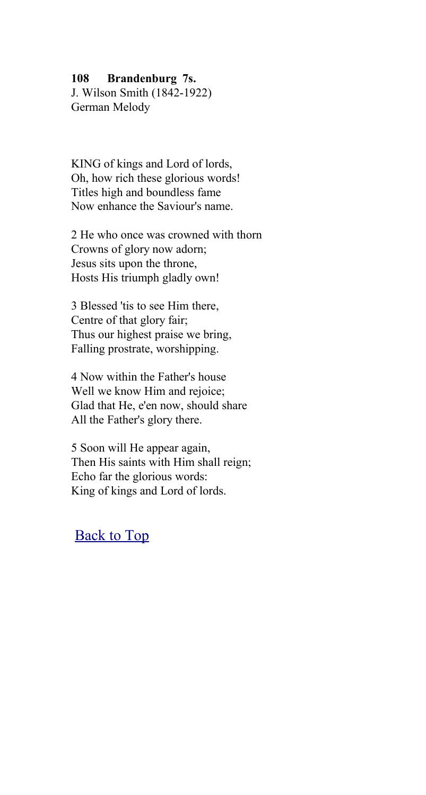#### **108 Brandenburg 7s.**

J. Wilson Smith (1842-1922) German Melody

KING of kings and Lord of lords, Oh, how rich these glorious words! Titles high and boundless fame Now enhance the Saviour's name.

2 He who once was crowned with thorn Crowns of glory now adorn; Jesus sits upon the throne, Hosts His triumph gladly own!

3 Blessed 'tis to see Him there, Centre of that glory fair; Thus our highest praise we bring, Falling prostrate, worshipping.

4 Now within the Father's house Well we know Him and rejoice; Glad that He, e'en now, should share All the Father's glory there.

5 Soon will He appear again, Then His saints with Him shall reign; Echo far the glorious words: King of kings and Lord of lords.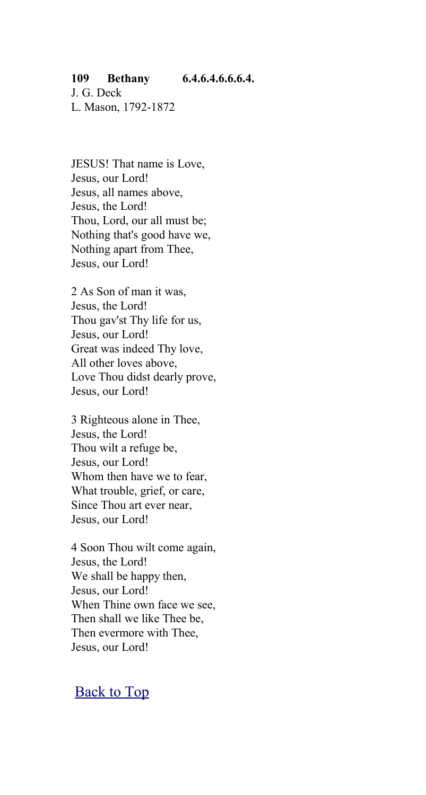### **109 Bethany 6.4.6.4.6.6.6.4.**

J. G. Deck L. Mason, 1792-1872

JESUS! That name is Love, Jesus, our Lord! Jesus, all names above, Jesus, the Lord! Thou, Lord, our all must be; Nothing that's good have we, Nothing apart from Thee, Jesus, our Lord!

2 As Son of man it was, Jesus, the Lord! Thou gav'st Thy life for us, Jesus, our Lord! Great was indeed Thy love, All other loves above, Love Thou didst dearly prove, Jesus, our Lord!

3 Righteous alone in Thee, Jesus, the Lord! Thou wilt a refuge be, Jesus, our Lord! Whom then have we to fear, What trouble, grief, or care, Since Thou art ever near, Jesus, our Lord!

4 Soon Thou wilt come again, Jesus, the Lord! We shall be happy then, Jesus, our Lord! When Thine own face we see, Then shall we like Thee be, Then evermore with Thee, Jesus, our Lord!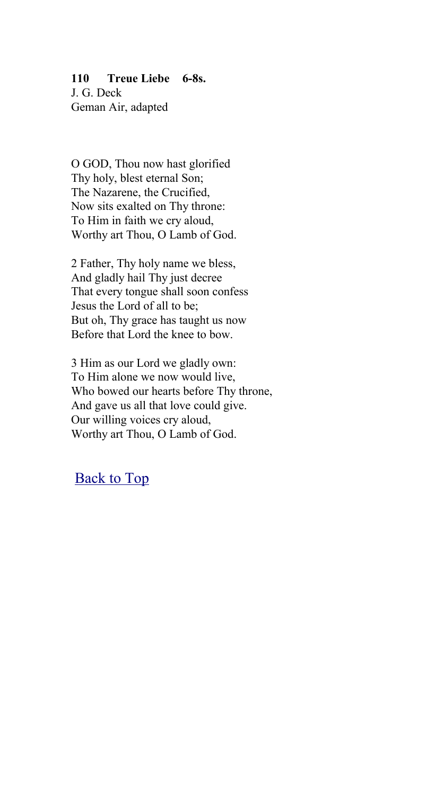### **110 Treue Liebe 6-8s.**

J. G. Deck Geman Air, adapted

O GOD, Thou now hast glorified Thy holy, blest eternal Son; The Nazarene, the Crucified, Now sits exalted on Thy throne: To Him in faith we cry aloud, Worthy art Thou, O Lamb of God.

2 Father, Thy holy name we bless, And gladly hail Thy just decree That every tongue shall soon confess Jesus the Lord of all to be; But oh, Thy grace has taught us now Before that Lord the knee to bow.

3 Him as our Lord we gladly own: To Him alone we now would live, Who bowed our hearts before Thy throne, And gave us all that love could give. Our willing voices cry aloud, Worthy art Thou, O Lamb of God.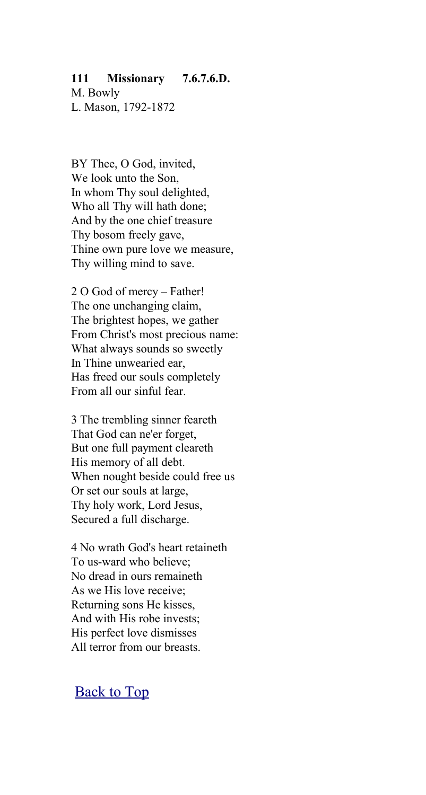#### **111 Missionary 7.6.7.6.D.**

M. Bowly L. Mason, 1792-1872

BY Thee, O God, invited, We look unto the Son, In whom Thy soul delighted, Who all Thy will hath done; And by the one chief treasure Thy bosom freely gave, Thine own pure love we measure, Thy willing mind to save.

2 O God of mercy – Father! The one unchanging claim, The brightest hopes, we gather From Christ's most precious name: What always sounds so sweetly In Thine unwearied ear, Has freed our souls completely From all our sinful fear.

3 The trembling sinner feareth That God can ne'er forget, But one full payment cleareth His memory of all debt. When nought beside could free us Or set our souls at large, Thy holy work, Lord Jesus, Secured a full discharge.

4 No wrath God's heart retaineth To us-ward who believe; No dread in ours remaineth As we His love receive; Returning sons He kisses, And with His robe invests; His perfect love dismisses All terror from our breasts.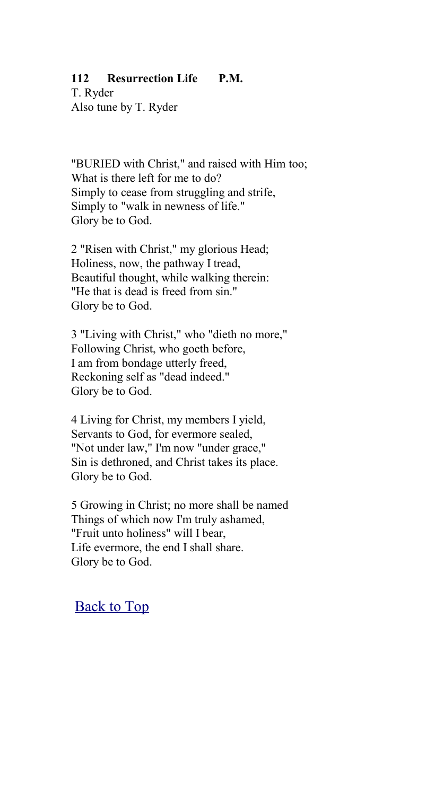## **112 Resurrection Life P.M.**

T. Ryder Also tune by T. Ryder

"BURIED with Christ," and raised with Him too; What is there left for me to do? Simply to cease from struggling and strife, Simply to "walk in newness of life." Glory be to God.

2 "Risen with Christ," my glorious Head; Holiness, now, the pathway I tread, Beautiful thought, while walking therein: "He that is dead is freed from sin." Glory be to God.

3 "Living with Christ," who "dieth no more," Following Christ, who goeth before, I am from bondage utterly freed, Reckoning self as "dead indeed." Glory be to God.

4 Living for Christ, my members I yield, Servants to God, for evermore sealed, "Not under law," I'm now "under grace," Sin is dethroned, and Christ takes its place. Glory be to God.

5 Growing in Christ; no more shall be named Things of which now I'm truly ashamed, "Fruit unto holiness" will I bear, Life evermore, the end I shall share. Glory be to God.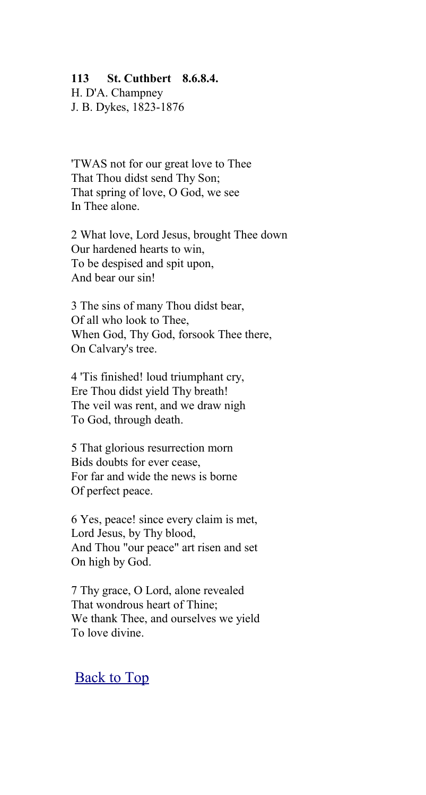#### **113 St. Cuthbert 8.6.8.4.**

H. D'A. Champney J. B. Dykes, 1823-1876

'TWAS not for our great love to Thee That Thou didst send Thy Son; That spring of love, O God, we see In Thee alone.

2 What love, Lord Jesus, brought Thee down Our hardened hearts to win, To be despised and spit upon, And bear our sin!

3 The sins of many Thou didst bear, Of all who look to Thee, When God, Thy God, forsook Thee there, On Calvary's tree.

4 'Tis finished! loud triumphant cry, Ere Thou didst yield Thy breath! The veil was rent, and we draw nigh To God, through death.

5 That glorious resurrection morn Bids doubts for ever cease, For far and wide the news is borne Of perfect peace.

6 Yes, peace! since every claim is met, Lord Jesus, by Thy blood, And Thou "our peace" art risen and set On high by God.

7 Thy grace, O Lord, alone revealed That wondrous heart of Thine; We thank Thee, and ourselves we yield To love divine.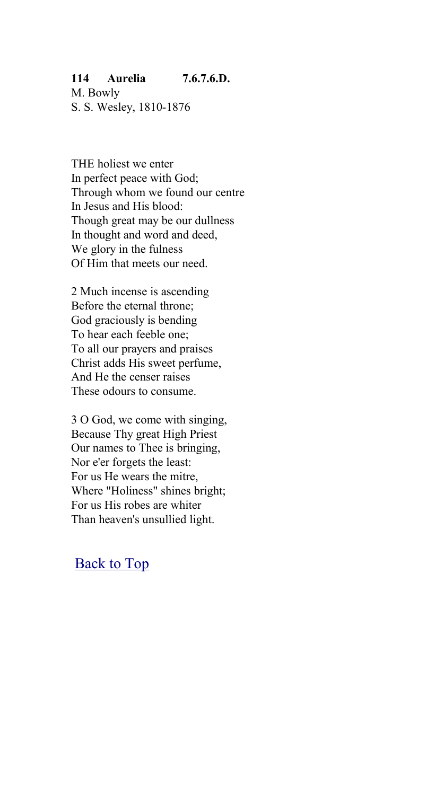### **114 Aurelia 7.6.7.6.D.**

M. Bowly S. S. Wesley, 1810-1876

THE holiest we enter In perfect peace with God; Through whom we found our centre In Jesus and His blood: Though great may be our dullness In thought and word and deed, We glory in the fulness Of Him that meets our need.

2 Much incense is ascending Before the eternal throne; God graciously is bending To hear each feeble one; To all our prayers and praises Christ adds His sweet perfume, And He the censer raises These odours to consume.

3 O God, we come with singing, Because Thy great High Priest Our names to Thee is bringing, Nor e'er forgets the least: For us He wears the mitre, Where "Holiness" shines bright; For us His robes are whiter Than heaven's unsullied light.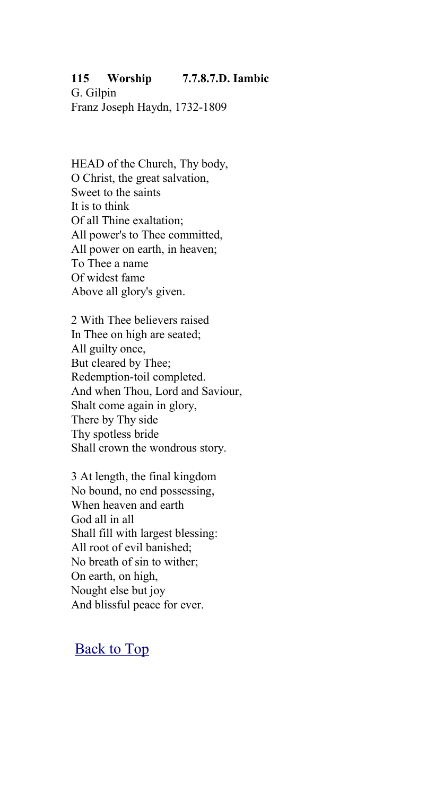### **115 Worship 7.7.8.7.D. Iambic**

G. Gilpin Franz Joseph Haydn, 1732-1809

HEAD of the Church, Thy body, O Christ, the great salvation, Sweet to the saints It is to think Of all Thine exaltation; All power's to Thee committed, All power on earth, in heaven; To Thee a name Of widest fame Above all glory's given.

2 With Thee believers raised In Thee on high are seated; All guilty once, But cleared by Thee; Redemption-toil completed. And when Thou, Lord and Saviour, Shalt come again in glory, There by Thy side Thy spotless bride Shall crown the wondrous story.

3 At length, the final kingdom No bound, no end possessing, When heaven and earth God all in all Shall fill with largest blessing: All root of evil banished; No breath of sin to wither; On earth, on high, Nought else but joy And blissful peace for ever.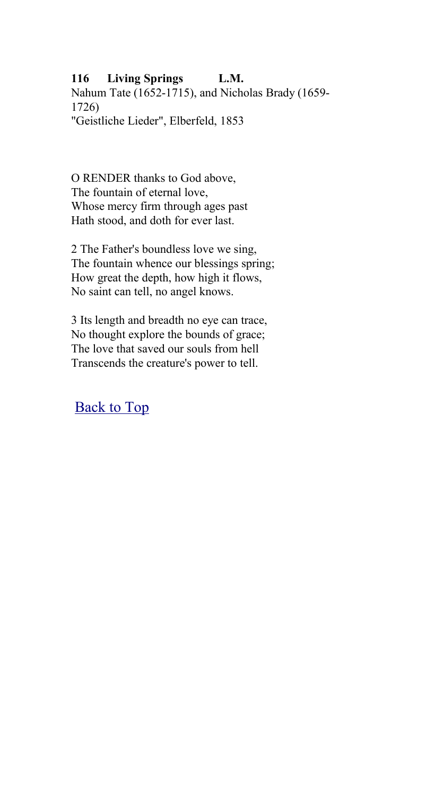# **116 Living Springs L.M.**

Nahum Tate (1652-1715), and Nicholas Brady (1659- 1726) "Geistliche Lieder", Elberfeld, 1853

O RENDER thanks to God above, The fountain of eternal love, Whose mercy firm through ages past Hath stood, and doth for ever last.

2 The Father's boundless love we sing, The fountain whence our blessings spring; How great the depth, how high it flows, No saint can tell, no angel knows.

3 Its length and breadth no eye can trace, No thought explore the bounds of grace; The love that saved our souls from hell Transcends the creature's power to tell.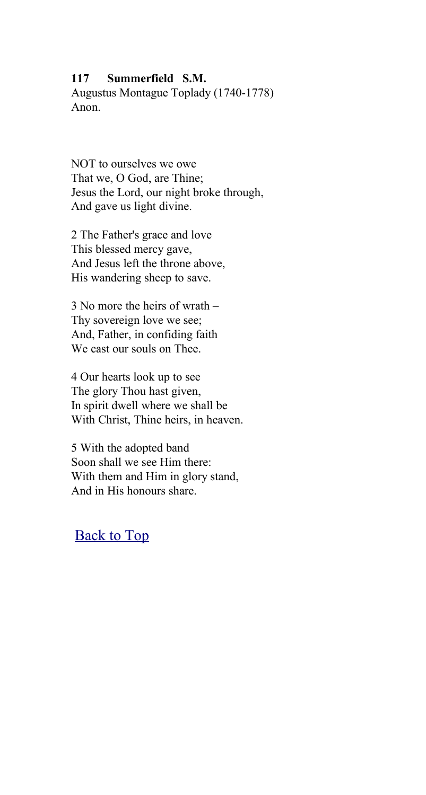### **117 Summerfield S.M.**

Augustus Montague Toplady (1740-1778) Anon.

NOT to ourselves we owe That we, O God, are Thine; Jesus the Lord, our night broke through, And gave us light divine.

2 The Father's grace and love This blessed mercy gave, And Jesus left the throne above, His wandering sheep to save.

3 No more the heirs of wrath – Thy sovereign love we see; And, Father, in confiding faith We cast our souls on Thee.

4 Our hearts look up to see The glory Thou hast given, In spirit dwell where we shall be With Christ, Thine heirs, in heaven.

5 With the adopted band Soon shall we see Him there: With them and Him in glory stand, And in His honours share.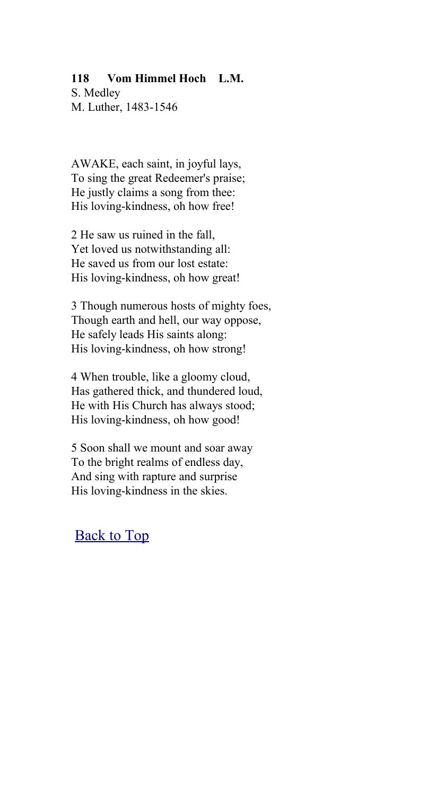### **118 Vom Himmel Hoch L.M.**

S. Medley M. Luther, 1483-1546

AWAKE, each saint, in joyful lays, To sing the great Redeemer's praise; He justly claims a song from thee: His loving-kindness, oh how free!

2 He saw us ruined in the fall, Yet loved us notwithstanding all: He saved us from our lost estate: His loving-kindness, oh how great!

3 Though numerous hosts of mighty foes, Though earth and hell, our way oppose, He safely leads His saints along: His loving-kindness, oh how strong!

4 When trouble, like a gloomy cloud, Has gathered thick, and thundered loud, He with His Church has always stood; His loving-kindness, oh how good!

5 Soon shall we mount and soar away To the bright realms of endless day, And sing with rapture and surprise His loving-kindness in the skies.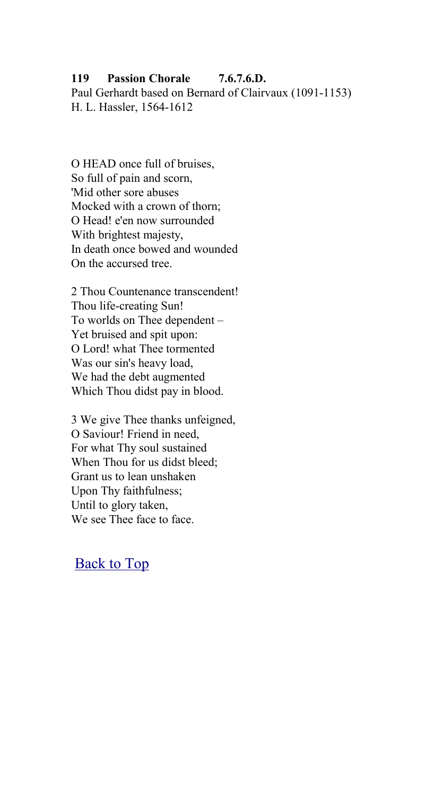## **119 Passion Chorale 7.6.7.6.D.**

Paul Gerhardt based on Bernard of Clairvaux (1091-1153) H. L. Hassler, 1564-1612

O HEAD once full of bruises, So full of pain and scorn, 'Mid other sore abuses Mocked with a crown of thorn; O Head! e'en now surrounded With brightest majesty, In death once bowed and wounded On the accursed tree.

2 Thou Countenance transcendent! Thou life-creating Sun! To worlds on Thee dependent – Yet bruised and spit upon: O Lord! what Thee tormented Was our sin's heavy load, We had the debt augmented Which Thou didst pay in blood.

3 We give Thee thanks unfeigned, O Saviour! Friend in need, For what Thy soul sustained When Thou for us didst bleed; Grant us to lean unshaken Upon Thy faithfulness; Until to glory taken, We see Thee face to face.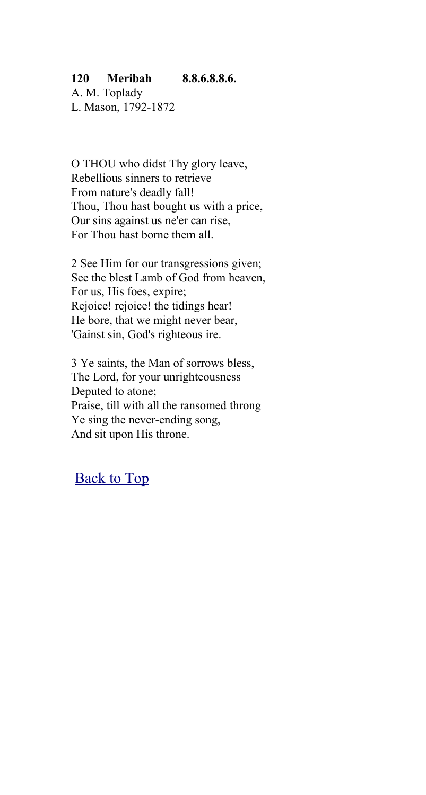## **120 Meribah 8.8.6.8.8.6.**

A. M. Toplady L. Mason, 1792-1872

O THOU who didst Thy glory leave, Rebellious sinners to retrieve From nature's deadly fall! Thou, Thou hast bought us with a price, Our sins against us ne'er can rise, For Thou hast borne them all.

2 See Him for our transgressions given; See the blest Lamb of God from heaven, For us, His foes, expire; Rejoice! rejoice! the tidings hear! He bore, that we might never bear, 'Gainst sin, God's righteous ire.

3 Ye saints, the Man of sorrows bless, The Lord, for your unrighteousness Deputed to atone; Praise, till with all the ransomed throng Ye sing the never-ending song, And sit upon His throne.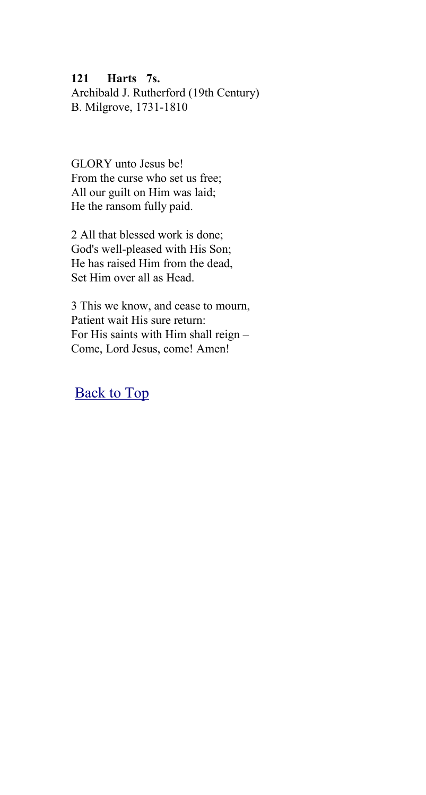#### **121 Harts 7s.**

Archibald J. Rutherford (19th Century) B. Milgrove, 1731-1810

GLORY unto Jesus be! From the curse who set us free; All our guilt on Him was laid; He the ransom fully paid.

2 All that blessed work is done; God's well-pleased with His Son; He has raised Him from the dead, Set Him over all as Head.

3 This we know, and cease to mourn, Patient wait His sure return: For His saints with Him shall reign – Come, Lord Jesus, come! Amen!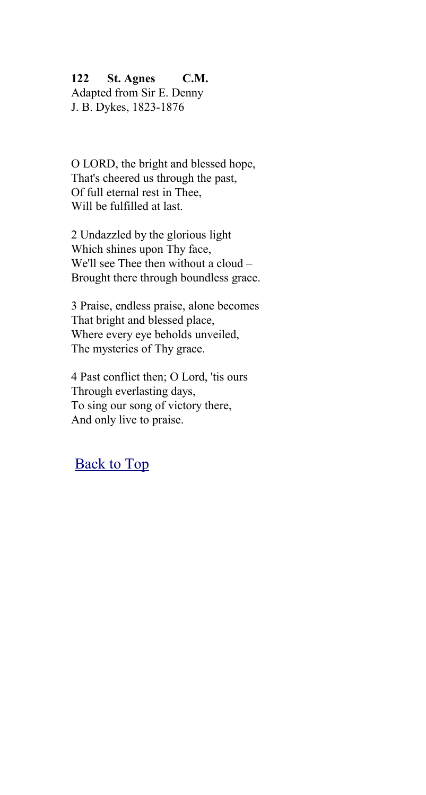### **122 St. Agnes C.M.**

Adapted from Sir E. Denny J. B. Dykes, 1823-1876

O LORD, the bright and blessed hope, That's cheered us through the past, Of full eternal rest in Thee, Will be fulfilled at last.

2 Undazzled by the glorious light Which shines upon Thy face, We'll see Thee then without a cloud – Brought there through boundless grace.

3 Praise, endless praise, alone becomes That bright and blessed place, Where every eye beholds unveiled, The mysteries of Thy grace.

4 Past conflict then; O Lord, 'tis ours Through everlasting days, To sing our song of victory there, And only live to praise.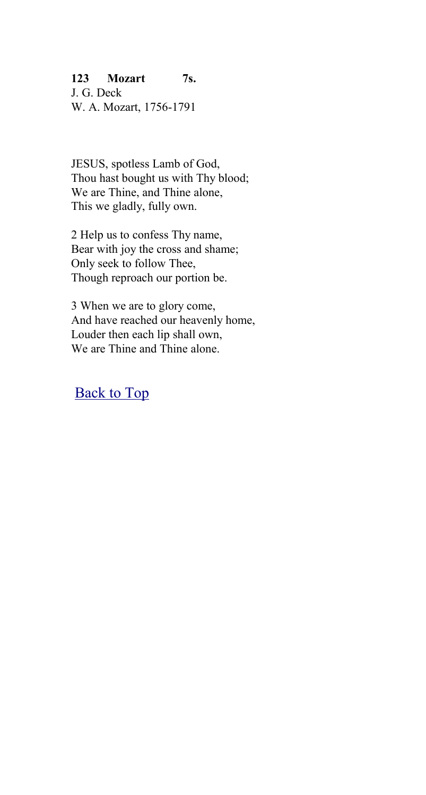## **123 Mozart 7s.**

J. G. Deck W. A. Mozart, 1756-1791

JESUS, spotless Lamb of God, Thou hast bought us with Thy blood; We are Thine, and Thine alone, This we gladly, fully own.

2 Help us to confess Thy name, Bear with joy the cross and shame; Only seek to follow Thee, Though reproach our portion be.

3 When we are to glory come, And have reached our heavenly home, Louder then each lip shall own, We are Thine and Thine alone.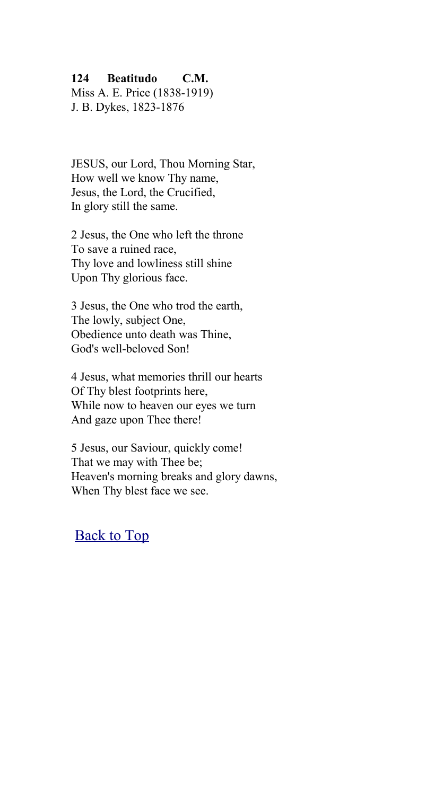### **124 Beatitudo C.M.**

Miss A. E. Price (1838-1919) J. B. Dykes, 1823-1876

JESUS, our Lord, Thou Morning Star, How well we know Thy name, Jesus, the Lord, the Crucified, In glory still the same.

2 Jesus, the One who left the throne To save a ruined race, Thy love and lowliness still shine Upon Thy glorious face.

3 Jesus, the One who trod the earth, The lowly, subject One, Obedience unto death was Thine, God's well-beloved Son!

4 Jesus, what memories thrill our hearts Of Thy blest footprints here, While now to heaven our eyes we turn And gaze upon Thee there!

5 Jesus, our Saviour, quickly come! That we may with Thee be; Heaven's morning breaks and glory dawns, When Thy blest face we see.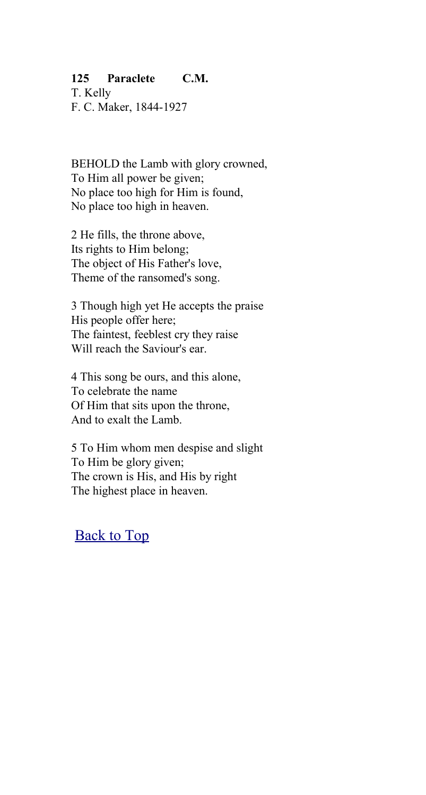## **125 Paraclete C.M.**

T. Kelly F. C. Maker, 1844-1927

BEHOLD the Lamb with glory crowned, To Him all power be given; No place too high for Him is found, No place too high in heaven.

2 He fills, the throne above, Its rights to Him belong; The object of His Father's love, Theme of the ransomed's song.

3 Though high yet He accepts the praise His people offer here; The faintest, feeblest cry they raise Will reach the Saviour's ear.

4 This song be ours, and this alone, To celebrate the name Of Him that sits upon the throne, And to exalt the Lamb.

5 To Him whom men despise and slight To Him be glory given; The crown is His, and His by right The highest place in heaven.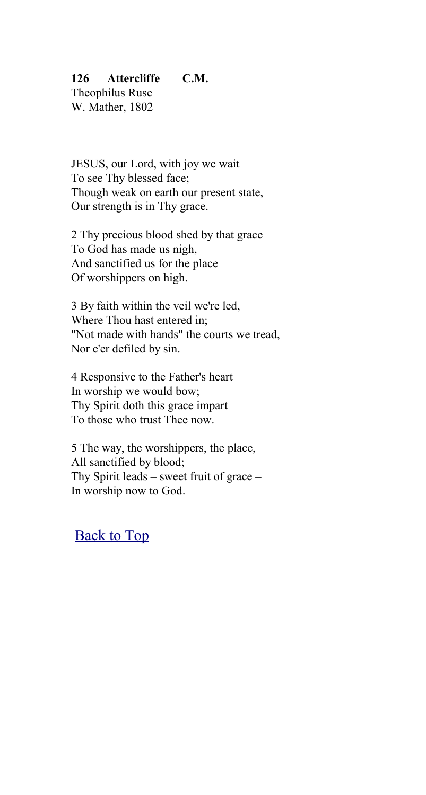## **126 Attercliffe C.M.**

Theophilus Ruse W. Mather, 1802

JESUS, our Lord, with joy we wait To see Thy blessed face; Though weak on earth our present state, Our strength is in Thy grace.

2 Thy precious blood shed by that grace To God has made us nigh, And sanctified us for the place Of worshippers on high.

3 By faith within the veil we're led, Where Thou hast entered in; "Not made with hands" the courts we tread, Nor e'er defiled by sin.

4 Responsive to the Father's heart In worship we would bow; Thy Spirit doth this grace impart To those who trust Thee now.

5 The way, the worshippers, the place, All sanctified by blood; Thy Spirit leads – sweet fruit of grace – In worship now to God.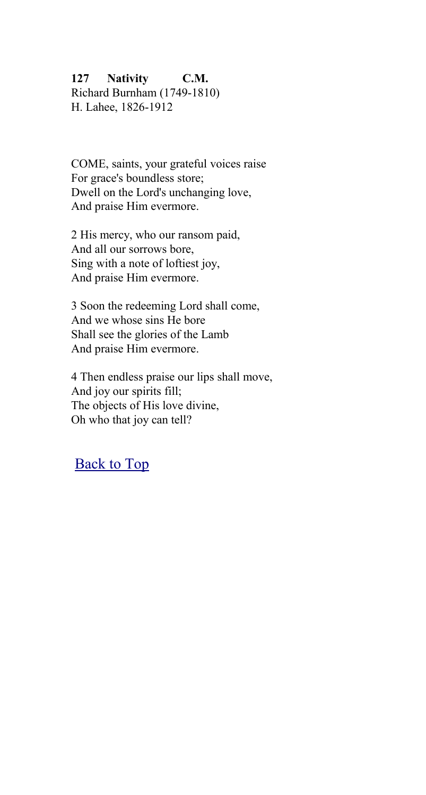## **127 Nativity C.M.**

Richard Burnham (1749-1810) H. Lahee, 1826-1912

COME, saints, your grateful voices raise For grace's boundless store; Dwell on the Lord's unchanging love, And praise Him evermore.

2 His mercy, who our ransom paid, And all our sorrows bore, Sing with a note of loftiest joy, And praise Him evermore.

3 Soon the redeeming Lord shall come, And we whose sins He bore Shall see the glories of the Lamb And praise Him evermore.

4 Then endless praise our lips shall move, And joy our spirits fill; The objects of His love divine, Oh who that joy can tell?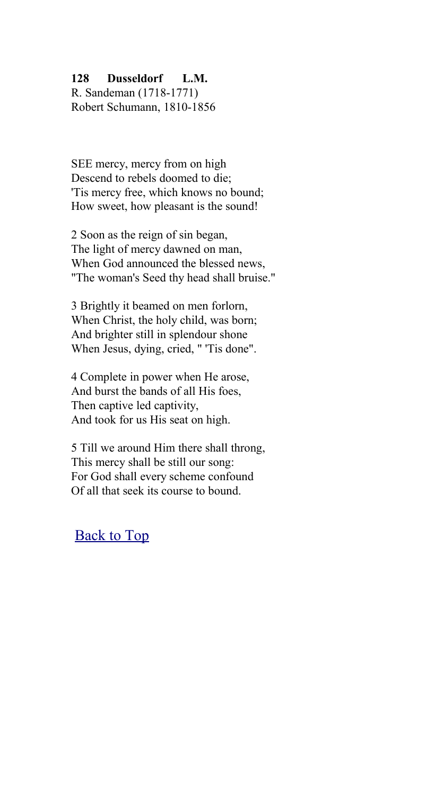### **128 Dusseldorf L.M.**

R. Sandeman (1718-1771) Robert Schumann, 1810-1856

SEE mercy, mercy from on high Descend to rebels doomed to die; 'Tis mercy free, which knows no bound; How sweet, how pleasant is the sound!

2 Soon as the reign of sin began, The light of mercy dawned on man, When God announced the blessed news, "The woman's Seed thy head shall bruise."

3 Brightly it beamed on men forlorn, When Christ, the holy child, was born; And brighter still in splendour shone When Jesus, dying, cried, " 'Tis done".

4 Complete in power when He arose, And burst the bands of all His foes, Then captive led captivity, And took for us His seat on high.

5 Till we around Him there shall throng, This mercy shall be still our song: For God shall every scheme confound Of all that seek its course to bound.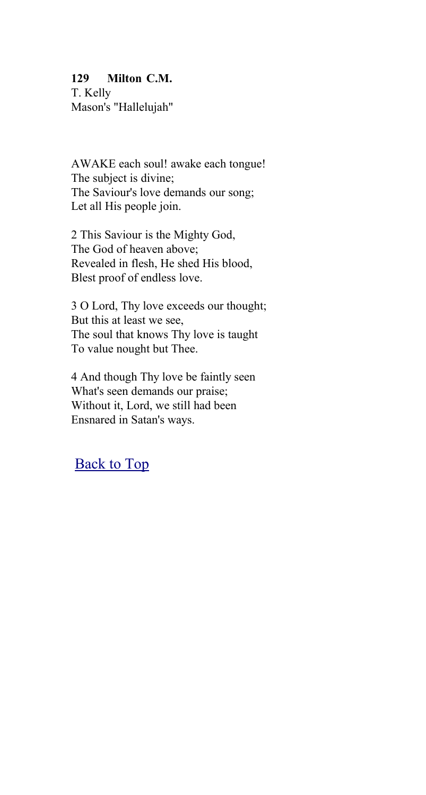## **129 Milton C.M.**

T. Kelly Mason's "Hallelujah"

AWAKE each soul! awake each tongue! The subject is divine; The Saviour's love demands our song; Let all His people join.

2 This Saviour is the Mighty God, The God of heaven above; Revealed in flesh, He shed His blood, Blest proof of endless love.

3 O Lord, Thy love exceeds our thought; But this at least we see, The soul that knows Thy love is taught To value nought but Thee.

4 And though Thy love be faintly seen What's seen demands our praise; Without it, Lord, we still had been Ensnared in Satan's ways.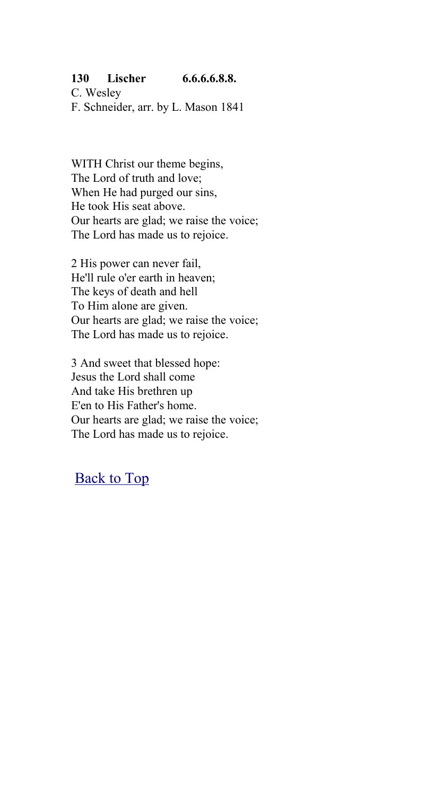## **130 Lischer 6.6.6.6.8.8.**

C. Wesley F. Schneider, arr. by L. Mason 1841

WITH Christ our theme begins, The Lord of truth and love; When He had purged our sins, He took His seat above. Our hearts are glad; we raise the voice; The Lord has made us to rejoice.

2 His power can never fail, He'll rule o'er earth in heaven; The keys of death and hell To Him alone are given. Our hearts are glad; we raise the voice; The Lord has made us to rejoice.

3 And sweet that blessed hope: Jesus the Lord shall come And take His brethren up E'en to His Father's home. Our hearts are glad; we raise the voice; The Lord has made us to rejoice.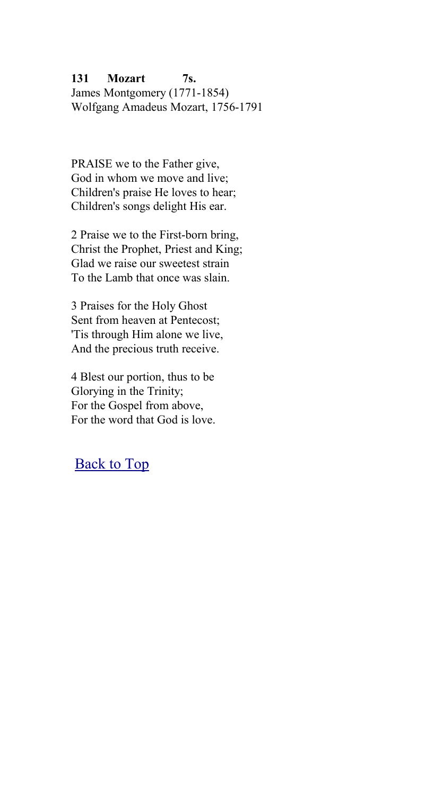## **131 Mozart 7s.**

James Montgomery (1771-1854) Wolfgang Amadeus Mozart, 1756-1791

PRAISE we to the Father give, God in whom we move and live; Children's praise He loves to hear; Children's songs delight His ear.

2 Praise we to the First-born bring, Christ the Prophet, Priest and King; Glad we raise our sweetest strain To the Lamb that once was slain.

3 Praises for the Holy Ghost Sent from heaven at Pentecost; 'Tis through Him alone we live, And the precious truth receive.

4 Blest our portion, thus to be Glorying in the Trinity; For the Gospel from above, For the word that God is love.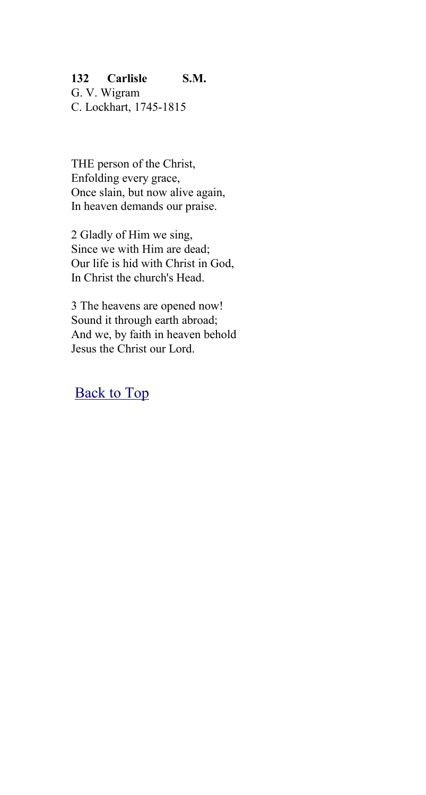## **132 Carlisle S.M.**

G. V. Wigram C. Lockhart, 1745-1815

THE person of the Christ, Enfolding every grace, Once slain, but now alive again, In heaven demands our praise.

2 Gladly of Him we sing, Since we with Him are dead; Our life is hid with Christ in God, In Christ the church's Head.

3 The heavens are opened now! Sound it through earth abroad; And we, by faith in heaven behold Jesus the Christ our Lord.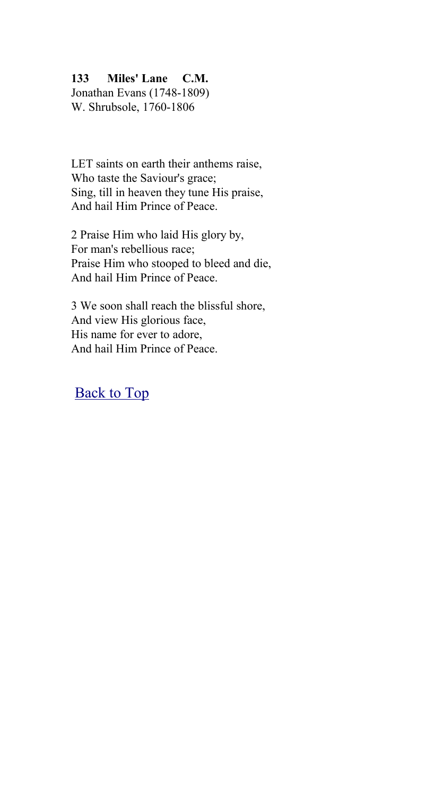## **133 Miles' Lane C.M.**

Jonathan Evans (1748-1809) W. Shrubsole, 1760-1806

LET saints on earth their anthems raise, Who taste the Saviour's grace; Sing, till in heaven they tune His praise, And hail Him Prince of Peace.

2 Praise Him who laid His glory by, For man's rebellious race; Praise Him who stooped to bleed and die, And hail Him Prince of Peace.

3 We soon shall reach the blissful shore, And view His glorious face, His name for ever to adore, And hail Him Prince of Peace.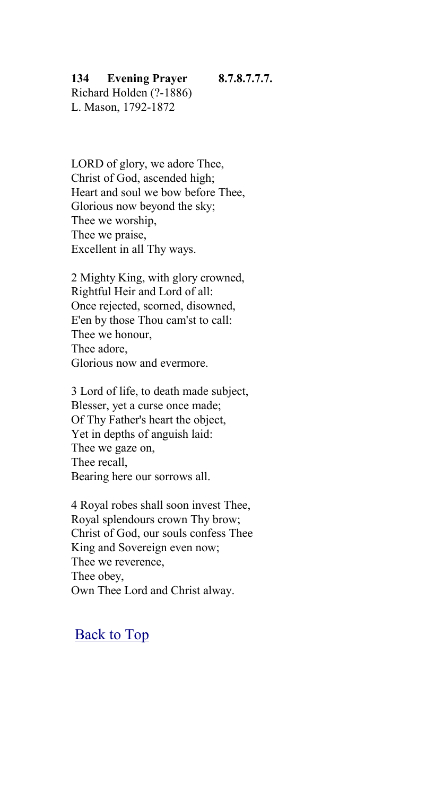#### **134 Evening Prayer 8.7.8.7.7.7.**

Richard Holden (?-1886) L. Mason, 1792-1872

LORD of glory, we adore Thee, Christ of God, ascended high; Heart and soul we bow before Thee, Glorious now beyond the sky; Thee we worship, Thee we praise, Excellent in all Thy ways.

2 Mighty King, with glory crowned, Rightful Heir and Lord of all: Once rejected, scorned, disowned, E'en by those Thou cam'st to call: Thee we honour, Thee adore, Glorious now and evermore.

3 Lord of life, to death made subject, Blesser, yet a curse once made; Of Thy Father's heart the object, Yet in depths of anguish laid: Thee we gaze on, Thee recall, Bearing here our sorrows all.

4 Royal robes shall soon invest Thee, Royal splendours crown Thy brow; Christ of God, our souls confess Thee King and Sovereign even now; Thee we reverence, Thee obey, Own Thee Lord and Christ alway.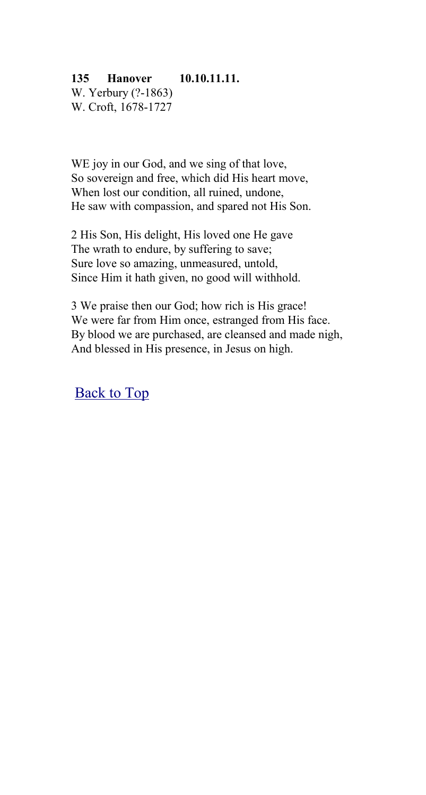## **135 Hanover 10.10.11.11.**

W. Yerbury (?-1863) W. Croft, 1678-1727

WE joy in our God, and we sing of that love, So sovereign and free, which did His heart move, When lost our condition, all ruined, undone, He saw with compassion, and spared not His Son.

2 His Son, His delight, His loved one He gave The wrath to endure, by suffering to save; Sure love so amazing, unmeasured, untold, Since Him it hath given, no good will withhold.

3 We praise then our God; how rich is His grace! We were far from Him once, estranged from His face. By blood we are purchased, are cleansed and made nigh, And blessed in His presence, in Jesus on high.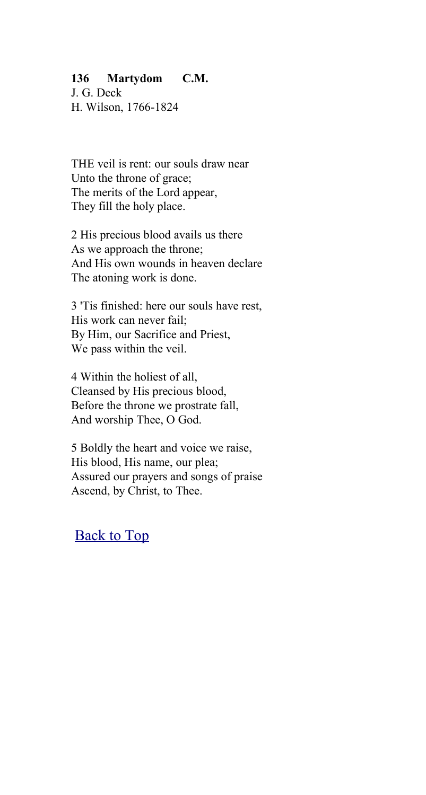### **136 Martydom C.M.**

J. G. Deck H. Wilson, 1766-1824

THE veil is rent: our souls draw near Unto the throne of grace; The merits of the Lord appear, They fill the holy place.

2 His precious blood avails us there As we approach the throne; And His own wounds in heaven declare The atoning work is done.

3 'Tis finished: here our souls have rest, His work can never fail; By Him, our Sacrifice and Priest, We pass within the veil.

4 Within the holiest of all, Cleansed by His precious blood, Before the throne we prostrate fall, And worship Thee, O God.

5 Boldly the heart and voice we raise, His blood, His name, our plea; Assured our prayers and songs of praise Ascend, by Christ, to Thee.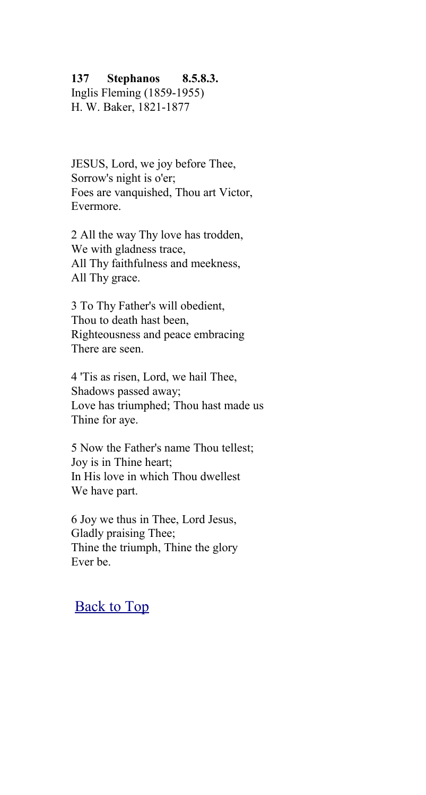#### **137 Stephanos 8.5.8.3.**

Inglis Fleming (1859-1955) H. W. Baker, 1821-1877

JESUS, Lord, we joy before Thee, Sorrow's night is o'er; Foes are vanquished. Thou art Victor, Evermore.

2 All the way Thy love has trodden, We with gladness trace, All Thy faithfulness and meekness, All Thy grace.

3 To Thy Father's will obedient, Thou to death hast been, Righteousness and peace embracing There are seen.

4 'Tis as risen, Lord, we hail Thee, Shadows passed away; Love has triumphed; Thou hast made us Thine for aye.

5 Now the Father's name Thou tellest; Joy is in Thine heart; In His love in which Thou dwellest We have part.

6 Joy we thus in Thee, Lord Jesus, Gladly praising Thee; Thine the triumph, Thine the glory Ever be.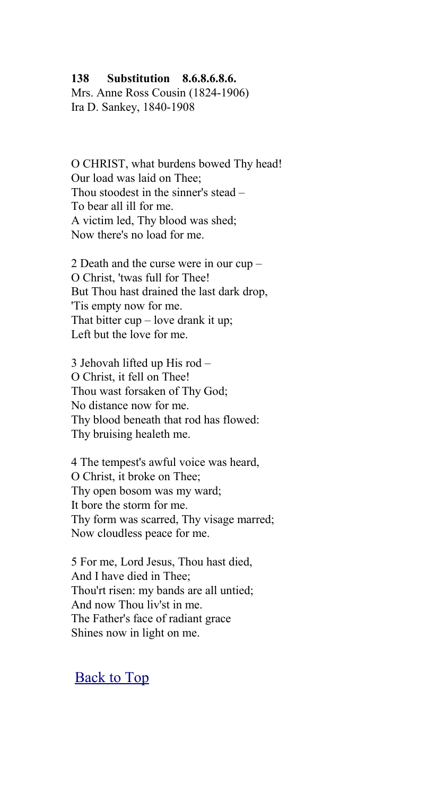#### **138 Substitution 8.6.8.6.8.6.**

Mrs. Anne Ross Cousin (1824-1906) Ira D. Sankey, 1840-1908

O CHRIST, what burdens bowed Thy head! Our load was laid on Thee; Thou stoodest in the sinner's stead – To bear all ill for me. A victim led, Thy blood was shed; Now there's no load for me.

2 Death and the curse were in our cup – O Christ, 'twas full for Thee! But Thou hast drained the last dark drop, 'Tis empty now for me. That bitter  $cup$  – love drank it up; Left but the love for me.

3 Jehovah lifted up His rod – O Christ, it fell on Thee! Thou wast forsaken of Thy God; No distance now for me. Thy blood beneath that rod has flowed: Thy bruising healeth me.

4 The tempest's awful voice was heard, O Christ, it broke on Thee; Thy open bosom was my ward; It bore the storm for me. Thy form was scarred, Thy visage marred; Now cloudless peace for me.

5 For me, Lord Jesus, Thou hast died, And I have died in Thee; Thou'rt risen: my bands are all untied; And now Thou liv'st in me. The Father's face of radiant grace Shines now in light on me.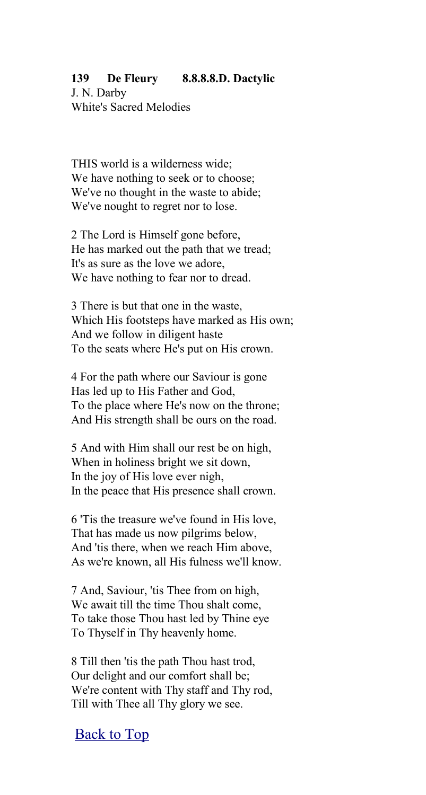### **139 De Fleury 8.8.8.8.D. Dactylic**

J. N. Darby White's Sacred Melodies

THIS world is a wilderness wide; We have nothing to seek or to choose; We've no thought in the waste to abide; We've nought to regret nor to lose.

2 The Lord is Himself gone before, He has marked out the path that we tread; It's as sure as the love we adore, We have nothing to fear nor to dread.

3 There is but that one in the waste, Which His footsteps have marked as His own; And we follow in diligent haste To the seats where He's put on His crown.

4 For the path where our Saviour is gone Has led up to His Father and God, To the place where He's now on the throne; And His strength shall be ours on the road.

5 And with Him shall our rest be on high, When in holiness bright we sit down, In the joy of His love ever nigh, In the peace that His presence shall crown.

6 'Tis the treasure we've found in His love, That has made us now pilgrims below, And 'tis there, when we reach Him above, As we're known, all His fulness we'll know.

7 And, Saviour, 'tis Thee from on high, We await till the time Thou shalt come, To take those Thou hast led by Thine eye To Thyself in Thy heavenly home.

8 Till then 'tis the path Thou hast trod, Our delight and our comfort shall be; We're content with Thy staff and Thy rod, Till with Thee all Thy glory we see.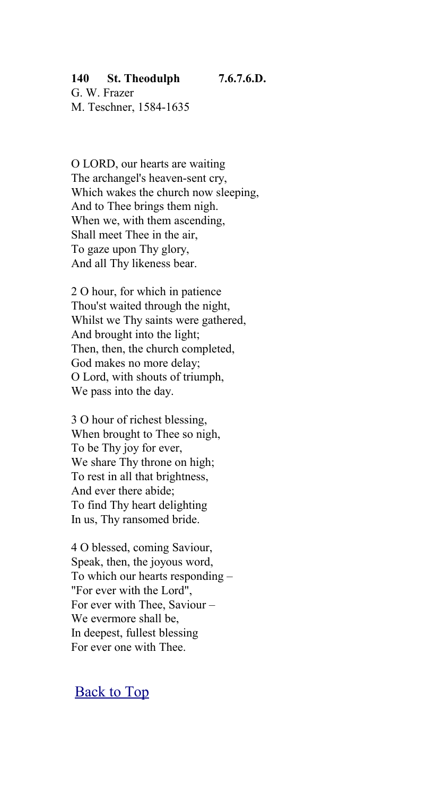### **140 St. Theodulph 7.6.7.6.D.**

G. W. Frazer M. Teschner, 1584-1635

O LORD, our hearts are waiting The archangel's heaven-sent cry, Which wakes the church now sleeping. And to Thee brings them nigh. When we, with them ascending, Shall meet Thee in the air, To gaze upon Thy glory, And all Thy likeness bear.

2 O hour, for which in patience Thou'st waited through the night, Whilst we Thy saints were gathered, And brought into the light; Then, then, the church completed, God makes no more delay; O Lord, with shouts of triumph, We pass into the day.

3 O hour of richest blessing, When brought to Thee so nigh, To be Thy joy for ever, We share Thy throne on high; To rest in all that brightness, And ever there abide; To find Thy heart delighting In us, Thy ransomed bride.

4 O blessed, coming Saviour, Speak, then, the joyous word, To which our hearts responding – "For ever with the Lord", For ever with Thee, Saviour – We evermore shall be, In deepest, fullest blessing For ever one with Thee.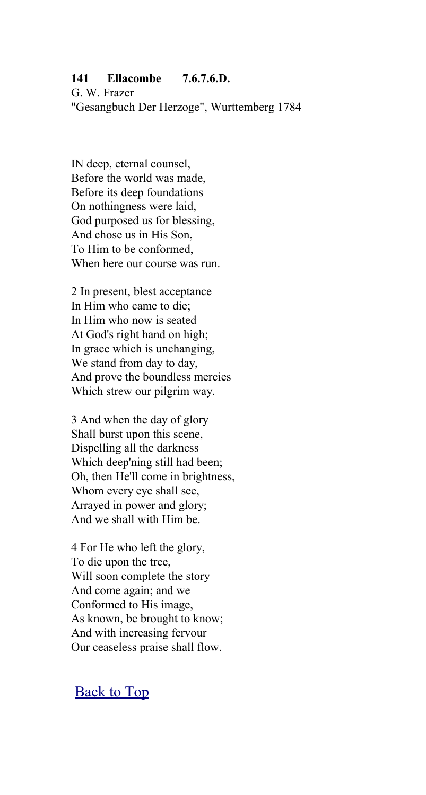## **141 Ellacombe 7.6.7.6.D.**

G. W. Frazer "Gesangbuch Der Herzoge", Wurttemberg 1784

IN deep, eternal counsel, Before the world was made, Before its deep foundations On nothingness were laid, God purposed us for blessing, And chose us in His Son, To Him to be conformed, When here our course was run.

2 In present, blest acceptance In Him who came to die; In Him who now is seated At God's right hand on high; In grace which is unchanging, We stand from day to day, And prove the boundless mercies Which strew our pilgrim way.

3 And when the day of glory Shall burst upon this scene, Dispelling all the darkness Which deep'ning still had been; Oh, then He'll come in brightness, Whom every eye shall see, Arrayed in power and glory; And we shall with Him be.

4 For He who left the glory, To die upon the tree, Will soon complete the story And come again; and we Conformed to His image, As known, be brought to know; And with increasing fervour Our ceaseless praise shall flow.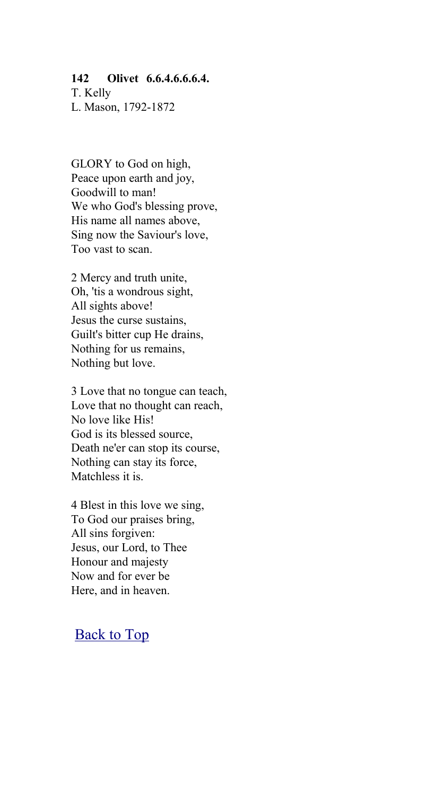#### **142 Olivet 6.6.4.6.6.6.4.**

T. Kelly L. Mason, 1792-1872

GLORY to God on high, Peace upon earth and joy, Goodwill to man! We who God's blessing prove, His name all names above, Sing now the Saviour's love, Too vast to scan.

2 Mercy and truth unite, Oh, 'tis a wondrous sight, All sights above! Jesus the curse sustains, Guilt's bitter cup He drains, Nothing for us remains, Nothing but love.

3 Love that no tongue can teach, Love that no thought can reach, No love like His! God is its blessed source, Death ne'er can stop its course, Nothing can stay its force, Matchless it is.

4 Blest in this love we sing, To God our praises bring, All sins forgiven: Jesus, our Lord, to Thee Honour and majesty Now and for ever be Here, and in heaven.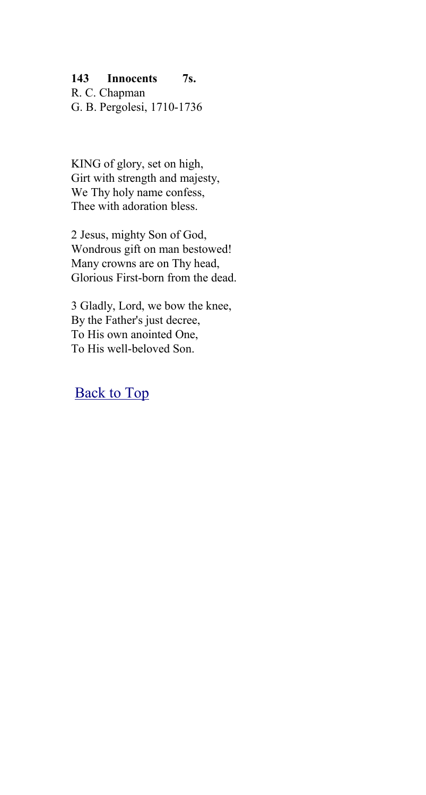### **143 Innocents 7s.**

R. C. Chapman G. B. Pergolesi, 1710-1736

KING of glory, set on high, Girt with strength and majesty, We Thy holy name confess, Thee with adoration bless.

2 Jesus, mighty Son of God, Wondrous gift on man bestowed! Many crowns are on Thy head, Glorious First-born from the dead.

3 Gladly, Lord, we bow the knee, By the Father's just decree, To His own anointed One, To His well-beloved Son.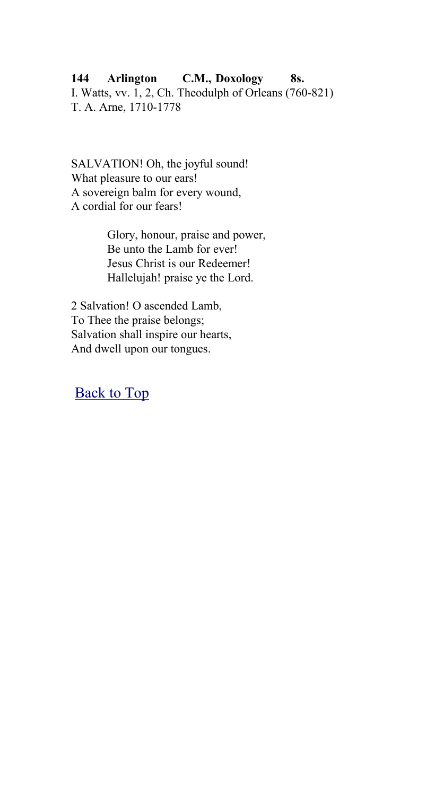## **144 Arlington C.M., Doxology 8s.**

I. Watts, vv. 1, 2, Ch. Theodulph of Orleans (760-821) T. A. Arne, 1710-1778

SALVATION! Oh, the joyful sound! What pleasure to our ears! A sovereign balm for every wound, A cordial for our fears!

> Glory, honour, praise and power, Be unto the Lamb for ever! Jesus Christ is our Redeemer! Hallelujah! praise ye the Lord.

2 Salvation! O ascended Lamb, To Thee the praise belongs; Salvation shall inspire our hearts, And dwell upon our tongues.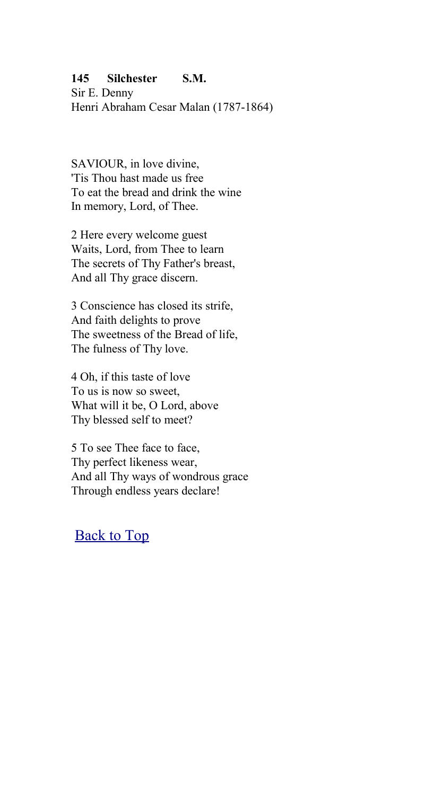## **145 Silchester S.M.**

Sir E. Denny Henri Abraham Cesar Malan (1787-1864)

SAVIOUR, in love divine, 'Tis Thou hast made us free To eat the bread and drink the wine In memory, Lord, of Thee.

2 Here every welcome guest Waits, Lord, from Thee to learn The secrets of Thy Father's breast, And all Thy grace discern.

3 Conscience has closed its strife, And faith delights to prove The sweetness of the Bread of life, The fulness of Thy love.

4 Oh, if this taste of love To us is now so sweet, What will it be, O Lord, above Thy blessed self to meet?

5 To see Thee face to face, Thy perfect likeness wear, And all Thy ways of wondrous grace Through endless years declare!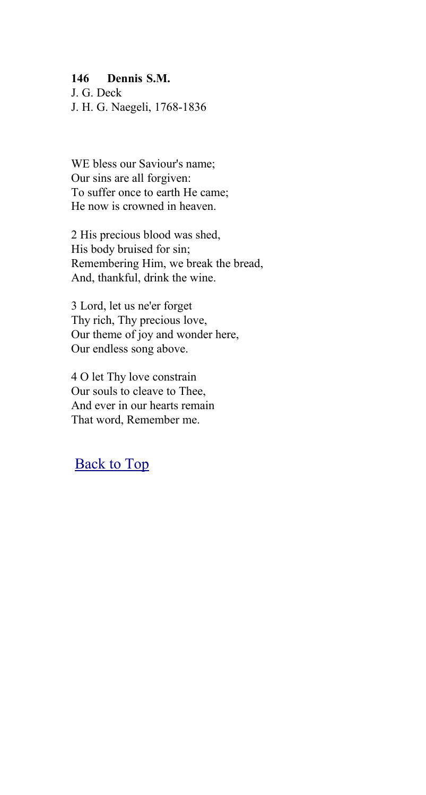### **146 Dennis S.M.**

J. G. Deck J. H. G. Naegeli, 1768-1836

WE bless our Saviour's name; Our sins are all forgiven: To suffer once to earth He came; He now is crowned in heaven.

2 His precious blood was shed, His body bruised for sin; Remembering Him, we break the bread, And, thankful, drink the wine.

3 Lord, let us ne'er forget Thy rich, Thy precious love, Our theme of joy and wonder here, Our endless song above.

4 O let Thy love constrain Our souls to cleave to Thee, And ever in our hearts remain That word, Remember me.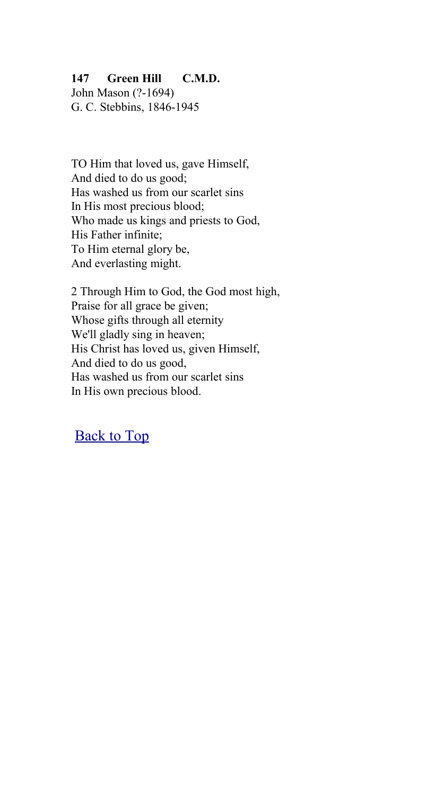## **147 Green Hill C.M.D.**

John Mason (?-1694) G. C. Stebbins, 1846-1945

TO Him that loved us, gave Himself, And died to do us good; Has washed us from our scarlet sins In His most precious blood; Who made us kings and priests to God, His Father infinite; To Him eternal glory be, And everlasting might.

2 Through Him to God, the God most high, Praise for all grace be given; Whose gifts through all eternity We'll gladly sing in heaven; His Christ has loved us, given Himself, And died to do us good, Has washed us from our scarlet sins In His own precious blood.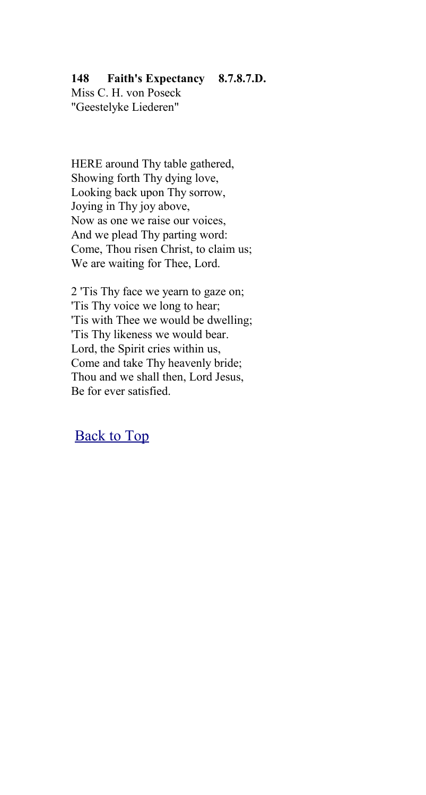## **148 Faith's Expectancy 8.7.8.7.D.**

Miss C. H. von Poseck "Geestelyke Liederen"

HERE around Thy table gathered, Showing forth Thy dying love, Looking back upon Thy sorrow, Joying in Thy joy above, Now as one we raise our voices, And we plead Thy parting word: Come, Thou risen Christ, to claim us; We are waiting for Thee, Lord.

2 'Tis Thy face we yearn to gaze on; 'Tis Thy voice we long to hear; 'Tis with Thee we would be dwelling; 'Tis Thy likeness we would bear. Lord, the Spirit cries within us, Come and take Thy heavenly bride; Thou and we shall then, Lord Jesus, Be for ever satisfied.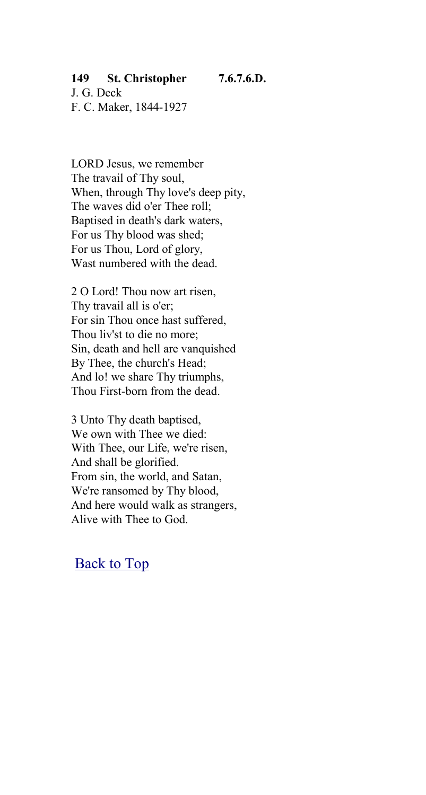## **149 St. Christopher 7.6.7.6.D.**

J. G. Deck F. C. Maker, 1844-1927

LORD Jesus, we remember The travail of Thy soul, When, through Thy love's deep pity. The waves did o'er Thee roll; Baptised in death's dark waters, For us Thy blood was shed; For us Thou, Lord of glory, Wast numbered with the dead.

2 O Lord! Thou now art risen, Thy travail all is o'er; For sin Thou once hast suffered, Thou liv'st to die no more; Sin, death and hell are vanquished By Thee, the church's Head; And lo! we share Thy triumphs, Thou First-born from the dead.

3 Unto Thy death baptised, We own with Thee we died: With Thee, our Life, we're risen, And shall be glorified. From sin, the world, and Satan, We're ransomed by Thy blood, And here would walk as strangers, Alive with Thee to God.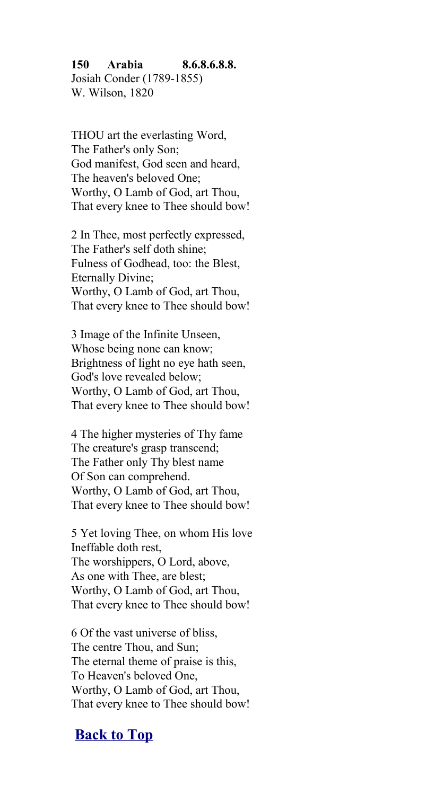# **150 Arabia 8.6.8.6.8.8.** Josiah Conder (1789-1855)

W. Wilson, 1820

THOU art the everlasting Word, The Father's only Son; God manifest, God seen and heard, The heaven's beloved One; Worthy, O Lamb of God, art Thou, That every knee to Thee should bow!

2 In Thee, most perfectly expressed, The Father's self doth shine; Fulness of Godhead, too: the Blest, Eternally Divine; Worthy, O Lamb of God, art Thou, That every knee to Thee should bow!

3 Image of the Infinite Unseen, Whose being none can know; Brightness of light no eye hath seen, God's love revealed below; Worthy, O Lamb of God, art Thou, That every knee to Thee should bow!

4 The higher mysteries of Thy fame The creature's grasp transcend; The Father only Thy blest name Of Son can comprehend. Worthy, O Lamb of God, art Thou, That every knee to Thee should bow!

5 Yet loving Thee, on whom His love Ineffable doth rest, The worshippers, O Lord, above, As one with Thee, are blest; Worthy, O Lamb of God, art Thou, That every knee to Thee should bow!

6 Of the vast universe of bliss, The centre Thou, and Sun; The eternal theme of praise is this, To Heaven's beloved One, Worthy, O Lamb of God, art Thou, That every knee to Thee should bow!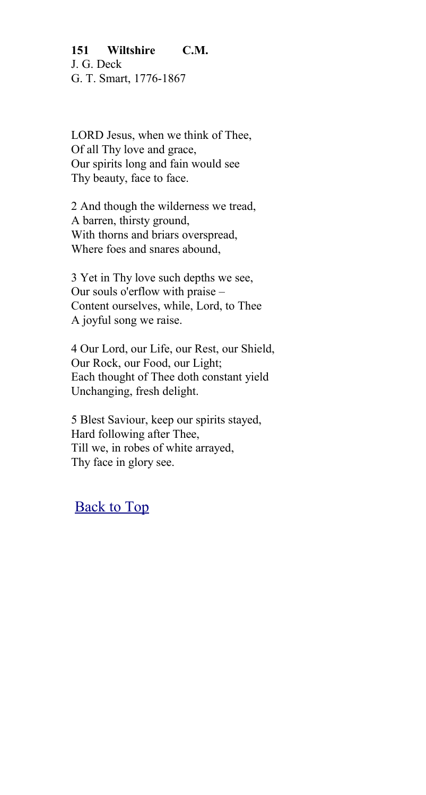## **151 Wiltshire C.M.** J. G. Deck G. T. Smart, 1776-1867

LORD Jesus, when we think of Thee, Of all Thy love and grace, Our spirits long and fain would see Thy beauty, face to face.

2 And though the wilderness we tread, A barren, thirsty ground, With thorns and briars overspread, Where foes and snares abound,

3 Yet in Thy love such depths we see, Our souls o'erflow with praise – Content ourselves, while, Lord, to Thee A joyful song we raise.

4 Our Lord, our Life, our Rest, our Shield, Our Rock, our Food, our Light; Each thought of Thee doth constant yield Unchanging, fresh delight.

5 Blest Saviour, keep our spirits stayed, Hard following after Thee, Till we, in robes of white arrayed, Thy face in glory see.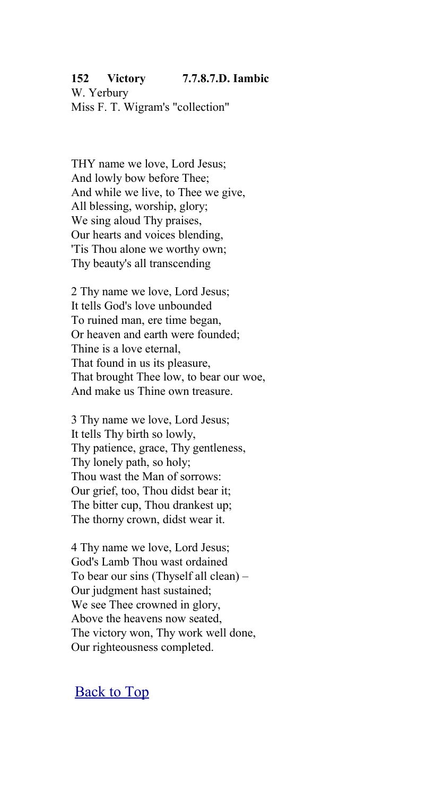### **152 Victory 7.7.8.7.D. Iambic**

W. Yerbury Miss F. T. Wigram's "collection"

THY name we love, Lord Jesus; And lowly bow before Thee; And while we live, to Thee we give, All blessing, worship, glory; We sing aloud Thy praises, Our hearts and voices blending, 'Tis Thou alone we worthy own; Thy beauty's all transcending

2 Thy name we love, Lord Jesus; It tells God's love unbounded To ruined man, ere time began, Or heaven and earth were founded; Thine is a love eternal, That found in us its pleasure, That brought Thee low, to bear our woe, And make us Thine own treasure.

3 Thy name we love, Lord Jesus; It tells Thy birth so lowly, Thy patience, grace, Thy gentleness, Thy lonely path, so holy; Thou wast the Man of sorrows: Our grief, too, Thou didst bear it; The bitter cup, Thou drankest up; The thorny crown, didst wear it.

4 Thy name we love, Lord Jesus; God's Lamb Thou wast ordained To bear our sins (Thyself all clean) – Our judgment hast sustained; We see Thee crowned in glory, Above the heavens now seated, The victory won, Thy work well done, Our righteousness completed.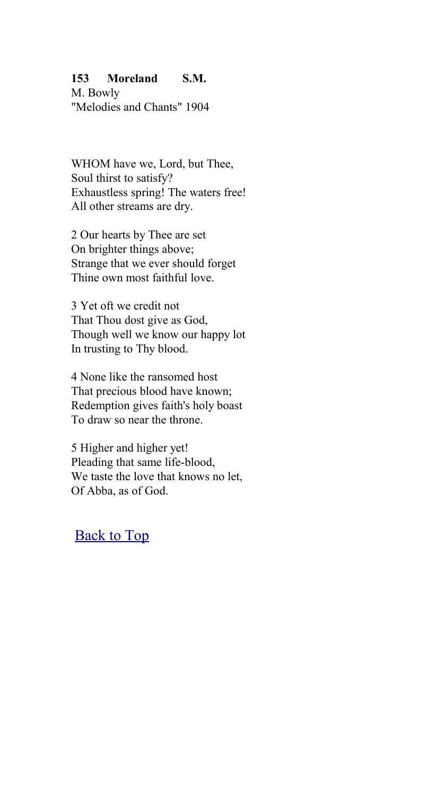## **153 Moreland S.M.**

M. Bowly "Melodies and Chants" 1904

WHOM have we, Lord, but Thee, Soul thirst to satisfy? Exhaustless spring! The waters free! All other streams are dry.

2 Our hearts by Thee are set On brighter things above; Strange that we ever should forget Thine own most faithful love.

3 Yet oft we credit not That Thou dost give as God, Though well we know our happy lot In trusting to Thy blood.

4 None like the ransomed host That precious blood have known; Redemption gives faith's holy boast To draw so near the throne.

5 Higher and higher yet! Pleading that same life-blood, We taste the love that knows no let, Of Abba, as of God.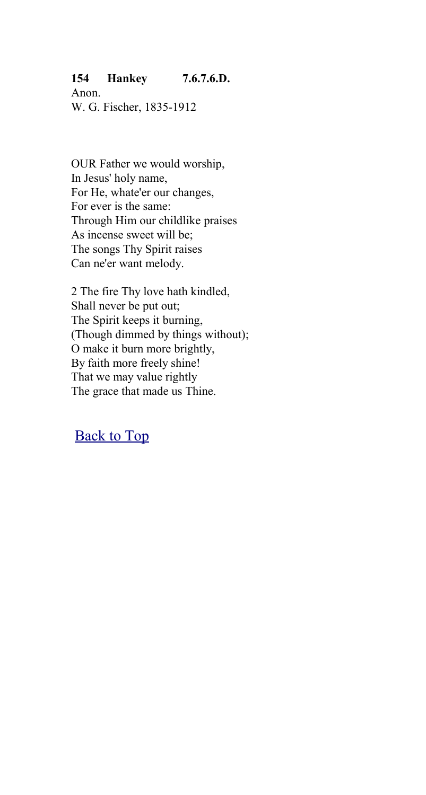## **154 Hankey 7.6.7.6.D.**

Anon. W. G. Fischer, 1835-1912

OUR Father we would worship, In Jesus' holy name, For He, whate'er our changes, For ever is the same: Through Him our childlike praises As incense sweet will be; The songs Thy Spirit raises Can ne'er want melody.

2 The fire Thy love hath kindled, Shall never be put out; The Spirit keeps it burning, (Though dimmed by things without); O make it burn more brightly, By faith more freely shine! That we may value rightly The grace that made us Thine.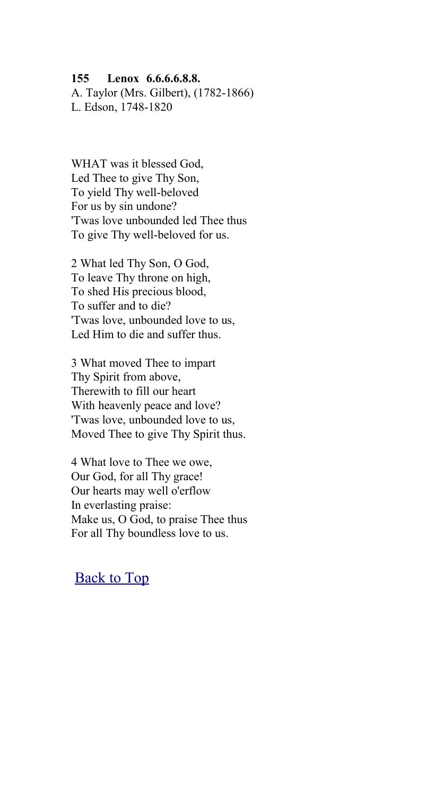### **155 Lenox 6.6.6.6.8.8.**

A. Taylor (Mrs. Gilbert), (1782-1866) L. Edson, 1748-1820

WHAT was it blessed God, Led Thee to give Thy Son, To yield Thy well-beloved For us by sin undone? 'Twas love unbounded led Thee thus To give Thy well-beloved for us.

2 What led Thy Son, O God, To leave Thy throne on high, To shed His precious blood, To suffer and to die? 'Twas love, unbounded love to us, Led Him to die and suffer thus.

3 What moved Thee to impart Thy Spirit from above, Therewith to fill our heart With heavenly peace and love? 'Twas love, unbounded love to us, Moved Thee to give Thy Spirit thus.

4 What love to Thee we owe, Our God, for all Thy grace! Our hearts may well o'erflow In everlasting praise: Make us, O God, to praise Thee thus For all Thy boundless love to us.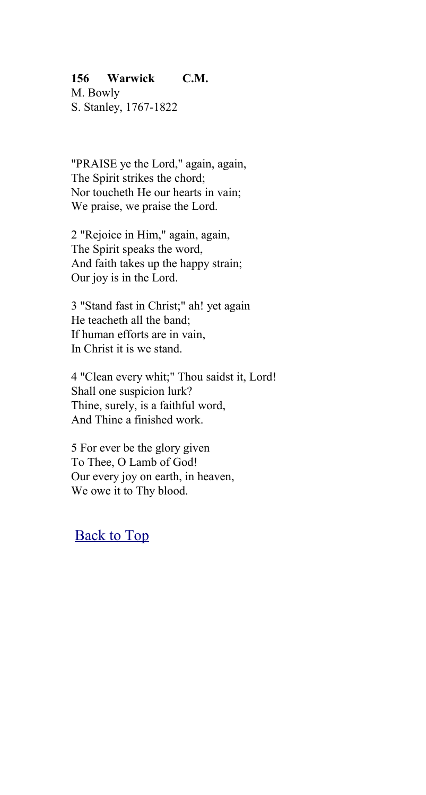## **156 Warwick C.M.**

M. Bowly S. Stanley, 1767-1822

"PRAISE ye the Lord," again, again, The Spirit strikes the chord; Nor toucheth He our hearts in vain; We praise, we praise the Lord.

2 "Rejoice in Him," again, again, The Spirit speaks the word, And faith takes up the happy strain; Our joy is in the Lord.

3 "Stand fast in Christ;" ah! yet again He teacheth all the band; If human efforts are in vain, In Christ it is we stand.

4 "Clean every whit;" Thou saidst it, Lord! Shall one suspicion lurk? Thine, surely, is a faithful word, And Thine a finished work.

5 For ever be the glory given To Thee, O Lamb of God! Our every joy on earth, in heaven, We owe it to Thy blood.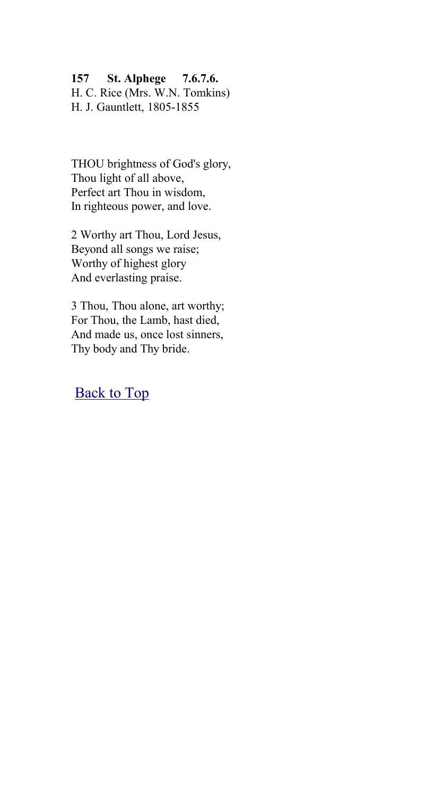### **157 St. Alphege 7.6.7.6.**

H. C. Rice (Mrs. W.N. Tomkins) H. J. Gauntlett, 1805-1855

THOU brightness of God's glory, Thou light of all above, Perfect art Thou in wisdom, In righteous power, and love.

2 Worthy art Thou, Lord Jesus, Beyond all songs we raise; Worthy of highest glory And everlasting praise.

3 Thou, Thou alone, art worthy; For Thou, the Lamb, hast died, And made us, once lost sinners, Thy body and Thy bride.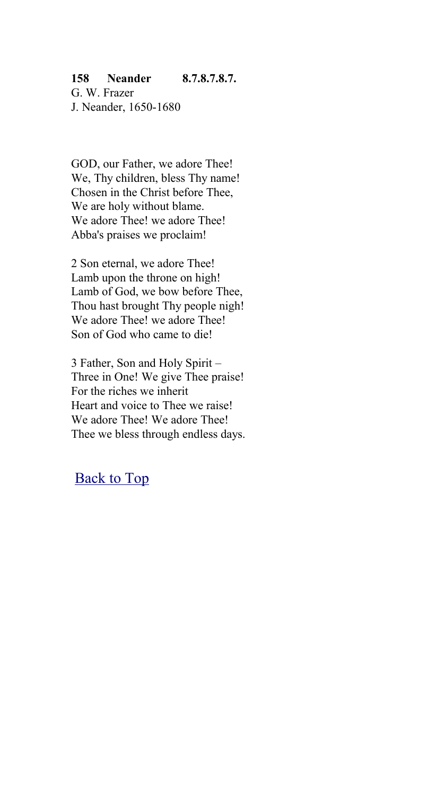## **158 Neander 8.7.8.7.8.7.** G. W. Frazer

J. Neander, 1650-1680

GOD, our Father, we adore Thee! We, Thy children, bless Thy name! Chosen in the Christ before Thee, We are holy without blame. We adore Thee! we adore Thee! Abba's praises we proclaim!

2 Son eternal, we adore Thee! Lamb upon the throne on high! Lamb of God, we bow before Thee, Thou hast brought Thy people nigh! We adore Thee! we adore Thee! Son of God who came to die!

3 Father, Son and Holy Spirit – Three in One! We give Thee praise! For the riches we inherit Heart and voice to Thee we raise! We adore Thee! We adore Thee! Thee we bless through endless days.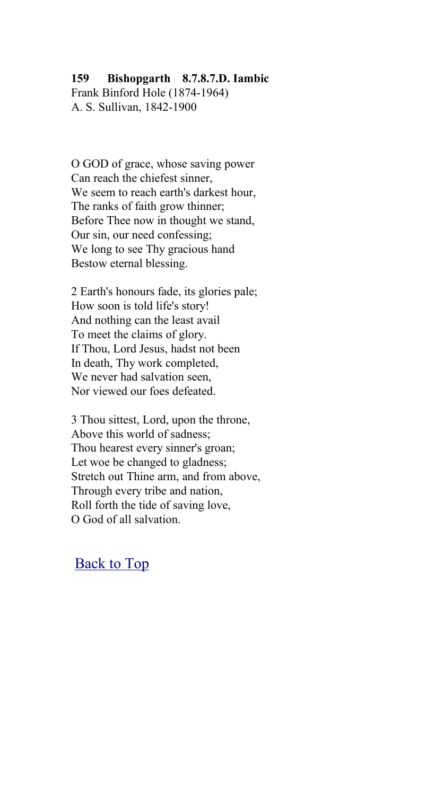### **159 Bishopgarth 8.7.8.7.D. Iambic**

Frank Binford Hole (1874-1964) A. S. Sullivan, 1842-1900

O GOD of grace, whose saving power Can reach the chiefest sinner, We seem to reach earth's darkest hour. The ranks of faith grow thinner; Before Thee now in thought we stand, Our sin, our need confessing; We long to see Thy gracious hand Bestow eternal blessing.

2 Earth's honours fade, its glories pale; How soon is told life's story! And nothing can the least avail To meet the claims of glory. If Thou, Lord Jesus, hadst not been In death, Thy work completed, We never had salvation seen Nor viewed our foes defeated.

3 Thou sittest, Lord, upon the throne, Above this world of sadness; Thou hearest every sinner's groan; Let woe be changed to gladness; Stretch out Thine arm, and from above, Through every tribe and nation, Roll forth the tide of saving love, O God of all salvation.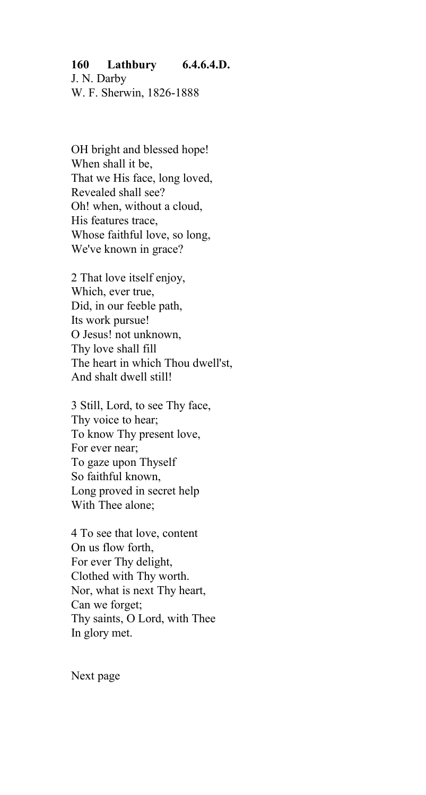## **160 Lathbury 6.4.6.4.D.** J. N. Darby

W. F. Sherwin, 1826-1888

OH bright and blessed hope! When shall it be, That we His face, long loved, Revealed shall see? Oh! when, without a cloud, His features trace, Whose faithful love, so long, We've known in grace?

2 That love itself enjoy, Which, ever true, Did, in our feeble path, Its work pursue! O Jesus! not unknown, Thy love shall fill The heart in which Thou dwell'st, And shalt dwell still!

3 Still, Lord, to see Thy face, Thy voice to hear; To know Thy present love, For ever near; To gaze upon Thyself So faithful known, Long proved in secret help With Thee alone;

4 To see that love, content On us flow forth, For ever Thy delight, Clothed with Thy worth. Nor, what is next Thy heart, Can we forget; Thy saints, O Lord, with Thee In glory met.

Next page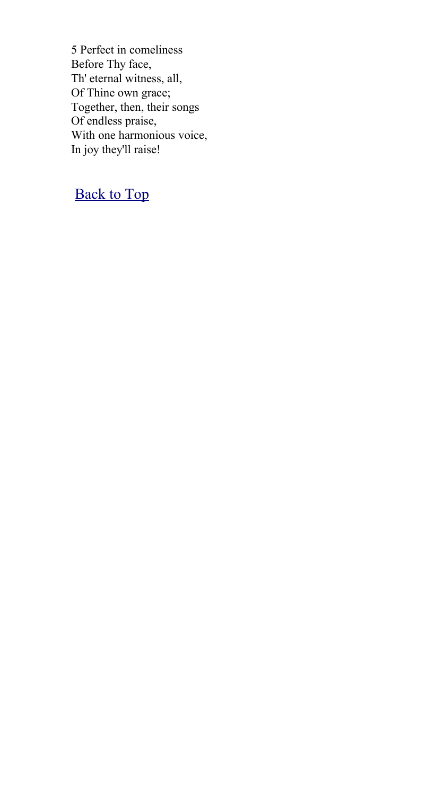5 Perfect in comeliness Before Thy face, Th' eternal witness, all, Of Thine own grace; Together, then, their songs Of endless praise, With one harmonious voice, In joy they'll raise!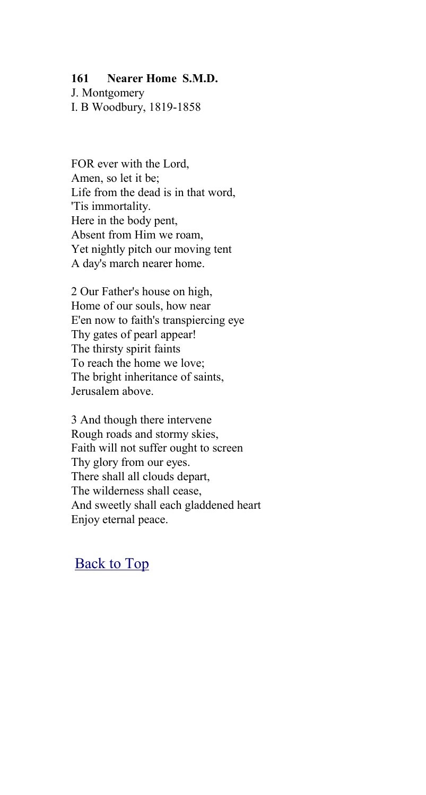### **161 Nearer Home S.M.D.**

J. Montgomery I. B Woodbury, 1819-1858

FOR ever with the Lord, Amen, so let it be; Life from the dead is in that word, 'Tis immortality. Here in the body pent, Absent from Him we roam, Yet nightly pitch our moving tent A day's march nearer home.

2 Our Father's house on high, Home of our souls, how near E'en now to faith's transpiercing eye Thy gates of pearl appear! The thirsty spirit faints To reach the home we love; The bright inheritance of saints, Jerusalem above.

3 And though there intervene Rough roads and stormy skies, Faith will not suffer ought to screen Thy glory from our eyes. There shall all clouds depart, The wilderness shall cease, And sweetly shall each gladdened heart Enjoy eternal peace.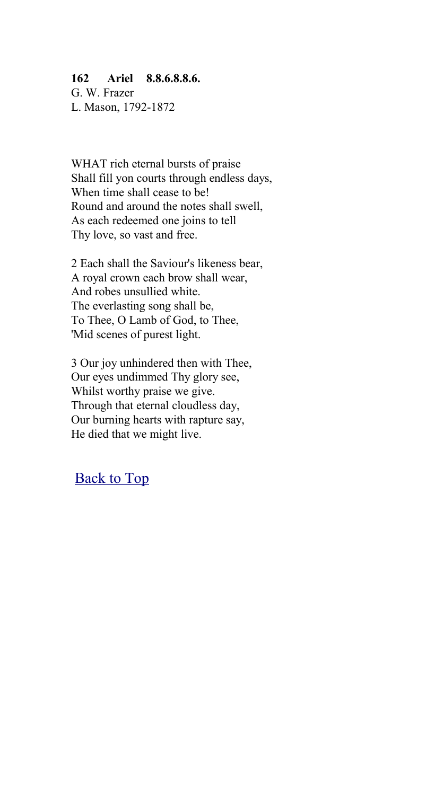#### **162 Ariel 8.8.6.8.8.6.**

G. W. Frazer L. Mason, 1792-1872

WHAT rich eternal bursts of praise Shall fill yon courts through endless days, When time shall cease to be! Round and around the notes shall swell, As each redeemed one joins to tell Thy love, so vast and free.

2 Each shall the Saviour's likeness bear, A royal crown each brow shall wear, And robes unsullied white. The everlasting song shall be, To Thee, O Lamb of God, to Thee, 'Mid scenes of purest light.

3 Our joy unhindered then with Thee, Our eyes undimmed Thy glory see, Whilst worthy praise we give. Through that eternal cloudless day, Our burning hearts with rapture say, He died that we might live.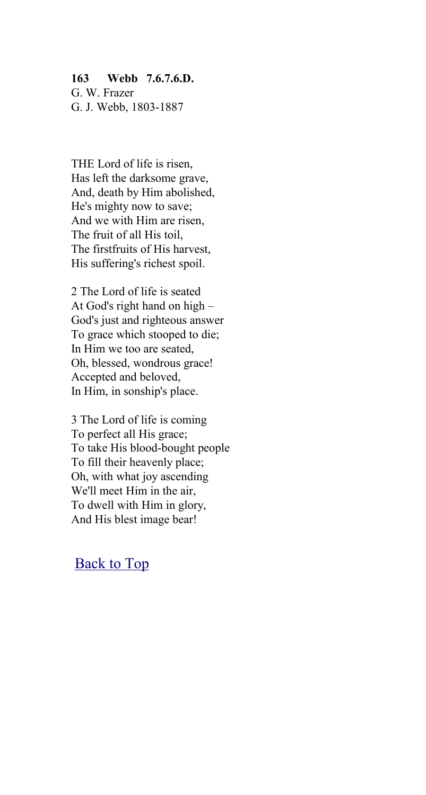### **163 Webb 7.6.7.6.D.**

G. W. Frazer G. J. Webb, 1803-1887

THE Lord of life is risen, Has left the darksome grave, And, death by Him abolished, He's mighty now to save; And we with Him are risen, The fruit of all His toil, The firstfruits of His harvest, His suffering's richest spoil.

2 The Lord of life is seated At God's right hand on high – God's just and righteous answer To grace which stooped to die; In Him we too are seated, Oh, blessed, wondrous grace! Accepted and beloved, In Him, in sonship's place.

3 The Lord of life is coming To perfect all His grace; To take His blood-bought people To fill their heavenly place; Oh, with what joy ascending We'll meet Him in the air, To dwell with Him in glory, And His blest image bear!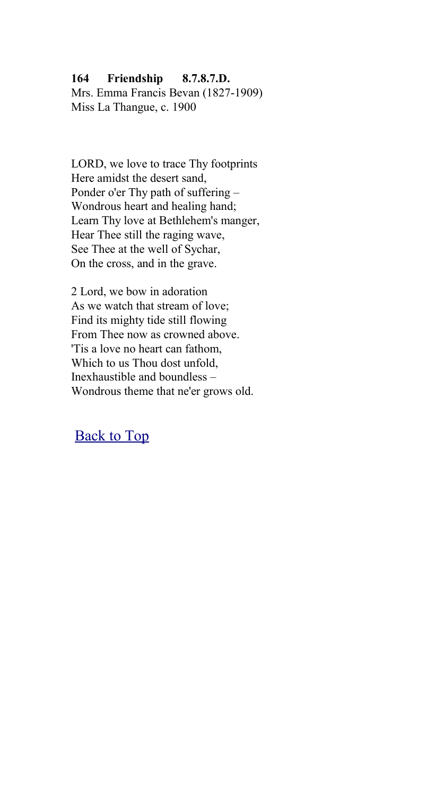## **164 Friendship 8.7.8.7.D.**

Mrs. Emma Francis Bevan (1827-1909) Miss La Thangue, c. 1900

LORD, we love to trace Thy footprints Here amidst the desert sand, Ponder o'er Thy path of suffering – Wondrous heart and healing hand; Learn Thy love at Bethlehem's manger, Hear Thee still the raging wave, See Thee at the well of Sychar, On the cross, and in the grave.

2 Lord, we bow in adoration As we watch that stream of love; Find its mighty tide still flowing From Thee now as crowned above. 'Tis a love no heart can fathom, Which to us Thou dost unfold, Inexhaustible and boundless – Wondrous theme that ne'er grows old.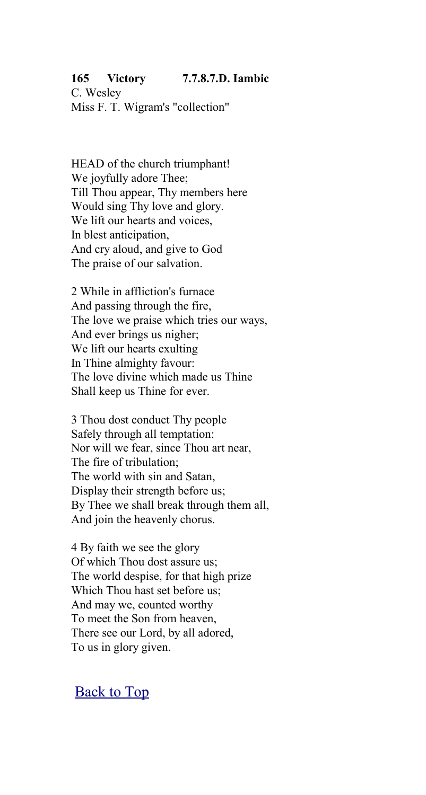### **165 Victory 7.7.8.7.D. Iambic**

C. Wesley Miss F. T. Wigram's "collection"

HEAD of the church triumphant! We joyfully adore Thee; Till Thou appear, Thy members here Would sing Thy love and glory. We lift our hearts and voices, In blest anticipation, And cry aloud, and give to God The praise of our salvation.

2 While in affliction's furnace And passing through the fire, The love we praise which tries our ways, And ever brings us nigher; We lift our hearts exulting In Thine almighty favour: The love divine which made us Thine Shall keep us Thine for ever.

3 Thou dost conduct Thy people Safely through all temptation: Nor will we fear, since Thou art near, The fire of tribulation; The world with sin and Satan, Display their strength before us; By Thee we shall break through them all, And join the heavenly chorus.

4 By faith we see the glory Of which Thou dost assure us; The world despise, for that high prize Which Thou hast set before us; And may we, counted worthy To meet the Son from heaven, There see our Lord, by all adored, To us in glory given.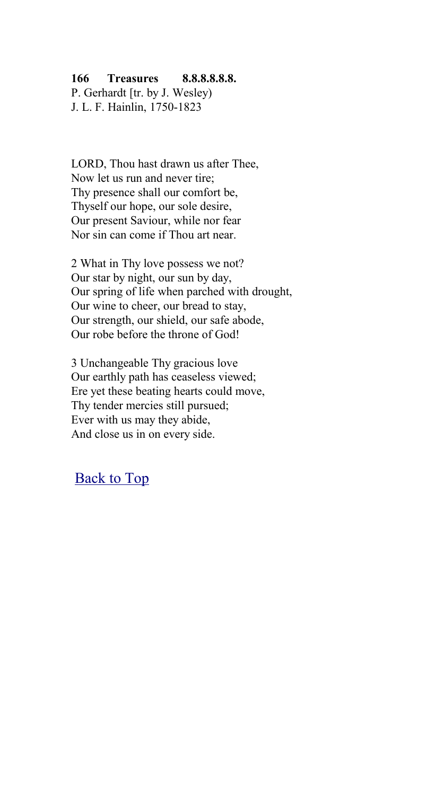### **166 Treasures 8.8.8.8.8.8.**

P. Gerhardt [tr. by J. Wesley) J. L. F. Hainlin, 1750-1823

LORD, Thou hast drawn us after Thee, Now let us run and never tire; Thy presence shall our comfort be, Thyself our hope, our sole desire, Our present Saviour, while nor fear Nor sin can come if Thou art near.

2 What in Thy love possess we not? Our star by night, our sun by day, Our spring of life when parched with drought, Our wine to cheer, our bread to stay, Our strength, our shield, our safe abode, Our robe before the throne of God!

3 Unchangeable Thy gracious love Our earthly path has ceaseless viewed; Ere yet these beating hearts could move, Thy tender mercies still pursued; Ever with us may they abide, And close us in on every side.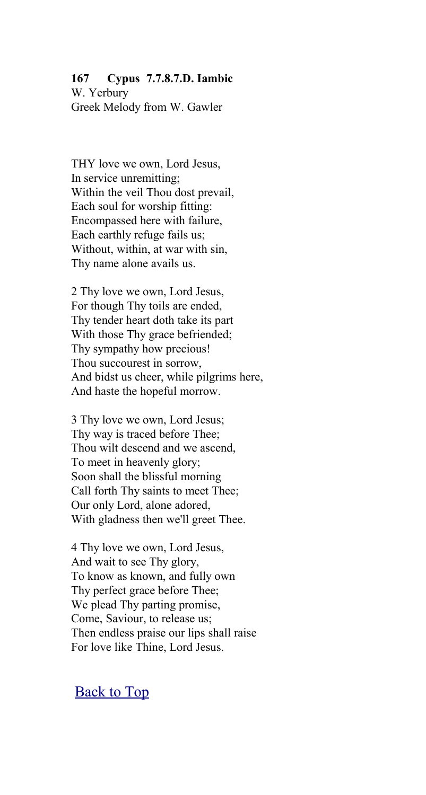# **167 Cypus 7.7.8.7.D. Iambic**

W. Yerbury Greek Melody from W. Gawler

THY love we own, Lord Jesus, In service unremitting; Within the veil Thou dost prevail, Each soul for worship fitting: Encompassed here with failure, Each earthly refuge fails us; Without, within, at war with sin, Thy name alone avails us.

2 Thy love we own, Lord Jesus, For though Thy toils are ended, Thy tender heart doth take its part With those Thy grace befriended; Thy sympathy how precious! Thou succourest in sorrow, And bidst us cheer, while pilgrims here, And haste the hopeful morrow.

3 Thy love we own, Lord Jesus; Thy way is traced before Thee; Thou wilt descend and we ascend, To meet in heavenly glory; Soon shall the blissful morning Call forth Thy saints to meet Thee; Our only Lord, alone adored, With gladness then we'll greet Thee.

4 Thy love we own, Lord Jesus, And wait to see Thy glory, To know as known, and fully own Thy perfect grace before Thee; We plead Thy parting promise, Come, Saviour, to release us; Then endless praise our lips shall raise For love like Thine, Lord Jesus.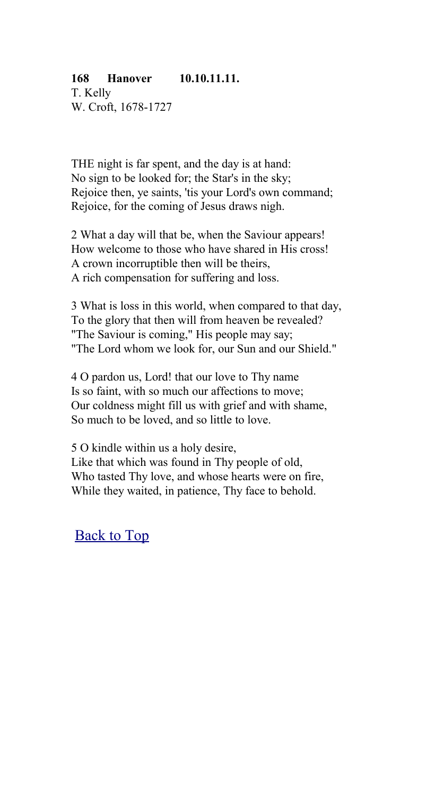## **168 Hanover 10.10.11.11.**

T. Kelly W. Croft, 1678-1727

THE night is far spent, and the day is at hand: No sign to be looked for; the Star's in the sky; Rejoice then, ye saints, 'tis your Lord's own command; Rejoice, for the coming of Jesus draws nigh.

2 What a day will that be, when the Saviour appears! How welcome to those who have shared in His cross! A crown incorruptible then will be theirs, A rich compensation for suffering and loss.

3 What is loss in this world, when compared to that day, To the glory that then will from heaven be revealed? "The Saviour is coming," His people may say; "The Lord whom we look for, our Sun and our Shield."

4 O pardon us, Lord! that our love to Thy name Is so faint, with so much our affections to move; Our coldness might fill us with grief and with shame, So much to be loved, and so little to love.

5 O kindle within us a holy desire, Like that which was found in Thy people of old, Who tasted Thy love, and whose hearts were on fire, While they waited, in patience, Thy face to behold.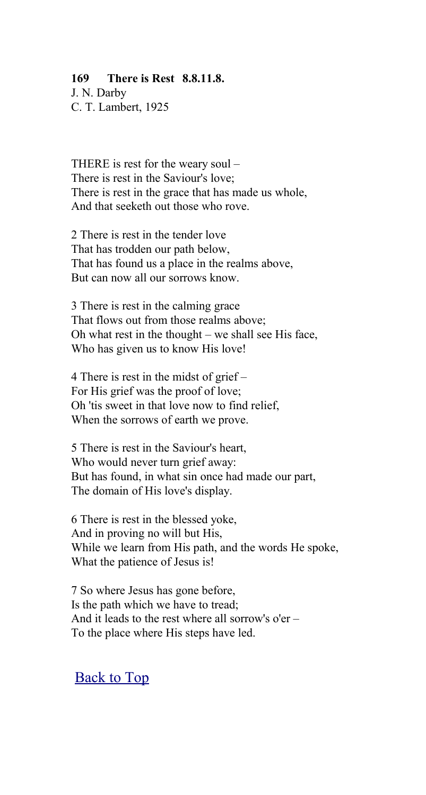### **169 There is Rest 8.8.11.8.**

J. N. Darby C. T. Lambert, 1925

THERE is rest for the weary soul – There is rest in the Saviour's love; There is rest in the grace that has made us whole, And that seeketh out those who rove.

2 There is rest in the tender love That has trodden our path below, That has found us a place in the realms above, But can now all our sorrows know.

3 There is rest in the calming grace That flows out from those realms above; Oh what rest in the thought – we shall see His face, Who has given us to know His love!

4 There is rest in the midst of grief – For His grief was the proof of love; Oh 'tis sweet in that love now to find relief, When the sorrows of earth we prove.

5 There is rest in the Saviour's heart, Who would never turn grief away: But has found, in what sin once had made our part, The domain of His love's display.

6 There is rest in the blessed yoke, And in proving no will but His, While we learn from His path, and the words He spoke, What the patience of Jesus is!

7 So where Jesus has gone before, Is the path which we have to tread; And it leads to the rest where all sorrow's o'er – To the place where His steps have led.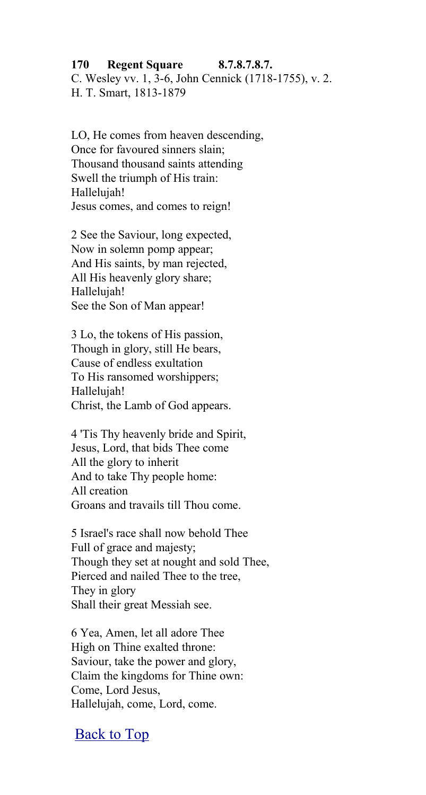### **170 Regent Square 8.7.8.7.8.7.**

C. Wesley vv. 1, 3-6, John Cennick (1718-1755), v. 2. H. T. Smart, 1813-1879

LO, He comes from heaven descending, Once for favoured sinners slain; Thousand thousand saints attending Swell the triumph of His train: Hallelujah! Jesus comes, and comes to reign!

2 See the Saviour, long expected, Now in solemn pomp appear; And His saints, by man rejected, All His heavenly glory share; Hallelujah! See the Son of Man appear!

3 Lo, the tokens of His passion, Though in glory, still He bears, Cause of endless exultation To His ransomed worshippers; Hallelujah! Christ, the Lamb of God appears.

4 'Tis Thy heavenly bride and Spirit, Jesus, Lord, that bids Thee come All the glory to inherit And to take Thy people home: All creation Groans and travails till Thou come.

5 Israel's race shall now behold Thee Full of grace and majesty; Though they set at nought and sold Thee, Pierced and nailed Thee to the tree, They in glory Shall their great Messiah see.

6 Yea, Amen, let all adore Thee High on Thine exalted throne: Saviour, take the power and glory, Claim the kingdoms for Thine own: Come, Lord Jesus, Hallelujah, come, Lord, come.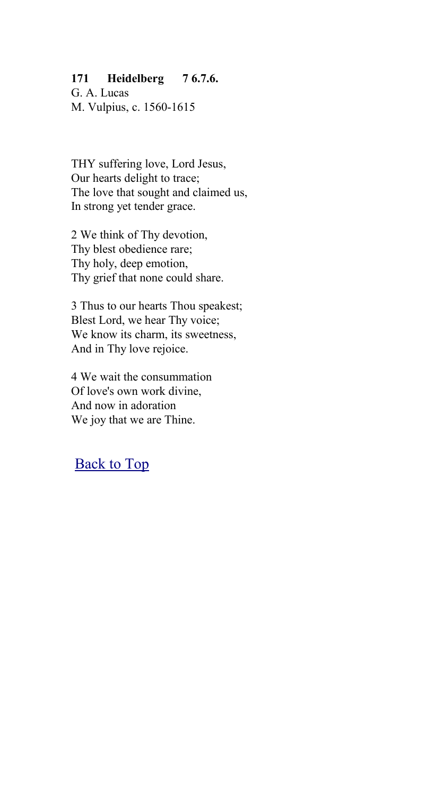## **171 Heidelberg 7 6.7.6.**

G. A. Lucas M. Vulpius, c. 1560-1615

THY suffering love, Lord Jesus, Our hearts delight to trace; The love that sought and claimed us, In strong yet tender grace.

2 We think of Thy devotion, Thy blest obedience rare; Thy holy, deep emotion, Thy grief that none could share.

3 Thus to our hearts Thou speakest; Blest Lord, we hear Thy voice; We know its charm, its sweetness, And in Thy love rejoice.

4 We wait the consummation Of love's own work divine, And now in adoration We joy that we are Thine.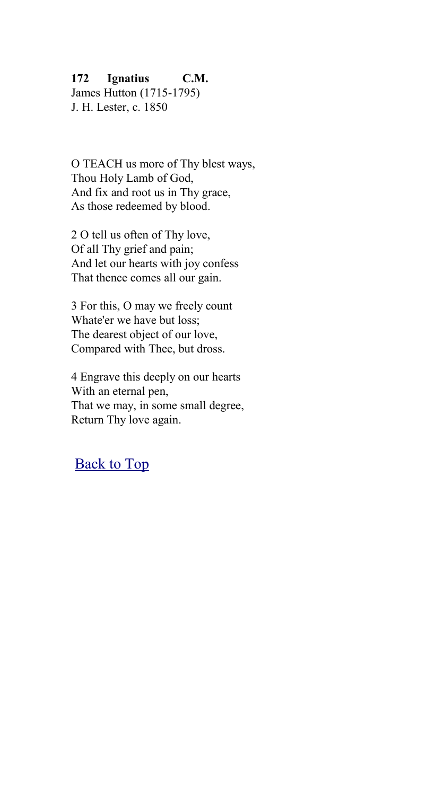## **172 Ignatius C.M.**

James Hutton (1715-1795) J. H. Lester, c. 1850

O TEACH us more of Thy blest ways, Thou Holy Lamb of God, And fix and root us in Thy grace, As those redeemed by blood.

2 O tell us often of Thy love, Of all Thy grief and pain; And let our hearts with joy confess That thence comes all our gain.

3 For this, O may we freely count Whate'er we have but loss; The dearest object of our love, Compared with Thee, but dross.

4 Engrave this deeply on our hearts With an eternal pen, That we may, in some small degree, Return Thy love again.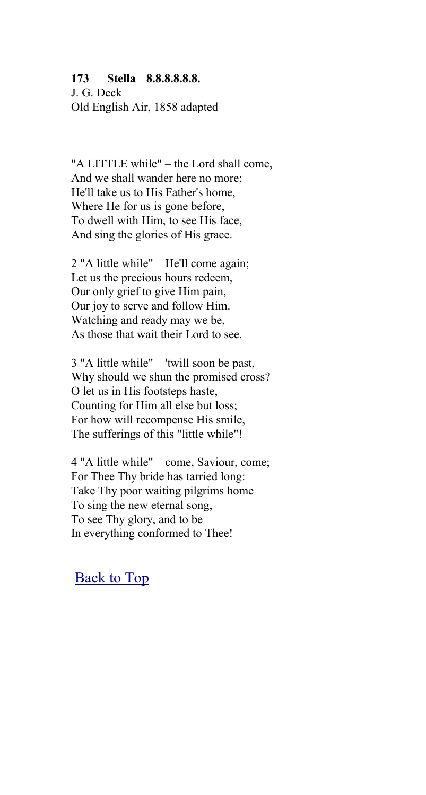### **173 Stella 8.8.8.8.8.8.**

J. G. Deck Old English Air, 1858 adapted

"A LITTLE while" – the Lord shall come, And we shall wander here no more; He'll take us to His Father's home, Where He for us is gone before, To dwell with Him, to see His face, And sing the glories of His grace.

2 "A little while" – He'll come again; Let us the precious hours redeem, Our only grief to give Him pain, Our joy to serve and follow Him. Watching and ready may we be, As those that wait their Lord to see.

3 "A little while" – 'twill soon be past, Why should we shun the promised cross? O let us in His footsteps haste, Counting for Him all else but loss; For how will recompense His smile, The sufferings of this "little while"!

4 "A little while" – come, Saviour, come; For Thee Thy bride has tarried long: Take Thy poor waiting pilgrims home To sing the new eternal song, To see Thy glory, and to be In everything conformed to Thee!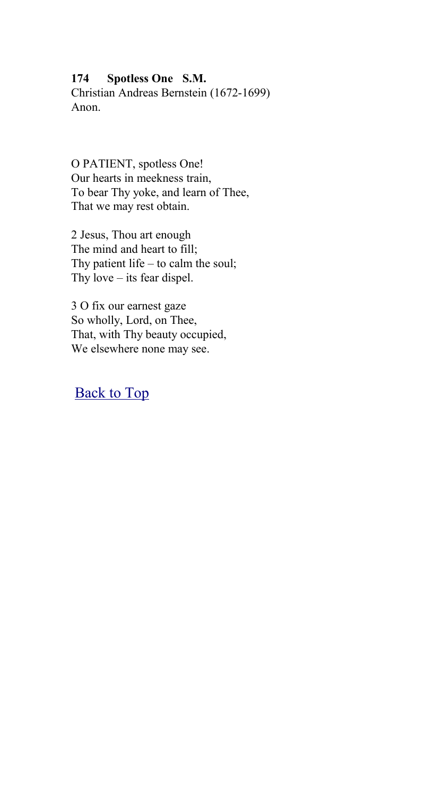### **174 Spotless One S.M.**

Christian Andreas Bernstein (1672-1699) Anon.

O PATIENT, spotless One! Our hearts in meekness train, To bear Thy yoke, and learn of Thee, That we may rest obtain.

2 Jesus, Thou art enough The mind and heart to fill; Thy patient life – to calm the soul; Thy love – its fear dispel.

3 O fix our earnest gaze So wholly, Lord, on Thee, That, with Thy beauty occupied, We elsewhere none may see.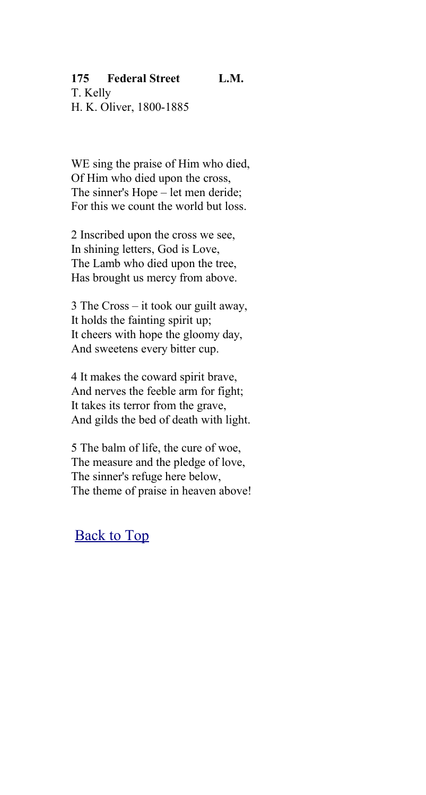## **175 Federal Street L.M.**

T. Kelly H. K. Oliver, 1800-1885

WE sing the praise of Him who died, Of Him who died upon the cross, The sinner's Hope – let men deride; For this we count the world but loss.

2 Inscribed upon the cross we see, In shining letters, God is Love, The Lamb who died upon the tree, Has brought us mercy from above.

3 The Cross – it took our guilt away, It holds the fainting spirit up; It cheers with hope the gloomy day, And sweetens every bitter cup.

4 It makes the coward spirit brave, And nerves the feeble arm for fight; It takes its terror from the grave, And gilds the bed of death with light.

5 The balm of life, the cure of woe, The measure and the pledge of love, The sinner's refuge here below, The theme of praise in heaven above!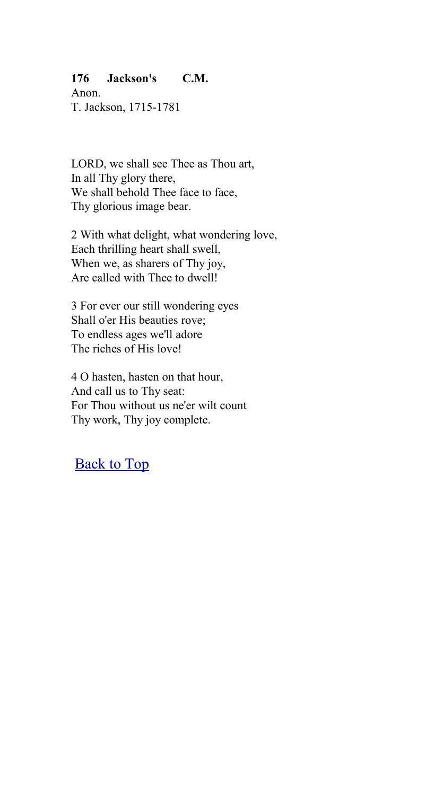## **176 Jackson's C.M.**

Anon. T. Jackson, 1715-1781

LORD, we shall see Thee as Thou art, In all Thy glory there, We shall behold Thee face to face. Thy glorious image bear.

2 With what delight, what wondering love, Each thrilling heart shall swell, When we, as sharers of Thy joy, Are called with Thee to dwell!

3 For ever our still wondering eyes Shall o'er His beauties rove; To endless ages we'll adore The riches of His love!

4 O hasten, hasten on that hour, And call us to Thy seat: For Thou without us ne'er wilt count Thy work, Thy joy complete.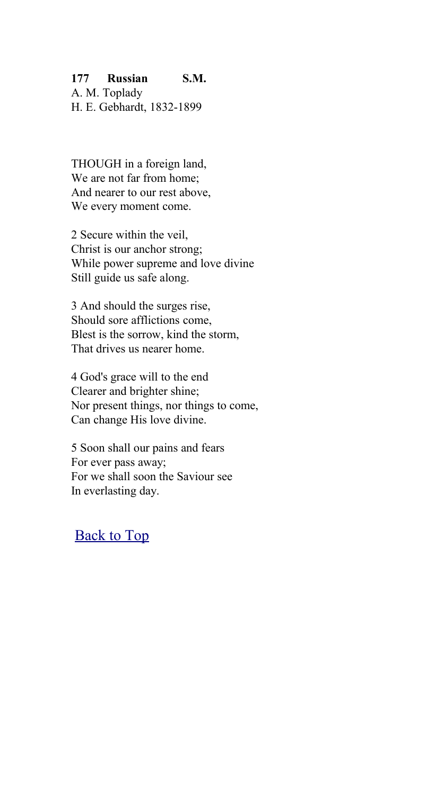## **177 Russian S.M.**

A. M. Toplady H. E. Gebhardt, 1832-1899

THOUGH in a foreign land, We are not far from home; And nearer to our rest above, We every moment come.

2 Secure within the veil, Christ is our anchor strong; While power supreme and love divine Still guide us safe along.

3 And should the surges rise, Should sore afflictions come, Blest is the sorrow, kind the storm, That drives us nearer home.

4 God's grace will to the end Clearer and brighter shine; Nor present things, nor things to come, Can change His love divine.

5 Soon shall our pains and fears For ever pass away; For we shall soon the Saviour see In everlasting day.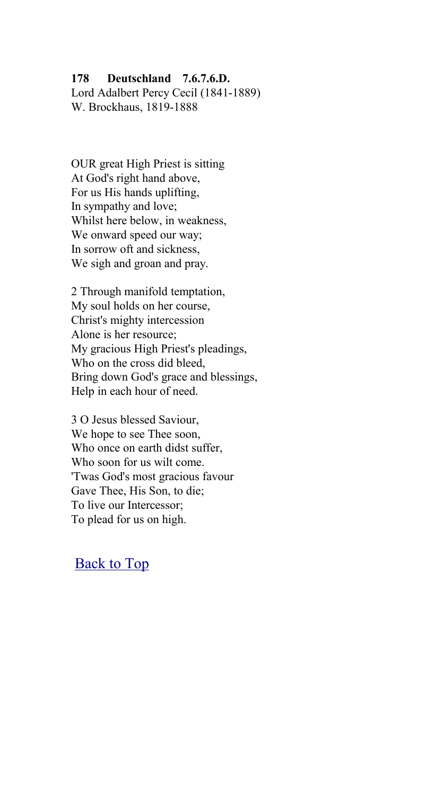#### **178 Deutschland 7.6.7.6.D.**

Lord Adalbert Percy Cecil (1841-1889) W. Brockhaus, 1819-1888

OUR great High Priest is sitting At God's right hand above, For us His hands uplifting, In sympathy and love; Whilst here below, in weakness, We onward speed our way; In sorrow oft and sickness, We sigh and groan and pray.

2 Through manifold temptation, My soul holds on her course, Christ's mighty intercession Alone is her resource; My gracious High Priest's pleadings, Who on the cross did bleed, Bring down God's grace and blessings, Help in each hour of need.

3 O Jesus blessed Saviour, We hope to see Thee soon, Who once on earth didst suffer, Who soon for us wilt come. 'Twas God's most gracious favour Gave Thee, His Son, to die; To live our Intercessor; To plead for us on high.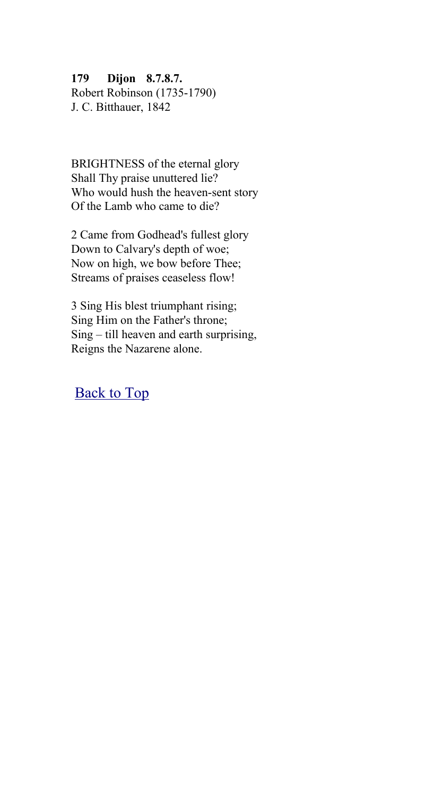**179 Dijon 8.7.8.7.** Robert Robinson (1735-1790) J. C. Bitthauer, 1842

BRIGHTNESS of the eternal glory Shall Thy praise unuttered lie? Who would hush the heaven-sent story Of the Lamb who came to die?

2 Came from Godhead's fullest glory Down to Calvary's depth of woe; Now on high, we bow before Thee; Streams of praises ceaseless flow!

3 Sing His blest triumphant rising; Sing Him on the Father's throne; Sing – till heaven and earth surprising, Reigns the Nazarene alone.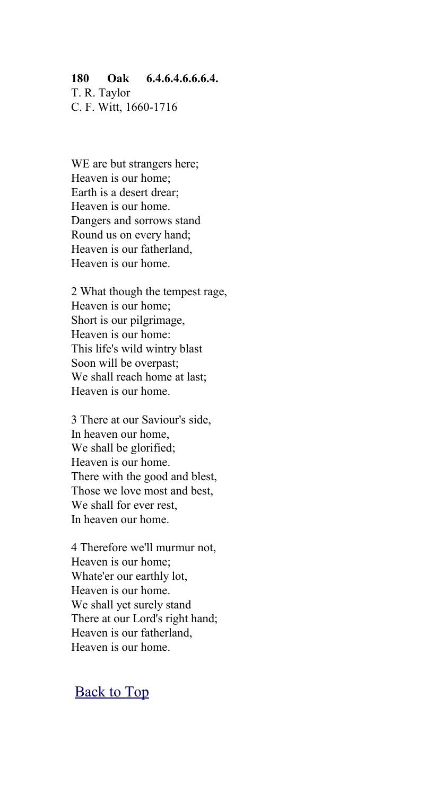#### **180 Oak 6.4.6.4.6.6.6.4.**

T. R. Taylor C. F. Witt, 1660-1716

WE are but strangers here; Heaven is our home; Earth is a desert drear; Heaven is our home. Dangers and sorrows stand Round us on every hand; Heaven is our fatherland, Heaven is our home.

2 What though the tempest rage, Heaven is our home; Short is our pilgrimage, Heaven is our home: This life's wild wintry blast Soon will be overpast; We shall reach home at last; Heaven is our home.

3 There at our Saviour's side, In heaven our home, We shall be glorified; Heaven is our home. There with the good and blest, Those we love most and best, We shall for ever rest. In heaven our home.

4 Therefore we'll murmur not, Heaven is our home; Whate'er our earthly lot, Heaven is our home. We shall yet surely stand There at our Lord's right hand; Heaven is our fatherland, Heaven is our home.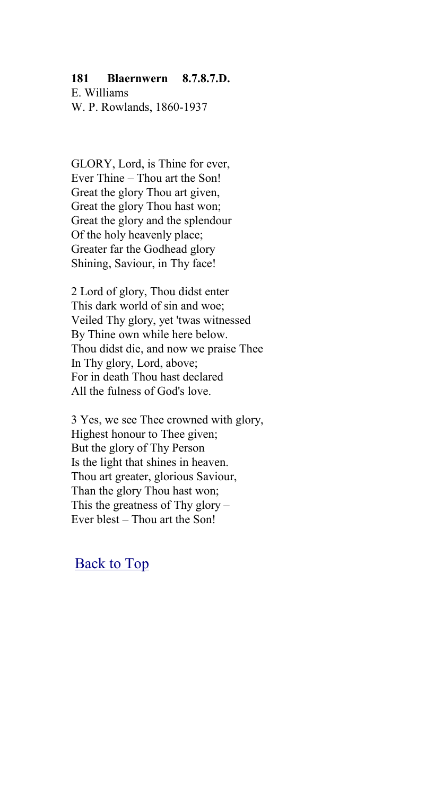#### **181 Blaernwern 8.7.8.7.D.**

E. Williams W. P. Rowlands, 1860-1937

GLORY, Lord, is Thine for ever, Ever Thine – Thou art the Son! Great the glory Thou art given, Great the glory Thou hast won; Great the glory and the splendour Of the holy heavenly place; Greater far the Godhead glory Shining, Saviour, in Thy face!

2 Lord of glory, Thou didst enter This dark world of sin and woe; Veiled Thy glory, yet 'twas witnessed By Thine own while here below. Thou didst die, and now we praise Thee In Thy glory, Lord, above; For in death Thou hast declared All the fulness of God's love.

3 Yes, we see Thee crowned with glory, Highest honour to Thee given; But the glory of Thy Person Is the light that shines in heaven. Thou art greater, glorious Saviour, Than the glory Thou hast won; This the greatness of Thy glory – Ever blest – Thou art the Son!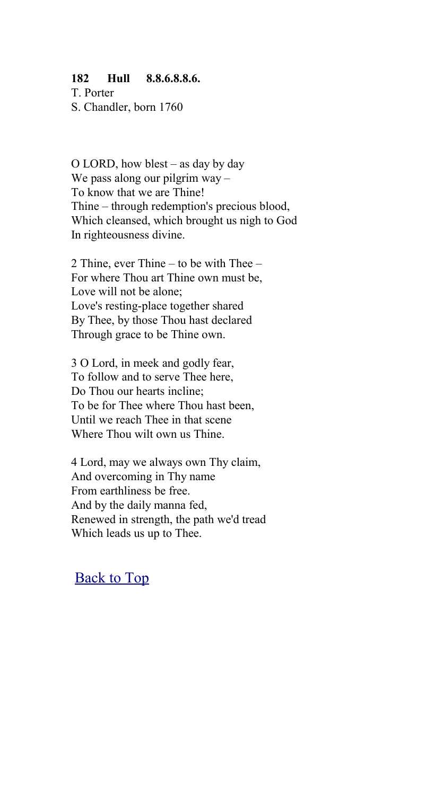#### **182 Hull 8.8.6.8.8.6.**

T. Porter S. Chandler, born 1760

O LORD, how blest – as day by day We pass along our pilgrim way – To know that we are Thine! Thine – through redemption's precious blood, Which cleansed, which brought us nigh to God In righteousness divine.

2 Thine, ever Thine – to be with Thee – For where Thou art Thine own must be, Love will not be alone; Love's resting-place together shared By Thee, by those Thou hast declared Through grace to be Thine own.

3 O Lord, in meek and godly fear, To follow and to serve Thee here, Do Thou our hearts incline: To be for Thee where Thou hast been, Until we reach Thee in that scene Where Thou wilt own us Thine.

4 Lord, may we always own Thy claim, And overcoming in Thy name From earthliness be free. And by the daily manna fed, Renewed in strength, the path we'd tread Which leads us up to Thee.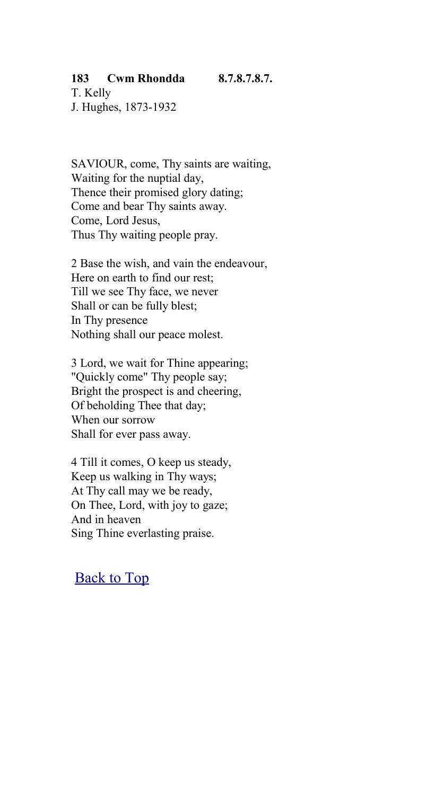# **183 Cwm Rhondda 8.7.8.7.8.7.**

T. Kelly J. Hughes, 1873-1932

SAVIOUR, come, Thy saints are waiting, Waiting for the nuptial day, Thence their promised glory dating; Come and bear Thy saints away. Come, Lord Jesus, Thus Thy waiting people pray.

2 Base the wish, and vain the endeavour, Here on earth to find our rest; Till we see Thy face, we never Shall or can be fully blest; In Thy presence Nothing shall our peace molest.

3 Lord, we wait for Thine appearing; "Quickly come" Thy people say; Bright the prospect is and cheering, Of beholding Thee that day; When our sorrow Shall for ever pass away.

4 Till it comes, O keep us steady, Keep us walking in Thy ways; At Thy call may we be ready, On Thee, Lord, with joy to gaze; And in heaven Sing Thine everlasting praise.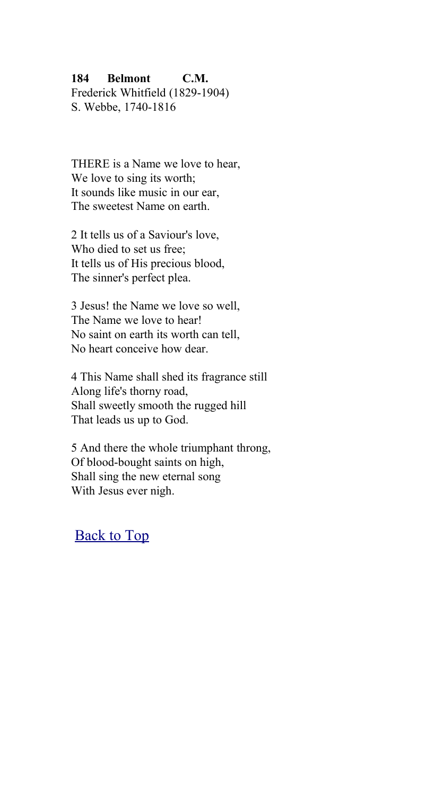### **184 Belmont C.M.**

Frederick Whitfield (1829-1904) S. Webbe, 1740-1816

THERE is a Name we love to hear, We love to sing its worth; It sounds like music in our ear, The sweetest Name on earth.

2 It tells us of a Saviour's love, Who died to set us free; It tells us of His precious blood, The sinner's perfect plea.

3 Jesus! the Name we love so well, The Name we love to hear! No saint on earth its worth can tell, No heart conceive how dear.

4 This Name shall shed its fragrance still Along life's thorny road, Shall sweetly smooth the rugged hill That leads us up to God.

5 And there the whole triumphant throng, Of blood-bought saints on high, Shall sing the new eternal song With Jesus ever nigh.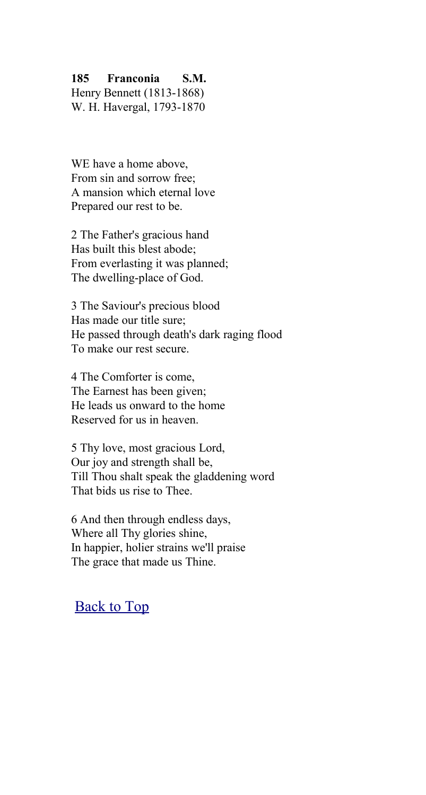### **185 Franconia S.M.**

Henry Bennett (1813-1868) W. H. Havergal, 1793-1870

WE have a home above, From sin and sorrow free; A mansion which eternal love Prepared our rest to be.

2 The Father's gracious hand Has built this blest abode; From everlasting it was planned; The dwelling-place of God.

3 The Saviour's precious blood Has made our title sure; He passed through death's dark raging flood To make our rest secure.

4 The Comforter is come, The Earnest has been given; He leads us onward to the home Reserved for us in heaven.

5 Thy love, most gracious Lord, Our joy and strength shall be, Till Thou shalt speak the gladdening word That bids us rise to Thee.

6 And then through endless days, Where all Thy glories shine, In happier, holier strains we'll praise The grace that made us Thine.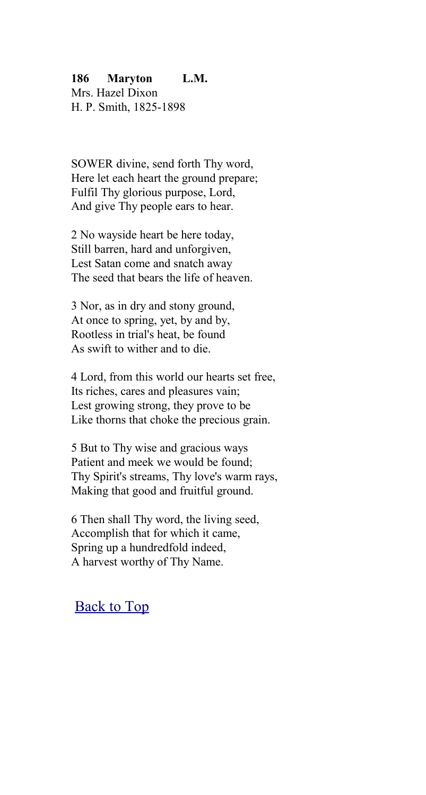### **186 Maryton L.M.**

Mrs. Hazel Dixon H. P. Smith, 1825-1898

SOWER divine, send forth Thy word, Here let each heart the ground prepare; Fulfil Thy glorious purpose, Lord, And give Thy people ears to hear.

2 No wayside heart be here today, Still barren, hard and unforgiven, Lest Satan come and snatch away The seed that bears the life of heaven.

3 Nor, as in dry and stony ground, At once to spring, yet, by and by, Rootless in trial's heat, be found As swift to wither and to die.

4 Lord, from this world our hearts set free, Its riches, cares and pleasures vain; Lest growing strong, they prove to be Like thorns that choke the precious grain.

5 But to Thy wise and gracious ways Patient and meek we would be found; Thy Spirit's streams, Thy love's warm rays, Making that good and fruitful ground.

6 Then shall Thy word, the living seed, Accomplish that for which it came, Spring up a hundredfold indeed, A harvest worthy of Thy Name.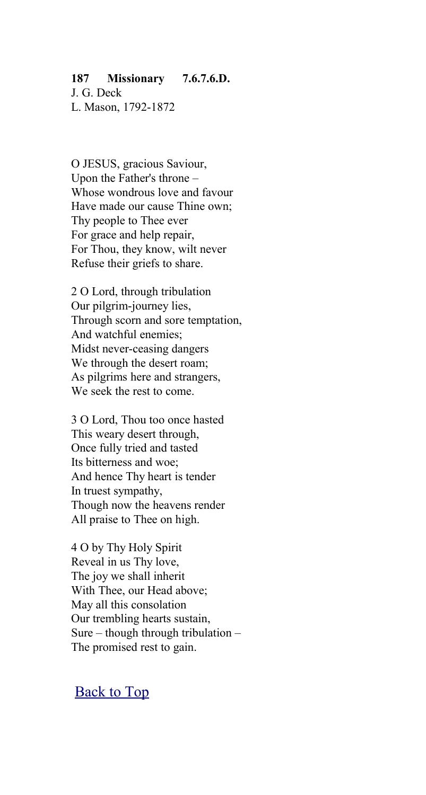#### **187 Missionary 7.6.7.6.D.**

J. G. Deck L. Mason, 1792-1872

O JESUS, gracious Saviour, Upon the Father's throne – Whose wondrous love and favour Have made our cause Thine own; Thy people to Thee ever For grace and help repair, For Thou, they know, wilt never Refuse their griefs to share.

2 O Lord, through tribulation Our pilgrim-journey lies, Through scorn and sore temptation, And watchful enemies; Midst never-ceasing dangers We through the desert roam; As pilgrims here and strangers, We seek the rest to come.

3 O Lord, Thou too once hasted This weary desert through, Once fully tried and tasted Its bitterness and woe; And hence Thy heart is tender In truest sympathy, Though now the heavens render All praise to Thee on high.

4 O by Thy Holy Spirit Reveal in us Thy love, The joy we shall inherit With Thee, our Head above; May all this consolation Our trembling hearts sustain, Sure – though through tribulation – The promised rest to gain.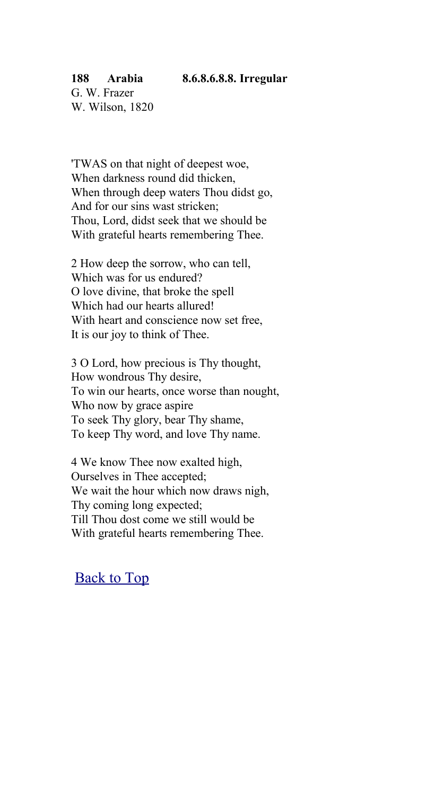#### **188 Arabia 8.6.8.6.8.8. Irregular**

'TWAS on that night of deepest woe, When darkness round did thicken, When through deep waters Thou didst go. And for our sins wast stricken; Thou, Lord, didst seek that we should be With grateful hearts remembering Thee.

2 How deep the sorrow, who can tell, Which was for us endured? O love divine, that broke the spell Which had our hearts allured! With heart and conscience now set free, It is our joy to think of Thee.

3 O Lord, how precious is Thy thought, How wondrous Thy desire, To win our hearts, once worse than nought, Who now by grace aspire To seek Thy glory, bear Thy shame, To keep Thy word, and love Thy name.

4 We know Thee now exalted high, Ourselves in Thee accepted; We wait the hour which now draws nigh, Thy coming long expected; Till Thou dost come we still would be With grateful hearts remembering Thee.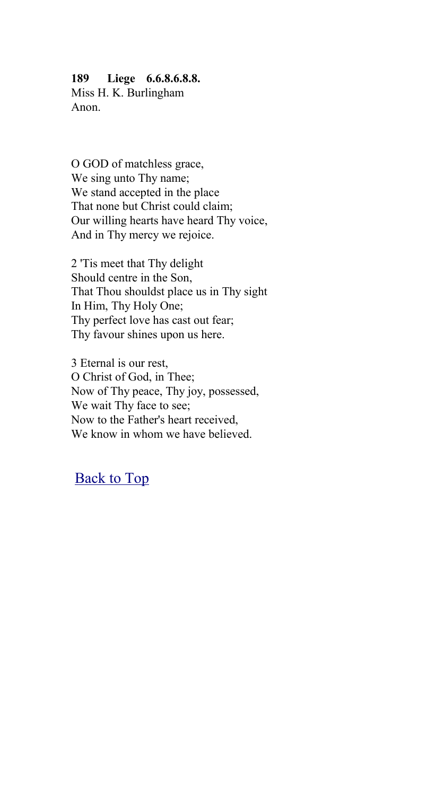## **189 Liege 6.6.8.6.8.8.**

Miss H. K. Burlingham Anon.

O GOD of matchless grace, We sing unto Thy name; We stand accepted in the place That none but Christ could claim; Our willing hearts have heard Thy voice, And in Thy mercy we rejoice.

2 'Tis meet that Thy delight Should centre in the Son, That Thou shouldst place us in Thy sight In Him, Thy Holy One; Thy perfect love has cast out fear; Thy favour shines upon us here.

3 Eternal is our rest, O Christ of God, in Thee; Now of Thy peace, Thy joy, possessed, We wait Thy face to see; Now to the Father's heart received, We know in whom we have believed.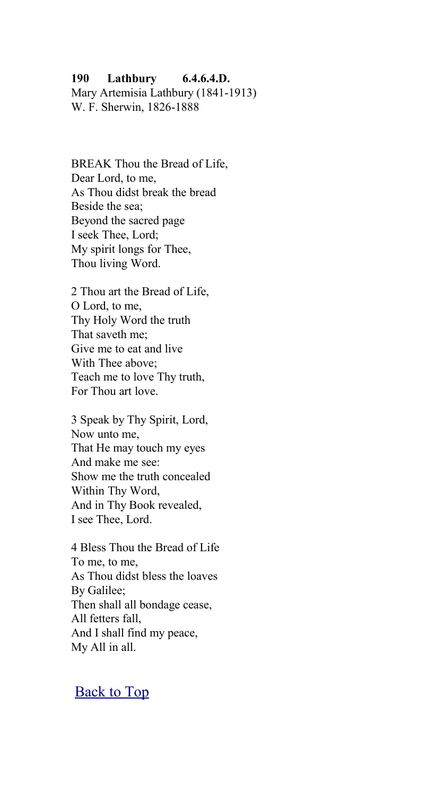#### **190 Lathbury 6.4.6.4.D.**

Mary Artemisia Lathbury (1841-1913) W. F. Sherwin, 1826-1888

BREAK Thou the Bread of Life, Dear Lord, to me, As Thou didst break the bread Beside the sea; Beyond the sacred page I seek Thee, Lord; My spirit longs for Thee, Thou living Word.

2 Thou art the Bread of Life, O Lord, to me, Thy Holy Word the truth That saveth me; Give me to eat and live With Thee above; Teach me to love Thy truth, For Thou art love.

3 Speak by Thy Spirit, Lord, Now unto me, That He may touch my eyes And make me see: Show me the truth concealed Within Thy Word, And in Thy Book revealed, I see Thee, Lord.

4 Bless Thou the Bread of Life To me, to me, As Thou didst bless the loaves By Galilee; Then shall all bondage cease, All fetters fall, And I shall find my peace, My All in all.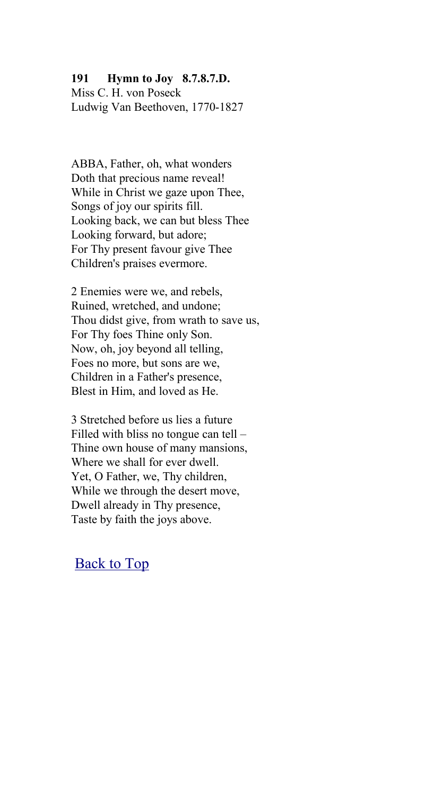### **191 Hymn to Joy 8.7.8.7.D.**

Miss C. H. von Poseck Ludwig Van Beethoven, 1770-1827

ABBA, Father, oh, what wonders Doth that precious name reveal! While in Christ we gaze upon Thee, Songs of joy our spirits fill. Looking back, we can but bless Thee Looking forward, but adore; For Thy present favour give Thee Children's praises evermore.

2 Enemies were we, and rebels, Ruined, wretched, and undone; Thou didst give, from wrath to save us, For Thy foes Thine only Son. Now, oh, joy beyond all telling, Foes no more, but sons are we, Children in a Father's presence, Blest in Him, and loved as He.

3 Stretched before us lies a future Filled with bliss no tongue can tell – Thine own house of many mansions, Where we shall for ever dwell. Yet, O Father, we, Thy children, While we through the desert move, Dwell already in Thy presence, Taste by faith the joys above.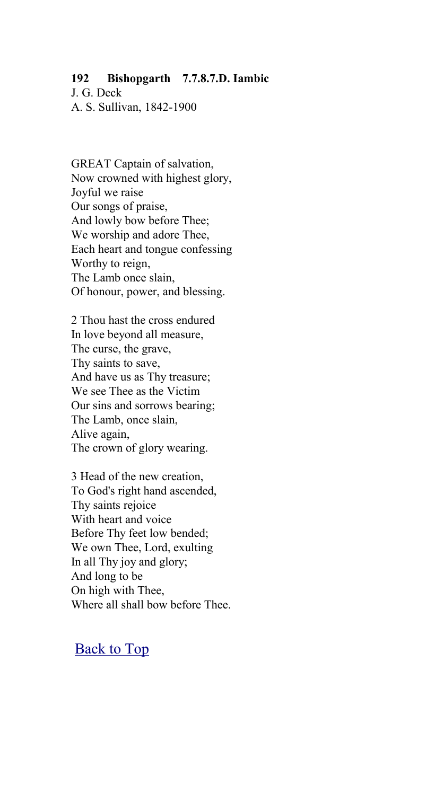#### **192 Bishopgarth 7.7.8.7.D. Iambic**

J. G. Deck A. S. Sullivan, 1842-1900

GREAT Captain of salvation, Now crowned with highest glory, Joyful we raise Our songs of praise, And lowly bow before Thee; We worship and adore Thee, Each heart and tongue confessing Worthy to reign, The Lamb once slain, Of honour, power, and blessing.

2 Thou hast the cross endured In love beyond all measure, The curse, the grave, Thy saints to save, And have us as Thy treasure; We see Thee as the Victim Our sins and sorrows bearing; The Lamb, once slain, Alive again, The crown of glory wearing.

3 Head of the new creation, To God's right hand ascended, Thy saints rejoice With heart and voice Before Thy feet low bended; We own Thee, Lord, exulting In all Thy joy and glory; And long to be On high with Thee, Where all shall bow before Thee.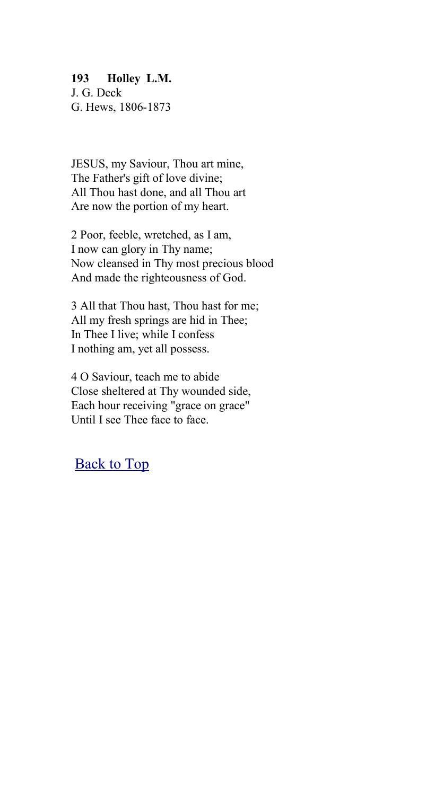#### **193 Holley L.M.**

J. G. Deck G. Hews, 1806-1873

JESUS, my Saviour, Thou art mine, The Father's gift of love divine; All Thou hast done, and all Thou art Are now the portion of my heart.

2 Poor, feeble, wretched, as I am, I now can glory in Thy name; Now cleansed in Thy most precious blood And made the righteousness of God.

3 All that Thou hast, Thou hast for me; All my fresh springs are hid in Thee; In Thee I live; while I confess I nothing am, yet all possess.

4 O Saviour, teach me to abide Close sheltered at Thy wounded side, Each hour receiving "grace on grace" Until I see Thee face to face.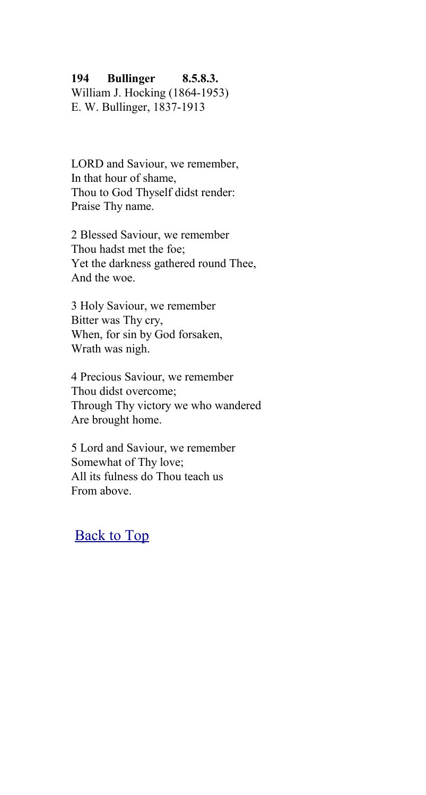#### **194 Bullinger 8.5.8.3.**

William J. Hocking (1864-1953) E. W. Bullinger, 1837-1913

LORD and Saviour, we remember, In that hour of shame, Thou to God Thyself didst render: Praise Thy name.

2 Blessed Saviour, we remember Thou hadst met the foe; Yet the darkness gathered round Thee, And the woe.

3 Holy Saviour, we remember Bitter was Thy cry, When, for sin by God forsaken, Wrath was nigh.

4 Precious Saviour, we remember Thou didst overcome; Through Thy victory we who wandered Are brought home.

5 Lord and Saviour, we remember Somewhat of Thy love; All its fulness do Thou teach us From above.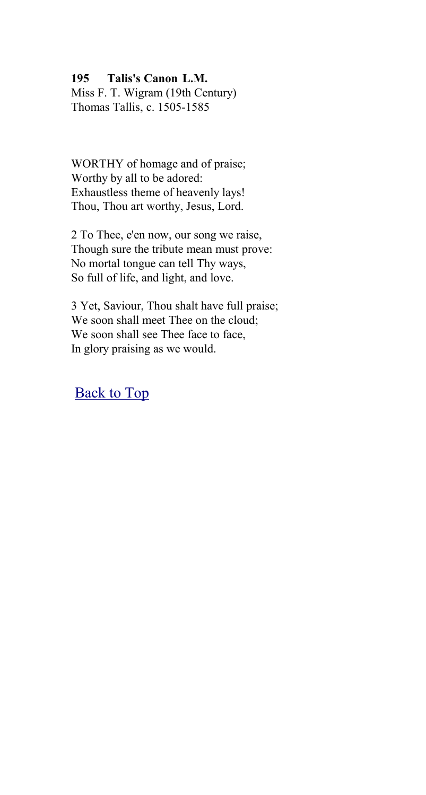#### **195 Talis's Canon L.M.**

Miss F. T. Wigram (19th Century) Thomas Tallis, c. 1505-1585

WORTHY of homage and of praise; Worthy by all to be adored: Exhaustless theme of heavenly lays! Thou, Thou art worthy, Jesus, Lord.

2 To Thee, e'en now, our song we raise, Though sure the tribute mean must prove: No mortal tongue can tell Thy ways, So full of life, and light, and love.

3 Yet, Saviour, Thou shalt have full praise; We soon shall meet Thee on the cloud; We soon shall see Thee face to face, In glory praising as we would.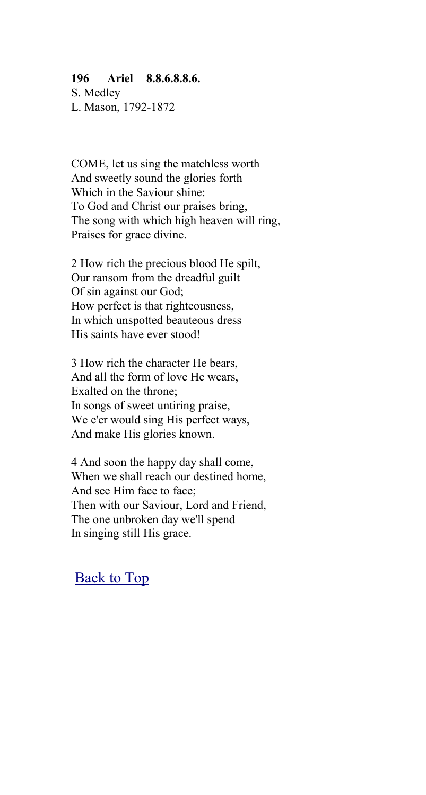#### **196 Ariel 8.8.6.8.8.6.**

S. Medley L. Mason, 1792-1872

COME, let us sing the matchless worth And sweetly sound the glories forth Which in the Saviour shine: To God and Christ our praises bring, The song with which high heaven will ring, Praises for grace divine.

2 How rich the precious blood He spilt, Our ransom from the dreadful guilt Of sin against our God; How perfect is that righteousness, In which unspotted beauteous dress His saints have ever stood!

3 How rich the character He bears, And all the form of love He wears, Exalted on the throne; In songs of sweet untiring praise, We e'er would sing His perfect ways, And make His glories known.

4 And soon the happy day shall come, When we shall reach our destined home, And see Him face to face; Then with our Saviour, Lord and Friend, The one unbroken day we'll spend In singing still His grace.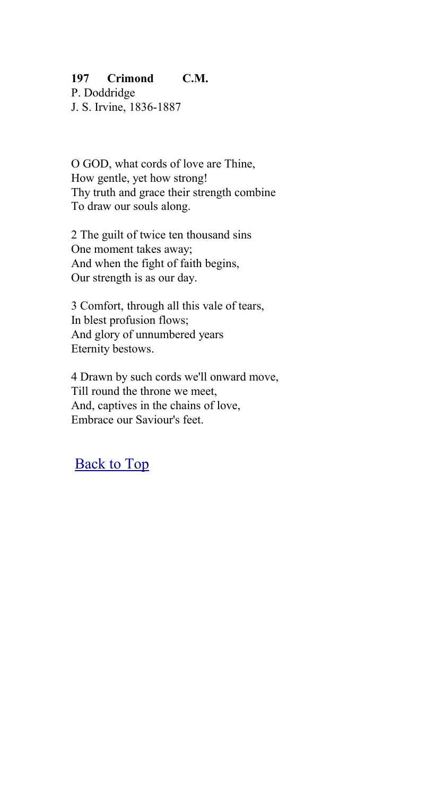## **197 Crimond C.M.**

P. Doddridge J. S. Irvine, 1836-1887

O GOD, what cords of love are Thine, How gentle, yet how strong! Thy truth and grace their strength combine To draw our souls along.

2 The guilt of twice ten thousand sins One moment takes away; And when the fight of faith begins, Our strength is as our day.

3 Comfort, through all this vale of tears, In blest profusion flows; And glory of unnumbered years Eternity bestows.

4 Drawn by such cords we'll onward move, Till round the throne we meet, And, captives in the chains of love, Embrace our Saviour's feet.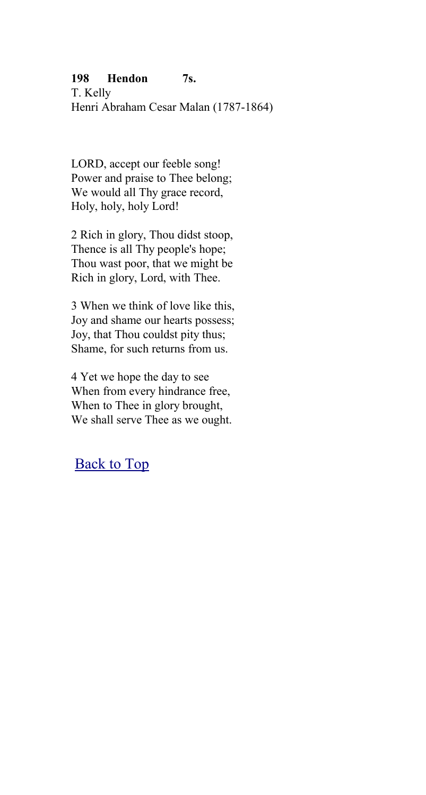## **198 Hendon 7s.**

T. Kelly Henri Abraham Cesar Malan (1787-1864)

LORD, accept our feeble song! Power and praise to Thee belong; We would all Thy grace record. Holy, holy, holy Lord!

2 Rich in glory, Thou didst stoop, Thence is all Thy people's hope; Thou wast poor, that we might be Rich in glory, Lord, with Thee.

3 When we think of love like this, Joy and shame our hearts possess; Joy, that Thou couldst pity thus; Shame, for such returns from us.

4 Yet we hope the day to see When from every hindrance free, When to Thee in glory brought, We shall serve Thee as we ought.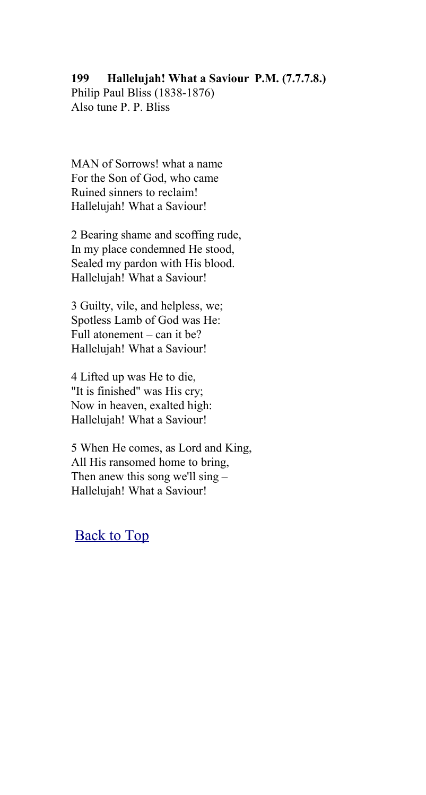#### **199 Hallelujah! What a Saviour P.M. (7.7.7.8.)**

Philip Paul Bliss (1838-1876) Also tune P. P. Bliss

MAN of Sorrows! what a name For the Son of God, who came Ruined sinners to reclaim! Hallelujah! What a Saviour!

2 Bearing shame and scoffing rude, In my place condemned He stood, Sealed my pardon with His blood. Hallelujah! What a Saviour!

3 Guilty, vile, and helpless, we; Spotless Lamb of God was He: Full atonement – can it be? Hallelujah! What a Saviour!

4 Lifted up was He to die, "It is finished" was His cry; Now in heaven, exalted high: Hallelujah! What a Saviour!

5 When He comes, as Lord and King, All His ransomed home to bring, Then anew this song we'll sing – Hallelujah! What a Saviour!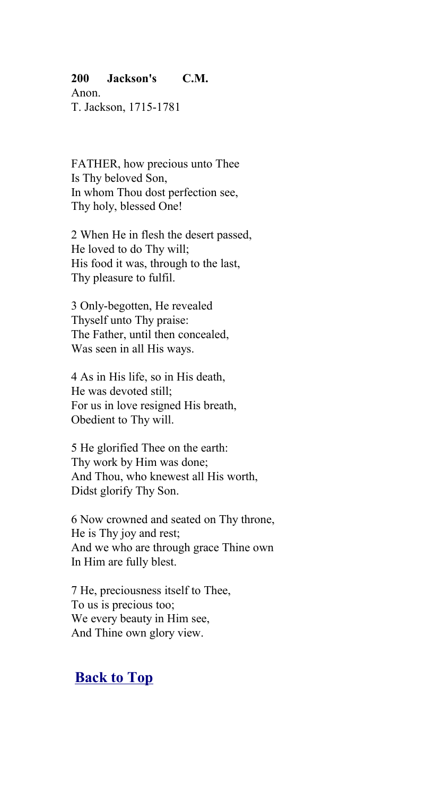#### **200 Jackson's C.M.**

Anon. T. Jackson, 1715-1781

FATHER, how precious unto Thee Is Thy beloved Son, In whom Thou dost perfection see, Thy holy, blessed One!

2 When He in flesh the desert passed, He loved to do Thy will; His food it was, through to the last, Thy pleasure to fulfil.

3 Only-begotten, He revealed Thyself unto Thy praise: The Father, until then concealed, Was seen in all His ways.

4 As in His life, so in His death, He was devoted still; For us in love resigned His breath, Obedient to Thy will.

5 He glorified Thee on the earth: Thy work by Him was done; And Thou, who knewest all His worth, Didst glorify Thy Son.

6 Now crowned and seated on Thy throne, He is Thy joy and rest; And we who are through grace Thine own In Him are fully blest.

7 He, preciousness itself to Thee, To us is precious too; We every beauty in Him see, And Thine own glory view.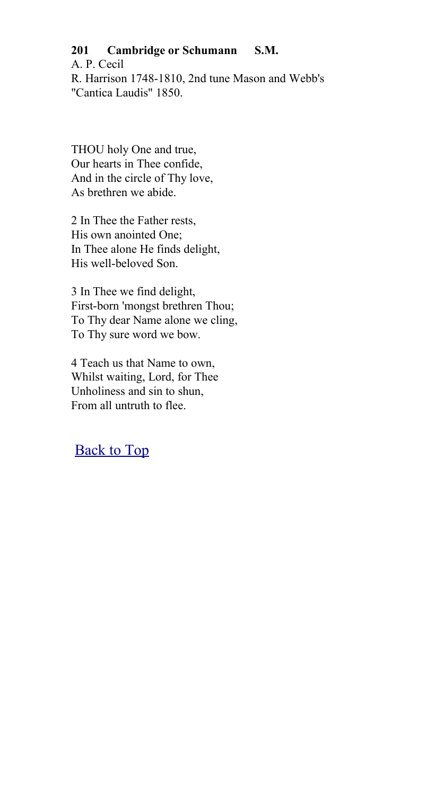## **201 Cambridge or Schumann S.M.**

A. P. Cecil R. Harrison 1748-1810, 2nd tune Mason and Webb's "Cantica Laudis" 1850.

THOU holy One and true, Our hearts in Thee confide, And in the circle of Thy love, As brethren we abide.

2 In Thee the Father rests, His own anointed One; In Thee alone He finds delight, His well-beloved Son.

3 In Thee we find delight, First-born 'mongst brethren Thou; To Thy dear Name alone we cling, To Thy sure word we bow.

4 Teach us that Name to own, Whilst waiting, Lord, for Thee Unholiness and sin to shun, From all untruth to flee.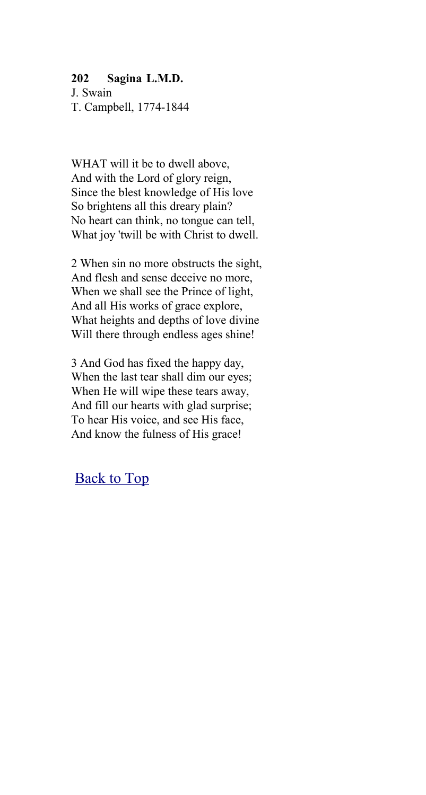#### **202 Sagina L.M.D.**

J. Swain T. Campbell, 1774-1844

WHAT will it be to dwell above. And with the Lord of glory reign, Since the blest knowledge of His love So brightens all this dreary plain? No heart can think, no tongue can tell, What joy 'twill be with Christ to dwell.

2 When sin no more obstructs the sight, And flesh and sense deceive no more, When we shall see the Prince of light, And all His works of grace explore, What heights and depths of love divine Will there through endless ages shine!

3 And God has fixed the happy day, When the last tear shall dim our eyes; When He will wipe these tears away, And fill our hearts with glad surprise; To hear His voice, and see His face, And know the fulness of His grace!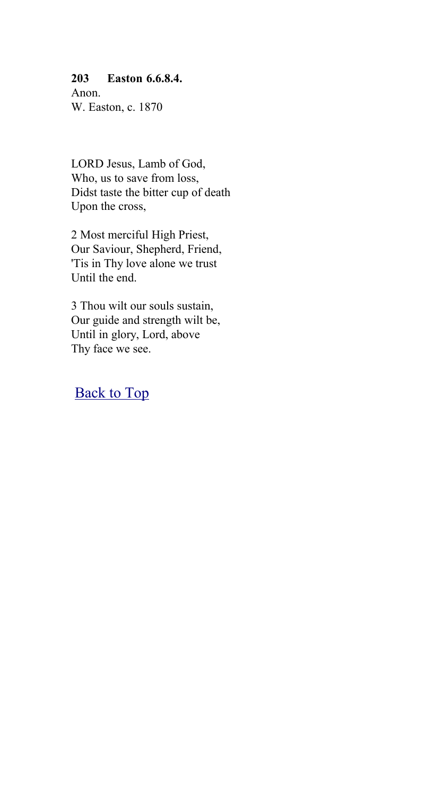#### **203 Easton 6.6.8.4.**

Anon. W. Easton, c. 1870

LORD Jesus, Lamb of God, Who, us to save from loss, Didst taste the bitter cup of death Upon the cross,

2 Most merciful High Priest, Our Saviour, Shepherd, Friend, 'Tis in Thy love alone we trust Until the end.

3 Thou wilt our souls sustain, Our guide and strength wilt be, Until in glory, Lord, above Thy face we see.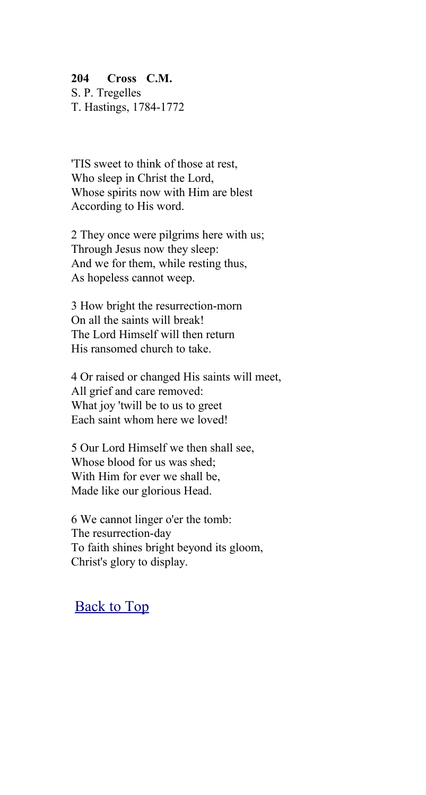### **204 Cross C.M.**

S. P. Tregelles T. Hastings, 1784-1772

'TIS sweet to think of those at rest, Who sleep in Christ the Lord, Whose spirits now with Him are blest According to His word.

2 They once were pilgrims here with us; Through Jesus now they sleep: And we for them, while resting thus, As hopeless cannot weep.

3 How bright the resurrection-morn On all the saints will break! The Lord Himself will then return His ransomed church to take.

4 Or raised or changed His saints will meet, All grief and care removed: What joy 'twill be to us to greet Each saint whom here we loved!

5 Our Lord Himself we then shall see, Whose blood for us was shed; With Him for ever we shall be, Made like our glorious Head.

6 We cannot linger o'er the tomb: The resurrection-day To faith shines bright beyond its gloom, Christ's glory to display.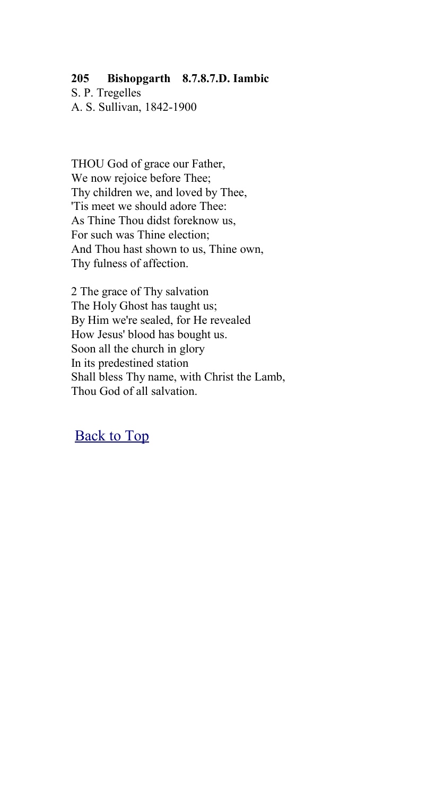## **205 Bishopgarth 8.7.8.7.D. Iambic**

S. P. Tregelles A. S. Sullivan, 1842-1900

THOU God of grace our Father, We now rejoice before Thee; Thy children we, and loved by Thee, 'Tis meet we should adore Thee: As Thine Thou didst foreknow us, For such was Thine election; And Thou hast shown to us, Thine own, Thy fulness of affection.

2 The grace of Thy salvation The Holy Ghost has taught us; By Him we're sealed, for He revealed How Jesus' blood has bought us. Soon all the church in glory In its predestined station Shall bless Thy name, with Christ the Lamb, Thou God of all salvation.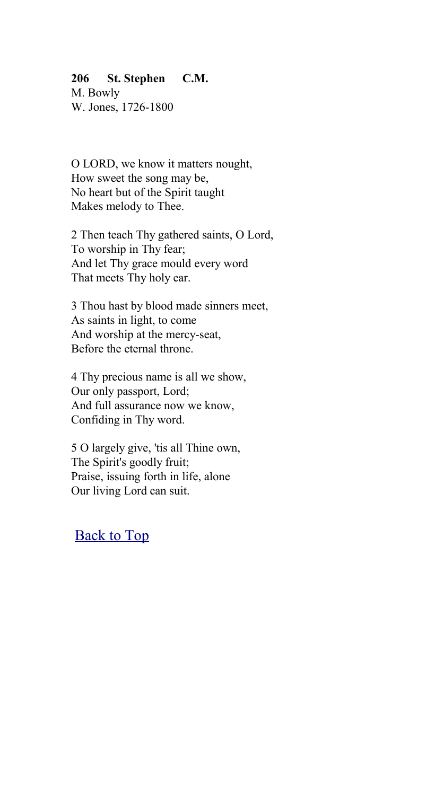#### **206 St. Stephen C.M.**

M. Bowly W. Jones, 1726-1800

O LORD, we know it matters nought, How sweet the song may be, No heart but of the Spirit taught Makes melody to Thee.

2 Then teach Thy gathered saints, O Lord, To worship in Thy fear; And let Thy grace mould every word That meets Thy holy ear.

3 Thou hast by blood made sinners meet, As saints in light, to come And worship at the mercy-seat, Before the eternal throne.

4 Thy precious name is all we show, Our only passport, Lord; And full assurance now we know, Confiding in Thy word.

5 O largely give, 'tis all Thine own, The Spirit's goodly fruit; Praise, issuing forth in life, alone Our living Lord can suit.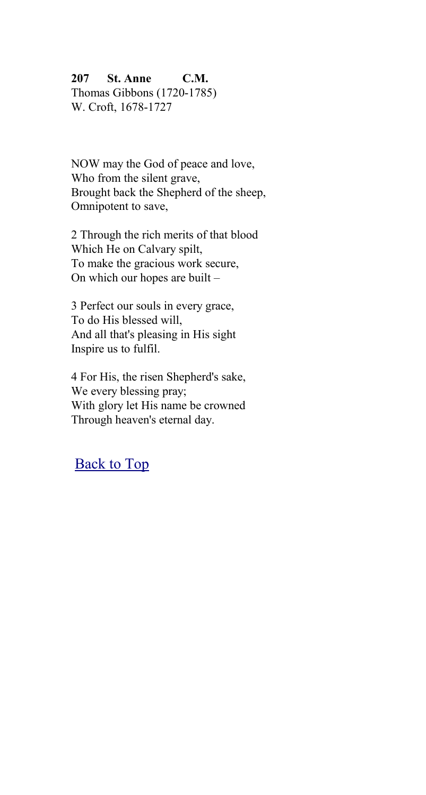### **207 St. Anne C.M.**

Thomas Gibbons (1720-1785) W. Croft, 1678-1727

NOW may the God of peace and love, Who from the silent grave, Brought back the Shepherd of the sheep, Omnipotent to save,

2 Through the rich merits of that blood Which He on Calvary spilt, To make the gracious work secure, On which our hopes are built –

3 Perfect our souls in every grace, To do His blessed will, And all that's pleasing in His sight Inspire us to fulfil.

4 For His, the risen Shepherd's sake, We every blessing pray; With glory let His name be crowned Through heaven's eternal day.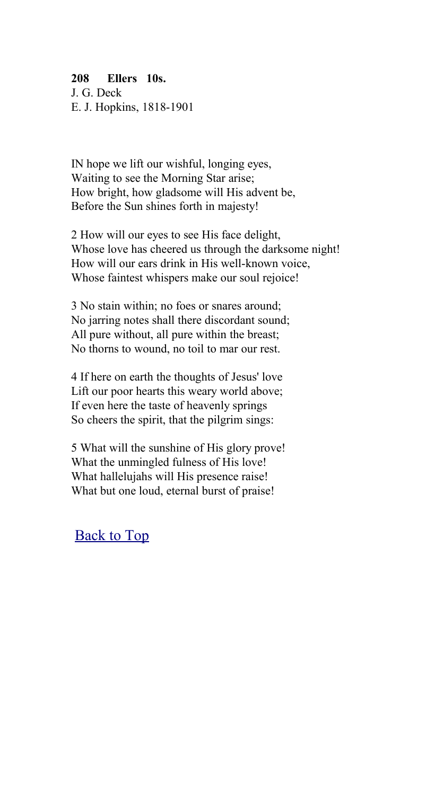## **208 Ellers 10s.**

J. G. Deck E. J. Hopkins, 1818-1901

IN hope we lift our wishful, longing eyes, Waiting to see the Morning Star arise; How bright, how gladsome will His advent be, Before the Sun shines forth in majesty!

2 How will our eyes to see His face delight, Whose love has cheered us through the darksome night! How will our ears drink in His well-known voice, Whose faintest whispers make our soul rejoice!

3 No stain within; no foes or snares around; No jarring notes shall there discordant sound; All pure without, all pure within the breast; No thorns to wound, no toil to mar our rest.

4 If here on earth the thoughts of Jesus' love Lift our poor hearts this weary world above; If even here the taste of heavenly springs So cheers the spirit, that the pilgrim sings:

5 What will the sunshine of His glory prove! What the unmingled fulness of His love! What hallelujahs will His presence raise! What but one loud, eternal burst of praise!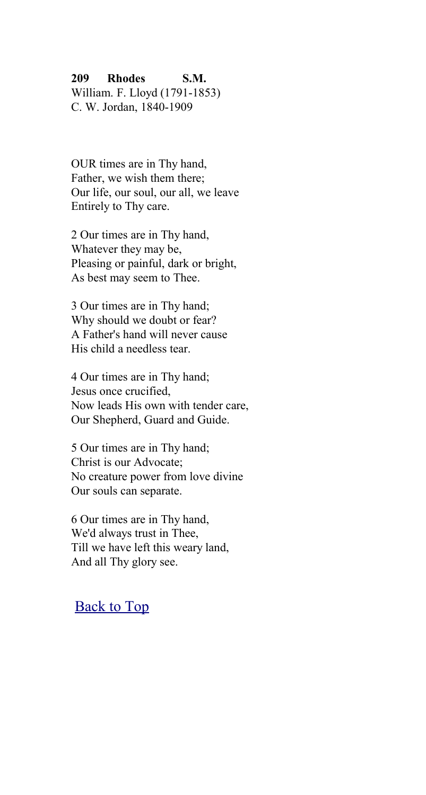#### **209 Rhodes S.M.**

William. F. Lloyd (1791-1853) C. W. Jordan, 1840-1909

OUR times are in Thy hand, Father, we wish them there; Our life, our soul, our all, we leave Entirely to Thy care.

2 Our times are in Thy hand, Whatever they may be, Pleasing or painful, dark or bright, As best may seem to Thee.

3 Our times are in Thy hand; Why should we doubt or fear? A Father's hand will never cause His child a needless tear.

4 Our times are in Thy hand; Jesus once crucified, Now leads His own with tender care, Our Shepherd, Guard and Guide.

5 Our times are in Thy hand; Christ is our Advocate; No creature power from love divine Our souls can separate.

6 Our times are in Thy hand, We'd always trust in Thee, Till we have left this weary land, And all Thy glory see.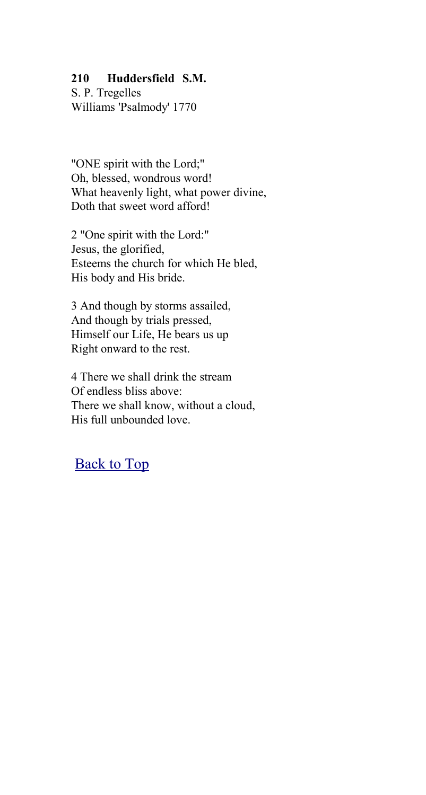### **210 Huddersfield S.M.**

S. P. Tregelles Williams 'Psalmody' 1770

"ONE spirit with the Lord;" Oh, blessed, wondrous word! What heavenly light, what power divine, Doth that sweet word afford!

2 "One spirit with the Lord:" Jesus, the glorified, Esteems the church for which He bled, His body and His bride.

3 And though by storms assailed, And though by trials pressed, Himself our Life, He bears us up Right onward to the rest.

4 There we shall drink the stream Of endless bliss above: There we shall know, without a cloud, His full unbounded love.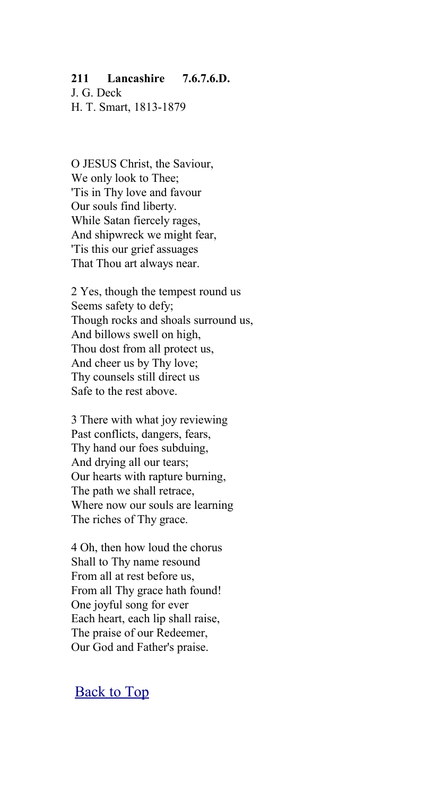#### **211 Lancashire 7.6.7.6.D.**

J. G. Deck H. T. Smart, 1813-1879

O JESUS Christ, the Saviour, We only look to Thee; 'Tis in Thy love and favour Our souls find liberty. While Satan fiercely rages, And shipwreck we might fear, 'Tis this our grief assuages That Thou art always near.

2 Yes, though the tempest round us Seems safety to defy; Though rocks and shoals surround us, And billows swell on high, Thou dost from all protect us, And cheer us by Thy love; Thy counsels still direct us Safe to the rest above.

3 There with what joy reviewing Past conflicts, dangers, fears, Thy hand our foes subduing, And drying all our tears; Our hearts with rapture burning, The path we shall retrace, Where now our souls are learning The riches of Thy grace.

4 Oh, then how loud the chorus Shall to Thy name resound From all at rest before us, From all Thy grace hath found! One joyful song for ever Each heart, each lip shall raise, The praise of our Redeemer, Our God and Father's praise.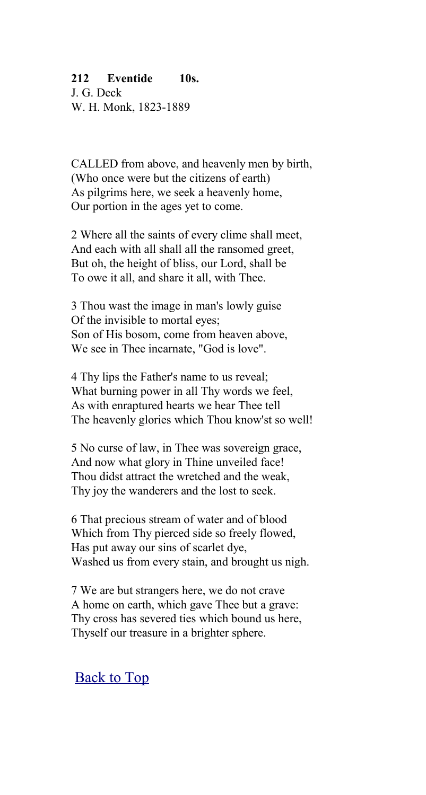#### **212 Eventide 10s.**

J. G. Deck W. H. Monk, 1823-1889

CALLED from above, and heavenly men by birth, (Who once were but the citizens of earth) As pilgrims here, we seek a heavenly home, Our portion in the ages yet to come.

2 Where all the saints of every clime shall meet, And each with all shall all the ransomed greet, But oh, the height of bliss, our Lord, shall be To owe it all, and share it all, with Thee.

3 Thou wast the image in man's lowly guise Of the invisible to mortal eyes; Son of His bosom, come from heaven above, We see in Thee incarnate, "God is love".

4 Thy lips the Father's name to us reveal; What burning power in all Thy words we feel, As with enraptured hearts we hear Thee tell The heavenly glories which Thou know'st so well!

5 No curse of law, in Thee was sovereign grace, And now what glory in Thine unveiled face! Thou didst attract the wretched and the weak, Thy joy the wanderers and the lost to seek.

6 That precious stream of water and of blood Which from Thy pierced side so freely flowed, Has put away our sins of scarlet dye, Washed us from every stain, and brought us nigh.

7 We are but strangers here, we do not crave A home on earth, which gave Thee but a grave: Thy cross has severed ties which bound us here, Thyself our treasure in a brighter sphere.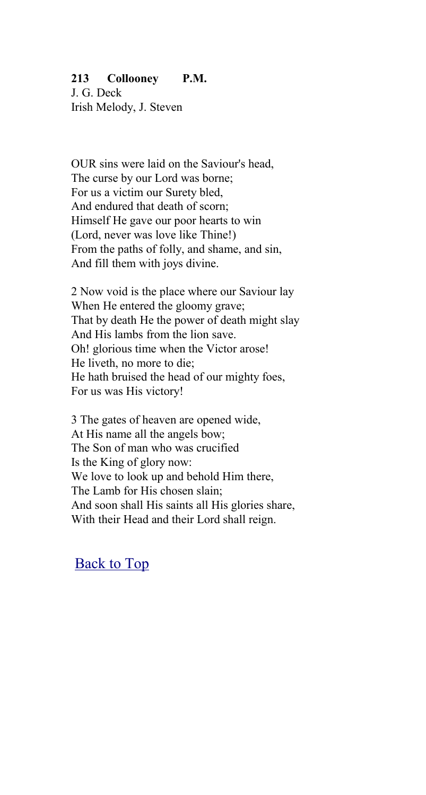#### **213 Collooney P.M.**

J. G. Deck Irish Melody, J. Steven

OUR sins were laid on the Saviour's head, The curse by our Lord was borne; For us a victim our Surety bled, And endured that death of scorn; Himself He gave our poor hearts to win (Lord, never was love like Thine!) From the paths of folly, and shame, and sin, And fill them with joys divine.

2 Now void is the place where our Saviour lay When He entered the gloomy grave; That by death He the power of death might slay And His lambs from the lion save. Oh! glorious time when the Victor arose! He liveth, no more to die; He hath bruised the head of our mighty foes, For us was His victory!

3 The gates of heaven are opened wide, At His name all the angels bow; The Son of man who was crucified Is the King of glory now: We love to look up and behold Him there, The Lamb for His chosen slain; And soon shall His saints all His glories share, With their Head and their Lord shall reign.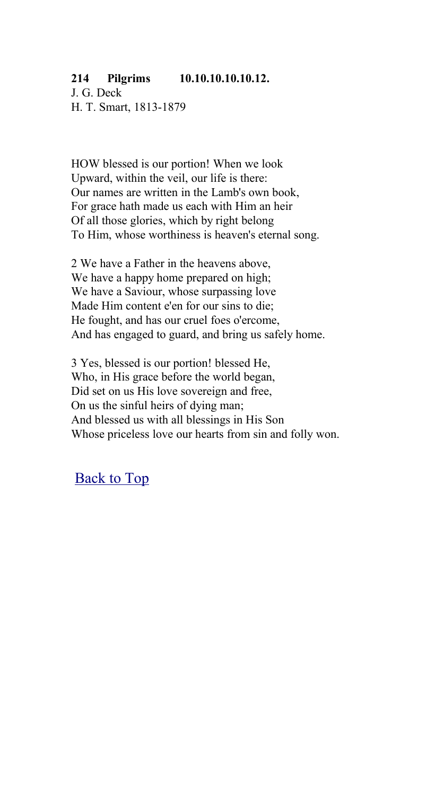### **214 Pilgrims 10.10.10.10.10.12.**

J. G. Deck H. T. Smart, 1813-1879

HOW blessed is our portion! When we look Upward, within the veil, our life is there: Our names are written in the Lamb's own book, For grace hath made us each with Him an heir Of all those glories, which by right belong To Him, whose worthiness is heaven's eternal song.

2 We have a Father in the heavens above, We have a happy home prepared on high; We have a Saviour, whose surpassing love Made Him content e'en for our sins to die; He fought, and has our cruel foes o'ercome, And has engaged to guard, and bring us safely home.

3 Yes, blessed is our portion! blessed He, Who, in His grace before the world began, Did set on us His love sovereign and free, On us the sinful heirs of dying man; And blessed us with all blessings in His Son Whose priceless love our hearts from sin and folly won.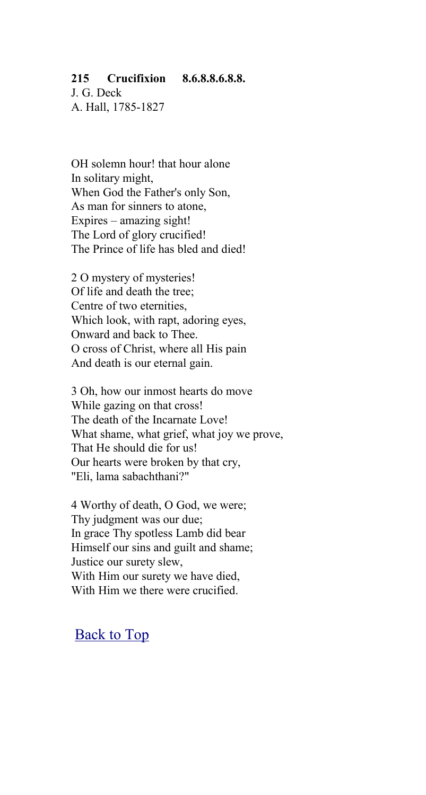### **215 Crucifixion 8.6.8.8.6.8.8.**

J. G. Deck A. Hall, 1785-1827

OH solemn hour! that hour alone In solitary might, When God the Father's only Son, As man for sinners to atone, Expires – amazing sight! The Lord of glory crucified! The Prince of life has bled and died!

2 O mystery of mysteries! Of life and death the tree; Centre of two eternities, Which look, with rapt, adoring eyes, Onward and back to Thee. O cross of Christ, where all His pain And death is our eternal gain.

3 Oh, how our inmost hearts do move While gazing on that cross! The death of the Incarnate Love! What shame, what grief, what joy we prove, That He should die for us! Our hearts were broken by that cry, "Eli, lama sabachthani?"

4 Worthy of death, O God, we were; Thy judgment was our due; In grace Thy spotless Lamb did bear Himself our sins and guilt and shame; Justice our surety slew, With Him our surety we have died, With Him we there were crucified.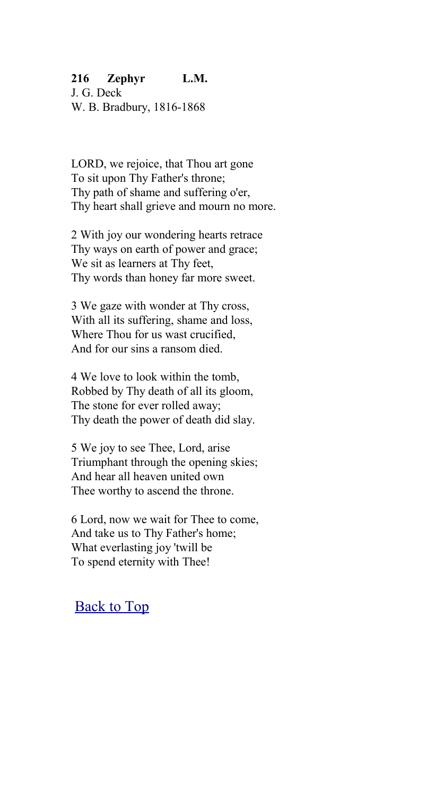### **216 Zephyr L.M.**

J. G. Deck W. B. Bradbury, 1816-1868

LORD, we rejoice, that Thou art gone To sit upon Thy Father's throne; Thy path of shame and suffering o'er, Thy heart shall grieve and mourn no more.

2 With joy our wondering hearts retrace Thy ways on earth of power and grace; We sit as learners at Thy feet, Thy words than honey far more sweet.

3 We gaze with wonder at Thy cross, With all its suffering, shame and loss, Where Thou for us wast crucified, And for our sins a ransom died.

4 We love to look within the tomb, Robbed by Thy death of all its gloom, The stone for ever rolled away; Thy death the power of death did slay.

5 We joy to see Thee, Lord, arise Triumphant through the opening skies; And hear all heaven united own Thee worthy to ascend the throne.

6 Lord, now we wait for Thee to come, And take us to Thy Father's home; What everlasting joy 'twill be To spend eternity with Thee!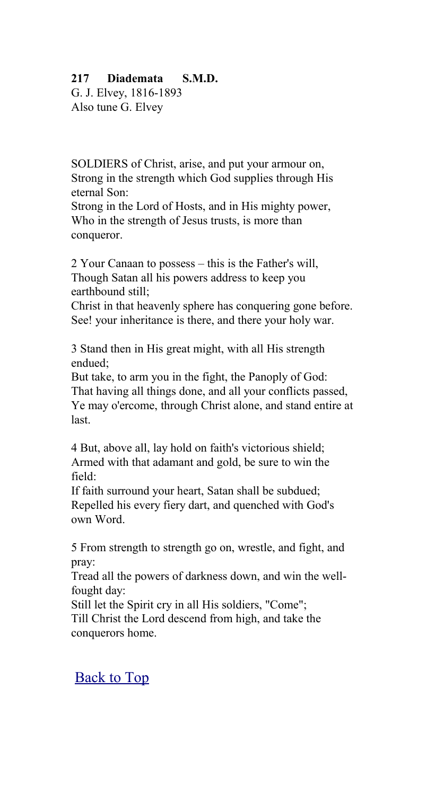### **217 Diademata S.M.D.**

G. J. Elvey, 1816-1893 Also tune G. Elvey

SOLDIERS of Christ, arise, and put your armour on, Strong in the strength which God supplies through His eternal Son:

Strong in the Lord of Hosts, and in His mighty power, Who in the strength of Jesus trusts, is more than conqueror.

2 Your Canaan to possess – this is the Father's will, Though Satan all his powers address to keep you earthbound still;

Christ in that heavenly sphere has conquering gone before. See! your inheritance is there, and there your holy war.

3 Stand then in His great might, with all His strength endued;

But take, to arm you in the fight, the Panoply of God: That having all things done, and all your conflicts passed, Ye may o'ercome, through Christ alone, and stand entire at last.

4 But, above all, lay hold on faith's victorious shield; Armed with that adamant and gold, be sure to win the field:

If faith surround your heart, Satan shall be subdued; Repelled his every fiery dart, and quenched with God's own Word.

5 From strength to strength go on, wrestle, and fight, and pray:

Tread all the powers of darkness down, and win the wellfought day:

Still let the Spirit cry in all His soldiers, "Come";

Till Christ the Lord descend from high, and take the conquerors home.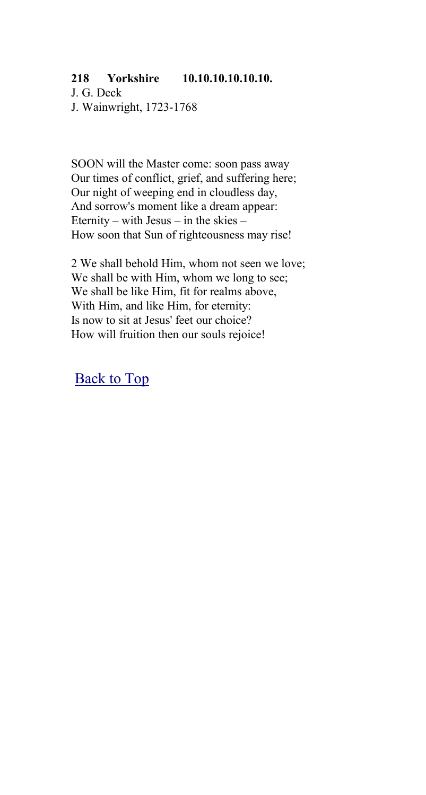#### **218 Yorkshire 10.10.10.10.10.10.**

J. G. Deck J. Wainwright, 1723-1768

SOON will the Master come: soon pass away Our times of conflict, grief, and suffering here; Our night of weeping end in cloudless day, And sorrow's moment like a dream appear: Eternity – with Jesus – in the skies – How soon that Sun of righteousness may rise!

2 We shall behold Him, whom not seen we love; We shall be with Him, whom we long to see; We shall be like Him, fit for realms above, With Him, and like Him, for eternity: Is now to sit at Jesus' feet our choice? How will fruition then our souls rejoice!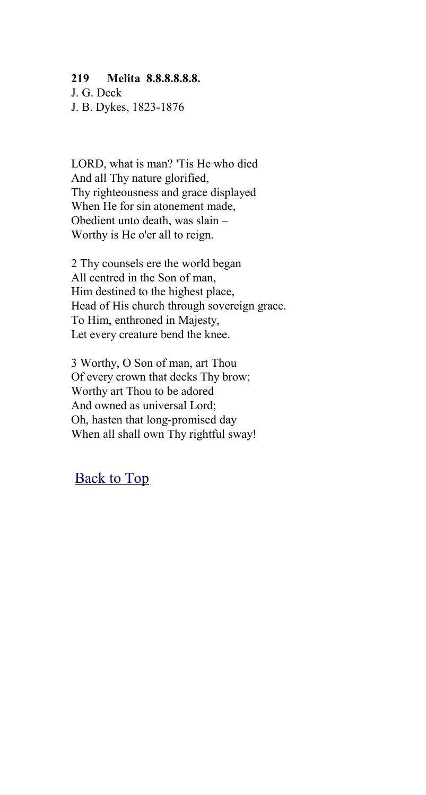#### **219 Melita 8.8.8.8.8.8.**

J. G. Deck J. B. Dykes, 1823-1876

LORD, what is man? 'Tis He who died And all Thy nature glorified, Thy righteousness and grace displayed When He for sin atonement made, Obedient unto death, was slain – Worthy is He o'er all to reign.

2 Thy counsels ere the world began All centred in the Son of man, Him destined to the highest place, Head of His church through sovereign grace. To Him, enthroned in Majesty, Let every creature bend the knee.

3 Worthy, O Son of man, art Thou Of every crown that decks Thy brow; Worthy art Thou to be adored And owned as universal Lord; Oh, hasten that long-promised day When all shall own Thy rightful sway!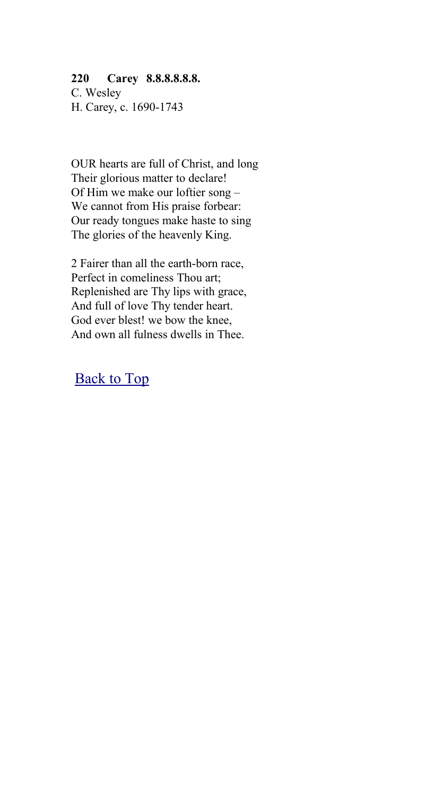#### **220 Carey 8.8.8.8.8.8.**

C. Wesley H. Carey, c. 1690-1743

OUR hearts are full of Christ, and long Their glorious matter to declare! Of Him we make our loftier song – We cannot from His praise forbear: Our ready tongues make haste to sing The glories of the heavenly King.

2 Fairer than all the earth-born race, Perfect in comeliness Thou art; Replenished are Thy lips with grace, And full of love Thy tender heart. God ever blest! we bow the knee, And own all fulness dwells in Thee.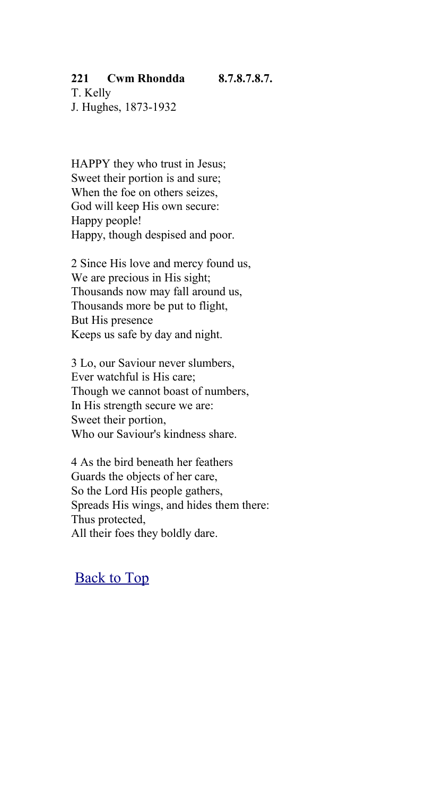#### **221 Cwm Rhondda 8.7.8.7.8.7.**

T. Kelly J. Hughes, 1873-1932

HAPPY they who trust in Jesus; Sweet their portion is and sure; When the foe on others seizes, God will keep His own secure: Happy people! Happy, though despised and poor.

2 Since His love and mercy found us, We are precious in His sight; Thousands now may fall around us, Thousands more be put to flight, But His presence Keeps us safe by day and night.

3 Lo, our Saviour never slumbers, Ever watchful is His care; Though we cannot boast of numbers, In His strength secure we are: Sweet their portion, Who our Saviour's kindness share.

4 As the bird beneath her feathers Guards the objects of her care, So the Lord His people gathers, Spreads His wings, and hides them there: Thus protected, All their foes they boldly dare.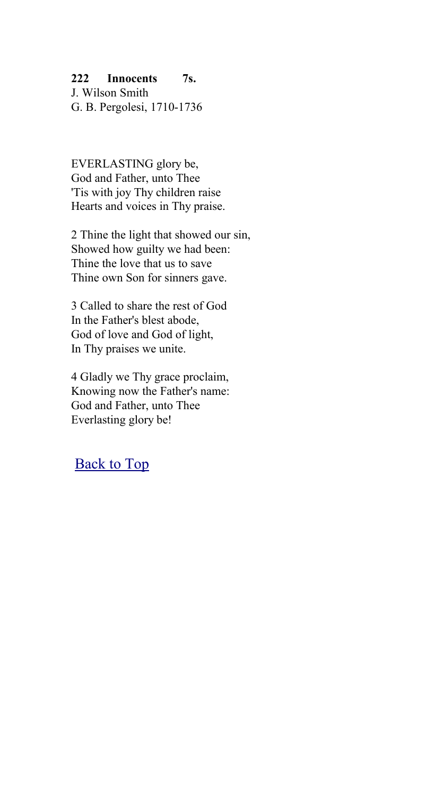### **222 Innocents 7s.**

J. Wilson Smith G. B. Pergolesi, 1710-1736

EVERLASTING glory be, God and Father, unto Thee 'Tis with joy Thy children raise Hearts and voices in Thy praise.

2 Thine the light that showed our sin, Showed how guilty we had been: Thine the love that us to save Thine own Son for sinners gave.

3 Called to share the rest of God In the Father's blest abode, God of love and God of light, In Thy praises we unite.

4 Gladly we Thy grace proclaim, Knowing now the Father's name: God and Father, unto Thee Everlasting glory be!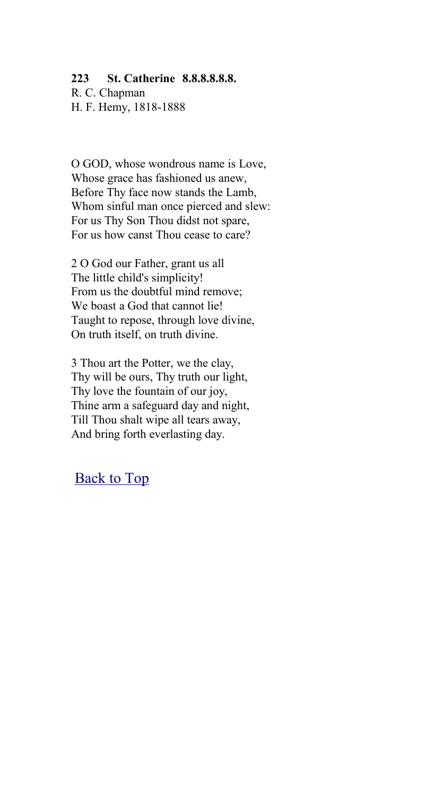#### **223 St. Catherine 8.8.8.8.8.8.**

R. C. Chapman H. F. Hemy, 1818-1888

O GOD, whose wondrous name is Love, Whose grace has fashioned us anew, Before Thy face now stands the Lamb, Whom sinful man once pierced and slew: For us Thy Son Thou didst not spare, For us how canst Thou cease to care?

2 O God our Father, grant us all The little child's simplicity! From us the doubtful mind remove; We boast a God that cannot lie! Taught to repose, through love divine, On truth itself, on truth divine.

3 Thou art the Potter, we the clay, Thy will be ours, Thy truth our light, Thy love the fountain of our joy, Thine arm a safeguard day and night, Till Thou shalt wipe all tears away, And bring forth everlasting day.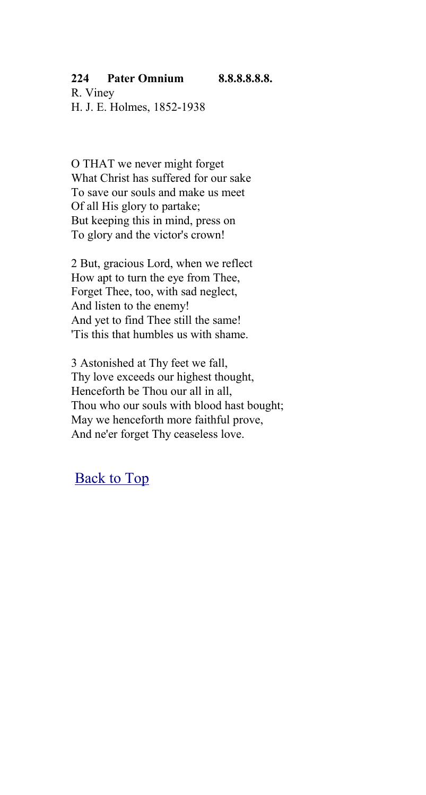### **224 Pater Omnium 8.8.8.8.8.8.**

R. Viney H. J. E. Holmes, 1852-1938

O THAT we never might forget What Christ has suffered for our sake To save our souls and make us meet Of all His glory to partake; But keeping this in mind, press on To glory and the victor's crown!

2 But, gracious Lord, when we reflect How apt to turn the eye from Thee, Forget Thee, too, with sad neglect, And listen to the enemy! And yet to find Thee still the same! 'Tis this that humbles us with shame.

3 Astonished at Thy feet we fall, Thy love exceeds our highest thought, Henceforth be Thou our all in all, Thou who our souls with blood hast bought; May we henceforth more faithful prove, And ne'er forget Thy ceaseless love.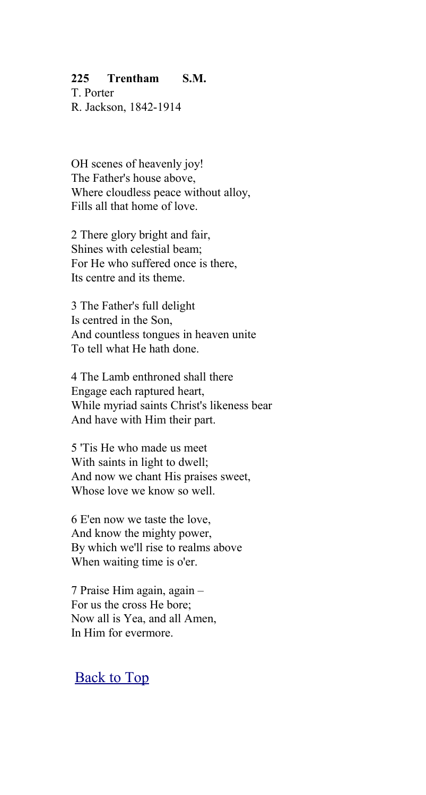### **225 Trentham S.M.**

T. Porter R. Jackson, 1842-1914

OH scenes of heavenly joy! The Father's house above, Where cloudless peace without alloy. Fills all that home of love.

2 There glory bright and fair, Shines with celestial beam; For He who suffered once is there, Its centre and its theme.

3 The Father's full delight Is centred in the Son, And countless tongues in heaven unite To tell what He hath done.

4 The Lamb enthroned shall there Engage each raptured heart, While myriad saints Christ's likeness bear And have with Him their part.

5 'Tis He who made us meet With saints in light to dwell; And now we chant His praises sweet, Whose love we know so well.

6 E'en now we taste the love, And know the mighty power, By which we'll rise to realms above When waiting time is o'er.

7 Praise Him again, again – For us the cross He bore; Now all is Yea, and all Amen, In Him for evermore.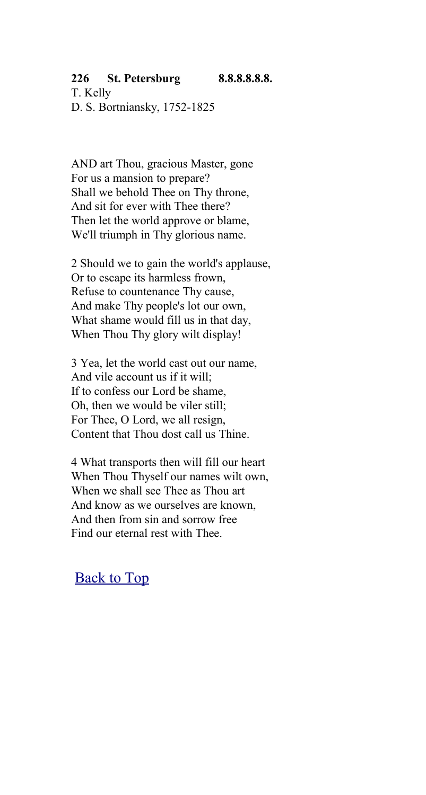#### **226 St. Petersburg 8.8.8.8.8.8.**

T. Kelly D. S. Bortniansky, 1752-1825

AND art Thou, gracious Master, gone For us a mansion to prepare? Shall we behold Thee on Thy throne, And sit for ever with Thee there? Then let the world approve or blame, We'll triumph in Thy glorious name.

2 Should we to gain the world's applause, Or to escape its harmless frown, Refuse to countenance Thy cause, And make Thy people's lot our own, What shame would fill us in that day, When Thou Thy glory wilt display!

3 Yea, let the world cast out our name, And vile account us if it will; If to confess our Lord be shame, Oh, then we would be viler still; For Thee, O Lord, we all resign, Content that Thou dost call us Thine.

4 What transports then will fill our heart When Thou Thyself our names wilt own, When we shall see Thee as Thou art And know as we ourselves are known, And then from sin and sorrow free Find our eternal rest with Thee.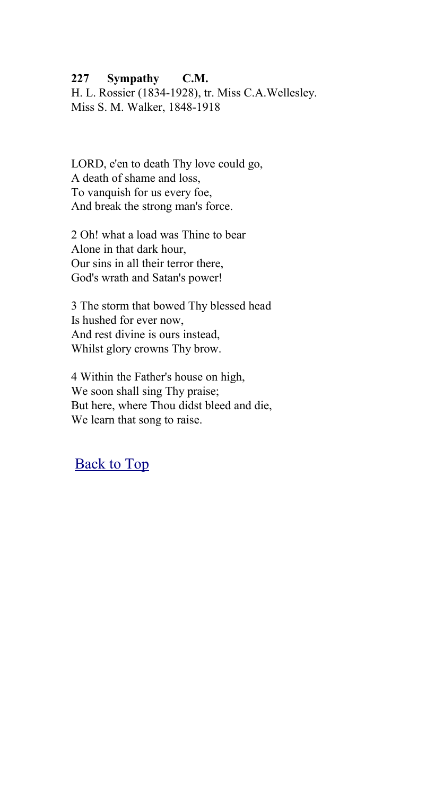#### **227 Sympathy C.M.**

H. L. Rossier (1834-1928), tr. Miss C.A.Wellesley. Miss S. M. Walker, 1848-1918

LORD, e'en to death Thy love could go, A death of shame and loss, To vanquish for us every foe, And break the strong man's force.

2 Oh! what a load was Thine to bear Alone in that dark hour, Our sins in all their terror there, God's wrath and Satan's power!

3 The storm that bowed Thy blessed head Is hushed for ever now, And rest divine is ours instead, Whilst glory crowns Thy brow.

4 Within the Father's house on high, We soon shall sing Thy praise; But here, where Thou didst bleed and die, We learn that song to raise.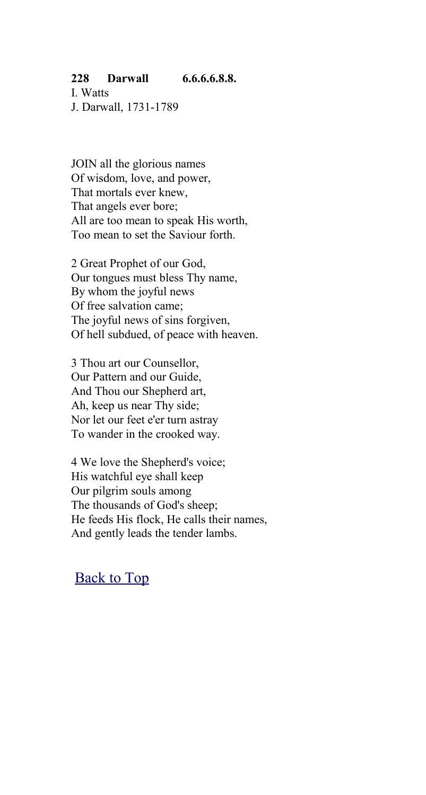#### **228 Darwall 6.6.6.6.8.8.**

I. Watts J. Darwall, 1731-1789

JOIN all the glorious names Of wisdom, love, and power, That mortals ever knew, That angels ever bore; All are too mean to speak His worth, Too mean to set the Saviour forth.

2 Great Prophet of our God, Our tongues must bless Thy name, By whom the joyful news Of free salvation came; The joyful news of sins forgiven, Of hell subdued, of peace with heaven.

3 Thou art our Counsellor, Our Pattern and our Guide, And Thou our Shepherd art, Ah, keep us near Thy side; Nor let our feet e'er turn astray To wander in the crooked way.

4 We love the Shepherd's voice; His watchful eye shall keep Our pilgrim souls among The thousands of God's sheep; He feeds His flock, He calls their names, And gently leads the tender lambs.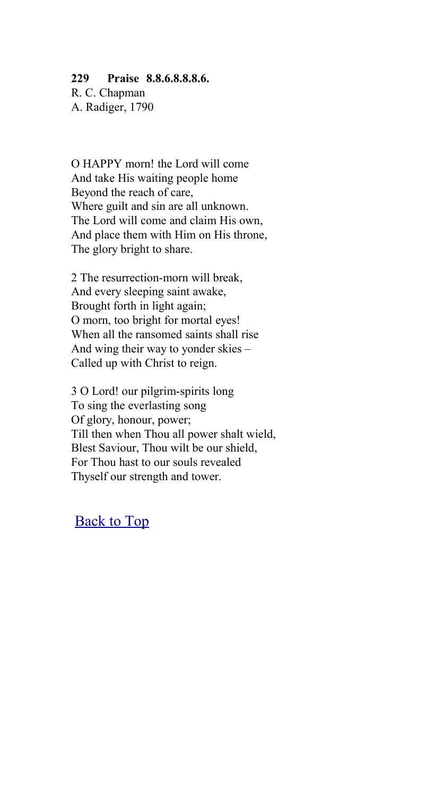#### **229 Praise 8.8.6.8.8.8.6.**

R. C. Chapman A. Radiger, 1790

O HAPPY morn! the Lord will come And take His waiting people home Beyond the reach of care, Where guilt and sin are all unknown. The Lord will come and claim His own, And place them with Him on His throne, The glory bright to share.

2 The resurrection-morn will break, And every sleeping saint awake, Brought forth in light again; O morn, too bright for mortal eyes! When all the ransomed saints shall rise And wing their way to yonder skies – Called up with Christ to reign.

3 O Lord! our pilgrim-spirits long To sing the everlasting song Of glory, honour, power; Till then when Thou all power shalt wield, Blest Saviour, Thou wilt be our shield, For Thou hast to our souls revealed Thyself our strength and tower.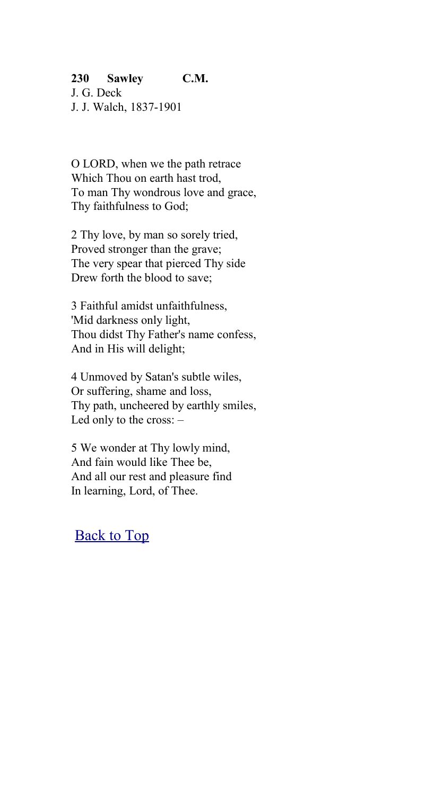### **230 Sawley C.M.**

J. G. Deck J. J. Walch, 1837-1901

O LORD, when we the path retrace Which Thou on earth hast trod, To man Thy wondrous love and grace, Thy faithfulness to God;

2 Thy love, by man so sorely tried, Proved stronger than the grave; The very spear that pierced Thy side Drew forth the blood to save;

3 Faithful amidst unfaithfulness, 'Mid darkness only light, Thou didst Thy Father's name confess, And in His will delight;

4 Unmoved by Satan's subtle wiles, Or suffering, shame and loss, Thy path, uncheered by earthly smiles, Led only to the cross: –

5 We wonder at Thy lowly mind, And fain would like Thee be, And all our rest and pleasure find In learning, Lord, of Thee.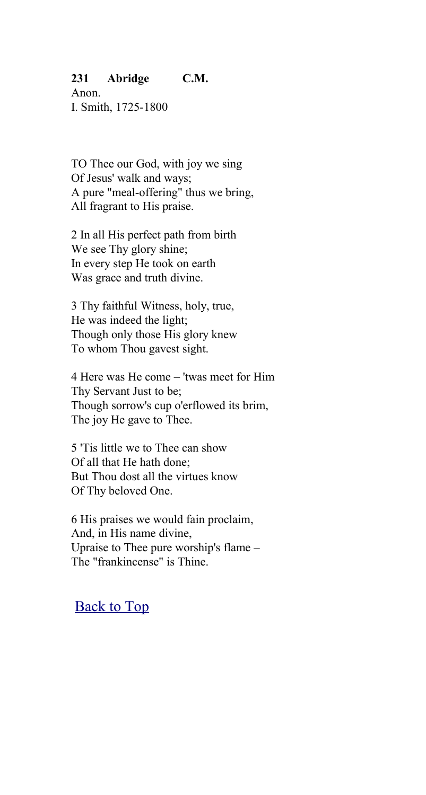#### **231 Abridge C.M.**

Anon. I. Smith, 1725-1800

TO Thee our God, with joy we sing Of Jesus' walk and ways; A pure "meal-offering" thus we bring, All fragrant to His praise.

2 In all His perfect path from birth We see Thy glory shine; In every step He took on earth Was grace and truth divine.

3 Thy faithful Witness, holy, true, He was indeed the light; Though only those His glory knew To whom Thou gavest sight.

4 Here was He come – 'twas meet for Him Thy Servant Just to be; Though sorrow's cup o'erflowed its brim, The joy He gave to Thee.

5 'Tis little we to Thee can show Of all that He hath done; But Thou dost all the virtues know Of Thy beloved One.

6 His praises we would fain proclaim, And, in His name divine, Upraise to Thee pure worship's flame – The "frankincense" is Thine.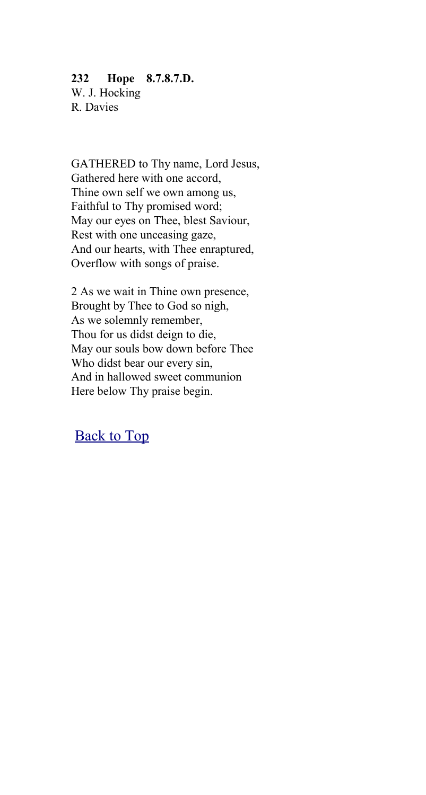### **232 Hope 8.7.8.7.D.**

W. J. Hocking R. Davies

GATHERED to Thy name, Lord Jesus, Gathered here with one accord, Thine own self we own among us, Faithful to Thy promised word; May our eyes on Thee, blest Saviour, Rest with one unceasing gaze, And our hearts, with Thee enraptured, Overflow with songs of praise.

2 As we wait in Thine own presence, Brought by Thee to God so nigh, As we solemnly remember, Thou for us didst deign to die, May our souls bow down before Thee Who didst bear our every sin, And in hallowed sweet communion Here below Thy praise begin.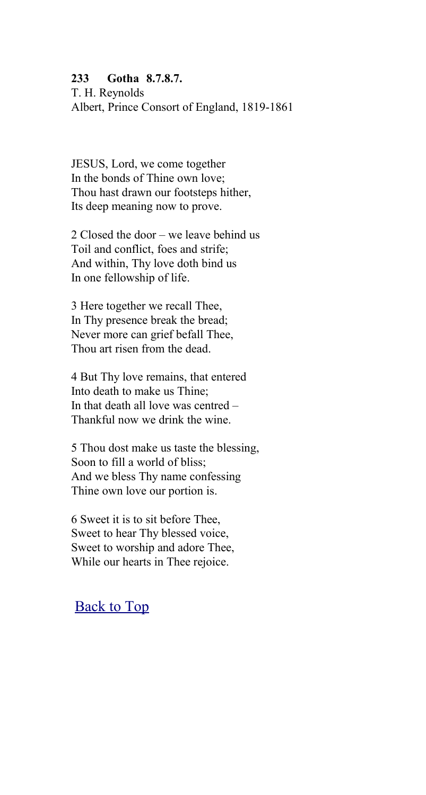#### **233 Gotha 8.7.8.7.**

T. H. Reynolds Albert, Prince Consort of England, 1819-1861

JESUS, Lord, we come together In the bonds of Thine own love; Thou hast drawn our footsteps hither, Its deep meaning now to prove.

2 Closed the door – we leave behind us Toil and conflict, foes and strife; And within, Thy love doth bind us In one fellowship of life.

3 Here together we recall Thee, In Thy presence break the bread; Never more can grief befall Thee, Thou art risen from the dead.

4 But Thy love remains, that entered Into death to make us Thine; In that death all love was centred – Thankful now we drink the wine.

5 Thou dost make us taste the blessing, Soon to fill a world of bliss; And we bless Thy name confessing Thine own love our portion is.

6 Sweet it is to sit before Thee, Sweet to hear Thy blessed voice, Sweet to worship and adore Thee, While our hearts in Thee rejoice.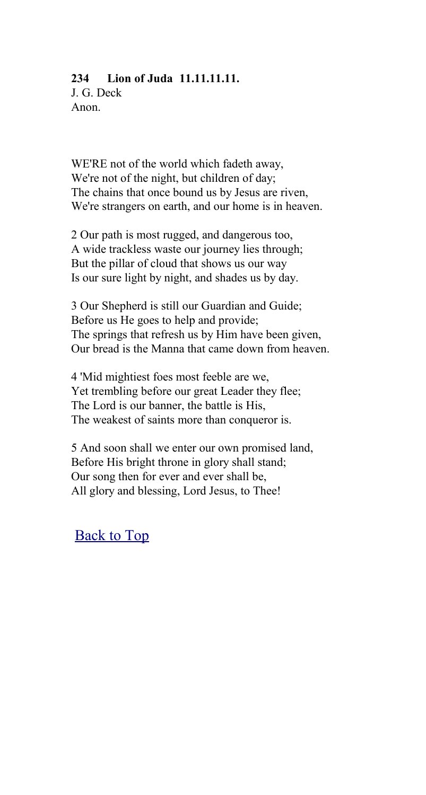### **234 Lion of Juda 11.11.11.11.**

J. G. Deck Anon.

WE'RE not of the world which fadeth away, We're not of the night, but children of day; The chains that once bound us by Jesus are riven, We're strangers on earth, and our home is in heaven.

2 Our path is most rugged, and dangerous too, A wide trackless waste our journey lies through; But the pillar of cloud that shows us our way Is our sure light by night, and shades us by day.

3 Our Shepherd is still our Guardian and Guide; Before us He goes to help and provide; The springs that refresh us by Him have been given, Our bread is the Manna that came down from heaven.

4 'Mid mightiest foes most feeble are we, Yet trembling before our great Leader they flee; The Lord is our banner, the battle is His, The weakest of saints more than conqueror is.

5 And soon shall we enter our own promised land, Before His bright throne in glory shall stand; Our song then for ever and ever shall be, All glory and blessing, Lord Jesus, to Thee!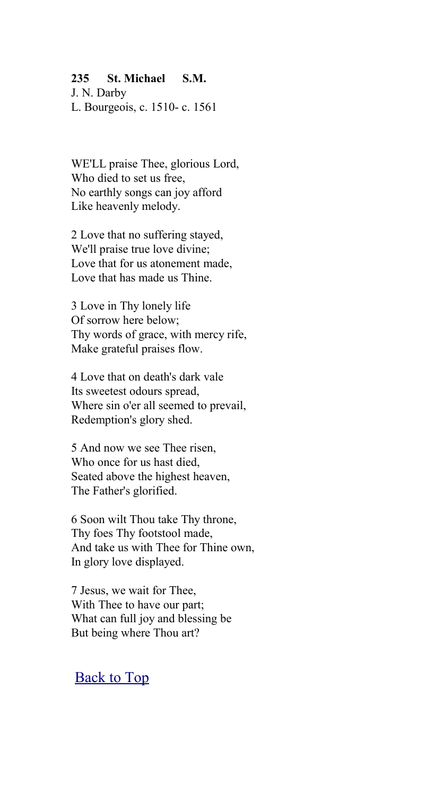#### **235 St. Michael S.M.**

J. N. Darby L. Bourgeois, c. 1510- c. 1561

WE'LL praise Thee, glorious Lord, Who died to set us free, No earthly songs can joy afford Like heavenly melody.

2 Love that no suffering stayed, We'll praise true love divine; Love that for us atonement made, Love that has made us Thine.

3 Love in Thy lonely life Of sorrow here below; Thy words of grace, with mercy rife, Make grateful praises flow.

4 Love that on death's dark vale Its sweetest odours spread, Where sin o'er all seemed to prevail, Redemption's glory shed.

5 And now we see Thee risen, Who once for us hast died, Seated above the highest heaven, The Father's glorified.

6 Soon wilt Thou take Thy throne, Thy foes Thy footstool made, And take us with Thee for Thine own, In glory love displayed.

7 Jesus, we wait for Thee, With Thee to have our part; What can full joy and blessing be But being where Thou art?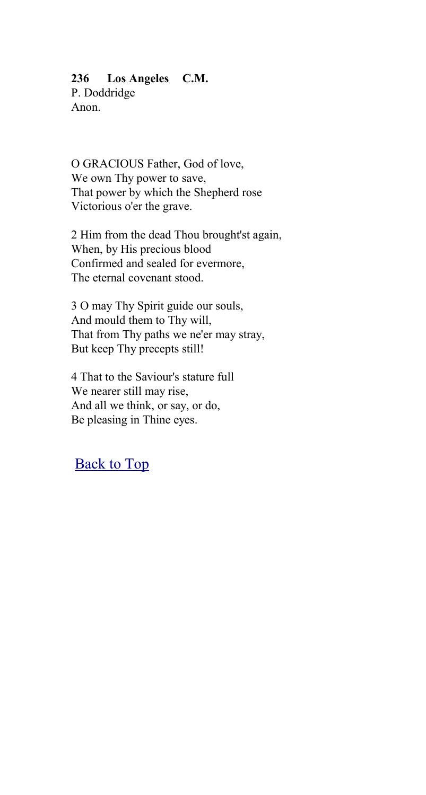#### **236 Los Angeles C.M.**

P. Doddridge Anon.

O GRACIOUS Father, God of love, We own Thy power to save, That power by which the Shepherd rose Victorious o'er the grave.

2 Him from the dead Thou brought'st again, When, by His precious blood Confirmed and sealed for evermore, The eternal covenant stood.

3 O may Thy Spirit guide our souls, And mould them to Thy will, That from Thy paths we ne'er may stray, But keep Thy precepts still!

4 That to the Saviour's stature full We nearer still may rise, And all we think, or say, or do, Be pleasing in Thine eyes.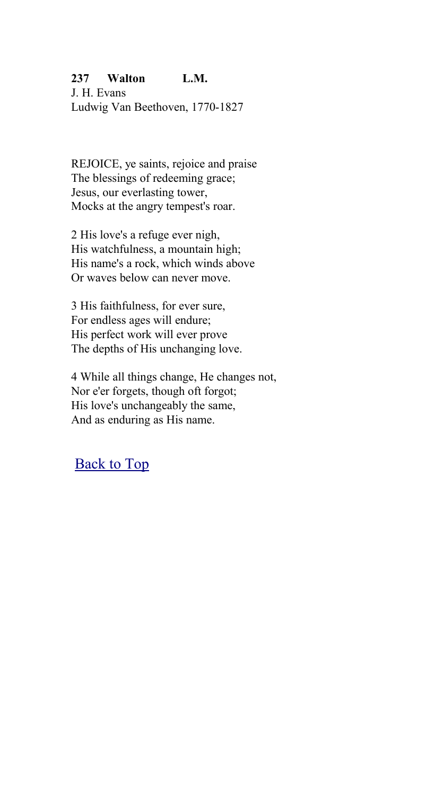### **237 Walton L.M.**

J. H. Evans Ludwig Van Beethoven, 1770-1827

REJOICE, ye saints, rejoice and praise The blessings of redeeming grace; Jesus, our everlasting tower, Mocks at the angry tempest's roar.

2 His love's a refuge ever nigh, His watchfulness, a mountain high; His name's a rock, which winds above Or waves below can never move.

3 His faithfulness, for ever sure, For endless ages will endure; His perfect work will ever prove The depths of His unchanging love.

4 While all things change, He changes not, Nor e'er forgets, though oft forgot; His love's unchangeably the same, And as enduring as His name.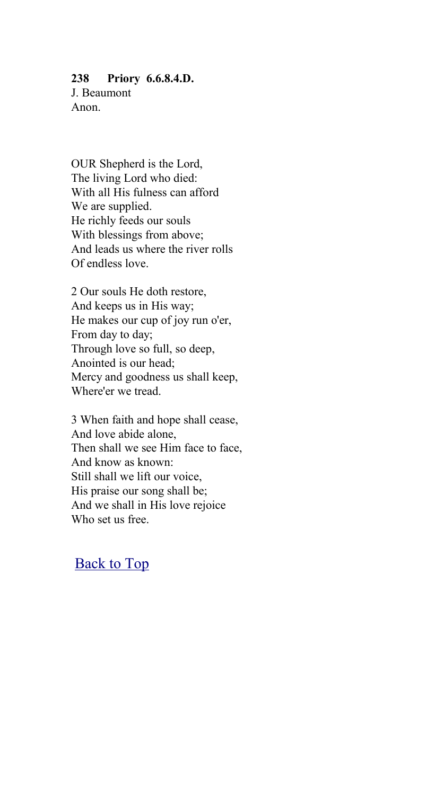#### **238 Priory 6.6.8.4.D.**

J. Beaumont Anon.

OUR Shepherd is the Lord, The living Lord who died: With all His fulness can afford We are supplied. He richly feeds our souls With blessings from above; And leads us where the river rolls Of endless love.

2 Our souls He doth restore, And keeps us in His way; He makes our cup of joy run o'er, From day to day; Through love so full, so deep, Anointed is our head; Mercy and goodness us shall keep, Where'er we tread.

3 When faith and hope shall cease, And love abide alone, Then shall we see Him face to face, And know as known: Still shall we lift our voice, His praise our song shall be; And we shall in His love rejoice Who set us free.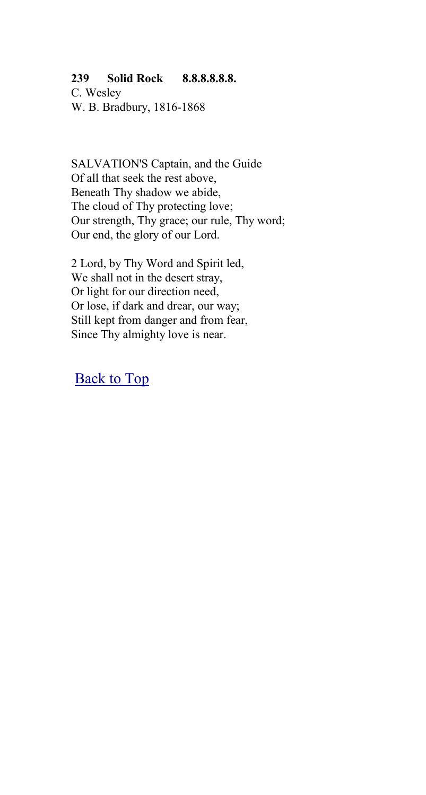#### **239 Solid Rock 8.8.8.8.8.8.**

C. Wesley W. B. Bradbury, 1816-1868

SALVATION'S Captain, and the Guide Of all that seek the rest above, Beneath Thy shadow we abide, The cloud of Thy protecting love; Our strength, Thy grace; our rule, Thy word; Our end, the glory of our Lord.

2 Lord, by Thy Word and Spirit led, We shall not in the desert stray, Or light for our direction need, Or lose, if dark and drear, our way; Still kept from danger and from fear, Since Thy almighty love is near.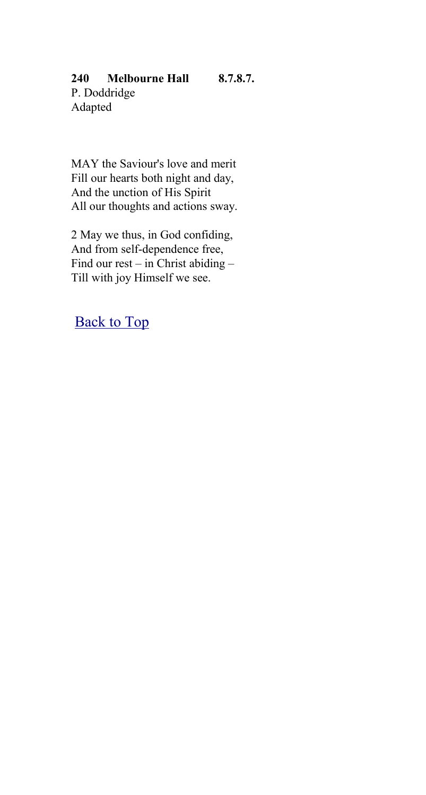### **240 Melbourne Hall 8.7.8.7.**

P. Doddridge Adapted

MAY the Saviour's love and merit Fill our hearts both night and day, And the unction of His Spirit All our thoughts and actions sway.

2 May we thus, in God confiding, And from self-dependence free, Find our rest – in Christ abiding – Till with joy Himself we see.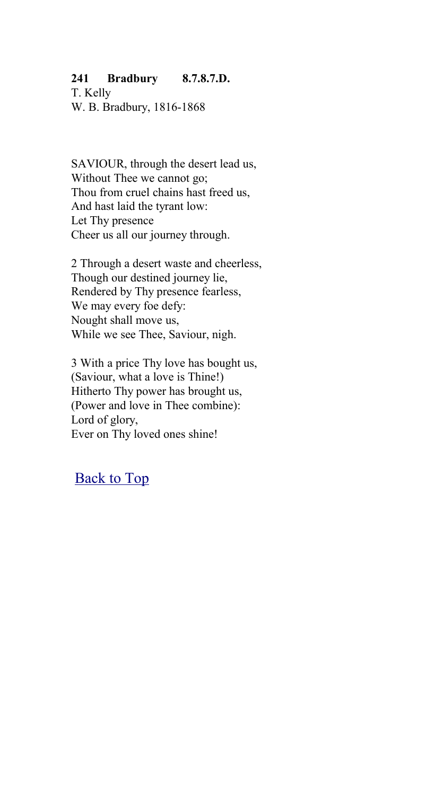### **241 Bradbury 8.7.8.7.D.**

T. Kelly W. B. Bradbury, 1816-1868

SAVIOUR, through the desert lead us, Without Thee we cannot go; Thou from cruel chains hast freed us, And hast laid the tyrant low: Let Thy presence Cheer us all our journey through.

2 Through a desert waste and cheerless, Though our destined journey lie, Rendered by Thy presence fearless, We may every foe defy: Nought shall move us, While we see Thee, Saviour, nigh.

3 With a price Thy love has bought us, (Saviour, what a love is Thine!) Hitherto Thy power has brought us, (Power and love in Thee combine): Lord of glory, Ever on Thy loved ones shine!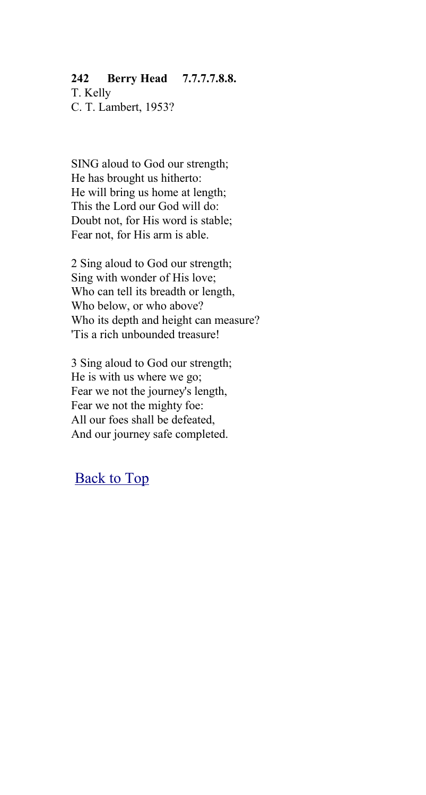### **242 Berry Head 7.7.7.7.8.8.**

T. Kelly C. T. Lambert, 1953?

SING aloud to God our strength; He has brought us hitherto: He will bring us home at length; This the Lord our God will do: Doubt not, for His word is stable; Fear not, for His arm is able.

2 Sing aloud to God our strength; Sing with wonder of His love; Who can tell its breadth or length, Who below, or who above? Who its depth and height can measure? 'Tis a rich unbounded treasure!

3 Sing aloud to God our strength; He is with us where we go; Fear we not the journey's length, Fear we not the mighty foe: All our foes shall be defeated, And our journey safe completed.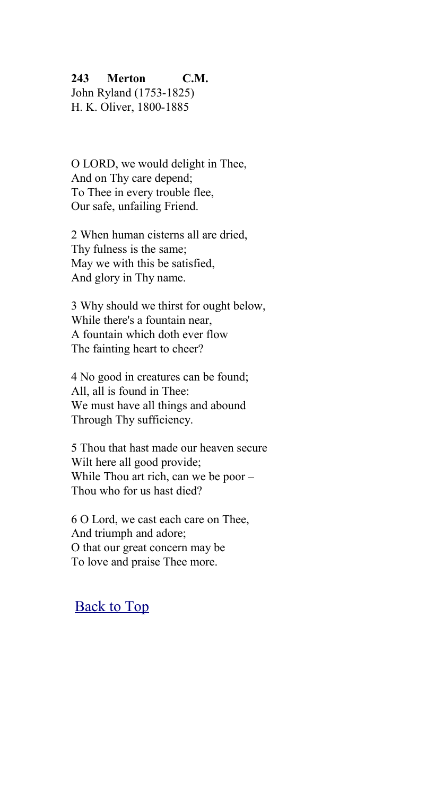### **243 Merton C.M.**

John Ryland (1753-1825) H. K. Oliver, 1800-1885

O LORD, we would delight in Thee, And on Thy care depend; To Thee in every trouble flee, Our safe, unfailing Friend.

2 When human cisterns all are dried, Thy fulness is the same; May we with this be satisfied, And glory in Thy name.

3 Why should we thirst for ought below, While there's a fountain near, A fountain which doth ever flow The fainting heart to cheer?

4 No good in creatures can be found; All, all is found in Thee: We must have all things and abound Through Thy sufficiency.

5 Thou that hast made our heaven secure Wilt here all good provide; While Thou art rich, can we be poor – Thou who for us hast died?

6 O Lord, we cast each care on Thee, And triumph and adore; O that our great concern may be To love and praise Thee more.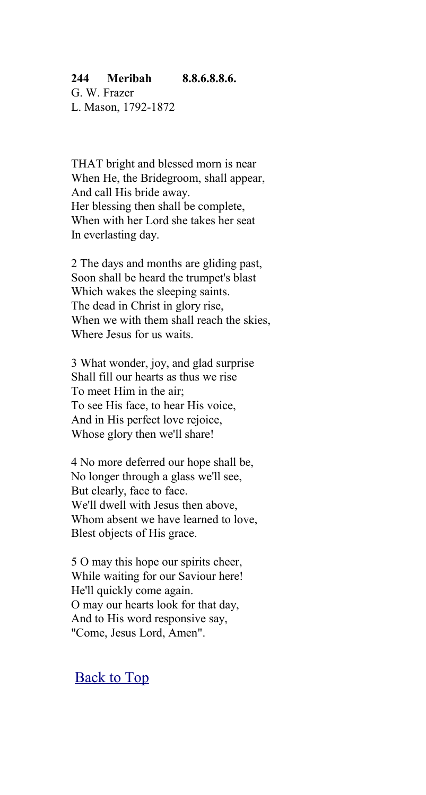#### **244 Meribah 8.8.6.8.8.6.**

G. W. Frazer L. Mason, 1792-1872

THAT bright and blessed morn is near When He, the Bridegroom, shall appear, And call His bride away. Her blessing then shall be complete, When with her Lord she takes her seat In everlasting day.

2 The days and months are gliding past, Soon shall be heard the trumpet's blast Which wakes the sleeping saints. The dead in Christ in glory rise, When we with them shall reach the skies, Where Jesus for us waits.

3 What wonder, joy, and glad surprise Shall fill our hearts as thus we rise To meet Him in the air; To see His face, to hear His voice, And in His perfect love rejoice, Whose glory then we'll share!

4 No more deferred our hope shall be, No longer through a glass we'll see, But clearly, face to face. We'll dwell with Jesus then above, Whom absent we have learned to love, Blest objects of His grace.

5 O may this hope our spirits cheer, While waiting for our Saviour here! He'll quickly come again. O may our hearts look for that day, And to His word responsive say, "Come, Jesus Lord, Amen".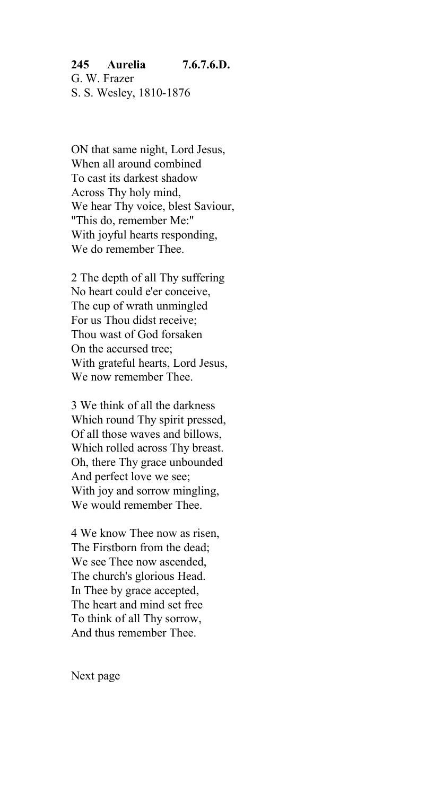#### **245 Aurelia 7.6.7.6.D.** G. W. Frazer S. S. Wesley, 1810-1876

ON that same night, Lord Jesus, When all around combined To cast its darkest shadow Across Thy holy mind, We hear Thy voice, blest Saviour, "This do, remember Me:" With joyful hearts responding, We do remember Thee.

2 The depth of all Thy suffering No heart could e'er conceive, The cup of wrath unmingled For us Thou didst receive; Thou wast of God forsaken On the accursed tree; With grateful hearts, Lord Jesus, We now remember Thee.

3 We think of all the darkness Which round Thy spirit pressed, Of all those waves and billows, Which rolled across Thy breast. Oh, there Thy grace unbounded And perfect love we see; With joy and sorrow mingling, We would remember Thee.

4 We know Thee now as risen, The Firstborn from the dead; We see Thee now ascended, The church's glorious Head. In Thee by grace accepted, The heart and mind set free To think of all Thy sorrow, And thus remember Thee.

Next page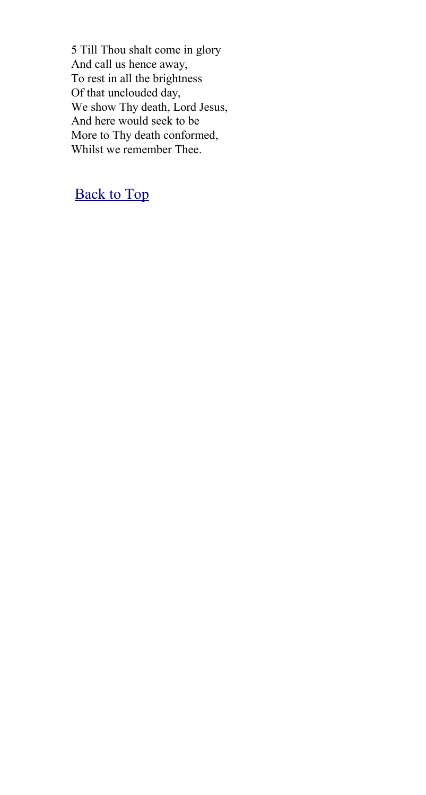5 Till Thou shalt come in glory And call us hence away, To rest in all the brightness Of that unclouded day, We show Thy death, Lord Jesus, And here would seek to be More to Thy death conformed, Whilst we remember Thee.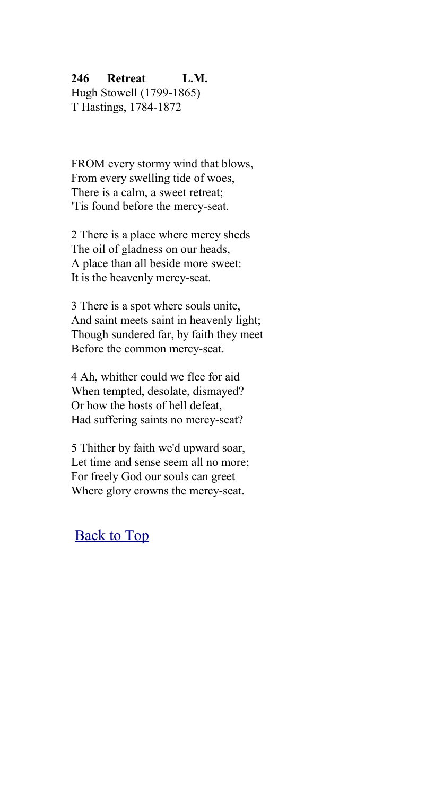## **246 Retreat L.M.**

Hugh Stowell (1799-1865) T Hastings, 1784-1872

FROM every stormy wind that blows, From every swelling tide of woes, There is a calm, a sweet retreat; 'Tis found before the mercy-seat.

2 There is a place where mercy sheds The oil of gladness on our heads, A place than all beside more sweet: It is the heavenly mercy-seat.

3 There is a spot where souls unite, And saint meets saint in heavenly light; Though sundered far, by faith they meet Before the common mercy-seat.

4 Ah, whither could we flee for aid When tempted, desolate, dismayed? Or how the hosts of hell defeat, Had suffering saints no mercy-seat?

5 Thither by faith we'd upward soar, Let time and sense seem all no more; For freely God our souls can greet Where glory crowns the mercy-seat.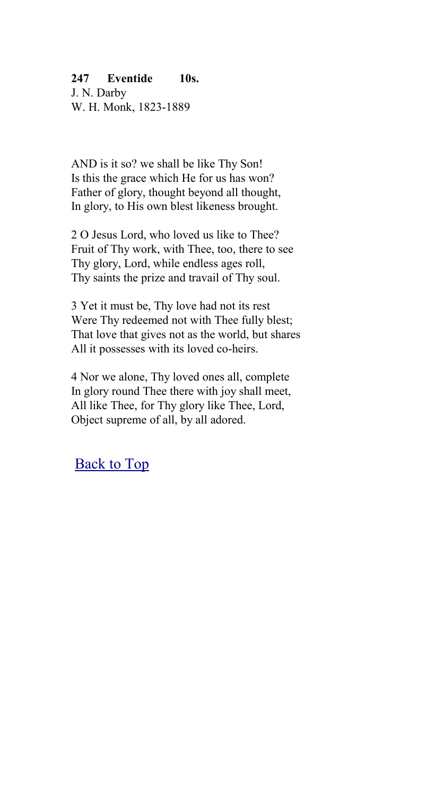## **247 Eventide 10s.**

J. N. Darby W. H. Monk, 1823-1889

AND is it so? we shall be like Thy Son! Is this the grace which He for us has won? Father of glory, thought beyond all thought, In glory, to His own blest likeness brought.

2 O Jesus Lord, who loved us like to Thee? Fruit of Thy work, with Thee, too, there to see Thy glory, Lord, while endless ages roll, Thy saints the prize and travail of Thy soul.

3 Yet it must be, Thy love had not its rest Were Thy redeemed not with Thee fully blest; That love that gives not as the world, but shares All it possesses with its loved co-heirs.

4 Nor we alone, Thy loved ones all, complete In glory round Thee there with joy shall meet, All like Thee, for Thy glory like Thee, Lord, Object supreme of all, by all adored.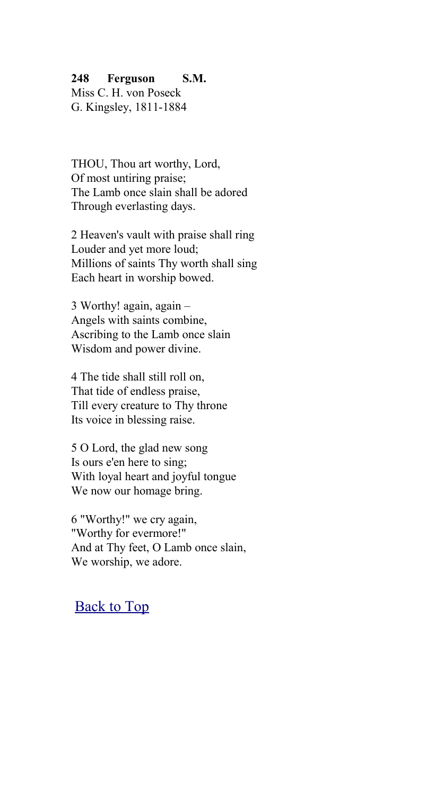#### **248 Ferguson S.M.**

Miss C. H. von Poseck G. Kingsley, 1811-1884

THOU, Thou art worthy, Lord, Of most untiring praise; The Lamb once slain shall be adored Through everlasting days.

2 Heaven's vault with praise shall ring Louder and yet more loud; Millions of saints Thy worth shall sing Each heart in worship bowed.

3 Worthy! again, again – Angels with saints combine, Ascribing to the Lamb once slain Wisdom and power divine.

4 The tide shall still roll on, That tide of endless praise, Till every creature to Thy throne Its voice in blessing raise.

5 O Lord, the glad new song Is ours e'en here to sing; With loyal heart and joyful tongue We now our homage bring.

6 "Worthy!" we cry again, "Worthy for evermore!" And at Thy feet, O Lamb once slain, We worship, we adore.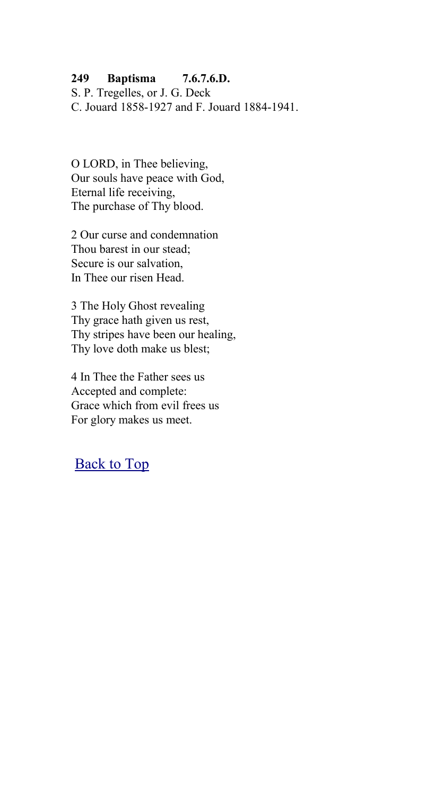## **249 Baptisma 7.6.7.6.D.**

S. P. Tregelles, or J. G. Deck C. Jouard 1858-1927 and F. Jouard 1884-1941.

O LORD, in Thee believing, Our souls have peace with God, Eternal life receiving, The purchase of Thy blood.

2 Our curse and condemnation Thou barest in our stead; Secure is our salvation, In Thee our risen Head.

3 The Holy Ghost revealing Thy grace hath given us rest, Thy stripes have been our healing, Thy love doth make us blest;

4 In Thee the Father sees us Accepted and complete: Grace which from evil frees us For glory makes us meet.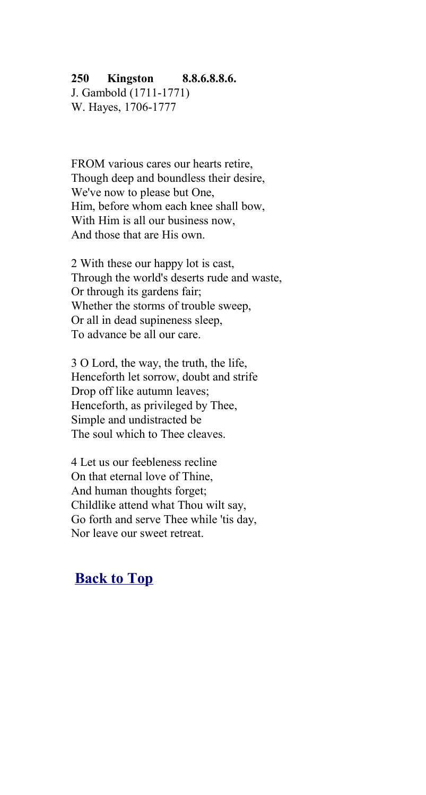#### **250 Kingston 8.8.6.8.8.6.**

J. Gambold (1711-1771) W. Hayes, 1706-1777

FROM various cares our hearts retire, Though deep and boundless their desire, We've now to please but One, Him, before whom each knee shall bow, With Him is all our business now, And those that are His own.

2 With these our happy lot is cast, Through the world's deserts rude and waste, Or through its gardens fair; Whether the storms of trouble sweep, Or all in dead supineness sleep, To advance be all our care.

3 O Lord, the way, the truth, the life, Henceforth let sorrow, doubt and strife Drop off like autumn leaves; Henceforth, as privileged by Thee, Simple and undistracted be The soul which to Thee cleaves.

4 Let us our feebleness recline On that eternal love of Thine, And human thoughts forget; Childlike attend what Thou wilt say, Go forth and serve Thee while 'tis day, Nor leave our sweet retreat.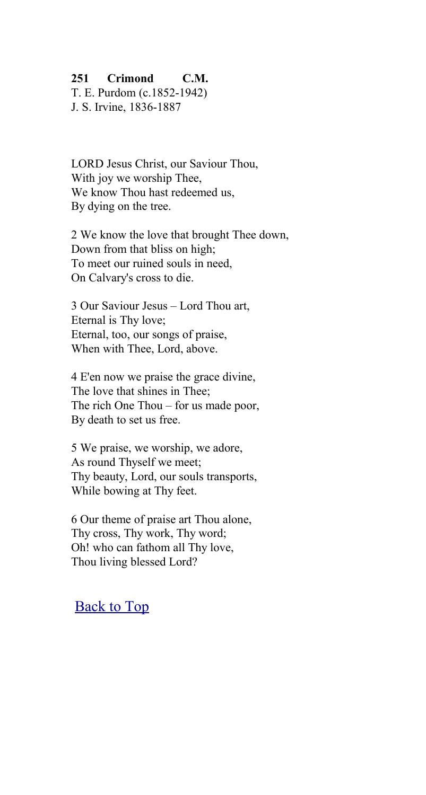#### **251 Crimond C.M.**

T. E. Purdom (c.1852-1942) J. S. Irvine, 1836-1887

LORD Jesus Christ, our Saviour Thou, With joy we worship Thee, We know Thou hast redeemed us. By dying on the tree.

2 We know the love that brought Thee down, Down from that bliss on high; To meet our ruined souls in need, On Calvary's cross to die.

3 Our Saviour Jesus – Lord Thou art, Eternal is Thy love; Eternal, too, our songs of praise, When with Thee, Lord, above.

4 E'en now we praise the grace divine, The love that shines in Thee; The rich One Thou – for us made poor, By death to set us free.

5 We praise, we worship, we adore, As round Thyself we meet; Thy beauty, Lord, our souls transports, While bowing at Thy feet.

6 Our theme of praise art Thou alone, Thy cross, Thy work, Thy word; Oh! who can fathom all Thy love, Thou living blessed Lord?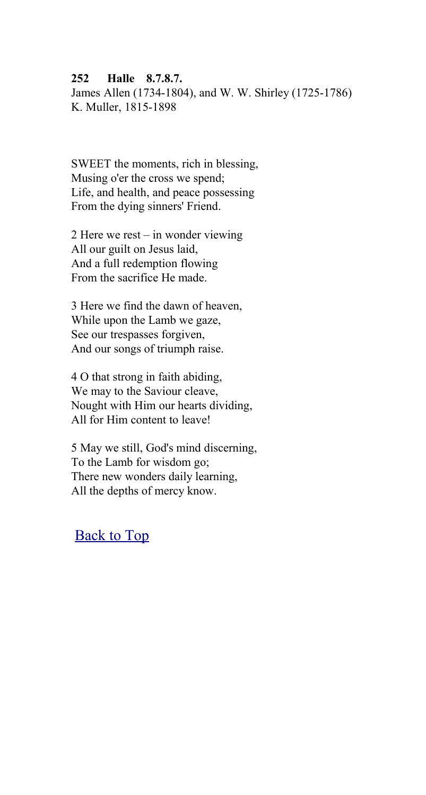#### **252 Halle 8.7.8.7.**

James Allen (1734-1804), and W. W. Shirley (1725-1786) K. Muller, 1815-1898

SWEET the moments, rich in blessing, Musing o'er the cross we spend; Life, and health, and peace possessing From the dying sinners' Friend.

2 Here we rest – in wonder viewing All our guilt on Jesus laid, And a full redemption flowing From the sacrifice He made.

3 Here we find the dawn of heaven, While upon the Lamb we gaze, See our trespasses forgiven, And our songs of triumph raise.

4 O that strong in faith abiding, We may to the Saviour cleave, Nought with Him our hearts dividing, All for Him content to leave!

5 May we still, God's mind discerning, To the Lamb for wisdom go; There new wonders daily learning, All the depths of mercy know.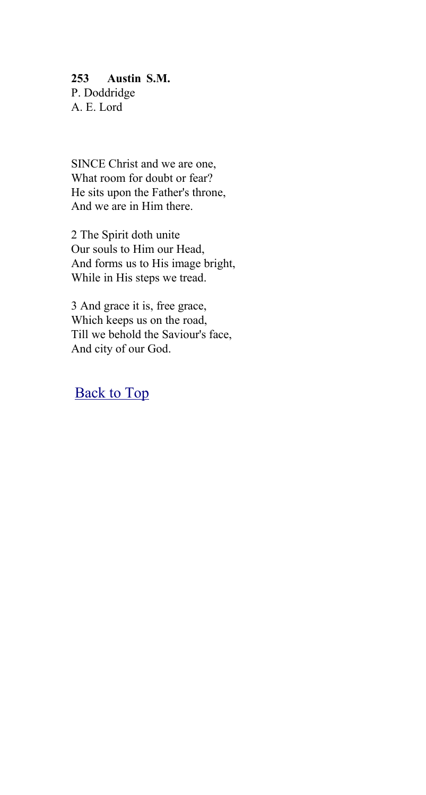#### **253 Austin S.M.** P. Doddridge A. E. Lord

SINCE Christ and we are one, What room for doubt or fear? He sits upon the Father's throne, And we are in Him there.

2 The Spirit doth unite Our souls to Him our Head, And forms us to His image bright, While in His steps we tread.

3 And grace it is, free grace, Which keeps us on the road, Till we behold the Saviour's face, And city of our God.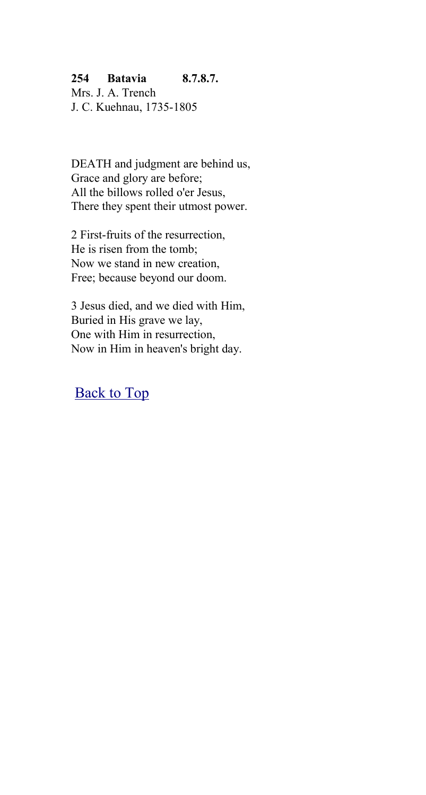## **254 Batavia 8.7.8.7.**

Mrs. J. A. Trench J. C. Kuehnau, 1735-1805

DEATH and judgment are behind us, Grace and glory are before; All the billows rolled o'er Jesus, There they spent their utmost power.

2 First-fruits of the resurrection, He is risen from the tomb; Now we stand in new creation, Free; because beyond our doom.

3 Jesus died, and we died with Him, Buried in His grave we lay, One with Him in resurrection, Now in Him in heaven's bright day.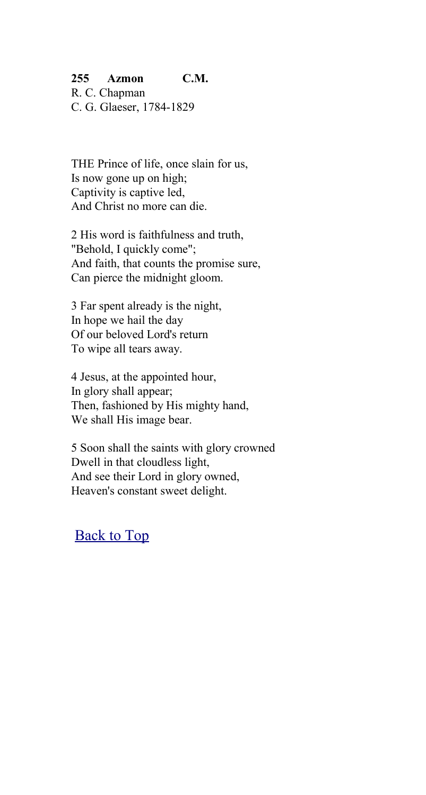## **255 Azmon C.M.**

R. C. Chapman C. G. Glaeser, 1784-1829

THE Prince of life, once slain for us, Is now gone up on high; Captivity is captive led, And Christ no more can die.

2 His word is faithfulness and truth, "Behold, I quickly come"; And faith, that counts the promise sure, Can pierce the midnight gloom.

3 Far spent already is the night, In hope we hail the day Of our beloved Lord's return To wipe all tears away.

4 Jesus, at the appointed hour, In glory shall appear; Then, fashioned by His mighty hand, We shall His image bear.

5 Soon shall the saints with glory crowned Dwell in that cloudless light, And see their Lord in glory owned, Heaven's constant sweet delight.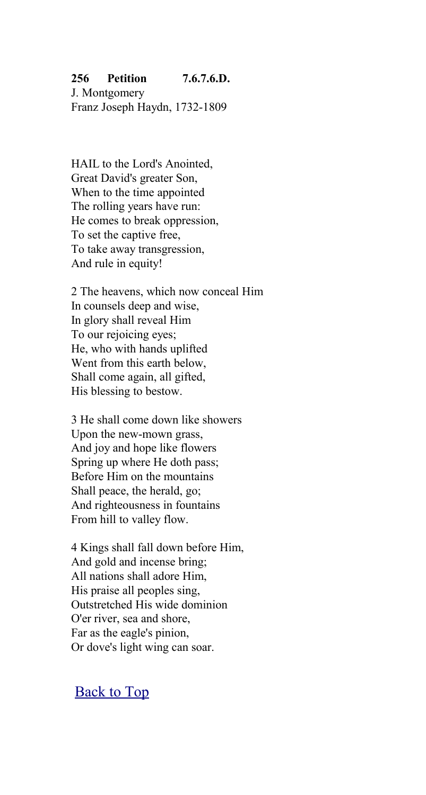## **256 Petition 7.6.7.6.D.**

J. Montgomery Franz Joseph Haydn, 1732-1809

HAIL to the Lord's Anointed, Great David's greater Son, When to the time appointed The rolling years have run: He comes to break oppression, To set the captive free, To take away transgression, And rule in equity!

2 The heavens, which now conceal Him In counsels deep and wise, In glory shall reveal Him To our rejoicing eyes; He, who with hands uplifted Went from this earth below, Shall come again, all gifted, His blessing to bestow.

3 He shall come down like showers Upon the new-mown grass, And joy and hope like flowers Spring up where He doth pass; Before Him on the mountains Shall peace, the herald, go; And righteousness in fountains From hill to valley flow.

4 Kings shall fall down before Him, And gold and incense bring; All nations shall adore Him, His praise all peoples sing, Outstretched His wide dominion O'er river, sea and shore, Far as the eagle's pinion, Or dove's light wing can soar.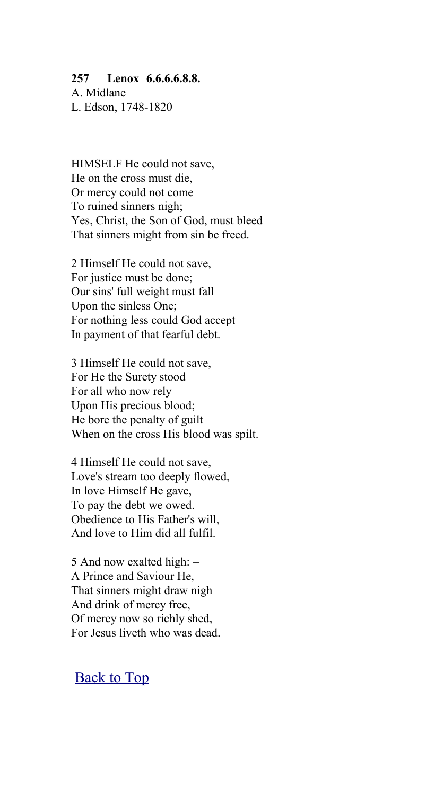#### **257 Lenox 6.6.6.6.8.8.**

A. Midlane L. Edson, 1748-1820

HIMSELF He could not save, He on the cross must die, Or mercy could not come To ruined sinners nigh; Yes, Christ, the Son of God, must bleed That sinners might from sin be freed.

2 Himself He could not save, For justice must be done; Our sins' full weight must fall Upon the sinless One; For nothing less could God accept In payment of that fearful debt.

3 Himself He could not save, For He the Surety stood For all who now rely Upon His precious blood; He bore the penalty of guilt When on the cross His blood was spilt.

4 Himself He could not save, Love's stream too deeply flowed, In love Himself He gave, To pay the debt we owed. Obedience to His Father's will, And love to Him did all fulfil.

5 And now exalted high: – A Prince and Saviour He, That sinners might draw nigh And drink of mercy free, Of mercy now so richly shed, For Jesus liveth who was dead.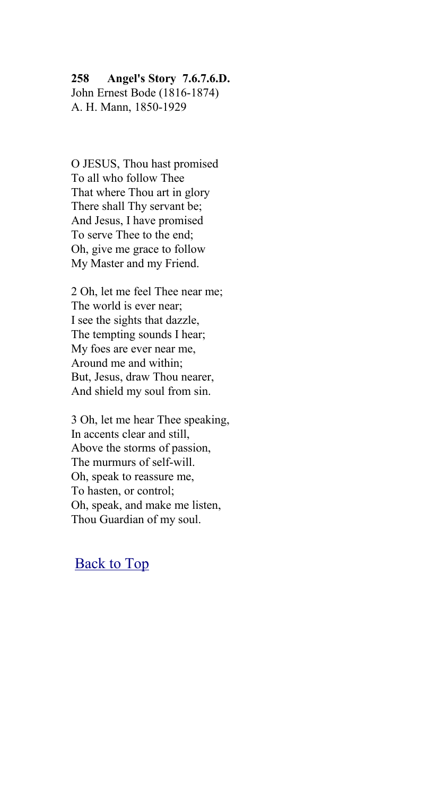#### **258 Angel's Story 7.6.7.6.D.**

John Ernest Bode (1816-1874) A. H. Mann, 1850-1929

O JESUS, Thou hast promised To all who follow Thee That where Thou art in glory There shall Thy servant be; And Jesus, I have promised To serve Thee to the end; Oh, give me grace to follow My Master and my Friend.

2 Oh, let me feel Thee near me; The world is ever near; I see the sights that dazzle, The tempting sounds I hear; My foes are ever near me, Around me and within; But, Jesus, draw Thou nearer, And shield my soul from sin.

3 Oh, let me hear Thee speaking, In accents clear and still, Above the storms of passion, The murmurs of self-will. Oh, speak to reassure me, To hasten, or control; Oh, speak, and make me listen, Thou Guardian of my soul.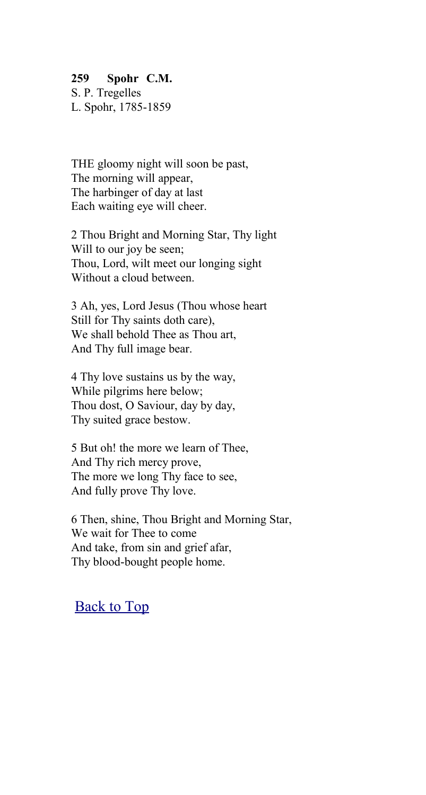#### **259 Spohr C.M.**

S. P. Tregelles L. Spohr, 1785-1859

THE gloomy night will soon be past, The morning will appear, The harbinger of day at last Each waiting eye will cheer.

2 Thou Bright and Morning Star, Thy light Will to our joy be seen; Thou, Lord, wilt meet our longing sight Without a cloud between.

3 Ah, yes, Lord Jesus (Thou whose heart Still for Thy saints doth care), We shall behold Thee as Thou art, And Thy full image bear.

4 Thy love sustains us by the way, While pilgrims here below; Thou dost, O Saviour, day by day, Thy suited grace bestow.

5 But oh! the more we learn of Thee, And Thy rich mercy prove, The more we long Thy face to see, And fully prove Thy love.

6 Then, shine, Thou Bright and Morning Star, We wait for Thee to come And take, from sin and grief afar, Thy blood-bought people home.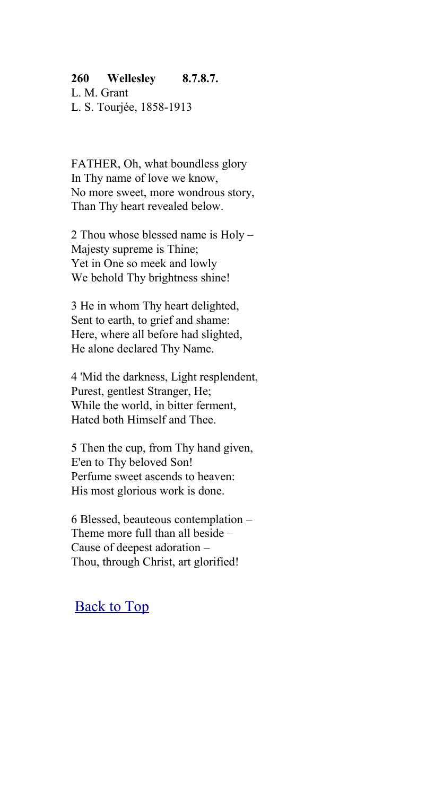#### **260 Wellesley 8.7.8.7.**

L. M. Grant L. S. Tourjée, 1858-1913

FATHER, Oh, what boundless glory In Thy name of love we know, No more sweet, more wondrous story, Than Thy heart revealed below.

2 Thou whose blessed name is Holy – Majesty supreme is Thine; Yet in One so meek and lowly We behold Thy brightness shine!

3 He in whom Thy heart delighted, Sent to earth, to grief and shame: Here, where all before had slighted, He alone declared Thy Name.

4 'Mid the darkness, Light resplendent, Purest, gentlest Stranger, He; While the world, in bitter ferment, Hated both Himself and Thee.

5 Then the cup, from Thy hand given, E'en to Thy beloved Son! Perfume sweet ascends to heaven: His most glorious work is done.

6 Blessed, beauteous contemplation – Theme more full than all beside – Cause of deepest adoration – Thou, through Christ, art glorified!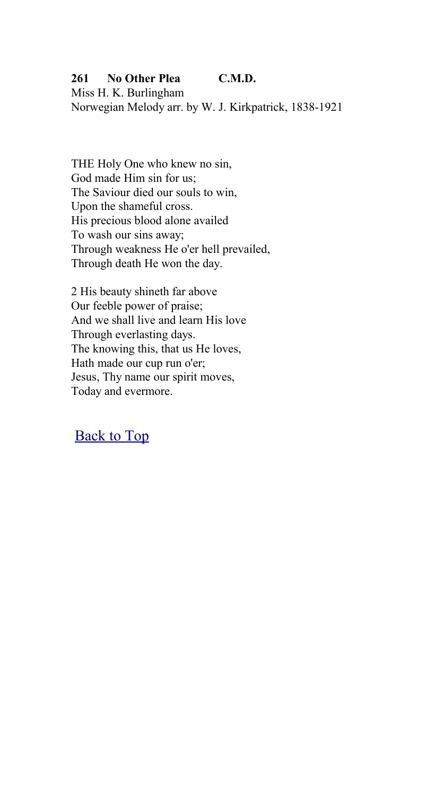## **261 No Other Plea C.M.D.**

Miss H. K. Burlingham Norwegian Melody arr. by W. J. Kirkpatrick, 1838-1921

THE Holy One who knew no sin, God made Him sin for us; The Saviour died our souls to win, Upon the shameful cross. His precious blood alone availed To wash our sins away; Through weakness He o'er hell prevailed, Through death He won the day.

2 His beauty shineth far above Our feeble power of praise; And we shall live and learn His love Through everlasting days. The knowing this, that us He loves, Hath made our cup run o'er; Jesus, Thy name our spirit moves, Today and evermore.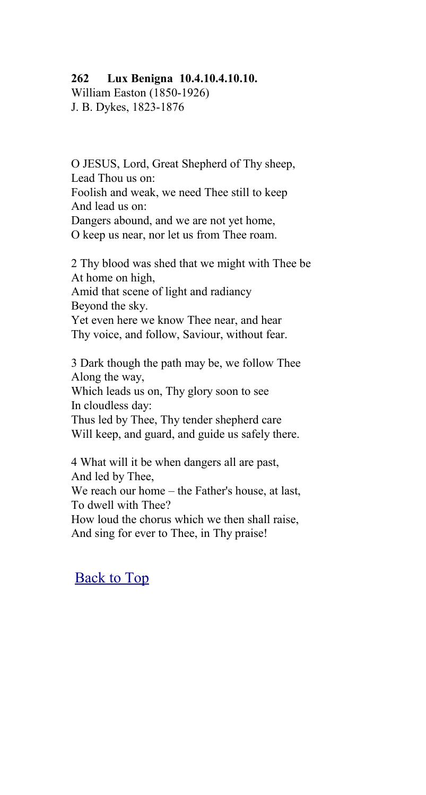#### **262 Lux Benigna 10.4.10.4.10.10.**

William Easton (1850-1926) J. B. Dykes, 1823-1876

O JESUS, Lord, Great Shepherd of Thy sheep, Lead Thou us on: Foolish and weak, we need Thee still to keep And lead us on: Dangers abound, and we are not yet home, O keep us near, nor let us from Thee roam.

2 Thy blood was shed that we might with Thee be At home on high, Amid that scene of light and radiancy Beyond the sky. Yet even here we know Thee near, and hear Thy voice, and follow, Saviour, without fear.

3 Dark though the path may be, we follow Thee Along the way, Which leads us on, Thy glory soon to see In cloudless day: Thus led by Thee, Thy tender shepherd care Will keep, and guard, and guide us safely there.

4 What will it be when dangers all are past, And led by Thee, We reach our home – the Father's house, at last, To dwell with Thee? How loud the chorus which we then shall raise, And sing for ever to Thee, in Thy praise!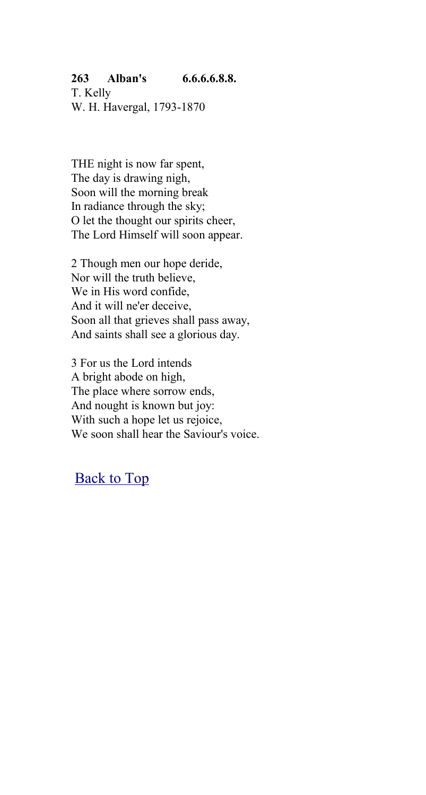## **263 Alban's 6.6.6.6.8.8.**

T. Kelly W. H. Havergal, 1793-1870

THE night is now far spent, The day is drawing nigh, Soon will the morning break In radiance through the sky; O let the thought our spirits cheer, The Lord Himself will soon appear.

2 Though men our hope deride, Nor will the truth believe, We in His word confide, And it will ne'er deceive, Soon all that grieves shall pass away, And saints shall see a glorious day.

3 For us the Lord intends A bright abode on high, The place where sorrow ends, And nought is known but joy: With such a hope let us rejoice, We soon shall hear the Saviour's voice.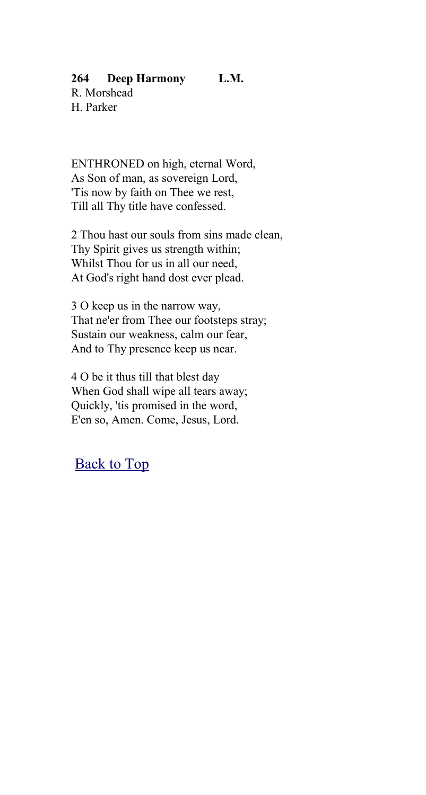## **264 Deep Harmony L.M.**

R. Morshead H. Parker

ENTHRONED on high, eternal Word, As Son of man, as sovereign Lord, 'Tis now by faith on Thee we rest, Till all Thy title have confessed.

2 Thou hast our souls from sins made clean, Thy Spirit gives us strength within; Whilst Thou for us in all our need, At God's right hand dost ever plead.

3 O keep us in the narrow way, That ne'er from Thee our footsteps stray; Sustain our weakness, calm our fear, And to Thy presence keep us near.

4 O be it thus till that blest day When God shall wipe all tears away; Quickly, 'tis promised in the word, E'en so, Amen. Come, Jesus, Lord.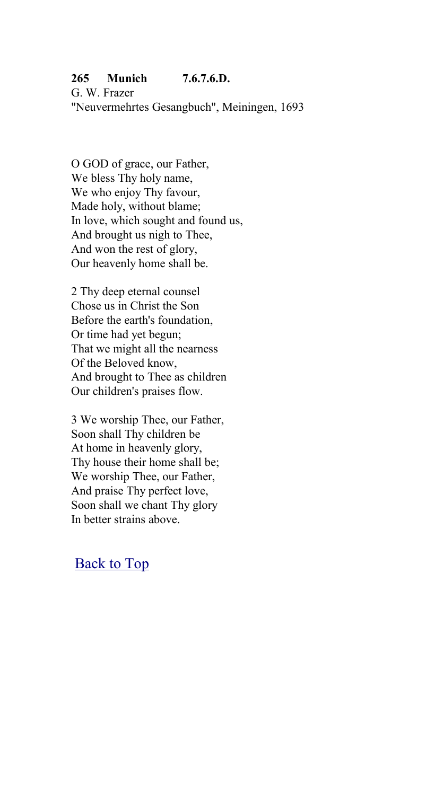## **265 Munich 7.6.7.6.D.**

G. W. Frazer "Neuvermehrtes Gesangbuch", Meiningen, 1693

O GOD of grace, our Father, We bless Thy holy name, We who enjoy Thy favour. Made holy, without blame; In love, which sought and found us, And brought us nigh to Thee, And won the rest of glory, Our heavenly home shall be.

2 Thy deep eternal counsel Chose us in Christ the Son Before the earth's foundation, Or time had yet begun; That we might all the nearness Of the Beloved know, And brought to Thee as children Our children's praises flow.

3 We worship Thee, our Father, Soon shall Thy children be At home in heavenly glory, Thy house their home shall be; We worship Thee, our Father, And praise Thy perfect love, Soon shall we chant Thy glory In better strains above.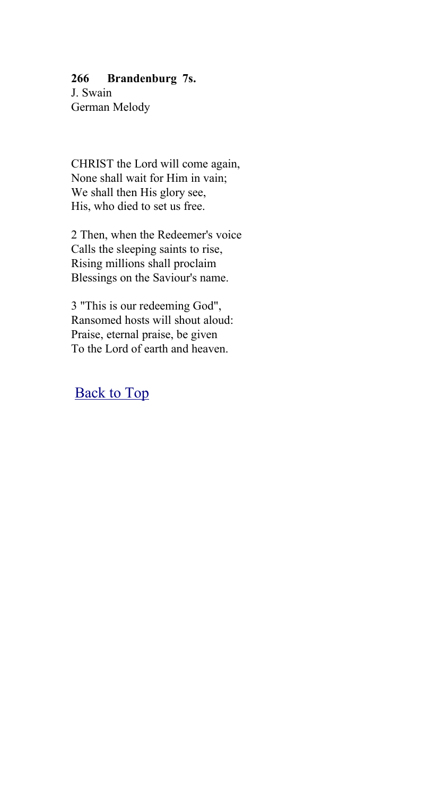#### **266 Brandenburg 7s.**

J. Swain German Melody

CHRIST the Lord will come again, None shall wait for Him in vain; We shall then His glory see. His, who died to set us free.

2 Then, when the Redeemer's voice Calls the sleeping saints to rise, Rising millions shall proclaim Blessings on the Saviour's name.

3 "This is our redeeming God", Ransomed hosts will shout aloud: Praise, eternal praise, be given To the Lord of earth and heaven.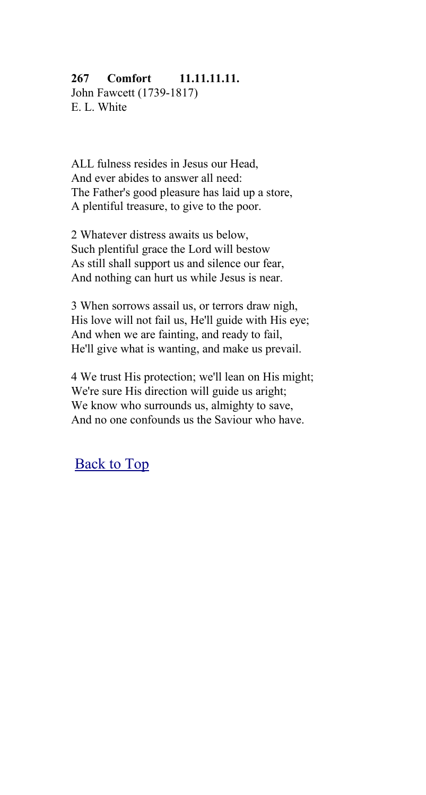## **267 Comfort 11.11.11.11.**

John Fawcett (1739-1817) E. L. White

ALL fulness resides in Jesus our Head, And ever abides to answer all need: The Father's good pleasure has laid up a store, A plentiful treasure, to give to the poor.

2 Whatever distress awaits us below, Such plentiful grace the Lord will bestow As still shall support us and silence our fear, And nothing can hurt us while Jesus is near.

3 When sorrows assail us, or terrors draw nigh, His love will not fail us, He'll guide with His eye; And when we are fainting, and ready to fail, He'll give what is wanting, and make us prevail.

4 We trust His protection; we'll lean on His might; We're sure His direction will guide us aright; We know who surrounds us, almighty to save, And no one confounds us the Saviour who have.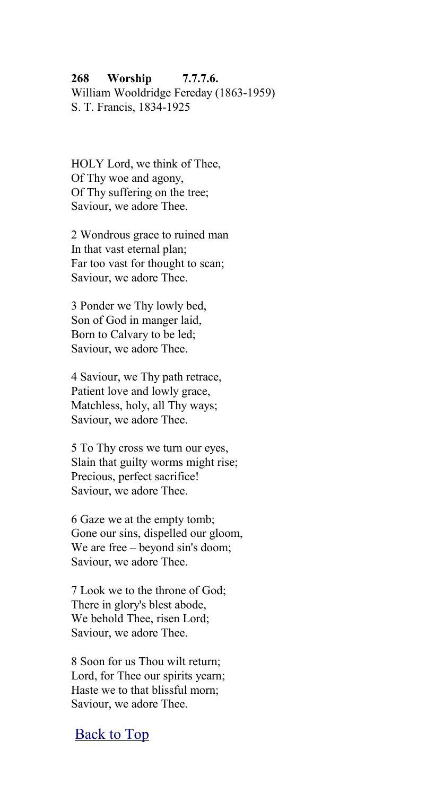# **268 Worship 7.7.7.6.**

William Wooldridge Fereday (1863-1959) S. T. Francis, 1834-1925

HOLY Lord, we think of Thee, Of Thy woe and agony, Of Thy suffering on the tree; Saviour, we adore Thee.

2 Wondrous grace to ruined man In that vast eternal plan; Far too vast for thought to scan; Saviour, we adore Thee.

3 Ponder we Thy lowly bed, Son of God in manger laid, Born to Calvary to be led; Saviour, we adore Thee.

4 Saviour, we Thy path retrace, Patient love and lowly grace, Matchless, holy, all Thy ways; Saviour, we adore Thee.

5 To Thy cross we turn our eyes, Slain that guilty worms might rise; Precious, perfect sacrifice! Saviour, we adore Thee.

6 Gaze we at the empty tomb; Gone our sins, dispelled our gloom, We are free – beyond sin's doom; Saviour, we adore Thee.

7 Look we to the throne of God; There in glory's blest abode, We behold Thee, risen Lord; Saviour, we adore Thee.

8 Soon for us Thou wilt return; Lord, for Thee our spirits yearn; Haste we to that blissful morn; Saviour, we adore Thee.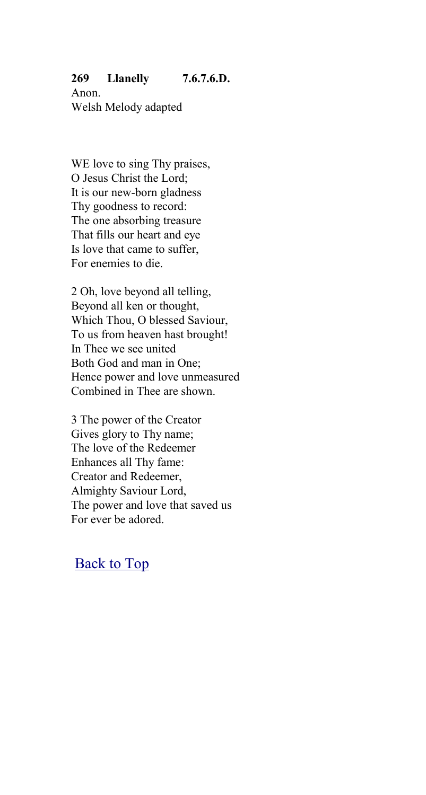## **269 Llanelly 7.6.7.6.D.**

Anon. Welsh Melody adapted

WE love to sing Thy praises, O Jesus Christ the Lord; It is our new-born gladness Thy goodness to record: The one absorbing treasure That fills our heart and eye Is love that came to suffer, For enemies to die.

2 Oh, love beyond all telling, Beyond all ken or thought, Which Thou, O blessed Saviour, To us from heaven hast brought! In Thee we see united Both God and man in One; Hence power and love unmeasured Combined in Thee are shown.

3 The power of the Creator Gives glory to Thy name; The love of the Redeemer Enhances all Thy fame: Creator and Redeemer, Almighty Saviour Lord, The power and love that saved us For ever be adored.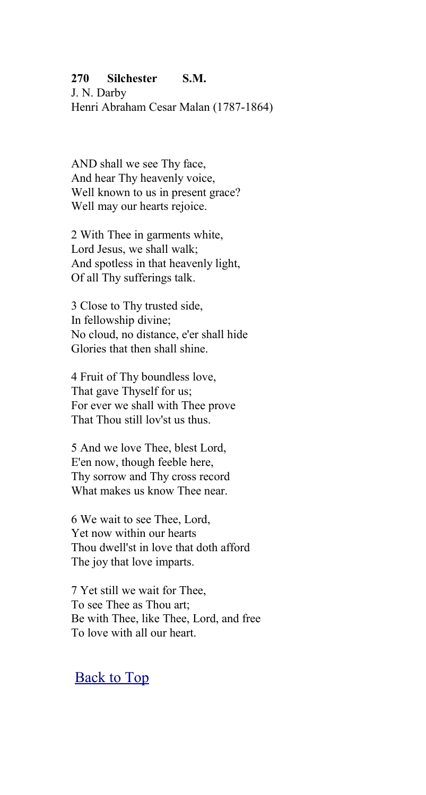#### **270 Silchester S.M.**

J. N. Darby Henri Abraham Cesar Malan (1787-1864)

AND shall we see Thy face, And hear Thy heavenly voice, Well known to us in present grace? Well may our hearts rejoice.

2 With Thee in garments white, Lord Jesus, we shall walk; And spotless in that heavenly light, Of all Thy sufferings talk.

3 Close to Thy trusted side, In fellowship divine; No cloud, no distance, e'er shall hide Glories that then shall shine.

4 Fruit of Thy boundless love, That gave Thyself for us; For ever we shall with Thee prove That Thou still lov'st us thus.

5 And we love Thee, blest Lord, E'en now, though feeble here, Thy sorrow and Thy cross record What makes us know Thee near.

6 We wait to see Thee, Lord, Yet now within our hearts Thou dwell'st in love that doth afford The joy that love imparts.

7 Yet still we wait for Thee, To see Thee as Thou art; Be with Thee, like Thee, Lord, and free To love with all our heart.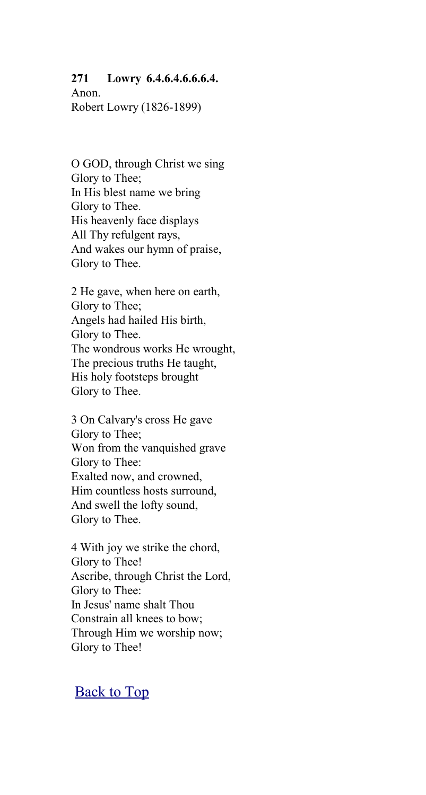#### **271 Lowry 6.4.6.4.6.6.6.4.**

Anon. Robert Lowry (1826-1899)

O GOD, through Christ we sing Glory to Thee; In His blest name we bring Glory to Thee. His heavenly face displays All Thy refulgent rays, And wakes our hymn of praise, Glory to Thee.

2 He gave, when here on earth, Glory to Thee; Angels had hailed His birth, Glory to Thee. The wondrous works He wrought, The precious truths He taught, His holy footsteps brought Glory to Thee.

3 On Calvary's cross He gave Glory to Thee; Won from the vanquished grave Glory to Thee: Exalted now, and crowned, Him countless hosts surround, And swell the lofty sound, Glory to Thee.

4 With joy we strike the chord, Glory to Thee! Ascribe, through Christ the Lord, Glory to Thee: In Jesus' name shalt Thou Constrain all knees to bow; Through Him we worship now; Glory to Thee!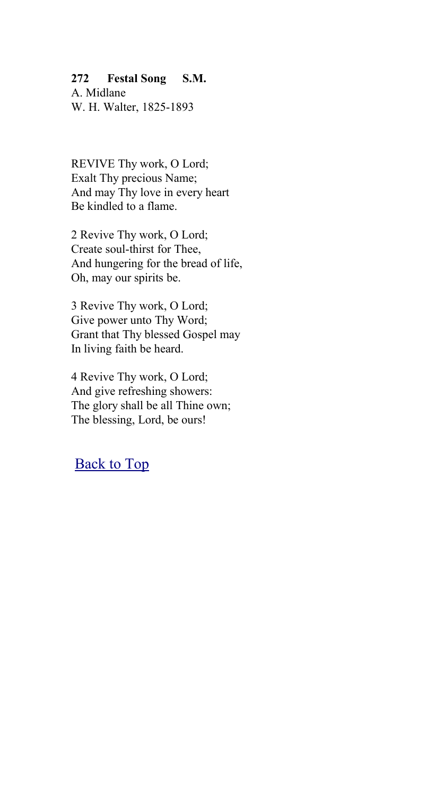#### **272 Festal Song S.M.**

A. Midlane W. H. Walter, 1825-1893

REVIVE Thy work, O Lord; Exalt Thy precious Name; And may Thy love in every heart Be kindled to a flame.

2 Revive Thy work, O Lord; Create soul-thirst for Thee, And hungering for the bread of life, Oh, may our spirits be.

3 Revive Thy work, O Lord; Give power unto Thy Word; Grant that Thy blessed Gospel may In living faith be heard.

4 Revive Thy work, O Lord; And give refreshing showers: The glory shall be all Thine own; The blessing, Lord, be ours!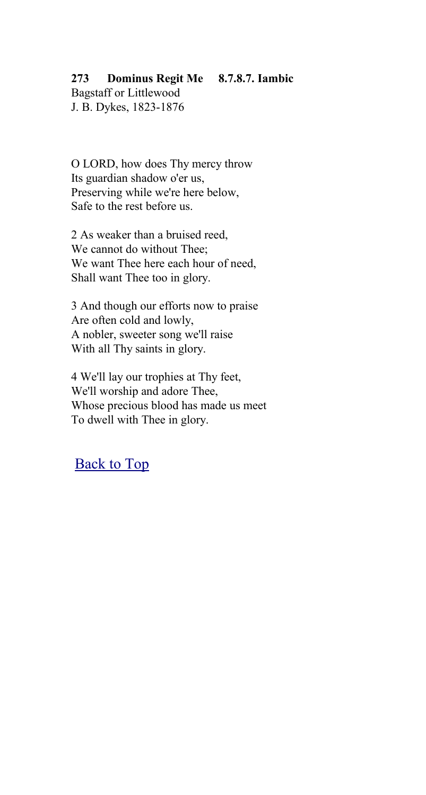## **273 Dominus Regit Me 8.7.8.7. Iambic**

Bagstaff or Littlewood J. B. Dykes, 1823-1876

O LORD, how does Thy mercy throw Its guardian shadow o'er us, Preserving while we're here below, Safe to the rest before us.

2 As weaker than a bruised reed, We cannot do without Thee; We want Thee here each hour of need, Shall want Thee too in glory.

3 And though our efforts now to praise Are often cold and lowly, A nobler, sweeter song we'll raise With all Thy saints in glory.

4 We'll lay our trophies at Thy feet, We'll worship and adore Thee, Whose precious blood has made us meet To dwell with Thee in glory.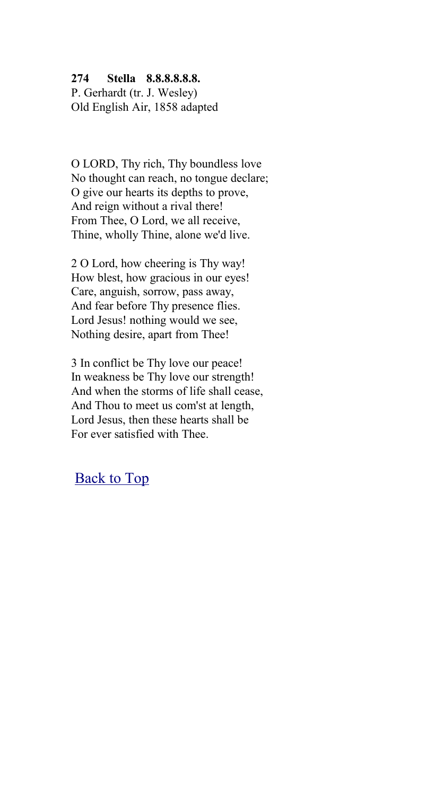#### **274 Stella 8.8.8.8.8.8.**

P. Gerhardt (tr. J. Wesley) Old English Air, 1858 adapted

O LORD, Thy rich, Thy boundless love No thought can reach, no tongue declare; O give our hearts its depths to prove, And reign without a rival there! From Thee, O Lord, we all receive, Thine, wholly Thine, alone we'd live.

2 O Lord, how cheering is Thy way! How blest, how gracious in our eyes! Care, anguish, sorrow, pass away, And fear before Thy presence flies. Lord Jesus! nothing would we see, Nothing desire, apart from Thee!

3 In conflict be Thy love our peace! In weakness be Thy love our strength! And when the storms of life shall cease, And Thou to meet us com'st at length, Lord Jesus, then these hearts shall be For ever satisfied with Thee.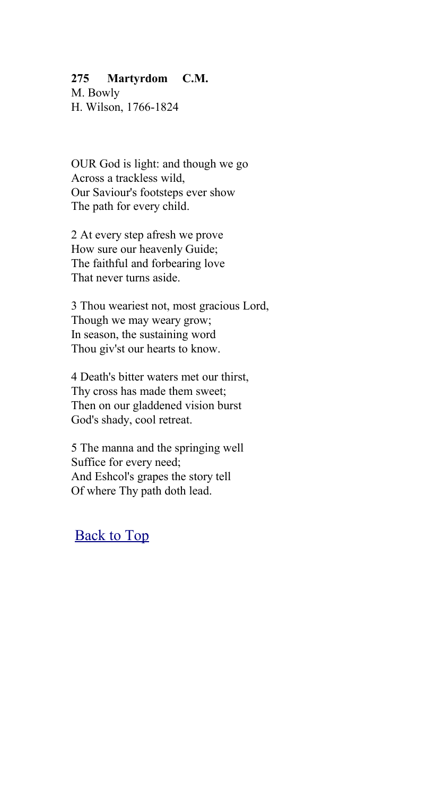#### **275 Martyrdom C.M.**

M. Bowly H. Wilson, 1766-1824

OUR God is light: and though we go Across a trackless wild, Our Saviour's footsteps ever show The path for every child.

2 At every step afresh we prove How sure our heavenly Guide; The faithful and forbearing love That never turns aside.

3 Thou weariest not, most gracious Lord, Though we may weary grow; In season, the sustaining word Thou giv'st our hearts to know.

4 Death's bitter waters met our thirst, Thy cross has made them sweet; Then on our gladdened vision burst God's shady, cool retreat.

5 The manna and the springing well Suffice for every need; And Eshcol's grapes the story tell Of where Thy path doth lead.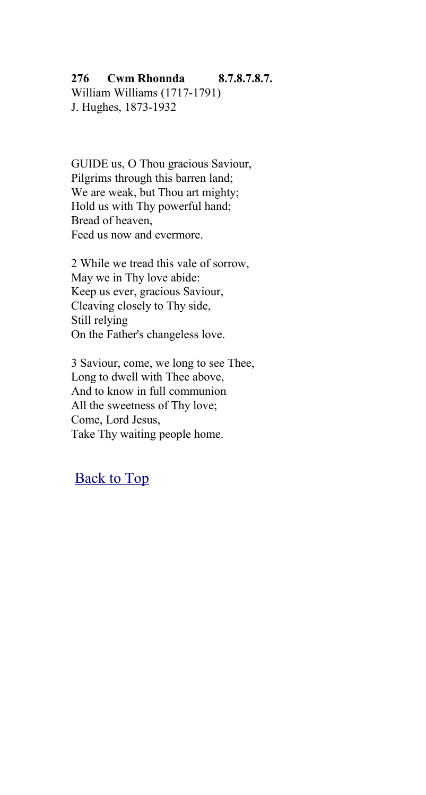#### **276 Cwm Rhonnda 8.7.8.7.8.7.**

William Williams (1717-1791) J. Hughes, 1873-1932

GUIDE us, O Thou gracious Saviour, Pilgrims through this barren land; We are weak, but Thou art mighty; Hold us with Thy powerful hand; Bread of heaven, Feed us now and evermore.

2 While we tread this vale of sorrow, May we in Thy love abide: Keep us ever, gracious Saviour, Cleaving closely to Thy side, Still relying On the Father's changeless love.

3 Saviour, come, we long to see Thee, Long to dwell with Thee above, And to know in full communion All the sweetness of Thy love; Come, Lord Jesus, Take Thy waiting people home.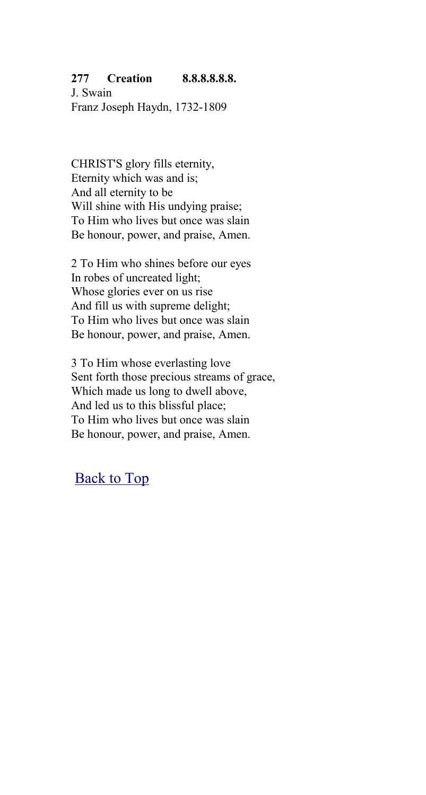#### **277 Creation 8.8.8.8.8.8.**

J. Swain Franz Joseph Haydn, 1732-1809

CHRIST'S glory fills eternity, Eternity which was and is; And all eternity to be Will shine with His undying praise; To Him who lives but once was slain Be honour, power, and praise, Amen.

2 To Him who shines before our eyes In robes of uncreated light; Whose glories ever on us rise And fill us with supreme delight; To Him who lives but once was slain Be honour, power, and praise, Amen.

3 To Him whose everlasting love Sent forth those precious streams of grace, Which made us long to dwell above, And led us to this blissful place; To Him who lives but once was slain Be honour, power, and praise, Amen.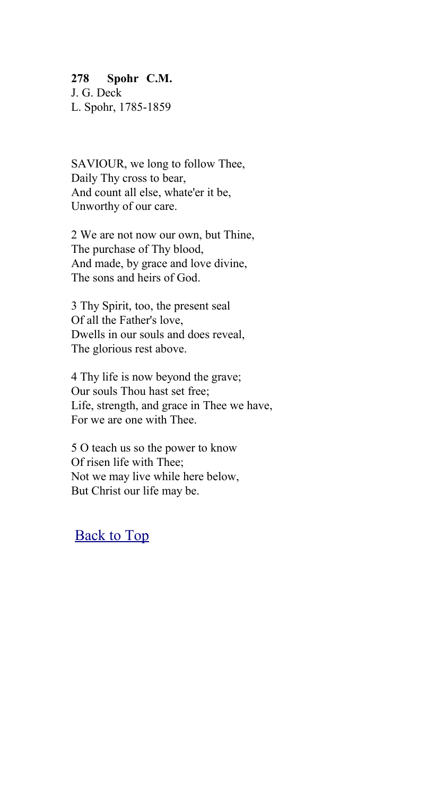#### **278 Spohr C.M.**

J. G. Deck L. Spohr, 1785-1859

SAVIOUR, we long to follow Thee, Daily Thy cross to bear, And count all else, whate'er it be, Unworthy of our care.

2 We are not now our own, but Thine, The purchase of Thy blood, And made, by grace and love divine, The sons and heirs of God.

3 Thy Spirit, too, the present seal Of all the Father's love, Dwells in our souls and does reveal, The glorious rest above.

4 Thy life is now beyond the grave; Our souls Thou hast set free; Life, strength, and grace in Thee we have, For we are one with Thee.

5 O teach us so the power to know Of risen life with Thee; Not we may live while here below, But Christ our life may be.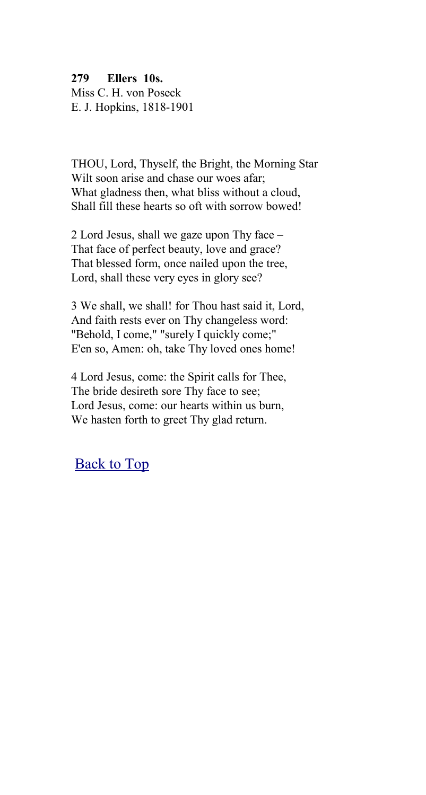**279 Ellers 10s.** Miss C. H. von Poseck E. J. Hopkins, 1818-1901

THOU, Lord, Thyself, the Bright, the Morning Star Wilt soon arise and chase our woes afar: What gladness then, what bliss without a cloud, Shall fill these hearts so oft with sorrow bowed!

2 Lord Jesus, shall we gaze upon Thy face – That face of perfect beauty, love and grace? That blessed form, once nailed upon the tree, Lord, shall these very eyes in glory see?

3 We shall, we shall! for Thou hast said it, Lord, And faith rests ever on Thy changeless word: "Behold, I come," "surely I quickly come;" E'en so, Amen: oh, take Thy loved ones home!

4 Lord Jesus, come: the Spirit calls for Thee, The bride desireth sore Thy face to see; Lord Jesus, come: our hearts within us burn, We hasten forth to greet Thy glad return.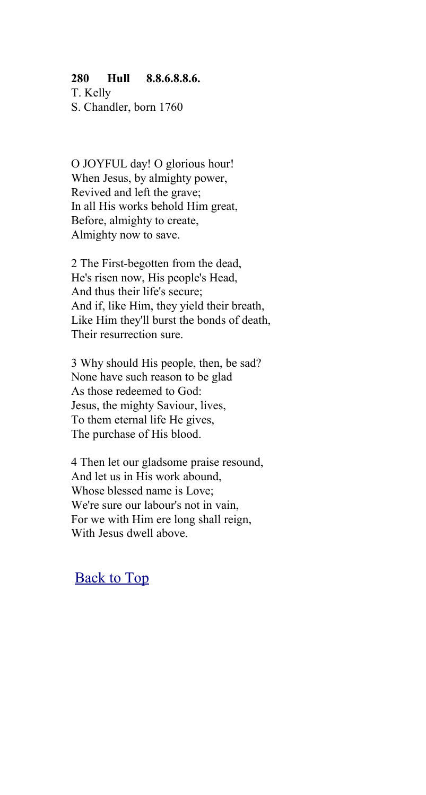#### **280 Hull 8.8.6.8.8.6.**

T. Kelly S. Chandler, born 1760

O JOYFUL day! O glorious hour! When Jesus, by almighty power, Revived and left the grave; In all His works behold Him great, Before, almighty to create, Almighty now to save.

2 The First-begotten from the dead, He's risen now, His people's Head, And thus their life's secure; And if, like Him, they yield their breath, Like Him they'll burst the bonds of death, Their resurrection sure.

3 Why should His people, then, be sad? None have such reason to be glad As those redeemed to God: Jesus, the mighty Saviour, lives, To them eternal life He gives, The purchase of His blood.

4 Then let our gladsome praise resound, And let us in His work abound, Whose blessed name is Love; We're sure our labour's not in vain, For we with Him ere long shall reign, With Jesus dwell above.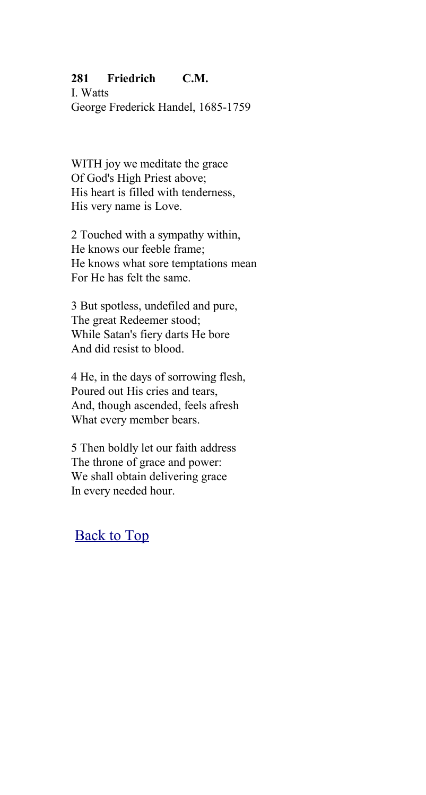### **281 Friedrich C.M.**

I. Watts George Frederick Handel, 1685-1759

WITH joy we meditate the grace Of God's High Priest above; His heart is filled with tenderness, His very name is Love.

2 Touched with a sympathy within, He knows our feeble frame; He knows what sore temptations mean For He has felt the same.

3 But spotless, undefiled and pure, The great Redeemer stood; While Satan's fiery darts He bore And did resist to blood.

4 He, in the days of sorrowing flesh, Poured out His cries and tears, And, though ascended, feels afresh What every member bears.

5 Then boldly let our faith address The throne of grace and power: We shall obtain delivering grace In every needed hour.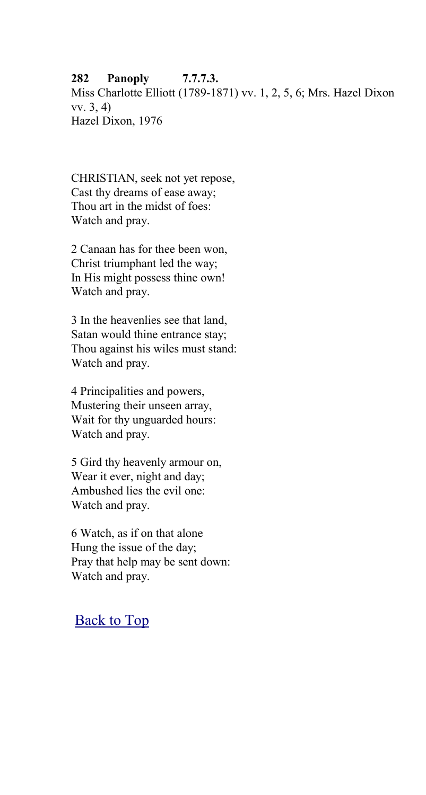### **282 Panoply 7.7.7.3.**

Miss Charlotte Elliott (1789-1871) vv. 1, 2, 5, 6; Mrs. Hazel Dixon vv. 3, 4) Hazel Dixon, 1976

CHRISTIAN, seek not yet repose, Cast thy dreams of ease away; Thou art in the midst of foes: Watch and pray.

2 Canaan has for thee been won, Christ triumphant led the way; In His might possess thine own! Watch and pray.

3 In the heavenlies see that land, Satan would thine entrance stay; Thou against his wiles must stand: Watch and pray.

4 Principalities and powers, Mustering their unseen array, Wait for thy unguarded hours: Watch and pray.

5 Gird thy heavenly armour on, Wear it ever, night and day; Ambushed lies the evil one: Watch and pray.

6 Watch, as if on that alone Hung the issue of the day; Pray that help may be sent down: Watch and pray.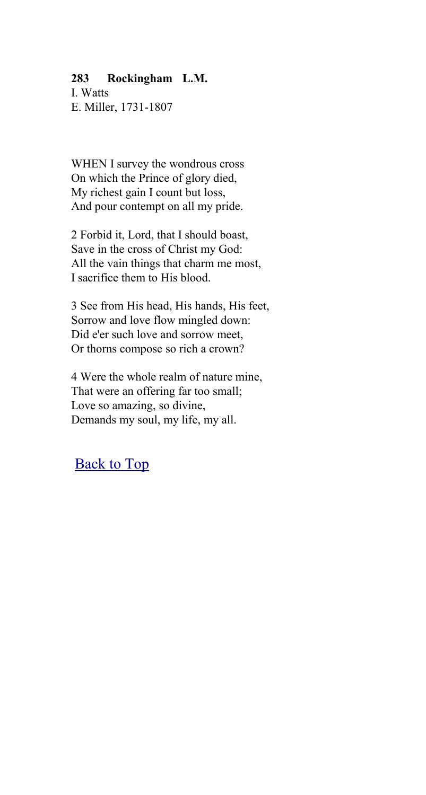#### **283 Rockingham L.M.**

I. Watts E. Miller, 1731-1807

WHEN I survey the wondrous cross On which the Prince of glory died, My richest gain I count but loss, And pour contempt on all my pride.

2 Forbid it, Lord, that I should boast, Save in the cross of Christ my God: All the vain things that charm me most, I sacrifice them to His blood.

3 See from His head, His hands, His feet, Sorrow and love flow mingled down: Did e'er such love and sorrow meet, Or thorns compose so rich a crown?

4 Were the whole realm of nature mine, That were an offering far too small; Love so amazing, so divine, Demands my soul, my life, my all.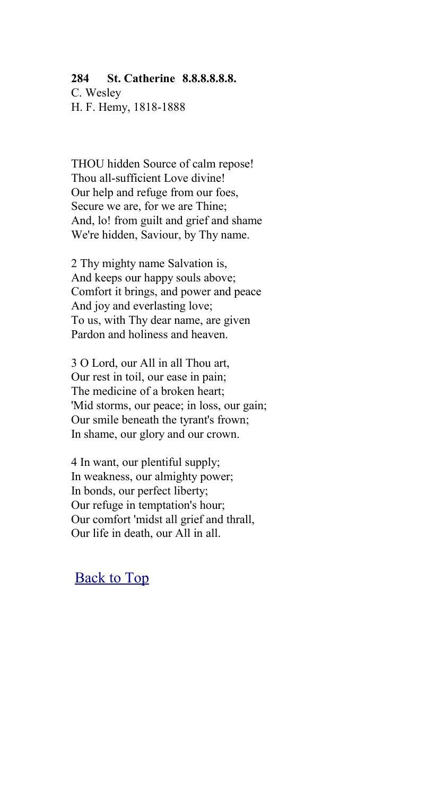#### **284 St. Catherine 8.8.8.8.8.8.**

C. Wesley H. F. Hemy, 1818-1888

THOU hidden Source of calm repose! Thou all-sufficient Love divine! Our help and refuge from our foes, Secure we are, for we are Thine; And, lo! from guilt and grief and shame We're hidden, Saviour, by Thy name.

2 Thy mighty name Salvation is, And keeps our happy souls above; Comfort it brings, and power and peace And joy and everlasting love; To us, with Thy dear name, are given Pardon and holiness and heaven.

3 O Lord, our All in all Thou art, Our rest in toil, our ease in pain; The medicine of a broken heart; 'Mid storms, our peace; in loss, our gain; Our smile beneath the tyrant's frown; In shame, our glory and our crown.

4 In want, our plentiful supply; In weakness, our almighty power; In bonds, our perfect liberty; Our refuge in temptation's hour; Our comfort 'midst all grief and thrall, Our life in death, our All in all.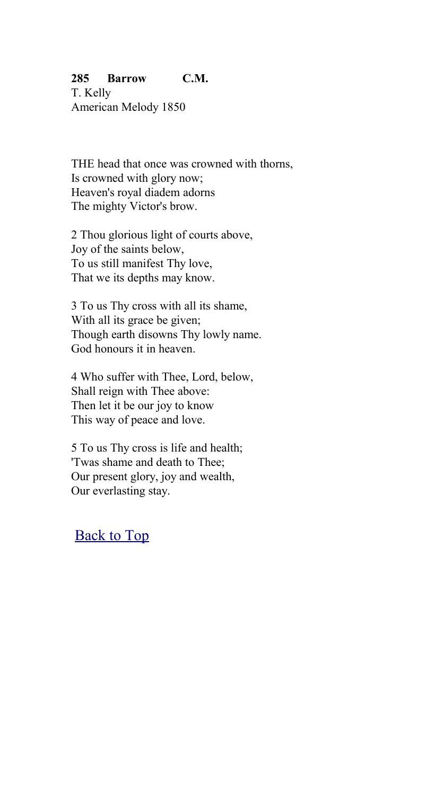### **285 Barrow C.M.**

T. Kelly American Melody 1850

THE head that once was crowned with thorns, Is crowned with glory now; Heaven's royal diadem adorns The mighty Victor's brow.

2 Thou glorious light of courts above, Joy of the saints below, To us still manifest Thy love, That we its depths may know.

3 To us Thy cross with all its shame, With all its grace be given; Though earth disowns Thy lowly name. God honours it in heaven.

4 Who suffer with Thee, Lord, below, Shall reign with Thee above: Then let it be our joy to know This way of peace and love.

5 To us Thy cross is life and health; 'Twas shame and death to Thee; Our present glory, joy and wealth, Our everlasting stay.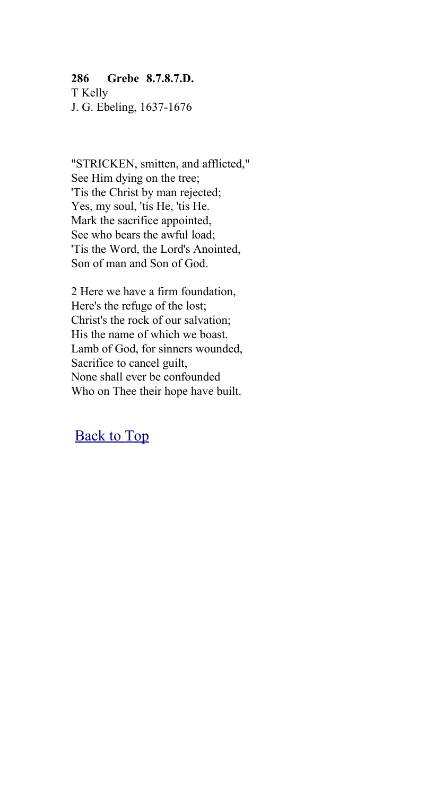### **286 Grebe 8.7.8.7.D.**

T Kelly J. G. Ebeling, 1637-1676

"STRICKEN, smitten, and afflicted," See Him dying on the tree; 'Tis the Christ by man rejected; Yes, my soul, 'tis He, 'tis He. Mark the sacrifice appointed, See who bears the awful load; 'Tis the Word, the Lord's Anointed, Son of man and Son of God.

2 Here we have a firm foundation, Here's the refuge of the lost; Christ's the rock of our salvation; His the name of which we boast. Lamb of God, for sinners wounded, Sacrifice to cancel guilt, None shall ever be confounded Who on Thee their hope have built.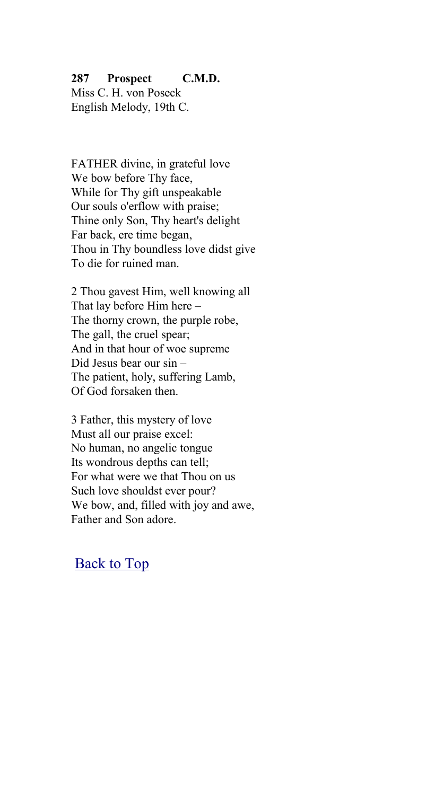#### **287 Prospect C.M.D.**

Miss C. H. von Poseck English Melody, 19th C.

FATHER divine, in grateful love We bow before Thy face, While for Thy gift unspeakable Our souls o'erflow with praise; Thine only Son, Thy heart's delight Far back, ere time began, Thou in Thy boundless love didst give To die for ruined man.

2 Thou gavest Him, well knowing all That lay before Him here – The thorny crown, the purple robe, The gall, the cruel spear; And in that hour of woe supreme Did Jesus bear our sin – The patient, holy, suffering Lamb, Of God forsaken then.

3 Father, this mystery of love Must all our praise excel: No human, no angelic tongue Its wondrous depths can tell; For what were we that Thou on us Such love shouldst ever pour? We bow, and, filled with joy and awe, Father and Son adore.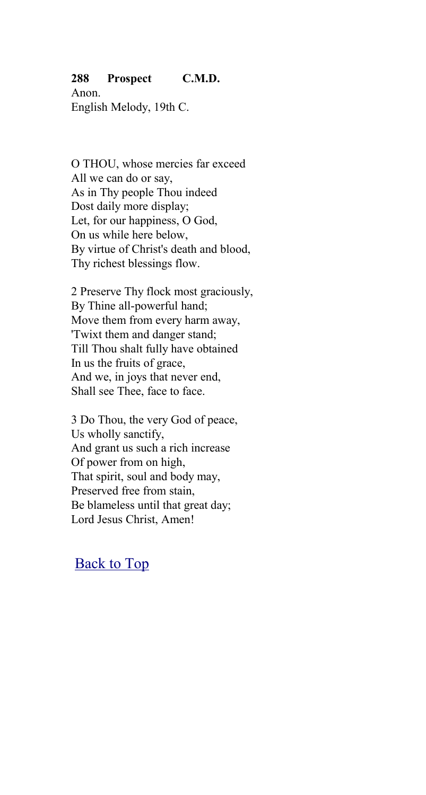#### **288 Prospect C.M.D.**

Anon. English Melody, 19th C.

O THOU, whose mercies far exceed All we can do or say, As in Thy people Thou indeed Dost daily more display; Let, for our happiness, O God, On us while here below, By virtue of Christ's death and blood, Thy richest blessings flow.

2 Preserve Thy flock most graciously, By Thine all-powerful hand; Move them from every harm away, 'Twixt them and danger stand; Till Thou shalt fully have obtained In us the fruits of grace, And we, in joys that never end, Shall see Thee, face to face.

3 Do Thou, the very God of peace, Us wholly sanctify, And grant us such a rich increase Of power from on high, That spirit, soul and body may, Preserved free from stain, Be blameless until that great day; Lord Jesus Christ, Amen!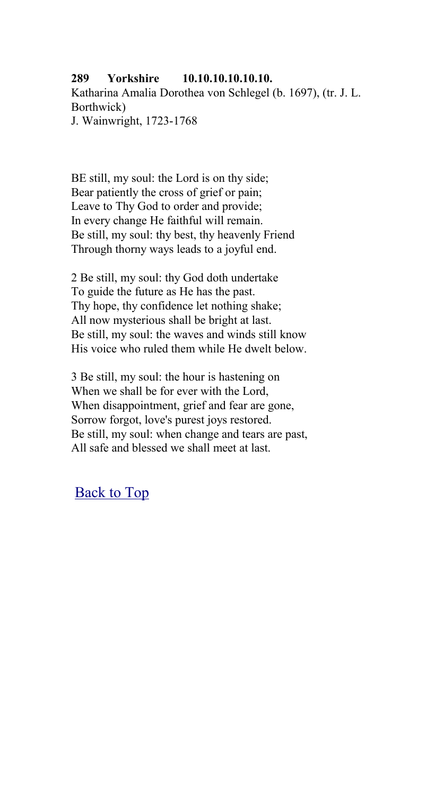#### **289 Yorkshire 10.10.10.10.10.10.** Katharina Amalia Dorothea von Schlegel (b. 1697), (tr. J. L. Borthwick) J. Wainwright, 1723-1768

BE still, my soul: the Lord is on thy side; Bear patiently the cross of grief or pain; Leave to Thy God to order and provide; In every change He faithful will remain. Be still, my soul: thy best, thy heavenly Friend Through thorny ways leads to a joyful end.

2 Be still, my soul: thy God doth undertake To guide the future as He has the past. Thy hope, thy confidence let nothing shake; All now mysterious shall be bright at last. Be still, my soul: the waves and winds still know His voice who ruled them while He dwelt below.

3 Be still, my soul: the hour is hastening on When we shall be for ever with the Lord, When disappointment, grief and fear are gone, Sorrow forgot, love's purest joys restored. Be still, my soul: when change and tears are past, All safe and blessed we shall meet at last.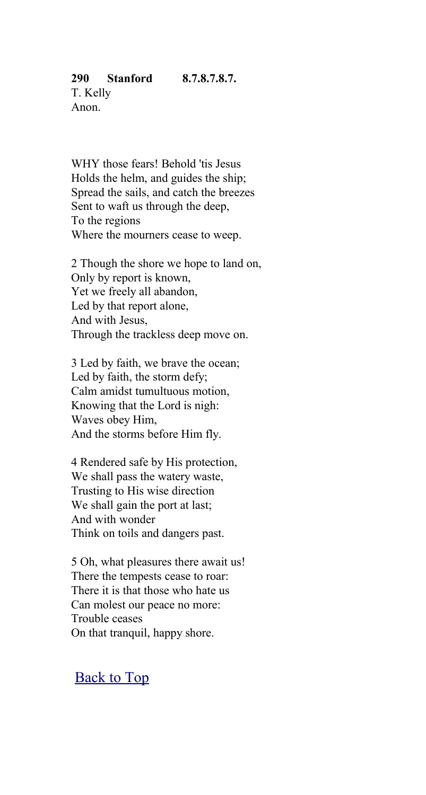WHY those fears! Behold 'tis Jesus Holds the helm, and guides the ship; Spread the sails, and catch the breezes Sent to waft us through the deep, To the regions Where the mourners cease to weep.

2 Though the shore we hope to land on, Only by report is known, Yet we freely all abandon, Led by that report alone, And with Jesus, Through the trackless deep move on.

3 Led by faith, we brave the ocean; Led by faith, the storm defy; Calm amidst tumultuous motion, Knowing that the Lord is nigh: Waves obey Him, And the storms before Him fly.

4 Rendered safe by His protection, We shall pass the watery waste, Trusting to His wise direction We shall gain the port at last; And with wonder Think on toils and dangers past.

5 Oh, what pleasures there await us! There the tempests cease to roar: There it is that those who hate us Can molest our peace no more: Trouble ceases On that tranquil, happy shore.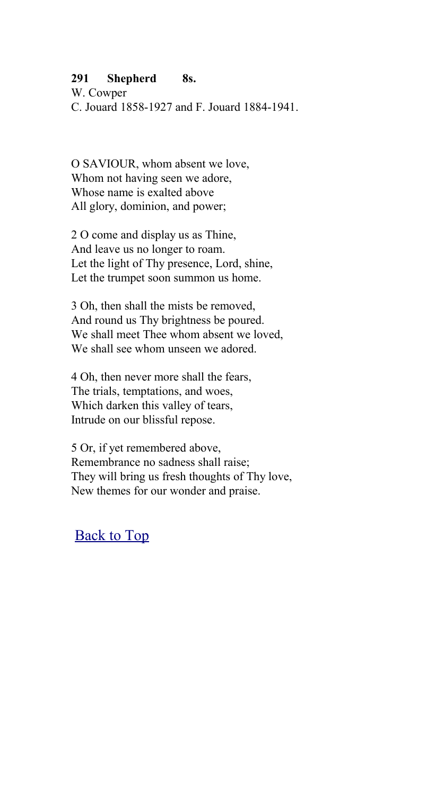#### **291 Shepherd 8s.**

W. Cowper C. Jouard 1858-1927 and F. Jouard 1884-1941.

O SAVIOUR, whom absent we love, Whom not having seen we adore, Whose name is exalted above All glory, dominion, and power;

2 O come and display us as Thine, And leave us no longer to roam. Let the light of Thy presence, Lord, shine, Let the trumpet soon summon us home.

3 Oh, then shall the mists be removed, And round us Thy brightness be poured. We shall meet Thee whom absent we loved, We shall see whom unseen we adored.

4 Oh, then never more shall the fears, The trials, temptations, and woes, Which darken this valley of tears, Intrude on our blissful repose.

5 Or, if yet remembered above, Remembrance no sadness shall raise; They will bring us fresh thoughts of Thy love, New themes for our wonder and praise.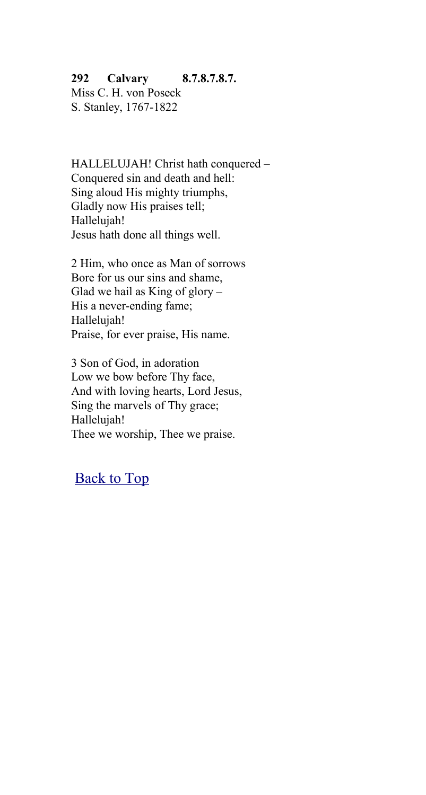# **292 Calvary 8.7.8.7.8.7.**

Miss C. H. von Poseck S. Stanley, 1767-1822

HALLELUJAH! Christ hath conquered – Conquered sin and death and hell: Sing aloud His mighty triumphs, Gladly now His praises tell; Hallelujah! Jesus hath done all things well.

2 Him, who once as Man of sorrows Bore for us our sins and shame, Glad we hail as King of glory  $-$ His a never-ending fame; Hallelujah! Praise, for ever praise, His name.

3 Son of God, in adoration Low we bow before Thy face, And with loving hearts, Lord Jesus, Sing the marvels of Thy grace; Hallelujah! Thee we worship, Thee we praise.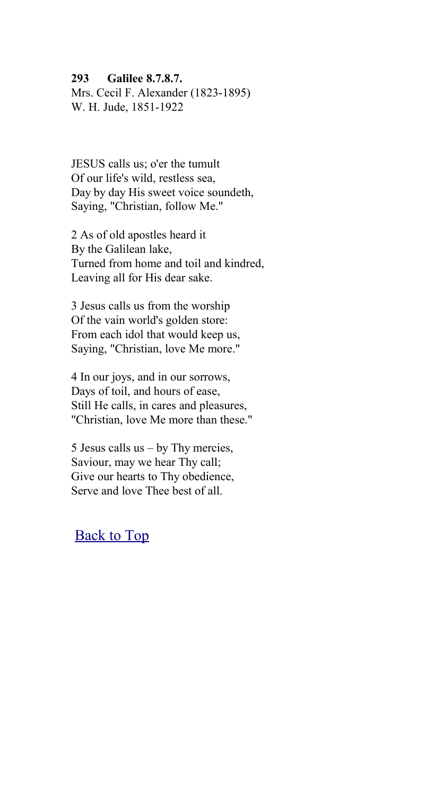#### **293 Galilee 8.7.8.7.**

Mrs. Cecil F. Alexander (1823-1895) W. H. Jude, 1851-1922

JESUS calls us; o'er the tumult Of our life's wild, restless sea, Day by day His sweet voice soundeth, Saying, "Christian, follow Me."

2 As of old apostles heard it By the Galilean lake, Turned from home and toil and kindred, Leaving all for His dear sake.

3 Jesus calls us from the worship Of the vain world's golden store: From each idol that would keep us, Saying, "Christian, love Me more."

4 In our joys, and in our sorrows, Days of toil, and hours of ease, Still He calls, in cares and pleasures, "Christian, love Me more than these."

5 Jesus calls us – by Thy mercies, Saviour, may we hear Thy call; Give our hearts to Thy obedience, Serve and love Thee best of all.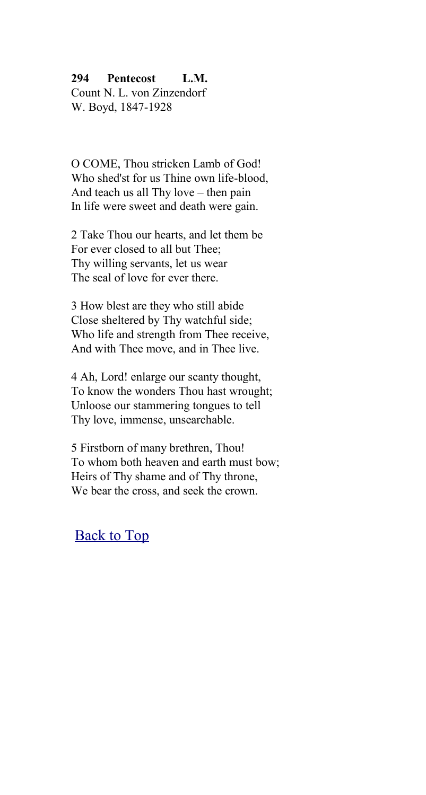#### **294 Pentecost L.M.**

Count N. L. von Zinzendorf W. Boyd, 1847-1928

O COME, Thou stricken Lamb of God! Who shed'st for us Thine own life-blood And teach us all Thy love – then pain In life were sweet and death were gain.

2 Take Thou our hearts, and let them be For ever closed to all but Thee; Thy willing servants, let us wear The seal of love for ever there.

3 How blest are they who still abide Close sheltered by Thy watchful side; Who life and strength from Thee receive, And with Thee move, and in Thee live.

4 Ah, Lord! enlarge our scanty thought, To know the wonders Thou hast wrought; Unloose our stammering tongues to tell Thy love, immense, unsearchable.

5 Firstborn of many brethren, Thou! To whom both heaven and earth must bow; Heirs of Thy shame and of Thy throne, We bear the cross, and seek the crown.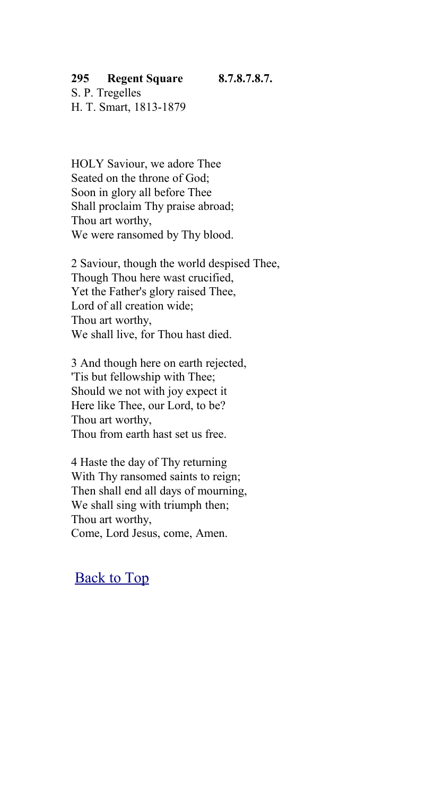#### **295 Regent Square 8.7.8.7.8.7.**

S. P. Tregelles H. T. Smart, 1813-1879

HOLY Saviour, we adore Thee Seated on the throne of God; Soon in glory all before Thee Shall proclaim Thy praise abroad; Thou art worthy, We were ransomed by Thy blood.

2 Saviour, though the world despised Thee, Though Thou here wast crucified, Yet the Father's glory raised Thee, Lord of all creation wide; Thou art worthy, We shall live, for Thou hast died.

3 And though here on earth rejected, 'Tis but fellowship with Thee; Should we not with joy expect it Here like Thee, our Lord, to be? Thou art worthy, Thou from earth hast set us free.

4 Haste the day of Thy returning With Thy ransomed saints to reign; Then shall end all days of mourning, We shall sing with triumph then; Thou art worthy, Come, Lord Jesus, come, Amen.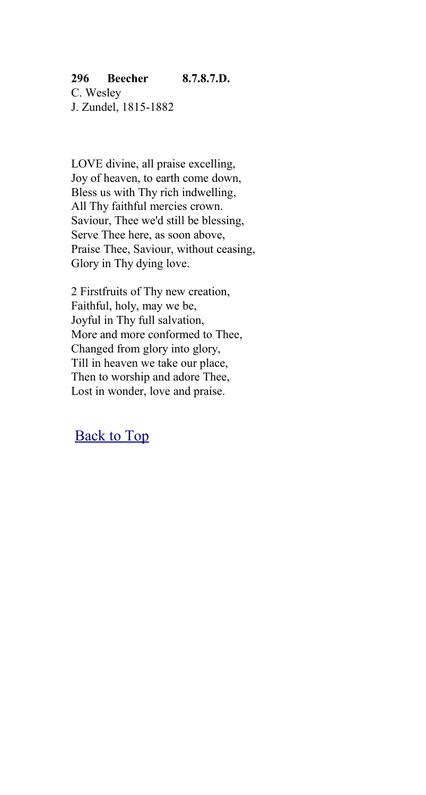### **296 Beecher 8.7.8.7.D.**

C. Wesley J. Zundel, 1815-1882

LOVE divine, all praise excelling, Joy of heaven, to earth come down, Bless us with Thy rich indwelling, All Thy faithful mercies crown. Saviour, Thee we'd still be blessing, Serve Thee here, as soon above, Praise Thee, Saviour, without ceasing, Glory in Thy dying love.

2 Firstfruits of Thy new creation, Faithful, holy, may we be, Joyful in Thy full salvation, More and more conformed to Thee, Changed from glory into glory, Till in heaven we take our place, Then to worship and adore Thee, Lost in wonder, love and praise.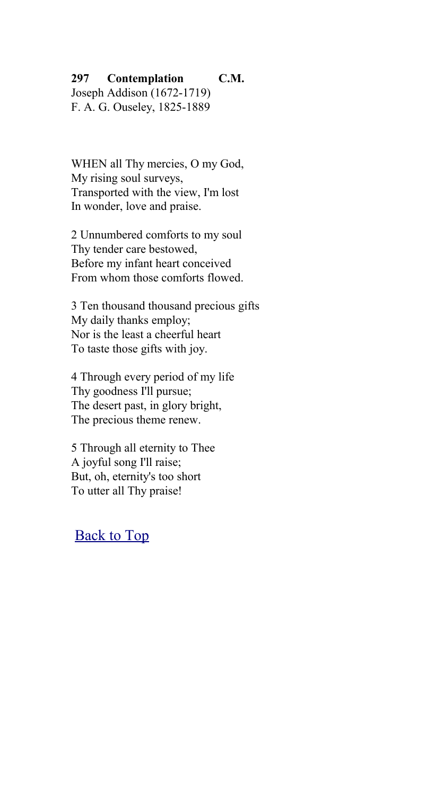#### **297 Contemplation C.M.** Joseph Addison (1672-1719) F. A. G. Ouseley, 1825-1889

WHEN all Thy mercies, O my God, My rising soul surveys, Transported with the view, I'm lost In wonder, love and praise.

2 Unnumbered comforts to my soul Thy tender care bestowed, Before my infant heart conceived From whom those comforts flowed.

3 Ten thousand thousand precious gifts My daily thanks employ; Nor is the least a cheerful heart To taste those gifts with joy.

4 Through every period of my life Thy goodness I'll pursue; The desert past, in glory bright, The precious theme renew.

5 Through all eternity to Thee A joyful song I'll raise; But, oh, eternity's too short To utter all Thy praise!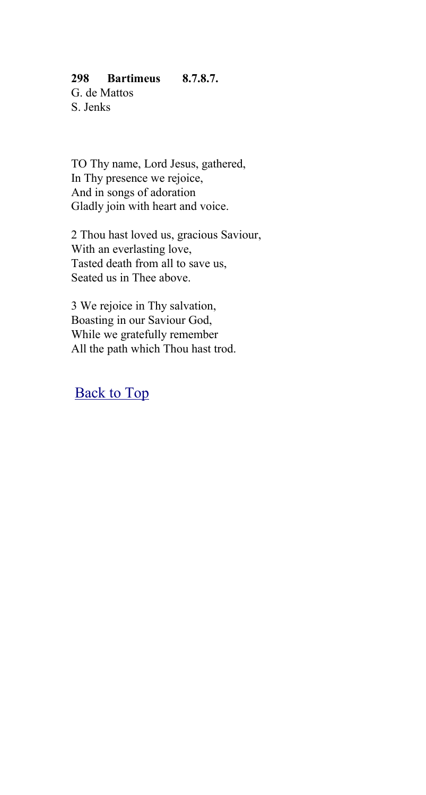### **298 Bartimeus 8.7.8.7.**

G. de Mattos S. Jenks

TO Thy name, Lord Jesus, gathered, In Thy presence we rejoice, And in songs of adoration Gladly join with heart and voice.

2 Thou hast loved us, gracious Saviour, With an everlasting love, Tasted death from all to save us, Seated us in Thee above.

3 We rejoice in Thy salvation, Boasting in our Saviour God, While we gratefully remember All the path which Thou hast trod.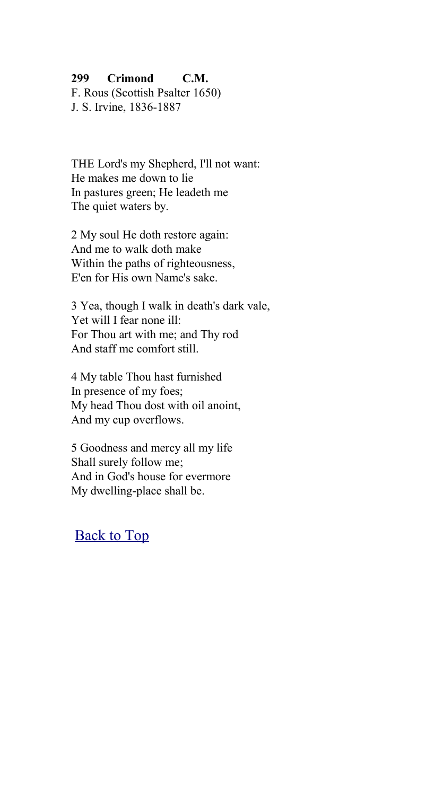#### **299 Crimond C.M.**

F. Rous (Scottish Psalter 1650) J. S. Irvine, 1836-1887

THE Lord's my Shepherd, I'll not want: He makes me down to lie In pastures green; He leadeth me The quiet waters by.

2 My soul He doth restore again: And me to walk doth make Within the paths of righteousness, E'en for His own Name's sake.

3 Yea, though I walk in death's dark vale, Yet will I fear none ill: For Thou art with me; and Thy rod And staff me comfort still.

4 My table Thou hast furnished In presence of my foes; My head Thou dost with oil anoint, And my cup overflows.

5 Goodness and mercy all my life Shall surely follow me; And in God's house for evermore My dwelling-place shall be.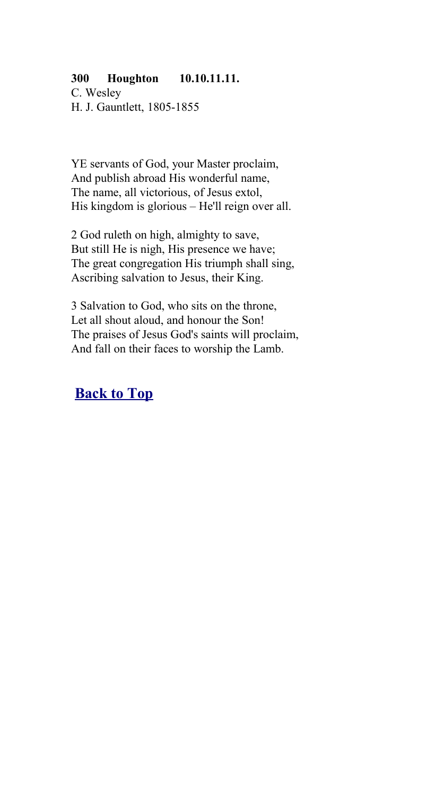### **300 Houghton 10.10.11.11.**

C. Wesley H. J. Gauntlett, 1805-1855

YE servants of God, your Master proclaim, And publish abroad His wonderful name, The name, all victorious, of Jesus extol, His kingdom is glorious – He'll reign over all.

2 God ruleth on high, almighty to save, But still He is nigh, His presence we have; The great congregation His triumph shall sing, Ascribing salvation to Jesus, their King.

3 Salvation to God, who sits on the throne, Let all shout aloud, and honour the Son! The praises of Jesus God's saints will proclaim, And fall on their faces to worship the Lamb.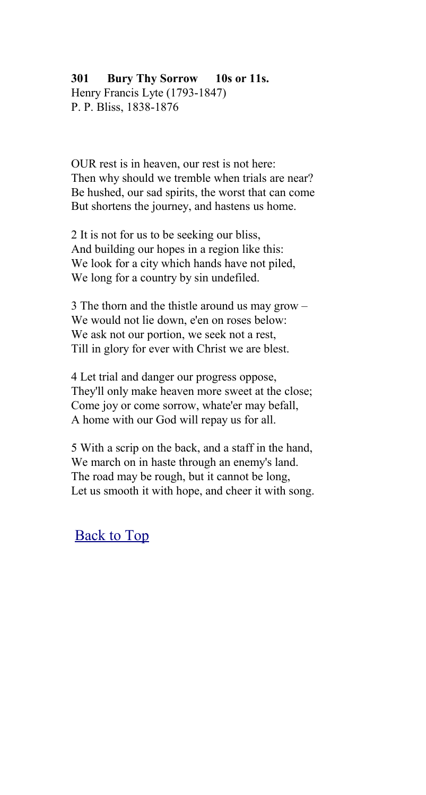# **301 Bury Thy Sorrow 10s or 11s.**

Henry Francis Lyte (1793-1847) P. P. Bliss, 1838-1876

OUR rest is in heaven, our rest is not here: Then why should we tremble when trials are near? Be hushed, our sad spirits, the worst that can come But shortens the journey, and hastens us home.

2 It is not for us to be seeking our bliss, And building our hopes in a region like this: We look for a city which hands have not piled, We long for a country by sin undefiled.

3 The thorn and the thistle around us may grow – We would not lie down, e'en on roses below: We ask not our portion, we seek not a rest, Till in glory for ever with Christ we are blest.

4 Let trial and danger our progress oppose, They'll only make heaven more sweet at the close; Come joy or come sorrow, whate'er may befall, A home with our God will repay us for all.

5 With a scrip on the back, and a staff in the hand, We march on in haste through an enemy's land. The road may be rough, but it cannot be long, Let us smooth it with hope, and cheer it with song.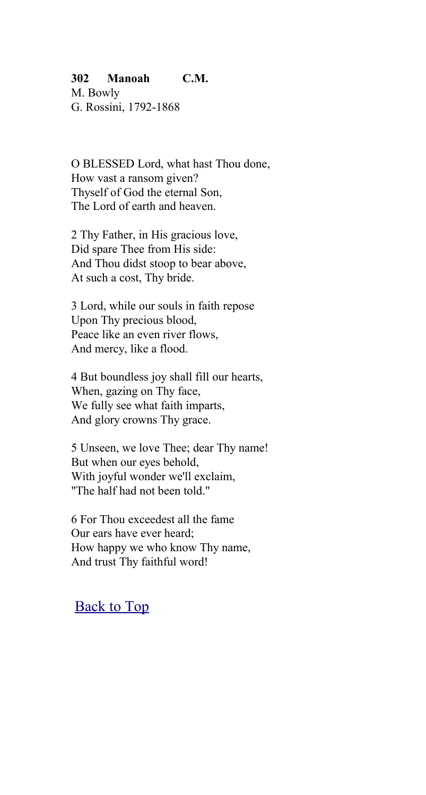#### **302 Manoah C.M.**

M. Bowly G. Rossini, 1792-1868

O BLESSED Lord, what hast Thou done, How vast a ransom given? Thyself of God the eternal Son, The Lord of earth and heaven.

2 Thy Father, in His gracious love, Did spare Thee from His side: And Thou didst stoop to bear above, At such a cost, Thy bride.

3 Lord, while our souls in faith repose Upon Thy precious blood, Peace like an even river flows, And mercy, like a flood.

4 But boundless joy shall fill our hearts, When, gazing on Thy face, We fully see what faith imparts, And glory crowns Thy grace.

5 Unseen, we love Thee; dear Thy name! But when our eyes behold, With joyful wonder we'll exclaim, "The half had not been told."

6 For Thou exceedest all the fame Our ears have ever heard; How happy we who know Thy name, And trust Thy faithful word!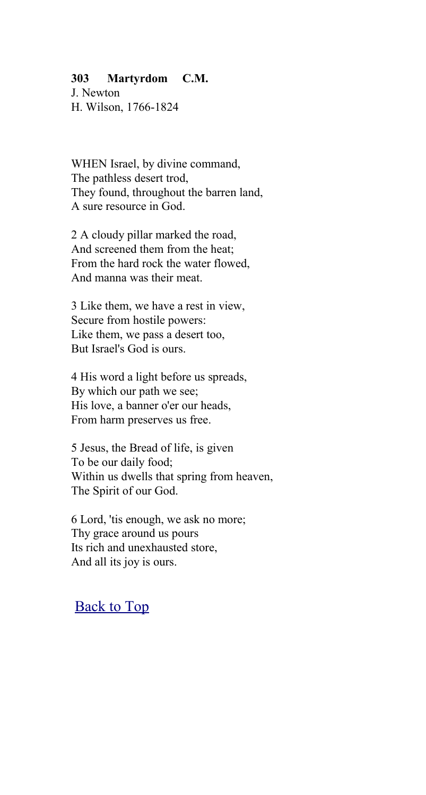#### **303 Martyrdom C.M.**

J. Newton H. Wilson, 1766-1824

WHEN Israel, by divine command, The pathless desert trod, They found, throughout the barren land, A sure resource in God.

2 A cloudy pillar marked the road, And screened them from the heat; From the hard rock the water flowed, And manna was their meat.

3 Like them, we have a rest in view, Secure from hostile powers: Like them, we pass a desert too, But Israel's God is ours.

4 His word a light before us spreads, By which our path we see; His love, a banner o'er our heads, From harm preserves us free.

5 Jesus, the Bread of life, is given To be our daily food; Within us dwells that spring from heaven, The Spirit of our God.

6 Lord, 'tis enough, we ask no more; Thy grace around us pours Its rich and unexhausted store, And all its joy is ours.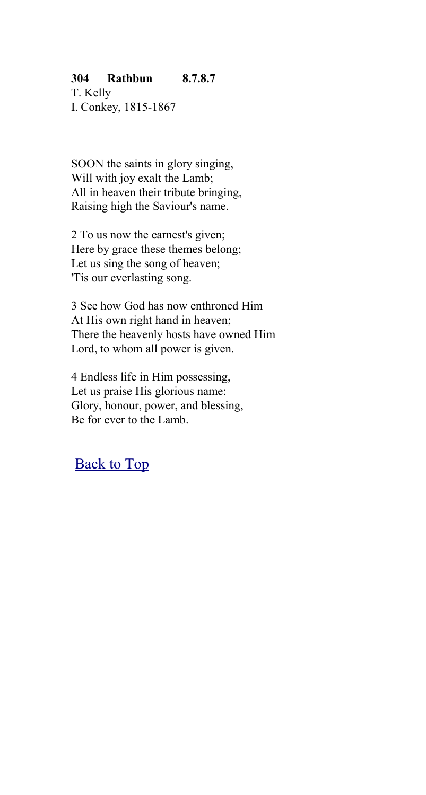### **304 Rathbun 8.7.8.7**

T. Kelly I. Conkey, 1815-1867

SOON the saints in glory singing, Will with joy exalt the Lamb; All in heaven their tribute bringing. Raising high the Saviour's name.

2 To us now the earnest's given; Here by grace these themes belong; Let us sing the song of heaven; 'Tis our everlasting song.

3 See how God has now enthroned Him At His own right hand in heaven; There the heavenly hosts have owned Him Lord, to whom all power is given.

4 Endless life in Him possessing, Let us praise His glorious name: Glory, honour, power, and blessing, Be for ever to the Lamb.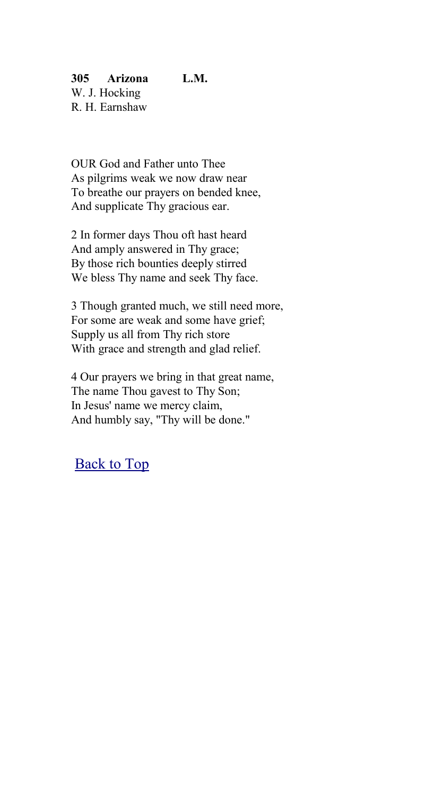**305 Arizona L.M.** W. J. Hocking R. H. Earnshaw

OUR God and Father unto Thee As pilgrims weak we now draw near To breathe our prayers on bended knee, And supplicate Thy gracious ear.

2 In former days Thou oft hast heard And amply answered in Thy grace; By those rich bounties deeply stirred We bless Thy name and seek Thy face.

3 Though granted much, we still need more, For some are weak and some have grief; Supply us all from Thy rich store With grace and strength and glad relief.

4 Our prayers we bring in that great name, The name Thou gavest to Thy Son; In Jesus' name we mercy claim, And humbly say, "Thy will be done."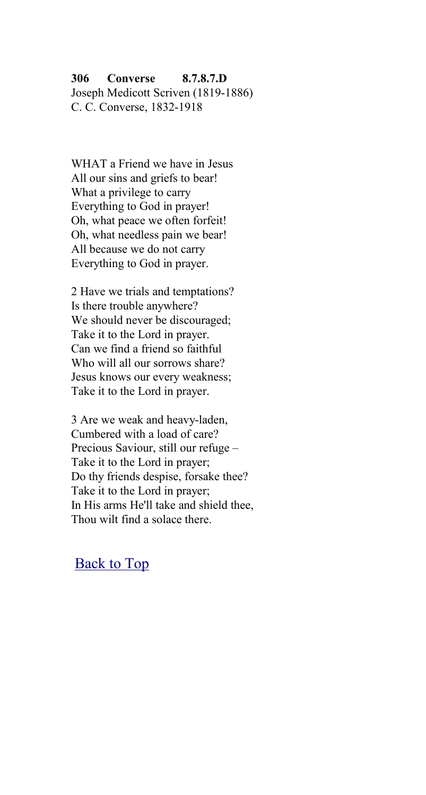### **306 Converse 8.7.8.7.D**

Joseph Medicott Scriven (1819-1886) C. C. Converse, 1832-1918

WHAT a Friend we have in Jesus All our sins and griefs to bear! What a privilege to carry Everything to God in prayer! Oh, what peace we often forfeit! Oh, what needless pain we bear! All because we do not carry Everything to God in prayer.

2 Have we trials and temptations? Is there trouble anywhere? We should never be discouraged; Take it to the Lord in prayer. Can we find a friend so faithful Who will all our sorrows share? Jesus knows our every weakness; Take it to the Lord in prayer.

3 Are we weak and heavy-laden, Cumbered with a load of care? Precious Saviour, still our refuge – Take it to the Lord in prayer; Do thy friends despise, forsake thee? Take it to the Lord in prayer; In His arms He'll take and shield thee, Thou wilt find a solace there.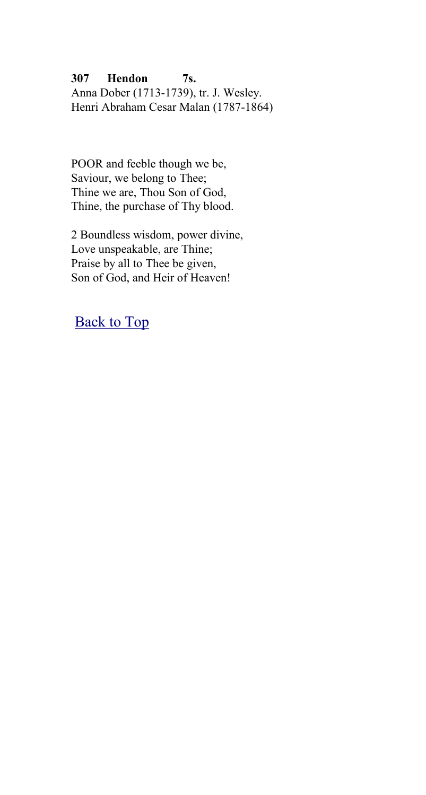### **307 Hendon 7s.**

Anna Dober (1713-1739), tr. J. Wesley. Henri Abraham Cesar Malan (1787-1864)

POOR and feeble though we be, Saviour, we belong to Thee; Thine we are, Thou Son of God, Thine, the purchase of Thy blood.

2 Boundless wisdom, power divine, Love unspeakable, are Thine; Praise by all to Thee be given, Son of God, and Heir of Heaven!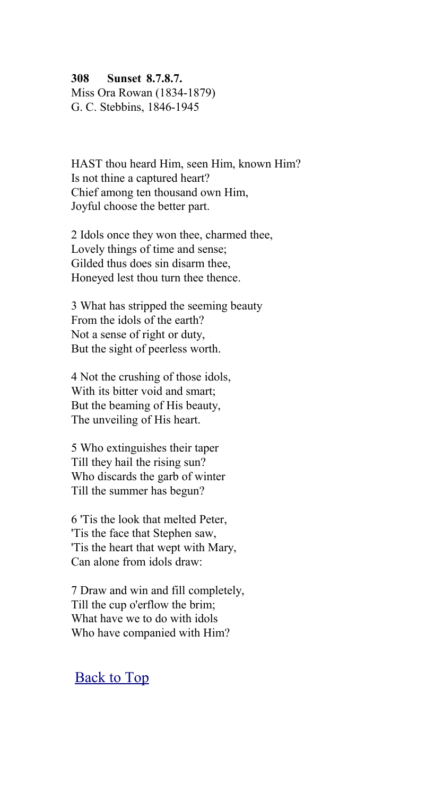**308 Sunset 8.7.8.7.**

Miss Ora Rowan (1834-1879) G. C. Stebbins, 1846-1945

HAST thou heard Him, seen Him, known Him? Is not thine a captured heart? Chief among ten thousand own Him, Joyful choose the better part.

2 Idols once they won thee, charmed thee, Lovely things of time and sense; Gilded thus does sin disarm thee, Honeyed lest thou turn thee thence.

3 What has stripped the seeming beauty From the idols of the earth? Not a sense of right or duty, But the sight of peerless worth.

4 Not the crushing of those idols, With its bitter void and smart; But the beaming of His beauty, The unveiling of His heart.

5 Who extinguishes their taper Till they hail the rising sun? Who discards the garb of winter Till the summer has begun?

6 'Tis the look that melted Peter, 'Tis the face that Stephen saw, 'Tis the heart that wept with Mary, Can alone from idols draw:

7 Draw and win and fill completely, Till the cup o'erflow the brim; What have we to do with idols Who have companied with Him?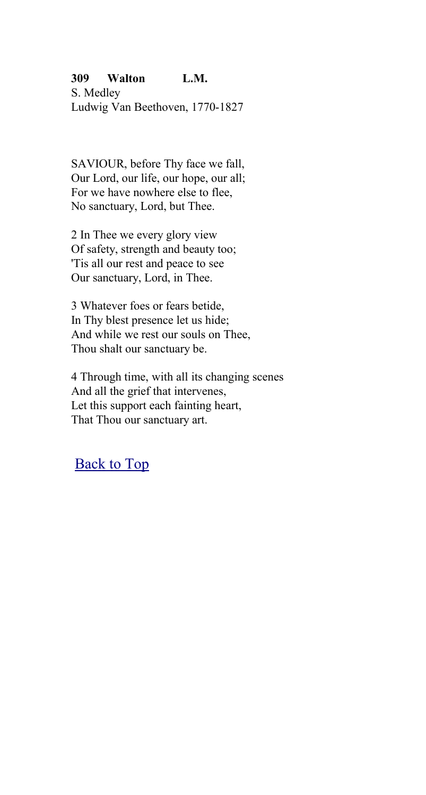### **309 Walton L.M.**

S. Medley Ludwig Van Beethoven, 1770-1827

SAVIOUR, before Thy face we fall, Our Lord, our life, our hope, our all; For we have nowhere else to flee, No sanctuary, Lord, but Thee.

2 In Thee we every glory view Of safety, strength and beauty too; 'Tis all our rest and peace to see Our sanctuary, Lord, in Thee.

3 Whatever foes or fears betide, In Thy blest presence let us hide; And while we rest our souls on Thee, Thou shalt our sanctuary be.

4 Through time, with all its changing scenes And all the grief that intervenes, Let this support each fainting heart, That Thou our sanctuary art.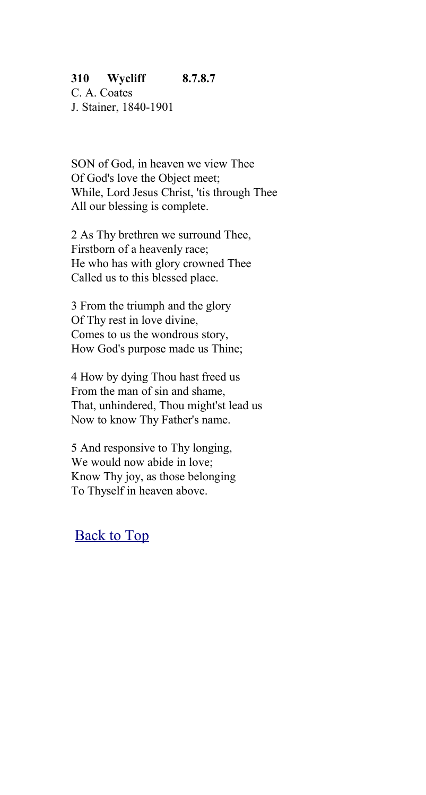### **310 Wycliff 8.7.8.7**

C. A. Coates J. Stainer, 1840-1901

SON of God, in heaven we view Thee Of God's love the Object meet; While, Lord Jesus Christ, 'tis through Thee All our blessing is complete.

2 As Thy brethren we surround Thee, Firstborn of a heavenly race; He who has with glory crowned Thee Called us to this blessed place.

3 From the triumph and the glory Of Thy rest in love divine, Comes to us the wondrous story, How God's purpose made us Thine;

4 How by dying Thou hast freed us From the man of sin and shame, That, unhindered, Thou might'st lead us Now to know Thy Father's name.

5 And responsive to Thy longing, We would now abide in love; Know Thy joy, as those belonging To Thyself in heaven above.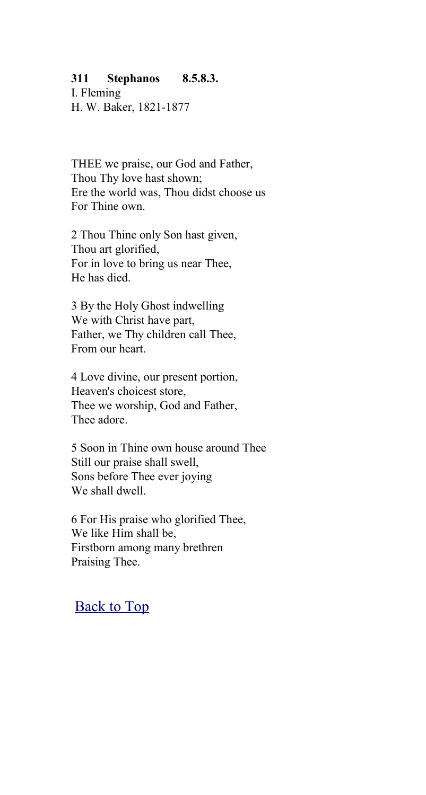#### **311 Stephanos 8.5.8.3.**

I. Fleming H. W. Baker, 1821-1877

THEE we praise, our God and Father, Thou Thy love hast shown; Ere the world was, Thou didst choose us For Thine own.

2 Thou Thine only Son hast given, Thou art glorified, For in love to bring us near Thee, He has died.

3 By the Holy Ghost indwelling We with Christ have part, Father, we Thy children call Thee, From our heart.

4 Love divine, our present portion, Heaven's choicest store, Thee we worship, God and Father, Thee adore.

5 Soon in Thine own house around Thee Still our praise shall swell, Sons before Thee ever joying We shall dwell

6 For His praise who glorified Thee, We like Him shall be, Firstborn among many brethren Praising Thee.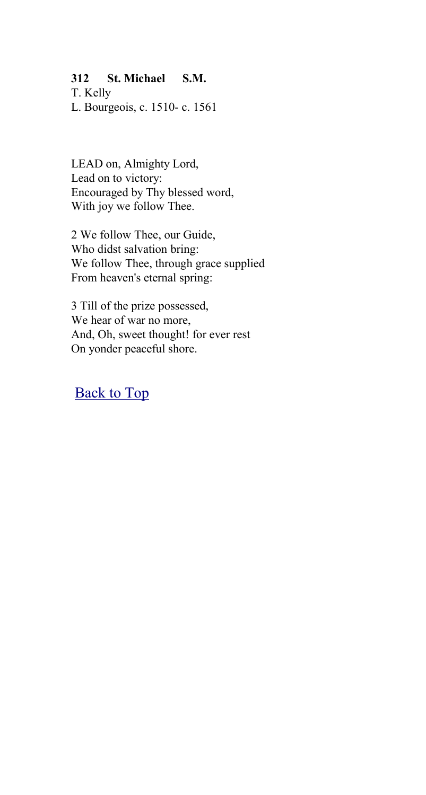### **312 St. Michael S.M.**

T. Kelly L. Bourgeois, c. 1510- c. 1561

LEAD on, Almighty Lord, Lead on to victory: Encouraged by Thy blessed word, With joy we follow Thee.

2 We follow Thee, our Guide, Who didst salvation bring: We follow Thee, through grace supplied From heaven's eternal spring:

3 Till of the prize possessed, We hear of war no more, And, Oh, sweet thought! for ever rest On yonder peaceful shore.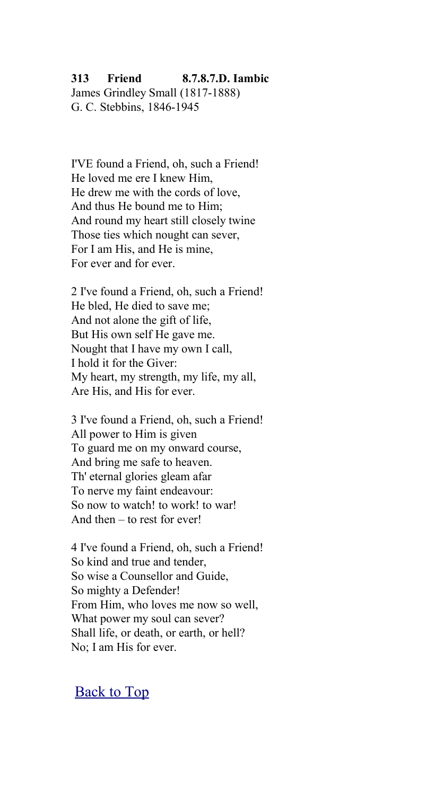#### **313 Friend 8.7.8.7.D. Iambic**

James Grindley Small (1817-1888) G. C. Stebbins, 1846-1945

I'VE found a Friend, oh, such a Friend! He loved me ere I knew Him, He drew me with the cords of love, And thus He bound me to Him; And round my heart still closely twine Those ties which nought can sever, For I am His, and He is mine, For ever and for ever.

2 I've found a Friend, oh, such a Friend! He bled, He died to save me; And not alone the gift of life, But His own self He gave me. Nought that I have my own I call, I hold it for the Giver: My heart, my strength, my life, my all, Are His, and His for ever.

3 I've found a Friend, oh, such a Friend! All power to Him is given To guard me on my onward course, And bring me safe to heaven. Th' eternal glories gleam afar To nerve my faint endeavour: So now to watch! to work! to war! And then – to rest for ever!

4 I've found a Friend, oh, such a Friend! So kind and true and tender, So wise a Counsellor and Guide, So mighty a Defender! From Him, who loves me now so well, What power my soul can sever? Shall life, or death, or earth, or hell? No; I am His for ever.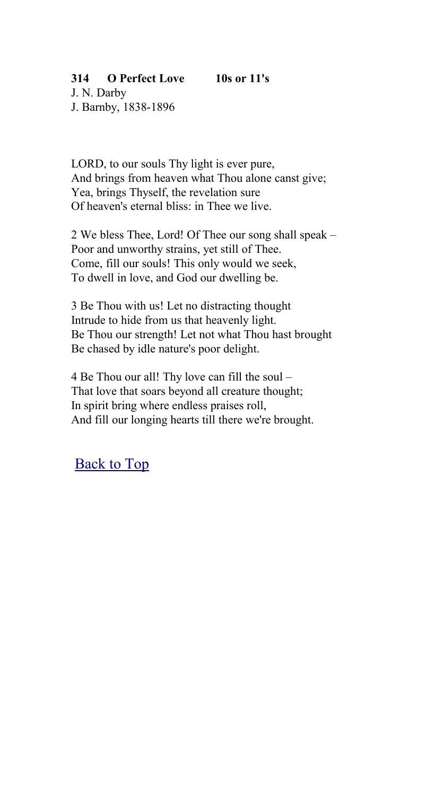# **314 O Perfect Love 10s or 11's**

J. N. Darby J. Barnby, 1838-1896

LORD, to our souls Thy light is ever pure, And brings from heaven what Thou alone canst give; Yea, brings Thyself, the revelation sure Of heaven's eternal bliss: in Thee we live.

2 We bless Thee, Lord! Of Thee our song shall speak – Poor and unworthy strains, yet still of Thee. Come, fill our souls! This only would we seek, To dwell in love, and God our dwelling be.

3 Be Thou with us! Let no distracting thought Intrude to hide from us that heavenly light. Be Thou our strength! Let not what Thou hast brought Be chased by idle nature's poor delight.

4 Be Thou our all! Thy love can fill the soul – That love that soars beyond all creature thought; In spirit bring where endless praises roll, And fill our longing hearts till there we're brought.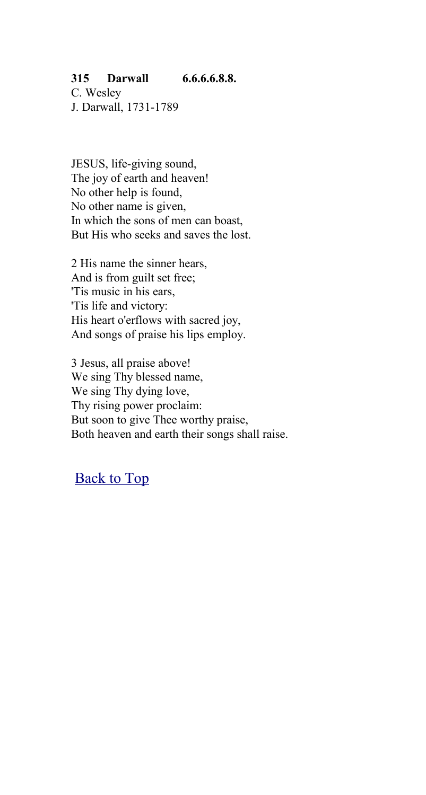### **315 Darwall 6.6.6.6.8.8.**

C. Wesley J. Darwall, 1731-1789

JESUS, life-giving sound, The joy of earth and heaven! No other help is found, No other name is given, In which the sons of men can boast, But His who seeks and saves the lost.

2 His name the sinner hears, And is from guilt set free; 'Tis music in his ears, 'Tis life and victory: His heart o'erflows with sacred joy, And songs of praise his lips employ.

3 Jesus, all praise above! We sing Thy blessed name, We sing Thy dying love, Thy rising power proclaim: But soon to give Thee worthy praise, Both heaven and earth their songs shall raise.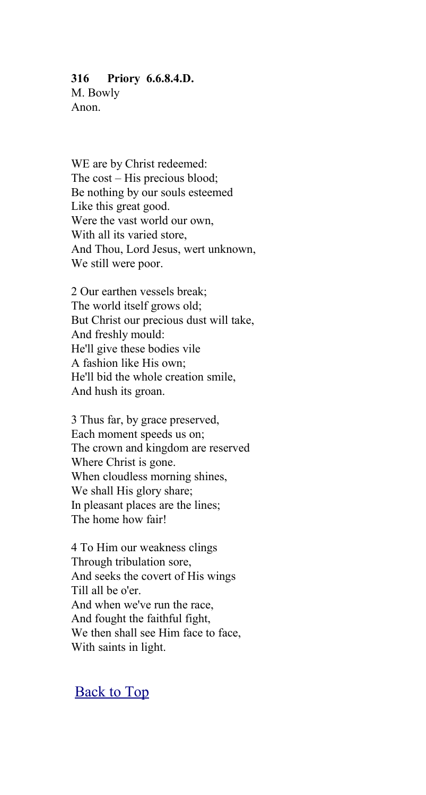#### **316 Priory 6.6.8.4.D.**

M. Bowly Anon.

WE are by Christ redeemed: The cost – His precious blood; Be nothing by our souls esteemed Like this great good. Were the vast world our own, With all its varied store, And Thou, Lord Jesus, wert unknown, We still were poor.

2 Our earthen vessels break; The world itself grows old; But Christ our precious dust will take, And freshly mould: He'll give these bodies vile A fashion like His own; He'll bid the whole creation smile, And hush its groan.

3 Thus far, by grace preserved, Each moment speeds us on; The crown and kingdom are reserved Where Christ is gone. When cloudless morning shines, We shall His glory share; In pleasant places are the lines; The home how fair!

4 To Him our weakness clings Through tribulation sore, And seeks the covert of His wings Till all be o'er. And when we've run the race, And fought the faithful fight, We then shall see Him face to face, With saints in light.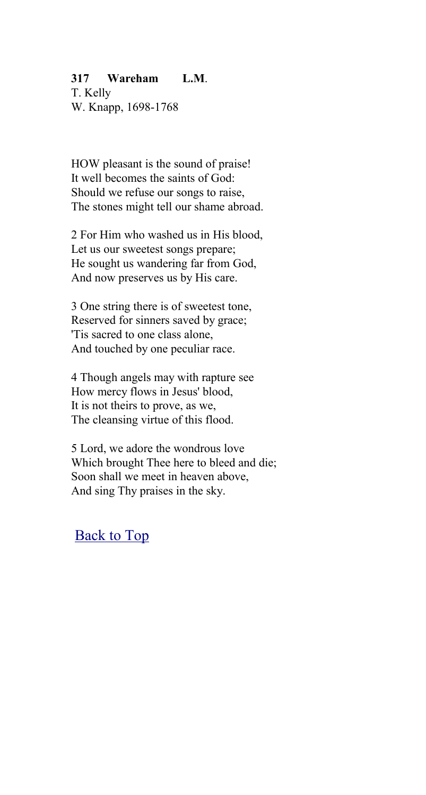### **317 Wareham L.M**.

T. Kelly W. Knapp, 1698-1768

HOW pleasant is the sound of praise! It well becomes the saints of God: Should we refuse our songs to raise, The stones might tell our shame abroad.

2 For Him who washed us in His blood, Let us our sweetest songs prepare; He sought us wandering far from God, And now preserves us by His care.

3 One string there is of sweetest tone, Reserved for sinners saved by grace; 'Tis sacred to one class alone, And touched by one peculiar race.

4 Though angels may with rapture see How mercy flows in Jesus' blood, It is not theirs to prove, as we, The cleansing virtue of this flood.

5 Lord, we adore the wondrous love Which brought Thee here to bleed and die; Soon shall we meet in heaven above, And sing Thy praises in the sky.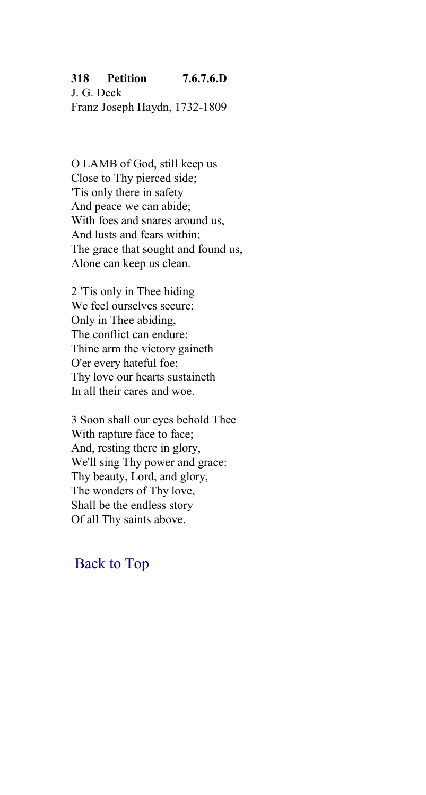### **318 Petition 7.6.7.6.D**

J. G. Deck Franz Joseph Haydn, 1732-1809

O LAMB of God, still keep us Close to Thy pierced side; 'Tis only there in safety And peace we can abide; With foes and snares around us, And lusts and fears within; The grace that sought and found us, Alone can keep us clean.

2 'Tis only in Thee hiding We feel ourselves secure; Only in Thee abiding, The conflict can endure: Thine arm the victory gaineth O'er every hateful foe; Thy love our hearts sustaineth In all their cares and woe.

3 Soon shall our eyes behold Thee With rapture face to face; And, resting there in glory, We'll sing Thy power and grace: Thy beauty, Lord, and glory, The wonders of Thy love, Shall be the endless story Of all Thy saints above.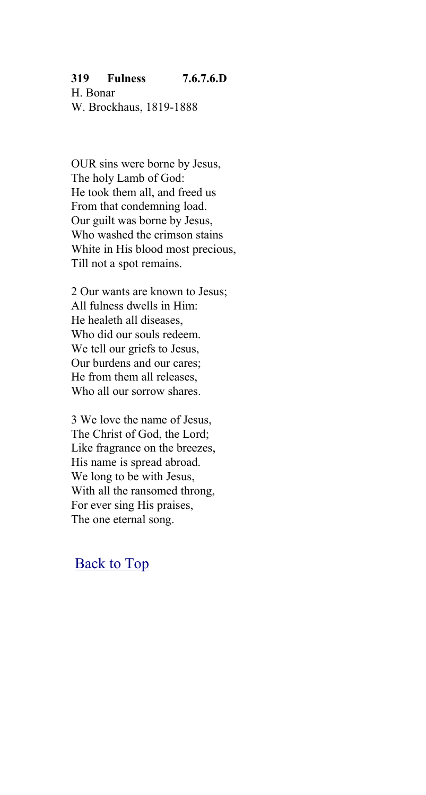### **319 Fulness 7.6.7.6.D**

H. Bonar W. Brockhaus, 1819-1888

OUR sins were borne by Jesus, The holy Lamb of God: He took them all, and freed us From that condemning load. Our guilt was borne by Jesus, Who washed the crimson stains White in His blood most precious, Till not a spot remains.

2 Our wants are known to Jesus; All fulness dwells in Him: He healeth all diseases, Who did our souls redeem. We tell our griefs to Jesus, Our burdens and our cares; He from them all releases, Who all our sorrow shares.

3 We love the name of Jesus, The Christ of God, the Lord; Like fragrance on the breezes, His name is spread abroad. We long to be with Jesus, With all the ransomed throng, For ever sing His praises, The one eternal song.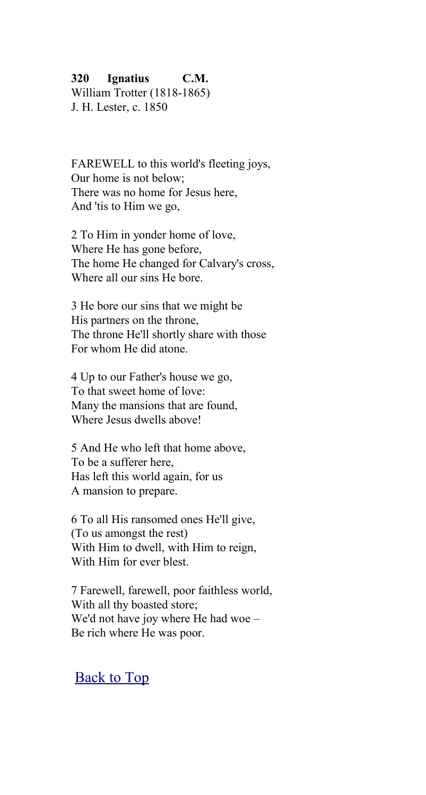### **320 Ignatius C.M.**

William Trotter (1818-1865) J. H. Lester, c. 1850

FAREWELL to this world's fleeting joys, Our home is not below; There was no home for Jesus here, And 'tis to Him we go,

2 To Him in yonder home of love, Where He has gone before, The home He changed for Calvary's cross, Where all our sins He bore.

3 He bore our sins that we might be His partners on the throne, The throne He'll shortly share with those For whom He did atone.

4 Up to our Father's house we go, To that sweet home of love: Many the mansions that are found, Where Jesus dwells above!

5 And He who left that home above, To be a sufferer here, Has left this world again, for us A mansion to prepare.

6 To all His ransomed ones He'll give, (To us amongst the rest) With Him to dwell, with Him to reign, With Him for ever blest.

7 Farewell, farewell, poor faithless world, With all thy boasted store; We'd not have joy where He had woe – Be rich where He was poor.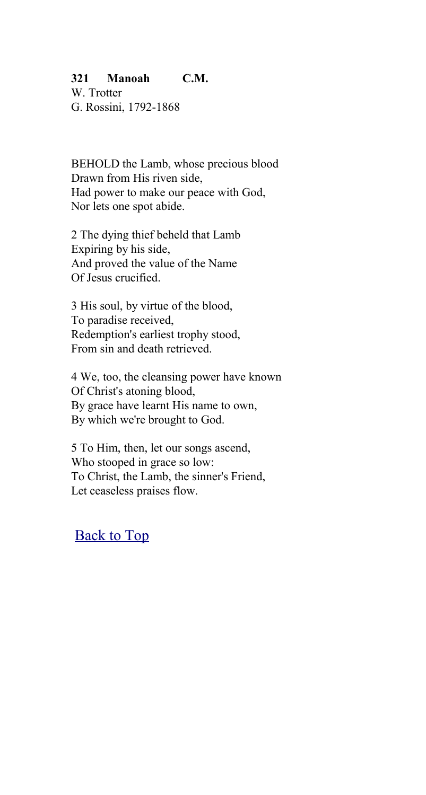### **321 Manoah C.M.**

W. Trotter G. Rossini, 1792-1868

BEHOLD the Lamb, whose precious blood Drawn from His riven side, Had power to make our peace with God, Nor lets one spot abide.

2 The dying thief beheld that Lamb Expiring by his side, And proved the value of the Name Of Jesus crucified.

3 His soul, by virtue of the blood, To paradise received, Redemption's earliest trophy stood, From sin and death retrieved.

4 We, too, the cleansing power have known Of Christ's atoning blood, By grace have learnt His name to own, By which we're brought to God.

5 To Him, then, let our songs ascend, Who stooped in grace so low: To Christ, the Lamb, the sinner's Friend, Let ceaseless praises flow.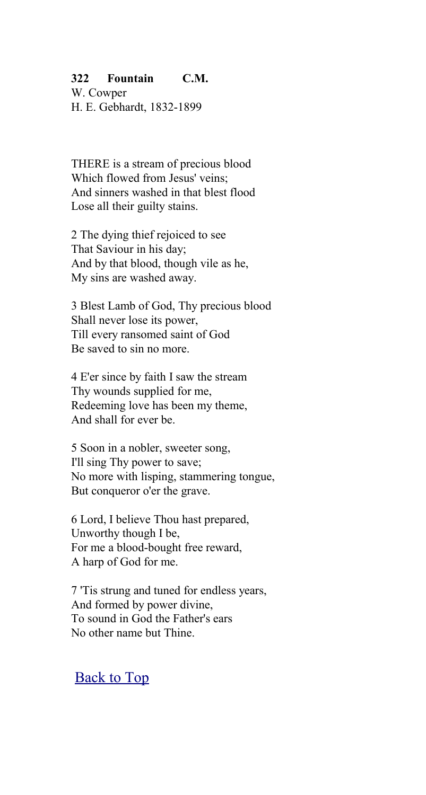### **322 Fountain C.M.**

W. Cowper H. E. Gebhardt, 1832-1899

THERE is a stream of precious blood Which flowed from Jesus' veins: And sinners washed in that blest flood Lose all their guilty stains.

2 The dying thief rejoiced to see That Saviour in his day; And by that blood, though vile as he, My sins are washed away.

3 Blest Lamb of God, Thy precious blood Shall never lose its power, Till every ransomed saint of God Be saved to sin no more.

4 E'er since by faith I saw the stream Thy wounds supplied for me, Redeeming love has been my theme, And shall for ever be.

5 Soon in a nobler, sweeter song, I'll sing Thy power to save; No more with lisping, stammering tongue, But conqueror o'er the grave.

6 Lord, I believe Thou hast prepared, Unworthy though I be, For me a blood-bought free reward, A harp of God for me.

7 'Tis strung and tuned for endless years, And formed by power divine, To sound in God the Father's ears No other name but Thine.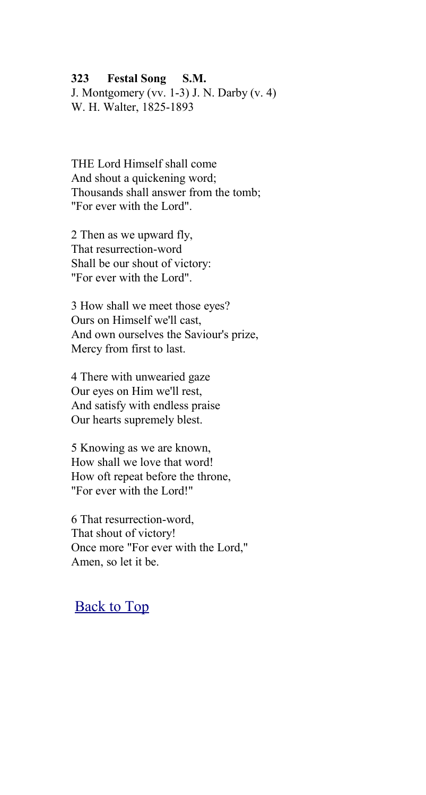#### **323 Festal Song S.M.**

J. Montgomery (vv. 1-3) J. N. Darby (v. 4) W. H. Walter, 1825-1893

THE Lord Himself shall come And shout a quickening word; Thousands shall answer from the tomb; "For ever with the Lord".

2 Then as we upward fly, That resurrection-word Shall be our shout of victory: "For ever with the Lord".

3 How shall we meet those eyes? Ours on Himself we'll cast, And own ourselves the Saviour's prize, Mercy from first to last.

4 There with unwearied gaze Our eyes on Him we'll rest, And satisfy with endless praise Our hearts supremely blest.

5 Knowing as we are known, How shall we love that word! How oft repeat before the throne, "For ever with the Lord!"

6 That resurrection-word, That shout of victory! Once more "For ever with the Lord," Amen, so let it be.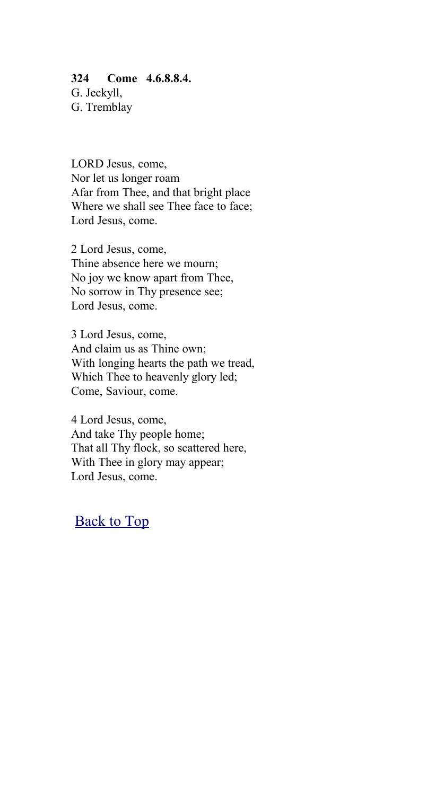#### **324 Come 4.6.8.8.4.**

G. Jeckyll, G. Tremblay

LORD Jesus, come, Nor let us longer roam Afar from Thee, and that bright place Where we shall see Thee face to face; Lord Jesus, come.

2 Lord Jesus, come, Thine absence here we mourn; No joy we know apart from Thee, No sorrow in Thy presence see; Lord Jesus, come.

3 Lord Jesus, come, And claim us as Thine own; With longing hearts the path we tread, Which Thee to heavenly glory led; Come, Saviour, come.

4 Lord Jesus, come, And take Thy people home; That all Thy flock, so scattered here, With Thee in glory may appear; Lord Jesus, come.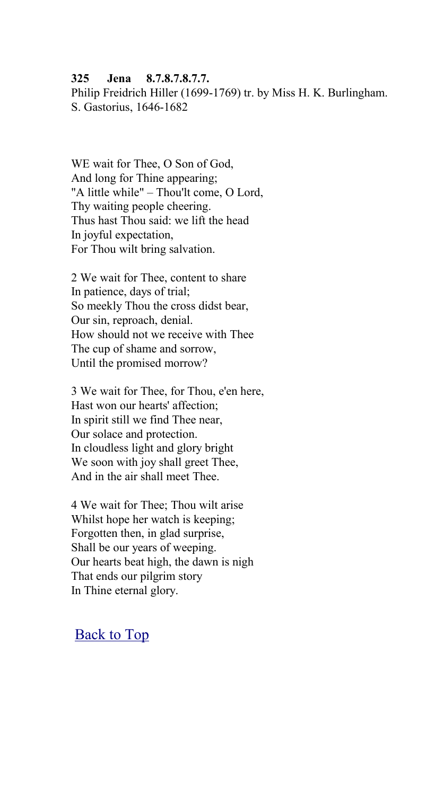#### **325 Jena 8.7.8.7.8.7.7.**

Philip Freidrich Hiller (1699-1769) tr. by Miss H. K. Burlingham. S. Gastorius, 1646-1682

WE wait for Thee, O Son of God, And long for Thine appearing; "A little while" – Thou'lt come, O Lord, Thy waiting people cheering. Thus hast Thou said: we lift the head In joyful expectation, For Thou wilt bring salvation.

2 We wait for Thee, content to share In patience, days of trial; So meekly Thou the cross didst bear, Our sin, reproach, denial. How should not we receive with Thee The cup of shame and sorrow, Until the promised morrow?

3 We wait for Thee, for Thou, e'en here, Hast won our hearts' affection; In spirit still we find Thee near, Our solace and protection. In cloudless light and glory bright We soon with joy shall greet Thee, And in the air shall meet Thee.

4 We wait for Thee; Thou wilt arise Whilst hope her watch is keeping; Forgotten then, in glad surprise, Shall be our years of weeping. Our hearts beat high, the dawn is nigh That ends our pilgrim story In Thine eternal glory.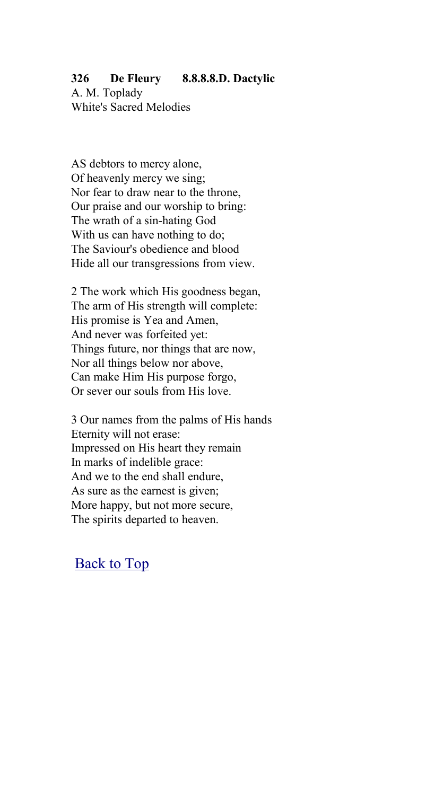### **326 De Fleury 8.8.8.8.D. Dactylic**

A. M. Toplady White's Sacred Melodies

AS debtors to mercy alone, Of heavenly mercy we sing; Nor fear to draw near to the throne, Our praise and our worship to bring: The wrath of a sin-hating God With us can have nothing to do; The Saviour's obedience and blood Hide all our transgressions from view.

2 The work which His goodness began, The arm of His strength will complete: His promise is Yea and Amen, And never was forfeited yet: Things future, nor things that are now, Nor all things below nor above, Can make Him His purpose forgo, Or sever our souls from His love.

3 Our names from the palms of His hands Eternity will not erase: Impressed on His heart they remain In marks of indelible grace: And we to the end shall endure, As sure as the earnest is given; More happy, but not more secure, The spirits departed to heaven.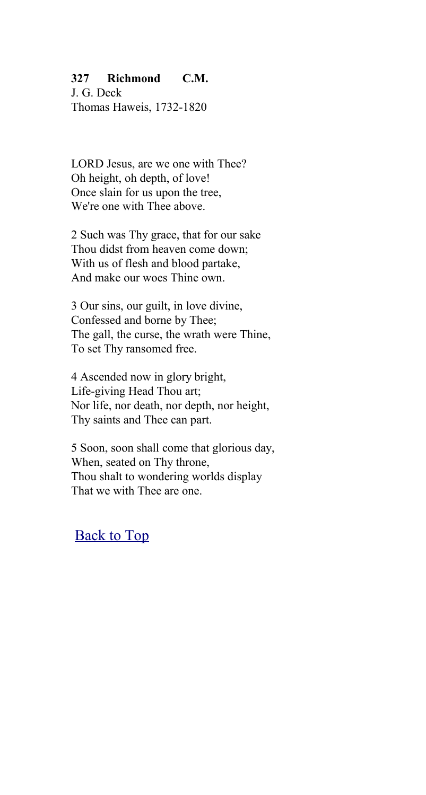### **327 Richmond C.M.**

J. G. Deck Thomas Haweis, 1732-1820

LORD Jesus, are we one with Thee? Oh height, oh depth, of love! Once slain for us upon the tree, We're one with Thee above.

2 Such was Thy grace, that for our sake Thou didst from heaven come down; With us of flesh and blood partake, And make our woes Thine own.

3 Our sins, our guilt, in love divine, Confessed and borne by Thee; The gall, the curse, the wrath were Thine, To set Thy ransomed free.

4 Ascended now in glory bright, Life-giving Head Thou art; Nor life, nor death, nor depth, nor height, Thy saints and Thee can part.

5 Soon, soon shall come that glorious day, When, seated on Thy throne, Thou shalt to wondering worlds display That we with Thee are one.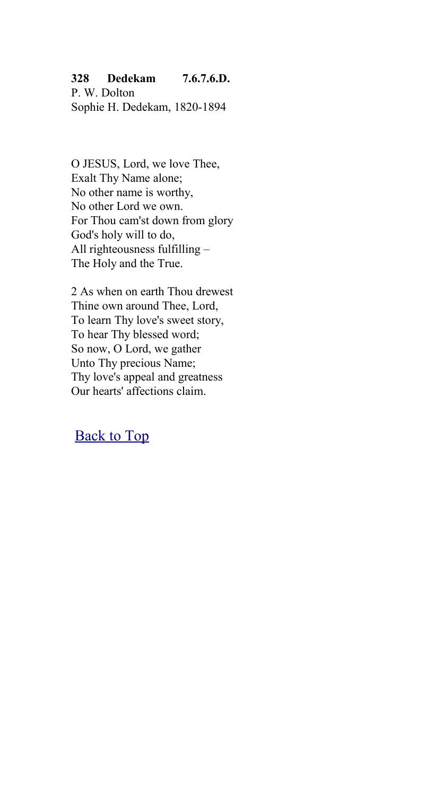### **328 Dedekam 7.6.7.6.D.**

P. W. Dolton Sophie H. Dedekam, 1820-1894

O JESUS, Lord, we love Thee, Exalt Thy Name alone; No other name is worthy, No other Lord we own. For Thou cam'st down from glory God's holy will to do, All righteousness fulfilling – The Holy and the True.

2 As when on earth Thou drewest Thine own around Thee, Lord, To learn Thy love's sweet story, To hear Thy blessed word; So now, O Lord, we gather Unto Thy precious Name; Thy love's appeal and greatness Our hearts' affections claim.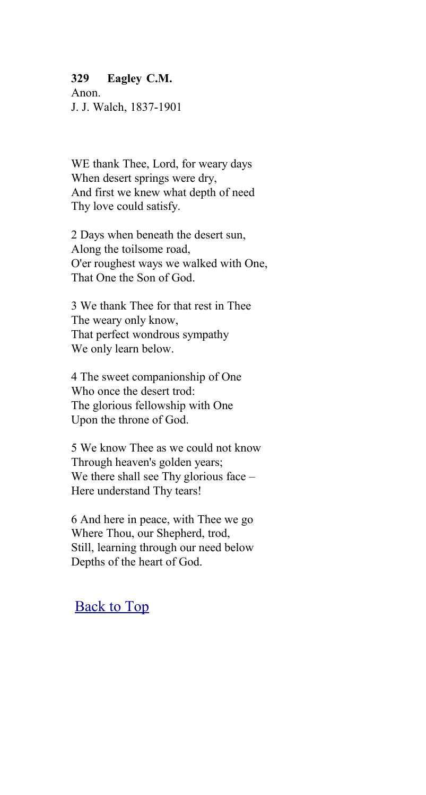#### **329 Eagley C.M.**

Anon. J. J. Walch, 1837-1901

WE thank Thee, Lord, for weary days When desert springs were dry, And first we knew what depth of need Thy love could satisfy.

2 Days when beneath the desert sun, Along the toilsome road, O'er roughest ways we walked with One, That One the Son of God.

3 We thank Thee for that rest in Thee The weary only know, That perfect wondrous sympathy We only learn below.

4 The sweet companionship of One Who once the desert trod: The glorious fellowship with One Upon the throne of God.

5 We know Thee as we could not know Through heaven's golden years; We there shall see Thy glorious face – Here understand Thy tears!

6 And here in peace, with Thee we go Where Thou, our Shepherd, trod, Still, learning through our need below Depths of the heart of God.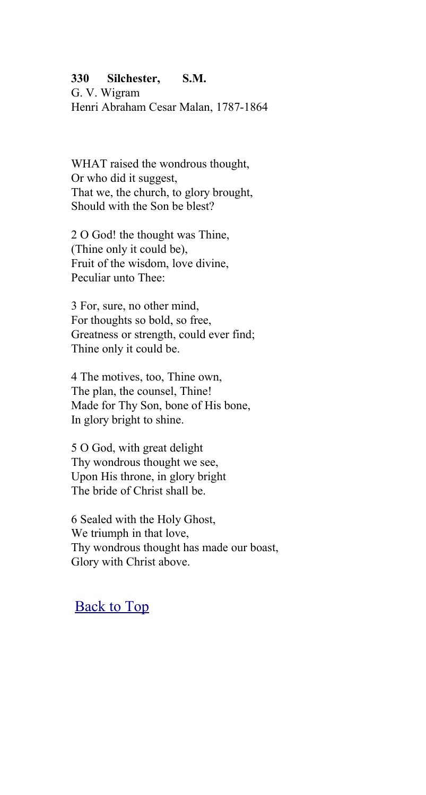#### **330 Silchester, S.M.**

G. V. Wigram Henri Abraham Cesar Malan, 1787-1864

WHAT raised the wondrous thought, Or who did it suggest, That we, the church, to glory brought, Should with the Son be blest?

2 O God! the thought was Thine, (Thine only it could be), Fruit of the wisdom, love divine, Peculiar unto Thee:

3 For, sure, no other mind, For thoughts so bold, so free, Greatness or strength, could ever find; Thine only it could be.

4 The motives, too, Thine own, The plan, the counsel, Thine! Made for Thy Son, bone of His bone, In glory bright to shine.

5 O God, with great delight Thy wondrous thought we see, Upon His throne, in glory bright The bride of Christ shall be.

6 Sealed with the Holy Ghost, We triumph in that love, Thy wondrous thought has made our boast, Glory with Christ above.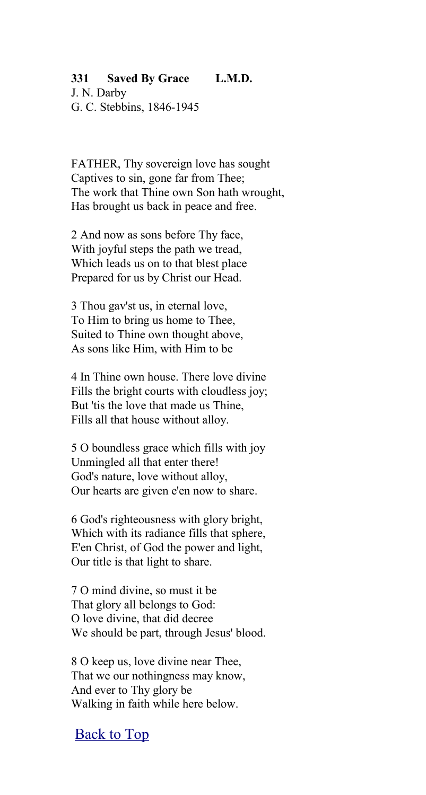#### **331 Saved By Grace L.M.D.**

J. N. Darby G. C. Stebbins, 1846-1945

FATHER, Thy sovereign love has sought Captives to sin, gone far from Thee; The work that Thine own Son hath wrought, Has brought us back in peace and free.

2 And now as sons before Thy face, With joyful steps the path we tread, Which leads us on to that blest place Prepared for us by Christ our Head.

3 Thou gav'st us, in eternal love, To Him to bring us home to Thee, Suited to Thine own thought above, As sons like Him, with Him to be

4 In Thine own house. There love divine Fills the bright courts with cloudless joy; But 'tis the love that made us Thine, Fills all that house without alloy.

5 O boundless grace which fills with joy Unmingled all that enter there! God's nature, love without alloy, Our hearts are given e'en now to share.

6 God's righteousness with glory bright, Which with its radiance fills that sphere, E'en Christ, of God the power and light, Our title is that light to share.

7 O mind divine, so must it be That glory all belongs to God: O love divine, that did decree We should be part, through Jesus' blood.

8 O keep us, love divine near Thee, That we our nothingness may know, And ever to Thy glory be Walking in faith while here below.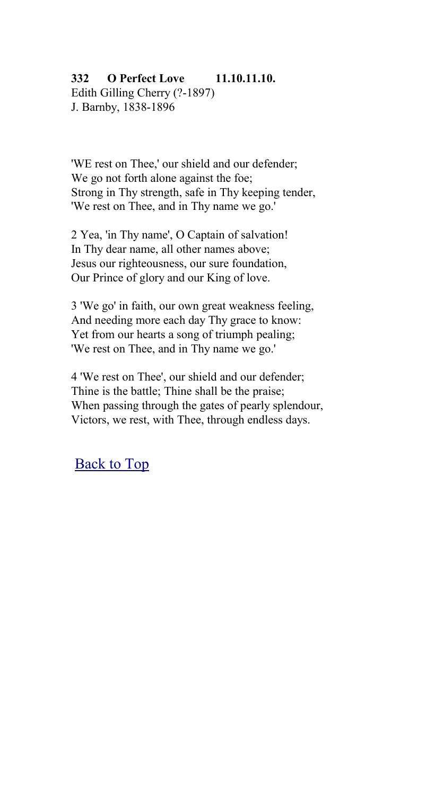### **332 O Perfect Love 11.10.11.10.**

Edith Gilling Cherry (?-1897) J. Barnby, 1838-1896

'WE rest on Thee,' our shield and our defender; We go not forth alone against the foe: Strong in Thy strength, safe in Thy keeping tender, 'We rest on Thee, and in Thy name we go.'

2 Yea, 'in Thy name', O Captain of salvation! In Thy dear name, all other names above; Jesus our righteousness, our sure foundation, Our Prince of glory and our King of love.

3 'We go' in faith, our own great weakness feeling, And needing more each day Thy grace to know: Yet from our hearts a song of triumph pealing; 'We rest on Thee, and in Thy name we go.'

4 'We rest on Thee', our shield and our defender; Thine is the battle; Thine shall be the praise; When passing through the gates of pearly splendour, Victors, we rest, with Thee, through endless days.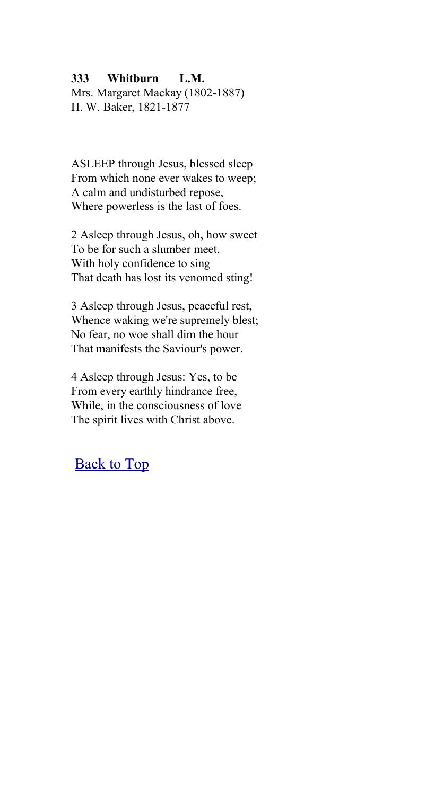### **333 Whitburn L.M.**

Mrs. Margaret Mackay (1802-1887) H. W. Baker, 1821-1877

ASLEEP through Jesus, blessed sleep From which none ever wakes to weep; A calm and undisturbed repose, Where powerless is the last of foes.

2 Asleep through Jesus, oh, how sweet To be for such a slumber meet, With holy confidence to sing That death has lost its venomed sting!

3 Asleep through Jesus, peaceful rest, Whence waking we're supremely blest; No fear, no woe shall dim the hour That manifests the Saviour's power.

4 Asleep through Jesus: Yes, to be From every earthly hindrance free, While, in the consciousness of love The spirit lives with Christ above.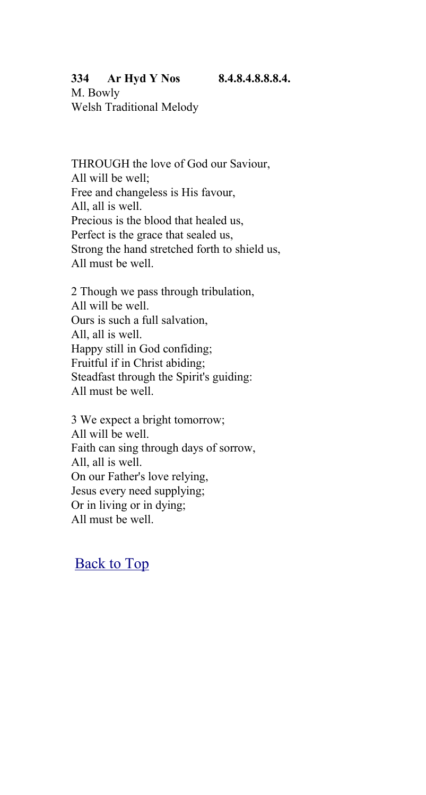#### **334 Ar Hyd Y Nos 8.4.8.4.8.8.8.4.**

M. Bowly Welsh Traditional Melody

THROUGH the love of God our Saviour, All will be well; Free and changeless is His favour, All, all is well. Precious is the blood that healed us, Perfect is the grace that sealed us, Strong the hand stretched forth to shield us, All must be well.

2 Though we pass through tribulation, All will be well. Ours is such a full salvation, All, all is well. Happy still in God confiding; Fruitful if in Christ abiding; Steadfast through the Spirit's guiding: All must be well.

3 We expect a bright tomorrow; All will be well. Faith can sing through days of sorrow, All, all is well. On our Father's love relying, Jesus every need supplying; Or in living or in dying; All must be well.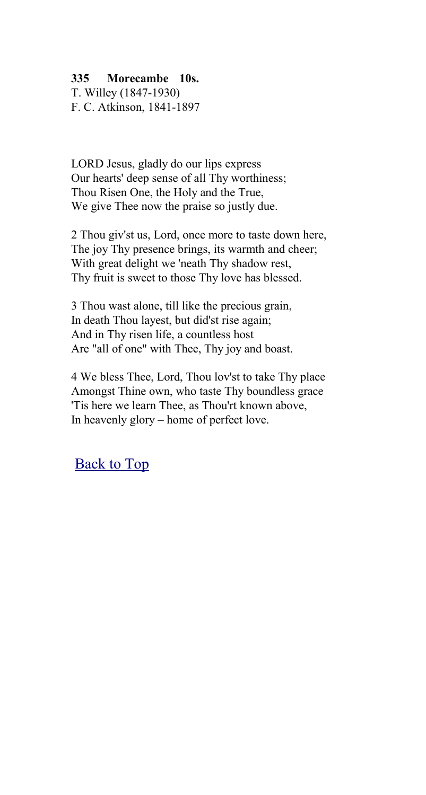### **335 Morecambe 10s.**

T. Willey (1847-1930) F. C. Atkinson, 1841-1897

LORD Jesus, gladly do our lips express Our hearts' deep sense of all Thy worthiness; Thou Risen One, the Holy and the True, We give Thee now the praise so justly due.

2 Thou giv'st us, Lord, once more to taste down here, The joy Thy presence brings, its warmth and cheer; With great delight we 'neath Thy shadow rest, Thy fruit is sweet to those Thy love has blessed.

3 Thou wast alone, till like the precious grain, In death Thou layest, but did'st rise again; And in Thy risen life, a countless host Are "all of one" with Thee, Thy joy and boast.

4 We bless Thee, Lord, Thou lov'st to take Thy place Amongst Thine own, who taste Thy boundless grace 'Tis here we learn Thee, as Thou'rt known above, In heavenly glory – home of perfect love.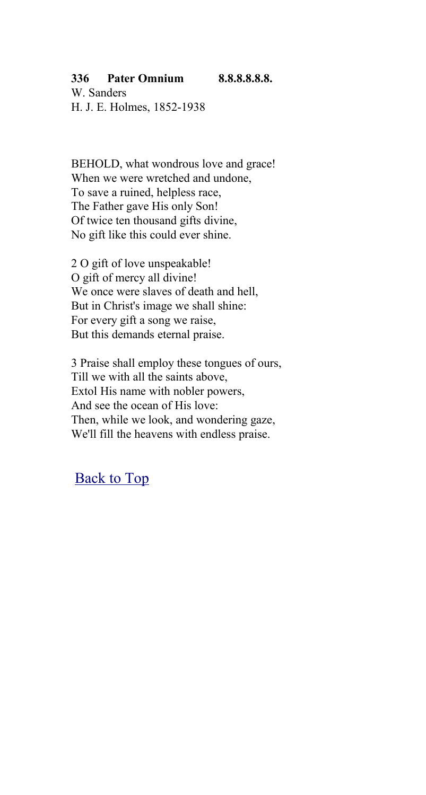### **336 Pater Omnium 8.8.8.8.8.8.**

W. Sanders H. J. E. Holmes, 1852-1938

BEHOLD, what wondrous love and grace! When we were wretched and undone, To save a ruined, helpless race, The Father gave His only Son! Of twice ten thousand gifts divine, No gift like this could ever shine.

2 O gift of love unspeakable! O gift of mercy all divine! We once were slaves of death and hell, But in Christ's image we shall shine: For every gift a song we raise, But this demands eternal praise.

3 Praise shall employ these tongues of ours, Till we with all the saints above, Extol His name with nobler powers, And see the ocean of His love: Then, while we look, and wondering gaze, We'll fill the heavens with endless praise.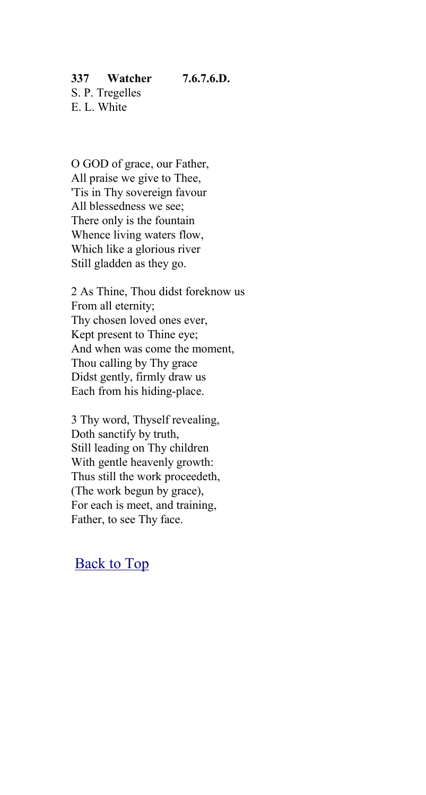# **337 Watcher 7.6.7.6.D.**

S. P. Tregelles E. L. White

O GOD of grace, our Father, All praise we give to Thee, 'Tis in Thy sovereign favour All blessedness we see; There only is the fountain Whence living waters flow, Which like a glorious river Still gladden as they go.

2 As Thine, Thou didst foreknow us From all eternity; Thy chosen loved ones ever, Kept present to Thine eye; And when was come the moment, Thou calling by Thy grace Didst gently, firmly draw us Each from his hiding-place.

3 Thy word, Thyself revealing, Doth sanctify by truth, Still leading on Thy children With gentle heavenly growth: Thus still the work proceedeth, (The work begun by grace), For each is meet, and training, Father, to see Thy face.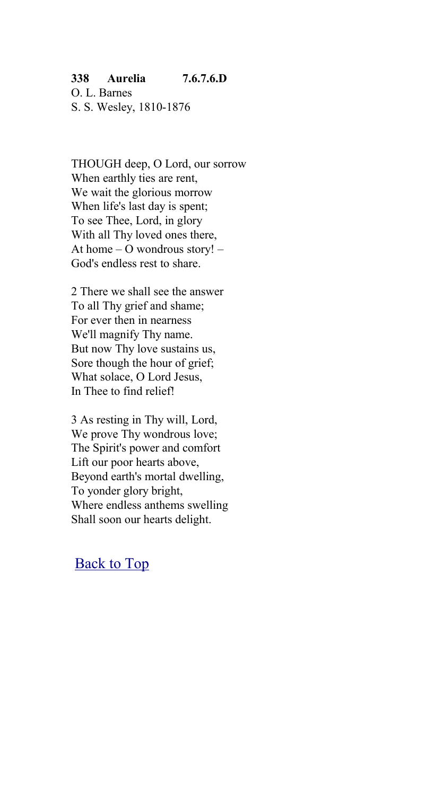### **338 Aurelia 7.6.7.6.D**

O. L. Barnes S. S. Wesley, 1810-1876

THOUGH deep, O Lord, our sorrow When earthly ties are rent, We wait the glorious morrow When life's last day is spent; To see Thee, Lord, in glory With all Thy loved ones there, At home – O wondrous story! – God's endless rest to share.

2 There we shall see the answer To all Thy grief and shame; For ever then in nearness We'll magnify Thy name. But now Thy love sustains us, Sore though the hour of grief; What solace, O Lord Jesus, In Thee to find relief!

3 As resting in Thy will, Lord, We prove Thy wondrous love; The Spirit's power and comfort Lift our poor hearts above, Beyond earth's mortal dwelling, To yonder glory bright, Where endless anthems swelling Shall soon our hearts delight.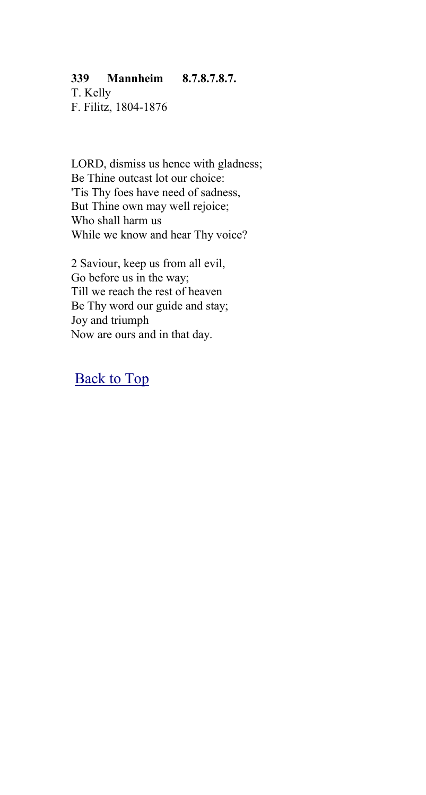### **339 Mannheim 8.7.8.7.8.7.**

T. Kelly F. Filitz, 1804-1876

LORD, dismiss us hence with gladness; Be Thine outcast lot our choice: 'Tis Thy foes have need of sadness, But Thine own may well rejoice; Who shall harm us While we know and hear Thy voice?

2 Saviour, keep us from all evil, Go before us in the way; Till we reach the rest of heaven Be Thy word our guide and stay; Joy and triumph Now are ours and in that day.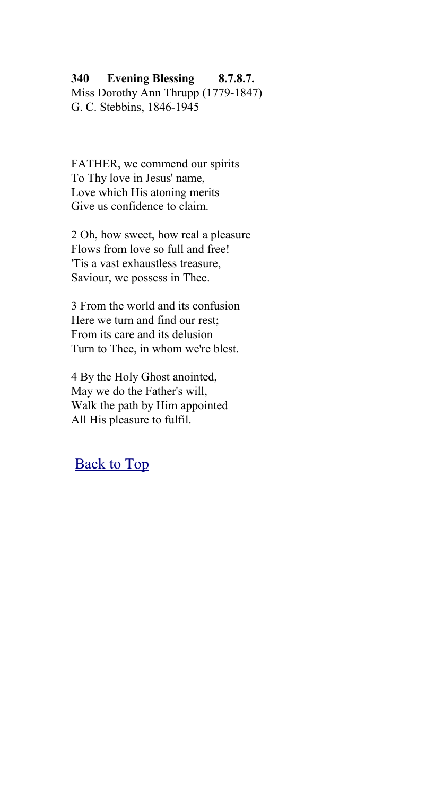### **340 Evening Blessing 8.7.8.7.**

Miss Dorothy Ann Thrupp (1779-1847) G. C. Stebbins, 1846-1945

FATHER, we commend our spirits To Thy love in Jesus' name, Love which His atoning merits Give us confidence to claim.

2 Oh, how sweet, how real a pleasure Flows from love so full and free! 'Tis a vast exhaustless treasure, Saviour, we possess in Thee.

3 From the world and its confusion Here we turn and find our rest; From its care and its delusion Turn to Thee, in whom we're blest.

4 By the Holy Ghost anointed, May we do the Father's will, Walk the path by Him appointed All His pleasure to fulfil.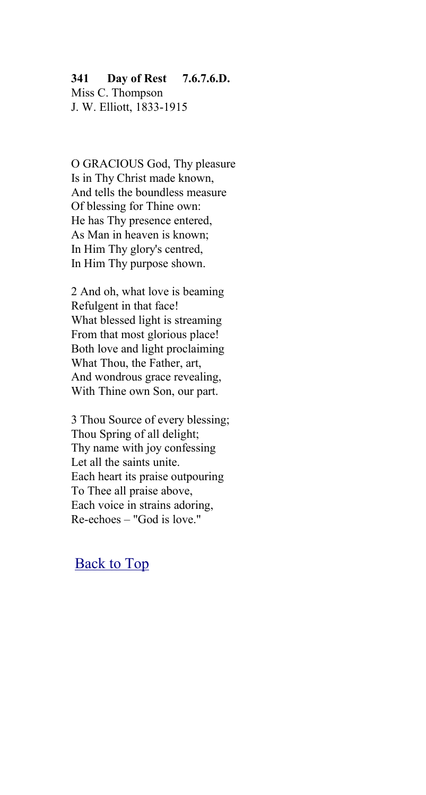#### **341 Day of Rest 7.6.7.6.D.**

Miss C. Thompson J. W. Elliott, 1833-1915

O GRACIOUS God, Thy pleasure Is in Thy Christ made known, And tells the boundless measure Of blessing for Thine own: He has Thy presence entered, As Man in heaven is known; In Him Thy glory's centred, In Him Thy purpose shown.

2 And oh, what love is beaming Refulgent in that face! What blessed light is streaming From that most glorious place! Both love and light proclaiming What Thou, the Father, art, And wondrous grace revealing, With Thine own Son, our part.

3 Thou Source of every blessing; Thou Spring of all delight; Thy name with joy confessing Let all the saints unite. Each heart its praise outpouring To Thee all praise above, Each voice in strains adoring, Re-echoes – "God is love."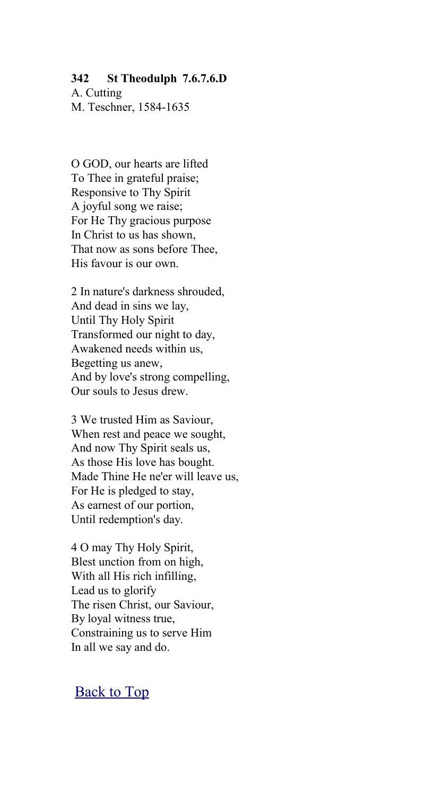#### **342 St Theodulph 7.6.7.6.D**

A. Cutting M. Teschner, 1584-1635

O GOD, our hearts are lifted To Thee in grateful praise; Responsive to Thy Spirit A joyful song we raise; For He Thy gracious purpose In Christ to us has shown, That now as sons before Thee, His favour is our own.

2 In nature's darkness shrouded, And dead in sins we lay, Until Thy Holy Spirit Transformed our night to day, Awakened needs within us, Begetting us anew, And by love's strong compelling, Our souls to Jesus drew.

3 We trusted Him as Saviour, When rest and peace we sought, And now Thy Spirit seals us, As those His love has bought. Made Thine He ne'er will leave us, For He is pledged to stay, As earnest of our portion, Until redemption's day.

4 O may Thy Holy Spirit, Blest unction from on high, With all His rich infilling, Lead us to glorify The risen Christ, our Saviour, By loyal witness true, Constraining us to serve Him In all we say and do.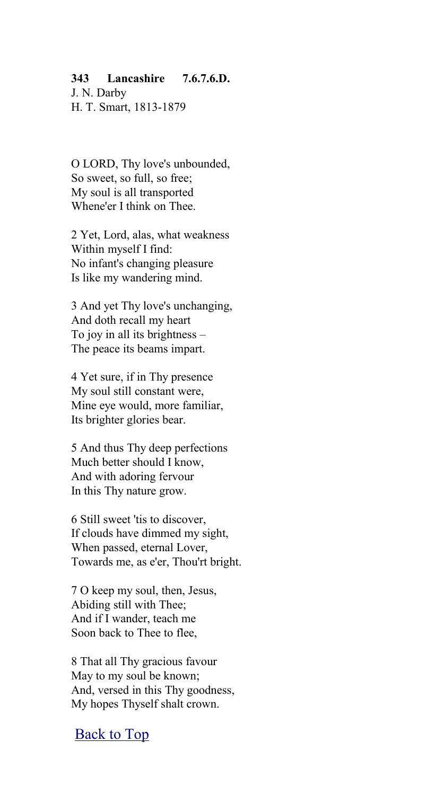### **343 Lancashire 7.6.7.6.D.**

J. N. Darby H. T. Smart, 1813-1879

O LORD, Thy love's unbounded, So sweet, so full, so free; My soul is all transported Whene'er I think on Thee.

2 Yet, Lord, alas, what weakness Within myself I find: No infant's changing pleasure Is like my wandering mind.

3 And yet Thy love's unchanging, And doth recall my heart To joy in all its brightness – The peace its beams impart.

4 Yet sure, if in Thy presence My soul still constant were, Mine eye would, more familiar, Its brighter glories bear.

5 And thus Thy deep perfections Much better should I know, And with adoring fervour In this Thy nature grow.

6 Still sweet 'tis to discover, If clouds have dimmed my sight, When passed, eternal Lover, Towards me, as e'er, Thou'rt bright.

7 O keep my soul, then, Jesus, Abiding still with Thee; And if I wander, teach me Soon back to Thee to flee,

8 That all Thy gracious favour May to my soul be known; And, versed in this Thy goodness, My hopes Thyself shalt crown.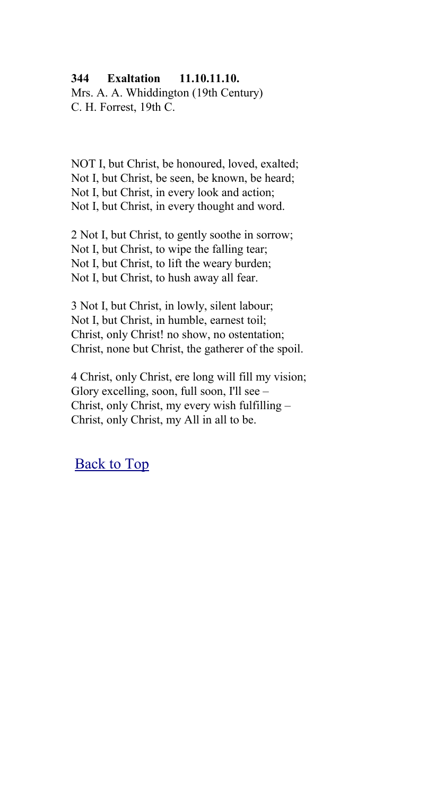#### **344 Exaltation 11.10.11.10.**

Mrs. A. A. Whiddington (19th Century) C. H. Forrest, 19th C.

NOT I, but Christ, be honoured, loved, exalted; Not I, but Christ, be seen, be known, be heard; Not I, but Christ, in every look and action; Not I, but Christ, in every thought and word.

2 Not I, but Christ, to gently soothe in sorrow; Not I, but Christ, to wipe the falling tear; Not I, but Christ, to lift the weary burden; Not I, but Christ, to hush away all fear.

3 Not I, but Christ, in lowly, silent labour; Not I, but Christ, in humble, earnest toil; Christ, only Christ! no show, no ostentation; Christ, none but Christ, the gatherer of the spoil.

4 Christ, only Christ, ere long will fill my vision; Glory excelling, soon, full soon, I'll see – Christ, only Christ, my every wish fulfilling – Christ, only Christ, my All in all to be.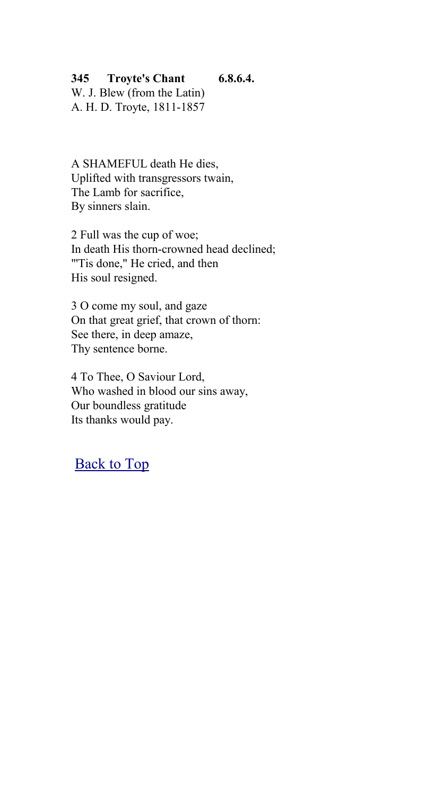**345 Troyte's Chant 6.8.6.4.**

W. J. Blew (from the Latin) A. H. D. Troyte, 1811-1857

A SHAMEFUL death He dies, Uplifted with transgressors twain, The Lamb for sacrifice, By sinners slain.

2 Full was the cup of woe; In death His thorn-crowned head declined; "Tis done," He cried, and then His soul resigned.

3 O come my soul, and gaze On that great grief, that crown of thorn: See there, in deep amaze, Thy sentence borne.

4 To Thee, O Saviour Lord, Who washed in blood our sins away, Our boundless gratitude Its thanks would pay.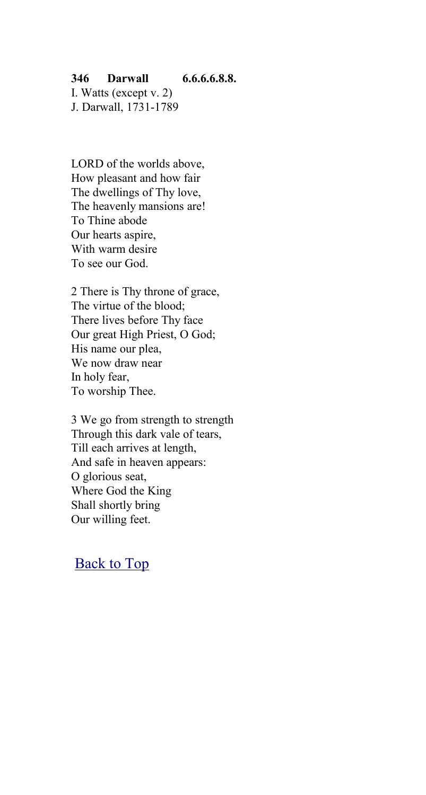### **346 Darwall 6.6.6.6.8.8.**

I. Watts (except v. 2) J. Darwall, 1731-1789

LORD of the worlds above, How pleasant and how fair The dwellings of Thy love, The heavenly mansions are! To Thine abode Our hearts aspire, With warm desire To see our God.

2 There is Thy throne of grace, The virtue of the blood; There lives before Thy face Our great High Priest, O God; His name our plea, We now draw near In holy fear, To worship Thee.

3 We go from strength to strength Through this dark vale of tears, Till each arrives at length, And safe in heaven appears: O glorious seat, Where God the King Shall shortly bring Our willing feet.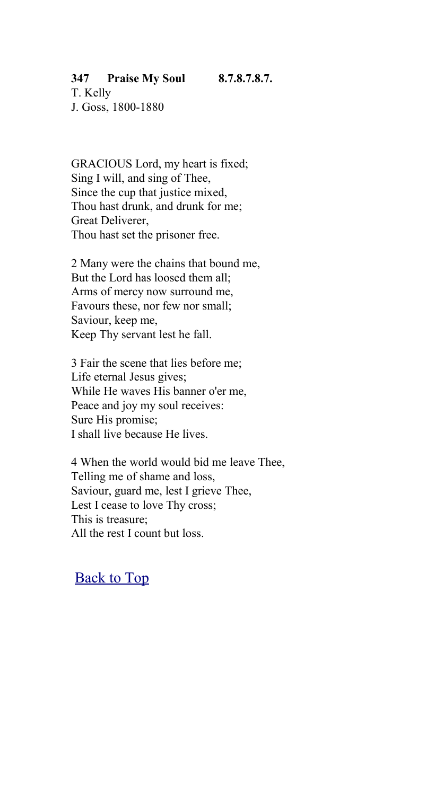# **347 Praise My Soul 8.7.8.7.8.7.**

T. Kelly J. Goss, 1800-1880

GRACIOUS Lord, my heart is fixed; Sing I will, and sing of Thee, Since the cup that justice mixed. Thou hast drunk, and drunk for me; Great Deliverer, Thou hast set the prisoner free.

2 Many were the chains that bound me, But the Lord has loosed them all; Arms of mercy now surround me, Favours these, nor few nor small; Saviour, keep me, Keep Thy servant lest he fall.

3 Fair the scene that lies before me; Life eternal Jesus gives; While He waves His banner o'er me, Peace and joy my soul receives: Sure His promise; I shall live because He lives.

4 When the world would bid me leave Thee, Telling me of shame and loss, Saviour, guard me, lest I grieve Thee, Lest I cease to love Thy cross; This is treasure; All the rest I count but loss.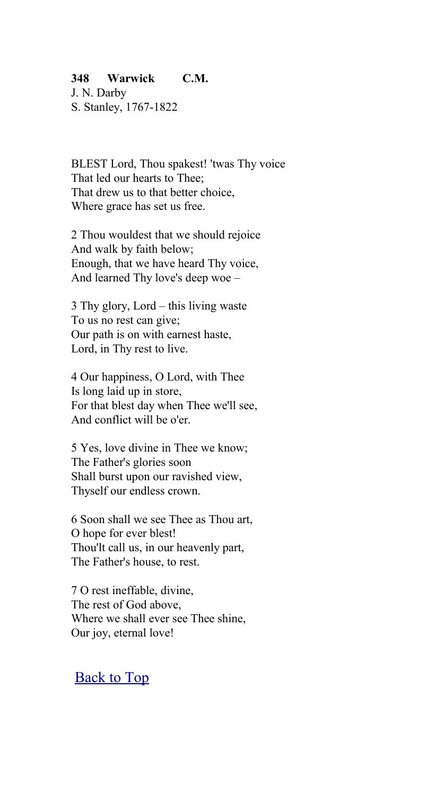### **348 Warwick C.M.**

J. N. Darby S. Stanley, 1767-1822

BLEST Lord, Thou spakest! 'twas Thy voice That led our hearts to Thee; That drew us to that better choice, Where grace has set us free.

2 Thou wouldest that we should rejoice And walk by faith below; Enough, that we have heard Thy voice, And learned Thy love's deep woe –

3 Thy glory, Lord – this living waste To us no rest can give; Our path is on with earnest haste, Lord, in Thy rest to live.

4 Our happiness, O Lord, with Thee Is long laid up in store, For that blest day when Thee we'll see, And conflict will be o'er.

5 Yes, love divine in Thee we know; The Father's glories soon Shall burst upon our ravished view, Thyself our endless crown.

6 Soon shall we see Thee as Thou art, O hope for ever blest! Thou'lt call us, in our heavenly part, The Father's house, to rest.

7 O rest ineffable, divine, The rest of God above, Where we shall ever see Thee shine, Our joy, eternal love!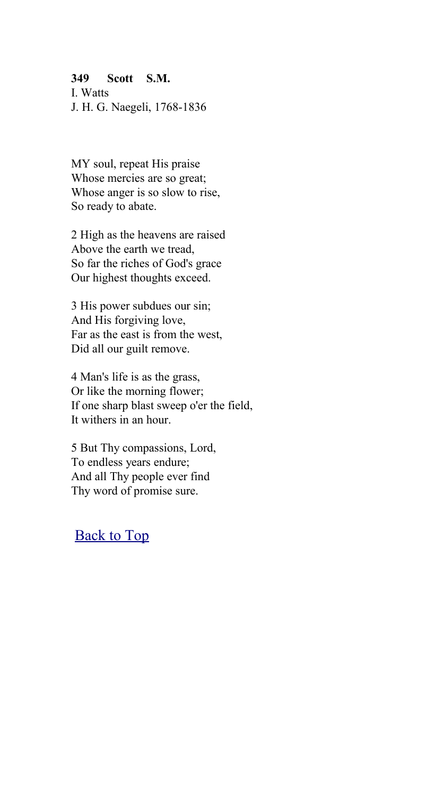### **349 Scott S.M.**

I. Watts J. H. G. Naegeli, 1768-1836

MY soul, repeat His praise Whose mercies are so great; Whose anger is so slow to rise, So ready to abate.

2 High as the heavens are raised Above the earth we tread, So far the riches of God's grace Our highest thoughts exceed.

3 His power subdues our sin; And His forgiving love, Far as the east is from the west, Did all our guilt remove.

4 Man's life is as the grass, Or like the morning flower; If one sharp blast sweep o'er the field, It withers in an hour.

5 But Thy compassions, Lord, To endless years endure; And all Thy people ever find Thy word of promise sure.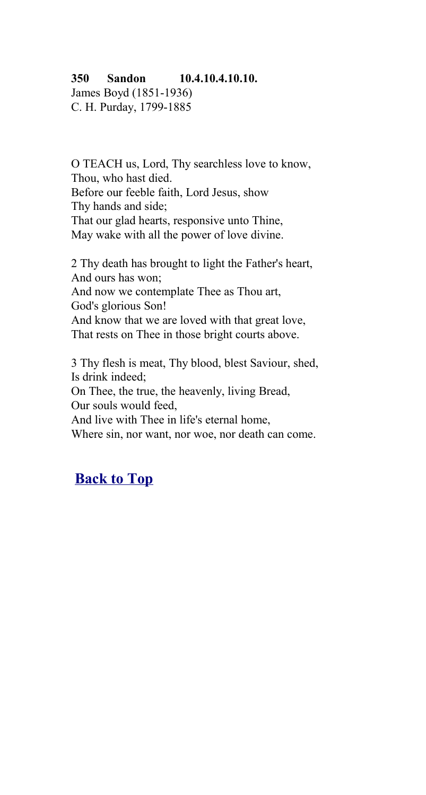### **350 Sandon 10.4.10.4.10.10.**

James Boyd (1851-1936) C. H. Purday, 1799-1885

O TEACH us, Lord, Thy searchless love to know, Thou, who hast died. Before our feeble faith, Lord Jesus, show Thy hands and side; That our glad hearts, responsive unto Thine, May wake with all the power of love divine.

2 Thy death has brought to light the Father's heart, And ours has won; And now we contemplate Thee as Thou art, God's glorious Son! And know that we are loved with that great love, That rests on Thee in those bright courts above.

3 Thy flesh is meat, Thy blood, blest Saviour, shed, Is drink indeed; On Thee, the true, the heavenly, living Bread, Our souls would feed, And live with Thee in life's eternal home, Where sin, nor want, nor woe, nor death can come.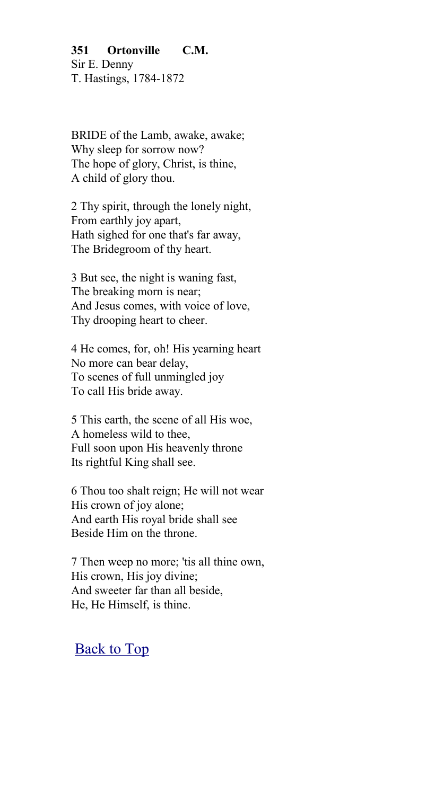**351 Ortonville C.M.** Sir E. Denny T. Hastings, 1784-1872

BRIDE of the Lamb, awake, awake; Why sleep for sorrow now? The hope of glory, Christ, is thine, A child of glory thou.

2 Thy spirit, through the lonely night, From earthly joy apart, Hath sighed for one that's far away, The Bridegroom of thy heart.

3 But see, the night is waning fast, The breaking morn is near; And Jesus comes, with voice of love, Thy drooping heart to cheer.

4 He comes, for, oh! His yearning heart No more can bear delay, To scenes of full unmingled joy To call His bride away.

5 This earth, the scene of all His woe, A homeless wild to thee, Full soon upon His heavenly throne Its rightful King shall see.

6 Thou too shalt reign; He will not wear His crown of joy alone; And earth His royal bride shall see Beside Him on the throne.

7 Then weep no more; 'tis all thine own, His crown, His joy divine; And sweeter far than all beside, He, He Himself, is thine.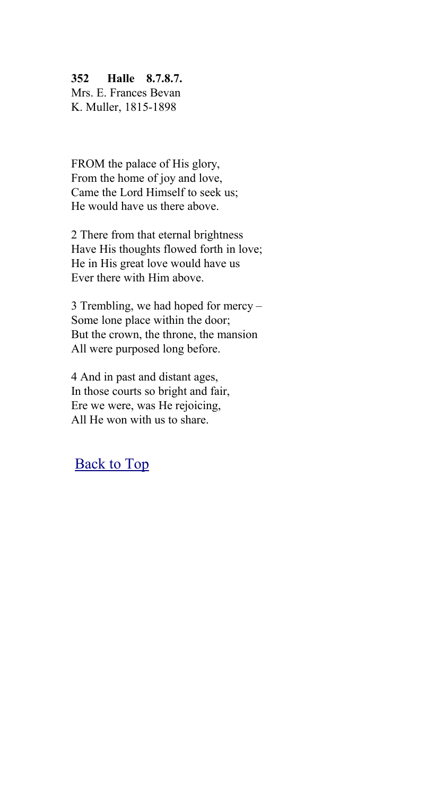### **352 Halle 8.7.8.7.**

Mrs. E. Frances Bevan K. Muller, 1815-1898

FROM the palace of His glory, From the home of joy and love, Came the Lord Himself to seek us; He would have us there above.

2 There from that eternal brightness Have His thoughts flowed forth in love; He in His great love would have us Ever there with Him above.

3 Trembling, we had hoped for mercy – Some lone place within the door; But the crown, the throne, the mansion All were purposed long before.

4 And in past and distant ages, In those courts so bright and fair, Ere we were, was He rejoicing, All He won with us to share.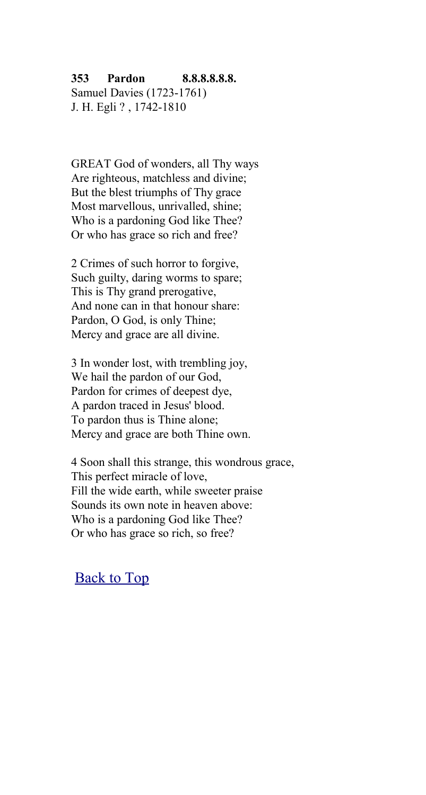#### **353 Pardon 8.8.8.8.8.8.** Samuel Davies (1723-1761)

J. H. Egli ? , 1742-1810

GREAT God of wonders, all Thy ways Are righteous, matchless and divine; But the blest triumphs of Thy grace Most marvellous, unrivalled, shine; Who is a pardoning God like Thee? Or who has grace so rich and free?

2 Crimes of such horror to forgive, Such guilty, daring worms to spare; This is Thy grand prerogative, And none can in that honour share: Pardon, O God, is only Thine; Mercy and grace are all divine.

3 In wonder lost, with trembling joy, We hail the pardon of our God, Pardon for crimes of deepest dye, A pardon traced in Jesus' blood. To pardon thus is Thine alone; Mercy and grace are both Thine own.

4 Soon shall this strange, this wondrous grace, This perfect miracle of love, Fill the wide earth, while sweeter praise Sounds its own note in heaven above: Who is a pardoning God like Thee? Or who has grace so rich, so free?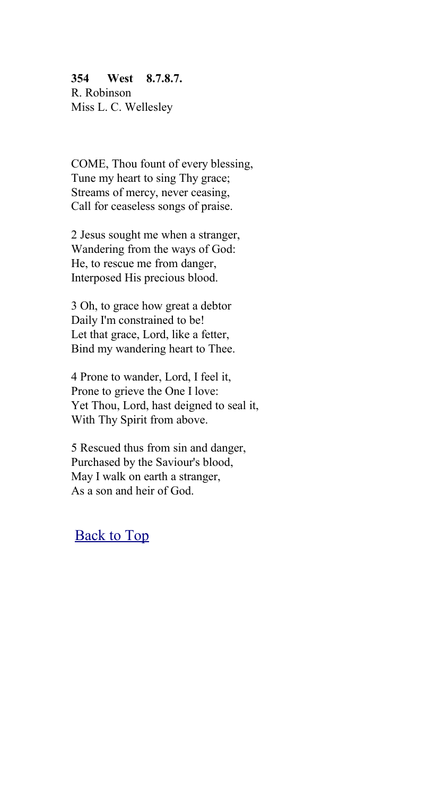## **354 West 8.7.8.7.** R. Robinson

Miss L. C. Wellesley

COME, Thou fount of every blessing, Tune my heart to sing Thy grace; Streams of mercy, never ceasing, Call for ceaseless songs of praise.

2 Jesus sought me when a stranger, Wandering from the ways of God: He, to rescue me from danger, Interposed His precious blood.

3 Oh, to grace how great a debtor Daily I'm constrained to be! Let that grace, Lord, like a fetter, Bind my wandering heart to Thee.

4 Prone to wander, Lord, I feel it, Prone to grieve the One I love: Yet Thou, Lord, hast deigned to seal it, With Thy Spirit from above.

5 Rescued thus from sin and danger, Purchased by the Saviour's blood, May I walk on earth a stranger, As a son and heir of God.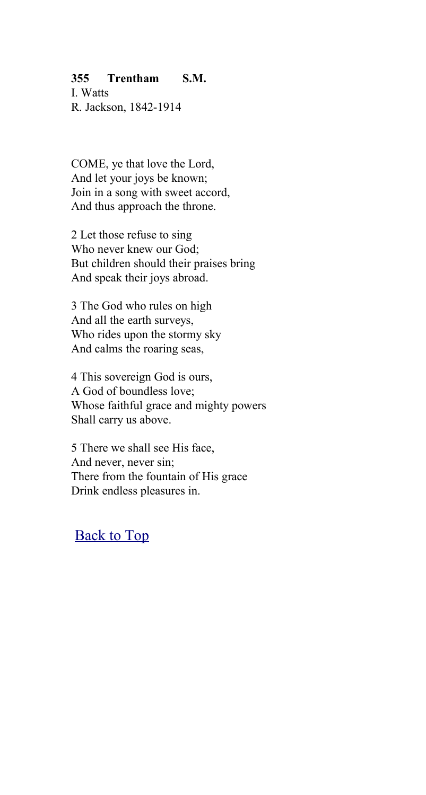### **355 Trentham S.M.**

I. Watts R. Jackson, 1842-1914

COME, ye that love the Lord, And let your joys be known; Join in a song with sweet accord, And thus approach the throne.

2 Let those refuse to sing Who never knew our God; But children should their praises bring And speak their joys abroad.

3 The God who rules on high And all the earth surveys, Who rides upon the stormy sky And calms the roaring seas,

4 This sovereign God is ours, A God of boundless love; Whose faithful grace and mighty powers Shall carry us above.

5 There we shall see His face, And never, never sin; There from the fountain of His grace Drink endless pleasures in.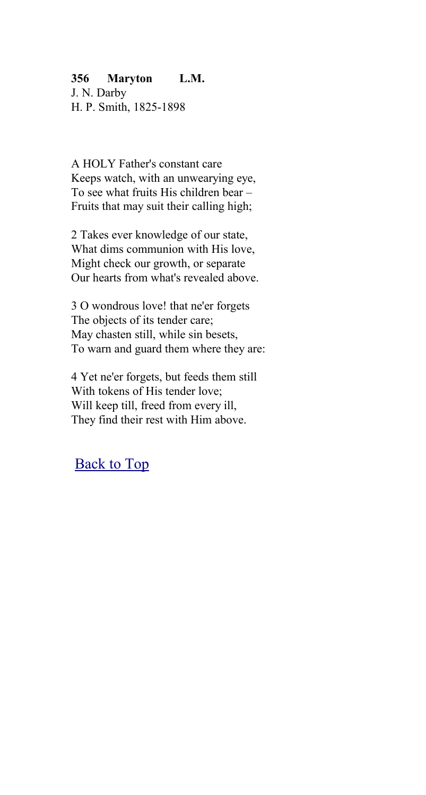### **356 Maryton L.M.**

J. N. Darby H. P. Smith, 1825-1898

A HOLY Father's constant care Keeps watch, with an unwearying eye, To see what fruits His children bear – Fruits that may suit their calling high;

2 Takes ever knowledge of our state, What dims communion with His love, Might check our growth, or separate Our hearts from what's revealed above.

3 O wondrous love! that ne'er forgets The objects of its tender care; May chasten still, while sin besets, To warn and guard them where they are:

4 Yet ne'er forgets, but feeds them still With tokens of His tender love; Will keep till, freed from every ill, They find their rest with Him above.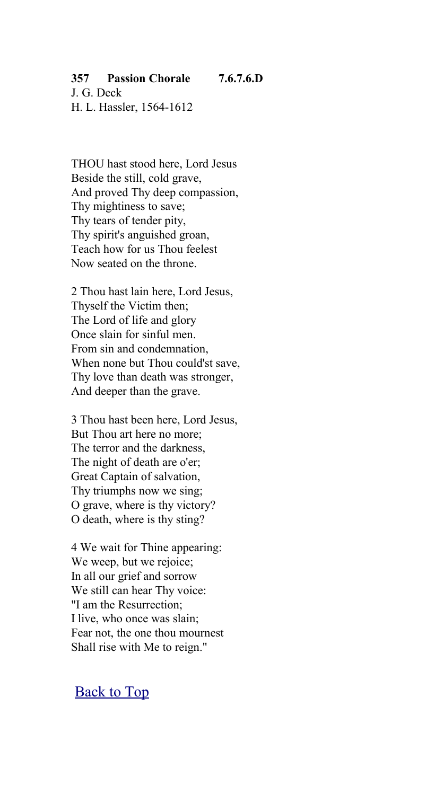## **357 Passion Chorale 7.6.7.6.D**

J. G. Deck H. L. Hassler, 1564-1612

THOU hast stood here, Lord Jesus Beside the still, cold grave, And proved Thy deep compassion, Thy mightiness to save; Thy tears of tender pity, Thy spirit's anguished groan, Teach how for us Thou feelest Now seated on the throne.

2 Thou hast lain here, Lord Jesus, Thyself the Victim then; The Lord of life and glory Once slain for sinful men. From sin and condemnation, When none but Thou could'st save, Thy love than death was stronger, And deeper than the grave.

3 Thou hast been here, Lord Jesus, But Thou art here no more; The terror and the darkness, The night of death are o'er; Great Captain of salvation, Thy triumphs now we sing; O grave, where is thy victory? O death, where is thy sting?

4 We wait for Thine appearing: We weep, but we rejoice; In all our grief and sorrow We still can hear Thy voice: "I am the Resurrection; I live, who once was slain; Fear not, the one thou mournest Shall rise with Me to reign."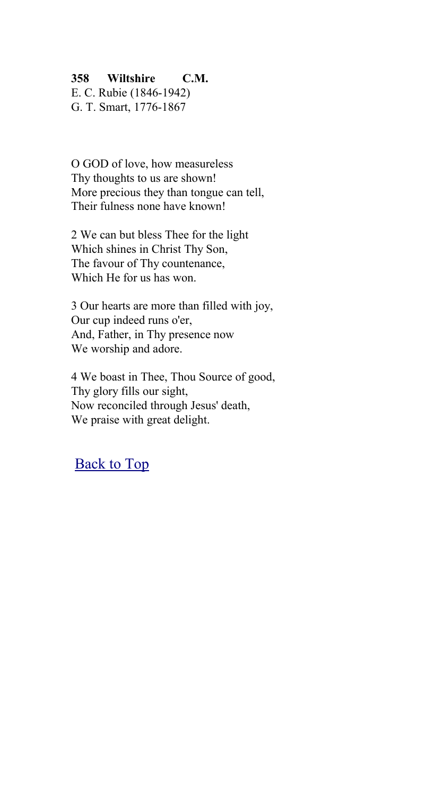## **358 Wiltshire C.M.**

E. C. Rubie (1846-1942) G. T. Smart, 1776-1867

O GOD of love, how measureless Thy thoughts to us are shown! More precious they than tongue can tell. Their fulness none have known!

2 We can but bless Thee for the light Which shines in Christ Thy Son, The favour of Thy countenance, Which He for us has won.

3 Our hearts are more than filled with joy, Our cup indeed runs o'er, And, Father, in Thy presence now We worship and adore.

4 We boast in Thee, Thou Source of good, Thy glory fills our sight, Now reconciled through Jesus' death, We praise with great delight.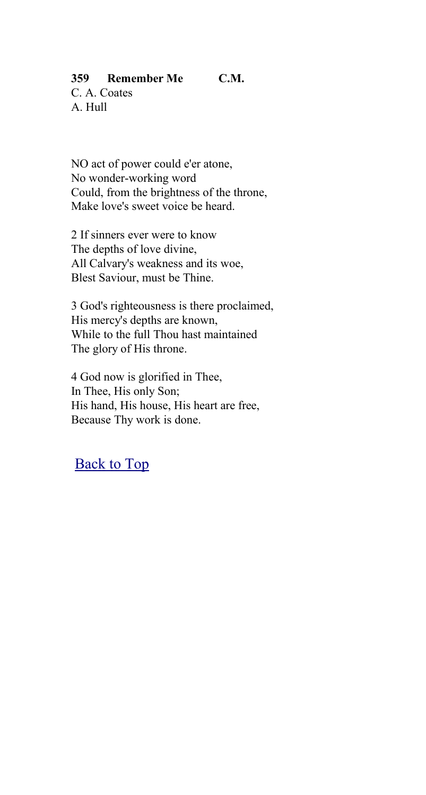## **359 Remember Me C.M.**

C. A. Coates A. Hull

NO act of power could e'er atone, No wonder-working word Could, from the brightness of the throne, Make love's sweet voice be heard.

2 If sinners ever were to know The depths of love divine, All Calvary's weakness and its woe, Blest Saviour, must be Thine.

3 God's righteousness is there proclaimed, His mercy's depths are known, While to the full Thou hast maintained The glory of His throne.

4 God now is glorified in Thee, In Thee, His only Son; His hand, His house, His heart are free, Because Thy work is done.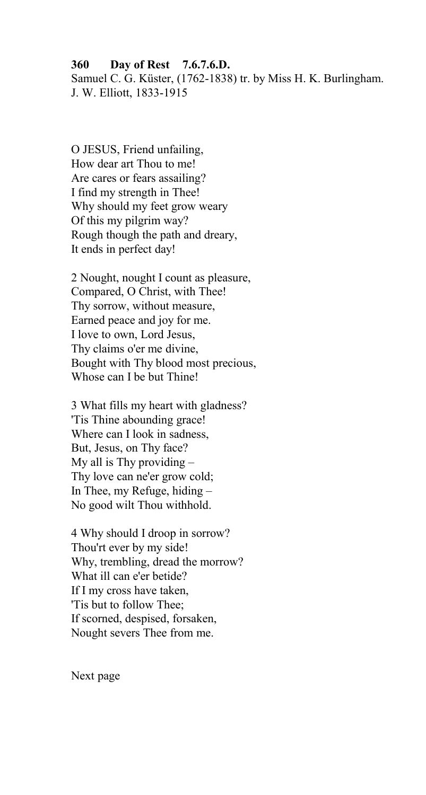# **360 Day of Rest 7.6.7.6.D.** Samuel C. G. Küster, (1762-1838) tr. by Miss H. K. Burlingham.

J. W. Elliott, 1833-1915

O JESUS, Friend unfailing, How dear art Thou to me! Are cares or fears assailing? I find my strength in Thee! Why should my feet grow weary Of this my pilgrim way? Rough though the path and dreary, It ends in perfect day!

2 Nought, nought I count as pleasure, Compared, O Christ, with Thee! Thy sorrow, without measure, Earned peace and joy for me. I love to own, Lord Jesus, Thy claims o'er me divine, Bought with Thy blood most precious, Whose can I be but Thine!

3 What fills my heart with gladness? 'Tis Thine abounding grace! Where can I look in sadness, But, Jesus, on Thy face? My all is Thy providing  $-$ Thy love can ne'er grow cold; In Thee, my Refuge, hiding – No good wilt Thou withhold.

4 Why should I droop in sorrow? Thou'rt ever by my side! Why, trembling, dread the morrow? What ill can e'er betide? If I my cross have taken, 'Tis but to follow Thee; If scorned, despised, forsaken, Nought severs Thee from me.

Next page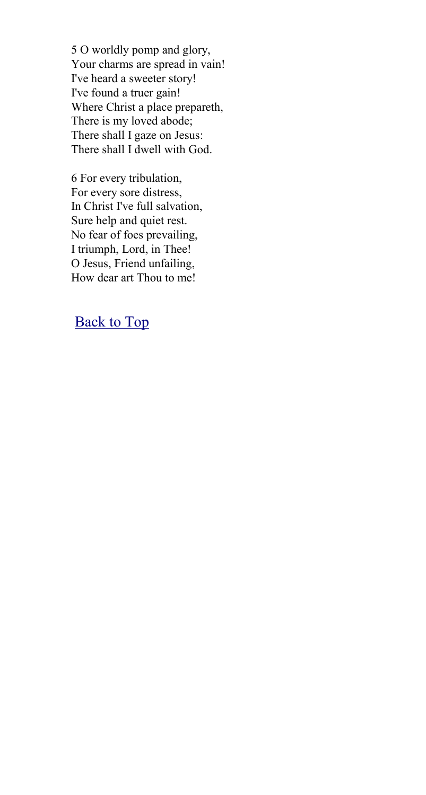5 O worldly pomp and glory, Your charms are spread in vain! I've heard a sweeter story! I've found a truer gain! Where Christ a place prepareth, There is my loved abode; There shall I gaze on Jesus: There shall I dwell with God.

6 For every tribulation, For every sore distress, In Christ I've full salvation, Sure help and quiet rest. No fear of foes prevailing, I triumph, Lord, in Thee! O Jesus, Friend unfailing, How dear art Thou to me!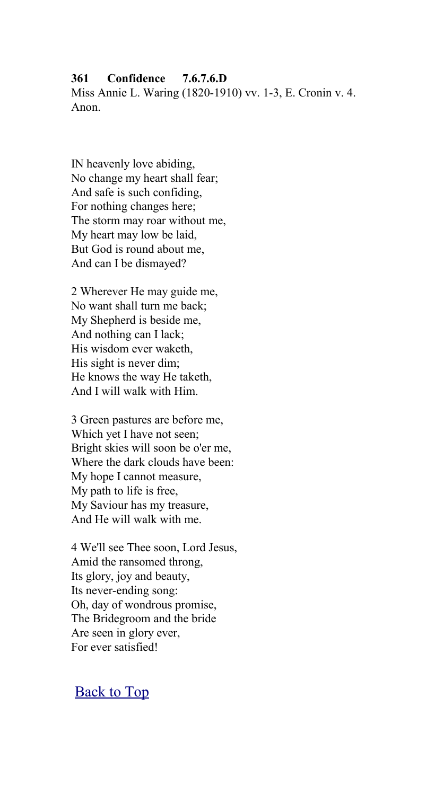#### **361 Confidence 7.6.7.6.D**

Miss Annie L. Waring (1820-1910) vv. 1-3, E. Cronin v. 4. Anon.

IN heavenly love abiding, No change my heart shall fear; And safe is such confiding, For nothing changes here; The storm may roar without me, My heart may low be laid, But God is round about me, And can I be dismayed?

2 Wherever He may guide me, No want shall turn me back; My Shepherd is beside me, And nothing can I lack; His wisdom ever waketh, His sight is never dim; He knows the way He taketh, And I will walk with Him.

3 Green pastures are before me, Which yet I have not seen; Bright skies will soon be o'er me, Where the dark clouds have been: My hope I cannot measure, My path to life is free, My Saviour has my treasure, And He will walk with me.

4 We'll see Thee soon, Lord Jesus, Amid the ransomed throng, Its glory, joy and beauty, Its never-ending song: Oh, day of wondrous promise, The Bridegroom and the bride Are seen in glory ever, For ever satisfied!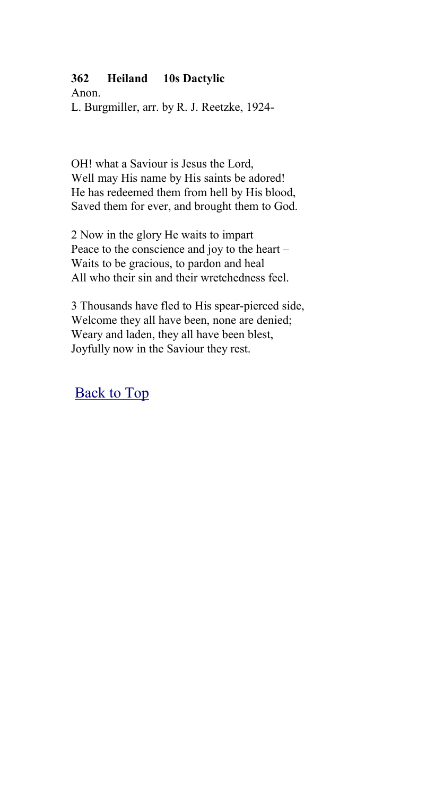## **362 Heiland 10s Dactylic**

Anon. L. Burgmiller, arr. by R. J. Reetzke, 1924-

OH! what a Saviour is Jesus the Lord, Well may His name by His saints be adored! He has redeemed them from hell by His blood, Saved them for ever, and brought them to God.

2 Now in the glory He waits to impart Peace to the conscience and joy to the heart – Waits to be gracious, to pardon and heal All who their sin and their wretchedness feel.

3 Thousands have fled to His spear-pierced side, Welcome they all have been, none are denied; Weary and laden, they all have been blest, Joyfully now in the Saviour they rest.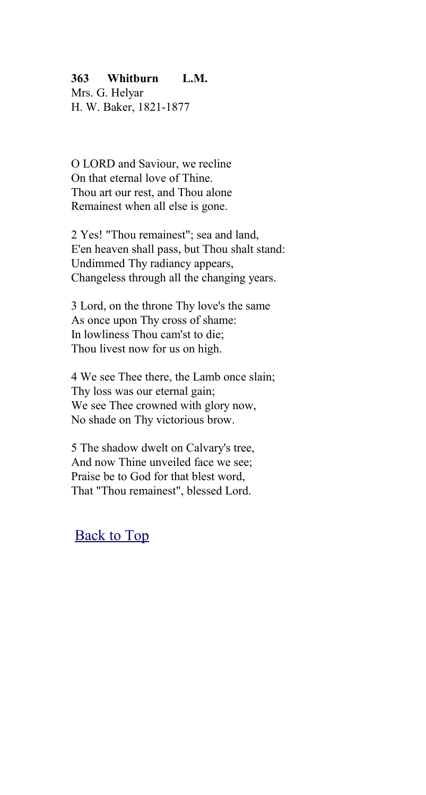### **363 Whitburn L.M.**

Mrs. G. Helyar H. W. Baker, 1821-1877

O LORD and Saviour, we recline On that eternal love of Thine. Thou art our rest, and Thou alone Remainest when all else is gone.

2 Yes! "Thou remainest"; sea and land, E'en heaven shall pass, but Thou shalt stand: Undimmed Thy radiancy appears, Changeless through all the changing years.

3 Lord, on the throne Thy love's the same As once upon Thy cross of shame: In lowliness Thou cam'st to die; Thou livest now for us on high.

4 We see Thee there, the Lamb once slain; Thy loss was our eternal gain; We see Thee crowned with glory now, No shade on Thy victorious brow.

5 The shadow dwelt on Calvary's tree, And now Thine unveiled face we see; Praise be to God for that blest word, That "Thou remainest", blessed Lord.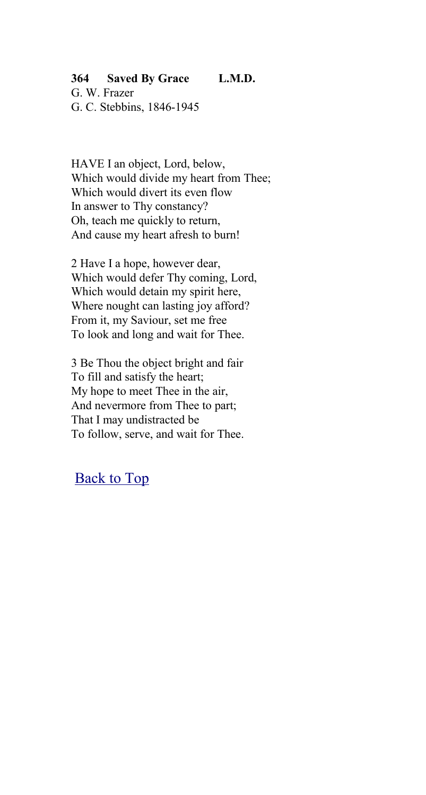## **364 Saved By Grace L.M.D.**

G. W. Frazer G. C. Stebbins, 1846-1945

HAVE I an object, Lord, below, Which would divide my heart from Thee; Which would divert its even flow In answer to Thy constancy? Oh, teach me quickly to return, And cause my heart afresh to burn!

2 Have I a hope, however dear, Which would defer Thy coming, Lord, Which would detain my spirit here, Where nought can lasting joy afford? From it, my Saviour, set me free To look and long and wait for Thee.

3 Be Thou the object bright and fair To fill and satisfy the heart; My hope to meet Thee in the air, And nevermore from Thee to part; That I may undistracted be To follow, serve, and wait for Thee.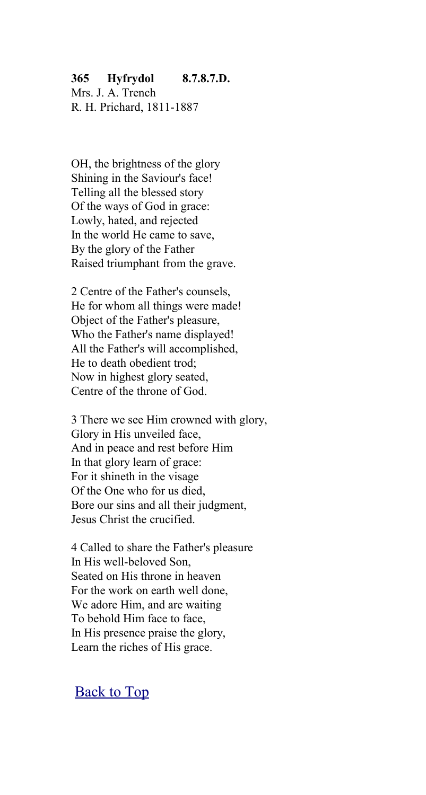### **365 Hyfrydol 8.7.8.7.D.**

Mrs. J. A. Trench R. H. Prichard, 1811-1887

OH, the brightness of the glory Shining in the Saviour's face! Telling all the blessed story Of the ways of God in grace: Lowly, hated, and rejected In the world He came to save, By the glory of the Father Raised triumphant from the grave.

2 Centre of the Father's counsels, He for whom all things were made! Object of the Father's pleasure, Who the Father's name displayed! All the Father's will accomplished, He to death obedient trod; Now in highest glory seated, Centre of the throne of God.

3 There we see Him crowned with glory, Glory in His unveiled face, And in peace and rest before Him In that glory learn of grace: For it shineth in the visage Of the One who for us died, Bore our sins and all their judgment, Jesus Christ the crucified.

4 Called to share the Father's pleasure In His well-beloved Son, Seated on His throne in heaven For the work on earth well done, We adore Him, and are waiting To behold Him face to face, In His presence praise the glory, Learn the riches of His grace.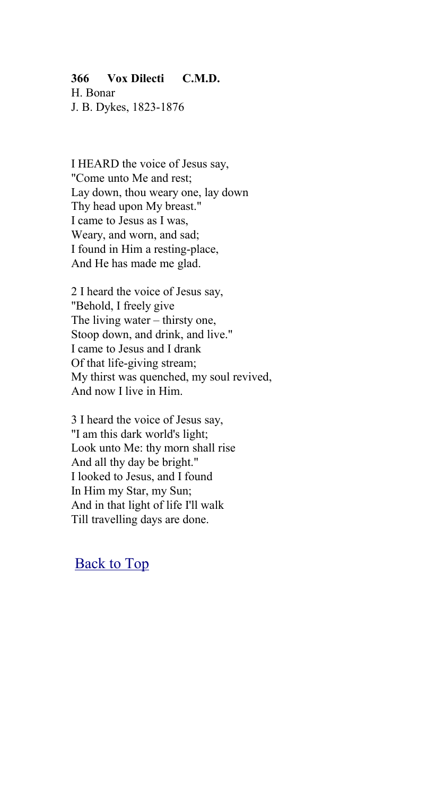## **366 Vox Dilecti C.M.D.**

H. Bonar J. B. Dykes, 1823-1876

I HEARD the voice of Jesus say, "Come unto Me and rest; Lay down, thou weary one, lay down Thy head upon My breast." I came to Jesus as I was, Weary, and worn, and sad; I found in Him a resting-place, And He has made me glad.

2 I heard the voice of Jesus say, "Behold, I freely give The living water – thirsty one, Stoop down, and drink, and live." I came to Jesus and I drank Of that life-giving stream; My thirst was quenched, my soul revived, And now I live in Him.

3 I heard the voice of Jesus say, "I am this dark world's light; Look unto Me: thy morn shall rise And all thy day be bright." I looked to Jesus, and I found In Him my Star, my Sun; And in that light of life I'll walk Till travelling days are done.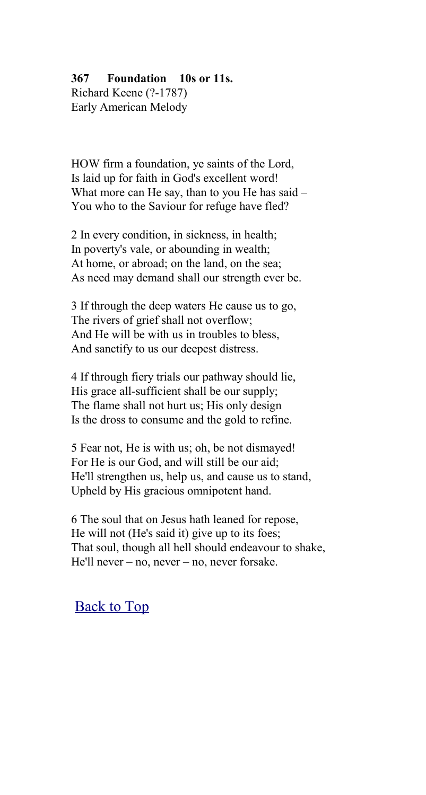## **367 Foundation 10s or 11s.**

Richard Keene (?-1787) Early American Melody

HOW firm a foundation, ye saints of the Lord, Is laid up for faith in God's excellent word! What more can He say, than to you He has said – You who to the Saviour for refuge have fled?

2 In every condition, in sickness, in health; In poverty's vale, or abounding in wealth; At home, or abroad; on the land, on the sea; As need may demand shall our strength ever be.

3 If through the deep waters He cause us to go, The rivers of grief shall not overflow; And He will be with us in troubles to bless, And sanctify to us our deepest distress.

4 If through fiery trials our pathway should lie, His grace all-sufficient shall be our supply; The flame shall not hurt us; His only design Is the dross to consume and the gold to refine.

5 Fear not, He is with us; oh, be not dismayed! For He is our God, and will still be our aid; He'll strengthen us, help us, and cause us to stand, Upheld by His gracious omnipotent hand.

6 The soul that on Jesus hath leaned for repose, He will not (He's said it) give up to its foes; That soul, though all hell should endeavour to shake, He'll never – no, never – no, never forsake.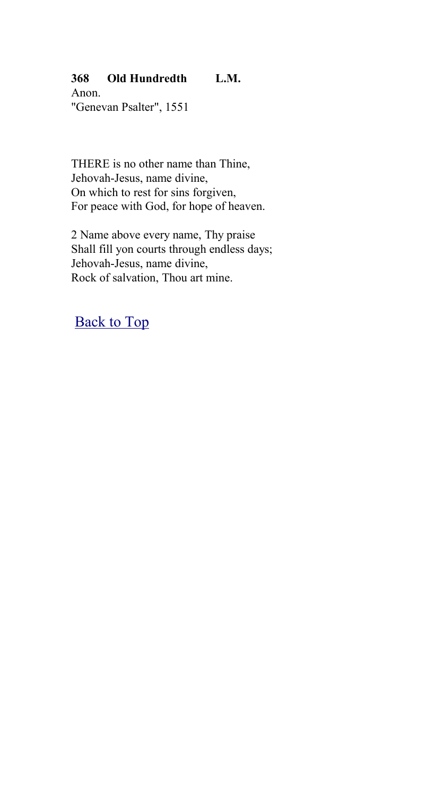# **368 Old Hundredth L.M.**

Anon. "Genevan Psalter", 1551

THERE is no other name than Thine, Jehovah-Jesus, name divine, On which to rest for sins forgiven, For peace with God, for hope of heaven.

2 Name above every name, Thy praise Shall fill yon courts through endless days; Jehovah-Jesus, name divine, Rock of salvation, Thou art mine.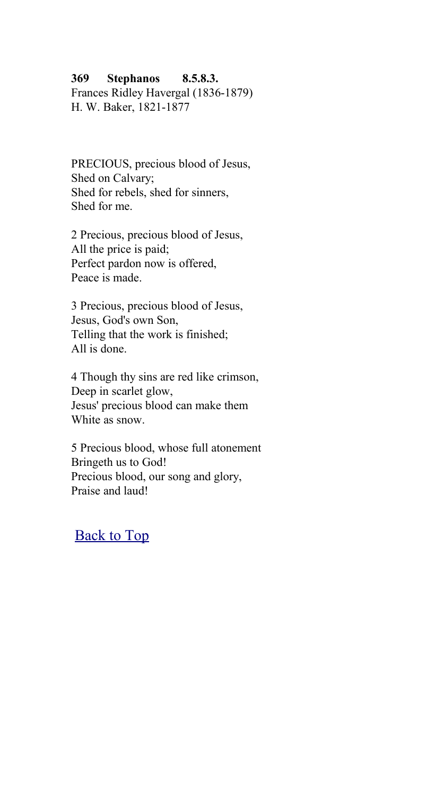#### **369 Stephanos 8.5.8.3.**

Frances Ridley Havergal (1836-1879) H. W. Baker, 1821-1877

PRECIOUS, precious blood of Jesus, Shed on Calvary; Shed for rebels, shed for sinners, Shed for me.

2 Precious, precious blood of Jesus, All the price is paid; Perfect pardon now is offered, Peace is made.

3 Precious, precious blood of Jesus, Jesus, God's own Son, Telling that the work is finished; All is done.

4 Though thy sins are red like crimson, Deep in scarlet glow, Jesus' precious blood can make them White as snow

5 Precious blood, whose full atonement Bringeth us to God! Precious blood, our song and glory, Praise and laud!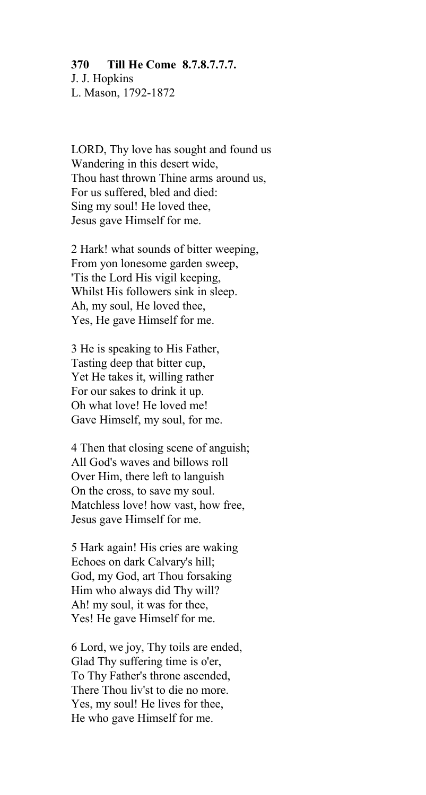#### **370 Till He Come 8.7.8.7.7.7.**

J. J. Hopkins L. Mason, 1792-1872

LORD, Thy love has sought and found us Wandering in this desert wide, Thou hast thrown Thine arms around us, For us suffered, bled and died: Sing my soul! He loved thee, Jesus gave Himself for me.

2 Hark! what sounds of bitter weeping, From yon lonesome garden sweep, 'Tis the Lord His vigil keeping, Whilst His followers sink in sleep. Ah, my soul, He loved thee, Yes, He gave Himself for me.

3 He is speaking to His Father, Tasting deep that bitter cup, Yet He takes it, willing rather For our sakes to drink it up. Oh what love! He loved me! Gave Himself, my soul, for me.

4 Then that closing scene of anguish; All God's waves and billows roll Over Him, there left to languish On the cross, to save my soul. Matchless love! how vast, how free, Jesus gave Himself for me.

5 Hark again! His cries are waking Echoes on dark Calvary's hill; God, my God, art Thou forsaking Him who always did Thy will? Ah! my soul, it was for thee, Yes! He gave Himself for me.

6 Lord, we joy, Thy toils are ended, Glad Thy suffering time is o'er, To Thy Father's throne ascended, There Thou liv'st to die no more. Yes, my soul! He lives for thee, He who gave Himself for me.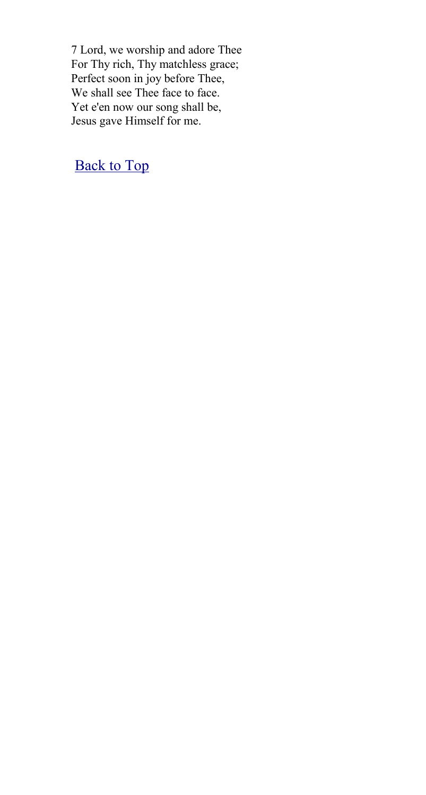7 Lord, we worship and adore Thee For Thy rich, Thy matchless grace; Perfect soon in joy before Thee, We shall see Thee face to face. Yet e'en now our song shall be, Jesus gave Himself for me.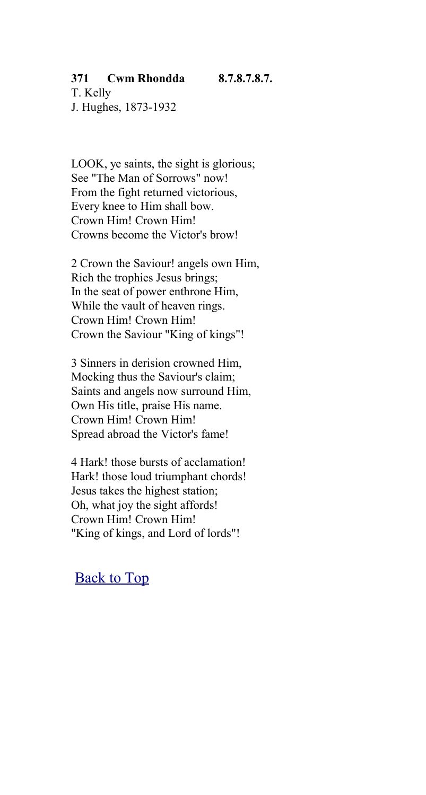## **371 Cwm Rhondda 8.7.8.7.8.7.**

T. Kelly J. Hughes, 1873-1932

LOOK, ye saints, the sight is glorious; See "The Man of Sorrows" now! From the fight returned victorious, Every knee to Him shall bow. Crown Him! Crown Him! Crowns become the Victor's brow!

2 Crown the Saviour! angels own Him, Rich the trophies Jesus brings; In the seat of power enthrone Him, While the vault of heaven rings. Crown Him! Crown Him! Crown the Saviour "King of kings"!

3 Sinners in derision crowned Him, Mocking thus the Saviour's claim; Saints and angels now surround Him, Own His title, praise His name. Crown Him! Crown Him! Spread abroad the Victor's fame!

4 Hark! those bursts of acclamation! Hark! those loud triumphant chords! Jesus takes the highest station; Oh, what joy the sight affords! Crown Him! Crown Him! "King of kings, and Lord of lords"!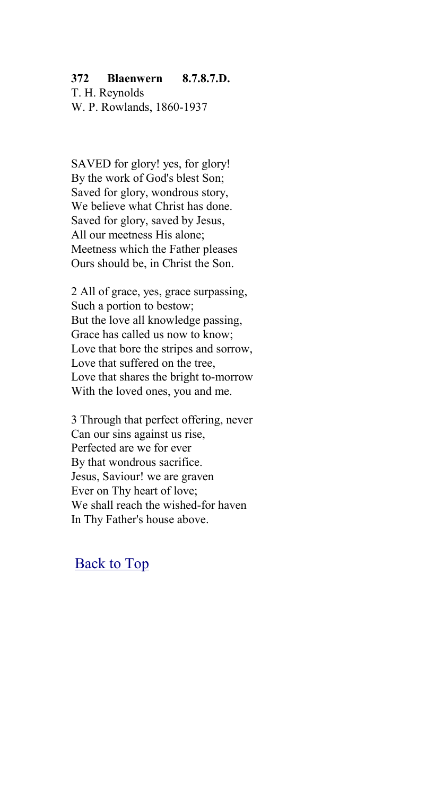#### **372 Blaenwern 8.7.8.7.D.**

T. H. Reynolds W. P. Rowlands, 1860-1937

SAVED for glory! yes, for glory! By the work of God's blest Son; Saved for glory, wondrous story, We believe what Christ has done. Saved for glory, saved by Jesus, All our meetness His alone; Meetness which the Father pleases Ours should be, in Christ the Son.

2 All of grace, yes, grace surpassing, Such a portion to bestow; But the love all knowledge passing, Grace has called us now to know; Love that bore the stripes and sorrow, Love that suffered on the tree, Love that shares the bright to-morrow With the loved ones, you and me.

3 Through that perfect offering, never Can our sins against us rise, Perfected are we for ever By that wondrous sacrifice. Jesus, Saviour! we are graven Ever on Thy heart of love; We shall reach the wished-for haven In Thy Father's house above.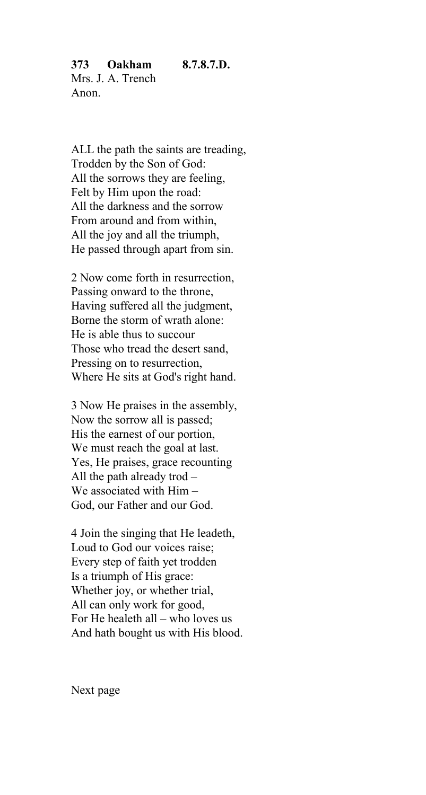**373 Oakham 8.7.8.7.D.** Mrs. J. A. Trench Anon.

ALL the path the saints are treading, Trodden by the Son of God: All the sorrows they are feeling, Felt by Him upon the road: All the darkness and the sorrow From around and from within, All the joy and all the triumph, He passed through apart from sin.

2 Now come forth in resurrection, Passing onward to the throne, Having suffered all the judgment, Borne the storm of wrath alone: He is able thus to succour Those who tread the desert sand, Pressing on to resurrection, Where He sits at God's right hand.

3 Now He praises in the assembly, Now the sorrow all is passed; His the earnest of our portion, We must reach the goal at last. Yes, He praises, grace recounting All the path already trod – We associated with Him – God, our Father and our God.

4 Join the singing that He leadeth, Loud to God our voices raise; Every step of faith yet trodden Is a triumph of His grace: Whether joy, or whether trial, All can only work for good, For He healeth all – who loves us And hath bought us with His blood.

Next page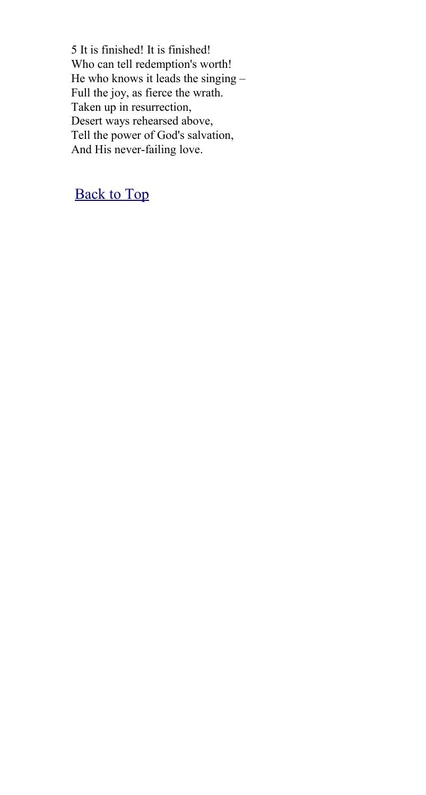5 It is finished! It is finished! Who can tell redemption's worth! He who knows it leads the singing – Full the joy, as fierce the wrath. Taken up in resurrection, Desert ways rehearsed above, Tell the power of God's salvation, And His never-failing love.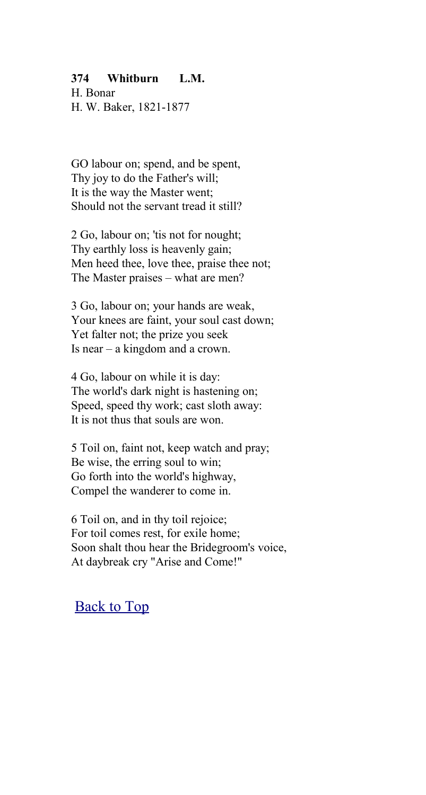#### **374 Whitburn L.M.**

H. Bonar H. W. Baker, 1821-1877

GO labour on; spend, and be spent, Thy joy to do the Father's will; It is the way the Master went; Should not the servant tread it still?

2 Go, labour on; 'tis not for nought; Thy earthly loss is heavenly gain; Men heed thee, love thee, praise thee not; The Master praises – what are men?

3 Go, labour on; your hands are weak, Your knees are faint, your soul cast down; Yet falter not; the prize you seek Is near – a kingdom and a crown.

4 Go, labour on while it is day: The world's dark night is hastening on; Speed, speed thy work; cast sloth away: It is not thus that souls are won.

5 Toil on, faint not, keep watch and pray; Be wise, the erring soul to win; Go forth into the world's highway, Compel the wanderer to come in.

6 Toil on, and in thy toil rejoice; For toil comes rest, for exile home; Soon shalt thou hear the Bridegroom's voice, At daybreak cry "Arise and Come!"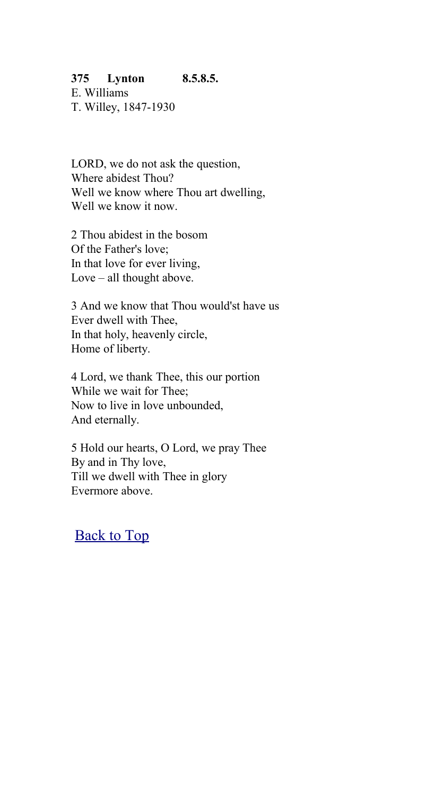## **375 Lynton 8.5.8.5.**

E. Williams T. Willey, 1847-1930

LORD, we do not ask the question, Where abidest Thou? Well we know where Thou art dwelling, Well we know it now.

2 Thou abidest in the bosom Of the Father's love; In that love for ever living, Love – all thought above.

3 And we know that Thou would'st have us Ever dwell with Thee, In that holy, heavenly circle, Home of liberty.

4 Lord, we thank Thee, this our portion While we wait for Thee; Now to live in love unbounded, And eternally.

5 Hold our hearts, O Lord, we pray Thee By and in Thy love, Till we dwell with Thee in glory Evermore above.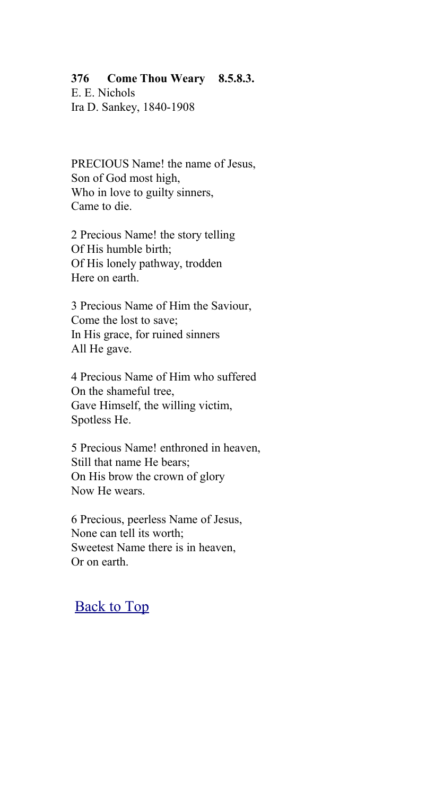### **376 Come Thou Weary 8.5.8.3.**

E. E. Nichols Ira D. Sankey, 1840-1908

PRECIOUS Name! the name of Jesus, Son of God most high, Who in love to guilty sinners. Came to die.

2 Precious Name! the story telling Of His humble birth; Of His lonely pathway, trodden Here on earth.

3 Precious Name of Him the Saviour, Come the lost to save; In His grace, for ruined sinners All He gave.

4 Precious Name of Him who suffered On the shameful tree, Gave Himself, the willing victim, Spotless He.

5 Precious Name! enthroned in heaven, Still that name He bears; On His brow the crown of glory Now He wears.

6 Precious, peerless Name of Jesus, None can tell its worth; Sweetest Name there is in heaven, Or on earth.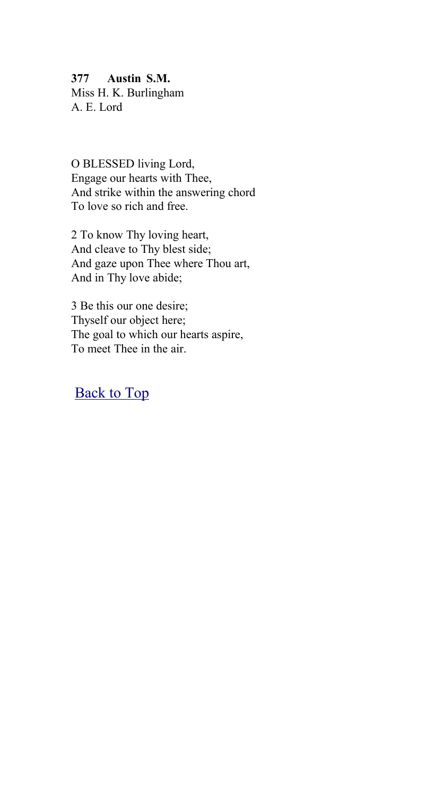#### **377 Austin S.M.**

Miss H. K. Burlingham A. E. Lord

O BLESSED living Lord, Engage our hearts with Thee, And strike within the answering chord To love so rich and free.

2 To know Thy loving heart, And cleave to Thy blest side; And gaze upon Thee where Thou art, And in Thy love abide;

3 Be this our one desire; Thyself our object here; The goal to which our hearts aspire, To meet Thee in the air.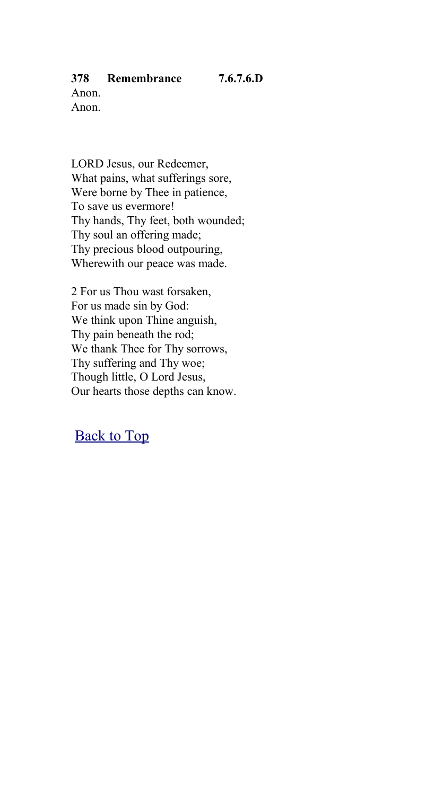## **378 Remembrance 7.6.7.6.D**

Anon. Anon.

LORD Jesus, our Redeemer, What pains, what sufferings sore, Were borne by Thee in patience, To save us evermore! Thy hands, Thy feet, both wounded; Thy soul an offering made; Thy precious blood outpouring, Wherewith our peace was made.

2 For us Thou wast forsaken, For us made sin by God: We think upon Thine anguish, Thy pain beneath the rod; We thank Thee for Thy sorrows, Thy suffering and Thy woe; Though little, O Lord Jesus, Our hearts those depths can know.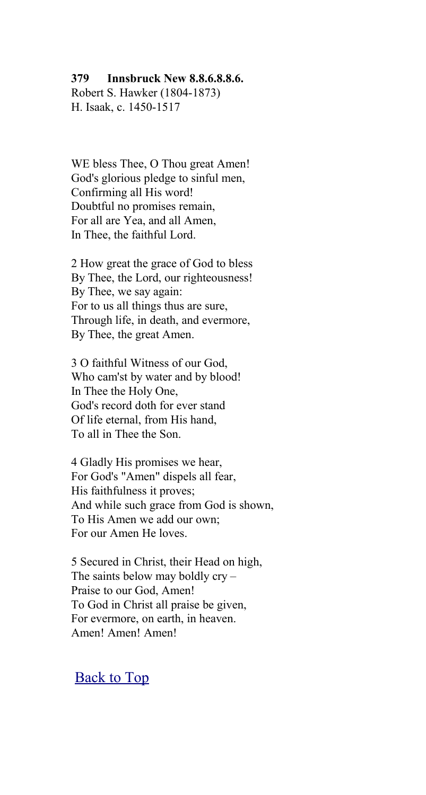#### **379 Innsbruck New 8.8.6.8.8.6.**

Robert S. Hawker (1804-1873) H. Isaak, c. 1450-1517

WE bless Thee, O Thou great Amen! God's glorious pledge to sinful men, Confirming all His word! Doubtful no promises remain, For all are Yea, and all Amen, In Thee, the faithful Lord.

2 How great the grace of God to bless By Thee, the Lord, our righteousness! By Thee, we say again: For to us all things thus are sure, Through life, in death, and evermore, By Thee, the great Amen.

3 O faithful Witness of our God, Who cam'st by water and by blood! In Thee the Holy One, God's record doth for ever stand Of life eternal, from His hand, To all in Thee the Son.

4 Gladly His promises we hear, For God's "Amen" dispels all fear, His faithfulness it proves; And while such grace from God is shown, To His Amen we add our own; For our Amen He loves.

5 Secured in Christ, their Head on high, The saints below may boldly cry – Praise to our God, Amen! To God in Christ all praise be given, For evermore, on earth, in heaven. Amen! Amen! Amen!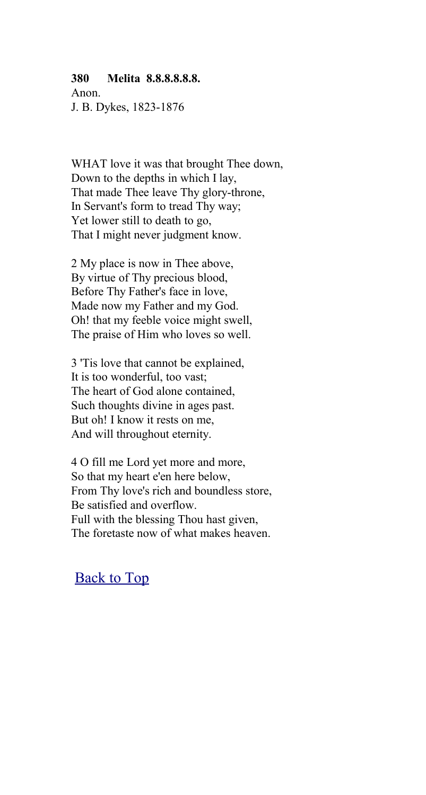#### **380 Melita 8.8.8.8.8.8.**

Anon. J. B. Dykes, 1823-1876

WHAT love it was that brought Thee down, Down to the depths in which I lay, That made Thee leave Thy glory-throne, In Servant's form to tread Thy way; Yet lower still to death to go, That I might never judgment know.

2 My place is now in Thee above, By virtue of Thy precious blood, Before Thy Father's face in love, Made now my Father and my God. Oh! that my feeble voice might swell, The praise of Him who loves so well.

3 'Tis love that cannot be explained, It is too wonderful, too vast; The heart of God alone contained, Such thoughts divine in ages past. But oh! I know it rests on me, And will throughout eternity.

4 O fill me Lord yet more and more, So that my heart e'en here below, From Thy love's rich and boundless store, Be satisfied and overflow. Full with the blessing Thou hast given, The foretaste now of what makes heaven.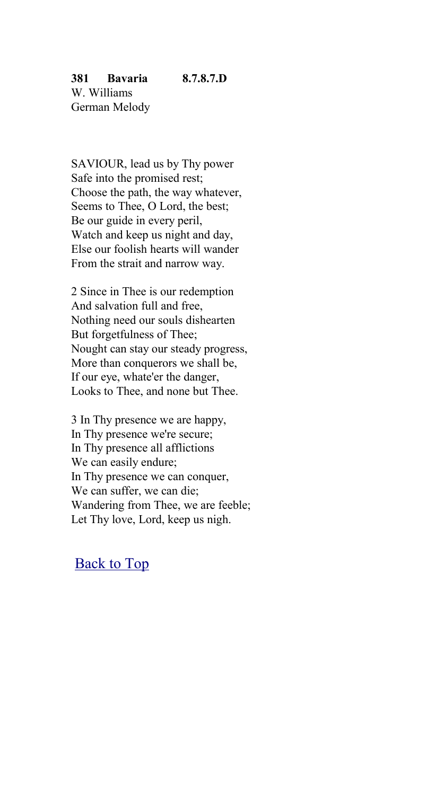SAVIOUR, lead us by Thy power Safe into the promised rest; Choose the path, the way whatever, Seems to Thee, O Lord, the best; Be our guide in every peril, Watch and keep us night and day, Else our foolish hearts will wander From the strait and narrow way.

2 Since in Thee is our redemption And salvation full and free, Nothing need our souls dishearten But forgetfulness of Thee; Nought can stay our steady progress, More than conquerors we shall be, If our eye, whate'er the danger, Looks to Thee, and none but Thee.

3 In Thy presence we are happy, In Thy presence we're secure; In Thy presence all afflictions We can easily endure; In Thy presence we can conquer, We can suffer, we can die; Wandering from Thee, we are feeble; Let Thy love, Lord, keep us nigh.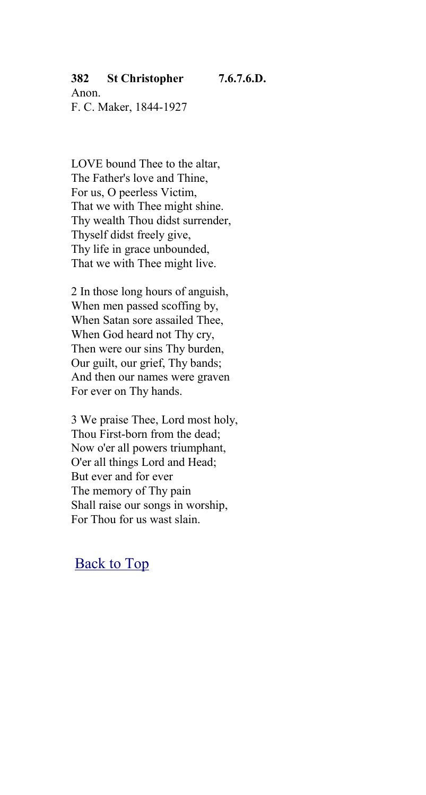## **382 St Christopher 7.6.7.6.D.**

Anon. F. C. Maker, 1844-1927

LOVE bound Thee to the altar, The Father's love and Thine, For us, O peerless Victim, That we with Thee might shine. Thy wealth Thou didst surrender, Thyself didst freely give, Thy life in grace unbounded, That we with Thee might live.

2 In those long hours of anguish, When men passed scoffing by, When Satan sore assailed Thee, When God heard not Thy cry, Then were our sins Thy burden, Our guilt, our grief, Thy bands; And then our names were graven For ever on Thy hands.

3 We praise Thee, Lord most holy, Thou First-born from the dead; Now o'er all powers triumphant, O'er all things Lord and Head; But ever and for ever The memory of Thy pain Shall raise our songs in worship, For Thou for us wast slain.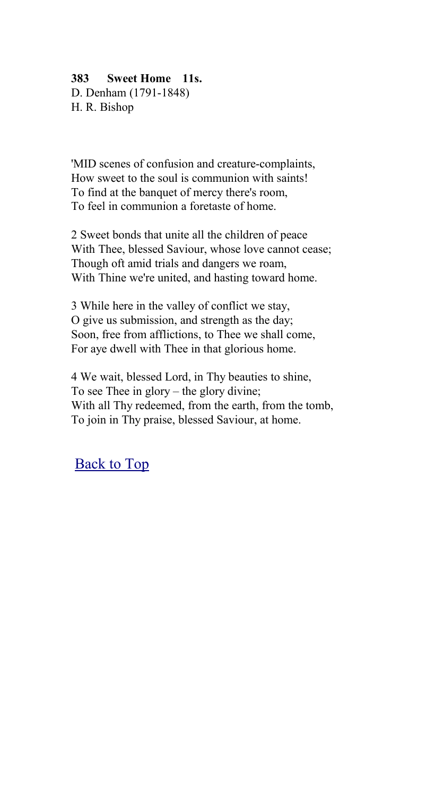## **383 Sweet Home 11s.**

D. Denham (1791-1848) H. R. Bishop

'MID scenes of confusion and creature-complaints, How sweet to the soul is communion with saints! To find at the banquet of mercy there's room, To feel in communion a foretaste of home.

2 Sweet bonds that unite all the children of peace With Thee, blessed Saviour, whose love cannot cease; Though oft amid trials and dangers we roam, With Thine we're united, and hasting toward home.

3 While here in the valley of conflict we stay, O give us submission, and strength as the day; Soon, free from afflictions, to Thee we shall come, For aye dwell with Thee in that glorious home.

4 We wait, blessed Lord, in Thy beauties to shine, To see Thee in glory – the glory divine; With all Thy redeemed, from the earth, from the tomb, To join in Thy praise, blessed Saviour, at home.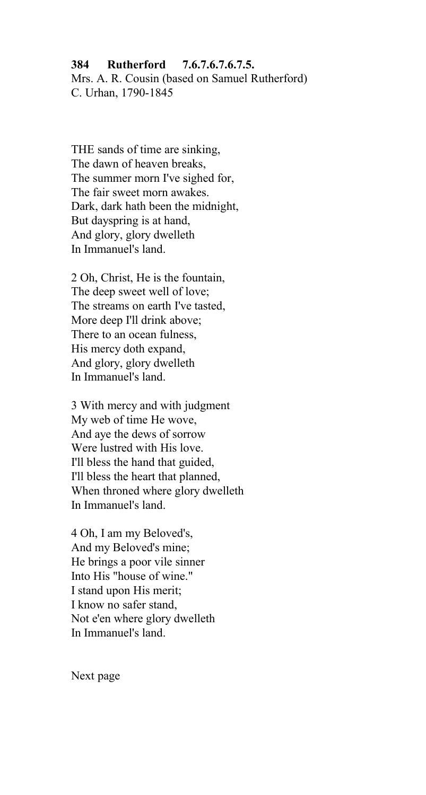#### **384 Rutherford 7.6.7.6.7.6.7.5.**

Mrs. A. R. Cousin (based on Samuel Rutherford) C. Urhan, 1790-1845

THE sands of time are sinking, The dawn of heaven breaks, The summer morn I've sighed for, The fair sweet morn awakes. Dark, dark hath been the midnight, But dayspring is at hand, And glory, glory dwelleth In Immanuel's land.

2 Oh, Christ, He is the fountain, The deep sweet well of love; The streams on earth I've tasted, More deep I'll drink above; There to an ocean fulness, His mercy doth expand, And glory, glory dwelleth In Immanuel's land.

3 With mercy and with judgment My web of time He wove, And aye the dews of sorrow Were lustred with His love. I'll bless the hand that guided, I'll bless the heart that planned, When throned where glory dwelleth In Immanuel's land.

4 Oh, I am my Beloved's, And my Beloved's mine; He brings a poor vile sinner Into His "house of wine." I stand upon His merit; I know no safer stand, Not e'en where glory dwelleth In Immanuel's land.

Next page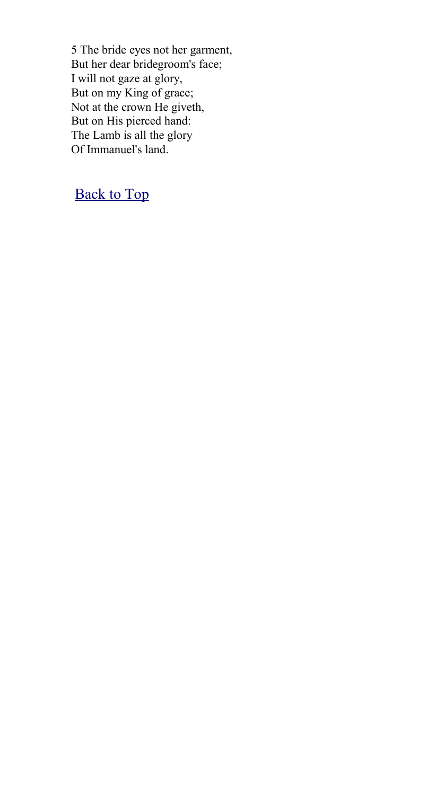5 The bride eyes not her garment, But her dear bridegroom's face; I will not gaze at glory, But on my King of grace; Not at the crown He giveth, But on His pierced hand: The Lamb is all the glory Of Immanuel's land.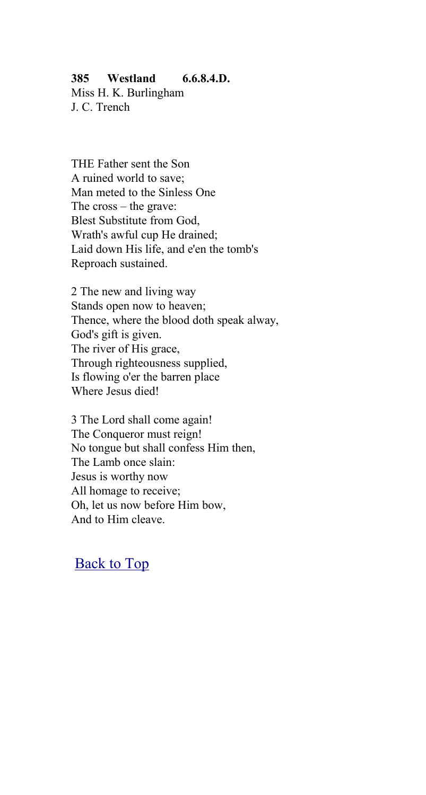## **385 Westland 6.6.8.4.D.**

Miss H. K. Burlingham J. C. Trench

THE Father sent the Son A ruined world to save; Man meted to the Sinless One The cross – the grave: Blest Substitute from God, Wrath's awful cup He drained; Laid down His life, and e'en the tomb's Reproach sustained.

2 The new and living way Stands open now to heaven; Thence, where the blood doth speak alway, God's gift is given. The river of His grace, Through righteousness supplied, Is flowing o'er the barren place Where Jesus died!

3 The Lord shall come again! The Conqueror must reign! No tongue but shall confess Him then, The Lamb once slain: Jesus is worthy now All homage to receive; Oh, let us now before Him bow, And to Him cleave.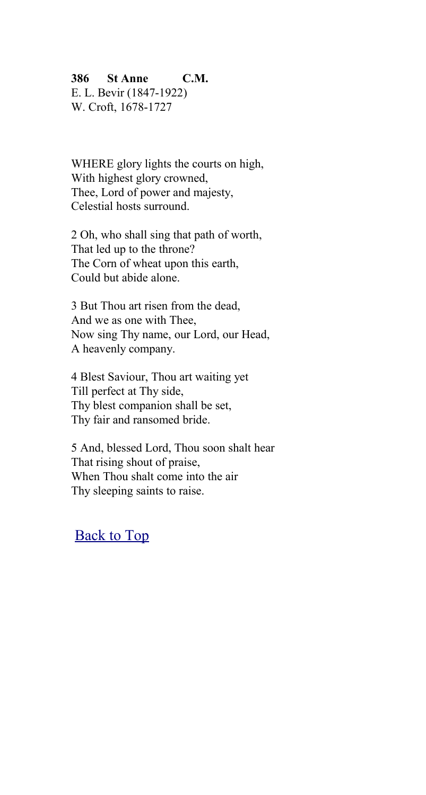## **386 St Anne C.M.**

E. L. Bevir (1847-1922) W. Croft, 1678-1727

WHERE glory lights the courts on high, With highest glory crowned, Thee, Lord of power and majesty, Celestial hosts surround.

2 Oh, who shall sing that path of worth, That led up to the throne? The Corn of wheat upon this earth, Could but abide alone.

3 But Thou art risen from the dead, And we as one with Thee, Now sing Thy name, our Lord, our Head, A heavenly company.

4 Blest Saviour, Thou art waiting yet Till perfect at Thy side, Thy blest companion shall be set, Thy fair and ransomed bride.

5 And, blessed Lord, Thou soon shalt hear That rising shout of praise, When Thou shalt come into the air Thy sleeping saints to raise.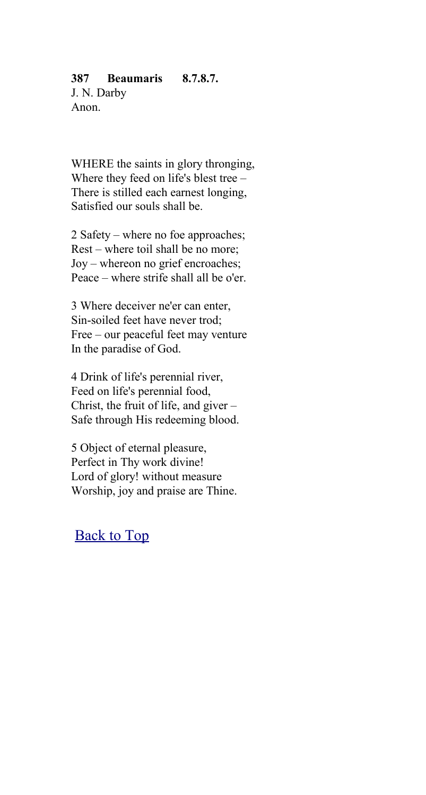#### **387 Beaumaris 8.7.8.7.**

J. N. Darby Anon.

WHERE the saints in glory thronging, Where they feed on life's blest tree – There is stilled each earnest longing, Satisfied our souls shall be.

2 Safety – where no foe approaches; Rest – where toil shall be no more; Joy – whereon no grief encroaches; Peace – where strife shall all be o'er.

3 Where deceiver ne'er can enter, Sin-soiled feet have never trod; Free – our peaceful feet may venture In the paradise of God.

4 Drink of life's perennial river, Feed on life's perennial food, Christ, the fruit of life, and giver – Safe through His redeeming blood.

5 Object of eternal pleasure, Perfect in Thy work divine! Lord of glory! without measure Worship, joy and praise are Thine.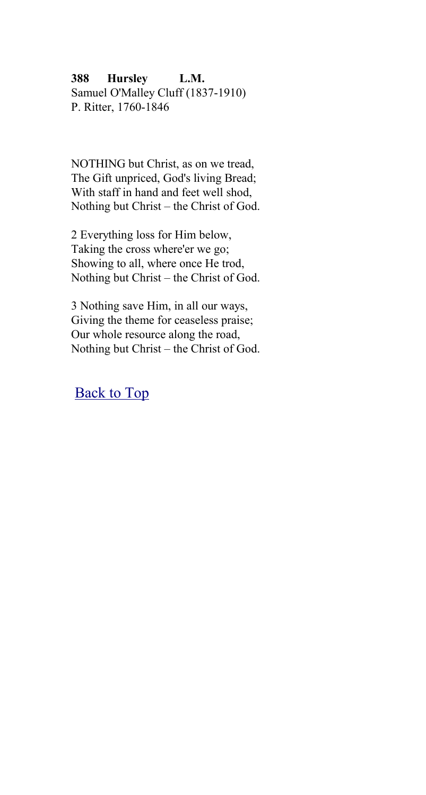**388 Hursley L.M.** Samuel O'Malley Cluff (1837-1910) P. Ritter, 1760-1846

NOTHING but Christ, as on we tread, The Gift unpriced, God's living Bread; With staff in hand and feet well shod, Nothing but Christ – the Christ of God.

2 Everything loss for Him below, Taking the cross where'er we go; Showing to all, where once He trod, Nothing but Christ – the Christ of God.

3 Nothing save Him, in all our ways, Giving the theme for ceaseless praise; Our whole resource along the road, Nothing but Christ – the Christ of God.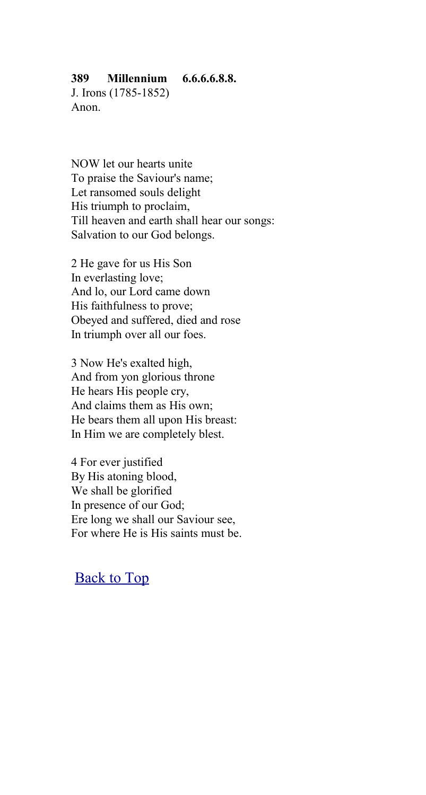## **389 Millennium 6.6.6.6.8.8.**

J. Irons (1785-1852) Anon.

NOW let our hearts unite To praise the Saviour's name; Let ransomed souls delight His triumph to proclaim, Till heaven and earth shall hear our songs: Salvation to our God belongs.

2 He gave for us His Son In everlasting love; And lo, our Lord came down His faithfulness to prove; Obeyed and suffered, died and rose In triumph over all our foes.

3 Now He's exalted high, And from yon glorious throne He hears His people cry, And claims them as His own; He bears them all upon His breast: In Him we are completely blest.

4 For ever justified By His atoning blood, We shall be glorified In presence of our God; Ere long we shall our Saviour see, For where He is His saints must be.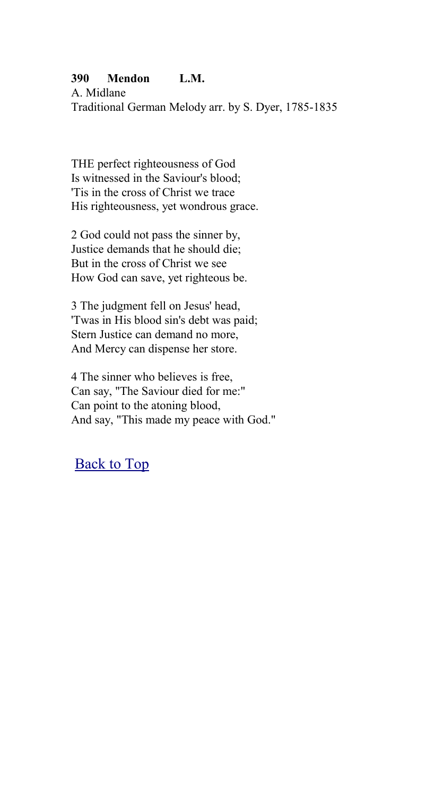## **390 Mendon L.M.**

A. Midlane Traditional German Melody arr. by S. Dyer, 1785-1835

THE perfect righteousness of God Is witnessed in the Saviour's blood; 'Tis in the cross of Christ we trace His righteousness, yet wondrous grace.

2 God could not pass the sinner by, Justice demands that he should die; But in the cross of Christ we see How God can save, yet righteous be.

3 The judgment fell on Jesus' head, 'Twas in His blood sin's debt was paid; Stern Justice can demand no more, And Mercy can dispense her store.

4 The sinner who believes is free, Can say, "The Saviour died for me:" Can point to the atoning blood, And say, "This made my peace with God."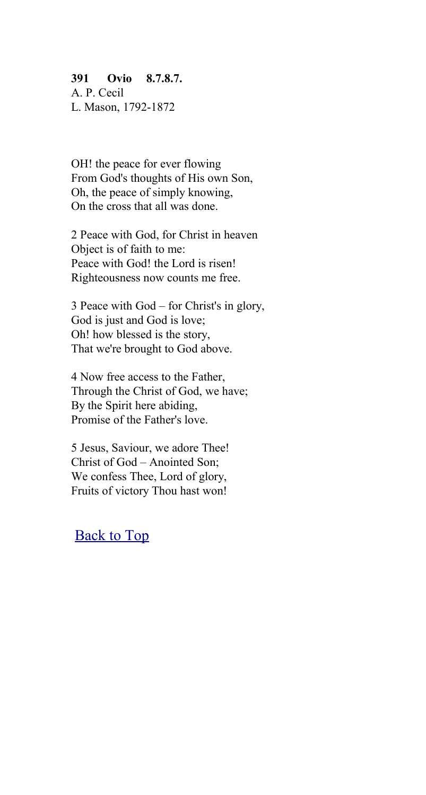## **391 Ovio 8.7.8.7.**

A. P. Cecil L. Mason, 1792-1872

OH! the peace for ever flowing From God's thoughts of His own Son, Oh, the peace of simply knowing, On the cross that all was done.

2 Peace with God, for Christ in heaven Object is of faith to me: Peace with God! the Lord is risen! Righteousness now counts me free.

3 Peace with God – for Christ's in glory, God is just and God is love; Oh! how blessed is the story, That we're brought to God above.

4 Now free access to the Father, Through the Christ of God, we have; By the Spirit here abiding, Promise of the Father's love.

5 Jesus, Saviour, we adore Thee! Christ of God – Anointed Son; We confess Thee, Lord of glory, Fruits of victory Thou hast won!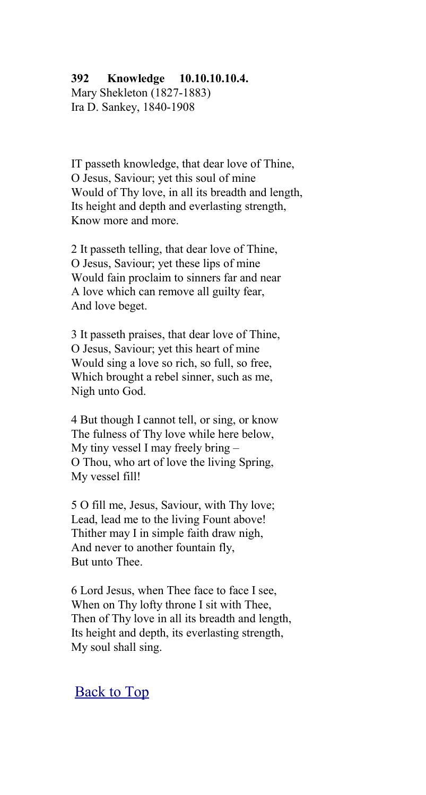## **392 Knowledge 10.10.10.10.4.**

Mary Shekleton (1827-1883) Ira D. Sankey, 1840-1908

IT passeth knowledge, that dear love of Thine, O Jesus, Saviour; yet this soul of mine Would of Thy love, in all its breadth and length, Its height and depth and everlasting strength, Know more and more.

2 It passeth telling, that dear love of Thine, O Jesus, Saviour; yet these lips of mine Would fain proclaim to sinners far and near A love which can remove all guilty fear, And love beget.

3 It passeth praises, that dear love of Thine, O Jesus, Saviour; yet this heart of mine Would sing a love so rich, so full, so free, Which brought a rebel sinner, such as me, Nigh unto God.

4 But though I cannot tell, or sing, or know The fulness of Thy love while here below, My tiny vessel I may freely bring – O Thou, who art of love the living Spring, My vessel fill!

5 O fill me, Jesus, Saviour, with Thy love; Lead, lead me to the living Fount above! Thither may I in simple faith draw nigh, And never to another fountain fly, But unto Thee.

6 Lord Jesus, when Thee face to face I see, When on Thy lofty throne I sit with Thee, Then of Thy love in all its breadth and length, Its height and depth, its everlasting strength, My soul shall sing.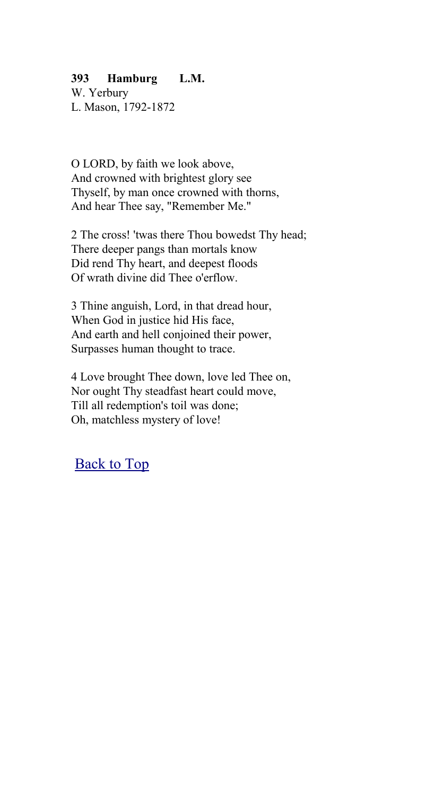## **393 Hamburg L.M.**

W. Yerbury L. Mason, 1792-1872

O LORD, by faith we look above, And crowned with brightest glory see Thyself, by man once crowned with thorns, And hear Thee say, "Remember Me."

2 The cross! 'twas there Thou bowedst Thy head; There deeper pangs than mortals know Did rend Thy heart, and deepest floods Of wrath divine did Thee o'erflow.

3 Thine anguish, Lord, in that dread hour, When God in justice hid His face, And earth and hell conjoined their power, Surpasses human thought to trace.

4 Love brought Thee down, love led Thee on, Nor ought Thy steadfast heart could move, Till all redemption's toil was done; Oh, matchless mystery of love!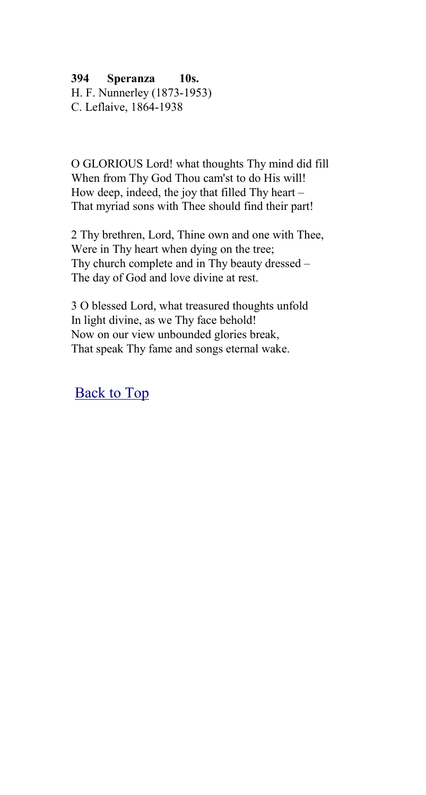**394 Speranza 10s.**

H. F. Nunnerley (1873-1953) C. Leflaive, 1864-1938

O GLORIOUS Lord! what thoughts Thy mind did fill When from Thy God Thou cam'st to do His will! How deep, indeed, the joy that filled Thy heart – That myriad sons with Thee should find their part!

2 Thy brethren, Lord, Thine own and one with Thee, Were in Thy heart when dying on the tree; Thy church complete and in Thy beauty dressed – The day of God and love divine at rest.

3 O blessed Lord, what treasured thoughts unfold In light divine, as we Thy face behold! Now on our view unbounded glories break, That speak Thy fame and songs eternal wake.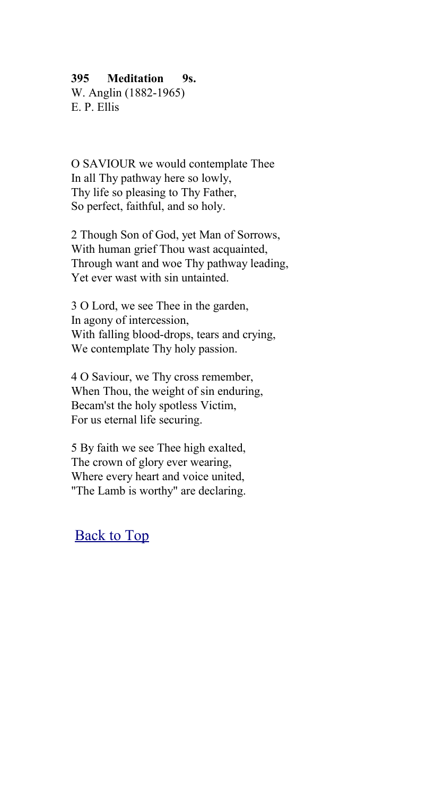## **395 Meditation 9s.**

W. Anglin (1882-1965) E. P. Ellis

O SAVIOUR we would contemplate Thee In all Thy pathway here so lowly, Thy life so pleasing to Thy Father, So perfect, faithful, and so holy.

2 Though Son of God, yet Man of Sorrows, With human grief Thou wast acquainted, Through want and woe Thy pathway leading, Yet ever wast with sin untainted.

3 O Lord, we see Thee in the garden, In agony of intercession, With falling blood-drops, tears and crying, We contemplate Thy holy passion.

4 O Saviour, we Thy cross remember, When Thou, the weight of sin enduring, Becam'st the holy spotless Victim, For us eternal life securing.

5 By faith we see Thee high exalted, The crown of glory ever wearing, Where every heart and voice united, "The Lamb is worthy" are declaring.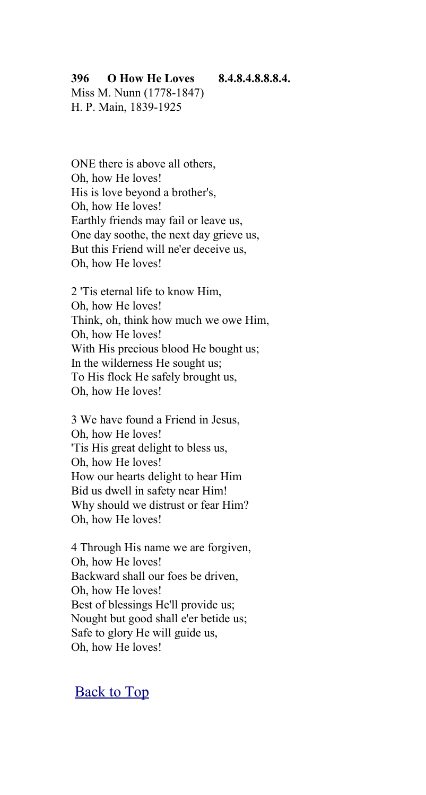#### **396 O How He Loves 8.4.8.4.8.8.8.4.**

Miss M. Nunn (1778-1847) H. P. Main, 1839-1925

ONE there is above all others, Oh, how He loves! His is love beyond a brother's, Oh, how He loves! Earthly friends may fail or leave us, One day soothe, the next day grieve us, But this Friend will ne'er deceive us, Oh, how He loves!

2 'Tis eternal life to know Him, Oh, how He loves! Think, oh, think how much we owe Him, Oh, how He loves! With His precious blood He bought us; In the wilderness He sought us; To His flock He safely brought us, Oh, how He loves!

3 We have found a Friend in Jesus, Oh, how He loves! 'Tis His great delight to bless us, Oh, how He loves! How our hearts delight to hear Him Bid us dwell in safety near Him! Why should we distrust or fear Him? Oh, how He loves!

4 Through His name we are forgiven, Oh, how He loves! Backward shall our foes be driven, Oh, how He loves! Best of blessings He'll provide us; Nought but good shall e'er betide us; Safe to glory He will guide us, Oh, how He loves!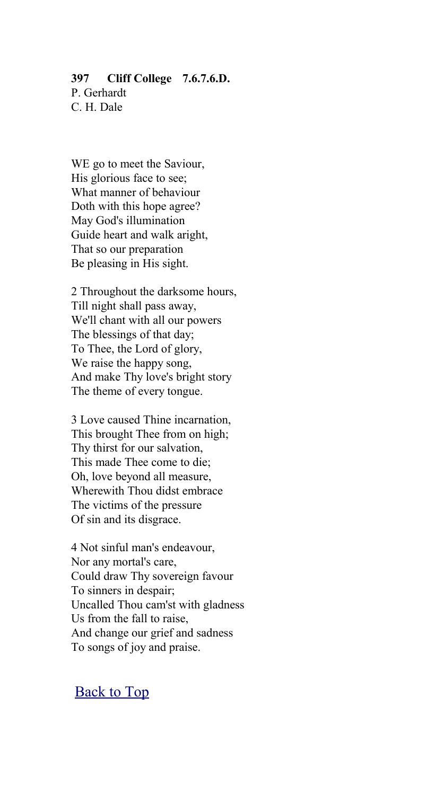# **397 Cliff College 7.6.7.6.D.**

P. Gerhardt C. H. Dale

WE go to meet the Saviour, His glorious face to see; What manner of behaviour Doth with this hope agree? May God's illumination Guide heart and walk aright, That so our preparation Be pleasing in His sight.

2 Throughout the darksome hours, Till night shall pass away, We'll chant with all our powers The blessings of that day; To Thee, the Lord of glory, We raise the happy song, And make Thy love's bright story The theme of every tongue.

3 Love caused Thine incarnation, This brought Thee from on high; Thy thirst for our salvation, This made Thee come to die; Oh, love beyond all measure, Wherewith Thou didst embrace The victims of the pressure Of sin and its disgrace.

4 Not sinful man's endeavour, Nor any mortal's care, Could draw Thy sovereign favour To sinners in despair; Uncalled Thou cam'st with gladness Us from the fall to raise, And change our grief and sadness To songs of joy and praise.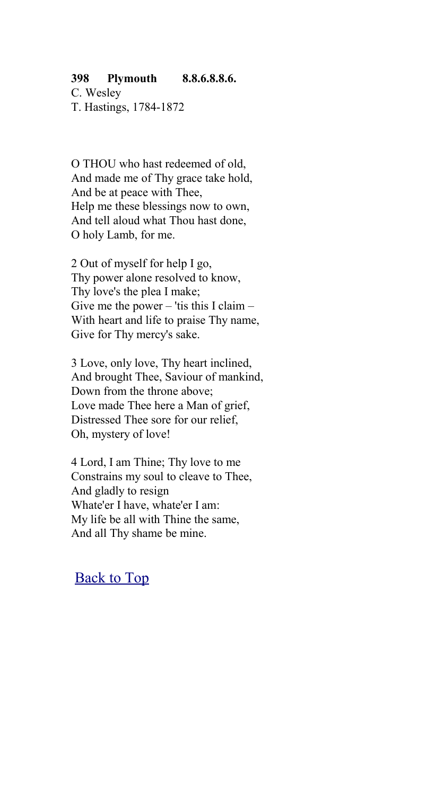#### **398 Plymouth 8.8.6.8.8.6.**

C. Wesley T. Hastings, 1784-1872

O THOU who hast redeemed of old, And made me of Thy grace take hold, And be at peace with Thee, Help me these blessings now to own, And tell aloud what Thou hast done, O holy Lamb, for me.

2 Out of myself for help I go, Thy power alone resolved to know, Thy love's the plea I make; Give me the power – 'tis this I claim – With heart and life to praise Thy name, Give for Thy mercy's sake.

3 Love, only love, Thy heart inclined, And brought Thee, Saviour of mankind, Down from the throne above; Love made Thee here a Man of grief, Distressed Thee sore for our relief, Oh, mystery of love!

4 Lord, I am Thine; Thy love to me Constrains my soul to cleave to Thee, And gladly to resign Whate'er I have, whate'er I am: My life be all with Thine the same, And all Thy shame be mine.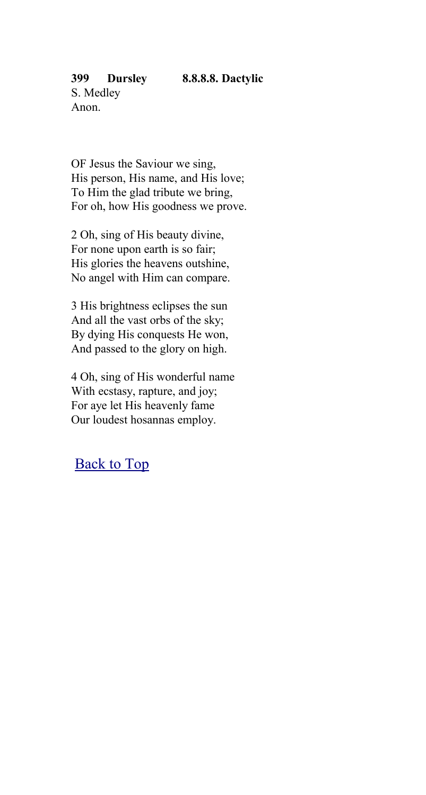#### **399 Dursley 8.8.8.8. Dactylic**

OF Jesus the Saviour we sing, His person, His name, and His love; To Him the glad tribute we bring, For oh, how His goodness we prove.

2 Oh, sing of His beauty divine, For none upon earth is so fair; His glories the heavens outshine, No angel with Him can compare.

3 His brightness eclipses the sun And all the vast orbs of the sky; By dying His conquests He won, And passed to the glory on high.

4 Oh, sing of His wonderful name With ecstasy, rapture, and joy; For aye let His heavenly fame Our loudest hosannas employ.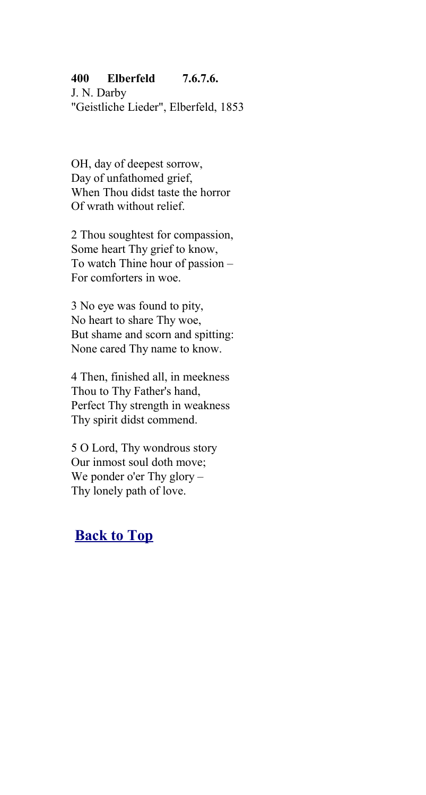## **400 Elberfeld 7.6.7.6.**

J. N. Darby "Geistliche Lieder", Elberfeld, 1853

OH, day of deepest sorrow, Day of unfathomed grief, When Thou didst taste the horror Of wrath without relief.

2 Thou soughtest for compassion, Some heart Thy grief to know, To watch Thine hour of passion – For comforters in woe.

3 No eye was found to pity, No heart to share Thy woe, But shame and scorn and spitting: None cared Thy name to know.

4 Then, finished all, in meekness Thou to Thy Father's hand, Perfect Thy strength in weakness Thy spirit didst commend.

5 O Lord, Thy wondrous story Our inmost soul doth move; We ponder o'er Thy glory – Thy lonely path of love.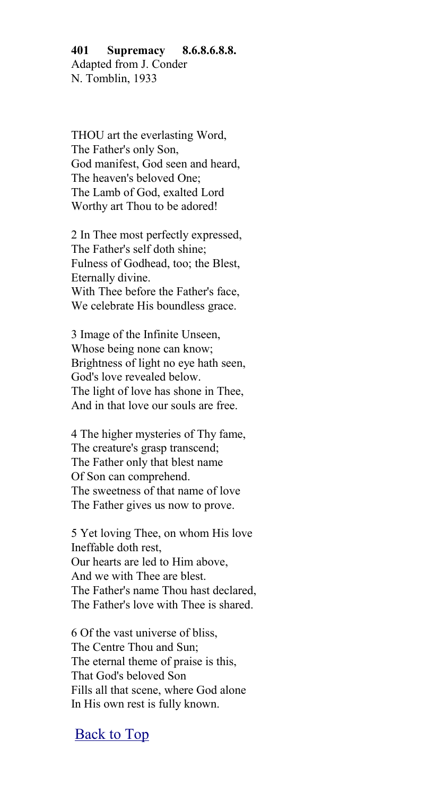## **401 Supremacy 8.6.8.6.8.8.** Adapted from J. Conder N. Tomblin, 1933

THOU art the everlasting Word, The Father's only Son, God manifest, God seen and heard, The heaven's beloved One; The Lamb of God, exalted Lord Worthy art Thou to be adored!

2 In Thee most perfectly expressed, The Father's self doth shine; Fulness of Godhead, too; the Blest, Eternally divine. With Thee before the Father's face, We celebrate His boundless grace.

3 Image of the Infinite Unseen, Whose being none can know; Brightness of light no eye hath seen, God's love revealed below. The light of love has shone in Thee, And in that love our souls are free.

4 The higher mysteries of Thy fame, The creature's grasp transcend; The Father only that blest name Of Son can comprehend. The sweetness of that name of love The Father gives us now to prove.

5 Yet loving Thee, on whom His love Ineffable doth rest, Our hearts are led to Him above, And we with Thee are blest. The Father's name Thou hast declared, The Father's love with Thee is shared.

6 Of the vast universe of bliss, The Centre Thou and Sun; The eternal theme of praise is this, That God's beloved Son Fills all that scene, where God alone In His own rest is fully known.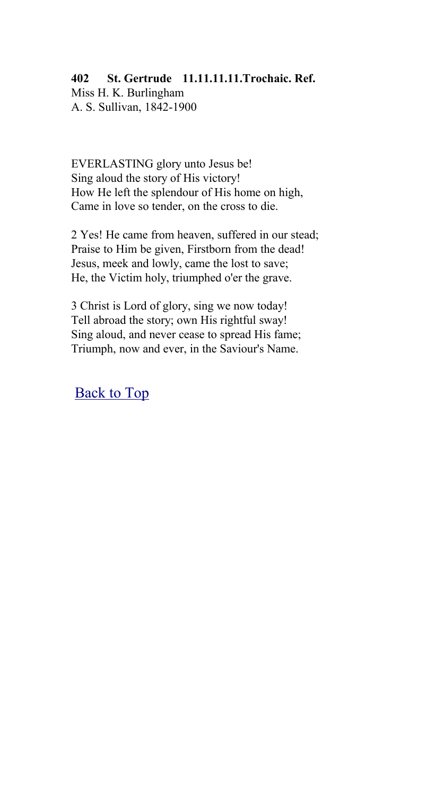## **402 St. Gertrude 11.11.11.11.Trochaic. Ref.** Miss H. K. Burlingham A. S. Sullivan, 1842-1900

EVERLASTING glory unto Jesus be! Sing aloud the story of His victory! How He left the splendour of His home on high, Came in love so tender, on the cross to die.

2 Yes! He came from heaven, suffered in our stead; Praise to Him be given, Firstborn from the dead! Jesus, meek and lowly, came the lost to save; He, the Victim holy, triumphed o'er the grave.

3 Christ is Lord of glory, sing we now today! Tell abroad the story; own His rightful sway! Sing aloud, and never cease to spread His fame; Triumph, now and ever, in the Saviour's Name.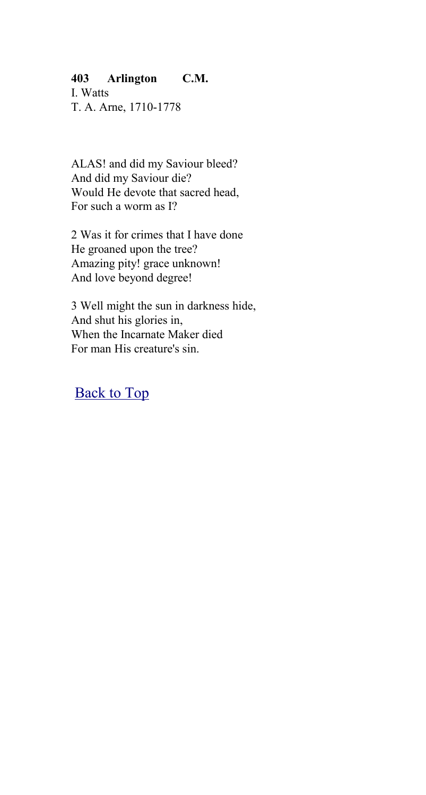## **403 Arlington C.M.**

I. Watts T. A. Arne, 1710-1778

ALAS! and did my Saviour bleed? And did my Saviour die? Would He devote that sacred head, For such a worm as I?

2 Was it for crimes that I have done He groaned upon the tree? Amazing pity! grace unknown! And love beyond degree!

3 Well might the sun in darkness hide, And shut his glories in, When the Incarnate Maker died For man His creature's sin.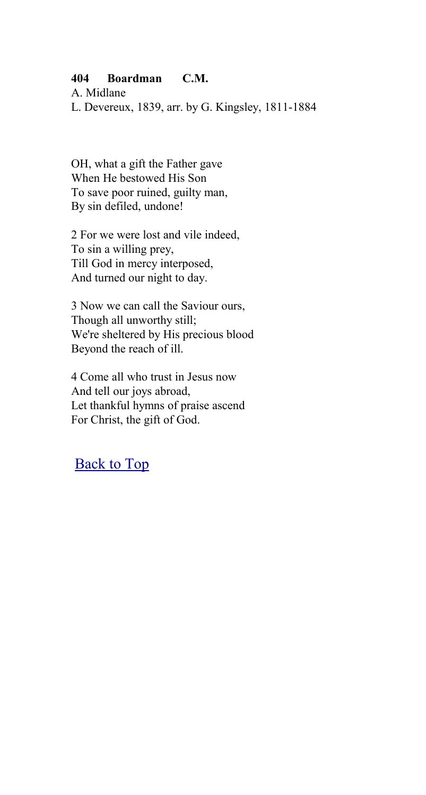## **404 Boardman C.M.**

A. Midlane L. Devereux, 1839, arr. by G. Kingsley, 1811-1884

OH, what a gift the Father gave When He bestowed His Son To save poor ruined, guilty man, By sin defiled, undone!

2 For we were lost and vile indeed, To sin a willing prey, Till God in mercy interposed, And turned our night to day.

3 Now we can call the Saviour ours, Though all unworthy still; We're sheltered by His precious blood Beyond the reach of ill.

4 Come all who trust in Jesus now And tell our joys abroad, Let thankful hymns of praise ascend For Christ, the gift of God.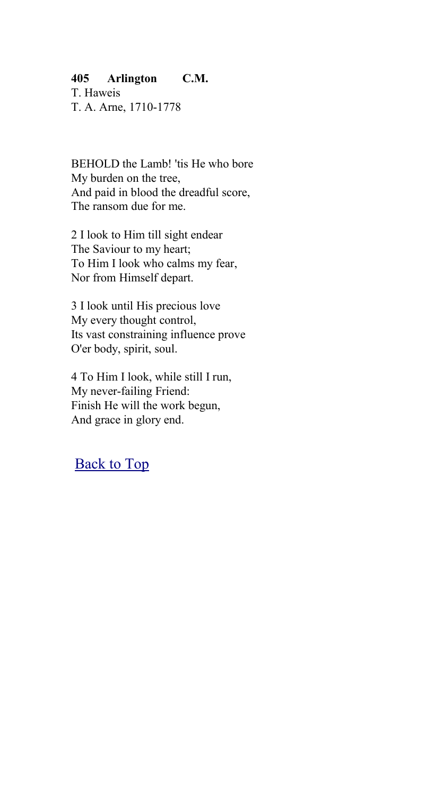## **405 Arlington C.M.**

T. Haweis T. A. Arne, 1710-1778

BEHOLD the Lamb! 'tis He who bore My burden on the tree, And paid in blood the dreadful score, The ransom due for me.

2 I look to Him till sight endear The Saviour to my heart; To Him I look who calms my fear, Nor from Himself depart.

3 I look until His precious love My every thought control, Its vast constraining influence prove O'er body, spirit, soul.

4 To Him I look, while still I run, My never-failing Friend: Finish He will the work begun, And grace in glory end.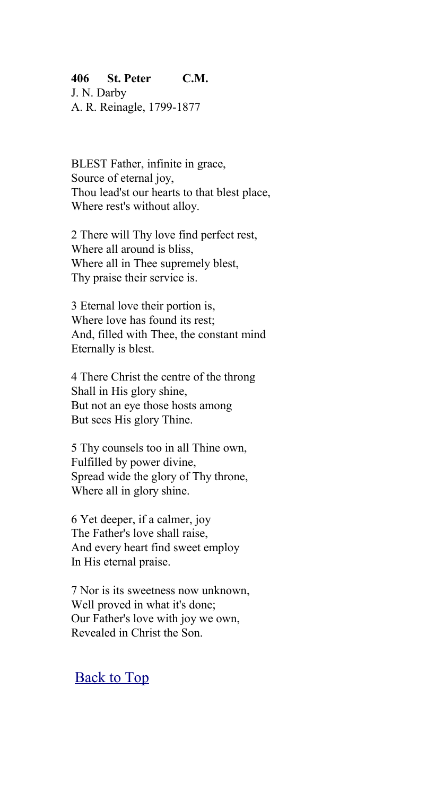## **406 St. Peter C.M.**

J. N. Darby A. R. Reinagle, 1799-1877

BLEST Father, infinite in grace, Source of eternal joy, Thou lead'st our hearts to that blest place, Where rest's without alloy.

2 There will Thy love find perfect rest, Where all around is bliss, Where all in Thee supremely blest, Thy praise their service is.

3 Eternal love their portion is, Where love has found its rest; And, filled with Thee, the constant mind Eternally is blest.

4 There Christ the centre of the throng Shall in His glory shine, But not an eye those hosts among But sees His glory Thine.

5 Thy counsels too in all Thine own, Fulfilled by power divine, Spread wide the glory of Thy throne, Where all in glory shine.

6 Yet deeper, if a calmer, joy The Father's love shall raise, And every heart find sweet employ In His eternal praise.

7 Nor is its sweetness now unknown, Well proved in what it's done; Our Father's love with joy we own, Revealed in Christ the Son.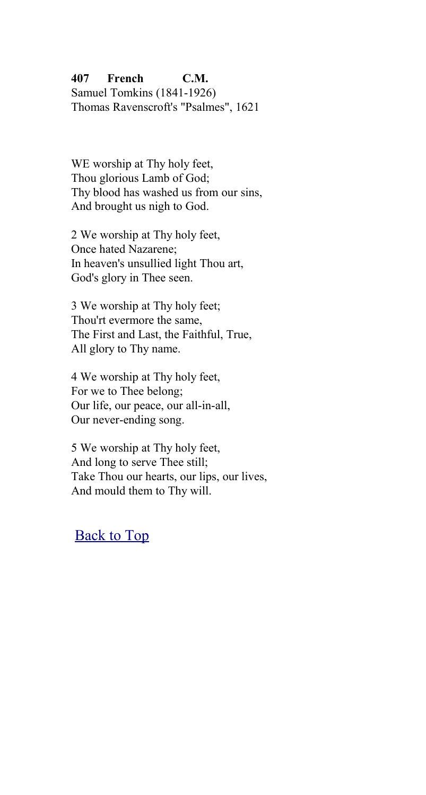## **407 French C.M.** Samuel Tomkins (1841-1926) Thomas Ravenscroft's "Psalmes", 1621

WE worship at Thy holy feet, Thou glorious Lamb of God; Thy blood has washed us from our sins, And brought us nigh to God.

2 We worship at Thy holy feet, Once hated Nazarene; In heaven's unsullied light Thou art, God's glory in Thee seen.

3 We worship at Thy holy feet; Thou'rt evermore the same, The First and Last, the Faithful, True, All glory to Thy name.

4 We worship at Thy holy feet, For we to Thee belong; Our life, our peace, our all-in-all, Our never-ending song.

5 We worship at Thy holy feet, And long to serve Thee still; Take Thou our hearts, our lips, our lives, And mould them to Thy will.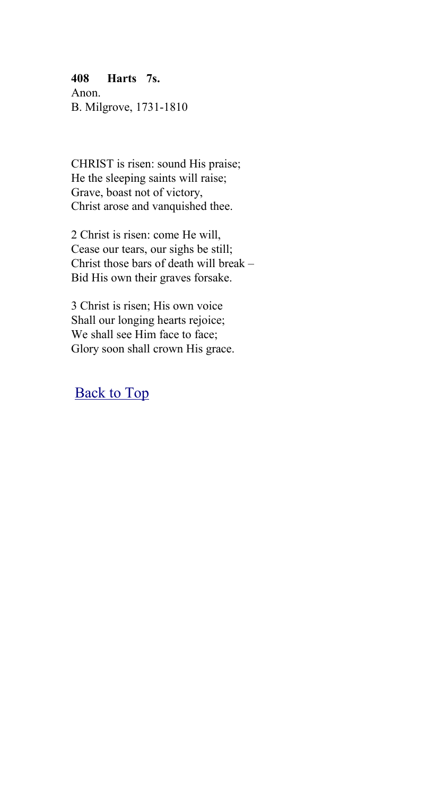## **408 Harts 7s.**

Anon. B. Milgrove, 1731-1810

CHRIST is risen: sound His praise; He the sleeping saints will raise; Grave, boast not of victory, Christ arose and vanquished thee.

2 Christ is risen: come He will, Cease our tears, our sighs be still; Christ those bars of death will break – Bid His own their graves forsake.

3 Christ is risen; His own voice Shall our longing hearts rejoice; We shall see Him face to face; Glory soon shall crown His grace.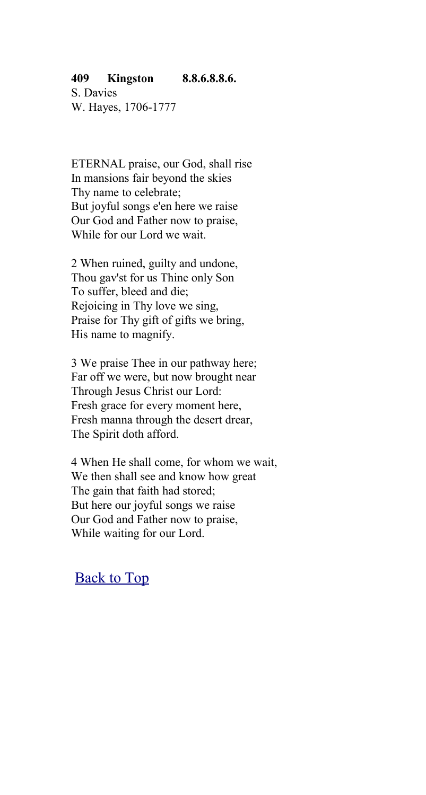#### **409 Kingston 8.8.6.8.8.6.**

S. Davies W. Hayes, 1706-1777

ETERNAL praise, our God, shall rise In mansions fair beyond the skies Thy name to celebrate; But joyful songs e'en here we raise Our God and Father now to praise, While for our Lord we wait.

2 When ruined, guilty and undone, Thou gav'st for us Thine only Son To suffer, bleed and die; Rejoicing in Thy love we sing, Praise for Thy gift of gifts we bring, His name to magnify.

3 We praise Thee in our pathway here; Far off we were, but now brought near Through Jesus Christ our Lord: Fresh grace for every moment here, Fresh manna through the desert drear, The Spirit doth afford.

4 When He shall come, for whom we wait, We then shall see and know how great The gain that faith had stored; But here our joyful songs we raise Our God and Father now to praise, While waiting for our Lord.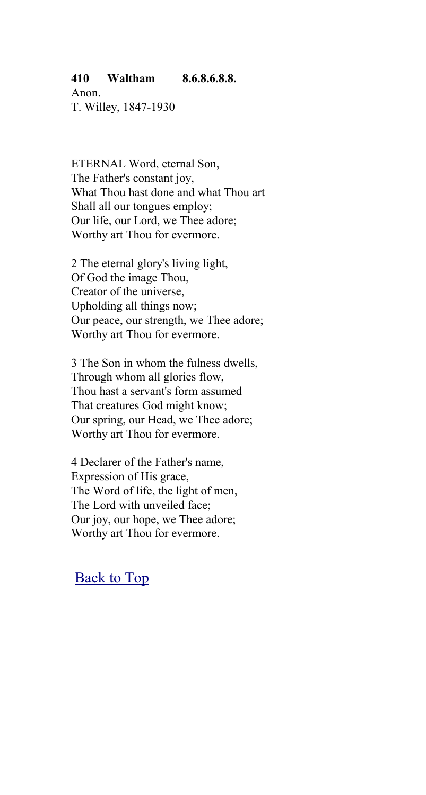#### **410 Waltham 8.6.8.6.8.8.**

Anon. T. Willey, 1847-1930

ETERNAL Word, eternal Son, The Father's constant joy, What Thou hast done and what Thou art Shall all our tongues employ; Our life, our Lord, we Thee adore; Worthy art Thou for evermore.

2 The eternal glory's living light, Of God the image Thou, Creator of the universe, Upholding all things now; Our peace, our strength, we Thee adore; Worthy art Thou for evermore.

3 The Son in whom the fulness dwells, Through whom all glories flow, Thou hast a servant's form assumed That creatures God might know; Our spring, our Head, we Thee adore; Worthy art Thou for evermore.

4 Declarer of the Father's name, Expression of His grace, The Word of life, the light of men, The Lord with unveiled face; Our joy, our hope, we Thee adore; Worthy art Thou for evermore.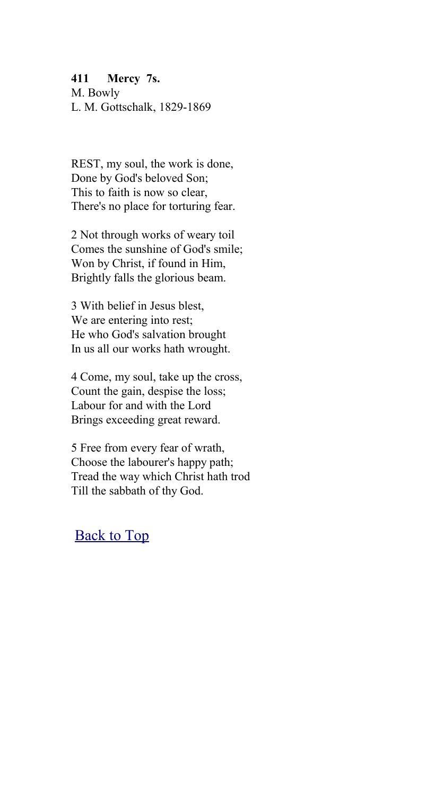#### **411 Mercy 7s.**

M. Bowly L. M. Gottschalk, 1829-1869

REST, my soul, the work is done, Done by God's beloved Son; This to faith is now so clear, There's no place for torturing fear.

2 Not through works of weary toil Comes the sunshine of God's smile; Won by Christ, if found in Him, Brightly falls the glorious beam.

3 With belief in Jesus blest, We are entering into rest; He who God's salvation brought In us all our works hath wrought.

4 Come, my soul, take up the cross, Count the gain, despise the loss; Labour for and with the Lord Brings exceeding great reward.

5 Free from every fear of wrath, Choose the labourer's happy path; Tread the way which Christ hath trod Till the sabbath of thy God.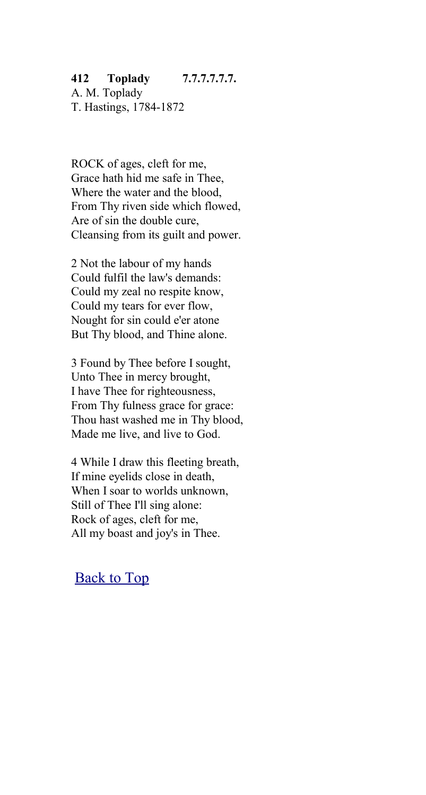## **412 Toplady 7.7.7.7.7.7.**

A. M. Toplady T. Hastings, 1784-1872

ROCK of ages, cleft for me, Grace hath hid me safe in Thee, Where the water and the blood, From Thy riven side which flowed, Are of sin the double cure, Cleansing from its guilt and power.

2 Not the labour of my hands Could fulfil the law's demands: Could my zeal no respite know, Could my tears for ever flow, Nought for sin could e'er atone But Thy blood, and Thine alone.

3 Found by Thee before I sought, Unto Thee in mercy brought, I have Thee for righteousness, From Thy fulness grace for grace: Thou hast washed me in Thy blood, Made me live, and live to God.

4 While I draw this fleeting breath, If mine eyelids close in death, When I soar to worlds unknown, Still of Thee I'll sing alone: Rock of ages, cleft for me, All my boast and joy's in Thee.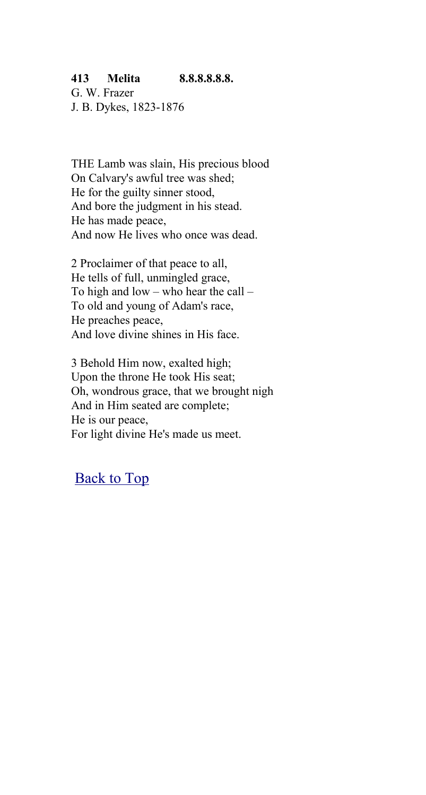## **413 Melita 8.8.8.8.8.8.**

G. W. Frazer J. B. Dykes, 1823-1876

THE Lamb was slain, His precious blood On Calvary's awful tree was shed; He for the guilty sinner stood, And bore the judgment in his stead. He has made peace, And now He lives who once was dead.

2 Proclaimer of that peace to all, He tells of full, unmingled grace, To high and low – who hear the call – To old and young of Adam's race, He preaches peace, And love divine shines in His face.

3 Behold Him now, exalted high; Upon the throne He took His seat; Oh, wondrous grace, that we brought nigh And in Him seated are complete; He is our peace, For light divine He's made us meet.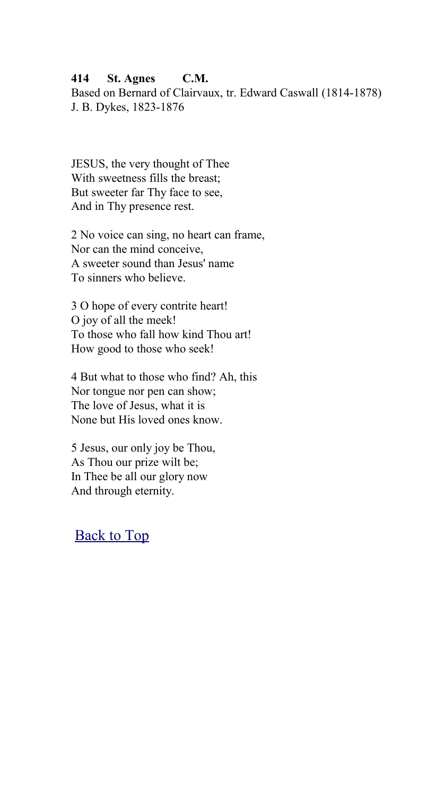#### **414 St. Agnes C.M.**

Based on Bernard of Clairvaux, tr. Edward Caswall (1814-1878) J. B. Dykes, 1823-1876

JESUS, the very thought of Thee With sweetness fills the breast; But sweeter far Thy face to see, And in Thy presence rest.

2 No voice can sing, no heart can frame, Nor can the mind conceive, A sweeter sound than Jesus' name To sinners who believe.

3 O hope of every contrite heart! O joy of all the meek! To those who fall how kind Thou art! How good to those who seek!

4 But what to those who find? Ah, this Nor tongue nor pen can show; The love of Jesus, what it is None but His loved ones know.

5 Jesus, our only joy be Thou, As Thou our prize wilt be; In Thee be all our glory now And through eternity.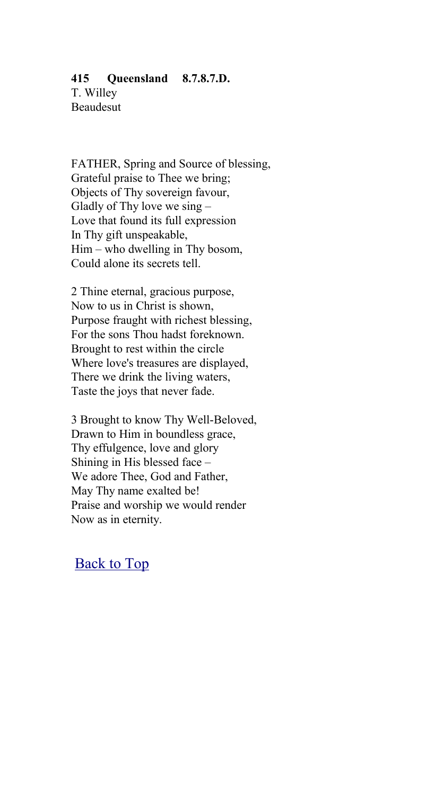#### **415 Queensland 8.7.8.7.D.**

T. Willey Beaudesut

FATHER, Spring and Source of blessing, Grateful praise to Thee we bring; Objects of Thy sovereign favour, Gladly of Thy love we sing – Love that found its full expression In Thy gift unspeakable, Him – who dwelling in Thy bosom, Could alone its secrets tell.

2 Thine eternal, gracious purpose, Now to us in Christ is shown, Purpose fraught with richest blessing, For the sons Thou hadst foreknown. Brought to rest within the circle Where love's treasures are displayed, There we drink the living waters, Taste the joys that never fade.

3 Brought to know Thy Well-Beloved, Drawn to Him in boundless grace, Thy effulgence, love and glory Shining in His blessed face – We adore Thee, God and Father, May Thy name exalted be! Praise and worship we would render Now as in eternity.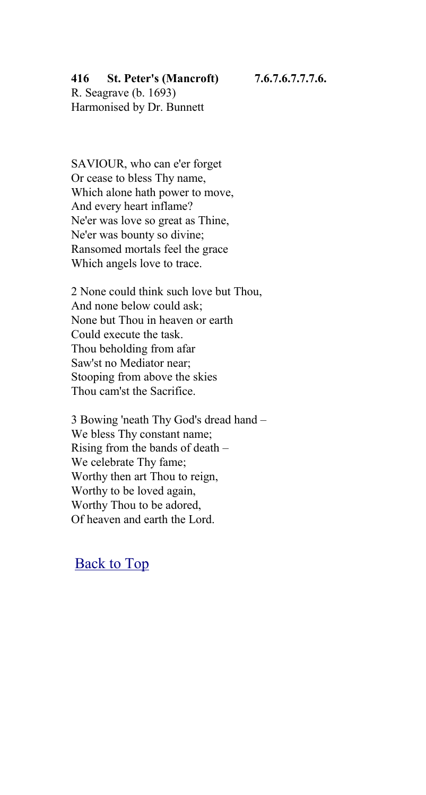## **416 St. Peter's (Mancroft) 7.6.7.6.7.7.7.6.**

R. Seagrave (b. 1693) Harmonised by Dr. Bunnett

SAVIOUR, who can e'er forget Or cease to bless Thy name, Which alone hath power to move, And every heart inflame? Ne'er was love so great as Thine, Ne'er was bounty so divine; Ransomed mortals feel the grace Which angels love to trace.

2 None could think such love but Thou, And none below could ask; None but Thou in heaven or earth Could execute the task. Thou beholding from afar Saw'st no Mediator near; Stooping from above the skies Thou cam'st the Sacrifice.

3 Bowing 'neath Thy God's dread hand – We bless Thy constant name; Rising from the bands of death – We celebrate Thy fame; Worthy then art Thou to reign, Worthy to be loved again, Worthy Thou to be adored, Of heaven and earth the Lord.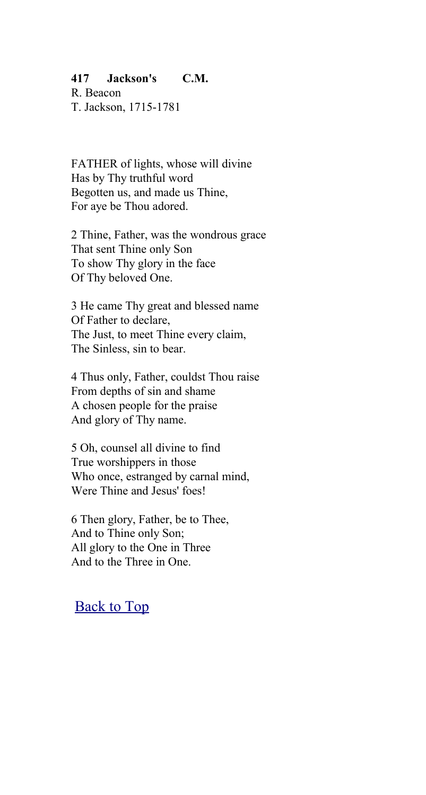#### **417 Jackson's C.M.**

R. Beacon T. Jackson, 1715-1781

FATHER of lights, whose will divine Has by Thy truthful word Begotten us, and made us Thine, For aye be Thou adored.

2 Thine, Father, was the wondrous grace That sent Thine only Son To show Thy glory in the face Of Thy beloved One.

3 He came Thy great and blessed name Of Father to declare, The Just, to meet Thine every claim, The Sinless, sin to bear.

4 Thus only, Father, couldst Thou raise From depths of sin and shame A chosen people for the praise And glory of Thy name.

5 Oh, counsel all divine to find True worshippers in those Who once, estranged by carnal mind, Were Thine and Jesus' foes!

6 Then glory, Father, be to Thee, And to Thine only Son; All glory to the One in Three And to the Three in One.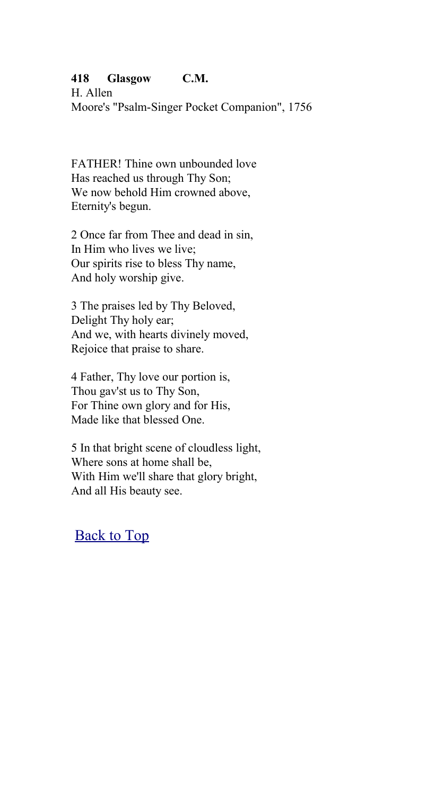## **418 Glasgow C.M.**

H. Allen Moore's "Psalm-Singer Pocket Companion", 1756

FATHER! Thine own unbounded love Has reached us through Thy Son; We now behold Him crowned above. Eternity's begun.

2 Once far from Thee and dead in sin, In Him who lives we live; Our spirits rise to bless Thy name, And holy worship give.

3 The praises led by Thy Beloved, Delight Thy holy ear; And we, with hearts divinely moved, Rejoice that praise to share.

4 Father, Thy love our portion is, Thou gav'st us to Thy Son, For Thine own glory and for His, Made like that blessed One.

5 In that bright scene of cloudless light, Where sons at home shall be, With Him we'll share that glory bright, And all His beauty see.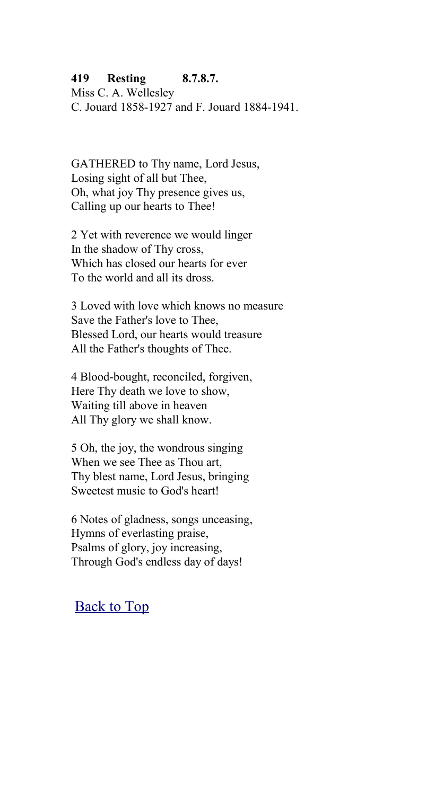## **419 Resting 8.7.8.7.**

Miss C. A. Wellesley C. Jouard 1858-1927 and F. Jouard 1884-1941.

GATHERED to Thy name, Lord Jesus, Losing sight of all but Thee, Oh, what joy Thy presence gives us, Calling up our hearts to Thee!

2 Yet with reverence we would linger In the shadow of Thy cross, Which has closed our hearts for ever To the world and all its dross.

3 Loved with love which knows no measure Save the Father's love to Thee, Blessed Lord, our hearts would treasure All the Father's thoughts of Thee.

4 Blood-bought, reconciled, forgiven, Here Thy death we love to show, Waiting till above in heaven All Thy glory we shall know.

5 Oh, the joy, the wondrous singing When we see Thee as Thou art, Thy blest name, Lord Jesus, bringing Sweetest music to God's heart!

6 Notes of gladness, songs unceasing, Hymns of everlasting praise, Psalms of glory, joy increasing, Through God's endless day of days!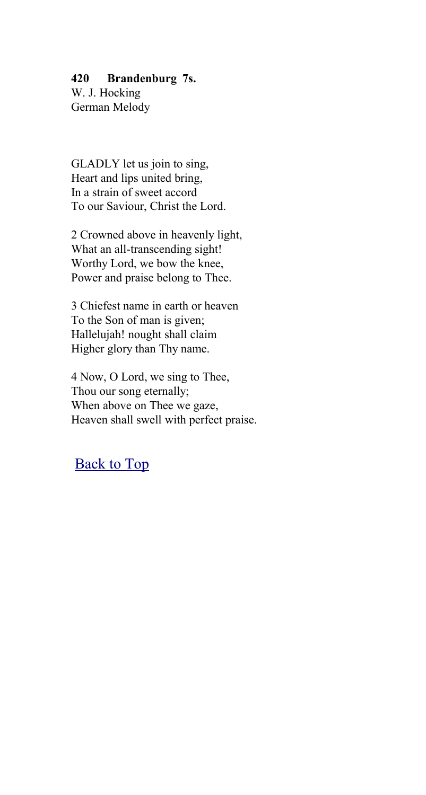## **420 Brandenburg 7s.**

W. J. Hocking German Melody

GLADLY let us join to sing, Heart and lips united bring, In a strain of sweet accord To our Saviour, Christ the Lord.

2 Crowned above in heavenly light, What an all-transcending sight! Worthy Lord, we bow the knee, Power and praise belong to Thee.

3 Chiefest name in earth or heaven To the Son of man is given; Hallelujah! nought shall claim Higher glory than Thy name.

4 Now, O Lord, we sing to Thee, Thou our song eternally; When above on Thee we gaze, Heaven shall swell with perfect praise.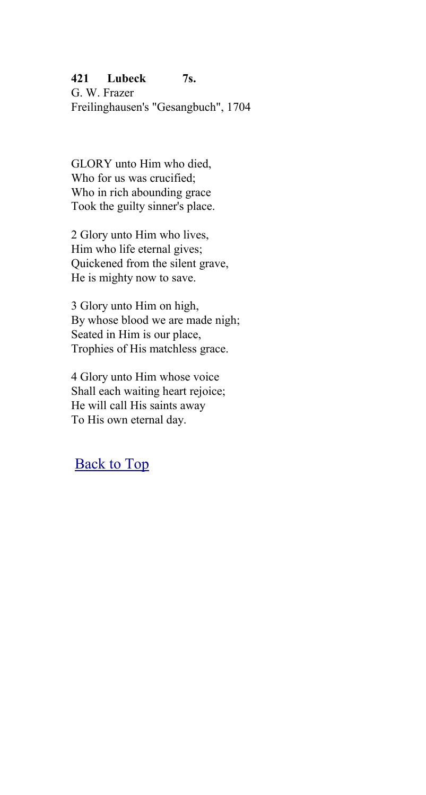## **421 Lubeck 7s.**

G. W. Frazer Freilinghausen's "Gesangbuch", 1704

GLORY unto Him who died, Who for us was crucified; Who in rich abounding grace Took the guilty sinner's place.

2 Glory unto Him who lives, Him who life eternal gives; Quickened from the silent grave, He is mighty now to save.

3 Glory unto Him on high, By whose blood we are made nigh; Seated in Him is our place, Trophies of His matchless grace.

4 Glory unto Him whose voice Shall each waiting heart rejoice; He will call His saints away To His own eternal day.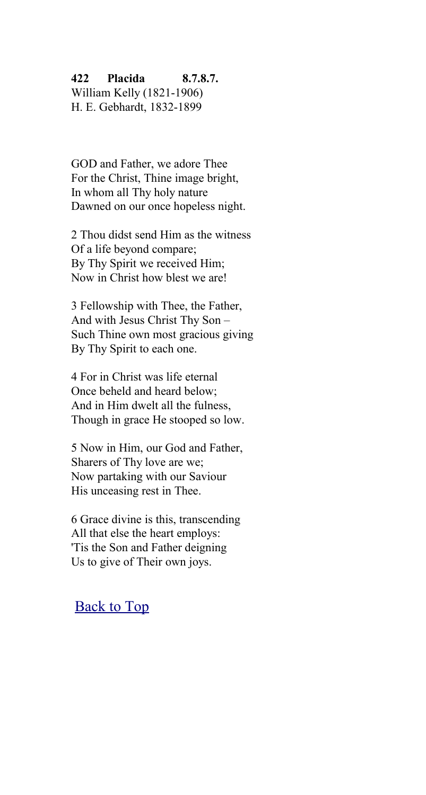#### **422 Placida 8.7.8.7.**

William Kelly (1821-1906) H. E. Gebhardt, 1832-1899

GOD and Father, we adore Thee For the Christ, Thine image bright, In whom all Thy holy nature Dawned on our once hopeless night.

2 Thou didst send Him as the witness Of a life beyond compare; By Thy Spirit we received Him; Now in Christ how blest we are!

3 Fellowship with Thee, the Father, And with Jesus Christ Thy Son – Such Thine own most gracious giving By Thy Spirit to each one.

4 For in Christ was life eternal Once beheld and heard below; And in Him dwelt all the fulness, Though in grace He stooped so low.

5 Now in Him, our God and Father, Sharers of Thy love are we; Now partaking with our Saviour His unceasing rest in Thee.

6 Grace divine is this, transcending All that else the heart employs: 'Tis the Son and Father deigning Us to give of Their own joys.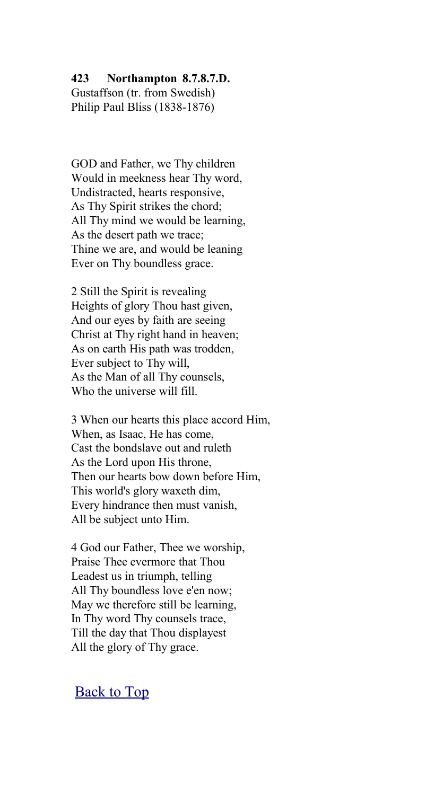**423 Northampton 8.7.8.7.D.**

Gustaffson (tr. from Swedish) Philip Paul Bliss (1838-1876)

GOD and Father, we Thy children Would in meekness hear Thy word, Undistracted, hearts responsive, As Thy Spirit strikes the chord; All Thy mind we would be learning, As the desert path we trace; Thine we are, and would be leaning Ever on Thy boundless grace.

2 Still the Spirit is revealing Heights of glory Thou hast given, And our eyes by faith are seeing Christ at Thy right hand in heaven; As on earth His path was trodden, Ever subject to Thy will, As the Man of all Thy counsels, Who the universe will fill.

3 When our hearts this place accord Him, When, as Isaac, He has come, Cast the bondslave out and ruleth As the Lord upon His throne, Then our hearts bow down before Him, This world's glory waxeth dim, Every hindrance then must vanish, All be subject unto Him.

4 God our Father, Thee we worship, Praise Thee evermore that Thou Leadest us in triumph, telling All Thy boundless love e'en now; May we therefore still be learning, In Thy word Thy counsels trace, Till the day that Thou displayest All the glory of Thy grace.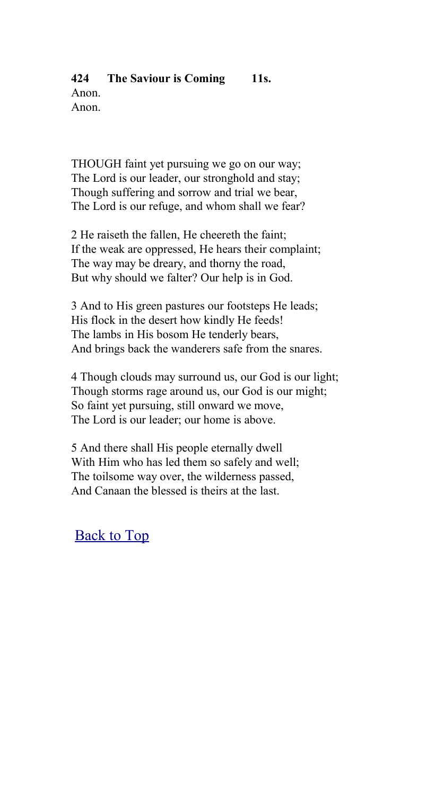#### **424 The Saviour is Coming 11s.** Anon. Anon.

THOUGH faint yet pursuing we go on our way; The Lord is our leader, our stronghold and stay; Though suffering and sorrow and trial we bear, The Lord is our refuge, and whom shall we fear?

2 He raiseth the fallen, He cheereth the faint; If the weak are oppressed, He hears their complaint; The way may be dreary, and thorny the road, But why should we falter? Our help is in God.

3 And to His green pastures our footsteps He leads; His flock in the desert how kindly He feeds! The lambs in His bosom He tenderly bears, And brings back the wanderers safe from the snares.

4 Though clouds may surround us, our God is our light; Though storms rage around us, our God is our might; So faint yet pursuing, still onward we move, The Lord is our leader; our home is above.

5 And there shall His people eternally dwell With Him who has led them so safely and well; The toilsome way over, the wilderness passed, And Canaan the blessed is theirs at the last.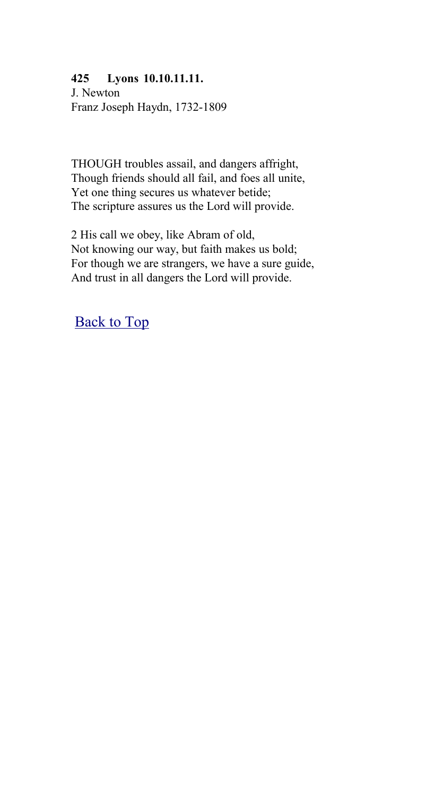### **425 Lyons 10.10.11.11.**

J. Newton Franz Joseph Haydn, 1732-1809

THOUGH troubles assail, and dangers affright, Though friends should all fail, and foes all unite, Yet one thing secures us whatever betide; The scripture assures us the Lord will provide.

2 His call we obey, like Abram of old, Not knowing our way, but faith makes us bold; For though we are strangers, we have a sure guide, And trust in all dangers the Lord will provide.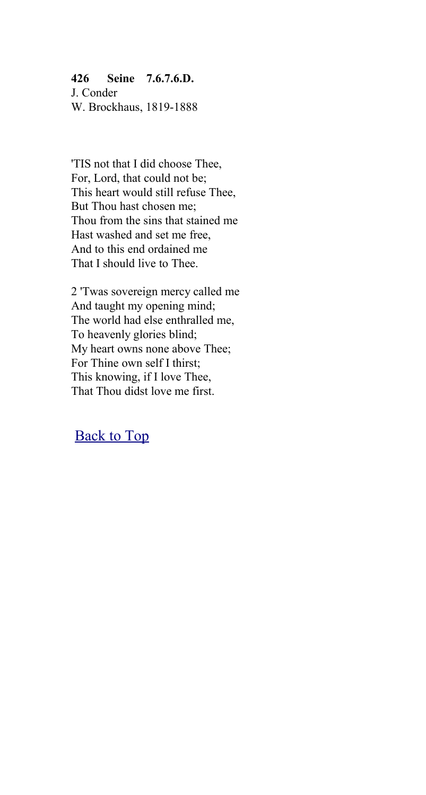### **426 Seine 7.6.7.6.D.**

J. Conder W. Brockhaus, 1819-1888

'TIS not that I did choose Thee, For, Lord, that could not be; This heart would still refuse Thee, But Thou hast chosen me; Thou from the sins that stained me Hast washed and set me free, And to this end ordained me That I should live to Thee.

2 'Twas sovereign mercy called me And taught my opening mind; The world had else enthralled me, To heavenly glories blind; My heart owns none above Thee; For Thine own self I thirst; This knowing, if I love Thee, That Thou didst love me first.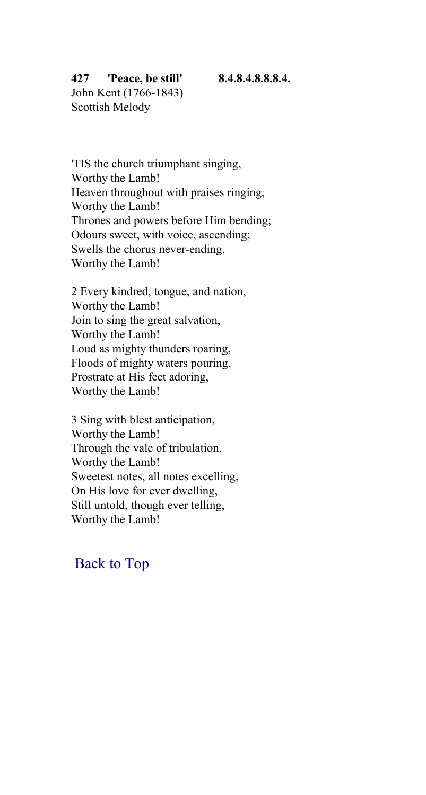#### **427 'Peace, be still' 8.4.8.4.8.8.8.4.**

John Kent (1766-1843) Scottish Melody

'TIS the church triumphant singing, Worthy the Lamb! Heaven throughout with praises ringing, Worthy the Lamb! Thrones and powers before Him bending; Odours sweet, with voice, ascending; Swells the chorus never-ending, Worthy the Lamb!

2 Every kindred, tongue, and nation, Worthy the Lamb! Join to sing the great salvation, Worthy the Lamb! Loud as mighty thunders roaring, Floods of mighty waters pouring, Prostrate at His feet adoring, Worthy the Lamb!

3 Sing with blest anticipation, Worthy the Lamb! Through the vale of tribulation, Worthy the Lamb! Sweetest notes, all notes excelling, On His love for ever dwelling, Still untold, though ever telling, Worthy the Lamb!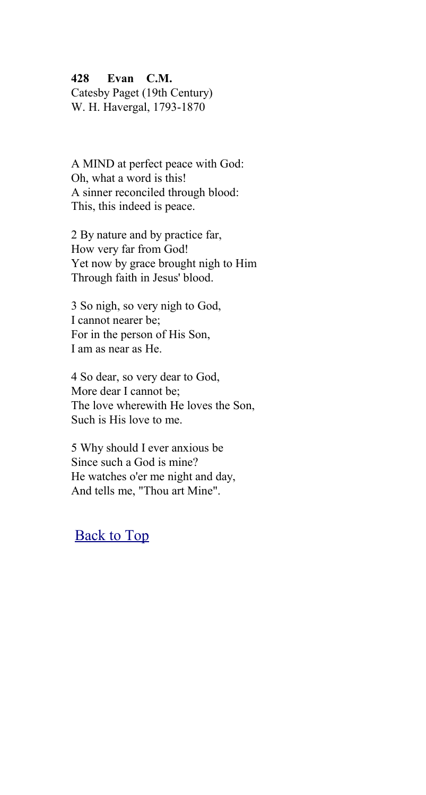#### **428 Evan C.M.**

Catesby Paget (19th Century) W. H. Havergal, 1793-1870

A MIND at perfect peace with God: Oh, what a word is this! A sinner reconciled through blood: This, this indeed is peace.

2 By nature and by practice far, How very far from God! Yet now by grace brought nigh to Him Through faith in Jesus' blood.

3 So nigh, so very nigh to God, I cannot nearer be; For in the person of His Son, I am as near as He.

4 So dear, so very dear to God, More dear I cannot be; The love wherewith He loves the Son, Such is His love to me.

5 Why should I ever anxious be Since such a God is mine? He watches o'er me night and day, And tells me, "Thou art Mine".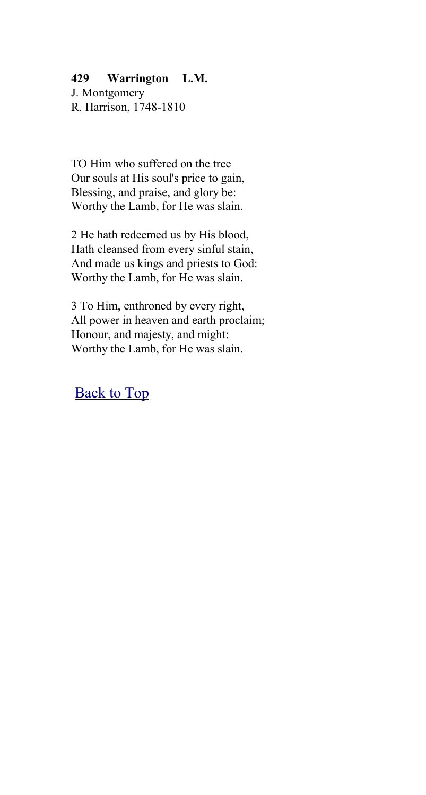#### **429 Warrington L.M.**

J. Montgomery R. Harrison, 1748-1810

TO Him who suffered on the tree Our souls at His soul's price to gain, Blessing, and praise, and glory be: Worthy the Lamb, for He was slain.

2 He hath redeemed us by His blood, Hath cleansed from every sinful stain, And made us kings and priests to God: Worthy the Lamb, for He was slain.

3 To Him, enthroned by every right, All power in heaven and earth proclaim; Honour, and majesty, and might: Worthy the Lamb, for He was slain.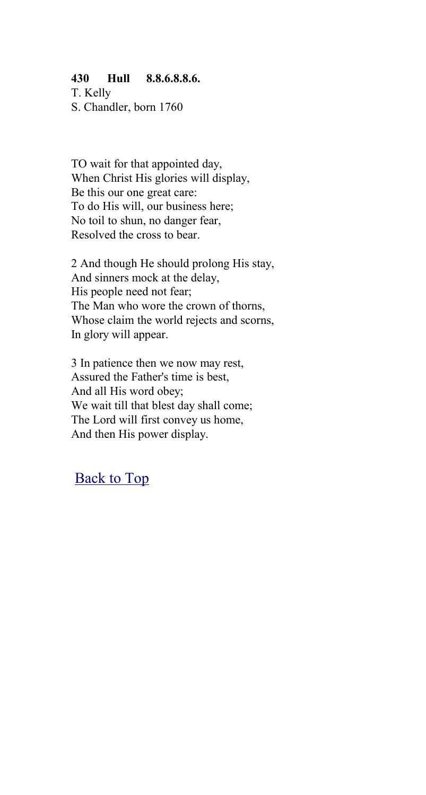#### **430 Hull 8.8.6.8.8.6.**

T. Kelly S. Chandler, born 1760

TO wait for that appointed day, When Christ His glories will display, Be this our one great care: To do His will, our business here; No toil to shun, no danger fear, Resolved the cross to bear.

2 And though He should prolong His stay, And sinners mock at the delay, His people need not fear; The Man who wore the crown of thorns, Whose claim the world rejects and scorns, In glory will appear.

3 In patience then we now may rest, Assured the Father's time is best, And all His word obey; We wait till that blest day shall come; The Lord will first convey us home, And then His power display.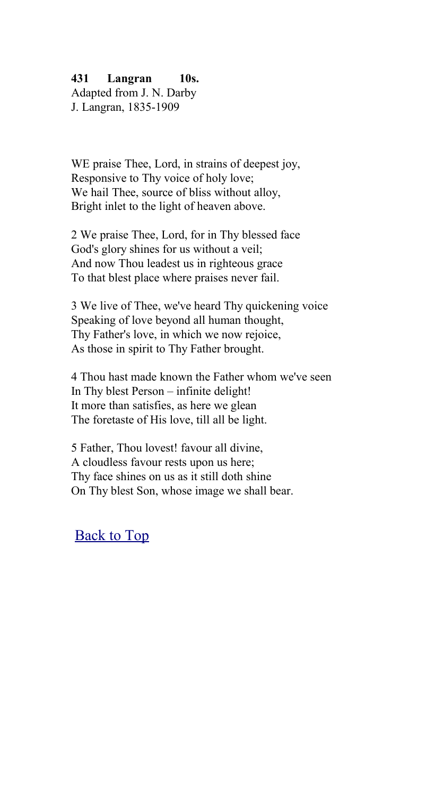### **431 Langran 10s.**

Adapted from J. N. Darby J. Langran, 1835-1909

WE praise Thee, Lord, in strains of deepest joy, Responsive to Thy voice of holy love; We hail Thee, source of bliss without alloy. Bright inlet to the light of heaven above.

2 We praise Thee, Lord, for in Thy blessed face God's glory shines for us without a veil; And now Thou leadest us in righteous grace To that blest place where praises never fail.

3 We live of Thee, we've heard Thy quickening voice Speaking of love beyond all human thought, Thy Father's love, in which we now rejoice, As those in spirit to Thy Father brought.

4 Thou hast made known the Father whom we've seen In Thy blest Person – infinite delight! It more than satisfies, as here we glean The foretaste of His love, till all be light.

5 Father, Thou lovest! favour all divine, A cloudless favour rests upon us here; Thy face shines on us as it still doth shine On Thy blest Son, whose image we shall bear.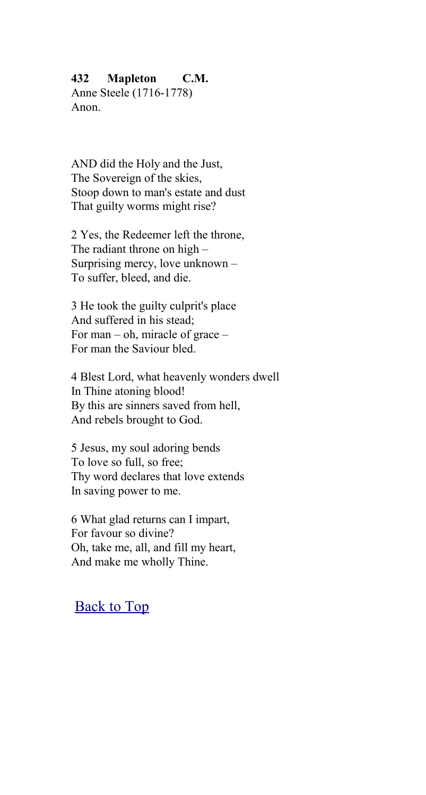#### **432 Mapleton C.M.**

Anne Steele (1716-1778) Anon.

AND did the Holy and the Just, The Sovereign of the skies, Stoop down to man's estate and dust That guilty worms might rise?

2 Yes, the Redeemer left the throne, The radiant throne on high – Surprising mercy, love unknown – To suffer, bleed, and die.

3 He took the guilty culprit's place And suffered in his stead; For man – oh, miracle of grace – For man the Saviour bled.

4 Blest Lord, what heavenly wonders dwell In Thine atoning blood! By this are sinners saved from hell, And rebels brought to God.

5 Jesus, my soul adoring bends To love so full, so free; Thy word declares that love extends In saving power to me.

6 What glad returns can I impart, For favour so divine? Oh, take me, all, and fill my heart, And make me wholly Thine.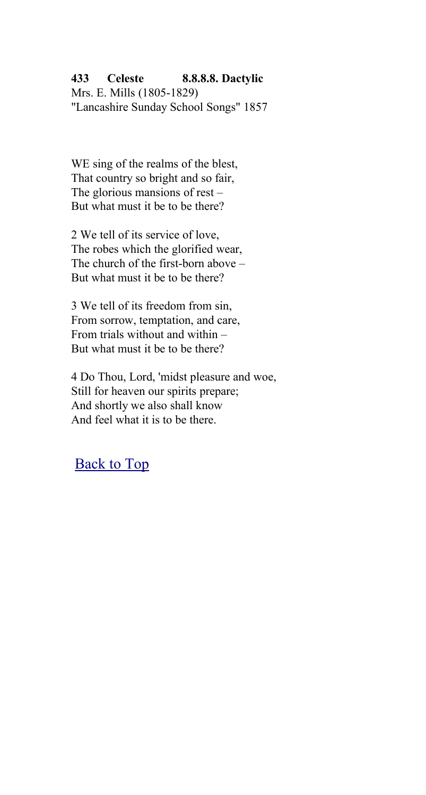#### **433 Celeste 8.8.8.8. Dactylic**

Mrs. E. Mills (1805-1829) "Lancashire Sunday School Songs" 1857

WE sing of the realms of the blest, That country so bright and so fair, The glorious mansions of rest – But what must it be to be there?

2 We tell of its service of love, The robes which the glorified wear, The church of the first-born above – But what must it be to be there?

3 We tell of its freedom from sin, From sorrow, temptation, and care, From trials without and within – But what must it be to be there?

4 Do Thou, Lord, 'midst pleasure and woe, Still for heaven our spirits prepare; And shortly we also shall know And feel what it is to be there.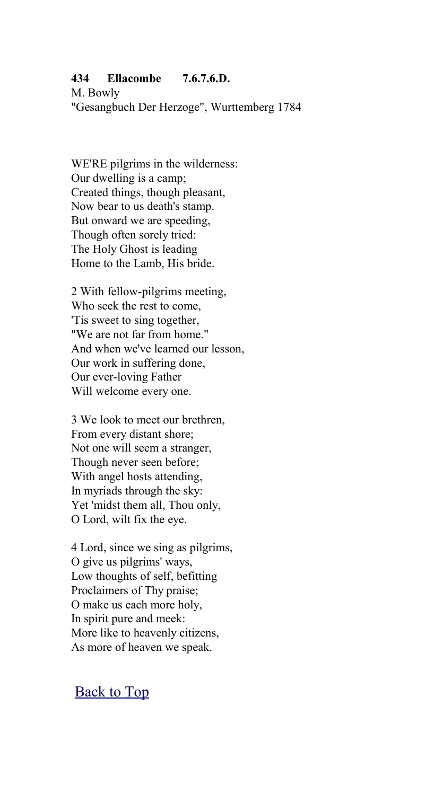#### **434 Ellacombe 7.6.7.6.D.**

M. Bowly "Gesangbuch Der Herzoge", Wurttemberg 1784

WE'RE pilgrims in the wilderness: Our dwelling is a camp; Created things, though pleasant, Now bear to us death's stamp. But onward we are speeding, Though often sorely tried: The Holy Ghost is leading Home to the Lamb, His bride.

2 With fellow-pilgrims meeting, Who seek the rest to come, 'Tis sweet to sing together, "We are not far from home." And when we've learned our lesson, Our work in suffering done, Our ever-loving Father Will welcome every one.

3 We look to meet our brethren, From every distant shore; Not one will seem a stranger, Though never seen before; With angel hosts attending, In myriads through the sky: Yet 'midst them all, Thou only, O Lord, wilt fix the eye.

4 Lord, since we sing as pilgrims, O give us pilgrims' ways, Low thoughts of self, befitting Proclaimers of Thy praise; O make us each more holy, In spirit pure and meek: More like to heavenly citizens, As more of heaven we speak.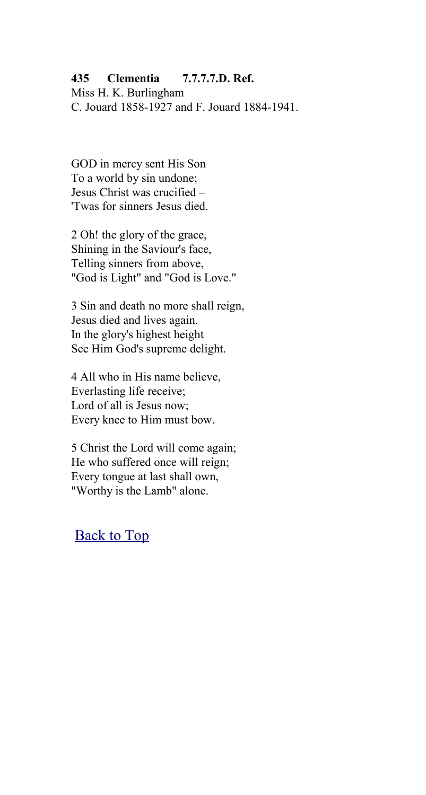#### **435 Clementia 7.7.7.7.D. Ref.**

Miss H. K. Burlingham C. Jouard 1858-1927 and F. Jouard 1884-1941.

GOD in mercy sent His Son To a world by sin undone; Jesus Christ was crucified – 'Twas for sinners Jesus died.

2 Oh! the glory of the grace, Shining in the Saviour's face, Telling sinners from above, "God is Light" and "God is Love."

3 Sin and death no more shall reign, Jesus died and lives again. In the glory's highest height See Him God's supreme delight.

4 All who in His name believe, Everlasting life receive; Lord of all is Jesus now; Every knee to Him must bow.

5 Christ the Lord will come again; He who suffered once will reign; Every tongue at last shall own, "Worthy is the Lamb" alone.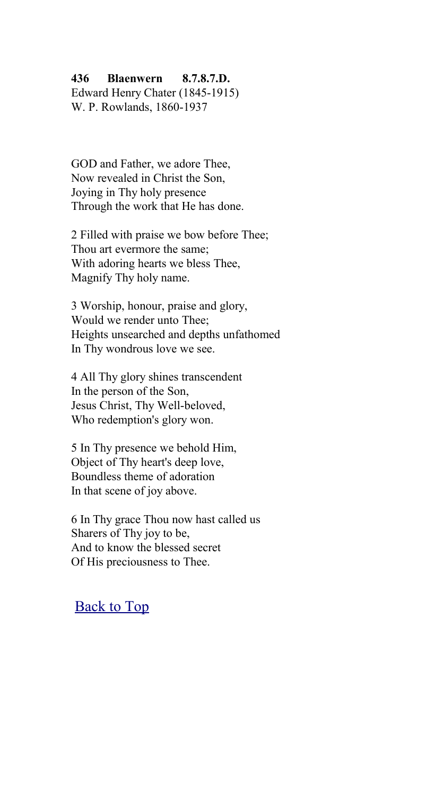#### **436 Blaenwern 8.7.8.7.D.**

Edward Henry Chater (1845-1915) W. P. Rowlands, 1860-1937

GOD and Father, we adore Thee, Now revealed in Christ the Son, Joying in Thy holy presence Through the work that He has done.

2 Filled with praise we bow before Thee; Thou art evermore the same; With adoring hearts we bless Thee, Magnify Thy holy name.

3 Worship, honour, praise and glory, Would we render unto Thee; Heights unsearched and depths unfathomed In Thy wondrous love we see.

4 All Thy glory shines transcendent In the person of the Son, Jesus Christ, Thy Well-beloved, Who redemption's glory won.

5 In Thy presence we behold Him, Object of Thy heart's deep love, Boundless theme of adoration In that scene of joy above.

6 In Thy grace Thou now hast called us Sharers of Thy joy to be, And to know the blessed secret Of His preciousness to Thee.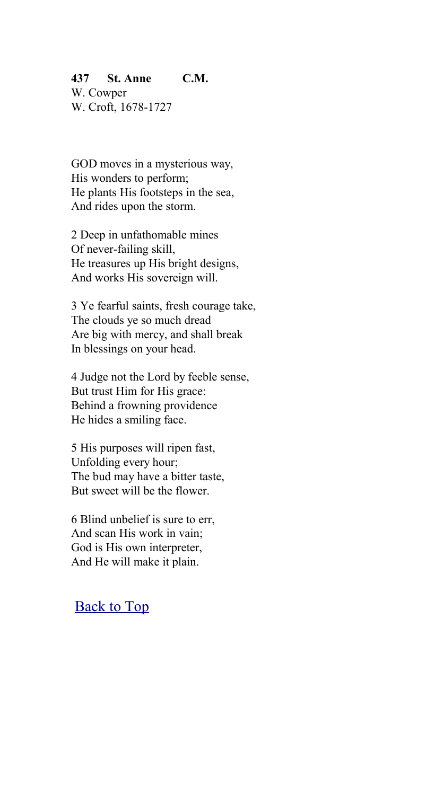## **437 St. Anne C.M.**

W. Cowper W. Croft, 1678-1727

GOD moves in a mysterious way, His wonders to perform; He plants His footsteps in the sea, And rides upon the storm.

2 Deep in unfathomable mines Of never-failing skill, He treasures up His bright designs, And works His sovereign will.

3 Ye fearful saints, fresh courage take, The clouds ye so much dread Are big with mercy, and shall break In blessings on your head.

4 Judge not the Lord by feeble sense, But trust Him for His grace: Behind a frowning providence He hides a smiling face.

5 His purposes will ripen fast, Unfolding every hour; The bud may have a bitter taste, But sweet will be the flower.

6 Blind unbelief is sure to err, And scan His work in vain; God is His own interpreter, And He will make it plain.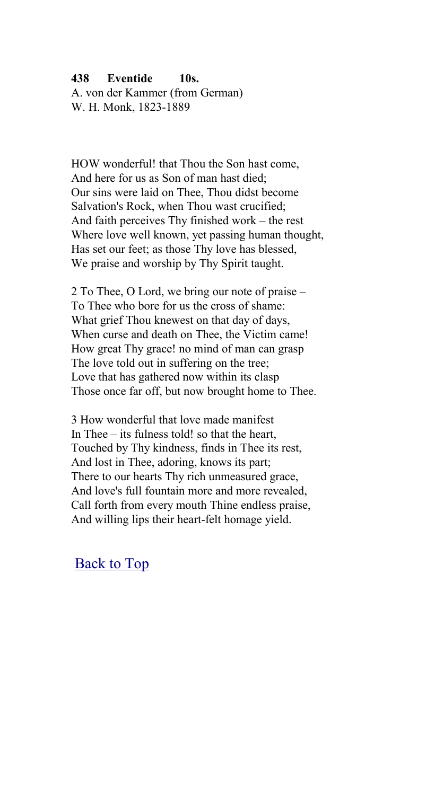### **438 Eventide 10s.**

A. von der Kammer (from German) W. H. Monk, 1823-1889

HOW wonderful! that Thou the Son hast come, And here for us as Son of man hast died; Our sins were laid on Thee, Thou didst become Salvation's Rock, when Thou wast crucified; And faith perceives Thy finished work – the rest Where love well known, yet passing human thought, Has set our feet; as those Thy love has blessed, We praise and worship by Thy Spirit taught.

2 To Thee, O Lord, we bring our note of praise – To Thee who bore for us the cross of shame: What grief Thou knewest on that day of days, When curse and death on Thee, the Victim came! How great Thy grace! no mind of man can grasp The love told out in suffering on the tree; Love that has gathered now within its clasp Those once far off, but now brought home to Thee.

3 How wonderful that love made manifest In Thee – its fulness told! so that the heart, Touched by Thy kindness, finds in Thee its rest, And lost in Thee, adoring, knows its part; There to our hearts Thy rich unmeasured grace, And love's full fountain more and more revealed, Call forth from every mouth Thine endless praise, And willing lips their heart-felt homage yield.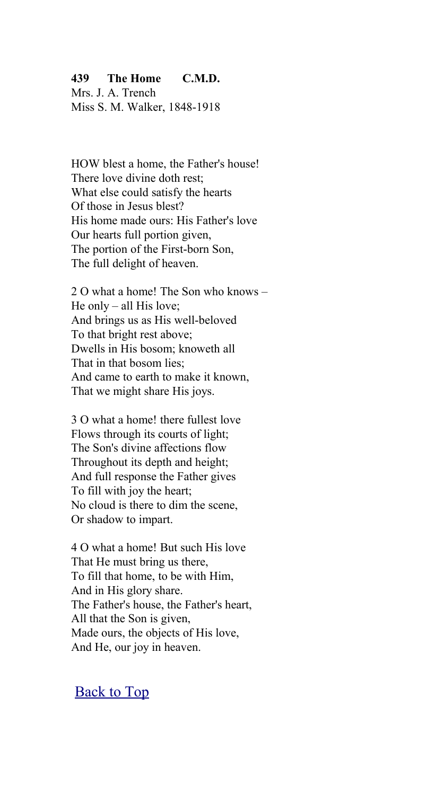#### **439 The Home C.M.D.**

Mrs. J. A. Trench Miss S. M. Walker, 1848-1918

HOW blest a home, the Father's house! There love divine doth rest: What else could satisfy the hearts Of those in Jesus blest? His home made ours: His Father's love Our hearts full portion given, The portion of the First-born Son, The full delight of heaven.

2 O what a home! The Son who knows – He only – all His love; And brings us as His well-beloved To that bright rest above; Dwells in His bosom; knoweth all That in that bosom lies; And came to earth to make it known, That we might share His joys.

3 O what a home! there fullest love Flows through its courts of light; The Son's divine affections flow Throughout its depth and height; And full response the Father gives To fill with joy the heart; No cloud is there to dim the scene, Or shadow to impart.

4 O what a home! But such His love That He must bring us there, To fill that home, to be with Him, And in His glory share. The Father's house, the Father's heart, All that the Son is given, Made ours, the objects of His love, And He, our joy in heaven.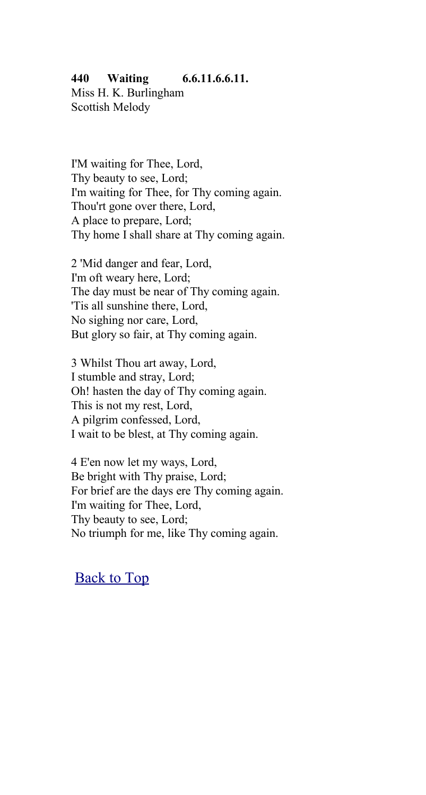#### **440 Waiting 6.6.11.6.6.11.**

Miss H. K. Burlingham Scottish Melody

I'M waiting for Thee, Lord, Thy beauty to see, Lord; I'm waiting for Thee, for Thy coming again. Thou'rt gone over there, Lord, A place to prepare, Lord; Thy home I shall share at Thy coming again.

2 'Mid danger and fear, Lord, I'm oft weary here, Lord; The day must be near of Thy coming again. 'Tis all sunshine there, Lord, No sighing nor care, Lord, But glory so fair, at Thy coming again.

3 Whilst Thou art away, Lord, I stumble and stray, Lord; Oh! hasten the day of Thy coming again. This is not my rest, Lord, A pilgrim confessed, Lord, I wait to be blest, at Thy coming again.

4 E'en now let my ways, Lord, Be bright with Thy praise, Lord; For brief are the days ere Thy coming again. I'm waiting for Thee, Lord, Thy beauty to see, Lord; No triumph for me, like Thy coming again.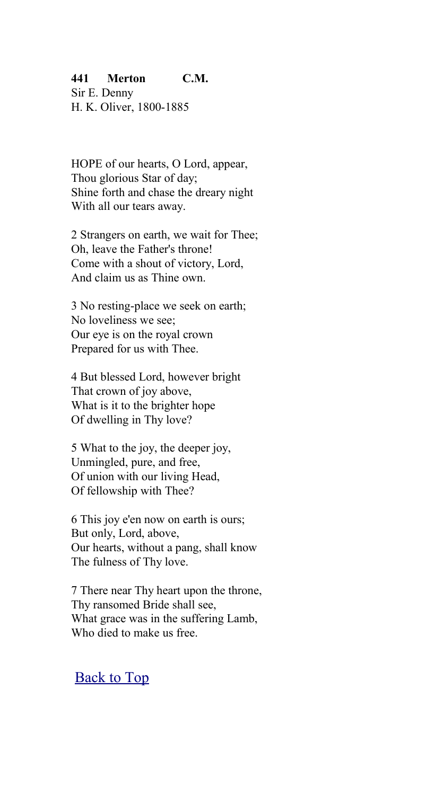#### **441 Merton C.M.**

Sir E. Denny H. K. Oliver, 1800-1885

HOPE of our hearts, O Lord, appear, Thou glorious Star of day; Shine forth and chase the dreary night With all our tears away.

2 Strangers on earth, we wait for Thee; Oh, leave the Father's throne! Come with a shout of victory, Lord, And claim us as Thine own.

3 No resting-place we seek on earth; No loveliness we see; Our eye is on the royal crown Prepared for us with Thee.

4 But blessed Lord, however bright That crown of joy above, What is it to the brighter hope Of dwelling in Thy love?

5 What to the joy, the deeper joy, Unmingled, pure, and free, Of union with our living Head, Of fellowship with Thee?

6 This joy e'en now on earth is ours; But only, Lord, above, Our hearts, without a pang, shall know The fulness of Thy love.

7 There near Thy heart upon the throne, Thy ransomed Bride shall see, What grace was in the suffering Lamb, Who died to make us free.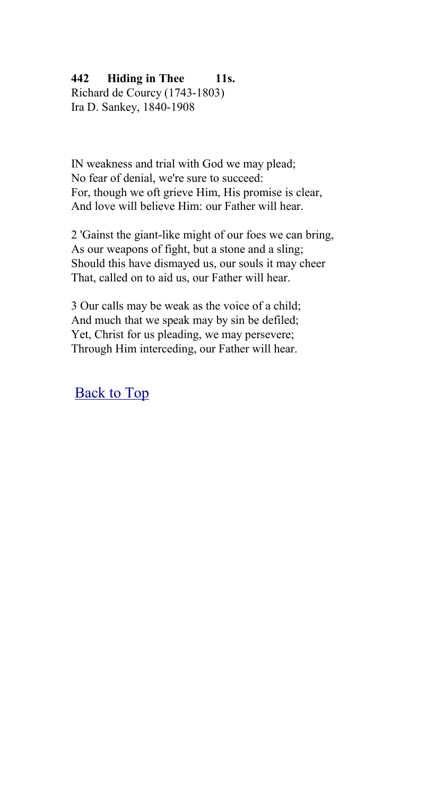# **442 Hiding in Thee 11s.**

Richard de Courcy (1743-1803) Ira D. Sankey, 1840-1908

IN weakness and trial with God we may plead; No fear of denial, we're sure to succeed: For, though we oft grieve Him, His promise is clear, And love will believe Him: our Father will hear.

2 'Gainst the giant-like might of our foes we can bring, As our weapons of fight, but a stone and a sling; Should this have dismayed us, our souls it may cheer That, called on to aid us, our Father will hear.

3 Our calls may be weak as the voice of a child; And much that we speak may by sin be defiled; Yet, Christ for us pleading, we may persevere; Through Him interceding, our Father will hear.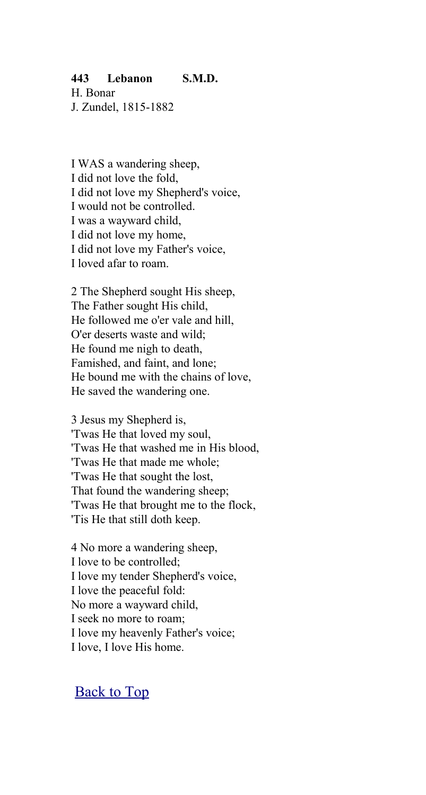#### **443 Lebanon S.M.D.**

H. Bonar J. Zundel, 1815-1882

I WAS a wandering sheep, I did not love the fold, I did not love my Shepherd's voice, I would not be controlled. I was a wayward child, I did not love my home, I did not love my Father's voice, I loved afar to roam.

2 The Shepherd sought His sheep, The Father sought His child, He followed me o'er vale and hill, O'er deserts waste and wild; He found me nigh to death, Famished, and faint, and lone; He bound me with the chains of love, He saved the wandering one.

3 Jesus my Shepherd is, 'Twas He that loved my soul, 'Twas He that washed me in His blood, 'Twas He that made me whole; 'Twas He that sought the lost, That found the wandering sheep; 'Twas He that brought me to the flock, 'Tis He that still doth keep.

4 No more a wandering sheep, I love to be controlled; I love my tender Shepherd's voice, I love the peaceful fold: No more a wayward child, I seek no more to roam; I love my heavenly Father's voice; I love, I love His home.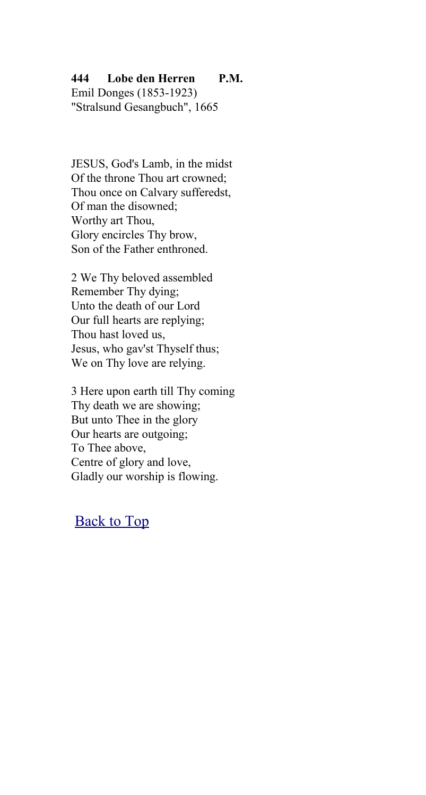#### **444 Lobe den Herren P.M.**

Emil Donges (1853-1923) "Stralsund Gesangbuch", 1665

JESUS, God's Lamb, in the midst Of the throne Thou art crowned<sup>.</sup> Thou once on Calvary sufferedst, Of man the disowned; Worthy art Thou, Glory encircles Thy brow, Son of the Father enthroned.

2 We Thy beloved assembled Remember Thy dying; Unto the death of our Lord Our full hearts are replying; Thou hast loved us, Jesus, who gav'st Thyself thus; We on Thy love are relying.

3 Here upon earth till Thy coming Thy death we are showing; But unto Thee in the glory Our hearts are outgoing; To Thee above, Centre of glory and love, Gladly our worship is flowing.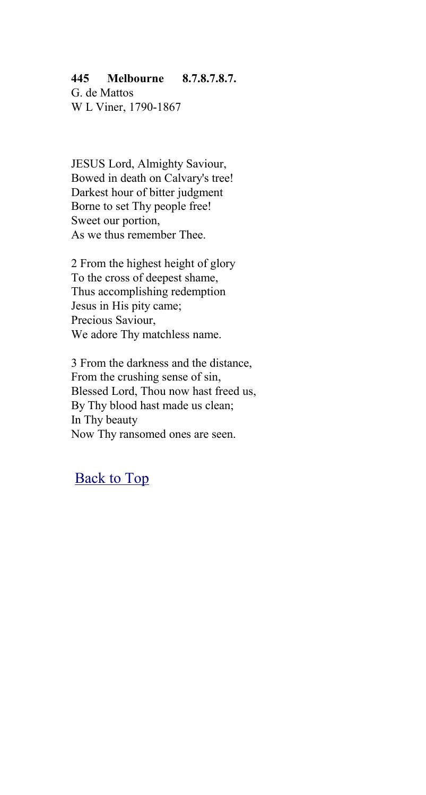#### **445 Melbourne 8.7.8.7.8.7.**

G. de Mattos W L Viner, 1790-1867

JESUS Lord, Almighty Saviour, Bowed in death on Calvary's tree! Darkest hour of bitter judgment Borne to set Thy people free! Sweet our portion, As we thus remember Thee.

2 From the highest height of glory To the cross of deepest shame, Thus accomplishing redemption Jesus in His pity came; Precious Saviour, We adore Thy matchless name.

3 From the darkness and the distance, From the crushing sense of sin, Blessed Lord, Thou now hast freed us, By Thy blood hast made us clean; In Thy beauty Now Thy ransomed ones are seen.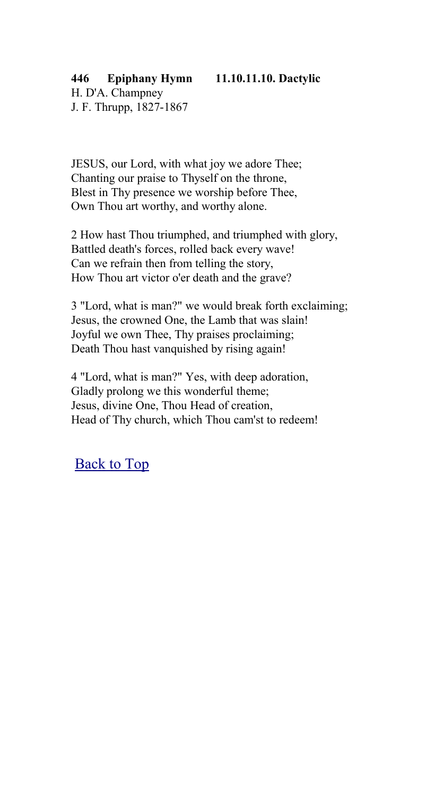# **446 Epiphany Hymn 11.10.11.10. Dactylic**

H. D'A. Champney J. F. Thrupp, 1827-1867

JESUS, our Lord, with what joy we adore Thee; Chanting our praise to Thyself on the throne, Blest in Thy presence we worship before Thee, Own Thou art worthy, and worthy alone.

2 How hast Thou triumphed, and triumphed with glory, Battled death's forces, rolled back every wave! Can we refrain then from telling the story, How Thou art victor o'er death and the grave?

3 "Lord, what is man?" we would break forth exclaiming; Jesus, the crowned One, the Lamb that was slain! Joyful we own Thee, Thy praises proclaiming; Death Thou hast vanquished by rising again!

4 "Lord, what is man?" Yes, with deep adoration, Gladly prolong we this wonderful theme; Jesus, divine One, Thou Head of creation, Head of Thy church, which Thou cam'st to redeem!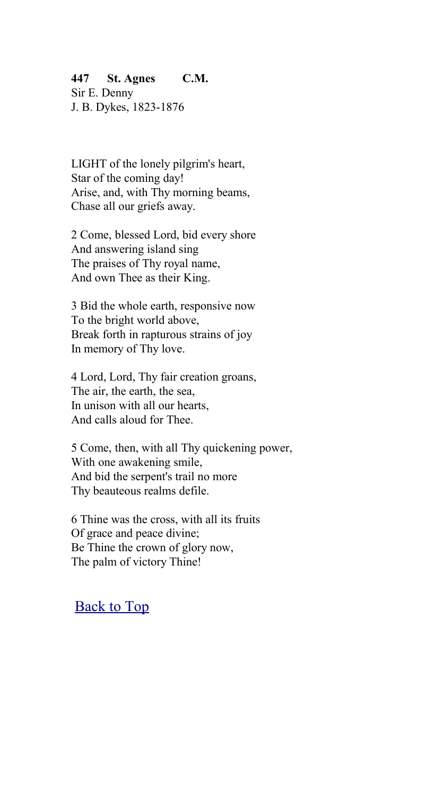#### **447 St. Agnes C.M.**

Sir E. Denny J. B. Dykes, 1823-1876

LIGHT of the lonely pilgrim's heart, Star of the coming day! Arise, and, with Thy morning beams, Chase all our griefs away.

2 Come, blessed Lord, bid every shore And answering island sing The praises of Thy royal name, And own Thee as their King.

3 Bid the whole earth, responsive now To the bright world above, Break forth in rapturous strains of joy In memory of Thy love.

4 Lord, Lord, Thy fair creation groans, The air, the earth, the sea, In unison with all our hearts, And calls aloud for Thee.

5 Come, then, with all Thy quickening power, With one awakening smile, And bid the serpent's trail no more Thy beauteous realms defile.

6 Thine was the cross, with all its fruits Of grace and peace divine; Be Thine the crown of glory now, The palm of victory Thine!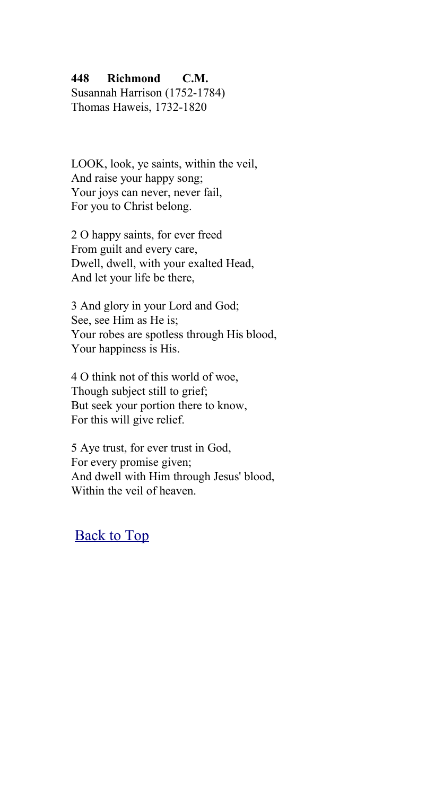#### **448 Richmond C.M.**

Susannah Harrison (1752-1784) Thomas Haweis, 1732-1820

LOOK, look, ye saints, within the veil, And raise your happy song; Your joys can never, never fail, For you to Christ belong.

2 O happy saints, for ever freed From guilt and every care, Dwell, dwell, with your exalted Head, And let your life be there,

3 And glory in your Lord and God; See, see Him as He is; Your robes are spotless through His blood, Your happiness is His.

4 O think not of this world of woe, Though subject still to grief; But seek your portion there to know, For this will give relief.

5 Aye trust, for ever trust in God, For every promise given; And dwell with Him through Jesus' blood, Within the veil of heaven.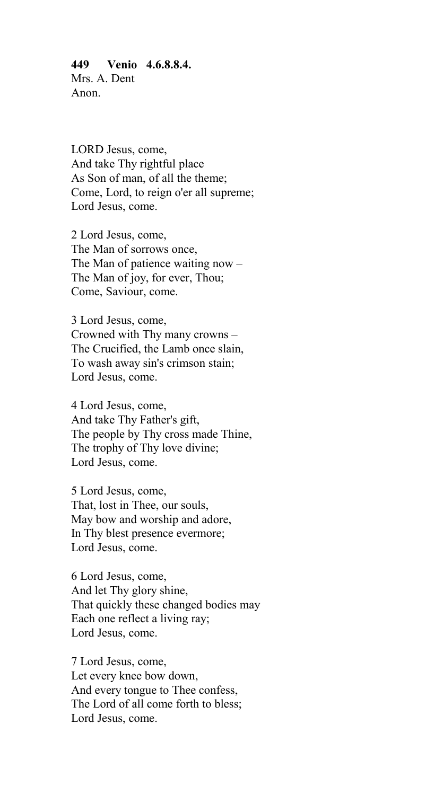**449 Venio 4.6.8.8.4.** Mrs. A. Dent Anon.

LORD Jesus, come, And take Thy rightful place As Son of man, of all the theme; Come, Lord, to reign o'er all supreme; Lord Jesus, come.

2 Lord Jesus, come, The Man of sorrows once, The Man of patience waiting now – The Man of joy, for ever, Thou; Come, Saviour, come.

3 Lord Jesus, come, Crowned with Thy many crowns – The Crucified, the Lamb once slain, To wash away sin's crimson stain; Lord Jesus, come.

4 Lord Jesus, come, And take Thy Father's gift, The people by Thy cross made Thine, The trophy of Thy love divine; Lord Jesus, come.

5 Lord Jesus, come, That, lost in Thee, our souls, May bow and worship and adore, In Thy blest presence evermore; Lord Jesus, come.

6 Lord Jesus, come, And let Thy glory shine, That quickly these changed bodies may Each one reflect a living ray; Lord Jesus, come.

7 Lord Jesus, come, Let every knee bow down, And every tongue to Thee confess, The Lord of all come forth to bless; Lord Jesus, come.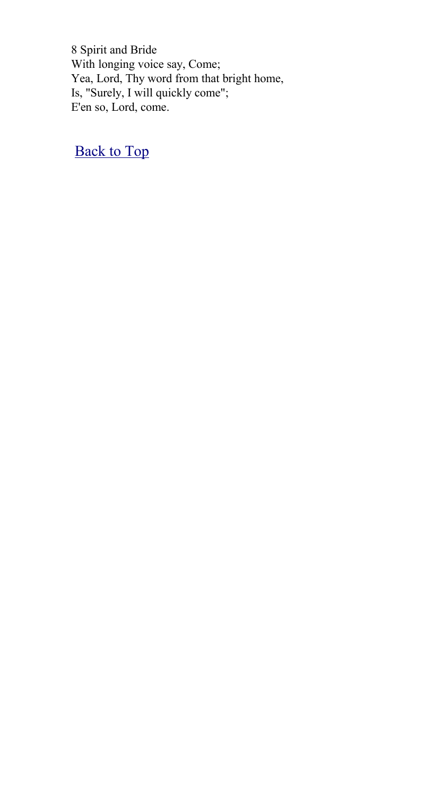8 Spirit and Bride With longing voice say, Come; Yea, Lord, Thy word from that bright home, Is, "Surely, I will quickly come"; E'en so, Lord, come.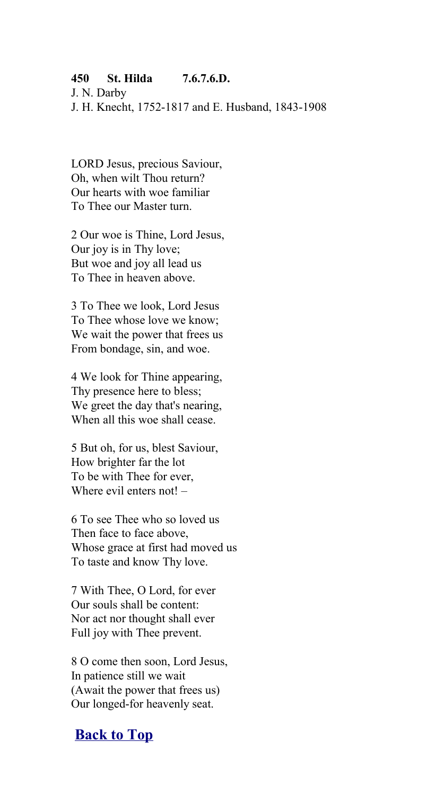#### **450 St. Hilda 7.6.7.6.D.**

J. N. Darby

J. H. Knecht, 1752-1817 and E. Husband, 1843-1908

LORD Jesus, precious Saviour, Oh, when wilt Thou return? Our hearts with woe familiar To Thee our Master turn.

2 Our woe is Thine, Lord Jesus, Our joy is in Thy love; But woe and joy all lead us To Thee in heaven above.

3 To Thee we look, Lord Jesus To Thee whose love we know; We wait the power that frees us From bondage, sin, and woe.

4 We look for Thine appearing, Thy presence here to bless; We greet the day that's nearing, When all this woe shall cease.

5 But oh, for us, blest Saviour, How brighter far the lot To be with Thee for ever, Where evil enters not! -

6 To see Thee who so loved us Then face to face above, Whose grace at first had moved us To taste and know Thy love.

7 With Thee, O Lord, for ever Our souls shall be content: Nor act nor thought shall ever Full joy with Thee prevent.

8 O come then soon, Lord Jesus, In patience still we wait (Await the power that frees us) Our longed-for heavenly seat.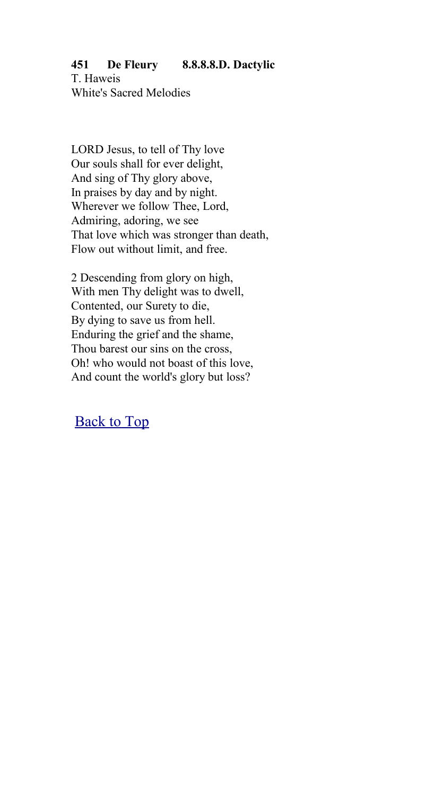**451 De Fleury 8.8.8.8.D. Dactylic** T. Haweis White's Sacred Melodies

LORD Jesus, to tell of Thy love Our souls shall for ever delight, And sing of Thy glory above, In praises by day and by night. Wherever we follow Thee, Lord, Admiring, adoring, we see That love which was stronger than death, Flow out without limit, and free.

2 Descending from glory on high, With men Thy delight was to dwell, Contented, our Surety to die, By dying to save us from hell. Enduring the grief and the shame, Thou barest our sins on the cross, Oh! who would not boast of this love, And count the world's glory but loss?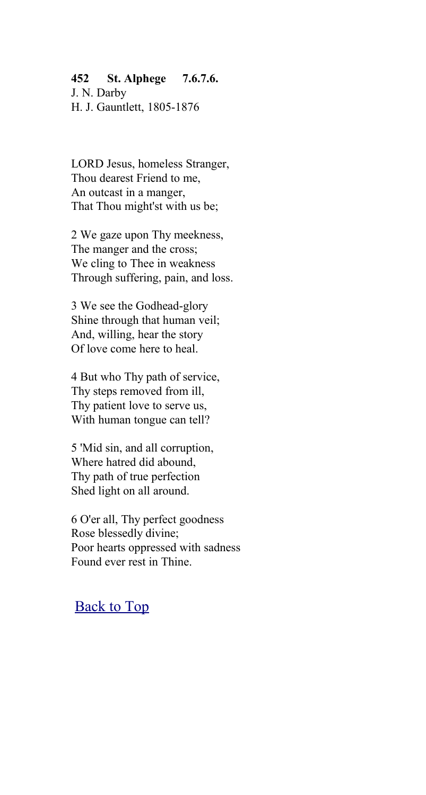#### **452 St. Alphege 7.6.7.6.**

J. N. Darby H. J. Gauntlett, 1805-1876

LORD Jesus, homeless Stranger, Thou dearest Friend to me, An outcast in a manger, That Thou might'st with us be;

2 We gaze upon Thy meekness, The manger and the cross; We cling to Thee in weakness Through suffering, pain, and loss.

3 We see the Godhead-glory Shine through that human veil; And, willing, hear the story Of love come here to heal.

4 But who Thy path of service, Thy steps removed from ill, Thy patient love to serve us, With human tongue can tell?

5 'Mid sin, and all corruption, Where hatred did abound, Thy path of true perfection Shed light on all around.

6 O'er all, Thy perfect goodness Rose blessedly divine; Poor hearts oppressed with sadness Found ever rest in Thine.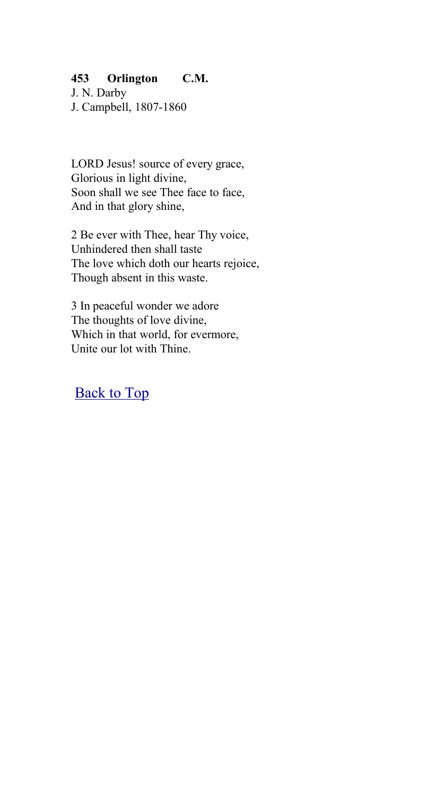#### **453 Orlington C.M.**

J. N. Darby J. Campbell, 1807-1860

LORD Jesus! source of every grace, Glorious in light divine, Soon shall we see Thee face to face. And in that glory shine,

2 Be ever with Thee, hear Thy voice, Unhindered then shall taste The love which doth our hearts rejoice, Though absent in this waste.

3 In peaceful wonder we adore The thoughts of love divine, Which in that world, for evermore, Unite our lot with Thine.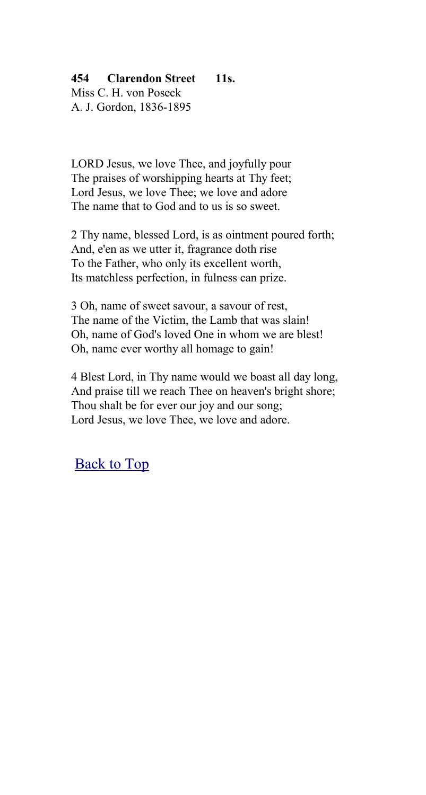# **454 Clarendon Street 11s.**

Miss C. H. von Poseck A. J. Gordon, 1836-1895

LORD Jesus, we love Thee, and joyfully pour The praises of worshipping hearts at Thy feet; Lord Jesus, we love Thee; we love and adore The name that to God and to us is so sweet.

2 Thy name, blessed Lord, is as ointment poured forth; And, e'en as we utter it, fragrance doth rise To the Father, who only its excellent worth, Its matchless perfection, in fulness can prize.

3 Oh, name of sweet savour, a savour of rest, The name of the Victim, the Lamb that was slain! Oh, name of God's loved One in whom we are blest! Oh, name ever worthy all homage to gain!

4 Blest Lord, in Thy name would we boast all day long, And praise till we reach Thee on heaven's bright shore; Thou shalt be for ever our joy and our song; Lord Jesus, we love Thee, we love and adore.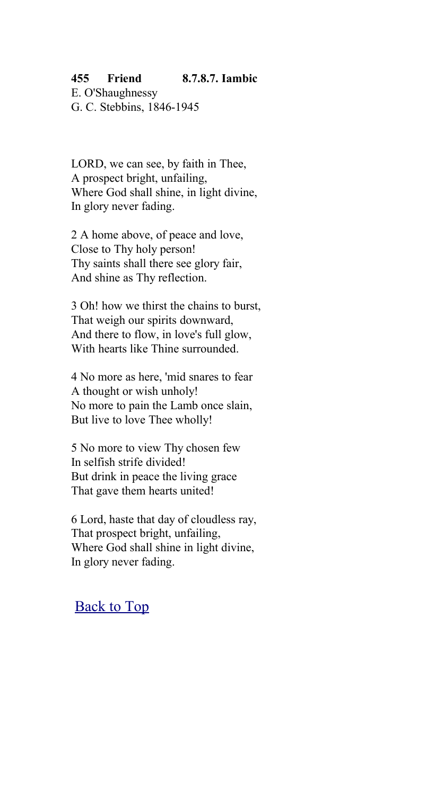#### **455 Friend 8.7.8.7. Iambic**

E. O'Shaughnessy G. C. Stebbins, 1846-1945

LORD, we can see, by faith in Thee, A prospect bright, unfailing, Where God shall shine, in light divine, In glory never fading.

2 A home above, of peace and love, Close to Thy holy person! Thy saints shall there see glory fair, And shine as Thy reflection.

3 Oh! how we thirst the chains to burst, That weigh our spirits downward, And there to flow, in love's full glow, With hearts like Thine surrounded.

4 No more as here, 'mid snares to fear A thought or wish unholy! No more to pain the Lamb once slain, But live to love Thee wholly!

5 No more to view Thy chosen few In selfish strife divided! But drink in peace the living grace That gave them hearts united!

6 Lord, haste that day of cloudless ray, That prospect bright, unfailing, Where God shall shine in light divine, In glory never fading.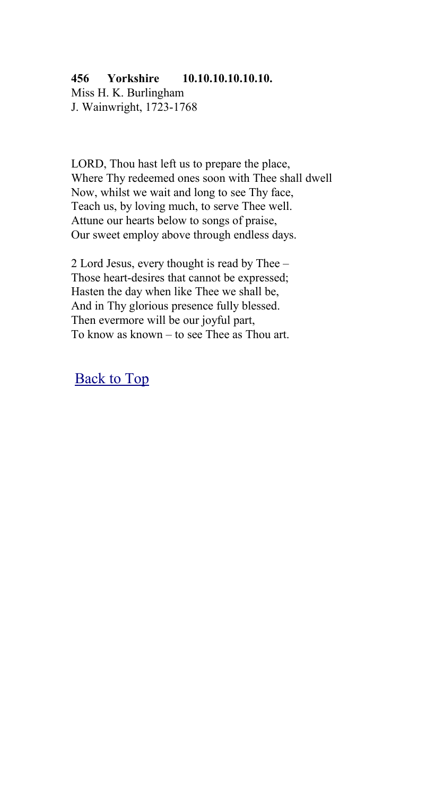# **456 Yorkshire 10.10.10.10.10.10.**

Miss H. K. Burlingham J. Wainwright, 1723-1768

LORD, Thou hast left us to prepare the place, Where Thy redeemed ones soon with Thee shall dwell Now, whilst we wait and long to see Thy face, Teach us, by loving much, to serve Thee well. Attune our hearts below to songs of praise, Our sweet employ above through endless days.

2 Lord Jesus, every thought is read by Thee – Those heart-desires that cannot be expressed; Hasten the day when like Thee we shall be, And in Thy glorious presence fully blessed. Then evermore will be our joyful part, To know as known – to see Thee as Thou art.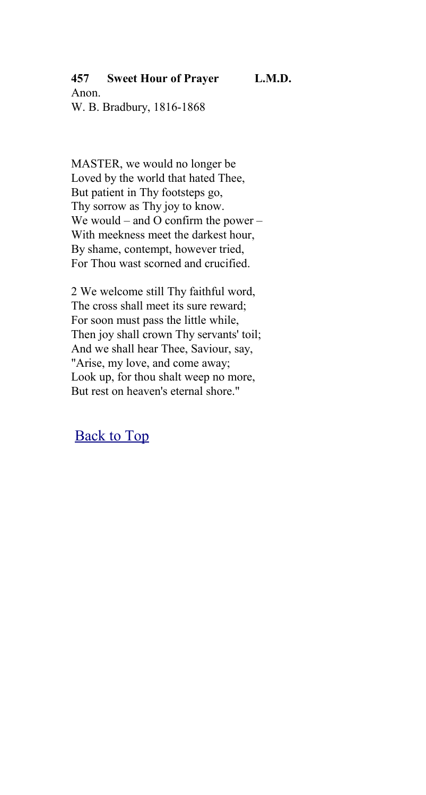**457 Sweet Hour of Prayer L.M.D.**

Anon. W. B. Bradbury, 1816-1868

MASTER, we would no longer be Loved by the world that hated Thee, But patient in Thy footsteps go, Thy sorrow as Thy joy to know. We would – and O confirm the power – With meekness meet the darkest hour, By shame, contempt, however tried, For Thou wast scorned and crucified.

2 We welcome still Thy faithful word, The cross shall meet its sure reward; For soon must pass the little while, Then joy shall crown Thy servants' toil; And we shall hear Thee, Saviour, say, "Arise, my love, and come away; Look up, for thou shalt weep no more, But rest on heaven's eternal shore."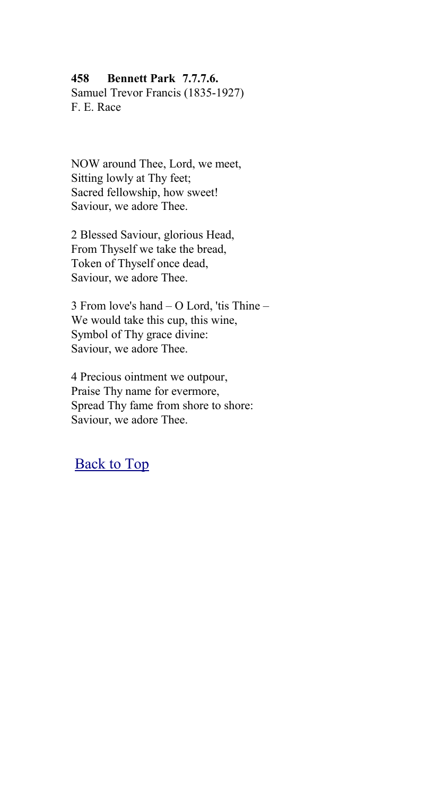### **458 Bennett Park 7.7.7.6.**

Samuel Trevor Francis (1835-1927) F. E. Race

NOW around Thee, Lord, we meet, Sitting lowly at Thy feet; Sacred fellowship, how sweet! Saviour, we adore Thee.

2 Blessed Saviour, glorious Head, From Thyself we take the bread, Token of Thyself once dead, Saviour, we adore Thee.

3 From love's hand – O Lord, 'tis Thine – We would take this cup, this wine, Symbol of Thy grace divine: Saviour, we adore Thee.

4 Precious ointment we outpour, Praise Thy name for evermore, Spread Thy fame from shore to shore: Saviour, we adore Thee.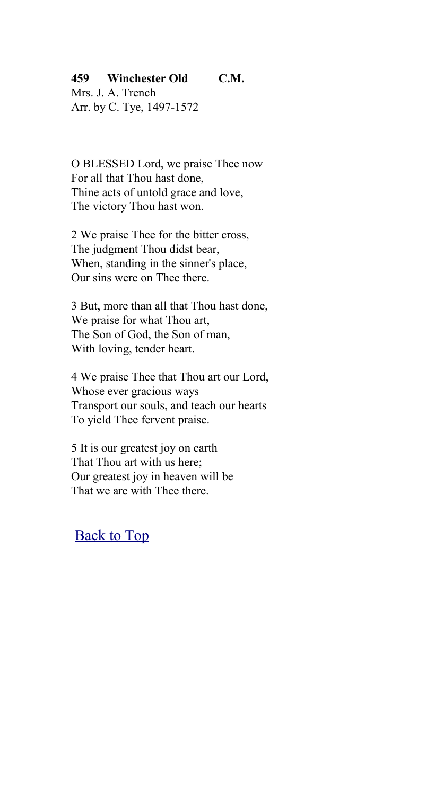### **459 Winchester Old C.M.**

Mrs. J. A. Trench Arr. by C. Tye, 1497-1572

O BLESSED Lord, we praise Thee now For all that Thou hast done, Thine acts of untold grace and love, The victory Thou hast won.

2 We praise Thee for the bitter cross, The judgment Thou didst bear, When, standing in the sinner's place, Our sins were on Thee there.

3 But, more than all that Thou hast done, We praise for what Thou art, The Son of God, the Son of man, With loving, tender heart.

4 We praise Thee that Thou art our Lord, Whose ever gracious ways Transport our souls, and teach our hearts To yield Thee fervent praise.

5 It is our greatest joy on earth That Thou art with us here; Our greatest joy in heaven will be That we are with Thee there.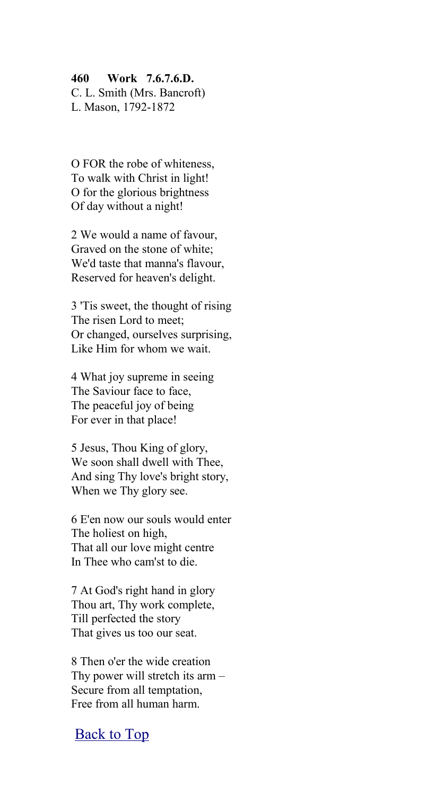#### **460 Work 7.6.7.6.D.**

C. L. Smith (Mrs. Bancroft) L. Mason, 1792-1872

O FOR the robe of whiteness, To walk with Christ in light! O for the glorious brightness Of day without a night!

2 We would a name of favour, Graved on the stone of white; We'd taste that manna's flavour, Reserved for heaven's delight.

3 'Tis sweet, the thought of rising The risen Lord to meet; Or changed, ourselves surprising, Like Him for whom we wait.

4 What joy supreme in seeing The Saviour face to face, The peaceful joy of being For ever in that place!

5 Jesus, Thou King of glory, We soon shall dwell with Thee, And sing Thy love's bright story, When we Thy glory see.

6 E'en now our souls would enter The holiest on high, That all our love might centre In Thee who cam'st to die.

7 At God's right hand in glory Thou art, Thy work complete, Till perfected the story That gives us too our seat.

8 Then o'er the wide creation Thy power will stretch its arm – Secure from all temptation, Free from all human harm.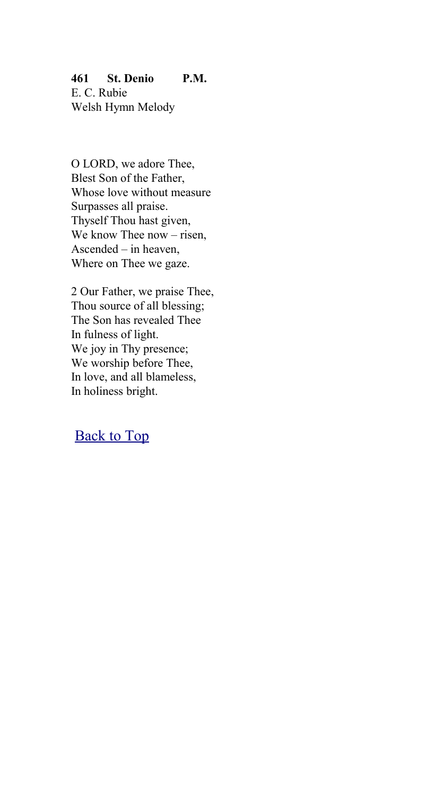**461 St. Denio P.M.** E. C. Rubie Welsh Hymn Melody

O LORD, we adore Thee, Blest Son of the Father, Whose love without measure Surpasses all praise. Thyself Thou hast given, We know Thee now – risen, Ascended – in heaven, Where on Thee we gaze.

2 Our Father, we praise Thee, Thou source of all blessing; The Son has revealed Thee In fulness of light. We joy in Thy presence; We worship before Thee, In love, and all blameless, In holiness bright.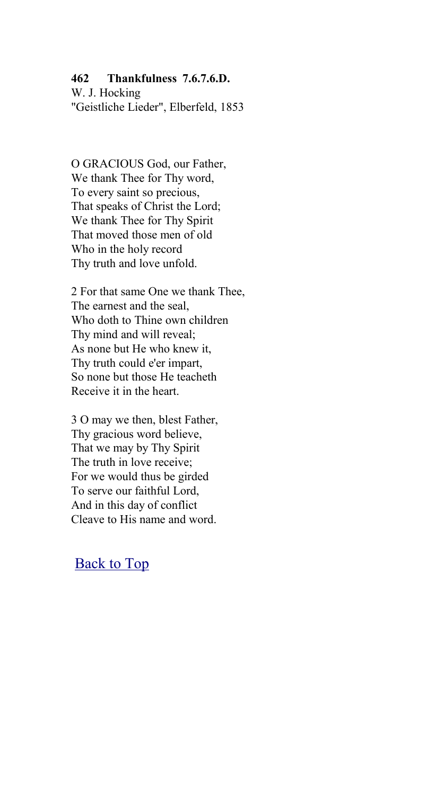### **462 Thankfulness 7.6.7.6.D.**

W. J. Hocking "Geistliche Lieder", Elberfeld, 1853

O GRACIOUS God, our Father, We thank Thee for Thy word, To every saint so precious, That speaks of Christ the Lord; We thank Thee for Thy Spirit That moved those men of old Who in the holy record Thy truth and love unfold.

2 For that same One we thank Thee, The earnest and the seal, Who doth to Thine own children Thy mind and will reveal; As none but He who knew it, Thy truth could e'er impart, So none but those He teacheth Receive it in the heart.

3 O may we then, blest Father, Thy gracious word believe, That we may by Thy Spirit The truth in love receive; For we would thus be girded To serve our faithful Lord, And in this day of conflict Cleave to His name and word.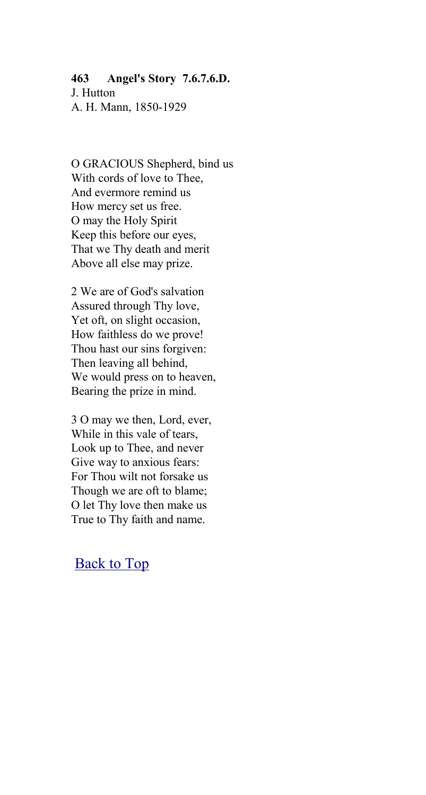## **463 Angel's Story 7.6.7.6.D.** J. Hutton

A. H. Mann, 1850-1929

O GRACIOUS Shepherd, bind us With cords of love to Thee, And evermore remind us How mercy set us free. O may the Holy Spirit Keep this before our eyes, That we Thy death and merit Above all else may prize.

2 We are of God's salvation Assured through Thy love, Yet oft, on slight occasion, How faithless do we prove! Thou hast our sins forgiven: Then leaving all behind, We would press on to heaven, Bearing the prize in mind.

3 O may we then, Lord, ever, While in this vale of tears, Look up to Thee, and never Give way to anxious fears: For Thou wilt not forsake us Though we are oft to blame; O let Thy love then make us True to Thy faith and name.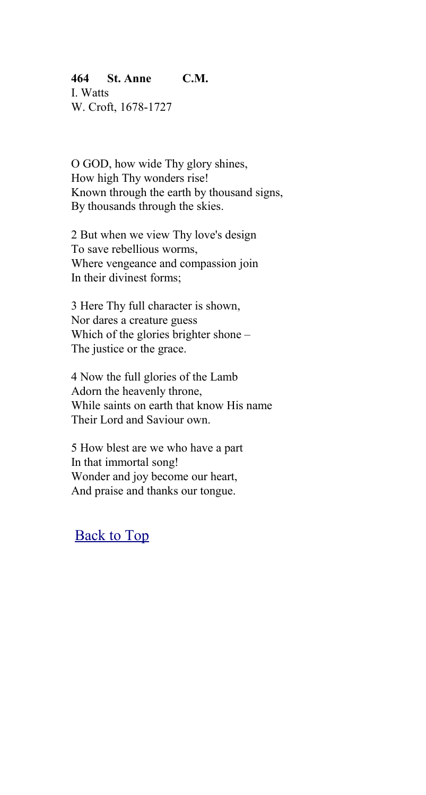## **464 St. Anne C.M.**

I. Watts W. Croft, 1678-1727

O GOD, how wide Thy glory shines, How high Thy wonders rise! Known through the earth by thousand signs, By thousands through the skies.

2 But when we view Thy love's design To save rebellious worms, Where vengeance and compassion join In their divinest forms;

3 Here Thy full character is shown, Nor dares a creature guess Which of the glories brighter shone – The justice or the grace.

4 Now the full glories of the Lamb Adorn the heavenly throne, While saints on earth that know His name Their Lord and Saviour own.

5 How blest are we who have a part In that immortal song! Wonder and joy become our heart, And praise and thanks our tongue.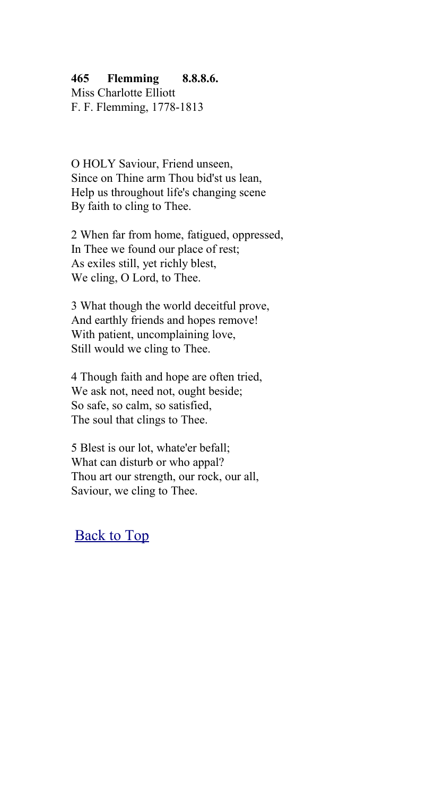### **465 Flemming 8.8.8.6.**

Miss Charlotte Elliott F. F. Flemming, 1778-1813

O HOLY Saviour, Friend unseen, Since on Thine arm Thou bid'st us lean, Help us throughout life's changing scene By faith to cling to Thee.

2 When far from home, fatigued, oppressed, In Thee we found our place of rest; As exiles still, yet richly blest, We cling, O Lord, to Thee.

3 What though the world deceitful prove, And earthly friends and hopes remove! With patient, uncomplaining love, Still would we cling to Thee.

4 Though faith and hope are often tried, We ask not, need not, ought beside; So safe, so calm, so satisfied, The soul that clings to Thee.

5 Blest is our lot, whate'er befall; What can disturb or who appal? Thou art our strength, our rock, our all, Saviour, we cling to Thee.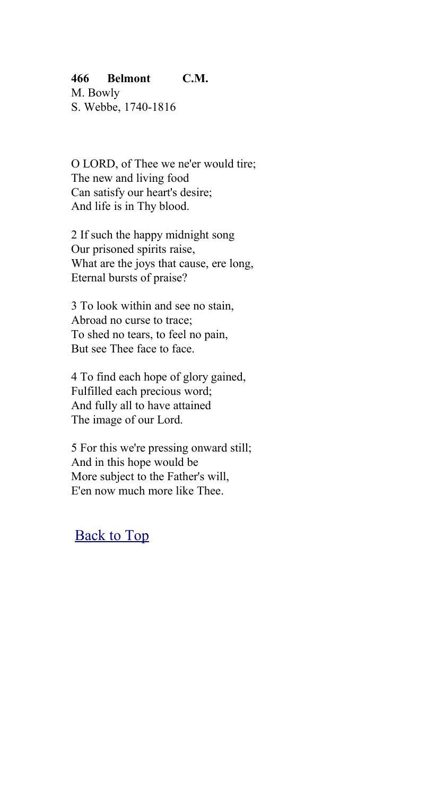### **466 Belmont C.M.**

M. Bowly S. Webbe, 1740-1816

O LORD, of Thee we ne'er would tire; The new and living food Can satisfy our heart's desire; And life is in Thy blood.

2 If such the happy midnight song Our prisoned spirits raise, What are the joys that cause, ere long, Eternal bursts of praise?

3 To look within and see no stain, Abroad no curse to trace; To shed no tears, to feel no pain, But see Thee face to face.

4 To find each hope of glory gained, Fulfilled each precious word; And fully all to have attained The image of our Lord.

5 For this we're pressing onward still; And in this hope would be More subject to the Father's will, E'en now much more like Thee.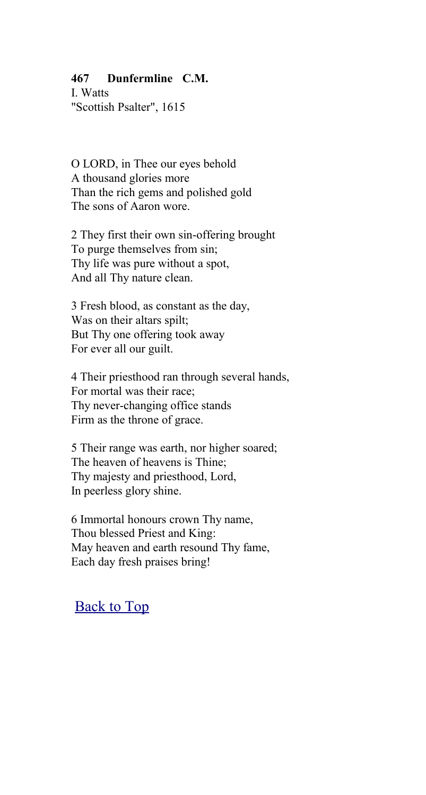### **467 Dunfermline C.M.**

I. Watts "Scottish Psalter", 1615

O LORD, in Thee our eyes behold A thousand glories more Than the rich gems and polished gold The sons of Aaron wore.

2 They first their own sin-offering brought To purge themselves from sin; Thy life was pure without a spot, And all Thy nature clean.

3 Fresh blood, as constant as the day, Was on their altars spilt; But Thy one offering took away For ever all our guilt.

4 Their priesthood ran through several hands, For mortal was their race; Thy never-changing office stands Firm as the throne of grace.

5 Their range was earth, nor higher soared; The heaven of heavens is Thine; Thy majesty and priesthood, Lord, In peerless glory shine.

6 Immortal honours crown Thy name, Thou blessed Priest and King: May heaven and earth resound Thy fame, Each day fresh praises bring!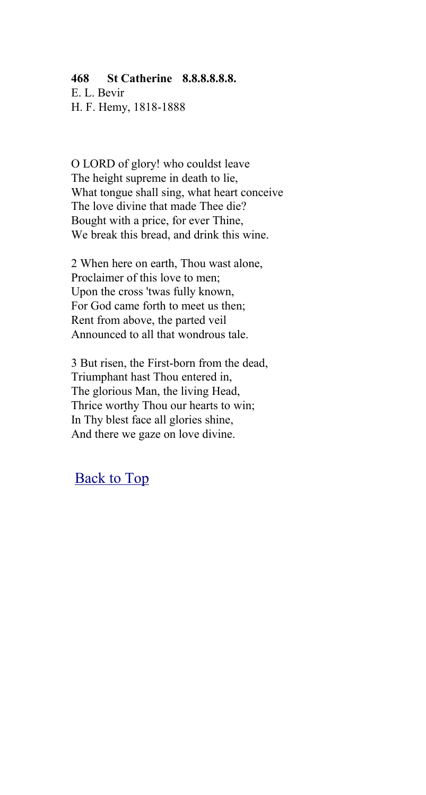#### **468 St Catherine 8.8.8.8.8.8.**

E. L. Bevir H. F. Hemy, 1818-1888

O LORD of glory! who couldst leave The height supreme in death to lie, What tongue shall sing, what heart conceive The love divine that made Thee die? Bought with a price, for ever Thine, We break this bread, and drink this wine.

2 When here on earth, Thou wast alone, Proclaimer of this love to men; Upon the cross 'twas fully known, For God came forth to meet us then; Rent from above, the parted veil Announced to all that wondrous tale.

3 But risen, the First-born from the dead, Triumphant hast Thou entered in, The glorious Man, the living Head, Thrice worthy Thou our hearts to win; In Thy blest face all glories shine, And there we gaze on love divine.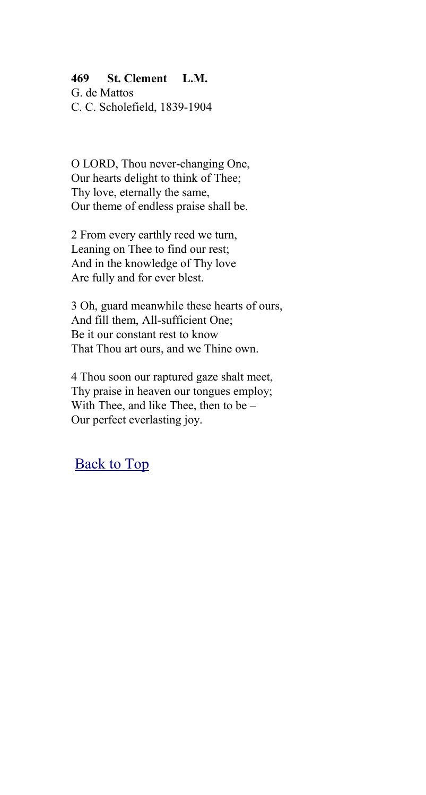### **469 St. Clement L.M.**

G. de Mattos C. C. Scholefield, 1839-1904

O LORD, Thou never-changing One, Our hearts delight to think of Thee; Thy love, eternally the same, Our theme of endless praise shall be.

2 From every earthly reed we turn, Leaning on Thee to find our rest; And in the knowledge of Thy love Are fully and for ever blest.

3 Oh, guard meanwhile these hearts of ours, And fill them, All-sufficient One; Be it our constant rest to know That Thou art ours, and we Thine own.

4 Thou soon our raptured gaze shalt meet, Thy praise in heaven our tongues employ; With Thee, and like Thee, then to be – Our perfect everlasting joy.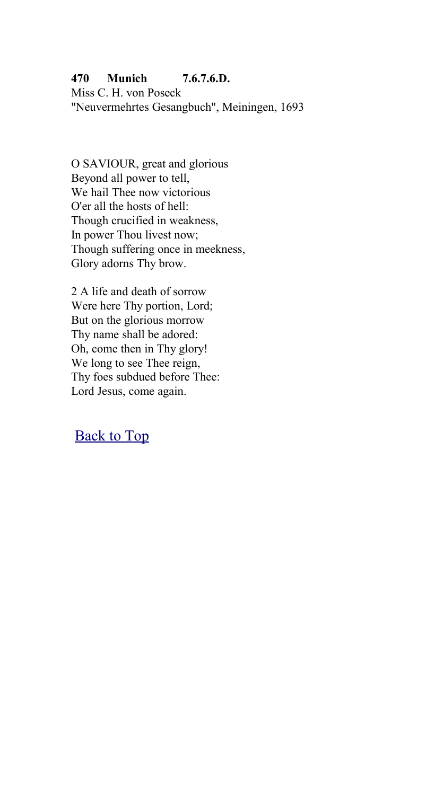## **470 Munich 7.6.7.6.D.**

Miss C. H. von Poseck "Neuvermehrtes Gesangbuch", Meiningen, 1693

O SAVIOUR, great and glorious Beyond all power to tell, We hail Thee now victorious O'er all the hosts of hell: Though crucified in weakness, In power Thou livest now; Though suffering once in meekness, Glory adorns Thy brow.

2 A life and death of sorrow Were here Thy portion, Lord; But on the glorious morrow Thy name shall be adored: Oh, come then in Thy glory! We long to see Thee reign, Thy foes subdued before Thee: Lord Jesus, come again.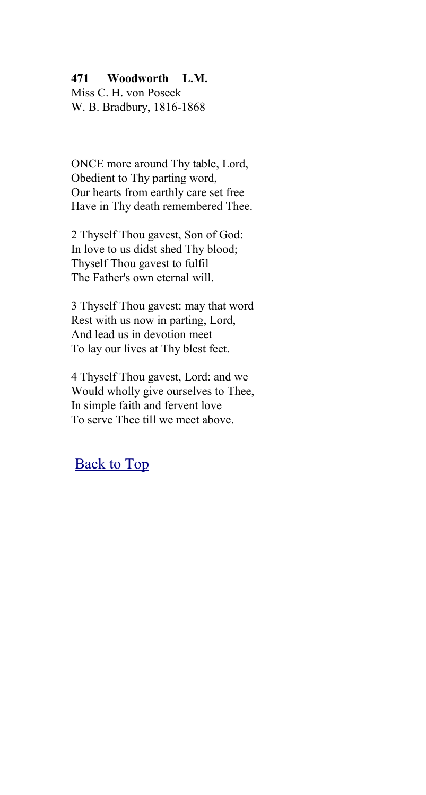### **471 Woodworth L.M.**

Miss C. H. von Poseck W. B. Bradbury, 1816-1868

ONCE more around Thy table, Lord, Obedient to Thy parting word, Our hearts from earthly care set free Have in Thy death remembered Thee.

2 Thyself Thou gavest, Son of God: In love to us didst shed Thy blood; Thyself Thou gavest to fulfil The Father's own eternal will.

3 Thyself Thou gavest: may that word Rest with us now in parting, Lord, And lead us in devotion meet To lay our lives at Thy blest feet.

4 Thyself Thou gavest, Lord: and we Would wholly give ourselves to Thee, In simple faith and fervent love To serve Thee till we meet above.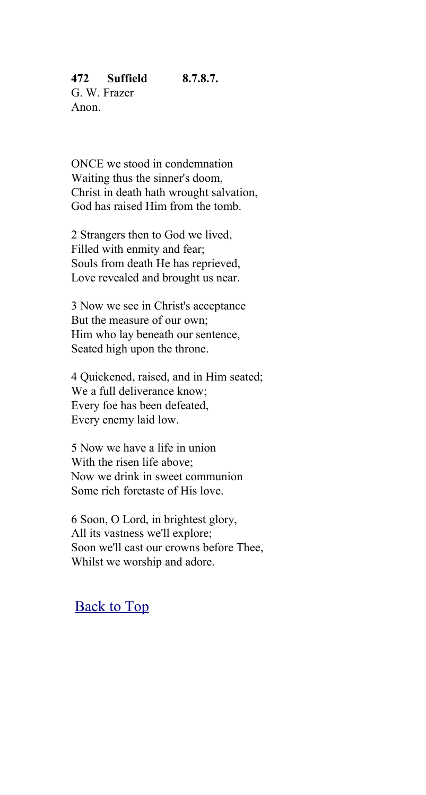G. W. Frazer Anon.

ONCE we stood in condemnation Waiting thus the sinner's doom, Christ in death hath wrought salvation, God has raised Him from the tomb.

2 Strangers then to God we lived, Filled with enmity and fear; Souls from death He has reprieved, Love revealed and brought us near.

3 Now we see in Christ's acceptance But the measure of our own; Him who lay beneath our sentence, Seated high upon the throne.

4 Quickened, raised, and in Him seated; We a full deliverance know; Every foe has been defeated, Every enemy laid low.

5 Now we have a life in union With the risen life above; Now we drink in sweet communion Some rich foretaste of His love.

6 Soon, O Lord, in brightest glory, All its vastness we'll explore; Soon we'll cast our crowns before Thee, Whilst we worship and adore.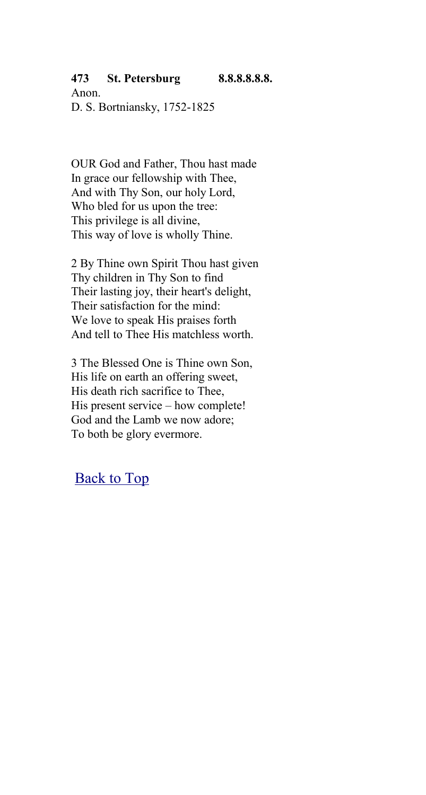#### **473 St. Petersburg 8.8.8.8.8.8.**

Anon. D. S. Bortniansky, 1752-1825

OUR God and Father, Thou hast made In grace our fellowship with Thee, And with Thy Son, our holy Lord, Who bled for us upon the tree: This privilege is all divine, This way of love is wholly Thine.

2 By Thine own Spirit Thou hast given Thy children in Thy Son to find Their lasting joy, their heart's delight, Their satisfaction for the mind: We love to speak His praises forth And tell to Thee His matchless worth.

3 The Blessed One is Thine own Son, His life on earth an offering sweet, His death rich sacrifice to Thee, His present service – how complete! God and the Lamb we now adore; To both be glory evermore.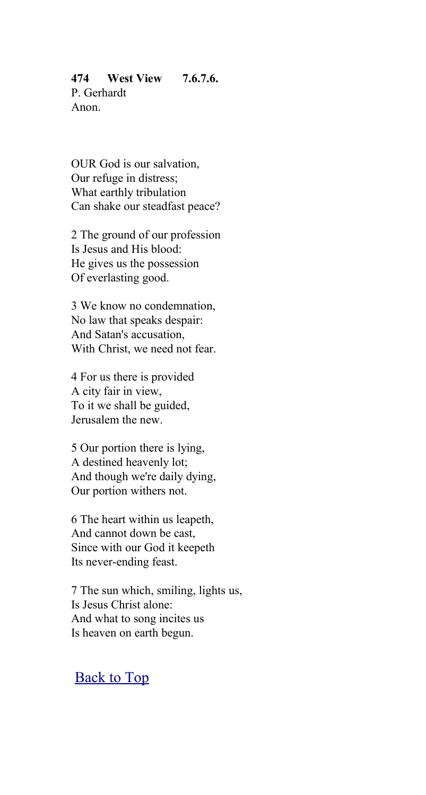### **474 West View 7.6.7.6.** P. Gerhardt Anon.

OUR God is our salvation, Our refuge in distress; What earthly tribulation Can shake our steadfast peace?

2 The ground of our profession Is Jesus and His blood: He gives us the possession Of everlasting good.

3 We know no condemnation, No law that speaks despair: And Satan's accusation, With Christ, we need not fear.

4 For us there is provided A city fair in view, To it we shall be guided, Jerusalem the new.

5 Our portion there is lying, A destined heavenly lot; And though we're daily dying, Our portion withers not.

6 The heart within us leapeth, And cannot down be cast, Since with our God it keepeth Its never-ending feast.

7 The sun which, smiling, lights us, Is Jesus Christ alone: And what to song incites us Is heaven on earth begun.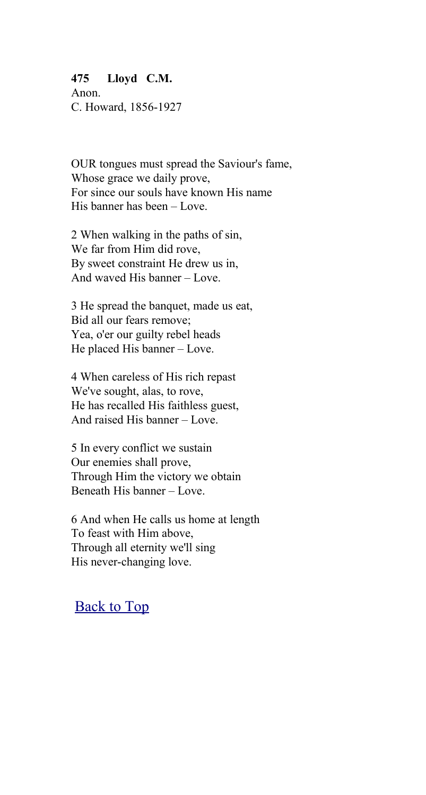#### **475 Lloyd C.M.**

Anon. C. Howard, 1856-1927

OUR tongues must spread the Saviour's fame, Whose grace we daily prove, For since our souls have known His name His banner has been – Love.

2 When walking in the paths of sin, We far from Him did rove, By sweet constraint He drew us in, And waved His banner – Love.

3 He spread the banquet, made us eat, Bid all our fears remove; Yea, o'er our guilty rebel heads He placed His banner – Love.

4 When careless of His rich repast We've sought, alas, to rove, He has recalled His faithless guest, And raised His banner – Love.

5 In every conflict we sustain Our enemies shall prove, Through Him the victory we obtain Beneath His banner – Love.

6 And when He calls us home at length To feast with Him above, Through all eternity we'll sing His never-changing love.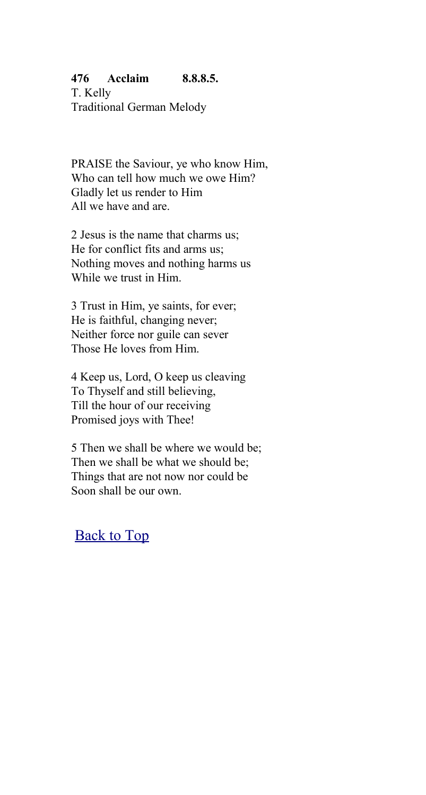### **476 Acclaim 8.8.8.5.**

T. Kelly Traditional German Melody

PRAISE the Saviour, ye who know Him, Who can tell how much we owe Him? Gladly let us render to Him All we have and are.

2 Jesus is the name that charms us; He for conflict fits and arms us; Nothing moves and nothing harms us While we trust in Him.

3 Trust in Him, ye saints, for ever; He is faithful, changing never; Neither force nor guile can sever Those He loves from Him.

4 Keep us, Lord, O keep us cleaving To Thyself and still believing, Till the hour of our receiving Promised joys with Thee!

5 Then we shall be where we would be; Then we shall be what we should be; Things that are not now nor could be Soon shall be our own.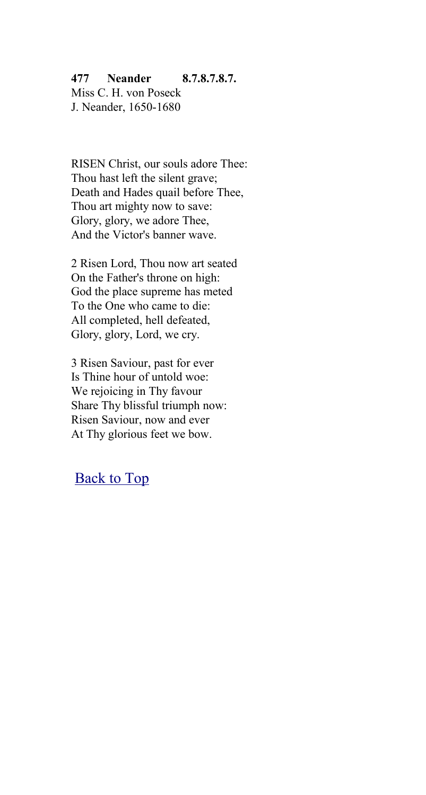## **477 Neander 8.7.8.7.8.7.**

Miss C. H. von Poseck J. Neander, 1650-1680

RISEN Christ, our souls adore Thee: Thou hast left the silent grave; Death and Hades quail before Thee, Thou art mighty now to save: Glory, glory, we adore Thee, And the Victor's banner wave.

2 Risen Lord, Thou now art seated On the Father's throne on high: God the place supreme has meted To the One who came to die: All completed, hell defeated, Glory, glory, Lord, we cry.

3 Risen Saviour, past for ever Is Thine hour of untold woe: We rejoicing in Thy favour Share Thy blissful triumph now: Risen Saviour, now and ever At Thy glorious feet we bow.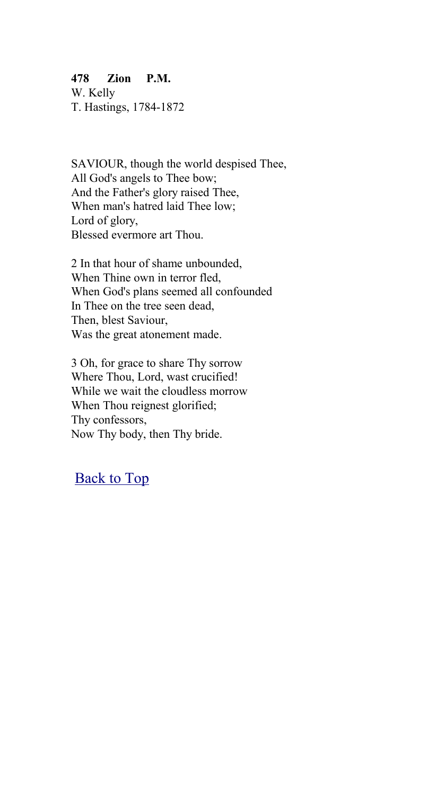## **478 Zion P.M.**

W. Kelly T. Hastings, 1784-1872

SAVIOUR, though the world despised Thee, All God's angels to Thee bow; And the Father's glory raised Thee, When man's hatred laid Thee low; Lord of glory, Blessed evermore art Thou.

2 In that hour of shame unbounded, When Thine own in terror fled, When God's plans seemed all confounded In Thee on the tree seen dead, Then, blest Saviour, Was the great atonement made.

3 Oh, for grace to share Thy sorrow Where Thou, Lord, wast crucified! While we wait the cloudless morrow When Thou reignest glorified; Thy confessors, Now Thy body, then Thy bride.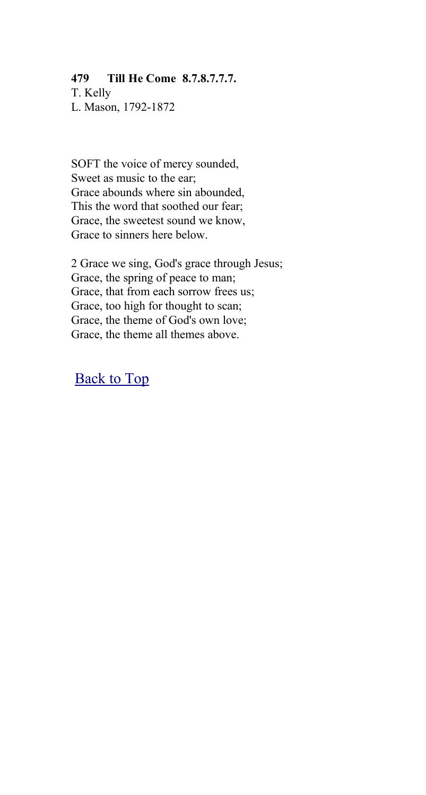### **479 Till He Come 8.7.8.7.7.7.**

T. Kelly L. Mason, 1792-1872

SOFT the voice of mercy sounded, Sweet as music to the ear; Grace abounds where sin abounded, This the word that soothed our fear; Grace, the sweetest sound we know, Grace to sinners here below.

2 Grace we sing, God's grace through Jesus; Grace, the spring of peace to man; Grace, that from each sorrow frees us; Grace, too high for thought to scan; Grace, the theme of God's own love; Grace, the theme all themes above.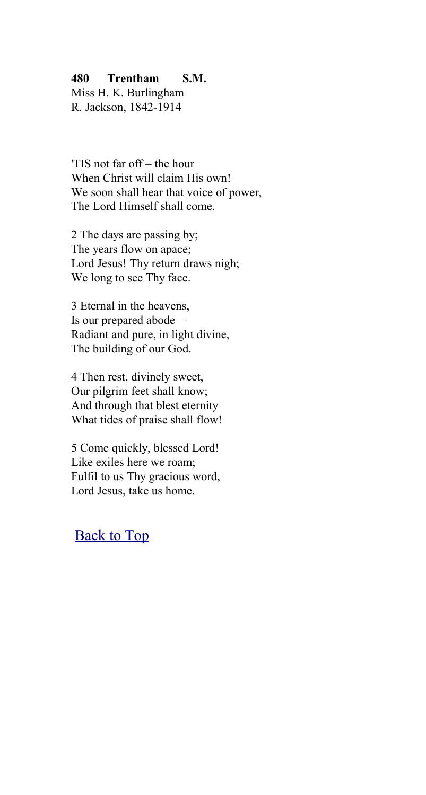### **480 Trentham S.M.**

Miss H. K. Burlingham R. Jackson, 1842-1914

'TIS not far off – the hour When Christ will claim His own! We soon shall hear that voice of power, The Lord Himself shall come.

2 The days are passing by; The years flow on apace; Lord Jesus! Thy return draws nigh; We long to see Thy face.

3 Eternal in the heavens, Is our prepared abode – Radiant and pure, in light divine, The building of our God.

4 Then rest, divinely sweet, Our pilgrim feet shall know; And through that blest eternity What tides of praise shall flow!

5 Come quickly, blessed Lord! Like exiles here we roam; Fulfil to us Thy gracious word, Lord Jesus, take us home.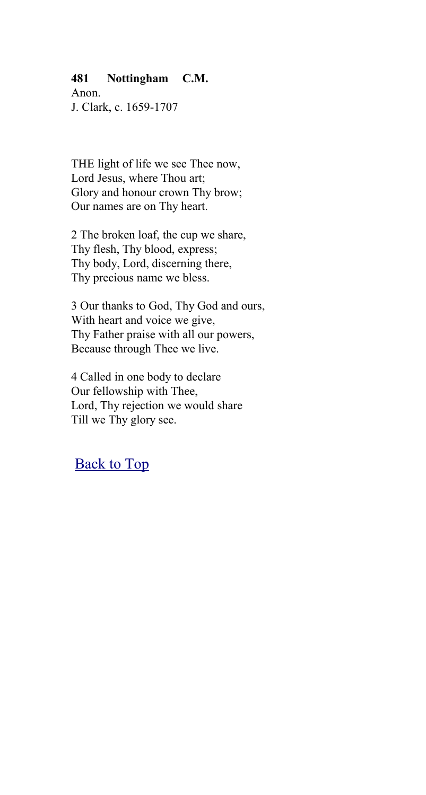### **481 Nottingham C.M.**

Anon. J. Clark, c. 1659-1707

THE light of life we see Thee now, Lord Jesus, where Thou art; Glory and honour crown Thy brow; Our names are on Thy heart.

2 The broken loaf, the cup we share, Thy flesh, Thy blood, express; Thy body, Lord, discerning there, Thy precious name we bless.

3 Our thanks to God, Thy God and ours, With heart and voice we give, Thy Father praise with all our powers, Because through Thee we live.

4 Called in one body to declare Our fellowship with Thee, Lord, Thy rejection we would share Till we Thy glory see.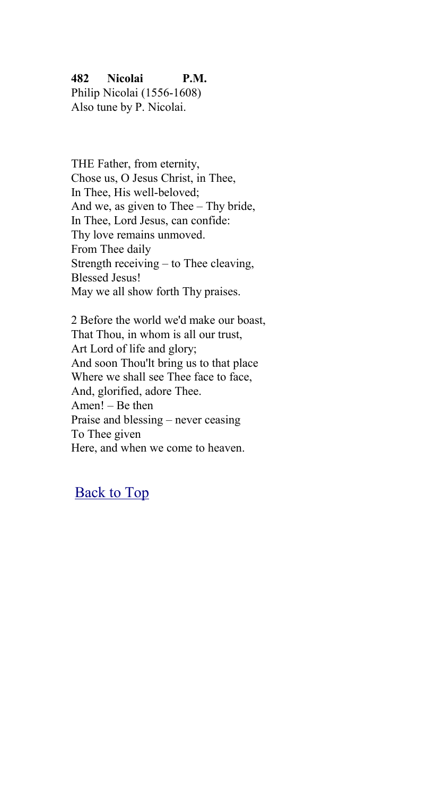## **482 Nicolai P.M.**

Philip Nicolai (1556-1608) Also tune by P. Nicolai.

THE Father, from eternity, Chose us, O Jesus Christ, in Thee, In Thee, His well-beloved; And we, as given to Thee – Thy bride, In Thee, Lord Jesus, can confide: Thy love remains unmoved. From Thee daily Strength receiving – to Thee cleaving, Blessed Jesus! May we all show forth Thy praises.

2 Before the world we'd make our boast, That Thou, in whom is all our trust, Art Lord of life and glory; And soon Thou'lt bring us to that place Where we shall see Thee face to face, And, glorified, adore Thee. Amen! – Be then Praise and blessing – never ceasing To Thee given Here, and when we come to heaven.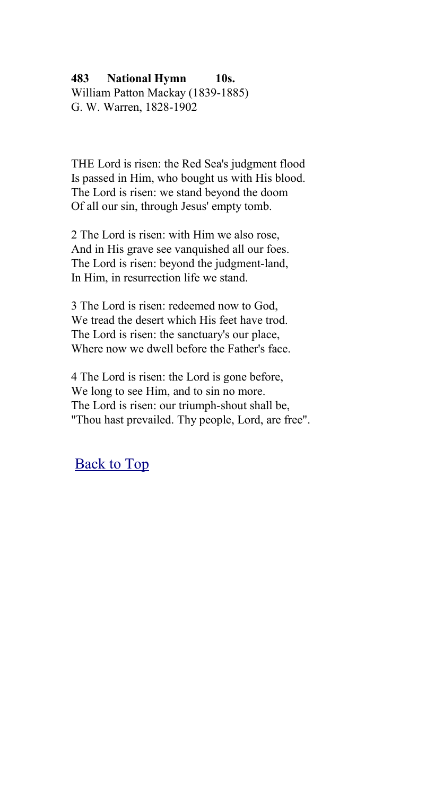### **483 National Hymn 10s.** William Patton Mackay (1839-1885) G. W. Warren, 1828-1902

THE Lord is risen: the Red Sea's judgment flood Is passed in Him, who bought us with His blood. The Lord is risen: we stand beyond the doom Of all our sin, through Jesus' empty tomb.

2 The Lord is risen: with Him we also rose, And in His grave see vanquished all our foes. The Lord is risen: beyond the judgment-land, In Him, in resurrection life we stand.

3 The Lord is risen: redeemed now to God, We tread the desert which His feet have trod. The Lord is risen: the sanctuary's our place, Where now we dwell before the Father's face.

4 The Lord is risen: the Lord is gone before, We long to see Him, and to sin no more. The Lord is risen: our triumph-shout shall be, "Thou hast prevailed. Thy people, Lord, are free".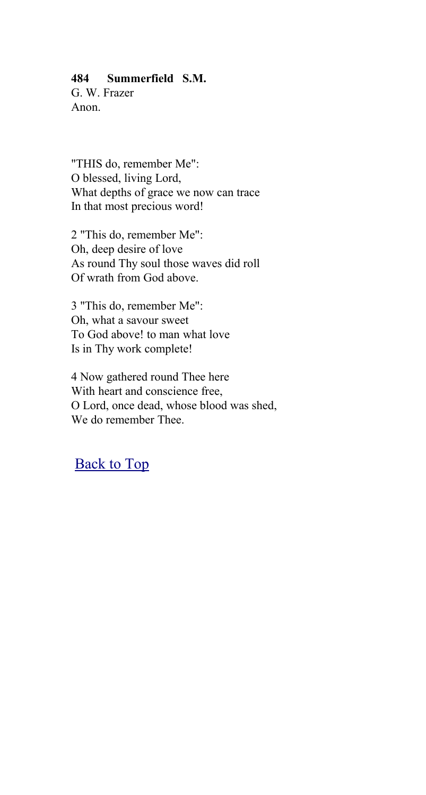### **484 Summerfield S.M.**

G. W. Frazer Anon.

"THIS do, remember Me": O blessed, living Lord, What depths of grace we now can trace In that most precious word!

2 "This do, remember Me": Oh, deep desire of love As round Thy soul those waves did roll Of wrath from God above.

3 "This do, remember Me": Oh, what a savour sweet To God above! to man what love Is in Thy work complete!

4 Now gathered round Thee here With heart and conscience free, O Lord, once dead, whose blood was shed, We do remember Thee.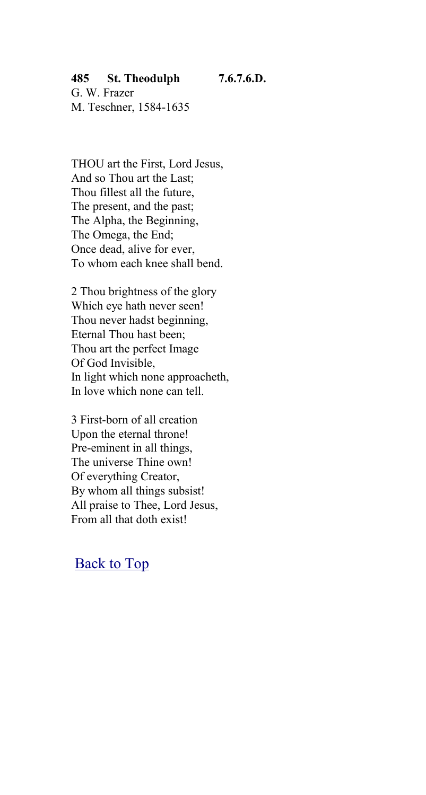### **485 St. Theodulph 7.6.7.6.D.**

G. W. Frazer M. Teschner, 1584-1635

THOU art the First, Lord Jesus, And so Thou art the Last; Thou fillest all the future, The present, and the past; The Alpha, the Beginning, The Omega, the End; Once dead, alive for ever, To whom each knee shall bend.

2 Thou brightness of the glory Which eye hath never seen! Thou never hadst beginning, Eternal Thou hast been; Thou art the perfect Image Of God Invisible, In light which none approacheth, In love which none can tell.

3 First-born of all creation Upon the eternal throne! Pre-eminent in all things, The universe Thine own! Of everything Creator, By whom all things subsist! All praise to Thee, Lord Jesus, From all that doth exist!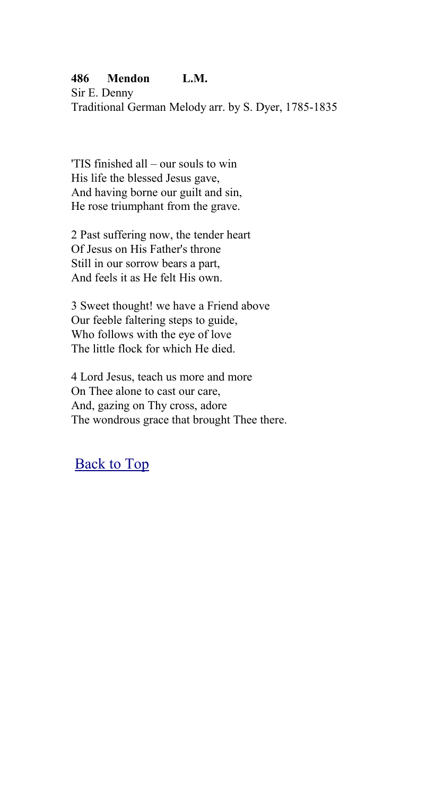### **486 Mendon L.M.**

Sir E. Denny Traditional German Melody arr. by S. Dyer, 1785-1835

'TIS finished all – our souls to win His life the blessed Jesus gave, And having borne our guilt and sin, He rose triumphant from the grave.

2 Past suffering now, the tender heart Of Jesus on His Father's throne Still in our sorrow bears a part, And feels it as He felt His own.

3 Sweet thought! we have a Friend above Our feeble faltering steps to guide, Who follows with the eye of love The little flock for which He died.

4 Lord Jesus, teach us more and more On Thee alone to cast our care, And, gazing on Thy cross, adore The wondrous grace that brought Thee there.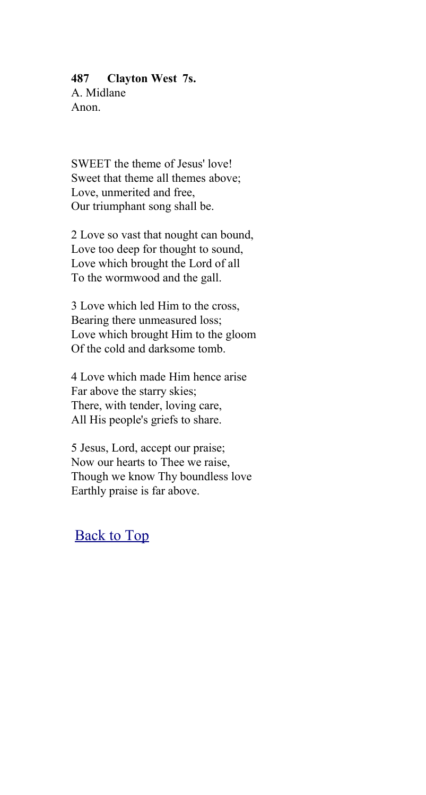#### **487 Clayton West 7s.**

A. Midlane Anon.

SWEET the theme of Jesus' love! Sweet that theme all themes above; Love, unmerited and free, Our triumphant song shall be.

2 Love so vast that nought can bound, Love too deep for thought to sound, Love which brought the Lord of all To the wormwood and the gall.

3 Love which led Him to the cross, Bearing there unmeasured loss; Love which brought Him to the gloom Of the cold and darksome tomb.

4 Love which made Him hence arise Far above the starry skies; There, with tender, loving care, All His people's griefs to share.

5 Jesus, Lord, accept our praise; Now our hearts to Thee we raise, Though we know Thy boundless love Earthly praise is far above.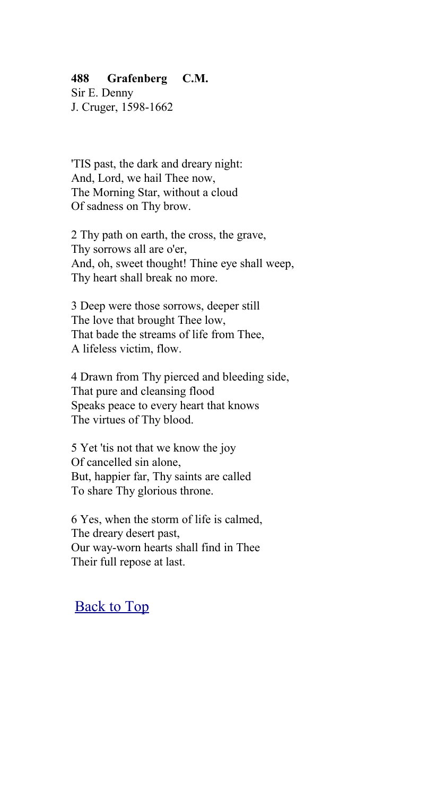### **488 Grafenberg C.M.**

Sir E. Denny J. Cruger, 1598-1662

'TIS past, the dark and dreary night: And, Lord, we hail Thee now, The Morning Star, without a cloud Of sadness on Thy brow.

2 Thy path on earth, the cross, the grave, Thy sorrows all are o'er, And, oh, sweet thought! Thine eye shall weep, Thy heart shall break no more.

3 Deep were those sorrows, deeper still The love that brought Thee low, That bade the streams of life from Thee, A lifeless victim, flow.

4 Drawn from Thy pierced and bleeding side, That pure and cleansing flood Speaks peace to every heart that knows The virtues of Thy blood.

5 Yet 'tis not that we know the joy Of cancelled sin alone, But, happier far, Thy saints are called To share Thy glorious throne.

6 Yes, when the storm of life is calmed, The dreary desert past, Our way-worn hearts shall find in Thee Their full repose at last.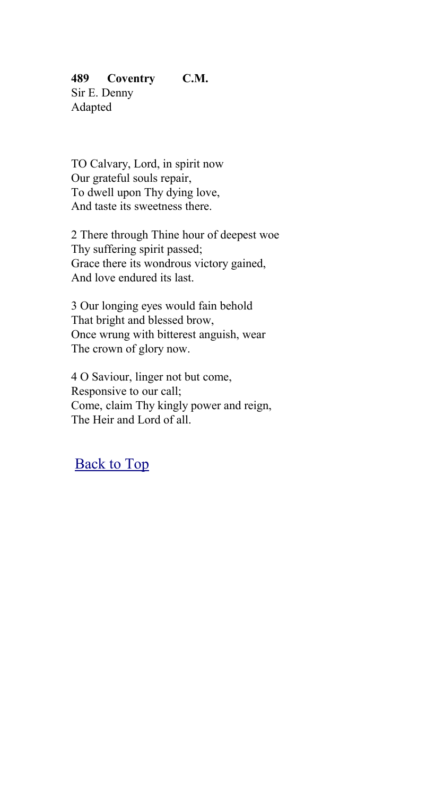## **489 Coventry C.M.**

Sir E. Denny Adapted

TO Calvary, Lord, in spirit now Our grateful souls repair, To dwell upon Thy dying love, And taste its sweetness there.

2 There through Thine hour of deepest woe Thy suffering spirit passed; Grace there its wondrous victory gained, And love endured its last.

3 Our longing eyes would fain behold That bright and blessed brow, Once wrung with bitterest anguish, wear The crown of glory now.

4 O Saviour, linger not but come, Responsive to our call; Come, claim Thy kingly power and reign, The Heir and Lord of all.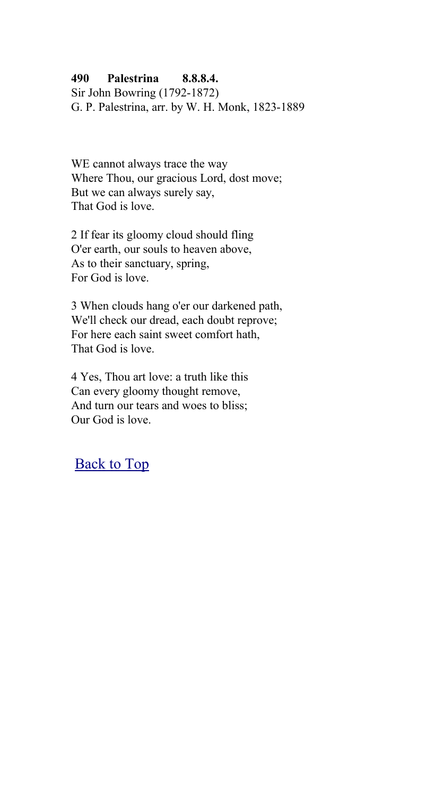### **490 Palestrina 8.8.8.4.**

Sir John Bowring (1792-1872) G. P. Palestrina, arr. by W. H. Monk, 1823-1889

WE cannot always trace the way Where Thou, our gracious Lord, dost move; But we can always surely say, That God is love.

2 If fear its gloomy cloud should fling O'er earth, our souls to heaven above, As to their sanctuary, spring, For God is love.

3 When clouds hang o'er our darkened path, We'll check our dread, each doubt reprove; For here each saint sweet comfort hath, That God is love.

4 Yes, Thou art love: a truth like this Can every gloomy thought remove, And turn our tears and woes to bliss; Our God is love.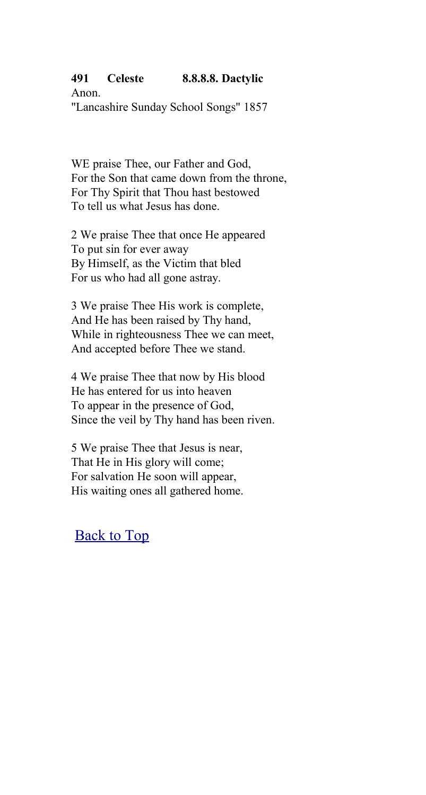## **491 Celeste 8.8.8.8. Dactylic**

Anon. "Lancashire Sunday School Songs" 1857

WE praise Thee, our Father and God, For the Son that came down from the throne, For Thy Spirit that Thou hast bestowed To tell us what Jesus has done.

2 We praise Thee that once He appeared To put sin for ever away By Himself, as the Victim that bled For us who had all gone astray.

3 We praise Thee His work is complete, And He has been raised by Thy hand, While in righteousness Thee we can meet, And accepted before Thee we stand.

4 We praise Thee that now by His blood He has entered for us into heaven To appear in the presence of God, Since the veil by Thy hand has been riven.

5 We praise Thee that Jesus is near, That He in His glory will come; For salvation He soon will appear, His waiting ones all gathered home.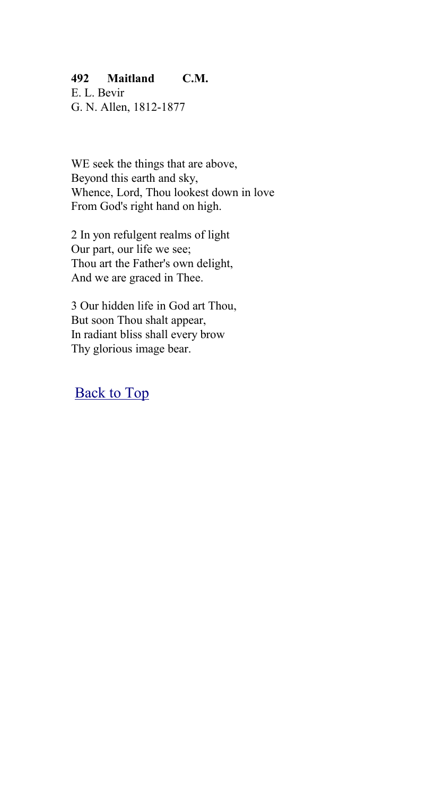## **492 Maitland C.M.**

E. L. Bevir G. N. Allen, 1812-1877

WE seek the things that are above, Beyond this earth and sky, Whence, Lord, Thou lookest down in love From God's right hand on high.

2 In yon refulgent realms of light Our part, our life we see; Thou art the Father's own delight, And we are graced in Thee.

3 Our hidden life in God art Thou, But soon Thou shalt appear, In radiant bliss shall every brow Thy glorious image bear.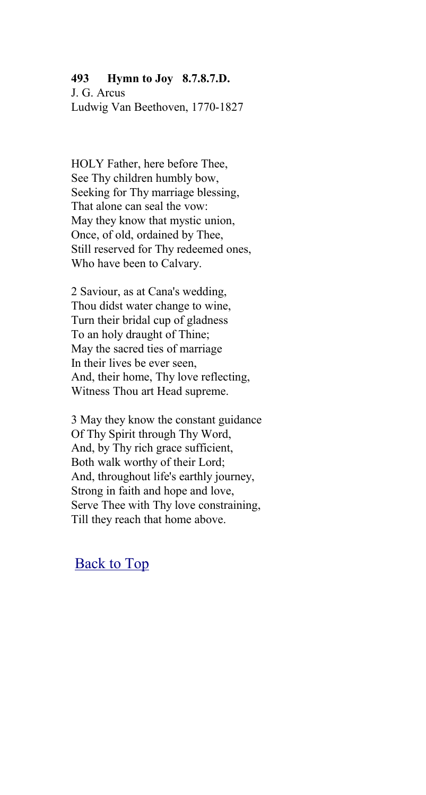#### **493 Hymn to Joy 8.7.8.7.D.**

J. G. Arcus Ludwig Van Beethoven, 1770-1827

HOLY Father, here before Thee, See Thy children humbly bow, Seeking for Thy marriage blessing, That alone can seal the vow: May they know that mystic union, Once, of old, ordained by Thee, Still reserved for Thy redeemed ones, Who have been to Calvary.

2 Saviour, as at Cana's wedding, Thou didst water change to wine, Turn their bridal cup of gladness To an holy draught of Thine; May the sacred ties of marriage In their lives be ever seen, And, their home, Thy love reflecting, Witness Thou art Head supreme.

3 May they know the constant guidance Of Thy Spirit through Thy Word, And, by Thy rich grace sufficient, Both walk worthy of their Lord; And, throughout life's earthly journey, Strong in faith and hope and love, Serve Thee with Thy love constraining, Till they reach that home above.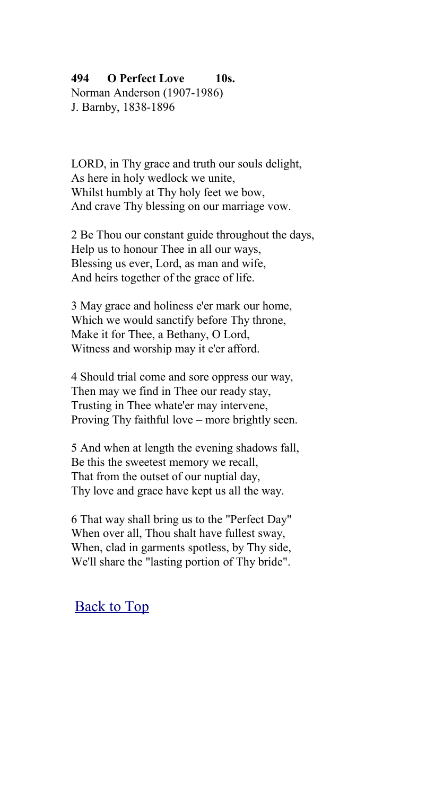#### **494 O Perfect Love 10s.**

Norman Anderson (1907-1986) J. Barnby, 1838-1896

LORD, in Thy grace and truth our souls delight, As here in holy wedlock we unite, Whilst humbly at Thy holy feet we bow, And crave Thy blessing on our marriage vow.

2 Be Thou our constant guide throughout the days, Help us to honour Thee in all our ways, Blessing us ever, Lord, as man and wife, And heirs together of the grace of life.

3 May grace and holiness e'er mark our home, Which we would sanctify before Thy throne, Make it for Thee, a Bethany, O Lord, Witness and worship may it e'er afford.

4 Should trial come and sore oppress our way, Then may we find in Thee our ready stay, Trusting in Thee whate'er may intervene, Proving Thy faithful love – more brightly seen.

5 And when at length the evening shadows fall, Be this the sweetest memory we recall, That from the outset of our nuptial day, Thy love and grace have kept us all the way.

6 That way shall bring us to the "Perfect Day" When over all, Thou shalt have fullest sway, When, clad in garments spotless, by Thy side, We'll share the "lasting portion of Thy bride".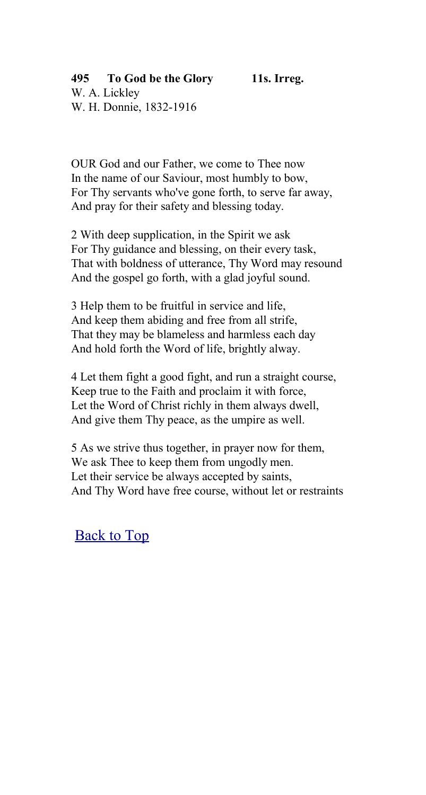## **495 To God be the Glory 11s. Irreg.**

W. A. Lickley W. H. Donnie, 1832-1916

OUR God and our Father, we come to Thee now In the name of our Saviour, most humbly to bow, For Thy servants who've gone forth, to serve far away, And pray for their safety and blessing today.

2 With deep supplication, in the Spirit we ask For Thy guidance and blessing, on their every task, That with boldness of utterance, Thy Word may resound And the gospel go forth, with a glad joyful sound.

3 Help them to be fruitful in service and life, And keep them abiding and free from all strife, That they may be blameless and harmless each day And hold forth the Word of life, brightly alway.

4 Let them fight a good fight, and run a straight course, Keep true to the Faith and proclaim it with force, Let the Word of Christ richly in them always dwell, And give them Thy peace, as the umpire as well.

5 As we strive thus together, in prayer now for them, We ask Thee to keep them from ungodly men. Let their service be always accepted by saints, And Thy Word have free course, without let or restraints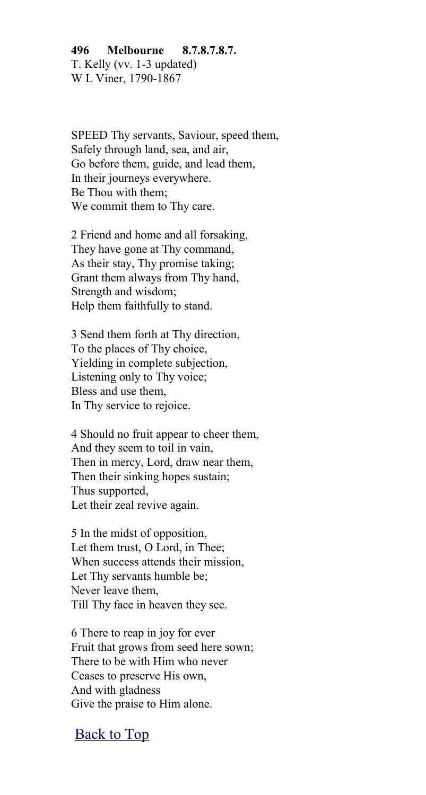**496 Melbourne 8.7.8.7.8.7.** T. Kelly (vv. 1-3 updated) W L Viner, 1790-1867

SPEED Thy servants, Saviour, speed them, Safely through land, sea, and air, Go before them, guide, and lead them, In their journeys everywhere. Be Thou with them; We commit them to Thy care.

2 Friend and home and all forsaking, They have gone at Thy command, As their stay, Thy promise taking; Grant them always from Thy hand, Strength and wisdom; Help them faithfully to stand.

3 Send them forth at Thy direction, To the places of Thy choice, Yielding in complete subjection, Listening only to Thy voice; Bless and use them, In Thy service to rejoice.

4 Should no fruit appear to cheer them, And they seem to toil in vain, Then in mercy, Lord, draw near them, Then their sinking hopes sustain; Thus supported, Let their zeal revive again.

5 In the midst of opposition, Let them trust, O Lord, in Thee; When success attends their mission, Let Thy servants humble be; Never leave them, Till Thy face in heaven they see.

6 There to reap in joy for ever Fruit that grows from seed here sown; There to be with Him who never Ceases to preserve His own, And with gladness Give the praise to Him alone.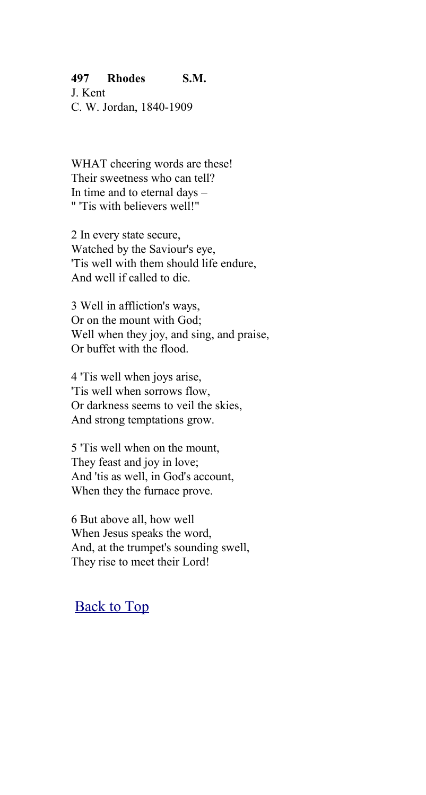#### **497 Rhodes S.M.**

J. Kent C. W. Jordan, 1840-1909

WHAT cheering words are these! Their sweetness who can tell? In time and to eternal days – " 'Tis with believers well!"

2 In every state secure, Watched by the Saviour's eye, 'Tis well with them should life endure, And well if called to die.

3 Well in affliction's ways, Or on the mount with God; Well when they joy, and sing, and praise, Or buffet with the flood.

4 'Tis well when joys arise, 'Tis well when sorrows flow, Or darkness seems to veil the skies, And strong temptations grow.

5 'Tis well when on the mount, They feast and joy in love; And 'tis as well, in God's account, When they the furnace prove.

6 But above all, how well When Jesus speaks the word, And, at the trumpet's sounding swell, They rise to meet their Lord!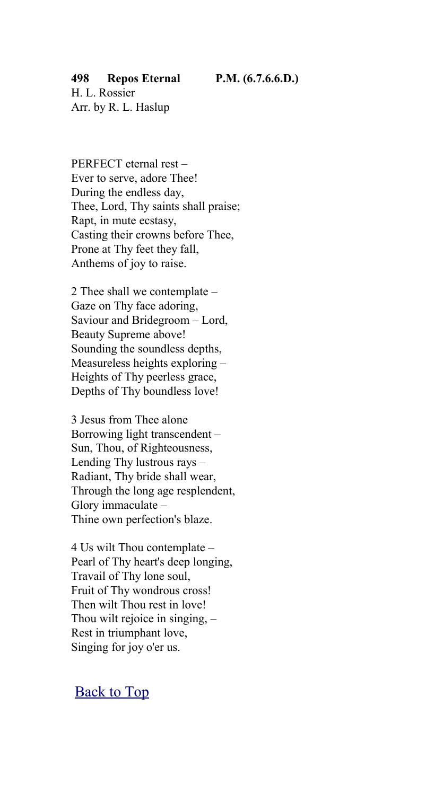#### **498 Repos Eternal P.M. (6.7.6.6.D.)**

H. L. Rossier Arr. by R. L. Haslup

PERFECT eternal rest – Ever to serve, adore Thee! During the endless day, Thee, Lord, Thy saints shall praise; Rapt, in mute ecstasy, Casting their crowns before Thee, Prone at Thy feet they fall, Anthems of joy to raise.

2 Thee shall we contemplate – Gaze on Thy face adoring, Saviour and Bridegroom – Lord, Beauty Supreme above! Sounding the soundless depths, Measureless heights exploring – Heights of Thy peerless grace, Depths of Thy boundless love!

3 Jesus from Thee alone Borrowing light transcendent – Sun, Thou, of Righteousness, Lending Thy lustrous rays – Radiant, Thy bride shall wear, Through the long age resplendent, Glory immaculate – Thine own perfection's blaze.

4 Us wilt Thou contemplate – Pearl of Thy heart's deep longing, Travail of Thy lone soul, Fruit of Thy wondrous cross! Then wilt Thou rest in love! Thou wilt rejoice in singing, – Rest in triumphant love, Singing for joy o'er us.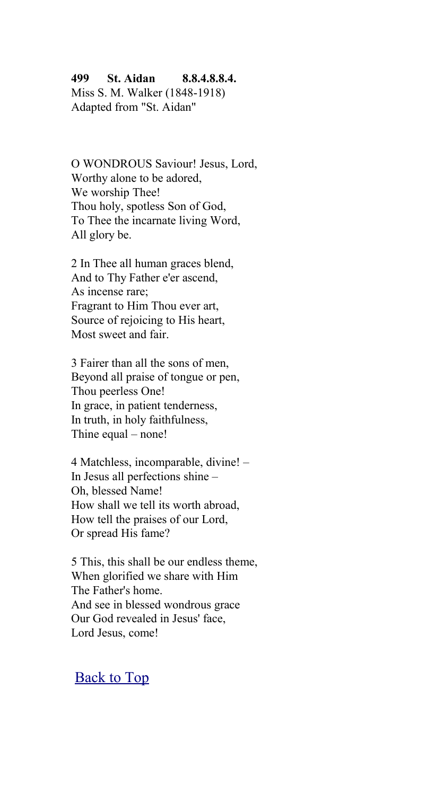#### **499 St. Aidan 8.8.4.8.8.4.**

Miss S. M. Walker (1848-1918) Adapted from "St. Aidan"

O WONDROUS Saviour! Jesus, Lord, Worthy alone to be adored, We worship Thee! Thou holy, spotless Son of God, To Thee the incarnate living Word, All glory be.

2 In Thee all human graces blend, And to Thy Father e'er ascend, As incense rare; Fragrant to Him Thou ever art, Source of rejoicing to His heart, Most sweet and fair.

3 Fairer than all the sons of men, Beyond all praise of tongue or pen, Thou peerless One! In grace, in patient tenderness, In truth, in holy faithfulness, Thine equal – none!

4 Matchless, incomparable, divine! – In Jesus all perfections shine – Oh, blessed Name! How shall we tell its worth abroad, How tell the praises of our Lord, Or spread His fame?

5 This, this shall be our endless theme, When glorified we share with Him The Father's home. And see in blessed wondrous grace Our God revealed in Jesus' face, Lord Jesus, come!